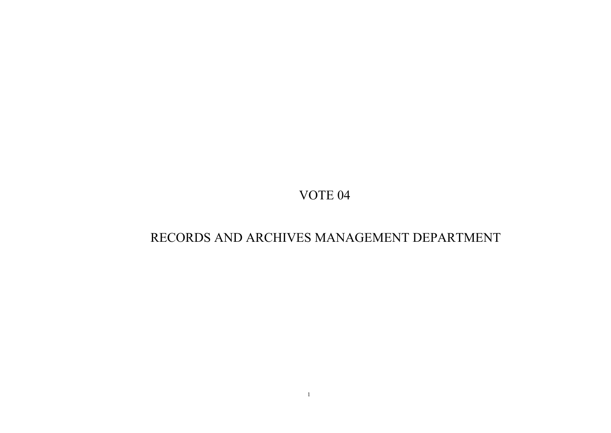# RECORDS AND ARCHIVES MANAGEMENT DEPARTMENT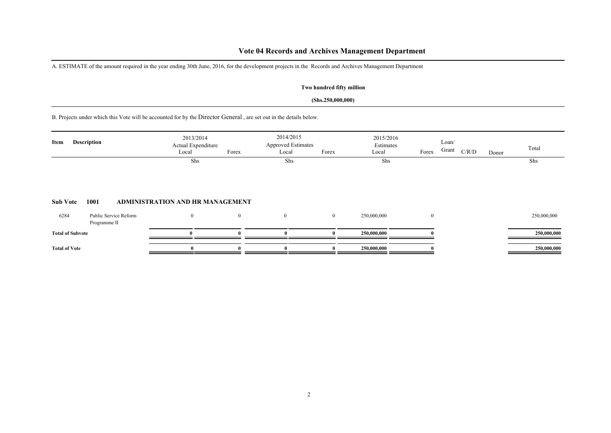### **Vote 04 Records and Archives Management Department**

A. ESTIMATE of the amount required in the year ending 30th June, 2016, for the development projects in the Records and Archives Management Department

### **Two hundred fifty million**

#### **(Shs.250,000,000)**

B. Projects under which this Vote will be accounted for by the Director General , are set out in the details below.

| Item            | Description                           |                                  | 2013/2014<br>Actual Expenditure<br>Local | Forex    | 2014/2015<br><b>Approved Estimates</b><br>Local | Forex        | 2015/2016<br>Estimates<br>Local | Forex    | Loan/<br>Grant | C/R/D | Donor | Total       |
|-----------------|---------------------------------------|----------------------------------|------------------------------------------|----------|-------------------------------------------------|--------------|---------------------------------|----------|----------------|-------|-------|-------------|
|                 |                                       |                                  | Shs                                      |          | Shs                                             |              | Shs                             |          |                |       |       | Shs         |
| <b>Sub Vote</b> | 1001                                  | ADMINISTRATION AND HR MANAGEMENT |                                          |          |                                                 |              |                                 |          |                |       |       |             |
| 6284            | Public Service Reform<br>Programme II |                                  | $\bf{0}$                                 | $\theta$ | $\overline{0}$                                  | $\mathbf{0}$ | 250,000,000                     | $\bf{0}$ |                |       |       | 250,000,000 |

| <b>Total</b> of<br>' Subvote |  |  | 250,000,000<br>-- |  | -000 |
|------------------------------|--|--|-------------------|--|------|
| <b>Total of Vote</b>         |  |  | ኅደበ በበበ በበበ       |  |      |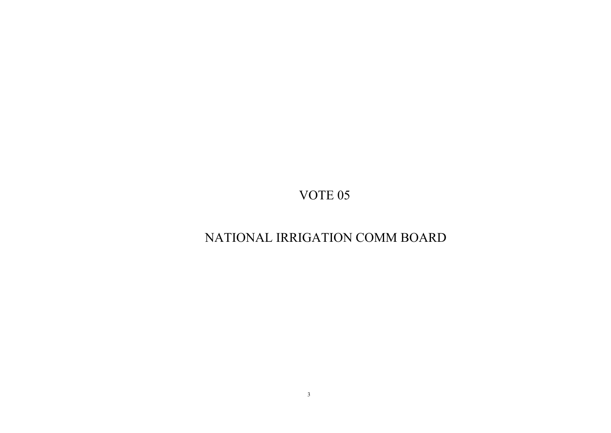# NATIONAL IRRIGATION COMM BOARD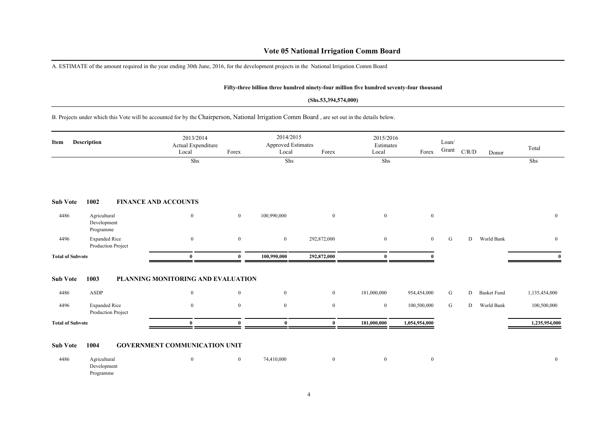### **Vote 05 National Irrigation Comm Board**

A. ESTIMATE of the amount required in the year ending 30th June, 2016, for the development projects in the National Irrigation Comm Board

#### **Fifty-three billion three hundred ninety-four million five hundred seventy-four thousand**

#### **(Shs.53,394,574,000)**

B. Projects under which this Vote will be accounted for by the Chairperson, National Irrigation Comm Board , are set out in the details below.

| Item                    | Description                                | 2013/2014<br>Actual Expenditure<br>Local | Forex            | 2014/2015<br><b>Approved Estimates</b><br>Local | Forex            | 2015/2016<br>Estimates<br>Local | Forex          | Loan/<br>Grant | $\rm C/R/D$ | Donor              | Total         |
|-------------------------|--------------------------------------------|------------------------------------------|------------------|-------------------------------------------------|------------------|---------------------------------|----------------|----------------|-------------|--------------------|---------------|
|                         |                                            | Shs                                      |                  | Shs                                             |                  | Shs                             |                |                |             |                    | Shs           |
| <b>Sub Vote</b>         | 1002                                       | <b>FINANCE AND ACCOUNTS</b>              |                  |                                                 |                  |                                 |                |                |             |                    |               |
| 4486                    | Agricultural<br>Development<br>Programme   | $\bf{0}$                                 | $\boldsymbol{0}$ | 100,990,000                                     | $\boldsymbol{0}$ | $\mathbf{0}$                    | $\bf{0}$       |                |             |                    | $\bf{0}$      |
| 4496                    | <b>Expanded Rice</b><br>Production Project | $\boldsymbol{0}$                         | $\mathbf{0}$     | $\overline{0}$                                  | 292,872,000      | $\mathbf{0}$                    | $\overline{0}$ | ${\bf G}$      | D           | World Bank         | $\bf{0}$      |
| <b>Total of Subvote</b> |                                            | $\mathbf{0}$                             | 0                | 100,990,000                                     | 292,872,000      | $\mathbf{0}$                    |                |                |             |                    |               |
| <b>Sub Vote</b>         | 1003                                       | PLANNING MONITORING AND EVALUATION       |                  |                                                 |                  |                                 |                |                |             |                    |               |
| 4486                    | ASDP                                       | $\bf{0}$                                 | $\boldsymbol{0}$ | $\bf{0}$                                        | $\bf{0}$         | 181,000,000                     | 954,454,000    | G              | D           | <b>Basket Fund</b> | 1,135,454,000 |
| 4496                    | <b>Expanded Rice</b><br>Production Project | $\boldsymbol{0}$                         | $\mathbf{0}$     | $\mathbf{0}$                                    | $\mathbf{0}$     | $\boldsymbol{0}$                | 100,500,000    | G              | D           | World Bank         | 100,500,000   |
| <b>Total of Subvote</b> |                                            | $\bf{0}$                                 | 0                | $\bf{0}$                                        | $\bf{0}$         | 181,000,000                     | 1,054,954,000  |                |             |                    | 1,235,954,000 |
| <b>Sub Vote</b>         | 1004                                       | <b>GOVERNMENT COMMUNICATION UNIT</b>     |                  |                                                 |                  |                                 |                |                |             |                    |               |

| 4486 | Agricultural |  | 74,410,000 |  |  |  |
|------|--------------|--|------------|--|--|--|
|      | Development  |  |            |  |  |  |
|      | Programme    |  |            |  |  |  |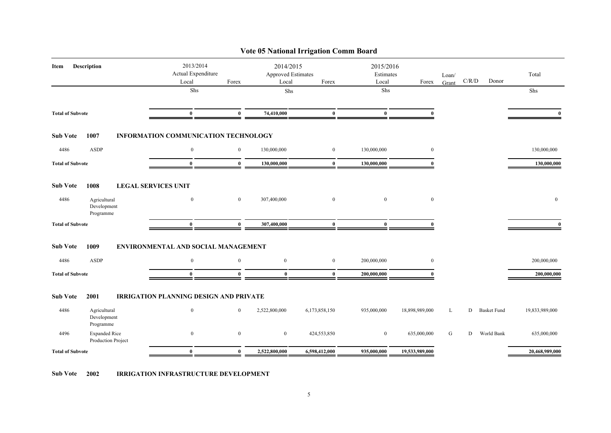| 2013/2014<br>2014/2015<br>2015/2016<br>Description<br>Item<br>Actual Expenditure<br><b>Approved Estimates</b><br>Estimates<br>Total<br>Loan/<br>C/R/D<br>Donor<br>Local<br>Forex<br>Local<br>Forex<br>Local<br>Forex<br>Grant<br>${\rm Shs}$<br>${\rm Shs}$<br>Shs<br>Shs<br>$\bf{0}$<br>74,410,000<br>$\bf{0}$<br>$\bf{0}$<br><b>Total of Subvote</b><br>$\bf{0}$<br>$\mathbf{0}$<br><b>Sub Vote</b><br>1007<br>INFORMATION COMMUNICATION TECHNOLOGY<br><b>ASDP</b><br>$\mathbf{0}$<br>4486<br>$\overline{0}$<br>130,000,000<br>$\bf{0}$<br>130,000,000<br>$\mathbf{0}$<br>130,000,000<br>$\bf{0}$<br>$\bf{0}$<br>130,000,000<br>$\bf{0}$<br>130,000,000<br>130,000,000<br><b>Total of Subvote</b><br>$\mathbf{0}$<br>1008<br><b>Sub Vote</b><br><b>LEGAL SERVICES UNIT</b><br>$\mathbf{0}$<br>4486<br>Agricultural<br>$\mathbf{0}$<br>307,400,000<br>$\mathbf{0}$<br>$\mathbf{0}$<br>$\mathbf{0}$<br>$\mathbf{0}$<br>Development<br>Programme<br><b>Total of Subvote</b><br>$\bf{0}$<br>$\bf{0}$<br>307,400,000<br>$\bf{0}$<br>$\bf{0}$<br>$\mathbf{0}$<br>$\mathbf{0}$<br><b>Sub Vote</b><br>1009<br>ENVIRONMENTAL AND SOCIAL MANAGEMENT<br>4486<br><b>ASDP</b><br>$\mathbf{0}$<br>$\boldsymbol{0}$<br>$\boldsymbol{0}$<br>$\mathbf{0}$<br>200,000,000<br>$\mathbf{0}$<br>200,000,000<br>$\mathbf{0}$<br>$\bf{0}$<br>$\bf{0}$<br>200,000,000<br>200,000,000<br><b>Total of Subvote</b><br>$\mathbf{0}$<br>2001<br><b>IRRIGATION PLANNING DESIGN AND PRIVATE</b><br><b>Sub Vote</b><br>4486<br>Agricultural<br>$\mathbf{0}$<br>$\mathbf{0}$<br>2,522,800,000<br>6,173,858,150<br>935,000,000<br>18,898,989,000<br><b>Basket Fund</b><br>19,833,989,000<br>L<br>D<br>Development<br>Programme<br><b>Expanded Rice</b><br>$\boldsymbol{0}$<br>4496<br>$\bf{0}$<br>$\bf{0}$<br>424,553,850<br>$\bf{0}$<br>635,000,000<br>G<br>D<br>World Bank<br>635,000,000<br>Production Project<br>$\bf{0}$<br>2,522,800,000<br>6,598,412,000<br>935,000,000<br>19,533,989,000<br>20,468,989,000<br><b>Total of Subvote</b><br>$\mathbf{0}$ |  | Vote 05 National Irrigation Comm Board |  |  |  |  |
|-------------------------------------------------------------------------------------------------------------------------------------------------------------------------------------------------------------------------------------------------------------------------------------------------------------------------------------------------------------------------------------------------------------------------------------------------------------------------------------------------------------------------------------------------------------------------------------------------------------------------------------------------------------------------------------------------------------------------------------------------------------------------------------------------------------------------------------------------------------------------------------------------------------------------------------------------------------------------------------------------------------------------------------------------------------------------------------------------------------------------------------------------------------------------------------------------------------------------------------------------------------------------------------------------------------------------------------------------------------------------------------------------------------------------------------------------------------------------------------------------------------------------------------------------------------------------------------------------------------------------------------------------------------------------------------------------------------------------------------------------------------------------------------------------------------------------------------------------------------------------------------------------------------------------------------------------------------------------------------------------------------------------------|--|----------------------------------------|--|--|--|--|
|                                                                                                                                                                                                                                                                                                                                                                                                                                                                                                                                                                                                                                                                                                                                                                                                                                                                                                                                                                                                                                                                                                                                                                                                                                                                                                                                                                                                                                                                                                                                                                                                                                                                                                                                                                                                                                                                                                                                                                                                                               |  |                                        |  |  |  |  |
|                                                                                                                                                                                                                                                                                                                                                                                                                                                                                                                                                                                                                                                                                                                                                                                                                                                                                                                                                                                                                                                                                                                                                                                                                                                                                                                                                                                                                                                                                                                                                                                                                                                                                                                                                                                                                                                                                                                                                                                                                               |  |                                        |  |  |  |  |
|                                                                                                                                                                                                                                                                                                                                                                                                                                                                                                                                                                                                                                                                                                                                                                                                                                                                                                                                                                                                                                                                                                                                                                                                                                                                                                                                                                                                                                                                                                                                                                                                                                                                                                                                                                                                                                                                                                                                                                                                                               |  |                                        |  |  |  |  |
|                                                                                                                                                                                                                                                                                                                                                                                                                                                                                                                                                                                                                                                                                                                                                                                                                                                                                                                                                                                                                                                                                                                                                                                                                                                                                                                                                                                                                                                                                                                                                                                                                                                                                                                                                                                                                                                                                                                                                                                                                               |  |                                        |  |  |  |  |
|                                                                                                                                                                                                                                                                                                                                                                                                                                                                                                                                                                                                                                                                                                                                                                                                                                                                                                                                                                                                                                                                                                                                                                                                                                                                                                                                                                                                                                                                                                                                                                                                                                                                                                                                                                                                                                                                                                                                                                                                                               |  |                                        |  |  |  |  |
|                                                                                                                                                                                                                                                                                                                                                                                                                                                                                                                                                                                                                                                                                                                                                                                                                                                                                                                                                                                                                                                                                                                                                                                                                                                                                                                                                                                                                                                                                                                                                                                                                                                                                                                                                                                                                                                                                                                                                                                                                               |  |                                        |  |  |  |  |
|                                                                                                                                                                                                                                                                                                                                                                                                                                                                                                                                                                                                                                                                                                                                                                                                                                                                                                                                                                                                                                                                                                                                                                                                                                                                                                                                                                                                                                                                                                                                                                                                                                                                                                                                                                                                                                                                                                                                                                                                                               |  |                                        |  |  |  |  |
|                                                                                                                                                                                                                                                                                                                                                                                                                                                                                                                                                                                                                                                                                                                                                                                                                                                                                                                                                                                                                                                                                                                                                                                                                                                                                                                                                                                                                                                                                                                                                                                                                                                                                                                                                                                                                                                                                                                                                                                                                               |  |                                        |  |  |  |  |
|                                                                                                                                                                                                                                                                                                                                                                                                                                                                                                                                                                                                                                                                                                                                                                                                                                                                                                                                                                                                                                                                                                                                                                                                                                                                                                                                                                                                                                                                                                                                                                                                                                                                                                                                                                                                                                                                                                                                                                                                                               |  |                                        |  |  |  |  |
|                                                                                                                                                                                                                                                                                                                                                                                                                                                                                                                                                                                                                                                                                                                                                                                                                                                                                                                                                                                                                                                                                                                                                                                                                                                                                                                                                                                                                                                                                                                                                                                                                                                                                                                                                                                                                                                                                                                                                                                                                               |  |                                        |  |  |  |  |
|                                                                                                                                                                                                                                                                                                                                                                                                                                                                                                                                                                                                                                                                                                                                                                                                                                                                                                                                                                                                                                                                                                                                                                                                                                                                                                                                                                                                                                                                                                                                                                                                                                                                                                                                                                                                                                                                                                                                                                                                                               |  |                                        |  |  |  |  |
|                                                                                                                                                                                                                                                                                                                                                                                                                                                                                                                                                                                                                                                                                                                                                                                                                                                                                                                                                                                                                                                                                                                                                                                                                                                                                                                                                                                                                                                                                                                                                                                                                                                                                                                                                                                                                                                                                                                                                                                                                               |  |                                        |  |  |  |  |
|                                                                                                                                                                                                                                                                                                                                                                                                                                                                                                                                                                                                                                                                                                                                                                                                                                                                                                                                                                                                                                                                                                                                                                                                                                                                                                                                                                                                                                                                                                                                                                                                                                                                                                                                                                                                                                                                                                                                                                                                                               |  |                                        |  |  |  |  |
|                                                                                                                                                                                                                                                                                                                                                                                                                                                                                                                                                                                                                                                                                                                                                                                                                                                                                                                                                                                                                                                                                                                                                                                                                                                                                                                                                                                                                                                                                                                                                                                                                                                                                                                                                                                                                                                                                                                                                                                                                               |  |                                        |  |  |  |  |
|                                                                                                                                                                                                                                                                                                                                                                                                                                                                                                                                                                                                                                                                                                                                                                                                                                                                                                                                                                                                                                                                                                                                                                                                                                                                                                                                                                                                                                                                                                                                                                                                                                                                                                                                                                                                                                                                                                                                                                                                                               |  |                                        |  |  |  |  |

**Sub Vote 2002 IRRIGATION INFRASTRUCTURE DEVELOPMENT**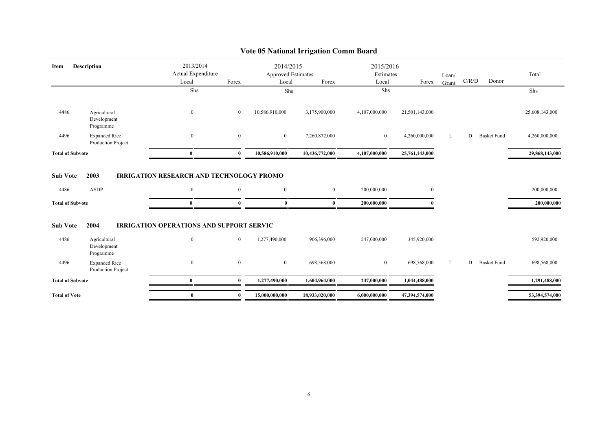| Item                                               | <b>Description</b>                         | 2013/2014<br>Actual Expenditure                                                     |                      | 2014/2015<br>Approved Estimates |                              | 2015/2016<br>Estimates     |                | Loan/ |       |                    | Total                      |
|----------------------------------------------------|--------------------------------------------|-------------------------------------------------------------------------------------|----------------------|---------------------------------|------------------------------|----------------------------|----------------|-------|-------|--------------------|----------------------------|
|                                                    |                                            | Local                                                                               | Forex                | Local                           | Forex                        | Local                      | Forex          | Grant | C/R/D | Donor              |                            |
|                                                    |                                            | Shs                                                                                 |                      | Shs                             |                              | Shs                        |                |       |       |                    | Shs                        |
| 4486                                               | Agricultural<br>Development<br>Programme   | $\mathbf{0}$                                                                        | $\overline{0}$       | 10,586,910,000                  | 3,175,900,000                | 4,107,000,000              | 21,501,143,000 |       |       |                    | 25,608,143,000             |
| 4496                                               | <b>Expanded Rice</b><br>Production Project | $\boldsymbol{0}$                                                                    | $\mathbf{0}$         | $\mathbf{0}$                    | 7,260,872,000                | $\mathbf{0}$               | 4,260,000,000  | L     | D     | <b>Basket Fund</b> | 4,260,000,000              |
| <b>Total of Subvote</b>                            |                                            | $\bf{0}$                                                                            | $\theta$             | 10,586,910,000                  | 10,436,772,000               | 4,107,000,000              | 25,761,143,000 |       |       |                    | 29,868,143,000             |
| <b>Sub Vote</b><br>4486<br><b>Total of Subvote</b> | 2003<br><b>ASDP</b>                        | <b>IRRIGATION RESEARCH AND TECHNOLOGY PROMO</b><br>$\boldsymbol{0}$<br>$\mathbf{0}$ | $\bf{0}$<br>$\Omega$ | $\mathbf{0}$<br>$\mathbf{0}$    | $\mathbf{0}$<br>$\mathbf{0}$ | 200,000,000<br>200,000,000 | $\mathbf{0}$   |       |       |                    | 200,000,000<br>200,000,000 |
| <b>Sub Vote</b>                                    | 2004                                       | <b>IRRIGATION OPERATIONS AND SUPPORT SERVIC</b>                                     |                      |                                 |                              |                            |                |       |       |                    |                            |
| 4486                                               | Agricultural<br>Development<br>Programme   | $\boldsymbol{0}$                                                                    | $\overline{0}$       | 1,277,490,000                   | 906,396,000                  | 247,000,000                | 345,920,000    |       |       |                    | 592,920,000                |
| 4496                                               | <b>Expanded Rice</b><br>Production Project | $\mathbf{0}$                                                                        | $\overline{0}$       | $\overline{0}$                  | 698,568,000                  | $\mathbf{0}$               | 698,568,000    | L     | D     | <b>Basket Fund</b> | 698,568,000                |
| <b>Total of Subvote</b>                            |                                            | $\mathbf{0}$                                                                        | $\Omega$             | 1,277,490,000                   | 1,604,964,000                | 247,000,000                | 1,044,488,000  |       |       |                    | 1,291,488,000              |
| <b>Total of Vote</b>                               |                                            | $\bf{0}$                                                                            | $\mathbf{0}$         | 15,000,000,000                  | 18,933,020,000               | 6.000.000.000              | 47,394,574,000 |       |       |                    | 53,394,574,000             |

### **Vote 05 National Irrigation Comm Board**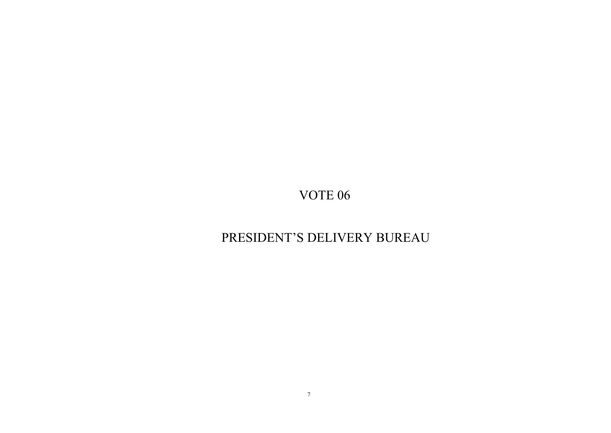# PRESIDENT'S DELIVERY BUREAU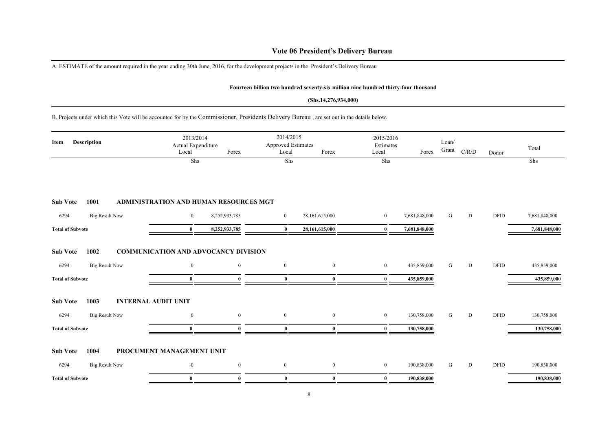### **Vote 06 President's Delivery Bureau**

A. ESTIMATE of the amount required in the year ending 30th June, 2016, for the development projects in the President's Delivery Bureau

#### **Fourteen billion two hundred seventy-six million nine hundred thirty-four thousand**

#### **(Shs.14,276,934,000)**

B. Projects under which this Vote will be accounted for by the Commissioner, Presidents Delivery Bureau , are set out in the details below.

| Description<br>Item                                   | 2013/2014<br>Actual Expenditure<br>Local    | Forex          | 2014/2015<br><b>Approved Estimates</b><br>Local | Forex            | 2015/2016<br>Estimates<br>Local | Forex         | Loan/<br>Grant | C/R/D | Donor       | Total         |
|-------------------------------------------------------|---------------------------------------------|----------------|-------------------------------------------------|------------------|---------------------------------|---------------|----------------|-------|-------------|---------------|
|                                                       | Shs                                         |                | Shs                                             |                  | Shs                             |               |                |       |             | Shs           |
| 1001<br><b>Sub Vote</b>                               | ADMINISTRATION AND HUMAN RESOURCES MGT      |                |                                                 |                  |                                 |               |                |       |             |               |
| <b>Big Result Now</b><br>6294                         | $\mathbf{0}$                                | 8,252,933,785  | $\overline{0}$                                  | 28,161,615,000   | $\mathbf{0}$                    | 7,681,848,000 | G              | D     | <b>DFID</b> | 7,681,848,000 |
| <b>Total of Subvote</b>                               | $\bf{0}$                                    | 8,252,933,785  | $\bf{0}$                                        | 28,161,615,000   | $\bf{0}$                        | 7,681,848,000 |                |       |             | 7,681,848,000 |
| <b>Sub Vote</b><br>1002                               | <b>COMMUNICATION AND ADVOCANCY DIVISION</b> |                |                                                 |                  |                                 |               |                |       |             |               |
| <b>Big Result Now</b><br>6294                         | $\mathbf{0}$                                | $\overline{0}$ | $\mathbf{0}$                                    | $\bf{0}$         | $\mathbf{0}$                    | 435,859,000   | G              | D     | <b>DFID</b> | 435,859,000   |
| <b>Total of Subvote</b>                               | $\mathbf{0}$                                | 0              | $\bf{0}$                                        | $\mathbf{0}$     | $\bf{0}$                        | 435,859,000   |                |       |             | 435,859,000   |
| <b>Sub Vote</b><br>1003<br><b>INTERNAL AUDIT UNIT</b> |                                             |                |                                                 |                  |                                 |               |                |       |             |               |
| <b>Big Result Now</b><br>6294                         | $\mathbf{0}$                                | $\overline{0}$ | $\mathbf{0}$                                    | $\boldsymbol{0}$ | $\overline{0}$                  | 130,758,000   | G              | D     | <b>DFID</b> | 130,758,000   |
| <b>Total of Subvote</b>                               | $\mathbf{0}$                                | Λ              | $\mathbf{0}$                                    | $\mathbf{0}$     | $\mathbf{0}$                    | 130,758,000   |                |       |             | 130,758,000   |
| 1004<br><b>Sub Vote</b>                               | PROCUMENT MANAGEMENT UNIT                   |                |                                                 |                  |                                 |               |                |       |             |               |
| 6294<br><b>Big Result Now</b>                         | $\mathbf{0}$                                | $\overline{0}$ | $\mathbf{0}$                                    | $\boldsymbol{0}$ | $\mathbf{0}$                    | 190,838,000   | G              | D     | <b>DFID</b> | 190,838,000   |
| <b>Total of Subvote</b>                               | $\bf{0}$                                    | $\Omega$       | $\bf{0}$                                        | $\mathbf{0}$     | $\bf{0}$                        | 190,838,000   |                |       |             | 190,838,000   |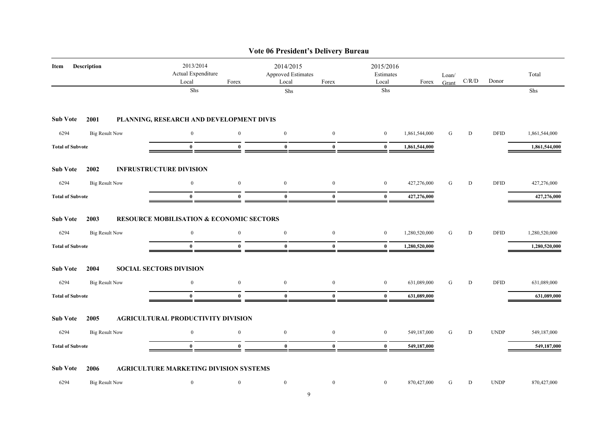|                               |                                                     |                  | Vote 06 President's Delivery Bureau             |                  |                                 |               |                |           |             |               |
|-------------------------------|-----------------------------------------------------|------------------|-------------------------------------------------|------------------|---------------------------------|---------------|----------------|-----------|-------------|---------------|
| Description<br>Item           | 2013/2014<br>Actual Expenditure<br>Local            | Forex            | 2014/2015<br><b>Approved Estimates</b><br>Local | Forex            | 2015/2016<br>Estimates<br>Local | Forex         | Loan/<br>Grant | C/R/D     | Donor       | Total         |
|                               | ${\rm Shs}$                                         |                  | Shs                                             |                  | ${\rm Shs}$                     |               |                |           |             | ${\rm Shs}$   |
| <b>Sub Vote</b><br>2001       | PLANNING, RESEARCH AND DEVELOPMENT DIVIS            |                  |                                                 |                  |                                 |               |                |           |             |               |
| 6294<br><b>Big Result Now</b> | $\mathbf{0}$                                        | $\boldsymbol{0}$ | $\mathbf{0}$                                    | $\boldsymbol{0}$ | $\mathbf{0}$                    | 1,861,544,000 | G              | D         | <b>DFID</b> | 1,861,544,000 |
| <b>Total of Subvote</b>       | $\bf{0}$                                            | $\bf{0}$         | $\bf{0}$                                        | $\bf{0}$         | $\bf{0}$                        | 1,861,544,000 |                |           |             | 1,861,544,000 |
| <b>Sub Vote</b><br>2002       | <b>INFRUSTRUCTURE DIVISION</b>                      |                  |                                                 |                  |                                 |               |                |           |             |               |
| 6294<br><b>Big Result Now</b> | $\overline{0}$                                      | $\boldsymbol{0}$ | $\bf{0}$                                        | $\mathbf{0}$     | $\mathbf{0}$                    | 427,276,000   | G              | D         | <b>DFID</b> | 427,276,000   |
| <b>Total of Subvote</b>       | $\bf{0}$                                            | $\bf{0}$         | $\bf{0}$                                        | $\bf{0}$         | $\bf{0}$                        | 427,276,000   |                |           |             | 427,276,000   |
| <b>Sub Vote</b><br>2003       | <b>RESOURCE MOBILISATION &amp; ECONOMIC SECTORS</b> |                  |                                                 |                  |                                 |               |                |           |             |               |
| <b>Big Result Now</b><br>6294 | $\bf{0}$                                            | $\mathbf{0}$     | $\bf{0}$                                        | $\mathbf{0}$     | $\boldsymbol{0}$                | 1,280,520,000 | G              | D         | <b>DFID</b> | 1,280,520,000 |
| <b>Total of Subvote</b>       | $\mathbf{0}$                                        | $\theta$         | $\bf{0}$                                        | $\bf{0}$         | $\bf{0}$                        | 1,280,520,000 |                |           |             | 1,280,520,000 |
| <b>Sub Vote</b><br>2004       | <b>SOCIAL SECTORS DIVISION</b>                      |                  |                                                 |                  |                                 |               |                |           |             |               |
| 6294<br><b>Big Result Now</b> | $\boldsymbol{0}$                                    | $\boldsymbol{0}$ | $\boldsymbol{0}$                                | $\mathbf{0}$     | $\boldsymbol{0}$                | 631,089,000   | ${\bf G}$      | ${\bf D}$ | <b>DFID</b> | 631,089,000   |
| <b>Total of Subvote</b>       | $\mathbf{0}$                                        | $\bf{0}$         | $\bf{0}$                                        | $\bf{0}$         | $\bf{0}$                        | 631,089,000   |                |           |             | 631,089,000   |
| <b>Sub Vote</b><br>2005       | AGRICULTURAL PRODUCTIVITY DIVISION                  |                  |                                                 |                  |                                 |               |                |           |             |               |
| 6294<br><b>Big Result Now</b> | $\overline{0}$                                      | $\boldsymbol{0}$ | $\boldsymbol{0}$                                | $\mathbf{0}$     | $\boldsymbol{0}$                | 549,187,000   | G              | D         | <b>UNDP</b> | 549,187,000   |
| <b>Total of Subvote</b>       | $\bf{0}$                                            | $\theta$         | $\bf{0}$                                        | $\bf{0}$         | $\bf{0}$                        | 549,187,000   |                |           |             | 549,187,000   |
| <b>Sub Vote</b><br>2006       | <b>AGRICULTURE MARKETING DIVISION SYSTEMS</b>       |                  |                                                 |                  |                                 |               |                |           |             |               |
| 6294<br><b>Big Result Now</b> | $\bf{0}$                                            | $\boldsymbol{0}$ | $\bf{0}$                                        | $\boldsymbol{0}$ | $\bf{0}$                        | 870,427,000   | G              | D         | <b>UNDP</b> | 870,427,000   |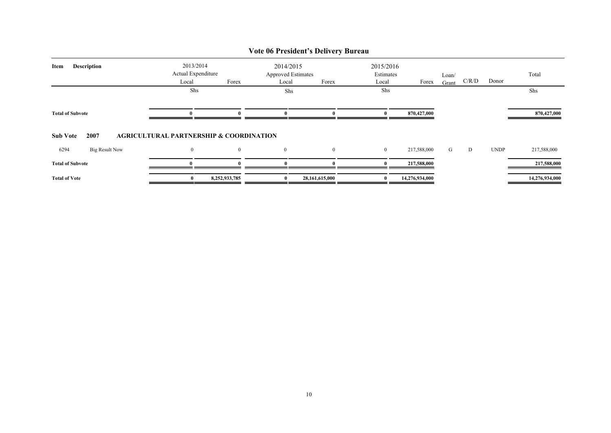|                               |                                                    |                |                                                 | Vote 06 President's Delivery Bureau |                                 |                |                |       |             |                |
|-------------------------------|----------------------------------------------------|----------------|-------------------------------------------------|-------------------------------------|---------------------------------|----------------|----------------|-------|-------------|----------------|
| <b>Description</b><br>Item    | 2013/2014<br>Actual Expenditure<br>Local           | Forex          | 2014/2015<br><b>Approved Estimates</b><br>Local | Forex                               | 2015/2016<br>Estimates<br>Local | Forex          | Loan/<br>Grant | C/R/D | Donor       | Total          |
|                               | Shs                                                |                | Shs                                             |                                     | Shs                             |                |                |       |             | Shs            |
| <b>Total of Subvote</b>       |                                                    |                |                                                 |                                     |                                 | 870,427,000    |                |       |             | 870,427,000    |
| <b>Sub Vote</b><br>2007       | <b>AGRICULTURAL PARTNERSHIP &amp; COORDINATION</b> |                |                                                 |                                     |                                 |                |                |       |             |                |
| <b>Big Result Now</b><br>6294 | $\overline{0}$                                     | $\overline{0}$ | $\overline{0}$                                  | $\overline{0}$                      | $\mathbf{0}$                    | 217,588,000    | G              | D     | <b>UNDP</b> | 217,588,000    |
| <b>Total of Subvote</b>       |                                                    |                |                                                 |                                     |                                 | 217,588,000    |                |       |             | 217,588,000    |
| <b>Total of Vote</b>          | $\bf{0}$                                           | 8,252,933,785  |                                                 | 28,161,615,000                      |                                 | 14,276,934,000 |                |       |             | 14,276,934,000 |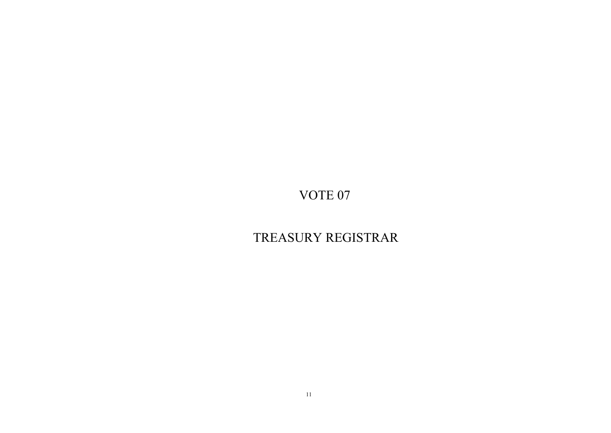# TREASURY REGISTRAR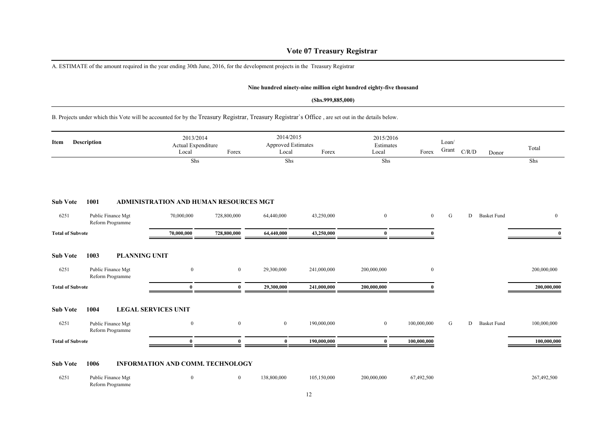### **Vote 07 Treasury Registrar**

A. ESTIMATE of the amount required in the year ending 30th June, 2016, for the development projects in the Treasury Registrar

Reform Programme

#### **Nine hundred ninety-nine million eight hundred eighty-five thousand**

#### **(Shs.999,885,000)**

B. Projects under which this Vote will be accounted for by the Treasury Registrar, Treasury Registrar`s Office , are set out in the details below.

| Item                    | Description                                                            | 2013/2014<br>Actual Expenditure<br>Local<br>Shs | Forex          | 2014/2015<br><b>Approved Estimates</b><br>Local<br>Shs | Forex       | 2015/2016<br>Estimates<br>Local<br>Shs | Forex            | Loan/<br>Grant | C/R/D | Donor              | Total<br>Shs   |
|-------------------------|------------------------------------------------------------------------|-------------------------------------------------|----------------|--------------------------------------------------------|-------------|----------------------------------------|------------------|----------------|-------|--------------------|----------------|
|                         |                                                                        |                                                 |                |                                                        |             |                                        |                  |                |       |                    |                |
| <b>Sub Vote</b>         | 1001                                                                   | <b>ADMINISTRATION AND HUMAN RESOURCES MGT</b>   |                |                                                        |             |                                        |                  |                |       |                    |                |
| 6251                    | Public Finance Mgt<br>Reform Programme                                 | 70,000,000                                      | 728,800,000    | 64,440,000                                             | 43,250,000  | $\boldsymbol{0}$                       | $\mathbf{0}$     | G              | D     | <b>Basket Fund</b> | $\overline{0}$ |
| <b>Total of Subvote</b> |                                                                        | 70,000,000                                      | 728,800,000    | 64,440,000                                             | 43,250,000  | $\mathbf{0}$                           |                  |                |       |                    |                |
| <b>Sub Vote</b><br>6251 | 1003<br><b>PLANNING UNIT</b><br>Public Finance Mgt<br>Reform Programme | $\boldsymbol{0}$                                | $\mathbf{0}$   | 29,300,000                                             | 241,000,000 | 200,000,000                            | $\boldsymbol{0}$ |                |       |                    | 200,000,000    |
| <b>Total of Subvote</b> |                                                                        | $\mathbf{0}$                                    | $\mathbf{0}$   | 29,300,000                                             | 241,000,000 | 200,000,000                            |                  |                |       |                    | 200,000,000    |
| <b>Sub Vote</b><br>6251 | 1004<br>Public Finance Mgt<br>Reform Programme                         | <b>LEGAL SERVICES UNIT</b><br>$\boldsymbol{0}$  | $\mathbf{0}$   | $\boldsymbol{0}$                                       | 190,000,000 | $\overline{0}$                         | 100,000,000      | G              | D     | <b>Basket Fund</b> | 100,000,000    |
| <b>Total of Subvote</b> |                                                                        | $\mathbf{0}$                                    | $\theta$       | $\bf{0}$                                               | 190,000,000 | $\bf{0}$                               | 100,000,000      |                |       |                    | 100,000,000    |
| <b>Sub Vote</b><br>6251 | 1006                                                                   | <b>INFORMATION AND COMM. TECHNOLOGY</b>         |                | 138,800,000                                            | 105,150,000 | 200,000,000                            | 67,492,500       |                |       |                    | 267,492,500    |
|                         | Public Finance Mgt                                                     | $\boldsymbol{0}$                                | $\overline{0}$ |                                                        |             |                                        |                  |                |       |                    |                |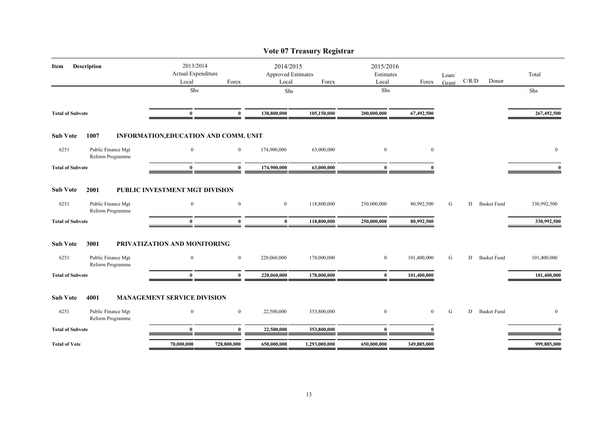|                                                |                                          |                |                                          | Vote 07 Treasury Registrar |                                 |                |                |       |                    |              |
|------------------------------------------------|------------------------------------------|----------------|------------------------------------------|----------------------------|---------------------------------|----------------|----------------|-------|--------------------|--------------|
| <b>Description</b><br>Item                     | 2013/2014<br>Actual Expenditure<br>Local | Forex          | 2014/2015<br>Approved Estimates<br>Local | Forex                      | 2015/2016<br>Estimates<br>Local | Forex          | Loan/<br>Grant | C/R/D | Donor              | Total        |
|                                                | Shs                                      |                | Shs                                      |                            | Shs                             |                |                |       |                    | Shs          |
| <b>Total of Subvote</b>                        | $\bf{0}$                                 | $\bf{0}$       | 138,800,000                              | 105,150,000                | 200,000,000                     | 67,492,500     |                |       |                    | 267,492,500  |
| <b>Sub Vote</b><br>1007                        | INFORMATION, EDUCATION AND COMM. UNIT    |                |                                          |                            |                                 |                |                |       |                    |              |
| 6251<br>Public Finance Mgt<br>Reform Programme | $\mathbf{0}$                             | $\bf{0}$       | 174,900,000                              | 63,000,000                 | $\mathbf{0}$                    | $\mathbf{0}$   |                |       |                    | $\mathbf{0}$ |
| <b>Total of Subvote</b>                        | $\mathbf{0}$                             | $\bf{0}$       | 174,900,000                              | 63,000,000                 | $\bf{0}$                        | $\theta$       |                |       |                    | $\mathbf{0}$ |
| <b>Sub Vote</b><br>2001                        | PUBLIC INVESTMENT MGT DIVISION           |                |                                          |                            |                                 |                |                |       |                    |              |
| 6251<br>Public Finance Mgt<br>Reform Programme | $\overline{0}$                           | $\overline{0}$ | $\boldsymbol{0}$                         | 118,800,000                | 250,000,000                     | 80,992,500     | G              | D     | <b>Basket Fund</b> | 330,992,500  |
| <b>Total of Subvote</b>                        | $\mathbf{0}$                             | $\theta$       | $\bf{0}$                                 | 118,800,000                | 250,000,000                     | 80,992,500     |                |       |                    | 330,992,500  |
| <b>Sub Vote</b><br>3001                        | PRIVATIZATION AND MONITORING             |                |                                          |                            |                                 |                |                |       |                    |              |
| 6251<br>Public Finance Mgt<br>Reform Programme | $\mathbf{0}$                             | $\overline{0}$ | 220,060,000                              | 178,000,000                | $\bf{0}$                        | 101,400,000    | G              | D     | <b>Basket Fund</b> | 101,400,000  |
| <b>Total of Subvote</b>                        | $\mathbf{0}$                             | $\mathbf{0}$   | 220,060,000                              | 178,000,000                | $\bf{0}$                        | 101,400,000    |                |       |                    | 101,400,000  |
| <b>Sub Vote</b><br>4001                        | <b>MANAGEMENT SERVICE DIVISION</b>       |                |                                          |                            |                                 |                |                |       |                    |              |
| Public Finance Mgt<br>6251<br>Reform Programme | $\mathbf{0}$                             | $\overline{0}$ | 22,500,000                               | 353,800,000                | $\mathbf{0}$                    | $\overline{0}$ | G              | D     | <b>Basket Fund</b> | $\mathbf{0}$ |
| <b>Total of Subvote</b>                        | $\mathbf{0}$                             | $\mathbf{0}$   | 22,500,000                               | 353,800,000                | $\bf{0}$                        |                |                |       |                    | $\mathbf{0}$ |
| <b>Total of Vote</b>                           | 70,000,000                               | 728,800,000    | 650,000,000                              | 1,293,000,000              | 650,000,000                     | 349,885,000    |                |       |                    | 999,885,000  |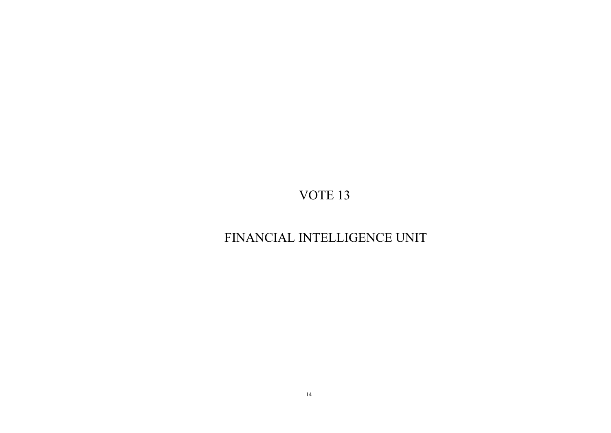# FINANCIAL INTELLIGENCE UNIT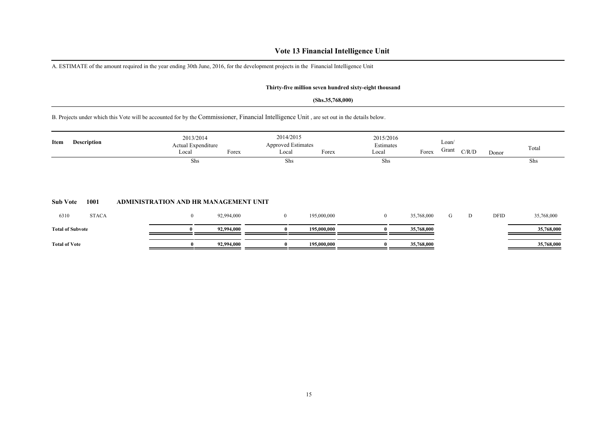### **Vote 13 Financial Intelligence Unit**

A. ESTIMATE of the amount required in the year ending 30th June, 2016, for the development projects in the Financial Intelligence Unit

### **Thirty-five million seven hundred sixty-eight thousand**

#### **(Shs.35,768,000)**

B. Projects under which this Vote will be accounted for by the Commissioner, Financial Intelligence Unit , are set out in the details below.

| Item                 | <b>Description</b>      |                                       | 2013/2014<br>Actual Expenditure |            | 2014/2015<br><b>Approved Estimates</b> |             | 2015/2016<br>Estimates |            | Loan/<br>Grant |       |       | Total      |
|----------------------|-------------------------|---------------------------------------|---------------------------------|------------|----------------------------------------|-------------|------------------------|------------|----------------|-------|-------|------------|
|                      |                         |                                       | Local                           | Forex      | Local                                  | Forex       | Local                  | Forex      |                | C/R/D | Donor |            |
| <b>Sub Vote</b>      | 1001                    | ADMINISTRATION AND HR MANAGEMENT UNIT | Shs                             |            | Shs                                    |             | <b>Shs</b>             |            |                |       |       | Shs        |
| 6310                 | <b>STACA</b>            |                                       | $\mathbf{0}$                    | 92,994,000 | $\overline{0}$                         | 195,000,000 | $\overline{0}$         | 35,768,000 | G              | D     | DFID  | 35,768,000 |
|                      |                         |                                       |                                 |            |                                        |             |                        |            |                |       |       |            |
|                      | <b>Total of Subvote</b> |                                       |                                 | 92,994,000 |                                        | 195,000,000 |                        | 35,768,000 |                |       |       | 35,768,000 |
| <b>Total of Vote</b> |                         |                                       | $\bf{0}$                        | 92,994,000 | $\bf{0}$                               | 195,000,000 |                        | 35,768,000 |                |       |       | 35,768,000 |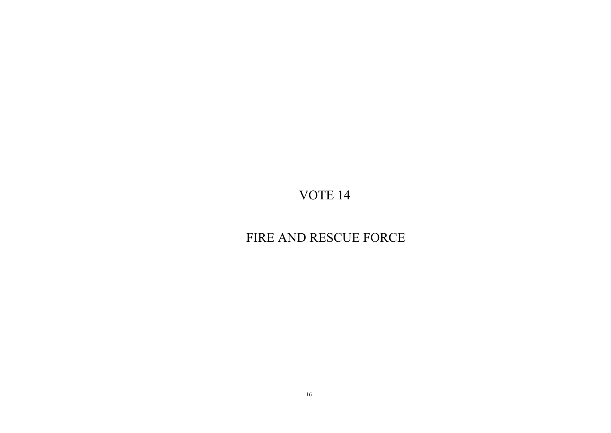# FIRE AND RESCUE FORCE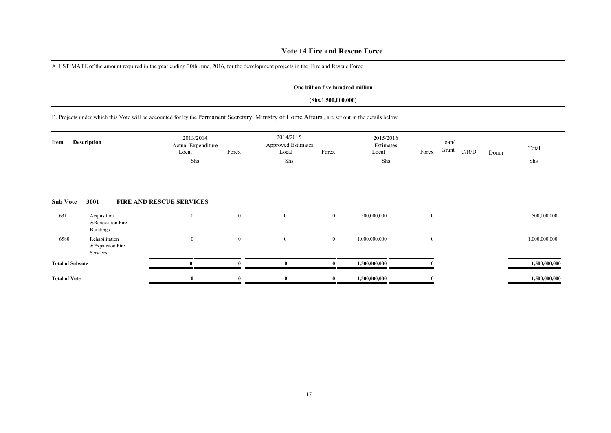### **Vote 14 Fire and Rescue Force**

A. ESTIMATE of the amount required in the year ending 30th June, 2016, for the development projects in the Fire and Rescue Force

#### **One billion five hundred million**

#### **(Shs.1,500,000,000)**

B. Projects under which this Vote will be accounted for by the Permanent Secretary, Ministry of Home Affairs , are set out in the details below.

| Item                    | <b>Description</b>                                  | 2013/2014<br>Actual Expenditure<br>Local | Forex        | 2014/2015<br><b>Approved Estimates</b><br>Local | Forex          | 2015/2016<br>Estimates<br>Local | Forex        | Loan/<br>Grant | C/R/D | Donor | Total         |
|-------------------------|-----------------------------------------------------|------------------------------------------|--------------|-------------------------------------------------|----------------|---------------------------------|--------------|----------------|-------|-------|---------------|
|                         |                                                     | Shs                                      |              | Shs                                             |                | Shs                             |              |                |       |       | Shs           |
| <b>Sub Vote</b>         | 3001                                                | <b>FIRE AND RESCUE SERVICES</b>          |              |                                                 |                |                                 |              |                |       |       |               |
| 6311                    | Acquisition<br>&Renovation Fire<br><b>Buildings</b> | $\bf{0}$                                 | $\mathbf{0}$ | $\boldsymbol{0}$                                | $\bf{0}$       | 500,000,000                     | $\mathbf{0}$ |                |       |       | 500,000,000   |
| 6580                    | Rehabilitation<br>&Expansion Fire<br>Services       | $\boldsymbol{0}$                         | $\mathbf{0}$ | $\mathbf{0}$                                    | $\overline{0}$ | 1,000,000,000                   | $\mathbf{0}$ |                |       |       | 1,000,000,000 |
| <b>Total of Subvote</b> |                                                     |                                          |              |                                                 |                | 1,500,000,000                   |              |                |       |       | 1,500,000,000 |
| <b>Total of Vote</b>    |                                                     | $\bf{0}$                                 |              |                                                 |                | 1,500,000,000                   |              |                |       |       | 1,500,000,000 |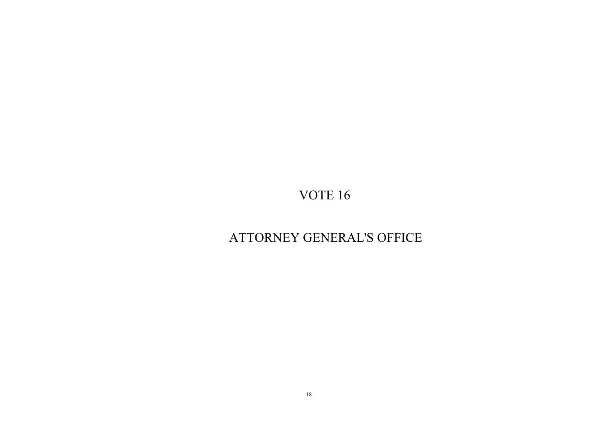# ATTORNEY GENERAL'S OFFICE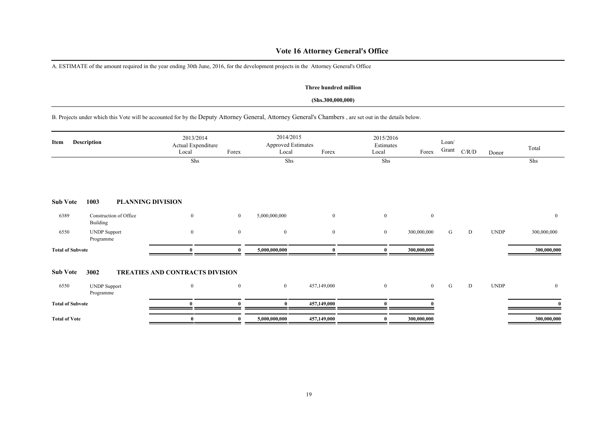### **Vote 16 Attorney General's Office**

A. ESTIMATE of the amount required in the year ending 30th June, 2016, for the development projects in the Attorney General's Office

#### **Three hundred million**

#### **(Shs.300,000,000)**

B. Projects under which this Vote will be accounted for by the Deputy Attorney General, Attorney General's Chambers , are set out in the details below.

| Item                    | Description                        | 2013/2014<br>Actual Expenditure<br>Local | Forex          | 2014/2015<br><b>Approved Estimates</b><br>Local | Forex        | 2015/2016<br>Estimates<br>Local | Forex          | Loan/<br>Grant | C/R/D     | Donor       | Total          |
|-------------------------|------------------------------------|------------------------------------------|----------------|-------------------------------------------------|--------------|---------------------------------|----------------|----------------|-----------|-------------|----------------|
|                         |                                    | Shs                                      |                | Shs                                             |              | Shs                             |                |                |           |             | Shs            |
| <b>Sub Vote</b>         | 1003<br><b>PLANNING DIVISION</b>   |                                          |                |                                                 |              |                                 |                |                |           |             |                |
| 6389                    | Construction of Office<br>Building | $\mathbf{0}$                             | $\overline{0}$ | 5,000,000,000                                   | $\mathbf{0}$ | $\overline{0}$                  | $\mathbf{0}$   |                |           |             | $\overline{0}$ |
| 6550                    | <b>UNDP</b> Support<br>Programme   | $\bf{0}$                                 | $\overline{0}$ | $\bf{0}$                                        | $\mathbf{0}$ | $\bf{0}$                        | 300,000,000    | G              | ${\rm D}$ | <b>UNDP</b> | 300,000,000    |
| <b>Total of Subvote</b> |                                    | $\mathbf 0$                              |                | 5,000,000,000                                   |              |                                 | 300,000,000    |                |           |             | 300,000,000    |
| <b>Sub Vote</b>         | 3002                               | <b>TREATIES AND CONTRACTS DIVISION</b>   |                |                                                 |              |                                 |                |                |           |             |                |
| 6550                    | <b>UNDP</b> Support<br>Programme   | $\bf{0}$                                 | $\overline{0}$ | $\overline{0}$                                  | 457,149,000  | $\overline{0}$                  | $\overline{0}$ | G              | D         | <b>UNDP</b> | $\bf{0}$       |
| <b>Total of Subvote</b> |                                    | $\theta$                                 |                | $\bf{0}$                                        | 457,149,000  | $\mathbf{0}$                    |                |                |           |             |                |
| <b>Total of Vote</b>    |                                    | $\bf{0}$                                 |                | 5,000,000,000                                   | 457,149,000  |                                 | 300,000,000    |                |           |             | 300,000,000    |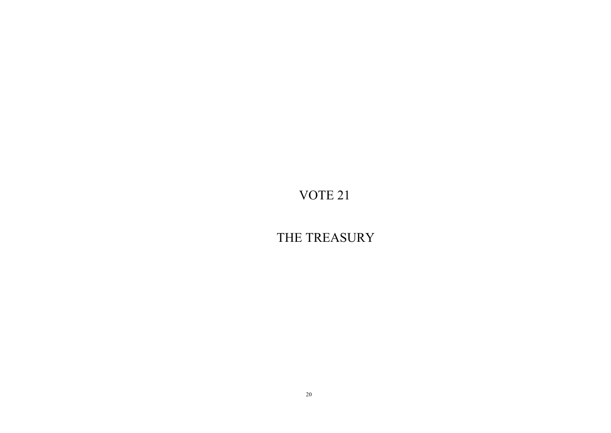THE TREASURY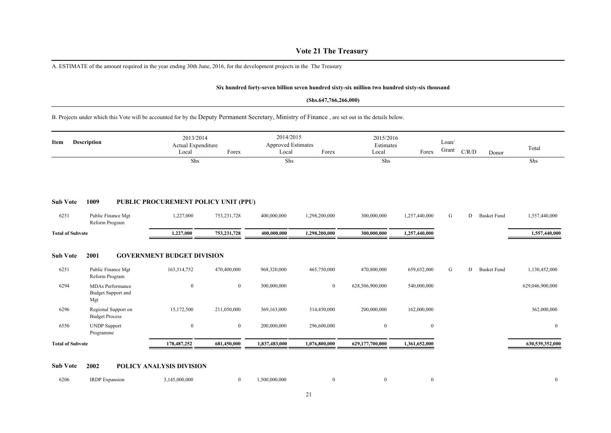### **Vote 21 The Treasury**

A. ESTIMATE of the amount required in the year ending 30th June, 2016, for the development projects in the The Treasury

#### **Six hundred forty-seven billion seven hundred sixty-six million two hundred sixty-six thousand**

#### **(Shs.647,766,266,000)**

B. Projects under which this Vote will be accounted for by the Deputy Permanent Secretary, Ministry of Finance , are set out in the details below.

| Item                    | <b>Description</b>                                                     | 2013/2014<br>Actual Expenditure<br>Local         | Forex          | 2014/2015<br><b>Approved Estimates</b><br>Local | Forex         | 2015/2016<br>Estimates<br>Local | Forex         | Loan/<br>Grant | C/R/D | Donor              | Total           |
|-------------------------|------------------------------------------------------------------------|--------------------------------------------------|----------------|-------------------------------------------------|---------------|---------------------------------|---------------|----------------|-------|--------------------|-----------------|
|                         |                                                                        | Shs                                              |                | Shs                                             |               | Shs                             |               |                |       |                    | Shs             |
| <b>Sub Vote</b>         | 1009                                                                   | PUBLIC PROCUREMENT POLICY UNIT (PPU)             |                |                                                 |               |                                 |               |                |       |                    |                 |
| 6251                    | Public Finance Mgt<br>Reform Program                                   | 1,227,000                                        | 753, 231, 728  | 400,000,000                                     | 1,298,200,000 | 300,000,000                     | 1,257,440,000 | G              | D     | <b>Basket Fund</b> | 1,557,440,000   |
| <b>Total of Subvote</b> |                                                                        | 1,227,000                                        | 753,231,728    | 400,000,000                                     | 1,298,200,000 | 300,000,000                     | 1,257,440,000 |                |       |                    | 1,557,440,000   |
| <b>Sub Vote</b><br>6251 | 2001<br>Public Finance Mgt                                             | <b>GOVERNMENT BUDGET DIVISION</b><br>163,314,752 | 470,400,000    | 968,320,000                                     | 465,750,000   | 470,800,000                     | 659,652,000   | G              | D     | <b>Basket Fund</b> | 1,130,452,000   |
| 6294                    | Reform Program<br>MDAs Performance<br><b>Budget Support and</b><br>Mgt | $\bf{0}$                                         | $\overline{0}$ | 300,000,000                                     | $\mathbf{0}$  | 628,506,900,000                 | 540,000,000   |                |       |                    | 629,046,900,000 |
| 6296                    | Regional Support on<br><b>Budget Process</b>                           | 15,172,500                                       | 211,050,000    | 369,163,000                                     | 314,450,000   | 200,000,000                     | 162,000,000   |                |       |                    | 362,000,000     |
| 6550                    | <b>UNDP</b> Support<br>Programme                                       | $\boldsymbol{0}$                                 | $\overline{0}$ | 200,000,000                                     | 296,600,000   | $\boldsymbol{0}$                | $\mathbf{0}$  |                |       |                    | $\overline{0}$  |
| <b>Total of Subvote</b> |                                                                        | 178,487,252                                      | 681,450,000    | 1,837,483,000                                   | 1,076,800,000 | 629,177,700,000                 | 1,361,652,000 |                |       |                    | 630,539,352,000 |
|                         |                                                                        |                                                  |                |                                                 |               |                                 |               |                |       |                    |                 |

### **Sub Vote 2002 POLICY ANALYSIS DIVISION**

| 6206 | <b>IRDP</b> Expansion | ,145,000,000 | .500,000,000 |  |  |  |
|------|-----------------------|--------------|--------------|--|--|--|
|      |                       |              |              |  |  |  |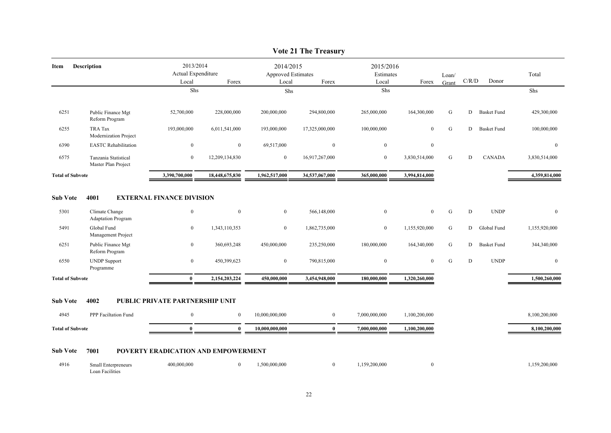|                                         |                                                                                                                |                                                                              |                                                  |                                                 | $\sqrt{ac}$ 21 The Treasury                 |                                             |                                              |                     |                       |                                                  |                                              |
|-----------------------------------------|----------------------------------------------------------------------------------------------------------------|------------------------------------------------------------------------------|--------------------------------------------------|-------------------------------------------------|---------------------------------------------|---------------------------------------------|----------------------------------------------|---------------------|-----------------------|--------------------------------------------------|----------------------------------------------|
| Item                                    | <b>Description</b>                                                                                             | 2013/2014<br>Actual Expenditure<br>Local                                     | Forex                                            | 2014/2015<br><b>Approved Estimates</b><br>Local | Forex                                       | 2015/2016<br>Estimates<br>Local             | Forex                                        | Loan/<br>Grant      | C/R/D                 | Donor                                            | Total                                        |
|                                         |                                                                                                                | Shs                                                                          |                                                  | Shs                                             |                                             | Shs                                         |                                              |                     |                       |                                                  | Shs                                          |
| 6251                                    | Public Finance Mgt<br>Reform Program                                                                           | 52,700,000                                                                   | 228,000,000                                      | 200,000,000                                     | 294,800,000                                 | 265,000,000                                 | 164,300,000                                  | G                   | D                     | <b>Basket Fund</b>                               | 429,300,000                                  |
| 6255                                    | <b>TRA Tax</b><br>Modernization Project                                                                        | 193,000,000                                                                  | 6,011,541,000                                    | 193,000,000                                     | 17,325,000,000                              | 100,000,000                                 | $\mathbf{0}$                                 | G                   | D                     | <b>Basket Fund</b>                               | 100,000,000                                  |
| 6390                                    | <b>EASTC</b> Rehabilitation                                                                                    | $\overline{0}$                                                               | $\mathbf{0}$                                     | 69,517,000                                      | $\mathbf{0}$                                | $\overline{0}$                              | $\mathbf{0}$                                 |                     |                       |                                                  | $\bf{0}$                                     |
| 6575                                    | Tanzania Statistical<br>Master Plan Project                                                                    | $\mathbf{0}$                                                                 | 12,209,134,830                                   | $\overline{0}$                                  | 16,917,267,000                              | $\mathbf{0}$                                | 3,830,514,000                                | G                   | D                     | <b>CANADA</b>                                    | 3,830,514,000                                |
| <b>Total of Subvote</b>                 |                                                                                                                | 3,390,700,000                                                                | 18,448,675,830                                   | 1,962,517,000                                   | 34,537,067,000                              | 365,000,000                                 | 3,994,814,000                                |                     |                       |                                                  | 4,359,814,000                                |
| <b>Sub Vote</b><br>5301<br>5491<br>6251 | 4001<br>Climate Change<br><b>Adaptation Program</b><br>Global Fund<br>Management Project<br>Public Finance Mgt | <b>EXTERNAL FINANCE DIVISION</b><br>$\bf{0}$<br>$\boldsymbol{0}$<br>$\bf{0}$ | $\boldsymbol{0}$<br>1,343,110,353<br>360,693,248 | $\overline{0}$<br>$\overline{0}$<br>450,000,000 | 566,148,000<br>1,862,735,000<br>235,250,000 | $\mathbf{0}$<br>$\mathbf{0}$<br>180,000,000 | $\mathbf{0}$<br>1,155,920,000<br>164,340,000 | ${\bf G}$<br>G<br>G | $\mathbf D$<br>D<br>D | <b>UNDP</b><br>Global Fund<br><b>Basket Fund</b> | $\mathbf{0}$<br>1,155,920,000<br>344,340,000 |
| 6550                                    | Reform Program<br><b>UNDP</b> Support<br>Programme                                                             | $\bf{0}$                                                                     | 450,399,623                                      | $\overline{0}$                                  | 790,815,000                                 | $\bf{0}$                                    | $\overline{0}$                               | G                   | $\mathbf D$           | <b>UNDP</b>                                      | $\mathbf{0}$                                 |
| <b>Total of Subvote</b>                 |                                                                                                                | $\bf{0}$                                                                     | 2,154,203,224                                    | 450,000,000                                     | 3,454,948,000                               | 180,000,000                                 | 1,320,260,000                                |                     |                       |                                                  | 1,500,260,000                                |
| <b>Sub Vote</b>                         | 4002                                                                                                           | PUBLIC PRIVATE PARTNERSHIP UNIT                                              |                                                  |                                                 |                                             |                                             |                                              |                     |                       |                                                  |                                              |
| 4945                                    | PPP Faciltation Fund                                                                                           | $\bf{0}$                                                                     | $\mathbf{0}$                                     | 10,000,000,000                                  | $\overline{0}$                              | 7,000,000,000                               | 1,100,200,000                                |                     |                       |                                                  | 8,100,200,000                                |
| <b>Total of Subvote</b>                 |                                                                                                                | $\mathbf{0}$                                                                 | $\mathbf{0}$                                     | 10.000.000.000                                  | $\mathbf{0}$                                | 7.000.000.000                               | 1,100,200,000                                |                     |                       |                                                  | 8,100,200,000                                |
| <b>Sub Vote</b>                         | 7001                                                                                                           | POVERTY ERADICATION AND EMPOWERMENT                                          |                                                  |                                                 |                                             |                                             |                                              |                     |                       |                                                  |                                              |
| 4916                                    | Small Enterpreneurs<br>Loan Facilities                                                                         | 400,000,000                                                                  | $\overline{0}$                                   | 1,500,000,000                                   | $\overline{0}$                              | 1,159,200,000                               | $\mathbf{0}$                                 |                     |                       |                                                  | 1,159,200,000                                |

#### **Vote 21 The Treasury**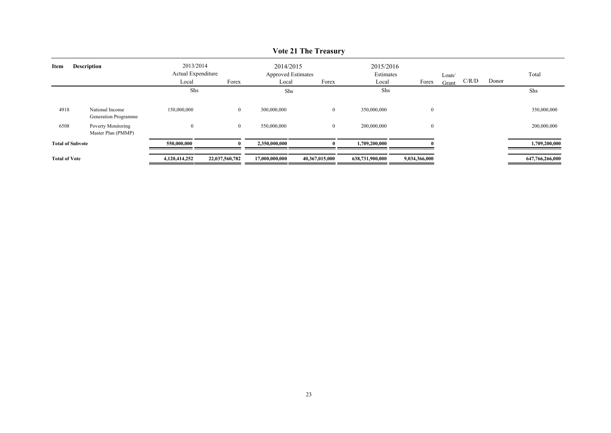|                         |                                          |                                 |                |                                        | ________       |                        |                |       |       |       |                 |
|-------------------------|------------------------------------------|---------------------------------|----------------|----------------------------------------|----------------|------------------------|----------------|-------|-------|-------|-----------------|
| Item                    | <b>Description</b>                       | 2013/2014<br>Actual Expenditure |                | 2014/2015<br><b>Approved Estimates</b> |                | 2015/2016<br>Estimates |                | Loan/ |       |       | Total           |
|                         |                                          | Local                           | Forex          | Local                                  | Forex          | Local                  | Forex          | Grant | C/R/D | Donor |                 |
|                         |                                          | Shs                             |                | Shs                                    |                | Shs                    |                |       |       |       | Shs             |
| 4918                    | National Income<br>Generation Programme  | 150,000,000                     | $\overline{0}$ | 300,000,000                            | $\overline{0}$ | 350,000,000            | $\overline{0}$ |       |       |       | 350,000,000     |
| 6508                    | Poverty Monitoring<br>Master Plan (PMMP) | $\bf{0}$                        | $\bf{0}$       | 550,000,000                            | $\mathbf{0}$   | 200,000,000            | $\overline{0}$ |       |       |       | 200,000,000     |
| <b>Total of Subvote</b> |                                          | 550,000,000                     |                | 2,350,000,000                          |                | 1,709,200,000          |                |       |       |       | 1,709,200,000   |
| <b>Total of Vote</b>    |                                          | 4,120,414,252                   | 22,037,560,782 | 17,000,000,000                         | 40,367,015,000 | 638,731,900,000        | 9,034,366,000  |       |       |       | 647,766,266,000 |

### **Vote 21 The Treasury**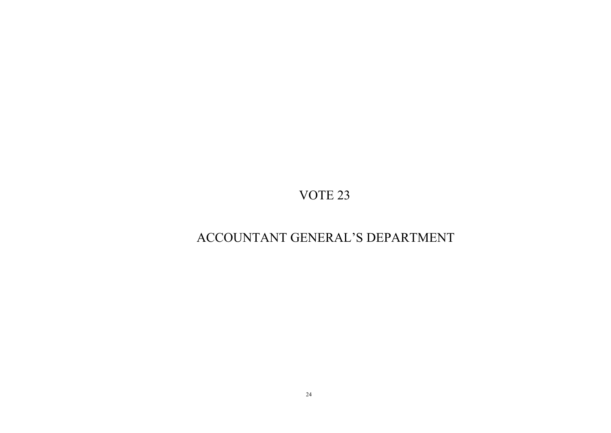# ACCOUNTANT GENERAL'S DEPARTMENT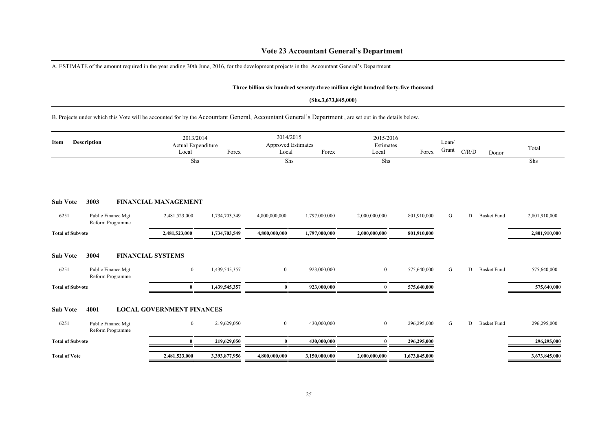### **Vote 23 Accountant General's Department**

A. ESTIMATE of the amount required in the year ending 30th June, 2016, for the development projects in the Accountant General's Department

#### **Three billion six hundred seventy-three million eight hundred forty-five thousand**

#### **(Shs.3,673,845,000)**

B. Projects under which this Vote will be accounted for by the Accountant General, Accountant General's Department , are set out in the details below.

| Item                    | <b>Description</b>                     | 2013/2014<br>Actual Expenditure<br>Local | Forex         | 2014/2015<br><b>Approved Estimates</b><br>Local | Forex         | 2015/2016<br>Estimates<br>Local | Forex         | Loan/<br>Grant | C/R/D | Donor              | Total         |
|-------------------------|----------------------------------------|------------------------------------------|---------------|-------------------------------------------------|---------------|---------------------------------|---------------|----------------|-------|--------------------|---------------|
|                         |                                        | Shs                                      |               | Shs                                             |               | Shs                             |               |                |       |                    | Shs           |
| <b>Sub Vote</b>         | 3003                                   | <b>FINANCIAL MANAGEMENT</b>              |               |                                                 |               |                                 |               |                |       |                    |               |
| 6251                    | Public Finance Mgt<br>Reform Programme | 2,481,523,000                            | 1,734,703,549 | 4,800,000,000                                   | 1,797,000,000 | 2,000,000,000                   | 801,910,000   | G              | D     | <b>Basket Fund</b> | 2,801,910,000 |
| <b>Total of Subvote</b> |                                        | 2,481,523,000                            | 1,734,703,549 | 4,800,000,000                                   | 1,797,000,000 | 2,000,000,000                   | 801,910,000   |                |       |                    | 2,801,910,000 |
| <b>Sub Vote</b>         | 3004                                   | <b>FINANCIAL SYSTEMS</b>                 |               |                                                 |               |                                 |               |                |       |                    |               |
| 6251                    | Public Finance Mgt<br>Reform Programme | $\overline{0}$                           | 1,439,545,357 | $\overline{0}$                                  | 923,000,000   | $\overline{0}$                  | 575,640,000   | G              | D     | <b>Basket Fund</b> | 575,640,000   |
| <b>Total of Subvote</b> |                                        | $\mathbf{0}$                             | 1,439,545,357 | $\mathbf{0}$                                    | 923,000,000   | $\theta$                        | 575,640,000   |                |       |                    | 575,640,000   |
| <b>Sub Vote</b>         | 4001                                   | <b>LOCAL GOVERNMENT FINANCES</b>         |               |                                                 |               |                                 |               |                |       |                    |               |
| 6251                    | Public Finance Mgt<br>Reform Programme | $\overline{0}$                           | 219,629,050   | $\mathbf{0}$                                    | 430,000,000   | $\overline{0}$                  | 296,295,000   | G              | D     | <b>Basket Fund</b> | 296,295,000   |
| <b>Total of Subvote</b> |                                        | $\mathbf{0}$                             | 219,629,050   | $\mathbf{0}$                                    | 430,000,000   |                                 | 296,295,000   |                |       |                    | 296,295,000   |
| <b>Total of Vote</b>    |                                        | 2,481,523,000                            | 3,393,877,956 | 4,800,000,000                                   | 3,150,000,000 | 2,000,000,000                   | 1,673,845,000 |                |       |                    | 3,673,845,000 |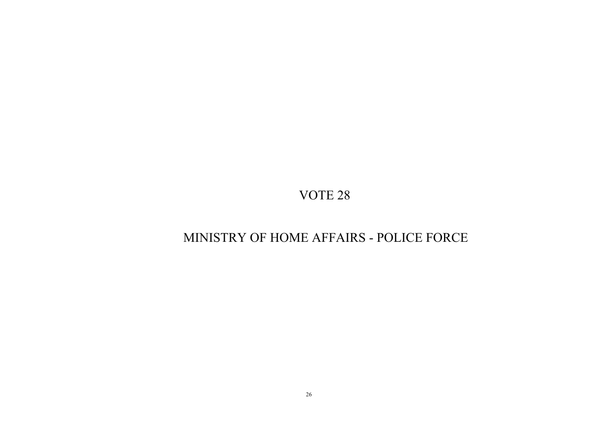# MINISTRY OF HOME AFFAIRS - POLICE FORCE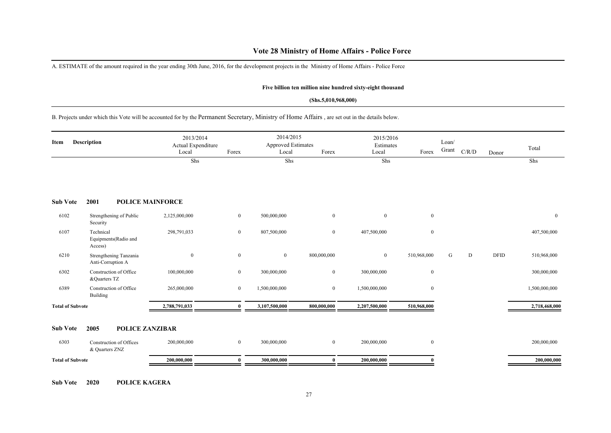### **Vote 28 Ministry of Home Affairs - Police Force**

A. ESTIMATE of the amount required in the year ending 30th June, 2016, for the development projects in the Ministry of Home Affairs - Police Force

#### **Five billion ten million nine hundred sixty-eight thousand**

#### **(Shs.5,010,968,000)**

B. Projects under which this Vote will be accounted for by the Permanent Secretary, Ministry of Home Affairs , are set out in the details below.

| Item                    | Description                                   | 2013/2014<br>Actual Expenditure<br>Local | Forex        | 2014/2015<br><b>Approved Estimates</b><br>Local | Forex          | 2015/2016<br>Estimates<br>Local | Forex          | Loan/<br>Grant | C/R/D | Donor       | Total         |
|-------------------------|-----------------------------------------------|------------------------------------------|--------------|-------------------------------------------------|----------------|---------------------------------|----------------|----------------|-------|-------------|---------------|
|                         |                                               | Shs                                      |              | Shs                                             |                | Shs                             |                |                |       |             | Shs           |
| <b>Sub Vote</b>         | 2001                                          | <b>POLICE MAINFORCE</b>                  |              |                                                 |                |                                 |                |                |       |             |               |
| 6102                    | Strengthening of Public<br>Security           | 2,125,000,000                            | $\mathbf{0}$ | 500,000,000                                     | $\mathbf{0}$   | $\overline{0}$                  | $\mathbf{0}$   |                |       |             | $\mathbf{0}$  |
| 6107                    | Technical<br>Equipments (Radio and<br>Access) | 298,791,033                              | $\bf{0}$     | 807,500,000                                     | $\mathbf{0}$   | 407,500,000                     | $\mathbf{0}$   |                |       |             | 407,500,000   |
| 6210                    | Strengthening Tanzania<br>Anti-Corruption A   | $\mathbf{0}$                             | $\bf{0}$     | $\boldsymbol{0}$                                | 800,000,000    | $\overline{0}$                  | 510,968,000    | G              | D     | <b>DFID</b> | 510,968,000   |
| 6302                    | Construction of Office<br>&Quarters TZ        | 100,000,000                              | $\bf{0}$     | 300,000,000                                     | $\overline{0}$ | 300,000,000                     | $\mathbf{0}$   |                |       |             | 300,000,000   |
| 6389                    | Construction of Office<br>Building            | 265,000,000                              | $\bf{0}$     | 1,500,000,000                                   | $\overline{0}$ | 1,500,000,000                   | $\overline{0}$ |                |       |             | 1,500,000,000 |
| <b>Total of Subvote</b> |                                               | 2,788,791,033                            | $\mathbf{0}$ | 3,107,500,000                                   | 800,000,000    | 2,207,500,000                   | 510,968,000    |                |       |             | 2,718,468,000 |
| <b>Sub Vote</b>         | 2005<br>POLICE ZANZIBAR                       |                                          |              |                                                 |                |                                 |                |                |       |             |               |
| 6303                    | Construction of Offices<br>& Quarters ZNZ     | 200,000,000                              | $\bf{0}$     | 300,000,000                                     | $\mathbf{0}$   | 200,000,000                     | $\mathbf{0}$   |                |       |             | 200,000,000   |
| <b>Total of Subvote</b> |                                               | 200,000,000                              | $\mathbf{0}$ | 300,000,000                                     | $\bf{0}$       | 200,000,000                     | $\theta$       |                |       |             | 200,000,000   |

**Sub Vote 2020 POLICE KAGERA**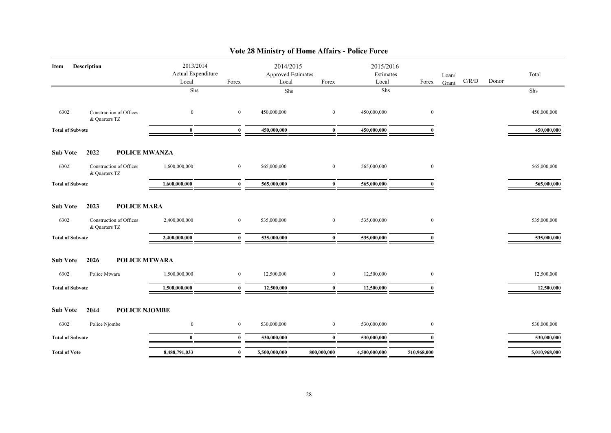| <b>Description</b><br>Item                                                                        | 2013/2014<br>Actual Expenditure<br>Local<br>${\rm Shs}$ | Forex        | 2014/2015<br>Approved Estimates<br>Local | Forex          | 2015/2016<br>Estimates<br>Local<br>Shs | Forex        | Loan/<br>Grant | C/R/D | Donor | Total<br>Shs  |
|---------------------------------------------------------------------------------------------------|---------------------------------------------------------|--------------|------------------------------------------|----------------|----------------------------------------|--------------|----------------|-------|-------|---------------|
|                                                                                                   |                                                         |              | Shs                                      |                |                                        |              |                |       |       |               |
| 6302<br>Construction of Offices<br>& Quarters TZ                                                  | $\bf{0}$                                                | $\bf{0}$     | 450,000,000                              | $\overline{0}$ | 450,000,000                            | $\mathbf{0}$ |                |       |       | 450,000,000   |
| <b>Total of Subvote</b>                                                                           | $\bf{0}$                                                | $\bf{0}$     | 450,000,000                              | $\bf{0}$       | 450,000,000                            | $\bf{0}$     |                |       |       | 450,000,000   |
| 2022<br><b>Sub Vote</b>                                                                           | <b>POLICE MWANZA</b>                                    |              |                                          |                |                                        |              |                |       |       |               |
| 6302<br>Construction of Offices<br>& Quarters TZ                                                  | 1,600,000,000                                           | $\bf{0}$     | 565,000,000                              | $\bf{0}$       | 565,000,000                            | $\mathbf{0}$ |                |       |       | 565,000,000   |
| <b>Total of Subvote</b>                                                                           | 1,600,000,000                                           | $\mathbf{0}$ | 565,000,000                              | $\bf{0}$       | 565,000,000                            | $\mathbf{0}$ |                |       |       | 565,000,000   |
| <b>POLICE MARA</b><br><b>Sub Vote</b><br>2023<br>6302<br>Construction of Offices<br>& Quarters TZ | 2,400,000,000                                           | $\bf{0}$     | 535,000,000                              | $\bf{0}$       | 535,000,000                            | $\mathbf{0}$ |                |       |       | 535,000,000   |
| <b>Total of Subvote</b>                                                                           | 2,400,000,000                                           | $\bf{0}$     | 535,000,000                              | $\bf{0}$       | 535,000,000                            | $\mathbf{0}$ |                |       |       | 535,000,000   |
| <b>Sub Vote</b><br>2026<br>6302<br>Police Mtwara                                                  | <b>POLICE MTWARA</b><br>1,500,000,000                   | $\bf{0}$     | 12,500,000                               | $\bf{0}$       | 12,500,000                             | $\bf{0}$     |                |       |       | 12,500,000    |
| <b>Total of Subvote</b>                                                                           | 1,500,000,000                                           | $\mathbf{0}$ | 12,500,000                               | $\mathbf{0}$   | 12,500,000                             |              |                |       |       | 12,500,000    |
| <b>Sub Vote</b><br>POLICE NJOMBE<br>2044                                                          |                                                         |              |                                          |                |                                        |              |                |       |       |               |
| 6302<br>Police Njombe                                                                             | $\boldsymbol{0}$                                        | $\bf{0}$     | 530,000,000                              | $\bf{0}$       | 530,000,000                            | $\bf{0}$     |                |       |       | 530,000,000   |
| <b>Total of Subvote</b>                                                                           | $\mathbf{0}$                                            | $\mathbf{0}$ | 530,000,000                              | $\mathbf{0}$   | 530,000,000                            |              |                |       |       | 530,000,000   |
| <b>Total of Vote</b>                                                                              | 8,488,791,033                                           | $\mathbf{0}$ | 5,500,000,000                            | 800,000,000    | 4,500,000,000                          | 510,968,000  |                |       |       | 5,010,968,000 |

### **Vote 28 Ministry of Home Affairs - Police Force**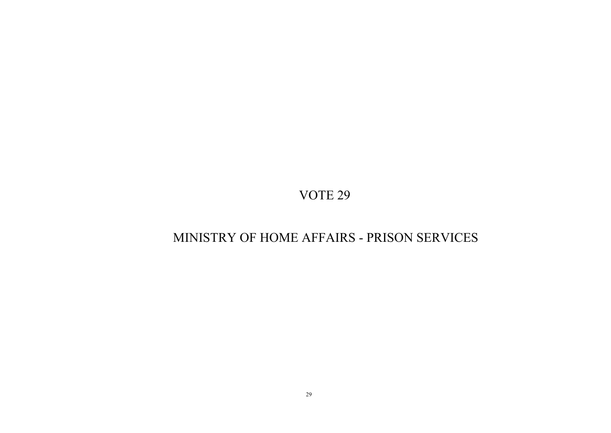### MINISTRY OF HOME AFFAIRS - PRISON SERVICES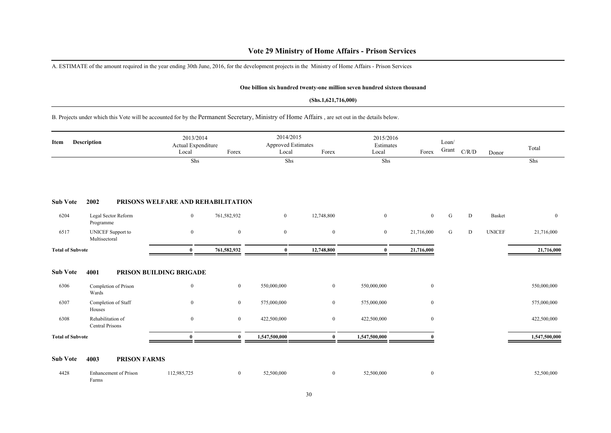### **Vote 29 Ministry of Home Affairs - Prison Services**

A. ESTIMATE of the amount required in the year ending 30th June, 2016, for the development projects in the Ministry of Home Affairs - Prison Services

#### **One billion six hundred twenty-one million seven hundred sixteen thousand**

#### **(Shs.1,621,716,000)**

B. Projects under which this Vote will be accounted for by the Permanent Secretary, Ministry of Home Affairs , are set out in the details below.

|                         |                                           | Local                              | Actual Expenditure<br>Forex | <b>Approved Estimates</b><br>Local | Forex            | Estimates<br>Local | Forex            | Loan/<br>Grant | C/R/D | Donor         | Total          |
|-------------------------|-------------------------------------------|------------------------------------|-----------------------------|------------------------------------|------------------|--------------------|------------------|----------------|-------|---------------|----------------|
|                         |                                           | Shs                                |                             | Shs                                |                  | Shs                |                  |                |       |               | Shs            |
| <b>Sub Vote</b>         | 2002                                      | PRISONS WELFARE AND REHABILITATION |                             |                                    |                  |                    |                  |                |       |               |                |
| 6204                    | Legal Sector Reform<br>Programme          | $\bf{0}$                           | 761,582,932                 | $\overline{0}$                     | 12,748,800       | $\mathbf{0}$       | $\overline{0}$   | G              | D     | Basket        | $\overline{0}$ |
| 6517                    | <b>UNICEF</b> Support to<br>Multisectoral | $\mathbf{0}$                       | $\mathbf{0}$                | $\mathbf{0}$                       | $\mathbf{0}$     | $\bf{0}$           | 21,716,000       | G              | D     | <b>UNICEF</b> | 21,716,000     |
| <b>Total of Subvote</b> |                                           | $\bf{0}$                           | 761,582,932                 | $\bf{0}$                           | 12,748,800       | $\bf{0}$           | 21,716,000       |                |       |               | 21,716,000     |
| <b>Sub Vote</b>         | 4001                                      | PRISON BUILDING BRIGADE            |                             |                                    |                  |                    |                  |                |       |               |                |
| 6306                    | Completion of Prison<br>Wards             | $\mathbf{0}$                       | $\boldsymbol{0}$            | 550,000,000                        | $\boldsymbol{0}$ | 550,000,000        | $\boldsymbol{0}$ |                |       |               | 550,000,000    |
| 6307                    | Completion of Staff<br>Houses             | $\mathbf{0}$                       | $\boldsymbol{0}$            | 575,000,000                        | $\mathbf{0}$     | 575,000,000        | $\mathbf{0}$     |                |       |               | 575,000,000    |
| 6308                    | Rehabilitation of<br>Central Prisons      | $\mathbf{0}$                       | $\overline{0}$              | 422,500,000                        | $\mathbf{0}$     | 422,500,000        | $\overline{0}$   |                |       |               | 422,500,000    |
| <b>Total of Subvote</b> |                                           | $\bf{0}$                           | $\theta$                    | 1,547,500,000                      | $\mathbf{0}$     | 1,547,500,000      |                  |                |       |               | 1,547,500,000  |

#### **Sub Vote 4003 PRISON FARMS**

| 4428 | inhancement of Prison<br>- | 112,985,725 | 52,500,000 | 52,500,000 | 32,500,000 |
|------|----------------------------|-------------|------------|------------|------------|
|      | Farms                      |             |            |            |            |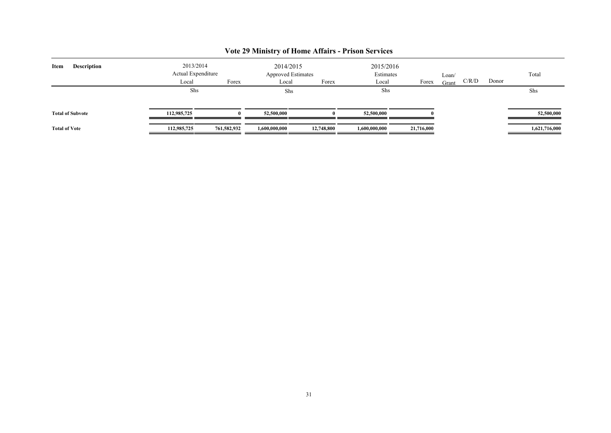| <b>Description</b><br>Item | 2013/2014<br>Actual Expenditure |             | 2014/2015<br><b>Approved Estimates</b> |            | 2015/2016<br>Estimates |            | Loan/ |       |       | Total         |
|----------------------------|---------------------------------|-------------|----------------------------------------|------------|------------------------|------------|-------|-------|-------|---------------|
|                            | Local                           | Forex       | Local                                  | Forex      | Local                  | Forex      | Grant | C/R/D | Donor |               |
|                            | Shs                             |             | Shs                                    |            | Shs                    |            |       |       |       | Shs           |
| <b>Total of Subvote</b>    | 112,985,725                     |             | 52,500,000                             |            | 52,500,000             |            |       |       |       | 52,500,000    |
| <b>Total of Vote</b>       | 112,985,725                     | 761,582,932 | 1,600,000,000                          | 12,748,800 | 1,600,000,000          | 21,716,000 |       |       |       | 1,621,716,000 |

### **Vote 29 Ministry of Home Affairs - Prison Services**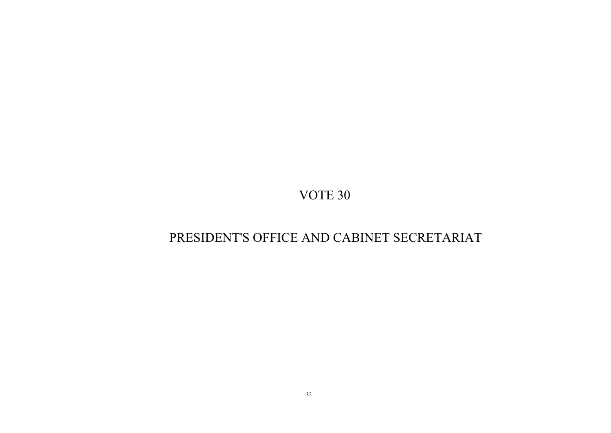# PRESIDENT'S OFFICE AND CABINET SECRETARIAT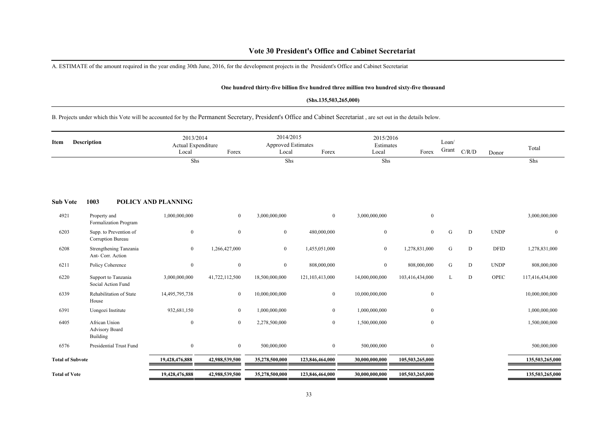### **Vote 30 President's Office and Cabinet Secretariat**

A. ESTIMATE of the amount required in the year ending 30th June, 2016, for the development projects in the President's Office and Cabinet Secretariat

#### **One hundred thirty-five billion five hundred three million two hundred sixty-five thousand**

#### **(Shs.135,503,265,000)**

B. Projects under which this Vote will be accounted for by the Permanent Secretary, President's Office and Cabinet Secretariat , are set out in the details below.

| <b>Description</b><br>Item |                                                    | Local               | 2013/2014<br>Actual Expenditure<br>Forex |                | 2014/2015<br><b>Approved Estimates</b><br>Local<br>Forex |                  | 2015/2016<br>Estimates<br>Local<br>Forex |   | C/R/D | Donor       | Total           |
|----------------------------|----------------------------------------------------|---------------------|------------------------------------------|----------------|----------------------------------------------------------|------------------|------------------------------------------|---|-------|-------------|-----------------|
|                            |                                                    | Shs                 |                                          | Shs            |                                                          | Shs              |                                          |   |       |             | Shs             |
| <b>Sub Vote</b>            | 1003                                               | POLICY AND PLANNING |                                          |                |                                                          |                  |                                          |   |       |             |                 |
| 4921                       | Property and<br>Formalization Program              | 1,000,000,000       | $\overline{0}$                           | 3,000,000,000  | $\mathbf{0}$                                             | 3,000,000,000    | $\boldsymbol{0}$                         |   |       |             | 3,000,000,000   |
| 6203                       | Supp. to Prevention of<br>Corruption Bureau        | $\boldsymbol{0}$    | $\bf{0}$                                 | $\mathbf{0}$   | 480,000,000                                              | $\boldsymbol{0}$ | $\overline{0}$                           | G | D     | <b>UNDP</b> | $\bf{0}$        |
| 6208                       | Strengthening Tanzania<br>Ant- Corr. Action        | $\boldsymbol{0}$    | 1,266,427,000                            | $\overline{0}$ | 1,455,051,000                                            | $\bf{0}$         | 1,278,831,000                            | G | D     | <b>DFID</b> | 1,278,831,000   |
| 6211                       | Policy Coherence                                   | $\boldsymbol{0}$    | $\bf{0}$                                 | $\bf{0}$       | 808,000,000                                              | $\mathbf{0}$     | 808,000,000                              | G | D     | <b>UNDP</b> | 808,000,000     |
| 6220                       | Support to Tanzania<br>Social Action Fund          | 3,000,000,000       | 41,722,112,500                           | 18,500,000,000 | 121,103,413,000                                          | 14,000,000,000   | 103,416,434,000                          | L | D     | OPEC        | 117,416,434,000 |
| 6339                       | Rehabilitation of State<br>House                   | 14,495,795,738      | $\overline{0}$                           | 10,000,000,000 | $\boldsymbol{0}$                                         | 10,000,000,000   | $\mathbf{0}$                             |   |       |             | 10,000,000,000  |
| 6391                       | Uongozi Institute                                  | 932,681,150         | $\bf{0}$                                 | 1,000,000,000  | $\boldsymbol{0}$                                         | 1,000,000,000    | $\mathbf{0}$                             |   |       |             | 1,000,000,000   |
| 6405                       | African Union<br><b>Advisory Board</b><br>Building | $\boldsymbol{0}$    | $\overline{0}$                           | 2,278,500,000  | $\mathbf{0}$                                             | 1,500,000,000    | $\overline{0}$                           |   |       |             | 1,500,000,000   |
| 6576                       | Presidential Trust Fund                            | $\bf{0}$            | $\overline{0}$                           | 500,000,000    | $\overline{0}$                                           | 500,000,000      | $\mathbf{0}$                             |   |       |             | 500,000,000     |
| <b>Total of Subvote</b>    |                                                    | 19,428,476,888      | 42,988,539,500                           | 35,278,500,000 | 123,846,464,000                                          | 30,000,000,000   | 105,503,265,000                          |   |       |             | 135,503,265,000 |
| <b>Total of Vote</b>       |                                                    | 19,428,476,888      | 42,988,539,500                           | 35,278,500,000 | 123,846,464,000                                          | 30,000,000,000   | 105,503,265,000                          |   |       |             | 135,503,265,000 |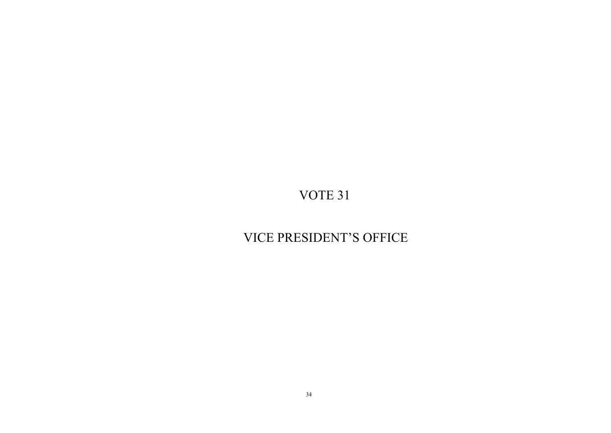# VICE PRESIDENT'S OFFICE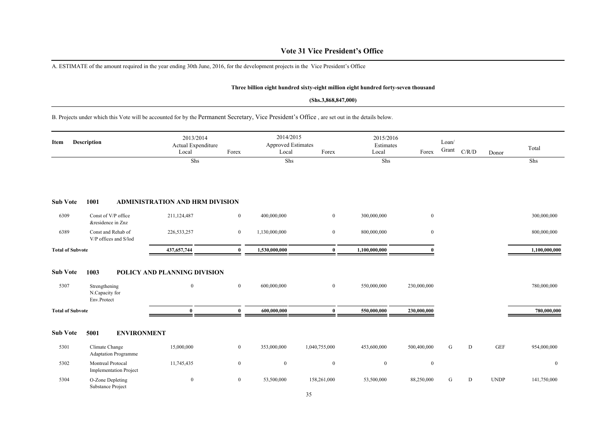### **Vote 31 Vice President's Office**

A. ESTIMATE of the amount required in the year ending 30th June, 2016, for the development projects in the Vice President's Office

#### **Three billion eight hundred sixty-eight million eight hundred forty-seven thousand**

#### **(Shs.3,868,847,000)**

B. Projects under which this Vote will be accounted for by the Permanent Secretary, Vice President's Office , are set out in the details below.

| Description<br>Item     |                                                        | 2013/2014<br>Actual Expenditure<br>Local<br>Forex |                | 2014/2015<br><b>Approved Estimates</b><br>Forex<br>Local |                | 2015/2016<br>Estimates<br>Local | Forex        | Loan/<br>Grant | C/R/D        | Donor       | Total          |
|-------------------------|--------------------------------------------------------|---------------------------------------------------|----------------|----------------------------------------------------------|----------------|---------------------------------|--------------|----------------|--------------|-------------|----------------|
|                         |                                                        | $\overline{\text{Shs}}$                           |                | Shs                                                      |                | Shs                             |              |                |              |             | Shs            |
| <b>Sub Vote</b>         | 1001                                                   | <b>ADMINISTRATION AND HRM DIVISION</b>            |                |                                                          |                |                                 |              |                |              |             |                |
| 6309                    | Const of V/P office<br>&residence in Znz               | 211,124,487                                       | $\overline{0}$ | 400,000,000                                              | $\overline{0}$ | 300,000,000                     | $\mathbf{0}$ |                |              |             | 300,000,000    |
| 6389                    | Const and Rehab of<br>V/P offices and S/lod            | 226, 533, 257                                     | $\overline{0}$ | 1,130,000,000                                            | $\mathbf{0}$   | 800,000,000                     | $\mathbf{0}$ |                |              |             | 800,000,000    |
| <b>Total of Subvote</b> |                                                        | 437, 657, 744                                     | $\mathbf{0}$   | 1,530,000,000                                            | $\bf{0}$       | 1,100,000,000                   |              |                |              |             | 1,100,000,000  |
| <b>Sub Vote</b><br>5307 | 1003<br>Strengthening<br>N.Capacity for<br>Env.Protect | POLICY AND PLANNING DIVISION<br>$\bf{0}$          | $\mathbf{0}$   | 600,000,000                                              | $\overline{0}$ | 550,000,000                     | 230,000,000  |                |              |             | 780,000,000    |
| <b>Total of Subvote</b> |                                                        | $\mathbf{0}$                                      | $\bf{0}$       | 600,000,000                                              | $\bf{0}$       | 550,000,000                     | 230,000,000  |                |              |             | 780,000,000    |
| <b>Sub Vote</b>         | 5001<br><b>ENVIRONMENT</b>                             |                                                   |                |                                                          |                |                                 |              |                |              |             |                |
| 5301                    | Climate Change<br><b>Adaptation Programme</b>          | 15,000,000                                        | $\overline{0}$ | 353,000,000                                              | 1,040,755,000  | 453,600,000                     | 500,400,000  | G              | $\mathbf{D}$ | <b>GEF</b>  | 954,000,000    |
| 5302                    | Montreal Protocal<br><b>Implementation Project</b>     | 11,745,435                                        | $\mathbf{0}$   | $\bf{0}$                                                 | $\mathbf{0}$   | $\overline{0}$                  | $\bf{0}$     |                |              |             | $\overline{0}$ |
| 5304                    | O-Zone Depleting<br>Substance Project                  | $\bf{0}$                                          | $\overline{0}$ | 53,500,000                                               | 158,261,000    | 53,500,000                      | 88,250,000   | G              | D            | <b>UNDP</b> | 141,750,000    |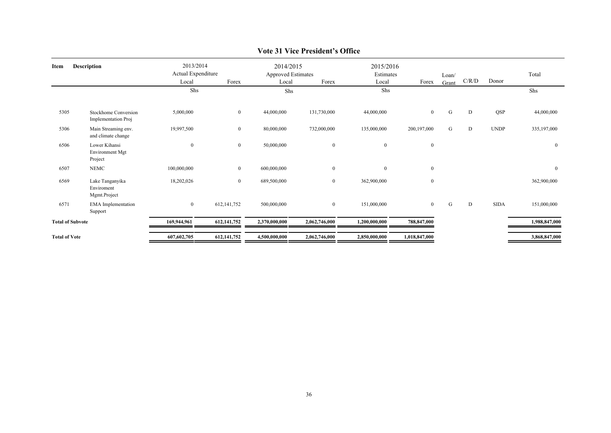| <b>Description</b><br>Item |                                               | 2013/2014<br>Actual Expenditure<br>Forex<br>Local |               | 2014/2015<br>Approved Estimates<br>Forex<br>Local |                  | 2015/2016<br>Estimates<br>Forex<br>Local |                  | Loan/<br>Grant | C/R/D | Donor       | Total         |
|----------------------------|-----------------------------------------------|---------------------------------------------------|---------------|---------------------------------------------------|------------------|------------------------------------------|------------------|----------------|-------|-------------|---------------|
|                            |                                               | Shs                                               |               | Shs                                               |                  | Shs                                      |                  |                |       |             | Shs           |
| 5305                       | Stockhome Conversion<br>Implementation Proj   | 5,000,000                                         | $\bf{0}$      | 44,000,000                                        | 131,730,000      | 44,000,000                               | $\mathbf{0}$     | G              | D     | QSP         | 44,000,000    |
| 5306                       | Main Streaming env.<br>and climate change     | 19,997,500                                        | $\bf{0}$      | 80,000,000                                        | 732,000,000      | 135,000,000                              | 200,197,000      | G              | D     | <b>UNDP</b> | 335,197,000   |
| 6506                       | Lower Kihansi<br>Environment Mgt<br>Project   | $\boldsymbol{0}$                                  | $\bf{0}$      | 50,000,000                                        | $\mathbf{0}$     | $\overline{0}$                           | $\boldsymbol{0}$ |                |       |             | $\bf{0}$      |
| 6507                       | <b>NEMC</b>                                   | 100,000,000                                       | $\bf{0}$      | 600,000,000                                       | $\mathbf{0}$     | $\overline{0}$                           | $\boldsymbol{0}$ |                |       |             | $\mathbf{0}$  |
| 6569                       | Lake Tanganyika<br>Enviroment<br>Mgmt.Project | 18,202,026                                        | $\mathbf{0}$  | 689,500,000                                       | $\boldsymbol{0}$ | 362,900,000                              | $\bf{0}$         |                |       |             | 362,900,000   |
| 6571                       | <b>EMA</b> Implementation<br>Support          | $\boldsymbol{0}$                                  | 612, 141, 752 | 500,000,000                                       | $\bf{0}$         | 151,000,000                              | $\mathbf{0}$     | G              | D     | <b>SIDA</b> | 151,000,000   |
| <b>Total of Subvote</b>    |                                               | 169,944,961                                       | 612, 141, 752 | 2,370,000,000                                     | 2,062,746,000    | 1,200,000,000                            | 788,847,000      |                |       |             | 1,988,847,000 |
| <b>Total of Vote</b>       |                                               | 607,602,705                                       | 612, 141, 752 | 4,500,000,000                                     | 2,062,746,000    | 2,850,000,000                            | 1,018,847,000    |                |       |             | 3,868,847,000 |

### **Vote 31 Vice President's Office**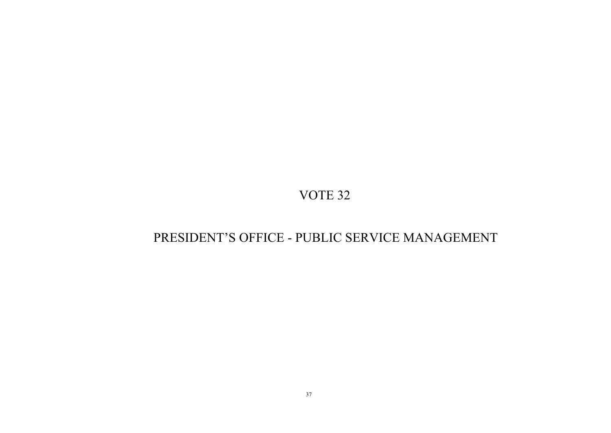# PRESIDENT'S OFFICE - PUBLIC SERVICE MANAGEMENT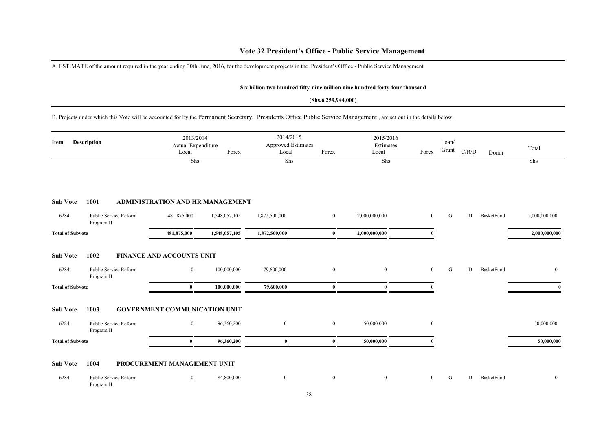A. ESTIMATE of the amount required in the year ending 30th June, 2016, for the development projects in the President's Office - Public Service Management

#### **Six billion two hundred fifty-nine million nine hundred forty-four thousand**

#### **(Shs.6,259,944,000)**

B. Projects under which this Vote will be accounted for by the Permanent Secretary, Presidents Office Public Service Management , are set out in the details below.

| <b>Description</b><br>Item |                                     | 2013/2014<br>Actual Expenditure<br>Local | Forex         | 2014/2015<br><b>Approved Estimates</b><br>Local<br>Forex |                | 2015/2016<br>Estimates<br>Local | Forex          | Loan/<br>Grant | C/R/D<br>Donor         | Total         |
|----------------------------|-------------------------------------|------------------------------------------|---------------|----------------------------------------------------------|----------------|---------------------------------|----------------|----------------|------------------------|---------------|
|                            |                                     | Shs                                      |               | Shs                                                      |                | Shs                             |                |                |                        | Shs           |
|                            |                                     |                                          |               |                                                          |                |                                 |                |                |                        |               |
| <b>Sub Vote</b>            | 1001                                | ADMINISTRATION AND HR MANAGEMENT         |               |                                                          |                |                                 |                |                |                        |               |
| 6284                       | Public Service Reform<br>Program II | 481,875,000                              | 1,548,057,105 | 1,872,500,000                                            | $\overline{0}$ | 2,000,000,000                   | $\overline{0}$ | G              | D<br>BasketFund        | 2,000,000,000 |
| <b>Total of Subvote</b>    |                                     | 481,875,000                              | 1,548,057,105 | 1,872,500,000                                            | $\bf{0}$       | 2,000,000,000                   | $\mathbf{0}$   |                |                        | 2,000,000,000 |
| <b>Sub Vote</b>            | 1002                                | <b>FINANCE AND ACCOUNTS UNIT</b>         |               |                                                          |                |                                 |                |                |                        |               |
| 6284                       | Public Service Reform<br>Program II | $\mathbf{0}$                             | 100,000,000   | 79,600,000                                               | $\overline{0}$ | $\overline{0}$                  | $\overline{0}$ | G              | D<br>BasketFund        | $\bf{0}$      |
| <b>Total of Subvote</b>    |                                     | $\mathbf{0}$                             | 100,000,000   | 79,600,000                                               | $\bf{0}$       | $\mathbf{0}$                    | $\Omega$       |                |                        | $\mathbf{0}$  |
| <b>Sub Vote</b>            | 1003                                | <b>GOVERNMENT COMMUNICATION UNIT</b>     |               |                                                          |                |                                 |                |                |                        |               |
| 6284                       | Public Service Reform<br>Program II | $\overline{0}$                           | 96,360,200    | $\overline{0}$                                           | $\overline{0}$ | 50,000,000                      | $\overline{0}$ |                |                        | 50,000,000    |
| <b>Total of Subvote</b>    |                                     | $\mathbf{0}$                             | 96,360,200    | $\bf{0}$                                                 | $\mathbf{0}$   | 50,000,000                      | 0              |                |                        | 50,000,000    |
| <b>Sub Vote</b>            | 1004                                | PROCUREMENT MANAGEMENT UNIT              |               |                                                          |                |                                 |                |                |                        |               |
| 6284                       | Public Service Reform<br>Program II | $\overline{0}$                           | 84,800,000    | $\overline{0}$                                           | $\overline{0}$ | $\mathbf{0}$                    | $\overline{0}$ | G              | <b>BasketFund</b><br>D | $\mathbf{0}$  |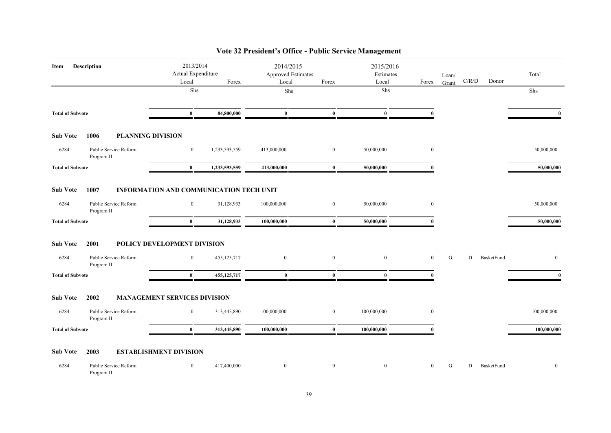| Item                    | <b>Description</b>                  | 2013/2014<br>Actual Expenditure<br>Local | Forex         | 2014/2015<br>Approved Estimates<br>Local | Forex        | 2015/2016<br>Estimates<br>Local | Forex            | Loan/<br>Grant | C/R/D | Donor      | Total        |
|-------------------------|-------------------------------------|------------------------------------------|---------------|------------------------------------------|--------------|---------------------------------|------------------|----------------|-------|------------|--------------|
|                         |                                     | ${\rm Shs}$                              |               | Shs                                      |              | ${\rm Shs}$                     |                  |                |       |            | Shs          |
| <b>Total of Subvote</b> |                                     | $\mathbf{0}$                             | 84,800,000    | $\bf{0}$                                 | $\mathbf{0}$ | $\mathbf{0}$                    | $\theta$         |                |       |            | $\mathbf{0}$ |
| <b>Sub Vote</b>         | <b>PLANNING DIVISION</b><br>1006    |                                          |               |                                          |              |                                 |                  |                |       |            |              |
| 6284                    | Public Service Reform<br>Program II | $\bf{0}$                                 | 1,233,593,559 | 413,000,000                              | $\bf{0}$     | 50,000,000                      | $\bf{0}$         |                |       |            | 50,000,000   |
| <b>Total of Subvote</b> |                                     | $\bf{0}$                                 | 1,233,593,559 | 413,000,000                              | $\bf{0}$     | 50,000,000                      | $\mathbf{0}$     |                |       |            | 50,000,000   |
| <b>Sub Vote</b>         | 1007                                | INFORMATION AND COMMUNICATION TECH UNIT  |               |                                          |              |                                 |                  |                |       |            |              |
| 6284                    | Public Service Reform<br>Program II | $\mathbf{0}$                             | 31,128,933    | 100,000,000                              | $\bf{0}$     | 50,000,000                      | $\boldsymbol{0}$ |                |       |            | 50,000,000   |
| <b>Total of Subvote</b> |                                     | $\mathbf{0}$                             | 31,128,933    | 100,000,000                              | $\mathbf{0}$ | 50,000,000                      | $\mathbf{0}$     |                |       |            | 50,000,000   |
| <b>Sub Vote</b>         | 2001                                | POLICY DEVELOPMENT DIVISION              |               |                                          |              |                                 |                  |                |       |            |              |
| 6284                    | Public Service Reform<br>Program II | $\mathbf{0}$                             | 455, 125, 717 | $\mathbf{0}$                             | $\mathbf{0}$ | $\mathbf{0}$                    | $\mathbf{0}$     | G              | D     | BasketFund | $\mathbf{0}$ |
| <b>Total of Subvote</b> |                                     | $\bf{0}$                                 | 455, 125, 717 | $\bf{0}$                                 | $\bf{0}$     | $\bf{0}$                        | $\mathbf{0}$     |                |       |            | $\mathbf{0}$ |
| <b>Sub Vote</b>         | 2002                                | <b>MANAGEMENT SERVICES DIVISION</b>      |               |                                          |              |                                 |                  |                |       |            |              |
| 6284                    | Public Service Reform<br>Program II | $\mathbf{0}$                             | 313,445,890   | 100,000,000                              | $\mathbf{0}$ | 100,000,000                     | $\mathbf{0}$     |                |       |            | 100,000,000  |
| <b>Total of Subvote</b> |                                     | $\bf{0}$                                 | 313,445,890   | 100,000,000                              | $\bf{0}$     | 100,000,000                     |                  |                |       |            | 100,000,000  |
| <b>Sub Vote</b>         | 2003                                | <b>ESTABLISHMENT DIVISION</b>            |               |                                          |              |                                 |                  |                |       |            |              |
| 6284                    | Public Service Reform<br>Program II | $\mathbf{0}$                             | 417,400,000   | $\bf{0}$                                 | $\bf{0}$     | $\bf{0}$                        | $\mathbf{0}$     | G              | D     | BasketFund | $\mathbf{0}$ |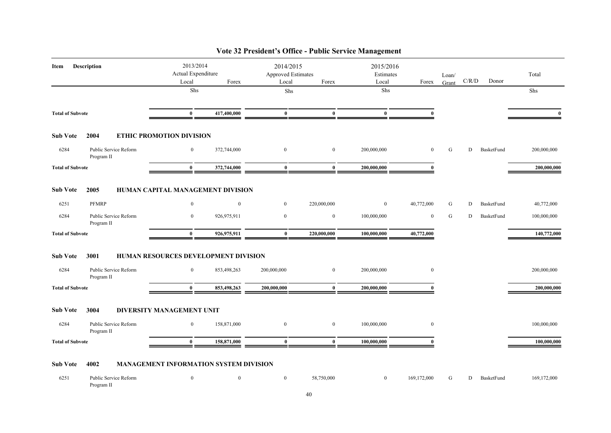| Item                    | <b>Description</b>                  | 2013/2014<br>Actual Expenditure        |                  | 2014/2015<br>Approved Estimates |                  | 2015/2016<br>Estimates |                  | Loan/ |       |            | Total       |
|-------------------------|-------------------------------------|----------------------------------------|------------------|---------------------------------|------------------|------------------------|------------------|-------|-------|------------|-------------|
|                         |                                     | Local<br>Shs                           | Forex            | Local<br>Shs                    | Forex            | Local<br>Shs           | Forex            | Grant | C/R/D | Donor      | Shs         |
|                         |                                     |                                        |                  |                                 |                  |                        |                  |       |       |            |             |
| <b>Total of Subvote</b> |                                     | $\bf{0}$                               | 417,400,000      | $\bf{0}$                        | $\bf{0}$         | $\bf{0}$               | $\mathbf{0}$     |       |       |            |             |
| <b>Sub Vote</b>         | 2004                                | <b>ETHIC PROMOTION DIVISION</b>        |                  |                                 |                  |                        |                  |       |       |            |             |
| 6284                    | Public Service Reform<br>Program II | $\bf{0}$                               | 372,744,000      | $\bf{0}$                        | $\boldsymbol{0}$ | 200,000,000            | $\boldsymbol{0}$ | G     | D     | BasketFund | 200,000,000 |
| <b>Total of Subvote</b> |                                     | $\bf{0}$                               | 372,744,000      | $\bf{0}$                        | $\mathbf{0}$     | 200,000,000            | $\mathbf{0}$     |       |       |            | 200,000,000 |
| <b>Sub Vote</b>         | 2005                                | HUMAN CAPITAL MANAGEMENT DIVISION      |                  |                                 |                  |                        |                  |       |       |            |             |
| 6251                    | <b>PFMRP</b>                        | $\mathbf{0}$                           | $\boldsymbol{0}$ | $\bf{0}$                        | 220,000,000      | $\bf{0}$               | 40,772,000       | G     | D     | BasketFund | 40,772,000  |
| 6284                    | Public Service Reform<br>Program II | $\bf{0}$                               | 926,975,911      | $\mathbf{0}$                    | $\bf{0}$         | 100,000,000            | $\mathbf{0}$     | G     | D     | BasketFund | 100,000,000 |
| <b>Total of Subvote</b> |                                     | $\bf{0}$                               | 926,975,911      | $\bf{0}$                        | 220,000,000      | 100,000,000            | 40,772,000       |       |       |            | 140,772,000 |
| <b>Sub Vote</b>         | 3001                                | HUMAN RESOURCES DEVELOPMENT DIVISION   |                  |                                 |                  |                        |                  |       |       |            |             |
| 6284                    | Public Service Reform<br>Program II | $\bf{0}$                               | 853,498,263      | 200,000,000                     | $\boldsymbol{0}$ | 200,000,000            | $\bf{0}$         |       |       |            | 200,000,000 |
| <b>Total of Subvote</b> |                                     | $\mathbf{0}$                           | 853,498,263      | 200,000,000                     | $\mathbf{0}$     | 200,000,000            |                  |       |       |            | 200,000,000 |
| <b>Sub Vote</b>         | 3004                                | DIVERSITY MANAGEMENT UNIT              |                  |                                 |                  |                        |                  |       |       |            |             |
| 6284                    | Public Service Reform<br>Program II | $\bf{0}$                               | 158,871,000      | $\bf{0}$                        | $\bf{0}$         | 100,000,000            | $\mathbf{0}$     |       |       |            | 100,000,000 |
| <b>Total of Subvote</b> |                                     | $\bf{0}$                               | 158,871,000      | $\bf{0}$                        | $\bf{0}$         | 100,000,000            | $\mathbf{0}$     |       |       |            | 100,000,000 |
| <b>Sub Vote</b>         | 4002                                | MANAGEMENT INFORMATION SYSTEM DIVISION |                  |                                 |                  |                        |                  |       |       |            |             |
| 6251                    | Public Service Reform               | $\boldsymbol{0}$                       | $\boldsymbol{0}$ | $\boldsymbol{0}$                | 58,750,000       | $\boldsymbol{0}$       | 169,172,000      | G     | D     | BasketFund | 169,172,000 |

Program II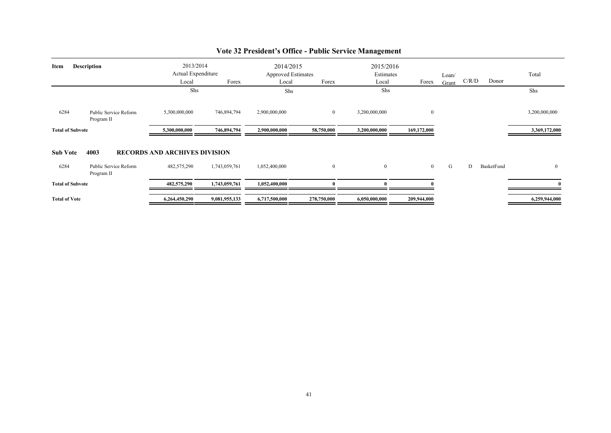| <b>Description</b>                  |                                                                                               |               |                                                                                  |              | 2015/2016<br>Estimates                          |                | Loan/ |       |            | Total          |
|-------------------------------------|-----------------------------------------------------------------------------------------------|---------------|----------------------------------------------------------------------------------|--------------|-------------------------------------------------|----------------|-------|-------|------------|----------------|
|                                     |                                                                                               |               |                                                                                  |              |                                                 |                |       |       |            |                |
|                                     |                                                                                               |               |                                                                                  |              |                                                 |                |       |       |            | Shs            |
| Public Service Reform<br>Program II | 5,300,000,000                                                                                 | 746,894,794   | 2,900,000,000                                                                    | $\mathbf{0}$ | 3,200,000,000                                   | $\bf{0}$       |       |       |            | 3,200,000,000  |
|                                     | 5,300,000,000                                                                                 | 746,894,794   | 2,900,000,000                                                                    | 58,750,000   | 3,200,000,000                                   | 169,172,000    |       |       |            | 3,369,172,000  |
| 4003                                |                                                                                               |               |                                                                                  |              |                                                 |                |       |       |            |                |
| Public Service Reform<br>Program II | 482,575,290                                                                                   | 1,743,059,761 | 1,052,400,000                                                                    | $\mathbf{0}$ | $\mathbf{0}$                                    | $\overline{0}$ | G     | D     | BasketFund | $\theta$       |
|                                     | 482,575,290                                                                                   | 1,743,059,761 | 1,052,400,000                                                                    |              |                                                 |                |       |       |            |                |
|                                     | 6,264,450,290                                                                                 | 9,081,955,133 | 6,717,500,000                                                                    | 278,750,000  | 6,050,000,000                                   | 209,944,000    |       |       |            | 6,259,944,000  |
|                                     | <b>Total of Subvote</b><br><b>Sub Vote</b><br><b>Total of Subvote</b><br><b>Total of Vote</b> | Local<br>Shs  | 2013/2014<br>Actual Expenditure<br>Forex<br><b>RECORDS AND ARCHIVES DIVISION</b> | Local<br>Shs | 2014/2015<br><b>Approved Estimates</b><br>Forex | Local<br>Shs   | Forex | Grant |            | C/R/D<br>Donor |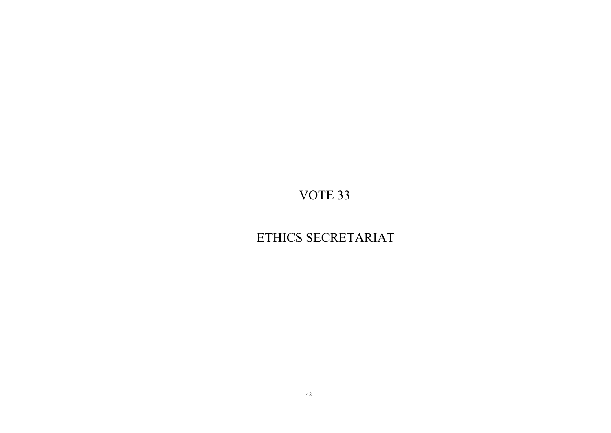# ETHICS SECRETARIAT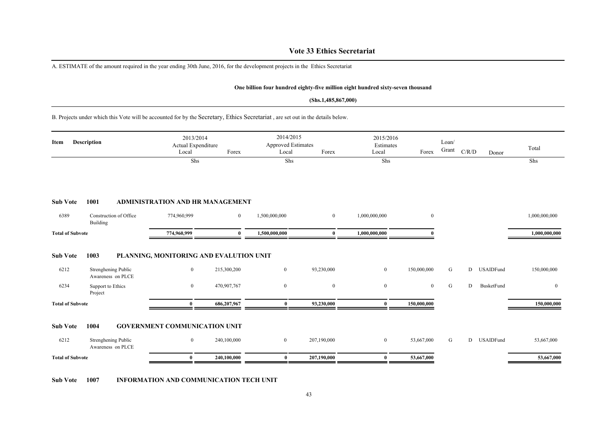### **Vote 33 Ethics Secretariat**

A. ESTIMATE of the amount required in the year ending 30th June, 2016, for the development projects in the Ethics Secretariat

#### **One billion four hundred eighty-five million eight hundred sixty-seven thousand**

#### **(Shs.1,485,867,000)**

B. Projects under which this Vote will be accounted for by the Secretary, Ethics Secretariat , are set out in the details below.

| Item                    | <b>Description</b>                       | 2013/2014<br>Actual Expenditure<br>Local | Forex          | 2014/2015<br><b>Approved Estimates</b><br>Local | Forex          | 2015/2016<br>Estimates<br>Local | Forex        | Loan/<br>Grant | C/R/D<br>Donor        | Total         |
|-------------------------|------------------------------------------|------------------------------------------|----------------|-------------------------------------------------|----------------|---------------------------------|--------------|----------------|-----------------------|---------------|
|                         |                                          | Shs                                      |                | Shs                                             |                | Shs                             |              |                |                       | Shs           |
| <b>Sub Vote</b>         | 1001                                     | <b>ADMINISTRATION AND HR MANAGEMENT</b>  |                |                                                 |                |                                 |              |                |                       |               |
| 6389                    | Construction of Office<br>Building       | 774,960,999                              | $\overline{0}$ | 1,500,000,000                                   | $\overline{0}$ | 1,000,000,000                   | $\mathbf{0}$ |                |                       | 1,000,000,000 |
| <b>Total of Subvote</b> |                                          | 774,960,999                              | $\mathbf{0}$   | 1,500,000,000                                   | $\mathbf{0}$   | 1,000,000,000                   |              |                |                       | 1,000,000,000 |
| <b>Sub Vote</b>         | 1003                                     | PLANNING, MONITORING AND EVALUTION UNIT  |                |                                                 |                |                                 |              |                |                       |               |
| 6212                    | Strenghening Public<br>Awareness on PLCE | $\mathbf{0}$                             | 215,300,200    | $\overline{0}$                                  | 93,230,000     | $\overline{0}$                  | 150,000,000  | G              | D<br><b>USAIDFund</b> | 150,000,000   |
| 6234                    | Support to Ethics<br>Project             | $\overline{0}$                           | 470,907,767    | $\mathbf{0}$                                    | $\overline{0}$ | $\overline{0}$                  | $\mathbf{0}$ | G              | BusketFund<br>D       | $\mathbf{0}$  |
| <b>Total of Subvote</b> |                                          | 0                                        | 686,207,967    | $\bf{0}$                                        | 93,230,000     | $\bf{0}$                        | 150,000,000  |                |                       | 150,000,000   |
| <b>Sub Vote</b>         | 1004                                     | <b>GOVERNMENT COMMUNICATION UNIT</b>     |                |                                                 |                |                                 |              |                |                       |               |
| 6212                    | Strenghening Public<br>Awareness on PLCE | $\overline{0}$                           | 240,100,000    | $\overline{0}$                                  | 207,190,000    | $\overline{0}$                  | 53,667,000   | G              | D<br><b>USAIDFund</b> | 53,667,000    |
| <b>Total of Subvote</b> |                                          | $\bf{0}$                                 | 240,100,000    | $\bf{0}$                                        | 207,190,000    | $\mathbf{0}$                    | 53,667,000   |                |                       | 53,667,000    |

**Sub Vote 1007 INFORMATION AND COMMUNICATION TECH UNIT**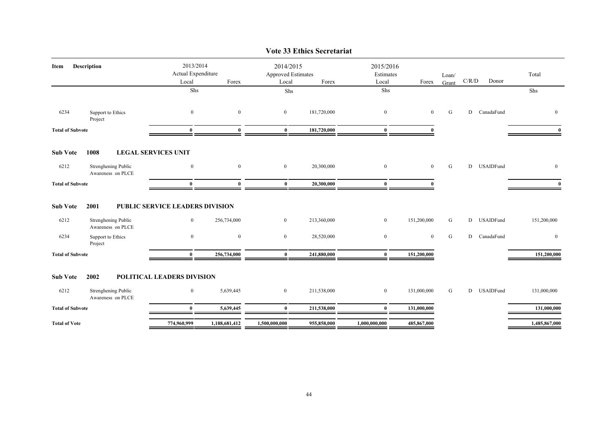|                         |                                          |                                          |                |                                          | VUU JJ EMINS SUU UMHAL |                                 |                |                |             |              |                |
|-------------------------|------------------------------------------|------------------------------------------|----------------|------------------------------------------|------------------------|---------------------------------|----------------|----------------|-------------|--------------|----------------|
| Item                    | Description                              | 2013/2014<br>Actual Expenditure<br>Local | Forex          | 2014/2015<br>Approved Estimates<br>Local | Forex                  | 2015/2016<br>Estimates<br>Local | Forex          | Loan/<br>Grant | $\rm C/R/D$ | Donor        | Total          |
|                         |                                          | Shs                                      |                | Shs                                      |                        | Shs                             |                |                |             |              | Shs            |
|                         |                                          |                                          |                |                                          |                        |                                 |                |                |             |              |                |
| 6234                    | Support to Ethics<br>Project             | $\mathbf{0}$                             | $\overline{0}$ | $\overline{0}$                           | 181,720,000            | $\mathbf{0}$                    | $\overline{0}$ | G              | D           | CanadaFund   | $\overline{0}$ |
| <b>Total of Subvote</b> |                                          | $\bf{0}$                                 | $\mathbf{0}$   | $\bf{0}$                                 | 181,720,000            | $\bf{0}$                        | $\theta$       |                |             |              | $\mathbf{0}$   |
| <b>Sub Vote</b>         | 1008                                     | <b>LEGAL SERVICES UNIT</b>               |                |                                          |                        |                                 |                |                |             |              |                |
| 6212                    | Strenghening Public<br>Awareness on PLCE | $\bf{0}$                                 | $\mathbf{0}$   | $\overline{0}$                           | 20,300,000             | $\mathbf{0}$                    | $\overline{0}$ | G              |             | D USAIDFund  | $\mathbf{0}$   |
| <b>Total of Subvote</b> |                                          | $\mathbf{0}$                             | $\mathbf{0}$   | $\bf{0}$                                 | 20,300,000             | $\bf{0}$                        | $\mathbf{0}$   |                |             |              | $\mathbf{0}$   |
| <b>Sub Vote</b>         | 2001                                     | <b>PUBLIC SERVICE LEADERS DIVISION</b>   |                |                                          |                        |                                 |                |                |             |              |                |
| 6212                    | Strenghening Public<br>Awareness on PLCE | $\overline{0}$                           | 256,734,000    | $\overline{0}$                           | 213,360,000            | $\overline{0}$                  | 151,200,000    | G              |             | D USAIDFund  | 151,200,000    |
| 6234                    | Support to Ethics<br>Project             | $\boldsymbol{0}$                         | $\mathbf{0}$   | $\overline{0}$                           | 28,520,000             | $\boldsymbol{0}$                | $\bf{0}$       | G              |             | D CanadaFund | $\mathbf{0}$   |
| <b>Total of Subvote</b> |                                          | $\mathbf{0}$                             | 256,734,000    | $\bf{0}$                                 | 241,880,000            | $\bf{0}$                        | 151,200,000    |                |             |              | 151,200,000    |
| <b>Sub Vote</b>         | 2002                                     | POLITICAL LEADERS DIVISION               |                |                                          |                        |                                 |                |                |             |              |                |
| 6212                    | Strenghening Public<br>Awareness on PLCE | $\bf{0}$                                 | 5,639,445      | $\overline{0}$                           | 211,538,000            | $\boldsymbol{0}$                | 131,000,000    | G              |             | D USAIDFund  | 131,000,000    |
| <b>Total of Subvote</b> |                                          | $\bf{0}$                                 | 5,639,445      | $\bf{0}$                                 | 211,538,000            | $\bf{0}$                        | 131,000,000    |                |             |              | 131,000,000    |
| <b>Total of Vote</b>    |                                          | 774,960,999                              | 1,188,681,412  | 1,500,000,000                            | 955,858,000            | 1,000,000,000                   | 485,867,000    |                |             |              | 1,485,867,000  |
|                         |                                          |                                          |                |                                          |                        |                                 |                |                |             |              |                |

### **Vote 33 Ethics Secretariat**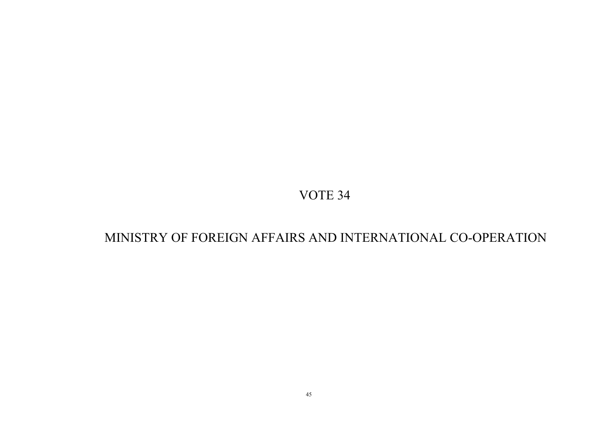# MINISTRY OF FOREIGN AFFAIRS AND INTERNATIONAL CO-OPERATION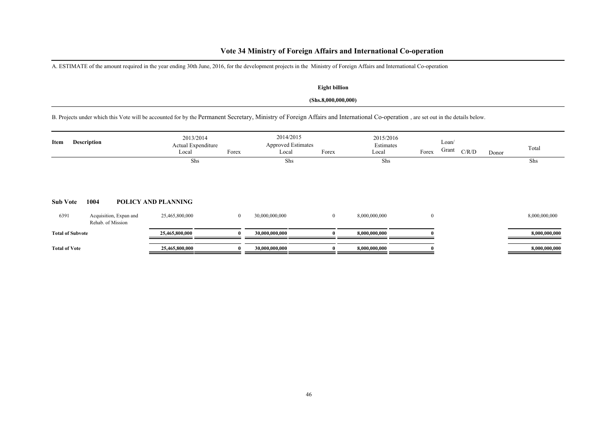# **Vote 34 Ministry of Foreign Affairs and International Co-operation**

A. ESTIMATE of the amount required in the year ending 30th June, 2016, for the development projects in the Ministry of Foreign Affairs and International Co-operation

### **Eight billion**

### **(Shs.8,000,000,000)**

B. Projects under which this Vote will be accounted for by the Permanent Secretary, Ministry of Foreign Affairs and International Co-operation , are set out in the details below.

| <b>Description</b><br>Item |                                             | 2013/2014<br>Actual Expenditure<br>Local | Forex        | 2014/2015<br><b>Approved Estimates</b><br>Local | Forex        | 2015/2016<br>Estimates<br>Local | Forex        | Loan/<br>Grant | C/R/D | Donor | Total         |
|----------------------------|---------------------------------------------|------------------------------------------|--------------|-------------------------------------------------|--------------|---------------------------------|--------------|----------------|-------|-------|---------------|
| <b>Sub Vote</b>            | 1004                                        | Shs<br>POLICY AND PLANNING               |              | Shs                                             |              | Shs                             |              |                |       |       | Shs           |
| 6391                       | Acquisition, Expan and<br>Rehab. of Mission | 25,465,800,000                           | $\bf{0}$     | 30,000,000,000                                  | $\mathbf{0}$ | 8,000,000,000                   | $\mathbf{0}$ |                |       |       | 8,000,000,000 |
| <b>Total of Subvote</b>    |                                             | 25,465,800,000                           | $\mathbf{0}$ | 30,000,000,000                                  |              | 8,000,000,000                   |              |                |       |       | 8,000,000,000 |
| <b>Total of Vote</b>       |                                             | 25,465,800,000                           | O            | 30,000,000,000                                  |              | 8,000,000,000                   |              |                |       |       | 8,000,000,000 |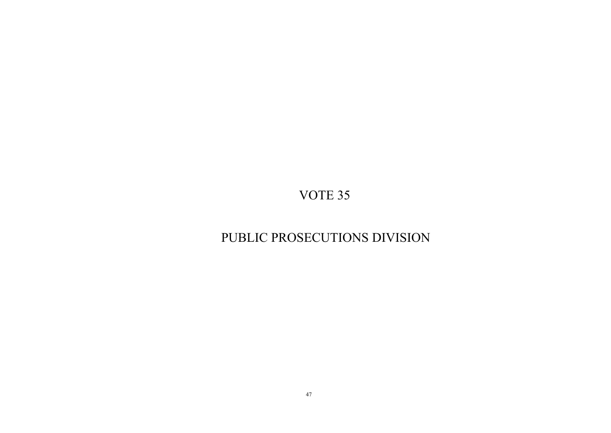# PUBLIC PROSECUTIONS DIVISION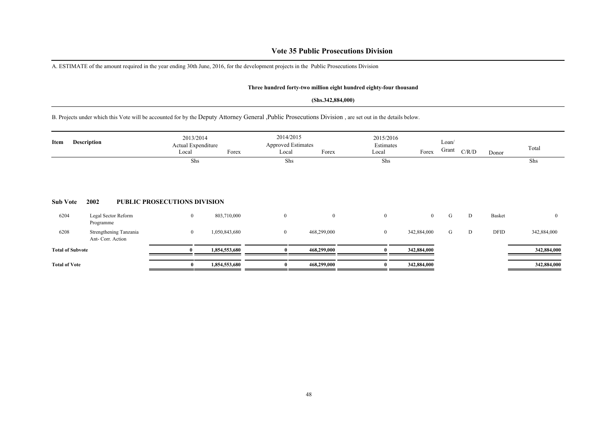### **Vote 35 Public Prosecutions Division**

A. ESTIMATE of the amount required in the year ending 30th June, 2016, for the development projects in the Public Prosecutions Division

#### **Three hundred forty-two million eight hundred eighty-four thousand**

#### **(Shs.342,884,000)**

B. Projects under which this Vote will be accounted for by the Deputy Attorney General ,Public Prosecutions Division , are set out in the details below.

| <b>Description</b><br>Item |                                             | 2013/2014<br>Actual Expenditure<br>Forex<br>Local |               | Local        | 2014/2015<br><b>Approved Estimates</b><br>Forex |              | 2015/2016<br>Estimates<br>Forex | Loan/<br>Grant | C/R/D | Donor  | Total          |
|----------------------------|---------------------------------------------|---------------------------------------------------|---------------|--------------|-------------------------------------------------|--------------|---------------------------------|----------------|-------|--------|----------------|
|                            |                                             | Shs                                               |               | Shs          |                                                 | Shs          |                                 |                |       |        | Shs            |
| <b>Sub Vote</b>            | 2002                                        | <b>PUBLIC PROSECUTIONS DIVISION</b>               |               |              |                                                 |              |                                 |                |       |        |                |
| 6204                       | Legal Sector Reform<br>Programme            | $\mathbf{0}$                                      | 803,710,000   | $\mathbf{0}$ | $\overline{0}$                                  | $\mathbf{0}$ | $\overline{0}$                  | G              | D     | Basket | $\overline{0}$ |
| 6208                       | Strengthening Tanzania<br>Ant- Corr. Action | $\mathbf{0}$                                      | 1,050,843,680 | $\mathbf{0}$ | 468,299,000                                     | $\bf{0}$     | 342,884,000                     | G              | D     | DFID   | 342,884,000    |
| <b>Total of Subvote</b>    |                                             |                                                   | 1,854,553,680 |              | 468,299,000                                     |              | 342,884,000                     |                |       |        | 342,884,000    |
| <b>Total of Vote</b>       |                                             | $\bf{0}$                                          | 1,854,553,680 |              | 468,299,000                                     |              | 342,884,000                     |                |       |        | 342,884,000    |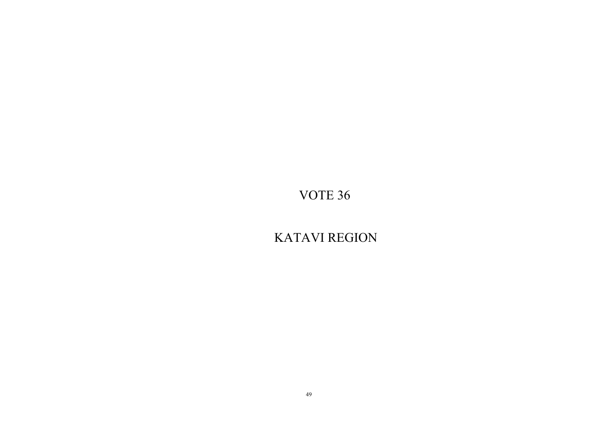KATAVI REGION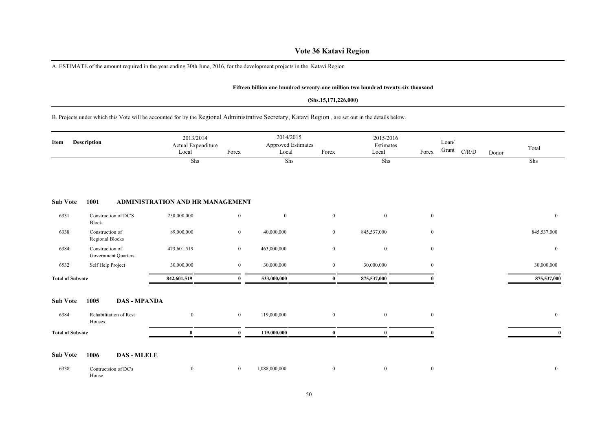### **Vote 36 Katavi Region**

A. ESTIMATE of the amount required in the year ending 30th June, 2016, for the development projects in the Katavi Region

#### **Fifteen billion one hundred seventy-one million two hundred twenty-six thousand**

#### **(Shs.15,171,226,000)**

B. Projects under which this Vote will be accounted for by the Regional Administrative Secretary, Katavi Region , are set out in the details below.

| Item                    | <b>Description</b>                     | 2013/2014<br>Actual Expenditure<br>Local | Forex          | 2014/2015<br>Approved Estimates<br>Local | Forex            | 2015/2016<br>Estimates<br>Local | Forex            | Loan/<br>Grant<br>C/R/D | Donor | Total          |
|-------------------------|----------------------------------------|------------------------------------------|----------------|------------------------------------------|------------------|---------------------------------|------------------|-------------------------|-------|----------------|
|                         |                                        | Shs                                      |                | Shs                                      |                  | Shs                             |                  |                         |       | Shs            |
| <b>Sub Vote</b>         | 1001                                   | ADMINISTRATION AND HR MANAGEMENT         |                |                                          |                  |                                 |                  |                         |       |                |
| 6331                    | Construction of DC'S<br>Block          | 250,000,000                              | $\overline{0}$ | $\mathbf{0}$                             | $\mathbf{0}$     | $\mathbf{0}$                    | $\bf{0}$         |                         |       | $\overline{0}$ |
| 6338                    | Construction of<br>Regional Blocks     | 89,000,000                               | $\overline{0}$ | 40,000,000                               | $\overline{0}$   | 845,537,000                     | $\boldsymbol{0}$ |                         |       | 845,537,000    |
| 6384                    | Construction of<br>Government Quarters | 473,601,519                              | $\overline{0}$ | 463,000,000                              | $\boldsymbol{0}$ | $\bf{0}$                        | $\boldsymbol{0}$ |                         |       | $\overline{0}$ |
| 6532                    | Self Help Project                      | 30,000,000                               | $\overline{0}$ | 30,000,000                               | $\mathbf{0}$     | 30,000,000                      | $\mathbf{0}$     |                         |       | 30,000,000     |
| <b>Total of Subvote</b> |                                        | 842,601,519                              | $\mathbf{0}$   | 533,000,000                              | $\bf{0}$         | 875,537,000                     |                  |                         |       | 875,537,000    |
| <b>Sub Vote</b>         | 1005<br><b>DAS - MPANDA</b>            |                                          |                |                                          |                  |                                 |                  |                         |       |                |
| 6384                    | Rehabilitation of Rest<br>Houses       | $\bf{0}$                                 | $\overline{0}$ | 119,000,000                              | $\overline{0}$   | $\bf{0}$                        | $\boldsymbol{0}$ |                         |       | $\overline{0}$ |
| <b>Total of Subvote</b> |                                        | $\theta$                                 | $\Omega$       | 119,000,000                              | $\mathbf{0}$     | $\mathbf{0}$                    |                  |                         |       |                |
| <b>Sub Vote</b>         | 1006<br><b>DAS - MLELE</b>             |                                          |                |                                          |                  |                                 |                  |                         |       |                |
| 6338                    | Contructsion of DC's<br>House          | $\bf{0}$                                 | $\overline{0}$ | 1,088,000,000                            | $\boldsymbol{0}$ | $\bf{0}$                        | $\boldsymbol{0}$ |                         |       | $\overline{0}$ |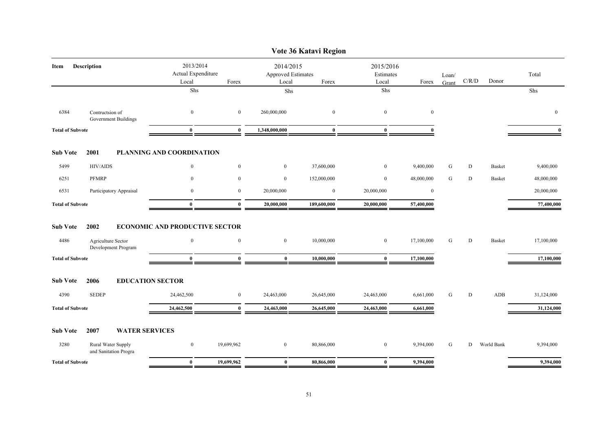|                         |                                             |                                          |                  |                                          | Vote 36 Katavi Region |                                 |              |                |                                        |               |                |
|-------------------------|---------------------------------------------|------------------------------------------|------------------|------------------------------------------|-----------------------|---------------------------------|--------------|----------------|----------------------------------------|---------------|----------------|
| Item                    | Description                                 | 2013/2014<br>Actual Expenditure<br>Local | Forex            | 2014/2015<br>Approved Estimates<br>Local | Forex                 | 2015/2016<br>Estimates<br>Local | Forex        | Loan/<br>Grant | $\mathbf{C} / \mathbf{R} / \mathbf{D}$ | Donor         | Total          |
|                         |                                             | ${\rm Shs}$                              |                  | Shs                                      |                       | Shs                             |              |                |                                        |               | Shs            |
| 6384                    | Contructsion of<br>Government Buildings     | $\boldsymbol{0}$                         | $\mathbf{0}$     | 260,000,000                              | $\mathbf{0}$          | $\mathbf{0}$                    | $\mathbf{0}$ |                |                                        |               | $\overline{0}$ |
| <b>Total of Subvote</b> |                                             | $\bf{0}$                                 | $\bf{0}$         | 1,348,000,000                            | $\mathbf{0}$          | $\bf{0}$                        | $\mathbf{0}$ |                |                                        |               | $\mathbf{0}$   |
| <b>Sub Vote</b>         | 2001                                        | PLANNING AND COORDINATION                |                  |                                          |                       |                                 |              |                |                                        |               |                |
| 5499                    | <b>HIV/AIDS</b>                             | $\boldsymbol{0}$                         | $\boldsymbol{0}$ | $\overline{0}$                           | 37,600,000            | $\boldsymbol{0}$                | 9,400,000    | ${\bf G}$      | $\mathbf D$                            | <b>Basket</b> | 9,400,000      |
| 6251                    | <b>PFMRP</b>                                | $\mathbf{0}$                             | $\overline{0}$   | $\overline{0}$                           | 152,000,000           | $\overline{0}$                  | 48,000,000   | G              | D                                      | <b>Basket</b> | 48,000,000     |
| 6531                    | Participatory Appraisal                     | $\bf{0}$                                 | $\mathbf{0}$     | 20,000,000                               | $\bf{0}$              | 20,000,000                      | $\mathbf{0}$ |                |                                        |               | 20,000,000     |
| <b>Total of Subvote</b> |                                             | $\bf{0}$                                 | $\bf{0}$         | 20,000,000                               | 189,600,000           | 20,000,000                      | 57,400,000   |                |                                        |               | 77,400,000     |
| <b>Sub Vote</b>         | 2002                                        | <b>ECONOMIC AND PRODUCTIVE SECTOR</b>    |                  |                                          |                       |                                 |              |                |                                        |               |                |
| 4486                    | Agriculture Sector<br>Development Program   | $\boldsymbol{0}$                         | $\mathbf{0}$     | $\overline{0}$                           | 10,000,000            | $\overline{0}$                  | 17,100,000   | G              | D                                      | <b>Basket</b> | 17,100,000     |
| <b>Total of Subvote</b> |                                             | $\bf{0}$                                 | $\mathbf{0}$     | $\bf{0}$                                 | 10,000,000            | $\bf{0}$                        | 17,100,000   |                |                                        |               | 17,100,000     |
| <b>Sub Vote</b>         | 2006                                        | <b>EDUCATION SECTOR</b>                  |                  |                                          |                       |                                 |              |                |                                        |               |                |
| 4390                    | <b>SEDEP</b>                                | 24,462,500                               | $\overline{0}$   | 24,463,000                               | 26,645,000            | 24,463,000                      | 6,661,000    | G              | D                                      | ADB           | 31,124,000     |
| <b>Total of Subvote</b> |                                             | 24,462,500                               | $\bf{0}$         | 24,463,000                               | 26,645,000            | 24,463,000                      | 6,661,000    |                |                                        |               | 31,124,000     |
| <b>Sub Vote</b>         | 2007<br><b>WATER SERVICES</b>               |                                          |                  |                                          |                       |                                 |              |                |                                        |               |                |
| 3280                    | Rural Water Supply<br>and Sanitation Progra | $\mathbf{0}$                             | 19,699,962       | $\overline{0}$                           | 80,866,000            | $\bf{0}$                        | 9,394,000    | G              | D                                      | World Bank    | 9,394,000      |
| <b>Total of Subvote</b> |                                             | $\bf{0}$                                 | 19,699,962       | $\bf{0}$                                 | 80,866,000            | $\bf{0}$                        | 9,394,000    |                |                                        |               | 9,394,000      |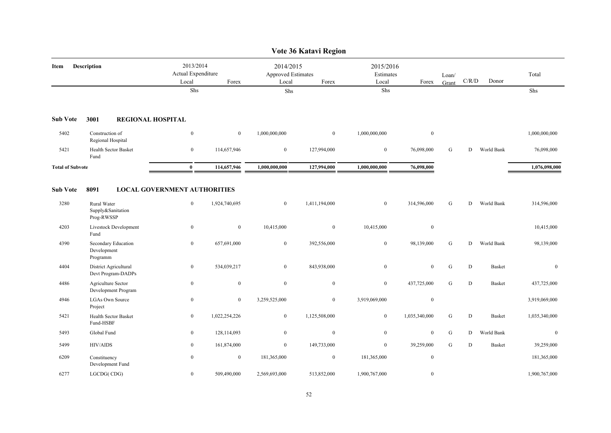|                         |                                                |                                          |                  |                                          | Vote 36 Katavi Region |                                 |                  |                |             |               |               |
|-------------------------|------------------------------------------------|------------------------------------------|------------------|------------------------------------------|-----------------------|---------------------------------|------------------|----------------|-------------|---------------|---------------|
| Item                    | <b>Description</b>                             | 2013/2014<br>Actual Expenditure<br>Local | Forex            | 2014/2015<br>Approved Estimates<br>Local | Forex                 | 2015/2016<br>Estimates<br>Local | Forex            | Loan/<br>Grant | C/R/D       | Donor         | Total         |
|                         |                                                | Shs                                      |                  | Shs                                      |                       | Shs                             |                  |                |             |               | Shs           |
| <b>Sub Vote</b>         | 3001<br><b>REGIONAL HOSPITAL</b>               |                                          |                  |                                          |                       |                                 |                  |                |             |               |               |
| 5402                    | Construction of<br>Regional Hospital           | $\mathbf{0}$                             | $\boldsymbol{0}$ | 1,000,000,000                            | $\bf{0}$              | 1,000,000,000                   | $\boldsymbol{0}$ |                |             |               | 1,000,000,000 |
| 5421                    | <b>Health Sector Basket</b><br>Fund            | $\boldsymbol{0}$                         | 114,657,946      | $\mathbf{0}$                             | 127,994,000           | $\boldsymbol{0}$                | 76,098,000       | ${\bf G}$      | ${\rm D}$   | World Bank    | 76,098,000    |
| <b>Total of Subvote</b> |                                                | $\bf{0}$                                 | 114,657,946      | 1,000,000,000                            | 127,994,000           | 1.000.000.000                   | 76,098,000       |                |             |               | 1,076,098,000 |
| <b>Sub Vote</b>         | 8091                                           | <b>LOCAL GOVERNMENT AUTHORITIES</b>      |                  |                                          |                       |                                 |                  |                |             |               |               |
| 3280                    | Rural Water<br>Supply&Sanitation<br>Prog-RWSSP | $\boldsymbol{0}$                         | 1,924,740,695    | $\mathbf{0}$                             | 1,411,194,000         | $\boldsymbol{0}$                | 314,596,000      | ${\bf G}$      | D           | World Bank    | 314,596,000   |
| 4203                    | Livestock Development<br>Fund                  | $\boldsymbol{0}$                         | $\boldsymbol{0}$ | 10,415,000                               | $\mathbf{0}$          | 10,415,000                      | $\boldsymbol{0}$ |                |             |               | 10,415,000    |
| 4390                    | Secondary Education<br>Development<br>Programm | $\mathbf{0}$                             | 657,691,000      | $\boldsymbol{0}$                         | 392,556,000           | $\boldsymbol{0}$                | 98,139,000       | ${\bf G}$      | D           | World Bank    | 98,139,000    |
| 4404                    | District Agricultural<br>Devt Program-DADPs    | $\bf{0}$                                 | 534,039,217      | $\overline{0}$                           | 843,938,000           | $\bf{0}$                        | $\bf{0}$         | G              | $\mathbf D$ | <b>Basket</b> | $\mathbf{0}$  |
| 4486                    | Agriculture Sector<br>Development Program      | $\mathbf{0}$                             | $\mathbf{0}$     | $\mathbf{0}$                             | $\mathbf{0}$          | $\boldsymbol{0}$                | 437,725,000      | G              | D           | <b>Basket</b> | 437,725,000   |
| 4946                    | <b>LGAs Own Source</b><br>Project              | $\mathbf{0}$                             | $\overline{0}$   | 3,259,525,000                            | $\overline{0}$        | 3,919,069,000                   | $\boldsymbol{0}$ |                |             |               | 3,919,069,000 |
| 5421                    | Health Sector Basket<br>Fund-HSBF              | $\boldsymbol{0}$                         | 1,022,254,226    | $\mathbf{0}$                             | 1,125,508,000         | $\boldsymbol{0}$                | 1,035,340,000    | ${\bf G}$      | ${\bf D}$   | <b>Basket</b> | 1,035,340,000 |
| 5493                    | Global Fund                                    | $\bf{0}$                                 | 128,114,093      | $\bf{0}$                                 | $\boldsymbol{0}$      | $\boldsymbol{0}$                | $\bf{0}$         | ${\bf G}$      | D           | World Bank    | $\mathbf{0}$  |
| 5499                    | <b>HIV/AIDS</b>                                | $\mathbf{0}$                             | 161,874,000      | $\overline{0}$                           | 149,733,000           | $\bf{0}$                        | 39,259,000       | G              | D           | <b>Basket</b> | 39,259,000    |
| 6209                    | Constituency<br>Development Fund               | $\bf{0}$                                 | $\bf{0}$         | 181,365,000                              | $\bf{0}$              | 181,365,000                     | $\boldsymbol{0}$ |                |             |               | 181,365,000   |
| 6277                    | LGCDG(CDG)                                     | $\mathbf{0}$                             | 509,490,000      | 2,569,693,000                            | 513,852,000           | 1,900,767,000                   | $\bf{0}$         |                |             |               | 1,900,767,000 |

52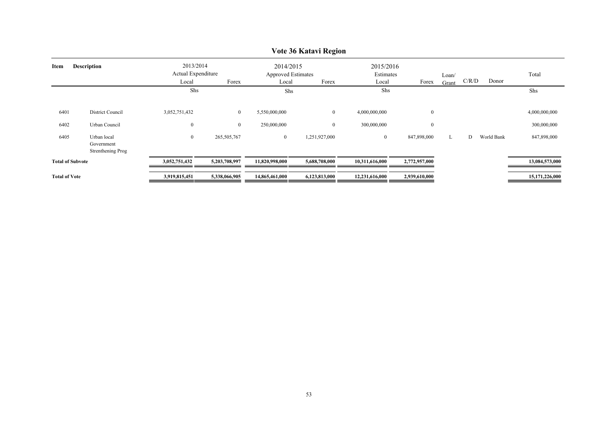|                            |                                                |                                          |                                |                                                 | $\sqrt{0}$ to the $\sqrt{1}$ respectively. |                                 |                              |                |       |            |                              |
|----------------------------|------------------------------------------------|------------------------------------------|--------------------------------|-------------------------------------------------|--------------------------------------------|---------------------------------|------------------------------|----------------|-------|------------|------------------------------|
| <b>Description</b><br>Item |                                                | 2013/2014<br>Actual Expenditure<br>Local | Forex                          | 2014/2015<br><b>Approved Estimates</b><br>Local | Forex                                      | 2015/2016<br>Estimates<br>Local | Forex                        | Loan/<br>Grant | C/R/D | Donor      | Total                        |
|                            |                                                | Shs                                      |                                | Shs                                             |                                            | Shs                             |                              |                |       |            | Shs                          |
| 6401<br>6402               | District Council<br>Urban Council              | 3,052,751,432<br>$\boldsymbol{0}$        | $\mathbf{0}$<br>$\overline{0}$ | 5,550,000,000<br>250,000,000                    | $\overline{0}$<br>$\mathbf{0}$             | 4,000,000,000<br>300,000,000    | $\boldsymbol{0}$<br>$\bf{0}$ |                |       |            | 4,000,000,000<br>300,000,000 |
| 6405                       | Urban local<br>Government<br>Strenthening Prog | $\bf{0}$                                 | 265,505,767                    | $\overline{0}$                                  | 1,251,927,000                              | $\bf{0}$                        | 847,898,000                  | L              | D     | World Bank | 847,898,000                  |
| <b>Total of Subvote</b>    |                                                | 3,052,751,432                            | 5,203,708,997                  | 11,820,998,000                                  | 5,688,708,000                              | 10,311,616,000                  | 2,772,957,000                |                |       |            | 13,084,573,000               |
| <b>Total of Vote</b>       |                                                | 3,919,815,451                            | 5,338,066,905                  | 14,865,461,000                                  | 6,123,813,000                              | 12,231,616,000                  | 2,939,610,000                |                |       |            | 15,171,226,000               |

### **Vote 36 Katavi Region**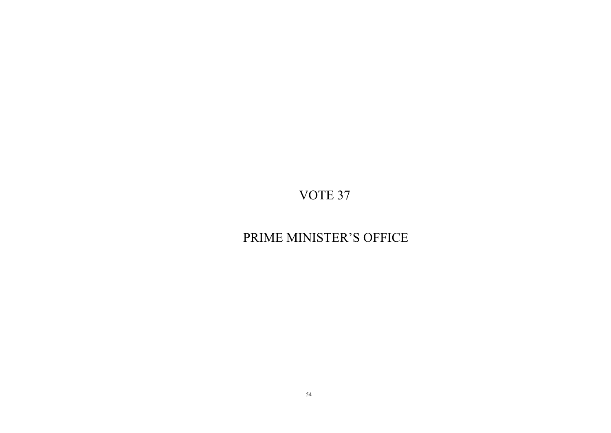# PRIME MINISTER'S OFFICE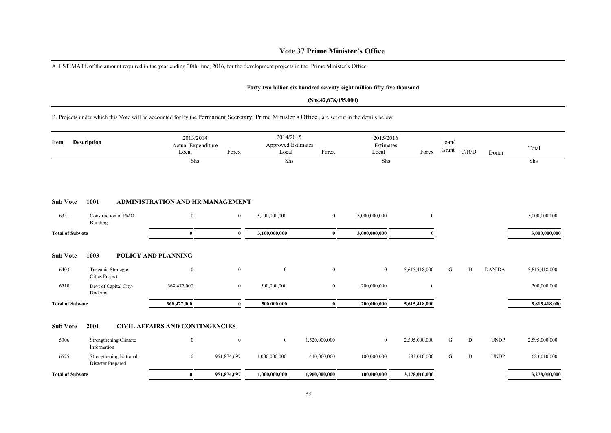### **Vote 37 Prime Minister's Office**

A. ESTIMATE of the amount required in the year ending 30th June, 2016, for the development projects in the Prime Minister's Office

### **Forty-two billion six hundred seventy-eight million fifty-five thousand**

#### **(Shs.42,678,055,000)**

B. Projects under which this Vote will be accounted for by the Permanent Secretary, Prime Minister's Office , are set out in the details below.

| Item                            | <b>Description</b>                                                           | 2013/2014<br>Actual Expenditure<br>Local<br>Shs           | Forex                            | 2014/2015<br><b>Approved Estimates</b><br>Local<br>Shs | Forex                        | 2015/2016<br>Estimates<br>Local<br>Shs | Forex                         | Loan/<br>Grant | C/R/D | Donor         | Total<br>Shs                 |
|---------------------------------|------------------------------------------------------------------------------|-----------------------------------------------------------|----------------------------------|--------------------------------------------------------|------------------------------|----------------------------------------|-------------------------------|----------------|-------|---------------|------------------------------|
| <b>Sub Vote</b>                 | 1001                                                                         | <b>ADMINISTRATION AND HR MANAGEMENT</b>                   |                                  |                                                        |                              |                                        |                               |                |       |               |                              |
| 6351                            | Construction of PMO<br>Building                                              | $\bf{0}$                                                  | $\mathbf{0}$                     | 3,100,000,000                                          | $\overline{0}$               | 3,000,000,000                          | $\overline{0}$                |                |       |               | 3,000,000,000                |
| <b>Total of Subvote</b>         |                                                                              | $\bf{0}$                                                  | $\mathbf{0}$                     | 3,100,000,000                                          | $\bf{0}$                     | 3,000,000,000                          |                               |                |       |               | 3,000,000,000                |
| <b>Sub Vote</b><br>6403<br>6510 | 1003<br>Tanzania Strategic<br><b>Cities Project</b><br>Devt of Capital City- | <b>POLICY AND PLANNING</b><br>$\mathbf{0}$<br>368,477,000 | $\overline{0}$<br>$\overline{0}$ | $\mathbf{0}$<br>500,000,000                            | $\mathbf{0}$<br>$\mathbf{0}$ | $\mathbf{0}$<br>200,000,000            | 5,615,418,000<br>$\mathbf{0}$ | G              | D     | <b>DANIDA</b> | 5,615,418,000<br>200,000,000 |
| <b>Total of Subvote</b>         | Dodoma                                                                       | 368,477,000                                               | 0                                | 500,000,000                                            | $\bf{0}$                     | 200,000,000                            | 5,615,418,000                 |                |       |               | 5,815,418,000                |
| <b>Sub Vote</b>                 | 2001                                                                         | <b>CIVIL AFFAIRS AND CONTINGENCIES</b>                    |                                  |                                                        |                              |                                        |                               |                |       |               |                              |
| 5306                            | <b>Strengthening Climate</b><br>Information                                  | $\mathbf{0}$                                              | $\mathbf{0}$                     | $\boldsymbol{0}$                                       | 1,520,000,000                | $\mathbf{0}$                           | 2,595,000,000                 | G              | D     | <b>UNDP</b>   | 2,595,000,000                |
| 6575                            | <b>Strengthening National</b><br>Disaster Prepared                           | $\mathbf{0}$                                              | 951,874,697                      | 1,000,000,000                                          | 440,000,000                  | 100,000,000                            | 583,010,000                   | G              | D     | <b>UNDP</b>   | 683,010,000                  |
| <b>Total of Subvote</b>         |                                                                              | $\bf{0}$                                                  | 951,874,697                      | 1,000,000,000                                          | 1,960,000,000                | 100,000,000                            | 3,178,010,000                 |                |       |               | 3,278,010,000                |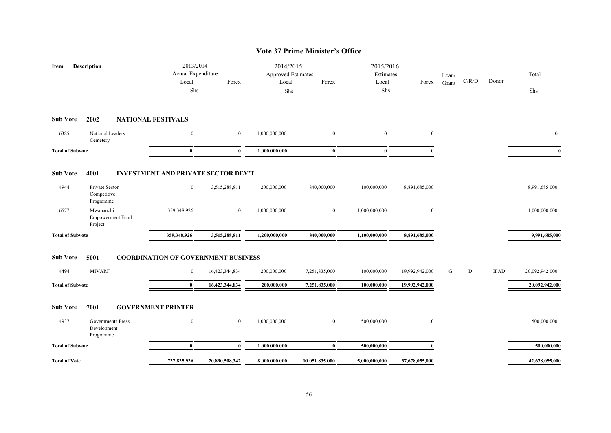|                         |                                                 |                                            |                  |                                                 | <b>Vote 37 Prime Minister's Office</b> |                                 |                  |                |       |             |                |
|-------------------------|-------------------------------------------------|--------------------------------------------|------------------|-------------------------------------------------|----------------------------------------|---------------------------------|------------------|----------------|-------|-------------|----------------|
| Item                    | <b>Description</b>                              | 2013/2014<br>Actual Expenditure<br>Local   | Forex            | 2014/2015<br><b>Approved Estimates</b><br>Local | Forex                                  | 2015/2016<br>Estimates<br>Local | Forex            | Loan/<br>Grant | C/R/D | Donor       | Total          |
|                         |                                                 | Shs                                        |                  | Shs                                             |                                        | Shs                             |                  |                |       |             | Shs            |
| <b>Sub Vote</b>         | 2002                                            | <b>NATIONAL FESTIVALS</b>                  |                  |                                                 |                                        |                                 |                  |                |       |             |                |
| 6385                    | National Leaders<br>Cemetery                    | $\boldsymbol{0}$                           | $\boldsymbol{0}$ | 1,000,000,000                                   | $\mathbf{0}$                           | $\mathbf{0}$                    | $\bf{0}$         |                |       |             | $\mathbf{0}$   |
| <b>Total of Subvote</b> |                                                 | $\bf{0}$                                   | $\bf{0}$         | 1,000,000,000                                   | $\bf{0}$                               | $\bf{0}$                        |                  |                |       |             | $\mathbf{0}$   |
| <b>Sub Vote</b>         | 4001                                            | <b>INVESTMENT AND PRIVATE SECTOR DEV'T</b> |                  |                                                 |                                        |                                 |                  |                |       |             |                |
| 4944                    | Private Sector<br>Competitive<br>Programme      | $\bf{0}$                                   | 3,515,288,811    | 200,000,000                                     | 840,000,000                            | 100,000,000                     | 8,891,685,000    |                |       |             | 8,991,685,000  |
| 6577                    | Mwananchi<br><b>Empowerment Fund</b><br>Project | 359,348,926                                | $\mathbf{0}$     | 1,000,000,000                                   | $\mathbf{0}$                           | 1,000,000,000                   | $\mathbf{0}$     |                |       |             | 1,000,000,000  |
| <b>Total of Subvote</b> |                                                 | 359,348,926                                | 3,515,288,811    | 1,200,000,000                                   | 840,000,000                            | 1,100,000,000                   | 8,891,685,000    |                |       |             | 9,991,685,000  |
| <b>Sub Vote</b>         | 5001                                            | <b>COORDINATION OF GOVERNMENT BUSINESS</b> |                  |                                                 |                                        |                                 |                  |                |       |             |                |
| 4494                    | <b>MIVARF</b>                                   | $\overline{0}$                             | 16,423,344,834   | 200,000,000                                     | 7,251,835,000                          | 100,000,000                     | 19,992,942,000   | G              | D     | <b>IFAD</b> | 20,092,942,000 |
| <b>Total of Subvote</b> |                                                 | $\bf{0}$                                   | 16,423,344,834   | 200,000,000                                     | 7,251,835,000                          | 100,000,000                     | 19,992,942,000   |                |       |             | 20,092,942,000 |
| <b>Sub Vote</b>         | 7001                                            | <b>GOVERNMENT PRINTER</b>                  |                  |                                                 |                                        |                                 |                  |                |       |             |                |
| 4937                    | Governments Press<br>Development<br>Programme   | $\boldsymbol{0}$                           | $\boldsymbol{0}$ | 1,000,000,000                                   | $\mathbf{0}$                           | 500,000,000                     | $\boldsymbol{0}$ |                |       |             | 500,000,000    |
| <b>Total of Subvote</b> |                                                 | $\bf{0}$                                   | $\mathbf{0}$     | 1,000,000,000                                   | $\mathbf{0}$                           | 500,000,000                     |                  |                |       |             | 500,000,000    |
| <b>Total of Vote</b>    |                                                 | 727,825,926                                | 20,890,508,342   | 8,000,000,000                                   | 10,051,835,000                         | 5,000,000,000                   | 37,678,055,000   |                |       |             | 42,678,055,000 |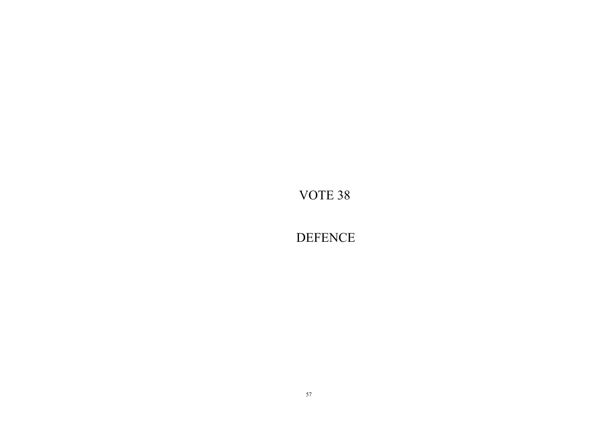**DEFENCE**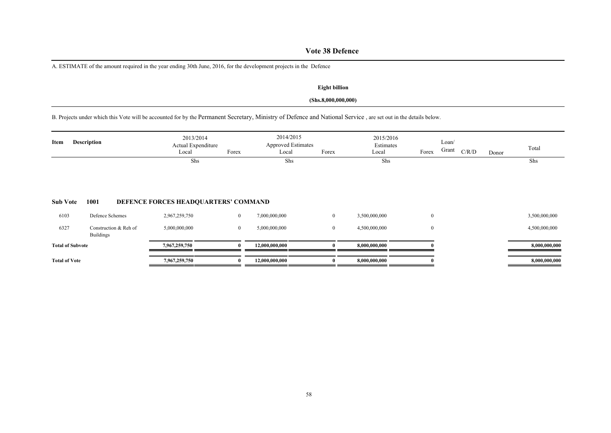# **Vote 38 Defence**

A. ESTIMATE of the amount required in the year ending 30th June, 2016, for the development projects in the Defence

### **Eight billion**

### **(Shs.8,000,000,000)**

B. Projects under which this Vote will be accounted for by the Permanent Secretary, Ministry of Defence and National Service , are set out in the details below.

| Item                    | <b>Description</b>                        | 2013/2014<br>Actual Expenditure<br>Local | Forex        | 2014/2015<br><b>Approved Estimates</b><br>Local | Forex        | 2015/2016<br>Estimates<br>Local | Forex            | Loan/<br>Grant | C/R/D | Donor | Total         |
|-------------------------|-------------------------------------------|------------------------------------------|--------------|-------------------------------------------------|--------------|---------------------------------|------------------|----------------|-------|-------|---------------|
|                         |                                           | Shs                                      |              | Shs                                             |              | Shs                             |                  |                |       |       | Shs           |
| <b>Sub Vote</b>         | 1001                                      | DEFENCE FORCES HEADQUARTERS' COMMAND     |              |                                                 |              |                                 |                  |                |       |       |               |
| 6103                    | Defence Schemes                           | 2,967,259,750                            | $\mathbf{0}$ | 7,000,000,000                                   | $\mathbf{0}$ | 3,500,000,000                   | $\bf{0}$         |                |       |       | 3,500,000,000 |
| 6327                    | Construction & Reh of<br><b>Buildings</b> | 5,000,000,000                            | $\mathbf{0}$ | 5,000,000,000                                   | $\mathbf{0}$ | 4,500,000,000                   | $\boldsymbol{0}$ |                |       |       | 4,500,000,000 |
| <b>Total of Subvote</b> |                                           | 7,967,259,750                            |              | 12,000,000,000                                  |              | 8,000,000,000                   |                  |                |       |       | 8,000,000,000 |
| <b>Total of Vote</b>    |                                           | 7,967,259,750                            |              | 12,000,000,000                                  |              | 8,000,000,000                   |                  |                |       |       | 8,000,000,000 |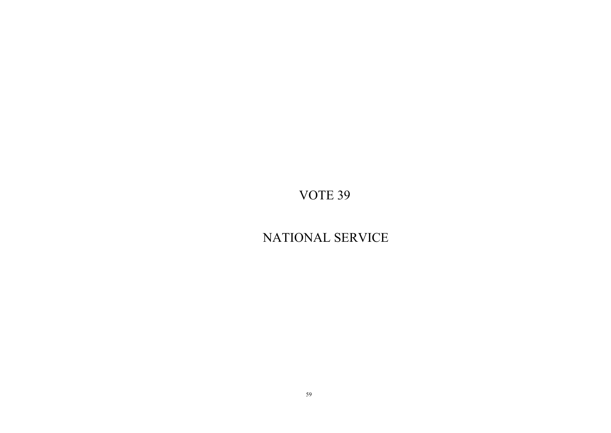# NATIONAL SERVICE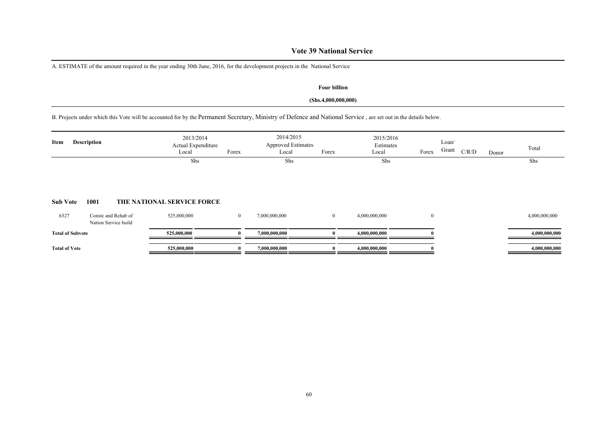### **Vote 39 National Service**

A. ESTIMATE of the amount required in the year ending 30th June, 2016, for the development projects in the National Service

### **Four billion**

### **(Shs.4,000,000,000)**

B. Projects under which this Vote will be accounted for by the Permanent Secretary, Ministry of Defence and National Service , are set out in the details below.

| Item                    | Description                                 | 2013/2014<br>Actual Expenditure<br>Local | Forex          | 2014/2015<br><b>Approved Estimates</b><br>Local | Forex          | 2015/2016<br>Estimates<br>Local | Forex          | Loan/<br>Grant<br>C/R/D | Donor | Total         |
|-------------------------|---------------------------------------------|------------------------------------------|----------------|-------------------------------------------------|----------------|---------------------------------|----------------|-------------------------|-------|---------------|
| <b>Sub Vote</b>         | 1001                                        | Shs<br>THE NATIONAL SERVICE FORCE        |                | Shs                                             |                | Shs                             |                |                         |       | Shs           |
| 6327                    | Conste and Rehab of<br>Nation Service build | 525,000,000                              | $\overline{0}$ | 7,000,000,000                                   | $\overline{0}$ | 4,000,000,000                   | $\overline{0}$ |                         |       | 4,000,000,000 |
| <b>Total of Subvote</b> |                                             | 525,000,000                              |                | 7,000,000,000                                   |                | 4,000,000,000                   |                |                         |       | 4,000,000,000 |
| <b>Total of Vote</b>    |                                             | 525,000,000                              |                | 7,000,000,000                                   |                | 4,000,000,000                   |                |                         |       | 4,000,000,000 |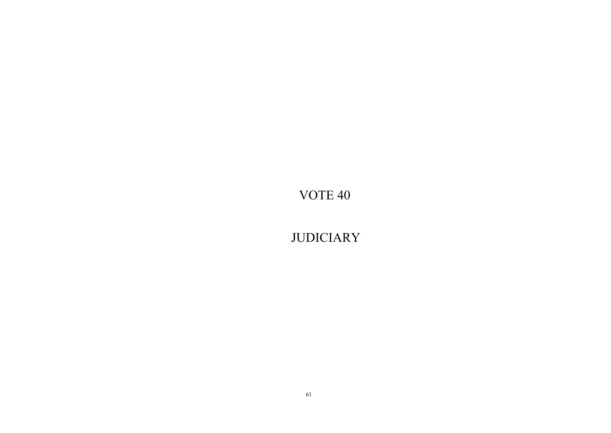**JUDICIARY**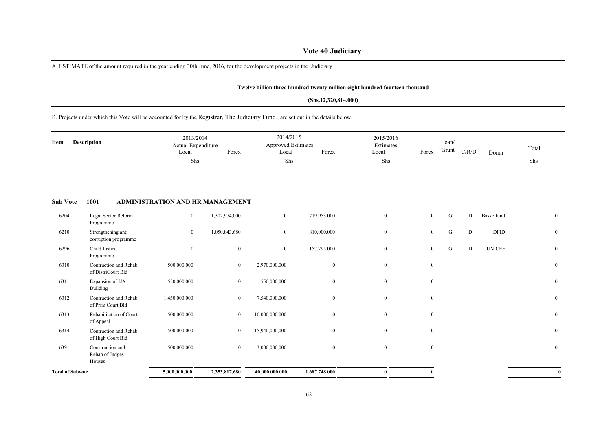# **Vote 40 Judiciary**

A. ESTIMATE of the amount required in the year ending 30th June, 2016, for the development projects in the Judiciary

#### **Twelve billion three hundred twenty million eight hundred fourteen thousand**

#### **(Shs.12,320,814,000)**

B. Projects under which this Vote will be accounted for by the Registrar, The Judiciary Fund , are set out in the details below.

| Item                    | Description                                   | 2013/2014<br>Actual Expenditure<br>Local<br>Shs | Forex            | 2014/2015<br><b>Approved Estimates</b><br>Local<br>Shs | Forex         | 2015/2016<br>Estimates<br>Local<br>Shs | Forex        | Loan/<br>Grant | C/R/D | Donor         | Total<br>Shs |
|-------------------------|-----------------------------------------------|-------------------------------------------------|------------------|--------------------------------------------------------|---------------|----------------------------------------|--------------|----------------|-------|---------------|--------------|
| <b>Sub Vote</b>         | 1001                                          | ADMINISTRATION AND HR MANAGEMENT                |                  |                                                        |               |                                        |              |                |       |               |              |
| 6204                    | Legal Sector Reform<br>Programme              | $\boldsymbol{0}$                                | 1,302,974,000    | $\overline{0}$                                         | 719,953,000   | $\overline{0}$                         | $\mathbf{0}$ | G              | D     | Basketfund    | $\mathbf{0}$ |
| 6210                    | Strengthening anti<br>corruption programme    | $\overline{0}$                                  | 1,050,843,680    | $\bf{0}$                                               | 810,000,000   | $\overline{0}$                         | $\mathbf{0}$ | ${\bf G}$      | D     | <b>DFID</b>   | $\mathbf{0}$ |
| 6296                    | Child Justice<br>Programme                    | $\mathbf{0}$                                    | $\boldsymbol{0}$ | $\bf{0}$                                               | 157,795,000   | $\overline{0}$                         | $\mathbf{0}$ | G              | D     | <b>UNICEF</b> | $\bf{0}$     |
| 6310                    | Contruction and Rehab<br>of DistriCourt Bld   | 500,000,000                                     | $\bf{0}$         | 2,970,000,000                                          | $\mathbf{0}$  | $\overline{0}$                         | $\mathbf{0}$ |                |       |               | $\mathbf{0}$ |
| 6311                    | Expansion of IJA<br>Building                  | 550,000,000                                     | $\overline{0}$   | 550,000,000                                            | $\mathbf{0}$  | $\mathbf{0}$                           | $\mathbf{0}$ |                |       |               | $\bf{0}$     |
| 6312                    | Contruction and Rehab<br>of Prim Court Bld    | 1,450,000,000                                   | $\mathbf{0}$     | 7,540,000,000                                          | $\mathbf{0}$  | $\overline{0}$                         | $\mathbf{0}$ |                |       |               | $\mathbf{0}$ |
| 6313                    | Rehabilitation of Court<br>of Appeal          | 500,000,000                                     | $\boldsymbol{0}$ | 10,000,000,000                                         | $\mathbf{0}$  | $\mathbf{0}$                           | $\mathbf{0}$ |                |       |               | $\bf{0}$     |
| 6314                    | Contruction and Rehab<br>of High Court Bld    | 1,500,000,000                                   | $\bf{0}$         | 15,940,000,000                                         | $\mathbf{0}$  | $\overline{0}$                         | $\mathbf{0}$ |                |       |               | $\theta$     |
| 6391                    | Construction and<br>Rehab of Judges<br>Houses | 500,000,000                                     | $\overline{0}$   | 3,000,000,000                                          | $\mathbf{0}$  | $\overline{0}$                         | $\mathbf{0}$ |                |       |               | $\mathbf{0}$ |
| <b>Total of Subvote</b> |                                               | 5,000,000,000                                   | 2,353,817,680    | 40,000,000,000                                         | 1,687,748,000 | $\bf{0}$                               |              |                |       |               | $\mathbf{0}$ |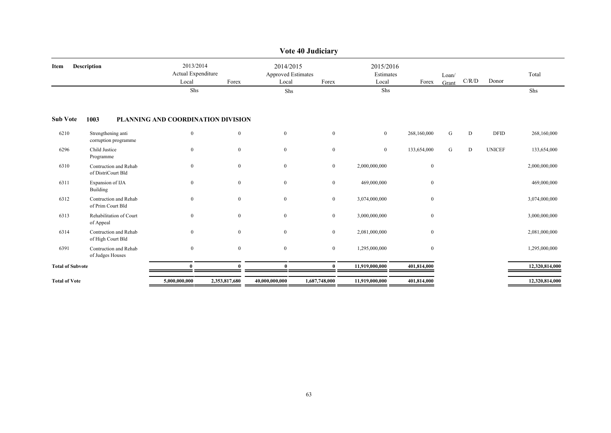| Description                                 | 2013/2014<br>Local | Forex        | Local                               | Forex                              | Local                                                | Forex        | Loan/<br>Grant         | C/R/D | Donor         | Total          |
|---------------------------------------------|--------------------|--------------|-------------------------------------|------------------------------------|------------------------------------------------------|--------------|------------------------|-------|---------------|----------------|
|                                             | Shs                |              | Shs                                 |                                    |                                                      |              |                        |       |               | Shs            |
| 1003                                        |                    |              |                                     |                                    |                                                      |              |                        |       |               |                |
| Strengthening anti<br>corruption programme  | $\boldsymbol{0}$   | $\mathbf{0}$ | $\mathbf{0}$                        | $\mathbf{0}$                       | $\mathbf{0}$                                         | 268,160,000  | G                      | D     | <b>DFID</b>   | 268,160,000    |
| Child Justice<br>Programme                  | $\boldsymbol{0}$   | $\mathbf{0}$ | $\mathbf{0}$                        | $\mathbf{0}$                       | $\mathbf{0}$                                         | 133,654,000  | G                      | D     | <b>UNICEF</b> | 133,654,000    |
| Contruction and Rehab<br>of DistriCourt Bld | $\boldsymbol{0}$   | $\mathbf{0}$ | $\mathbf{0}$                        | $\overline{0}$                     | 2,000,000,000                                        | $\bf{0}$     |                        |       |               | 2,000,000,000  |
| Expansion of IJA<br>Building                | $\boldsymbol{0}$   | $\mathbf{0}$ | $\boldsymbol{0}$                    | $\overline{0}$                     | 469,000,000                                          | $\mathbf{0}$ |                        |       |               | 469,000,000    |
| Contruction and Rehab<br>of Prim Court Bld  | $\boldsymbol{0}$   | $\mathbf{0}$ | $\bf{0}$                            | $\mathbf{0}$                       | 3,074,000,000                                        | $\mathbf{0}$ |                        |       |               | 3,074,000,000  |
| Rehabilitation of Court<br>of Appeal        | $\mathbf{0}$       | $\mathbf{0}$ | $\mathbf{0}$                        | $\overline{0}$                     | 3,000,000,000                                        | $\mathbf{0}$ |                        |       |               | 3,000,000,000  |
| Contruction and Rehab<br>of High Court Bld  | $\boldsymbol{0}$   | $\mathbf{0}$ | $\bf{0}$                            | $\overline{0}$                     | 2,081,000,000                                        | $\mathbf{0}$ |                        |       |               | 2,081,000,000  |
| Contruction and Rehab<br>of Judges Houses   | $\boldsymbol{0}$   | $\mathbf{0}$ | $\mathbf{0}$                        | $\overline{0}$                     | 1,295,000,000                                        | $\mathbf{0}$ |                        |       |               | 1,295,000,000  |
| <b>Total of Subvote</b>                     | $\mathbf{0}$       | $\theta$     | $\mathbf{0}$                        | $\mathbf{0}$                       | 11,919,000,000                                       | 401,814,000  |                        |       |               | 12,320,814,000 |
|                                             | 5,000,000,000      |              | 40,000,000,000                      | 1,687,748,000                      | 11,919,000,000                                       | 401,814,000  |                        |       |               | 12,320,814,000 |
|                                             |                    |              | Actual Expenditure<br>2,353,817,680 | PLANNING AND COORDINATION DIVISION | Vote 40 Judiciary<br>2014/2015<br>Approved Estimates | Shs          | 2015/2016<br>Estimates |       |               |                |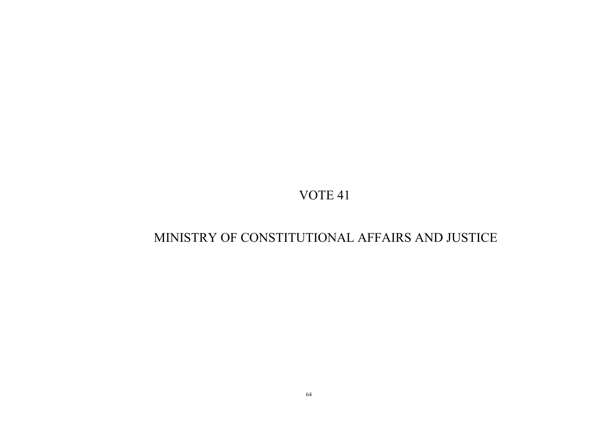# MINISTRY OF CONSTITUTIONAL AFFAIRS AND JUSTICE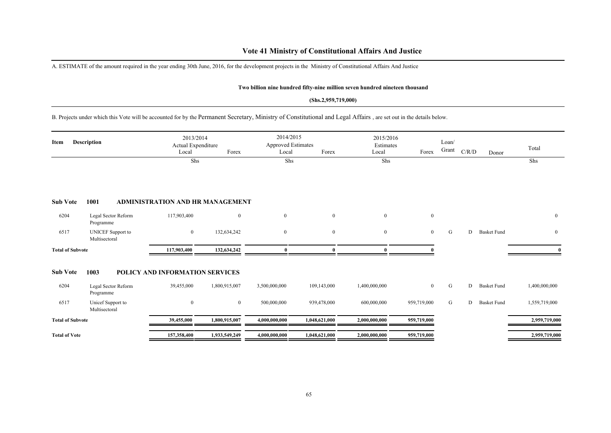### **Vote 41 Ministry of Constitutional Affairs And Justice**

A. ESTIMATE of the amount required in the year ending 30th June, 2016, for the development projects in the Ministry of Constitutional Affairs And Justice

#### **Two billion nine hundred fifty-nine million seven hundred nineteen thousand**

#### **(Shs.2,959,719,000)**

B. Projects under which this Vote will be accounted for by the Permanent Secretary, Ministry of Constitutional and Legal Affairs , are set out in the details below.

| Item                    | <b>Description</b>                        | 2013/2014<br>Actual Expenditure<br>Local | Forex          | 2014/2015<br><b>Approved Estimates</b><br>Local | Forex         | 2015/2016<br>Estimates<br>Local | Forex          | Loan/<br>Grant | C/R/D | Donor              | Total          |
|-------------------------|-------------------------------------------|------------------------------------------|----------------|-------------------------------------------------|---------------|---------------------------------|----------------|----------------|-------|--------------------|----------------|
|                         |                                           | Shs                                      |                | Shs                                             |               | Shs                             |                |                |       |                    | Shs            |
| <b>Sub Vote</b>         | 1001                                      | <b>ADMINISTRATION AND HR MANAGEMENT</b>  |                |                                                 |               |                                 |                |                |       |                    |                |
| 6204                    | Legal Sector Reform<br>Programme          | 117,903,400                              | $\overline{0}$ | $\boldsymbol{0}$                                | $\mathbf{0}$  | $\overline{0}$                  | $\bf{0}$       |                |       |                    | $\bf{0}$       |
| 6517                    | <b>UNICEF</b> Support to<br>Multisectoral | $\boldsymbol{0}$                         | 132,634,242    | $\bf{0}$                                        | $\mathbf{0}$  | $\overline{0}$                  | $\overline{0}$ | G              | D     | <b>Basket Fund</b> | $\overline{0}$ |
| <b>Total of Subvote</b> |                                           | 117,903,400                              | 132,634,242    | 0                                               | $\theta$      |                                 |                |                |       |                    |                |
| <b>Sub Vote</b>         | 1003                                      | POLICY AND INFORMATION SERVICES          |                |                                                 |               |                                 |                |                |       |                    |                |
| 6204                    | Legal Sector Reform<br>Programme          | 39,455,000                               | 1,800,915,007  | 3,500,000,000                                   | 109,143,000   | 1,400,000,000                   | $\overline{0}$ | ${\bf G}$      | D     | <b>Basket Fund</b> | 1,400,000,000  |
| 6517                    | Unicef Support to<br>Multisectoral        | $\mathbf{0}$                             | $\overline{0}$ | 500,000,000                                     | 939,478,000   | 600,000,000                     | 959,719,000    | G              | D     | <b>Basket Fund</b> | 1,559,719,000  |
| <b>Total of Subvote</b> |                                           | 39,455,000                               | 1,800,915,007  | 4,000,000,000                                   | 1,048,621,000 | 2,000,000,000                   | 959,719,000    |                |       |                    | 2,959,719,000  |
| <b>Total of Vote</b>    |                                           | 157,358,400                              | 1,933,549,249  | 4,000,000,000                                   | 1,048,621,000 | 2,000,000,000                   | 959,719,000    |                |       |                    | 2,959,719,000  |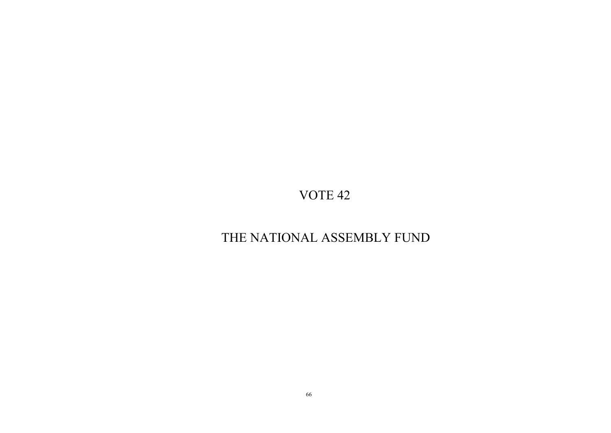# THE NATIONAL ASSEMBLY FUND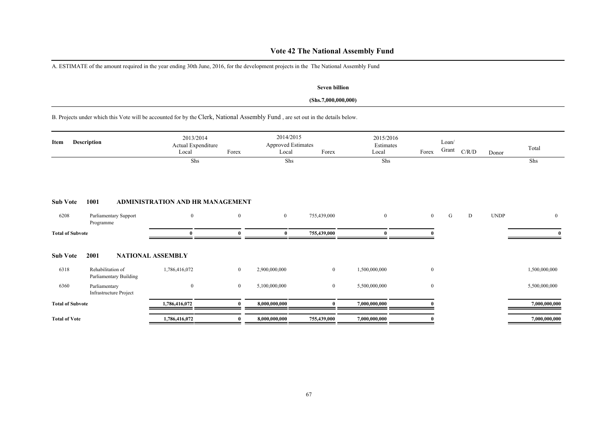# **Vote 42 The National Assembly Fund**

A. ESTIMATE of the amount required in the year ending 30th June, 2016, for the development projects in the The National Assembly Fund

### **Seven billion**

### **(Shs.7,000,000,000)**

B. Projects under which this Vote will be accounted for by the Clerk, National Assembly Fund , are set out in the details below.

| Item                    | <b>Description</b>                          | 2013/2014<br>Actual Expenditure<br>Local | Forex          | 2014/2015<br><b>Approved Estimates</b><br>Local | Forex          | 2015/2016<br>Estimates<br>Local | Forex          | Loan/<br>Grant | C/R/D | Donor       | Total         |
|-------------------------|---------------------------------------------|------------------------------------------|----------------|-------------------------------------------------|----------------|---------------------------------|----------------|----------------|-------|-------------|---------------|
|                         |                                             | Shs                                      |                | Shs                                             |                | Shs                             |                |                |       |             | Shs           |
| <b>Sub Vote</b>         | 1001                                        | <b>ADMINISTRATION AND HR MANAGEMENT</b>  |                |                                                 |                |                                 |                |                |       |             |               |
| 6208                    | Parliamentary Support<br>Programme          | $\mathbf{0}$                             | $\mathbf{0}$   | $\bf{0}$                                        | 755,439,000    | $\overline{0}$                  | $\mathbf{0}$   | G              | D     | <b>UNDP</b> | $\bf{0}$      |
| <b>Total of Subvote</b> |                                             | 0                                        |                | 0                                               | 755,439,000    |                                 |                |                |       |             | $\mathbf{0}$  |
| <b>Sub Vote</b>         | 2001                                        | <b>NATIONAL ASSEMBLY</b>                 |                |                                                 |                |                                 |                |                |       |             |               |
| 6318                    | Rehabilitation of<br>Parliamentary Building | 1,786,416,072                            | $\bf{0}$       | 2,900,000,000                                   | $\overline{0}$ | 1,500,000,000                   | $\bf{0}$       |                |       |             | 1,500,000,000 |
| 6360                    | Parliamentary<br>Infrastructure Project     | $\overline{0}$                           | $\overline{0}$ | 5,100,000,000                                   | $\overline{0}$ | 5,500,000,000                   | $\overline{0}$ |                |       |             | 5,500,000,000 |
| <b>Total of Subvote</b> |                                             | 1,786,416,072                            |                | 8,000,000,000                                   |                | 7,000,000,000                   |                |                |       |             | 7,000,000,000 |
| <b>Total of Vote</b>    |                                             | 1,786,416,072                            |                | 8,000,000,000                                   | 755,439,000    | 7,000,000,000                   |                |                |       |             | 7,000,000,000 |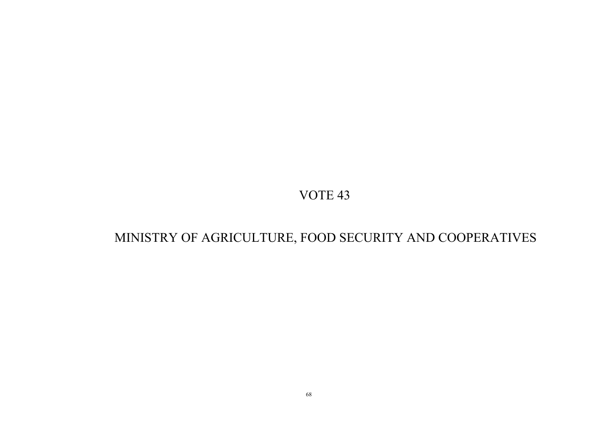# MINISTRY OF AGRICULTURE, FOOD SECURITY AND COOPERATIVES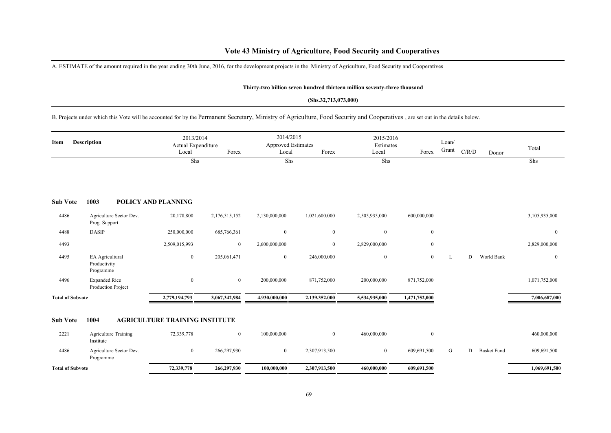A. ESTIMATE of the amount required in the year ending 30th June, 2016, for the development projects in the Ministry of Agriculture, Food Security and Cooperatives

#### **Thirty-two billion seven hundred thirteen million seventy-three thousand**

#### **(Shs.32,713,073,000)**

B. Projects under which this Vote will be accounted for by the Permanent Secretary, Ministry of Agriculture, Food Security and Cooperatives , are set out in the details below.

| Item                    | <b>Description</b>                           | 2013/2014<br>Actual Expenditure<br>Local | Forex         | 2014/2015<br><b>Approved Estimates</b><br>Local | Forex          | 2015/2016<br>Estimates<br>Local | Forex          | Loan/<br>Grant | C/R/D | Donor              | Total          |
|-------------------------|----------------------------------------------|------------------------------------------|---------------|-------------------------------------------------|----------------|---------------------------------|----------------|----------------|-------|--------------------|----------------|
|                         |                                              | Shs                                      |               | Shs                                             |                | Shs                             |                |                |       |                    | Shs            |
| <b>Sub Vote</b>         | 1003                                         | <b>POLICY AND PLANNING</b>               |               |                                                 |                |                                 |                |                |       |                    |                |
| 4486                    | Agriculture Sector Dev.<br>Prog. Support     | 20,178,800                               | 2,176,515,152 | 2,130,000,000                                   | 1,021,600,000  | 2,505,935,000                   | 600,000,000    |                |       |                    | 3,105,935,000  |
| 4488                    | <b>DASIP</b>                                 | 250,000,000                              | 685,766,361   | $\mathbf{0}$                                    | $\mathbf{0}$   | $\mathbf{0}$                    | $\overline{0}$ |                |       |                    | $\overline{0}$ |
| 4493                    |                                              | 2,509,015,993                            | $\mathbf{0}$  | 2,600,000,000                                   | $\mathbf{0}$   | 2,829,000,000                   | $\mathbf{0}$   |                |       |                    | 2,829,000,000  |
| 4495                    | EA Agricultural<br>Productivity<br>Programme | $\bf{0}$                                 | 205,061,471   | $\overline{0}$                                  | 246,000,000    | $\boldsymbol{0}$                | $\overline{0}$ | L              | D     | World Bank         | $\mathbf{0}$   |
| 4496                    | <b>Expanded Rice</b><br>Production Project   | $\bf{0}$                                 | $\mathbf{0}$  | 200,000,000                                     | 871,752,000    | 200,000,000                     | 871,752,000    |                |       |                    | 1,071,752,000  |
| <b>Total of Subvote</b> |                                              | 2,779,194,793                            | 3,067,342,984 | 4,930,000,000                                   | 2,139,352,000  | 5,534,935,000                   | 1,471,752,000  |                |       |                    | 7,006,687,000  |
| <b>Sub Vote</b>         | 1004                                         | <b>AGRICULTURE TRAINING INSTITUTE</b>    |               |                                                 |                |                                 |                |                |       |                    |                |
| 2221                    | <b>Agriculture Training</b><br>Institute     | 72,339,778                               | $\mathbf{0}$  | 100,000,000                                     | $\overline{0}$ | 460,000,000                     | $\overline{0}$ |                |       |                    | 460,000,000    |
| 4486                    | Agriculture Sector Dev.<br>Programme         | $\bf{0}$                                 | 266,297,930   | $\mathbf{0}$                                    | 2,307,913,500  | $\boldsymbol{0}$                | 609,691,500    | G              | D     | <b>Basket Fund</b> | 609,691,500    |
| <b>Total of Subvote</b> |                                              | 72,339,778                               | 266,297,930   | 100,000,000                                     | 2,307,913,500  | 460,000,000                     | 609,691,500    |                |       |                    | 1,069,691,500  |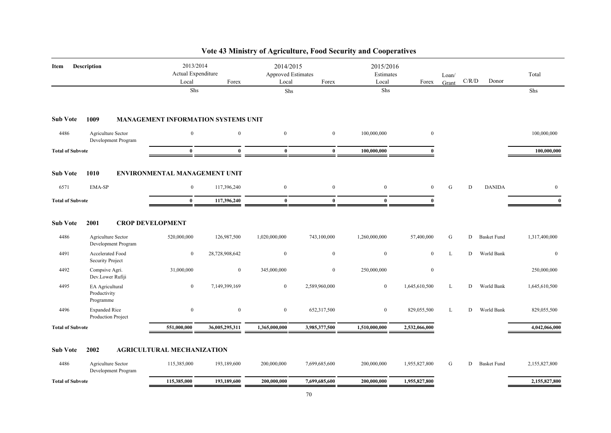| Item                    | <b>Description</b>                           | 2013/2014<br>Actual Expenditure<br>Local | Forex          | 2014/2015<br><b>Approved Estimates</b><br>Local | Forex          | 2015/2016<br>Estimates<br>Local | Forex            | Loan/<br>Grant | C/R/D | Donor              | Total          |
|-------------------------|----------------------------------------------|------------------------------------------|----------------|-------------------------------------------------|----------------|---------------------------------|------------------|----------------|-------|--------------------|----------------|
|                         |                                              | Shs                                      |                | Shs                                             |                | Shs                             |                  |                |       |                    | Shs            |
| <b>Sub Vote</b>         | 1009                                         | MANAGEMENT INFORMATION SYSTEMS UNIT      |                |                                                 |                |                                 |                  |                |       |                    |                |
| 4486                    | Agriculture Sector<br>Development Program    | $\mathbf{0}$                             | $\mathbf{0}$   | $\mathbf{0}$                                    | $\mathbf{0}$   | 100,000,000                     | $\mathbf{0}$     |                |       |                    | 100,000,000    |
| <b>Total of Subvote</b> |                                              | $\bf{0}$                                 | $\bf{0}$       | $\bf{0}$                                        | $\bf{0}$       | 100,000,000                     | $\mathbf{0}$     |                |       |                    | 100,000,000    |
| <b>Sub Vote</b>         | 1010                                         | ENVIRONMENTAL MANAGEMENT UNIT            |                |                                                 |                |                                 |                  |                |       |                    |                |
| 6571                    | EMA-SP                                       | $\mathbf{0}$                             | 117,396,240    | $\overline{0}$                                  | $\overline{0}$ | $\mathbf{0}$                    | $\overline{0}$   | G              | D     | <b>DANIDA</b>      | $\overline{0}$ |
| <b>Total of Subvote</b> |                                              | $\bf{0}$                                 | 117,396,240    | $\bf{0}$                                        | $\bf{0}$       | $\mathbf{0}$                    | $\theta$         |                |       |                    | $\bf{0}$       |
| <b>Sub Vote</b>         | 2001                                         | <b>CROP DEVELOPMENT</b>                  |                |                                                 |                |                                 |                  |                |       |                    |                |
| 4486                    | Agriculture Sector<br>Development Program    | 520,000,000                              | 126,987,500    | 1,020,000,000                                   | 743,100,000    | 1,260,000,000                   | 57,400,000       | G              | D     | <b>Basket Fund</b> | 1,317,400,000  |
| 4491                    | Accelerated Food<br>Security Project         | $\bf{0}$                                 | 28,728,908,642 | $\mathbf{0}$                                    | $\overline{0}$ | $\mathbf{0}$                    | $\mathbf{0}$     | $\mathbf L$    | D     | World Bank         | $\mathbf{0}$   |
| 4492                    | Compsive Agri.<br>Dev.Lower Rufiji           | 31,000,000                               | $\bf{0}$       | 345,000,000                                     | $\overline{0}$ | 250,000,000                     | $\boldsymbol{0}$ |                |       |                    | 250,000,000    |
| 4495                    | EA Agricultural<br>Productivity<br>Programme | $\mathbf{0}$                             | 7,149,399,169  | $\mathbf{0}$                                    | 2,589,960,000  | $\mathbf{0}$                    | 1,645,610,500    | L              | D     | World Bank         | 1,645,610,500  |
| 4496                    | <b>Expanded Rice</b><br>Production Project   | $\boldsymbol{0}$                         | $\mathbf{0}$   | $\boldsymbol{0}$                                | 652,317,500    | $\mathbf{0}$                    | 829,055,500      | L              | D     | World Bank         | 829,055,500    |
| <b>Total of Subvote</b> |                                              | 551,000,000                              | 36,005,295,311 | 1,365,000,000                                   | 3,985,377,500  | 1,510,000,000                   | 2,532,066,000    |                |       |                    | 4,042,066,000  |
| <b>Sub Vote</b>         | 2002                                         | <b>AGRICULTURAL MECHANIZATION</b>        |                |                                                 |                |                                 |                  |                |       |                    |                |
| 4486                    | Agriculture Sector<br>Development Program    | 115,385,000                              | 193,189,600    | 200,000,000                                     | 7,699,685,600  | 200,000,000                     | 1,955,827,800    | G              | D     | <b>Basket Fund</b> | 2,155,827,800  |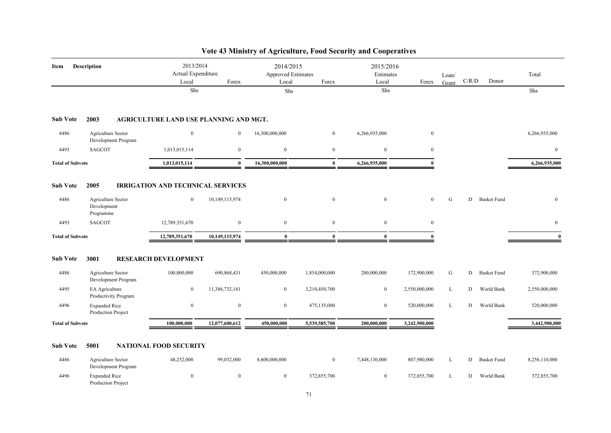| Item                    | <b>Description</b>                             | 2013/2014<br>Actual Expenditure<br>Local | Forex            | 2014/2015<br><b>Approved Estimates</b><br>Local | Forex            | 2015/2016<br>Estimates<br>Local | Forex         | Loan/<br>Grant | $\mathbf{C} / \mathbf{R} / \mathbf{D}$ | Donor              | Total          |
|-------------------------|------------------------------------------------|------------------------------------------|------------------|-------------------------------------------------|------------------|---------------------------------|---------------|----------------|----------------------------------------|--------------------|----------------|
|                         |                                                | Shs                                      |                  | Shs                                             |                  | Shs                             |               |                |                                        |                    | ${\rm Shs}$    |
| <b>Sub Vote</b>         | 2003                                           | AGRICULTURE LAND USE PLANNING AND MGT.   |                  |                                                 |                  |                                 |               |                |                                        |                    |                |
| 4486                    | Agriculture Sector<br>Development Program      | $\boldsymbol{0}$                         | $\mathbf{0}$     | 16,300,000,000                                  | $\boldsymbol{0}$ | 6,266,935,000                   | $\mathbf{0}$  |                |                                        |                    | 6,266,935,000  |
| 4493                    | <b>SAGCOT</b>                                  | 1,013,015,114                            | $\mathbf{0}$     | $\mathbf{0}$                                    | $\overline{0}$   | $\boldsymbol{0}$                | $\mathbf{0}$  |                |                                        |                    | $\overline{0}$ |
| <b>Total of Subvote</b> |                                                | 1,013,015,114                            | $\mathbf{0}$     | 16,300,000,000                                  | $\bf{0}$         | 6,266,935,000                   | $\theta$      |                |                                        |                    | 6,266,935,000  |
| <b>Sub Vote</b>         | 2005                                           | <b>IRRIGATION AND TECHNICAL SERVICES</b> |                  |                                                 |                  |                                 |               |                |                                        |                    |                |
| 4486                    | Agriculture Sector<br>Development<br>Programme | $\overline{0}$                           | 10,149,115,974   | $\overline{0}$                                  | $\mathbf{0}$     | $\mathbf{0}$                    | $\mathbf{0}$  | G              | D                                      | <b>Basket Fund</b> | $\mathbf{0}$   |
| 4493                    | <b>SAGCOT</b>                                  | 12,789,351,670                           | $\mathbf{0}$     | $\overline{0}$                                  | $\overline{0}$   | $\bf{0}$                        | $\mathbf{0}$  |                |                                        |                    | $\overline{0}$ |
| <b>Total of Subvote</b> |                                                | 12,789,351,670                           | 10,149,115,974   | $\mathbf{0}$                                    | $\mathbf{0}$     | $\bf{0}$                        | $\theta$      |                |                                        |                    | $\mathbf{0}$   |
| <b>Sub Vote</b>         | 3001                                           | <b>RESEARCH DEVELOPMENT</b>              |                  |                                                 |                  |                                 |               |                |                                        |                    |                |
| 4486                    | Agriculture Sector<br>Development Program      | 100,000,000                              | 690,868,431      | 450,000,000                                     | 1,854,000,000    | 200,000,000                     | 172,900,000   | G              | D                                      | <b>Basket Fund</b> | 372,900,000    |
| 4495                    | EA Agriculture<br>Productivity Program         | $\boldsymbol{0}$                         | 11,386,732,181   | $\bf{0}$                                        | 3,210,450,700    | $\boldsymbol{0}$                | 2,550,000,000 | L              | D                                      | World Bank         | 2,550,000,000  |
| 4496                    | <b>Expanded Rice</b><br>Production Project     | $\bf{0}$                                 | $\bf{0}$         | $\overline{0}$                                  | 475,135,000      | $\bf{0}$                        | 520,000,000   | L              | D                                      | World Bank         | 520,000,000    |
| <b>Total of Subvote</b> |                                                | 100,000,000                              | 12,077,600,612   | 450,000,000                                     | 5,539,585,700    | 200,000,000                     | 3,242,900,000 |                |                                        |                    | 3,442,900,000  |
| <b>Sub Vote</b>         | 5001                                           | <b>NATIONAL FOOD SECURITY</b>            |                  |                                                 |                  |                                 |               |                |                                        |                    |                |
| 4486                    | Agriculture Sector<br>Development Program      | 48,252,000                               | 99,032,000       | 8,600,000,000                                   | $\overline{0}$   | 7,448,130,000                   | 807,980,000   | L              | D                                      | <b>Basket Fund</b> | 8,256,110,000  |
| 4496                    | <b>Expanded Rice</b><br>Production Project     | $\boldsymbol{0}$                         | $\boldsymbol{0}$ | $\overline{0}$                                  | 372,855,700      | $\boldsymbol{0}$                | 372,855,700   | L              | D                                      | World Bank         | 372,855,700    |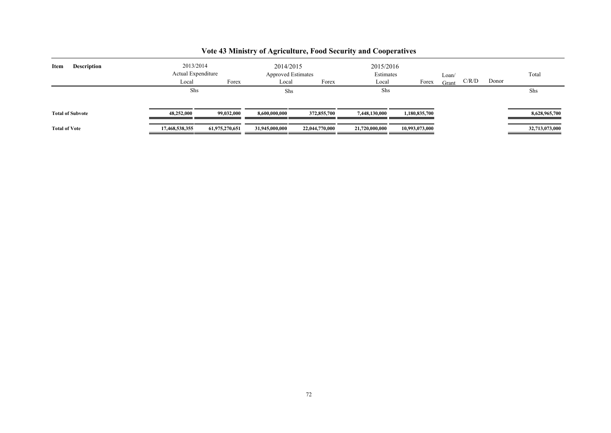| <b>Description</b><br>Item | 2013/2014          |                | 2014/2015                 |                | 2015/2016      |                |       |       |       |                |
|----------------------------|--------------------|----------------|---------------------------|----------------|----------------|----------------|-------|-------|-------|----------------|
|                            | Actual Expenditure |                | <b>Approved Estimates</b> |                | Estimates      |                | Loan/ |       |       | Total          |
|                            | Local              | Forex          | Local                     | Forex          | Local          | Forex          | Grant | C/R/D | Donor |                |
|                            | Shs                |                | Shs                       |                | Shs            |                |       |       |       | Shs            |
| <b>Total of Subvote</b>    | 48,252,000         | 99,032,000     | 8.600.000.000             | 372,855,700    | 7,448,130,000  | 1,180,835,700  |       |       |       | 8,628,965,700  |
| <b>Total of Vote</b>       | 17,468,538,355     | 61,975,270,651 | 31,945,000,000            | 22,044,770,000 | 21,720,000,000 | 10,993,073,000 |       |       |       | 32,713,073,000 |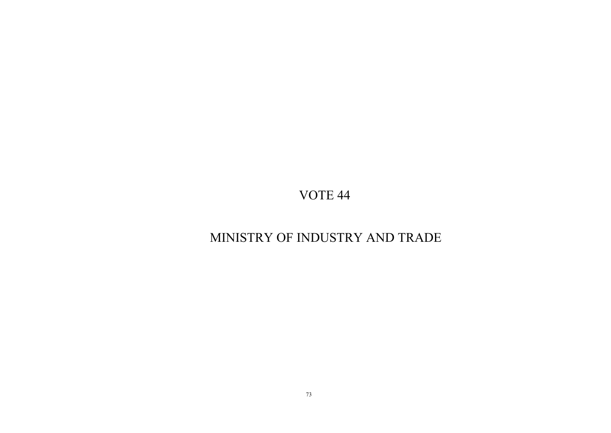# MINISTRY OF INDUSTRY AND TRADE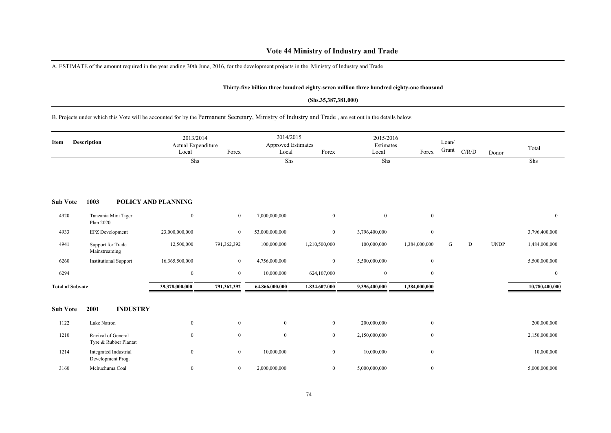## **Vote 44 Ministry of Industry and Trade**

A. ESTIMATE of the amount required in the year ending 30th June, 2016, for the development projects in the Ministry of Industry and Trade

### **Thirty-five billion three hundred eighty-seven million three hundred eighty-one thousand**

#### **(Shs.35,387,381,000)**

B. Projects under which this Vote will be accounted for by the Permanent Secretary, Ministry of Industry and Trade , are set out in the details below.

| Description<br>Item     |                                    | 2013/2014<br>Actual Expenditure<br>Local | Forex                      | 2014/2015<br>Approved Estimates<br>Local | Forex          | 2015/2016<br>Estimates<br>Local | Forex          | Loan/<br>Grant | C/R/D | Donor | Total       |                  |
|-------------------------|------------------------------------|------------------------------------------|----------------------------|------------------------------------------|----------------|---------------------------------|----------------|----------------|-------|-------|-------------|------------------|
|                         |                                    |                                          | Shs                        |                                          | Shs            |                                 | Shs            |                |       |       |             | Shs              |
| <b>Sub Vote</b>         | 1003                               |                                          | <b>POLICY AND PLANNING</b> |                                          |                |                                 |                |                |       |       |             |                  |
| 4920                    | Plan 2020                          | Tanzania Mini Tiger                      | $\mathbf{0}$               | $\mathbf{0}$                             | 7,000,000,000  | $\boldsymbol{0}$                | $\overline{0}$ | $\mathbf{0}$   |       |       |             | $\overline{0}$   |
| 4933                    | <b>EPZ</b> Development             |                                          | 23,000,000,000             | $\mathbf{0}$                             | 53,000,000,000 | $\overline{0}$                  | 3,796,400,000  | $\mathbf{0}$   |       |       |             | 3,796,400,000    |
| 4941                    | Support for Trade<br>Mainstreaming |                                          | 12,500,000                 | 791,362,392                              | 100,000,000    | 1,210,500,000                   | 100,000,000    | 1,384,000,000  | G     | D     | <b>UNDP</b> | 1,484,000,000    |
| 6260                    |                                    | <b>Institutional Support</b>             | 16,365,500,000             | $\bf{0}$                                 | 4,756,000,000  | $\mathbf{0}$                    | 5,500,000,000  | $\mathbf{0}$   |       |       |             | 5,500,000,000    |
| 6294                    |                                    |                                          | $\mathbf{0}$               | $\bf{0}$                                 | 10,000,000     | 624,107,000                     | $\mathbf{0}$   | $\mathbf{0}$   |       |       |             | $\boldsymbol{0}$ |
| <b>Total of Subvote</b> |                                    |                                          | 39,378,000,000             | 791,362,392                              | 64,866,000,000 | 1,834,607,000                   | 9,396,400,000  | 1,384,000,000  |       |       |             | 10,780,400,000   |
| <b>Sub Vote</b>         | 2001                               | <b>INDUSTRY</b>                          |                            |                                          |                |                                 |                |                |       |       |             |                  |
| 1122                    | Lake Natron                        |                                          | $\mathbf{0}$               | $\overline{0}$                           | $\bf{0}$       | $\overline{0}$                  | 200,000,000    | $\mathbf{0}$   |       |       |             | 200,000,000      |
| 1210                    | Revival of General                 | Tyre & Rubber Plantat                    | $\mathbf{0}$               | $\bf{0}$                                 | $\mathbf{0}$   | $\overline{0}$                  | 2,150,000,000  | $\mathbf{0}$   |       |       |             | 2,150,000,000    |
| 1214                    | Development Prog.                  | Integrated Industrial                    | $\mathbf{0}$               | $\mathbf{0}$                             | 10,000,000     | $\overline{0}$                  | 10,000,000     | $\mathbf{0}$   |       |       |             | 10,000,000       |
| 3160                    | Mchuchuma Coal                     |                                          | $\mathbf{0}$               | $\bf{0}$                                 | 2,000,000,000  | $\overline{0}$                  | 5,000,000,000  | $\mathbf{0}$   |       |       |             | 5,000,000,000    |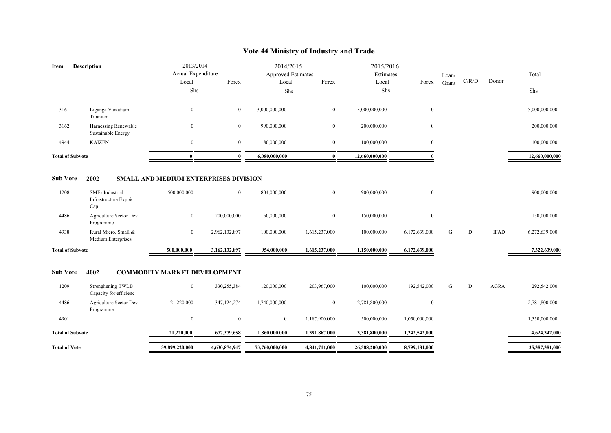| Item                    | <b>Description</b>                                    | 2013/2014                             |                | 2014/2015          |                | 2015/2016      |                  |       |           |             |                |
|-------------------------|-------------------------------------------------------|---------------------------------------|----------------|--------------------|----------------|----------------|------------------|-------|-----------|-------------|----------------|
|                         |                                                       | Actual Expenditure                    |                | Approved Estimates | Forex          | Estimates      |                  | Loan/ | C/R/D     | Donor       | Total          |
|                         |                                                       | Local                                 | Forex          | Local              |                | Local          | Forex            | Grant |           |             |                |
|                         |                                                       | Shs                                   |                | Shs                |                | Shs            |                  |       |           |             | Shs            |
| 3161                    | Liganga Vanadium<br>Titanium                          | $\bf{0}$                              | $\overline{0}$ | 3,000,000,000      | $\overline{0}$ | 5,000,000,000  | $\boldsymbol{0}$ |       |           |             | 5,000,000,000  |
| 3162                    | Harnessing Renewable<br>Sustainable Energy            | $\mathbf{0}$                          | $\overline{0}$ | 990,000,000        | $\overline{0}$ | 200,000,000    | $\mathbf{0}$     |       |           |             | 200,000,000    |
| 4944                    | <b>KAIZEN</b>                                         | $\mathbf{0}$                          | $\overline{0}$ | 80,000,000         | $\overline{0}$ | 100,000,000    | $\boldsymbol{0}$ |       |           |             | 100,000,000    |
| <b>Total of Subvote</b> |                                                       | $\mathbf{0}$                          | $\mathbf{0}$   | 6,080,000,000      | $\bf{0}$       | 12,660,000,000 | $\Omega$         |       |           |             | 12,660,000,000 |
| <b>Sub Vote</b>         | 2002                                                  | SMALL AND MEDIUM ENTERPRISES DIVISION |                |                    |                |                |                  |       |           |             |                |
| 1208                    | <b>SMEs</b> Industrial<br>Infrastructure Exp &<br>Cap | 500,000,000                           | $\overline{0}$ | 804,000,000        | $\overline{0}$ | 900,000,000    | $\boldsymbol{0}$ |       |           |             | 900,000,000    |
| 4486                    | Agriculture Sector Dev.<br>Programme                  | $\overline{0}$                        | 200,000,000    | 50,000,000         | $\overline{0}$ | 150,000,000    | $\bf{0}$         |       |           |             | 150,000,000    |
| 4938                    | Rural Micro, Small &<br>Medium Enterprises            | $\mathbf{0}$                          | 2,962,132,897  | 100,000,000        | 1,615,237,000  | 100,000,000    | 6,172,639,000    | G     | ${\rm D}$ | <b>IFAD</b> | 6,272,639,000  |
| <b>Total of Subvote</b> |                                                       | 500,000,000                           | 3,162,132,897  | 954,000,000        | 1,615,237,000  | 1,150,000,000  | 6,172,639,000    |       |           |             | 7,322,639,000  |
|                         |                                                       |                                       |                |                    |                |                |                  |       |           |             |                |
| <b>Sub Vote</b>         | 4002                                                  | <b>COMMODITY MARKET DEVELOPMENT</b>   |                |                    |                |                |                  |       |           |             |                |
| 1209                    | Strenghening TWLB<br>Capacity for efficienc           | $\overline{0}$                        | 330,255,384    | 120,000,000        | 203,967,000    | 100,000,000    | 192,542,000      | G     | ${\rm D}$ | <b>AGRA</b> | 292,542,000    |
| 4486                    | Agriculture Sector Dev.<br>Programme                  | 21,220,000                            | 347,124,274    | 1,740,000,000      | $\bf{0}$       | 2,781,800,000  | $\bf{0}$         |       |           |             | 2,781,800,000  |
| 4901                    |                                                       | $\bf{0}$                              | $\bf{0}$       | $\overline{0}$     | 1,187,900,000  | 500,000,000    | 1,050,000,000    |       |           |             | 1,550,000,000  |
| <b>Total of Subvote</b> |                                                       | 21,220,000                            | 677,379,658    | 1,860,000,000      | 1,391,867,000  | 3,381,800,000  | 1,242,542,000    |       |           |             | 4,624,342,000  |
| <b>Total of Vote</b>    |                                                       | 39,899,220,000                        | 4,630,874,947  | 73,760,000,000     | 4,841,711,000  | 26,588,200,000 | 8,799,181,000    |       |           |             | 35,387,381,000 |

## **Vote 44 Ministry of Industry and Trade**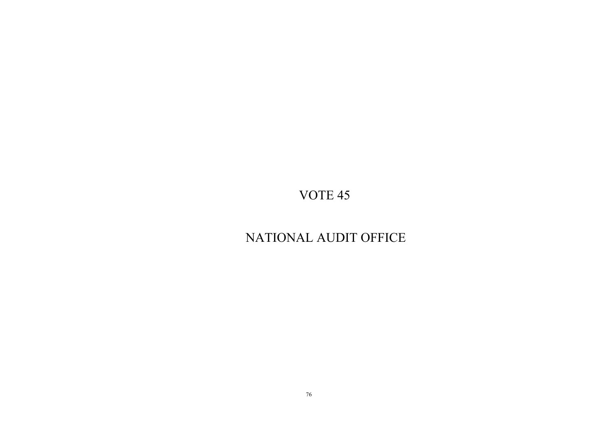# NATIONAL AUDIT OFFICE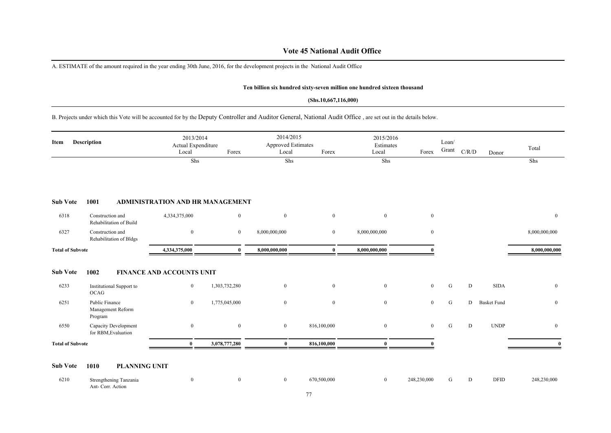### **Vote 45 National Audit Office**

A. ESTIMATE of the amount required in the year ending 30th June, 2016, for the development projects in the National Audit Office

#### **Ten billion six hundred sixty-seven million one hundred sixteen thousand**

### **(Shs.10,667,116,000)**

B. Projects under which this Vote will be accounted for by the Deputy Controller and Auditor General, National Audit Office , are set out in the details below.

| Description<br>Item     |                                                | 2013/2014<br>Actual Expenditure<br>Local | Forex            | 2014/2015<br><b>Approved Estimates</b><br>Local | Forex          | 2015/2016<br>Estimates<br>Local | Forex            | Loan/<br>Grant | $\rm C/R/D$ | Donor              | Total         |
|-------------------------|------------------------------------------------|------------------------------------------|------------------|-------------------------------------------------|----------------|---------------------------------|------------------|----------------|-------------|--------------------|---------------|
|                         |                                                | Shs                                      |                  | Shs                                             |                | Shs                             |                  |                |             |                    | Shs           |
| <b>Sub Vote</b>         | 1001                                           | <b>ADMINISTRATION AND HR MANAGEMENT</b>  |                  |                                                 |                |                                 |                  |                |             |                    |               |
| 6318                    | Construction and<br>Rehabilitation of Build    | 4,334,375,000                            | $\bf{0}$         | $\mathbf{0}$                                    | $\overline{0}$ | $\overline{0}$                  | $\overline{0}$   |                |             |                    | $\mathbf{0}$  |
| 6327                    | Construction and<br>Rehabilitation of Bldgs    | $\mathbf{0}$                             | $\boldsymbol{0}$ | 8,000,000,000                                   | $\overline{0}$ | 8,000,000,000                   | $\boldsymbol{0}$ |                |             |                    | 8,000,000,000 |
| <b>Total of Subvote</b> |                                                | 4,334,375,000                            | ŋ                | 8,000,000,000                                   | $\mathbf{0}$   | 8,000,000,000                   |                  |                |             |                    | 8,000,000,000 |
| <b>Sub Vote</b>         | 1002                                           | FINANCE AND ACCOUNTS UNIT                |                  |                                                 |                |                                 |                  |                |             |                    |               |
| 6233                    | Institutional Support to<br>OCAG               | $\overline{0}$                           | 1,303,732,280    | $\boldsymbol{0}$                                | $\mathbf{0}$   | $\mathbf{0}$                    | $\mathbf{0}$     | $\mathbf G$    | ${\rm D}$   | <b>SIDA</b>        | $\bf{0}$      |
| 6251                    | Public Finance<br>Management Reform<br>Program | $\mathbf{0}$                             | 1,775,045,000    | $\boldsymbol{0}$                                | $\mathbf{0}$   | $\overline{0}$                  | $\overline{0}$   | G              | D           | <b>Basket Fund</b> | $\mathbf{0}$  |
| 6550                    | Capacity Development<br>for RBM, Evaluation    | $\mathbf{0}$                             | $\mathbf{0}$     | $\boldsymbol{0}$                                | 816,100,000    | $\overline{0}$                  | $\overline{0}$   | G              | D           | <b>UNDP</b>        | $\bf{0}$      |
| <b>Total of Subvote</b> |                                                | $\mathbf{0}$                             | 3,078,777,280    | $\bf{0}$                                        | 816,100,000    |                                 |                  |                |             |                    | $\mathbf{0}$  |

### **Sub Vote 1010 PLANNING UNIT**

6210 Strengthening Tanzania Ant- Corr. Action 0 0 0 670,500,000 0 248,230,000 G D DFID 248,230,000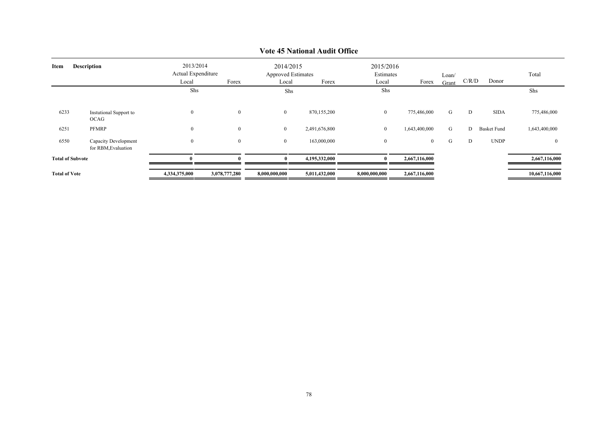| <b>Description</b><br>Item |                                             | 2013/2014<br>Actual Expenditure<br>Local | Forex            | 2014/2015<br>Local | <b>Approved Estimates</b><br>Forex | 2015/2016<br>Estimates<br>Local | Forex         | Loan/<br>Grant | C/R/D | Donor              | Total          |
|----------------------------|---------------------------------------------|------------------------------------------|------------------|--------------------|------------------------------------|---------------------------------|---------------|----------------|-------|--------------------|----------------|
|                            |                                             | Shs                                      |                  | Shs                |                                    | Shs                             |               |                |       |                    | Shs            |
| 6233                       | Instutional Support to<br>OCAG              | $\boldsymbol{0}$                         | $\mathbf{0}$     | $\overline{0}$     | 870,155,200                        | $\overline{0}$                  | 775,486,000   | G              | D     | <b>SIDA</b>        | 775,486,000    |
| 6251                       | PFMRP                                       | $\bf{0}$                                 | $\boldsymbol{0}$ | $\mathbf{0}$       | 2,491,676,800                      | $\overline{0}$                  | 1,643,400,000 | G              | D     | <b>Basket Fund</b> | 1,643,400,000  |
| 6550                       | Capacity Development<br>for RBM, Evaluation | $\boldsymbol{0}$                         | $\bf{0}$         | $\overline{0}$     | 163,000,000                        | $\overline{0}$                  | $\bf{0}$      | G              | D     | <b>UNDP</b>        | $\mathbf{0}$   |
|                            | <b>Total of Subvote</b>                     |                                          |                  | $\theta$           | 4,195,332,000                      |                                 | 2,667,116,000 |                |       |                    | 2,667,116,000  |
| <b>Total of Vote</b>       |                                             | 4,334,375,000                            | 3,078,777,280    | 8,000,000,000      | 5,011,432,000                      | 8,000,000,000                   | 2,667,116,000 |                |       |                    | 10,667,116,000 |

## **Vote 45 National Audit Office**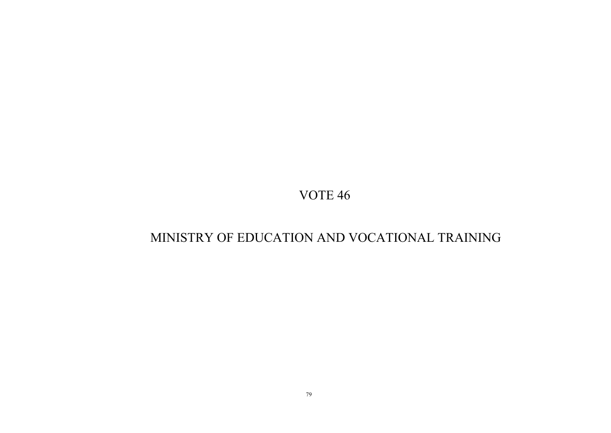# MINISTRY OF EDUCATION AND VOCATIONAL TRAINING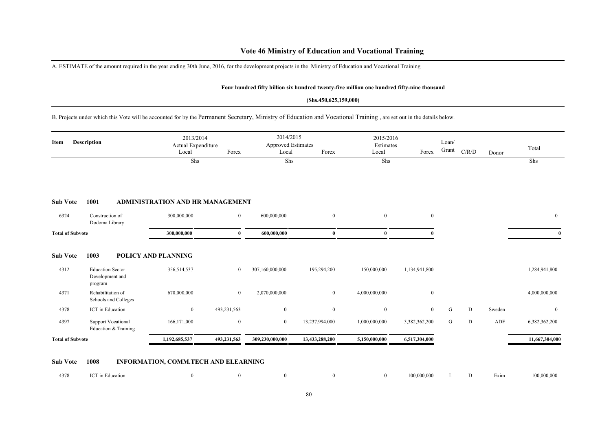A. ESTIMATE of the amount required in the year ending 30th June, 2016, for the development projects in the Ministry of Education and Vocational Training

### **Four hundred fifty billion six hundred twenty-five million one hundred fifty-nine thousand**

#### **(Shs.450,625,159,000)**

B. Projects under which this Vote will be accounted for by the Permanent Secretary, Ministry of Education and Vocational Training , are set out in the details below.

| Description<br>Item     |                                                       | 2013/2014<br>Actual Expenditure<br>Local | Forex          | 2014/2015<br><b>Approved Estimates</b><br>Local | Forex          | 2015/2016<br>Estimates<br>Local | Forex          | Loan/<br>Grant | C/R/D | Donor  | Total          |
|-------------------------|-------------------------------------------------------|------------------------------------------|----------------|-------------------------------------------------|----------------|---------------------------------|----------------|----------------|-------|--------|----------------|
|                         |                                                       | Shs                                      |                | Shs                                             |                | Shs                             |                |                |       |        | Shs            |
| <b>Sub Vote</b>         | 1001                                                  | <b>ADMINISTRATION AND HR MANAGEMENT</b>  |                |                                                 |                |                                 |                |                |       |        |                |
| 6324                    | Construction of<br>Dodoma Library                     | 300,000,000                              | $\mathbf{0}$   | 600,000,000                                     | $\overline{0}$ | $\overline{0}$                  | $\overline{0}$ |                |       |        | $\overline{0}$ |
| <b>Total of Subvote</b> |                                                       | 300,000,000                              | $\theta$       | 600,000,000                                     | $\mathbf{0}$   | $\mathbf{0}$                    |                |                |       |        |                |
| <b>Sub Vote</b>         | 1003                                                  | POLICY AND PLANNING                      |                |                                                 |                |                                 |                |                |       |        |                |
| 4312                    | <b>Education Sector</b><br>Development and<br>program | 356,514,537                              | $\overline{0}$ | 307,160,000,000                                 | 195,294,200    | 150,000,000                     | 1,134,941,800  |                |       |        | 1,284,941,800  |
| 4371                    | Rehabilitation of<br>Schools and Colleges             | 670,000,000                              | $\mathbf{0}$   | 2,070,000,000                                   | $\mathbf{0}$   | 4,000,000,000                   | $\overline{0}$ |                |       |        | 4,000,000,000  |
| 4378                    | ICT in Education                                      | $\boldsymbol{0}$                         | 493,231,563    | $\overline{0}$                                  | $\overline{0}$ | $\mathbf{0}$                    | $\overline{0}$ | G              | D     | Sweden | $\mathbf{0}$   |
| 4397                    | <b>Support Vocational</b><br>Education & Training     | 166, 171, 000                            | $\mathbf{0}$   | $\mathbf{0}$                                    | 13,237,994,000 | 1,000,000,000                   | 5,382,362,200  | G              | D     | ADF    | 6,382,362,200  |
| <b>Total of Subvote</b> |                                                       | 1,192,685,537                            | 493,231,563    | 309,230,000,000                                 | 13,433,288,200 | 5,150,000,000                   | 6,517,304,000  |                |       |        | 11,667,304,000 |
|                         |                                                       |                                          |                |                                                 |                |                                 |                |                |       |        |                |

### **Sub Vote 1008 INFORMATION, COMM.TECH AND ELEARNING**

| 4378 | ICT in Education |  |  |  |  |  | 100,000,000 L D Exim |  |  |  | 100,000,000 |
|------|------------------|--|--|--|--|--|----------------------|--|--|--|-------------|
|------|------------------|--|--|--|--|--|----------------------|--|--|--|-------------|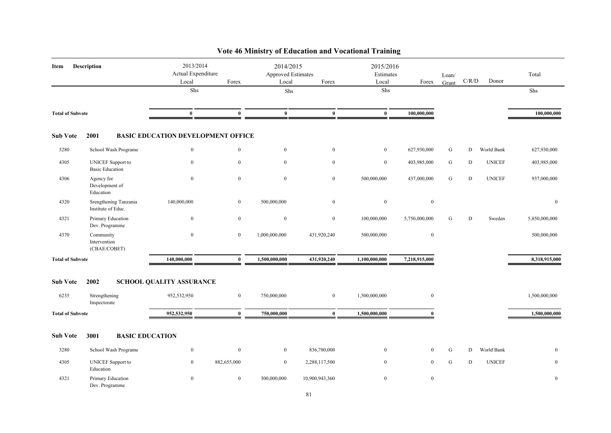| Item                    | Description                                        | 2013/2014<br>Actual Expenditure<br>Local  | Forex          | 2014/2015<br><b>Approved Estimates</b><br>Local | Forex            | 2015/2016<br>Estimates<br>Local | Forex            | Loan/<br>Grant | C/R/D     | Donor         | Total         |
|-------------------------|----------------------------------------------------|-------------------------------------------|----------------|-------------------------------------------------|------------------|---------------------------------|------------------|----------------|-----------|---------------|---------------|
|                         |                                                    | Shs                                       |                | Shs                                             |                  | Shs                             |                  |                |           |               | Shs           |
| <b>Total of Subvote</b> |                                                    | $\bf{0}$                                  | $\bf{0}$       | $\bf{0}$                                        | $\bf{0}$         | $\bf{0}$                        | 100,000,000      |                |           |               | 100,000,000   |
| <b>Sub Vote</b>         | 2001                                               | <b>BASIC EDUCATION DEVELOPMENT OFFICE</b> |                |                                                 |                  |                                 |                  |                |           |               |               |
| 3280                    | School Wash Programe                               | $\bf{0}$                                  | $\mathbf{0}$   | $\overline{0}$                                  | $\boldsymbol{0}$ | $\bf{0}$                        | 627,930,000      | G              | D         | World Bank    | 627,930,000   |
| 4305                    | <b>UNICEF</b> Support to<br><b>Basic Education</b> | $\mathbf{0}$                              | $\mathbf{0}$   | $\overline{0}$                                  | $\mathbf{0}$     | $\boldsymbol{0}$                | 403,985,000      | G              | D         | <b>UNICEF</b> | 403,985,000   |
| 4306                    | Agency for<br>Development of<br>Education          | $\mathbf{0}$                              | $\mathbf{0}$   | $\mathbf{0}$                                    | $\overline{0}$   | 500,000,000                     | 437,000,000      | ${\bf G}$      | ${\bf D}$ | <b>UNICEF</b> | 937,000,000   |
| 4320                    | Srengthening Tanzania<br>Institute of Educ.        | 140,000,000                               | $\mathbf{0}$   | 500,000,000                                     | $\mathbf{0}$     | $\boldsymbol{0}$                | $\mathbf{0}$     |                |           |               | $\mathbf{0}$  |
| 4321                    | Primary Education<br>Dev. Programme                | $\overline{0}$                            | $\mathbf{0}$   | $\overline{0}$                                  | $\overline{0}$   | 100,000,000                     | 5,750,000,000    | G              | D         | Sweden        | 5,850,000,000 |
| 4370                    | Community<br>Intervention<br>(CBAE/COBET)          | $\boldsymbol{0}$                          | $\mathbf{0}$   | 1,000,000,000                                   | 431,920,240      | 500,000,000                     | $\boldsymbol{0}$ |                |           |               | 500,000,000   |
| <b>Total of Subvote</b> |                                                    | 140,000,000                               | $\bf{0}$       | 1,500,000,000                                   | 431,920,240      | 1,100,000,000                   | 7,218,915,000    |                |           |               | 8,318,915,000 |
| <b>Sub Vote</b>         | 2002                                               | <b>SCHOOL QUALITY ASSURANCE</b>           |                |                                                 |                  |                                 |                  |                |           |               |               |
| 6235                    | Strengthening<br>Inspectorate                      | 952,532,950                               | $\overline{0}$ | 750,000,000                                     | $\overline{0}$   | 1,500,000,000                   | $\mathbf{0}$     |                |           |               | 1,500,000,000 |
| <b>Total of Subvote</b> |                                                    | 952,532,950                               | $\bf{0}$       | 750,000,000                                     | $\bf{0}$         | 1,500,000,000                   | $\mathbf{0}$     |                |           |               | 1,500,000,000 |
| <b>Sub Vote</b>         | 3001<br><b>BASIC EDUCATION</b>                     |                                           |                |                                                 |                  |                                 |                  |                |           |               |               |
| 3280                    | School Wash Programe                               | $\bf{0}$                                  | $\mathbf{0}$   | $\overline{0}$                                  | 836,780,000      | $\boldsymbol{0}$                | $\overline{0}$   | G              | D         | World Bank    | $\mathbf{0}$  |
| 4305                    | <b>UNICEF</b> Support to<br>Education              | $\overline{0}$                            | 882,655,000    | $\overline{0}$                                  | 2,288,117,500    | $\theta$                        | $\mathbf{0}$     | G              | D         | <b>UNICEF</b> | $\mathbf{0}$  |
| 4321                    | Primary Education<br>Dev. Programme                | $\overline{0}$                            | $\overline{0}$ | 300,000,000                                     | 10,900,943,360   | $\boldsymbol{0}$                | $\boldsymbol{0}$ |                |           |               | $\mathbf{0}$  |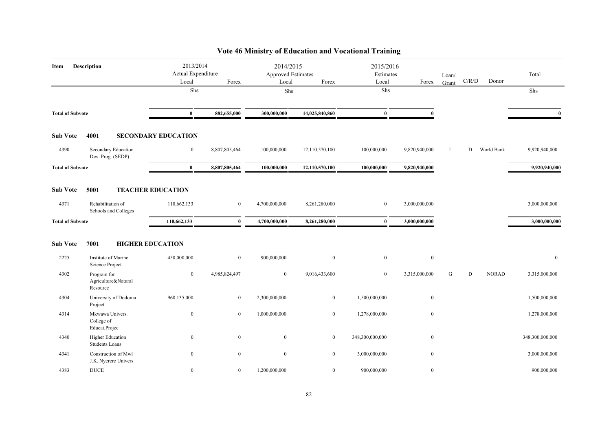| Item                    | <b>Description</b>                               | 2013/2014<br>Actual Expenditure<br>Local | Forex          | 2014/2015<br>Approved Estimates<br>Local | Forex          | 2015/2016<br>Estimates<br>Local | Forex         | Loan/<br>Grant | C/R/D | Donor        | Total           |
|-------------------------|--------------------------------------------------|------------------------------------------|----------------|------------------------------------------|----------------|---------------------------------|---------------|----------------|-------|--------------|-----------------|
|                         |                                                  | ${\rm Shs}$                              |                | Shs                                      |                | Shs                             |               |                |       |              | Shs             |
| <b>Total of Subvote</b> |                                                  | $\bf{0}$                                 | 882,655,000    | 300,000,000                              | 14,025,840,860 | $\bf{0}$                        | $\mathbf{0}$  |                |       |              | $\mathbf{0}$    |
| <b>Sub Vote</b>         | 4001                                             | <b>SECONDARY EDUCATION</b>               |                |                                          |                |                                 |               |                |       |              |                 |
| 4390                    | Secondary Education<br>Dev. Prog. (SEDP)         | $\overline{0}$                           | 8,807,805,464  | 100,000,000                              | 12,110,570,100 | 100,000,000                     | 9,820,940,000 | L              | D     | World Bank   | 9,920,940,000   |
| <b>Total of Subvote</b> |                                                  | $\bf{0}$                                 | 8,807,805,464  | 100,000,000                              | 12,110,570,100 | 100,000,000                     | 9,820,940,000 |                |       |              | 9,920,940,000   |
| <b>Sub Vote</b>         | 5001                                             | <b>TEACHER EDUCATION</b>                 |                |                                          |                |                                 |               |                |       |              |                 |
| 4371                    | Rehabilitation of<br>Schools and Colleges        | 110,662,133                              | $\mathbf{0}$   | 4,700,000,000                            | 8,261,280,000  | $\bf{0}$                        | 3,000,000,000 |                |       |              | 3,000,000,000   |
| <b>Total of Subvote</b> |                                                  | 110,662,133                              | $\bf{0}$       | 4,700,000,000                            | 8,261,280,000  | $\bf{0}$                        | 3,000,000,000 |                |       |              | 3,000,000,000   |
| <b>Sub Vote</b>         | 7001                                             | <b>HIGHER EDUCATION</b>                  |                |                                          |                |                                 |               |                |       |              |                 |
| 2225                    | Institute of Marine<br>Science Project           | 450,000,000                              | $\mathbf{0}$   | 900,000,000                              | $\mathbf{0}$   | $\mathbf{0}$                    | $\mathbf{0}$  |                |       |              | $\mathbf{0}$    |
| 4302                    | Program for<br>Agriculture&Natural<br>Resource   | $\overline{0}$                           | 4,985,824,497  | $\overline{0}$                           | 9,016,433,600  | $\boldsymbol{0}$                | 3,315,000,000 | G              | D     | <b>NORAD</b> | 3,315,000,000   |
| 4304                    | University of Dodoma<br>Project                  | 968,135,000                              | $\mathbf{0}$   | 2,300,000,000                            | $\overline{0}$ | 1,500,000,000                   | $\mathbf{0}$  |                |       |              | 1,500,000,000   |
| 4314                    | Mkwawa Univers.<br>College of<br>Educat.Projec   | $\overline{0}$                           | $\overline{0}$ | 1,000,000,000                            | $\overline{0}$ | 1,278,000,000                   | $\mathbf{0}$  |                |       |              | 1,278,000,000   |
| 4340                    | <b>Higher Education</b><br><b>Students Loans</b> | $\overline{0}$                           | $\mathbf{0}$   | $\mathbf{0}$                             | $\overline{0}$ | 348,300,000,000                 | $\mathbf{0}$  |                |       |              | 348,300,000,000 |
| 4341                    | Construction of Mwl<br>J.K. Nyerere Univers      | $\overline{0}$                           | $\mathbf{0}$   | $\overline{0}$                           | $\overline{0}$ | 3,000,000,000                   | $\mathbf{0}$  |                |       |              | 3,000,000,000   |
| 4383                    | <b>DUCE</b>                                      | $\overline{0}$                           | $\mathbf{0}$   | 1,200,000,000                            | $\overline{0}$ | 900,000,000                     | $\mathbf{0}$  |                |       |              | 900,000,000     |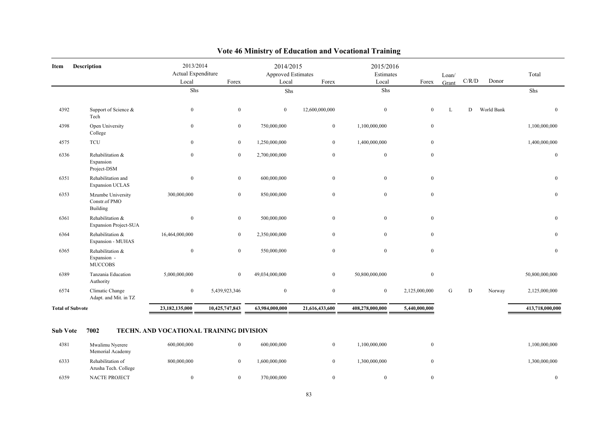| Item                    | <b>Description</b>                                | 2013/2014<br>Actual Expenditure |                  | 2014/2015<br>Approved Estimates |                  | 2015/2016<br>Estimates |                  | Loan/ |           |            | Total            |
|-------------------------|---------------------------------------------------|---------------------------------|------------------|---------------------------------|------------------|------------------------|------------------|-------|-----------|------------|------------------|
|                         |                                                   | Local                           | Forex            | Local                           | Forex            | Local                  | Forex            | Grant | C/R/D     | Donor      |                  |
|                         |                                                   | Shs                             |                  | Shs                             |                  | Shs                    |                  |       |           |            | Shs              |
| 4392                    | Support of Science &<br>Tech                      | $\boldsymbol{0}$                | $\bf{0}$         | $\overline{0}$                  | 12,600,000,000   | $\mathbf{0}$           | $\mathbf{0}$     | L     | ${\rm D}$ | World Bank | $\mathbf{0}$     |
| 4398                    | Open University<br>College                        | $\boldsymbol{0}$                | $\bf{0}$         | 750,000,000                     | $\bf{0}$         | 1,100,000,000          | $\bf{0}$         |       |           |            | 1,100,000,000    |
| 4575                    | <b>TCU</b>                                        | $\bf{0}$                        | $\bf{0}$         | 1,250,000,000                   | $\bf{0}$         | 1,400,000,000          | $\mathbf{0}$     |       |           |            | 1,400,000,000    |
| 6336                    | Rehabilitation &<br>Expansion<br>Project-DSM      | $\boldsymbol{0}$                | $\boldsymbol{0}$ | 2,700,000,000                   | $\boldsymbol{0}$ | $\bf{0}$               | $\mathbf{0}$     |       |           |            | $\bf{0}$         |
| 6351                    | Rehabilitation and<br><b>Expansion UCLAS</b>      | $\boldsymbol{0}$                | $\bf{0}$         | 600,000,000                     | $\mathbf{0}$     | $\overline{0}$         | $\mathbf{0}$     |       |           |            | $\mathbf{0}$     |
| 6353                    | Mzumbe University<br>Constr.of PMO<br>Building    | 300,000,000                     | $\boldsymbol{0}$ | 850,000,000                     | $\mathbf{0}$     | $\mathbf{0}$           | $\mathbf{0}$     |       |           |            | $\boldsymbol{0}$ |
| 6361                    | Rehabilitation &<br><b>Expansion Project-SUA</b>  | $\mathbf{0}$                    | $\bf{0}$         | 500,000,000                     | $\mathbf{0}$     | $\overline{0}$         | $\boldsymbol{0}$ |       |           |            | $\mathbf{0}$     |
| 6364                    | Rehabilitation &<br>Expansion - MUHAS             | 16,464,000,000                  | $\bf{0}$         | 2,350,000,000                   | $\mathbf{0}$     | $\overline{0}$         | $\mathbf{0}$     |       |           |            | $\bf{0}$         |
| 6365                    | Rehabilitation &<br>Expansion -<br><b>MUCCOBS</b> | $\bf{0}$                        | $\boldsymbol{0}$ | 550,000,000                     | $\mathbf{0}$     | $\mathbf{0}$           | $\mathbf{0}$     |       |           |            | $\boldsymbol{0}$ |
| 6389                    | Tanzania Education<br>Authority                   | 5,000,000,000                   | $\bf{0}$         | 49,034,000,000                  | $\mathbf{0}$     | 50,800,000,000         | $\mathbf{0}$     |       |           |            | 50,800,000,000   |
| 6574                    | Climatic Change<br>Adapt. and Mit. in TZ          | $\mathbf{0}$                    | 5,439,923,346    | $\mathbf{0}$                    | $\boldsymbol{0}$ | $\overline{0}$         | 2,125,000,000    | G     | D         | Norway     | 2,125,000,000    |
| <b>Total of Subvote</b> |                                                   | 23,182,135,000                  | 10,425,747,843   | 63,984,000,000                  | 21,616,433,600   | 408,278,000,000        | 5,440,000,000    |       |           |            | 413,718,000,000  |

| 4381 | Mwalimu Nyerere<br>Memorial Academy       | 600,000,000 | 600,000,000  | ,100,000,000 | ,100,000,000 |
|------|-------------------------------------------|-------------|--------------|--------------|--------------|
| 6333 | Rehabilitation of<br>Arusha Tech. College | 800,000,000 | .600,000,000 | .300,000,000 | ,300,000,000 |
| 6359 | NACTE PROJECT                             |             | 370,000,000  |              |              |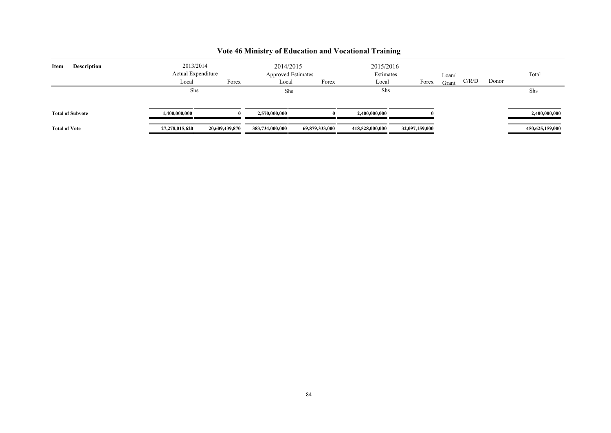| <b>Description</b><br>Item | 2013/2014<br>Actual Expenditure |                | 2014/2015<br><b>Approved Estimates</b> |                | 2015/2016<br>Estimates |                | Loan/ |       |       | Total           |
|----------------------------|---------------------------------|----------------|----------------------------------------|----------------|------------------------|----------------|-------|-------|-------|-----------------|
|                            | Local                           | Forex          | Local                                  | Forex          | Local                  | Forex          | Grant | C/R/D | Donor |                 |
|                            | Shs                             |                | Shs                                    |                | Shs                    |                |       |       |       | Shs             |
| <b>Total of Subvote</b>    | 1.400.000.000                   | $\mathbf{0}$   | 2,570,000,000                          |                | 2,400,000,000          |                |       |       |       | 2,400,000,000   |
| <b>Total of Vote</b>       | 27,278,015,620                  | 20,609,439,870 | 383,734,000,000                        | 69,879,333,000 | 418,528,000,000        | 32,097,159,000 |       |       |       | 450,625,159,000 |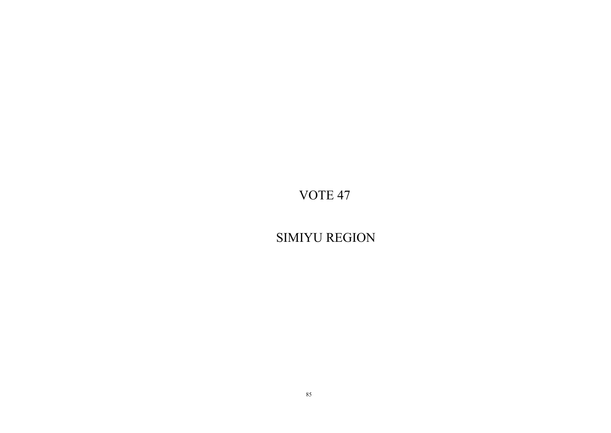SIMIYU REGION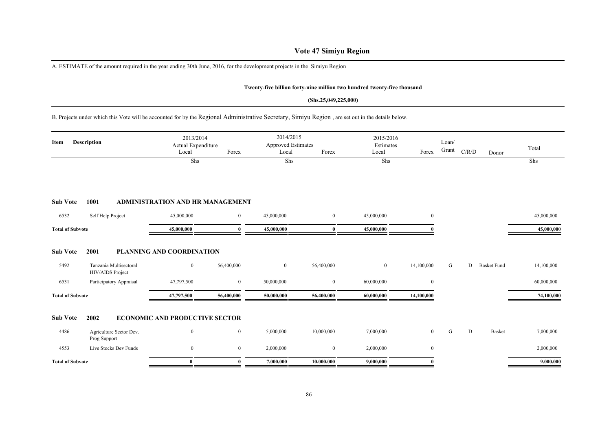## **Vote 47 Simiyu Region**

A. ESTIMATE of the amount required in the year ending 30th June, 2016, for the development projects in the Simiyu Region

### **Twenty-five billion forty-nine million two hundred twenty-five thousand**

#### **(Shs.25,049,225,000)**

## B. Projects under which this Vote will be accounted for by the Regional Administrative Secretary, Simiyu Region , are set out in the details below.

| Item                    | <b>Description</b>                         | 2013/2014<br>Actual Expenditure<br>Local | Forex          | 2014/2015<br><b>Approved Estimates</b><br>Local | Forex          | 2015/2016<br>Estimates<br>Local | Forex          | Loan/<br>Grant | C/R/D | Donor              | Total      |
|-------------------------|--------------------------------------------|------------------------------------------|----------------|-------------------------------------------------|----------------|---------------------------------|----------------|----------------|-------|--------------------|------------|
|                         |                                            | Shs                                      |                | Shs                                             |                | Shs                             |                |                |       |                    | Shs        |
|                         |                                            |                                          |                |                                                 |                |                                 |                |                |       |                    |            |
| <b>Sub Vote</b>         | 1001                                       | <b>ADMINISTRATION AND HR MANAGEMENT</b>  |                |                                                 |                |                                 |                |                |       |                    |            |
| 6532                    | Self Help Project                          | 45,000,000                               | $\overline{0}$ | 45,000,000                                      | $\overline{0}$ | 45,000,000                      | $\overline{0}$ |                |       |                    | 45,000,000 |
| <b>Total of Subvote</b> |                                            | 45,000,000                               | $\theta$       | 45,000,000                                      | $\mathbf{0}$   | 45,000,000                      |                |                |       |                    | 45,000,000 |
| <b>Sub Vote</b>         | 2001                                       | <b>PLANNING AND COORDINATION</b>         |                |                                                 |                |                                 |                |                |       |                    |            |
| 5492                    | Tanzania Multisectoral<br>HIV/AIDS Project | $\mathbf{0}$                             | 56,400,000     | $\mathbf{0}$                                    | 56,400,000     | $\mathbf{0}$                    | 14,100,000     | G              | D     | <b>Basket Fund</b> | 14,100,000 |
| 6531                    | Participatory Appraisal                    | 47,797,500                               | $\overline{0}$ | 50,000,000                                      | $\mathbf{0}$   | 60,000,000                      | $\overline{0}$ |                |       |                    | 60,000,000 |
| <b>Total of Subvote</b> |                                            | 47,797,500                               | 56,400,000     | 50,000,000                                      | 56,400,000     | 60,000,000                      | 14,100,000     |                |       |                    | 74,100,000 |
| <b>Sub Vote</b>         | 2002                                       | <b>ECONOMIC AND PRODUCTIVE SECTOR</b>    |                |                                                 |                |                                 |                |                |       |                    |            |
| 4486                    | Agriculture Sector Dev.<br>Prog Support    | $\mathbf{0}$                             | $\overline{0}$ | 5,000,000                                       | 10,000,000     | 7,000,000                       | $\overline{0}$ | G              | D     | Basket             | 7,000,000  |
| 4553                    | Live Stocks Dev Funds                      | $\mathbf{0}$                             | $\overline{0}$ | 2,000,000                                       | $\mathbf{0}$   | 2,000,000                       | $\overline{0}$ |                |       |                    | 2,000,000  |
| <b>Total of Subvote</b> |                                            | $\bf{0}$                                 | $\theta$       | 7,000,000                                       | 10,000,000     | 9,000,000                       |                |                |       |                    | 9,000,000  |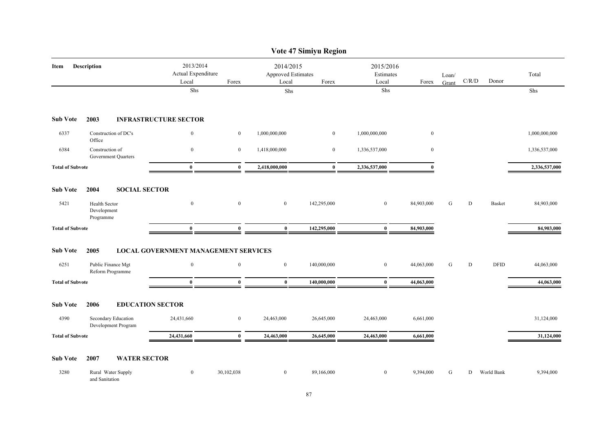|                         |                                            |                                             |                                                   |                | Vote 47 Simiyu Region                             |                  |                                 |                |                                        |               |               |
|-------------------------|--------------------------------------------|---------------------------------------------|---------------------------------------------------|----------------|---------------------------------------------------|------------------|---------------------------------|----------------|----------------------------------------|---------------|---------------|
| Item                    | Description                                |                                             | 2013/2014<br>Actual Expenditure<br>Local<br>Forex |                | 2014/2015<br>Approved Estimates<br>Local<br>Forex |                  | 2015/2016<br>Estimates<br>Forex | Loan/<br>Grant | $\mathbf{C} / \mathbf{R} / \mathbf{D}$ | Donor         | Total         |
|                         |                                            | Shs                                         |                                                   | ${\rm Shs}$    |                                                   | ${\rm Shs}$      |                                 |                |                                        |               | Shs           |
| <b>Sub Vote</b>         | 2003                                       | <b>INFRASTRUCTURE SECTOR</b>                |                                                   |                |                                                   |                  |                                 |                |                                        |               |               |
| 6337                    | Construction of DC's<br>Office             | $\boldsymbol{0}$                            | $\boldsymbol{0}$                                  | 1,000,000,000  | $\mathbf{0}$                                      | 1,000,000,000    | $\boldsymbol{0}$                |                |                                        |               | 1,000,000,000 |
| 6384                    | Construction of<br>Government Quarters     | $\bf{0}$                                    | $\overline{0}$                                    | 1,418,000,000  | $\mathbf{0}$                                      | 1,336,537,000    | $\mathbf{0}$                    |                |                                        |               | 1,336,537,000 |
| <b>Total of Subvote</b> |                                            | $\bf{0}$                                    | $\bf{0}$                                          | 2,418,000,000  | $\bf{0}$                                          | 2,336,537,000    | $\theta$                        |                |                                        |               | 2,336,537,000 |
| <b>Sub Vote</b>         | 2004                                       | <b>SOCIAL SECTOR</b>                        |                                                   |                |                                                   |                  |                                 |                |                                        |               |               |
| 5421                    | Health Sector<br>Development<br>Programme  | $\boldsymbol{0}$                            | $\boldsymbol{0}$                                  | $\bf{0}$       | 142,295,000                                       | $\boldsymbol{0}$ | 84,903,000                      | ${\bf G}$      | ${\bf D}$                              | <b>Basket</b> | 84,903,000    |
| <b>Total of Subvote</b> |                                            | $\mathbf{0}$                                | $\mathbf{0}$                                      | $\bf{0}$       | 142,295,000                                       | $\bf{0}$         | 84,903,000                      |                |                                        |               | 84,903,000    |
| <b>Sub Vote</b>         | 2005                                       | <b>LOCAL GOVERNMENT MANAGEMENT SERVICES</b> |                                                   |                |                                                   |                  |                                 |                |                                        |               |               |
| 6251                    | Public Finance Mgt<br>Reform Programme     | $\mathbf{0}$                                | $\mathbf{0}$                                      | $\mathbf{0}$   | 140,000,000                                       | $\mathbf{0}$     | 44,063,000                      | G              | D                                      | <b>DFID</b>   | 44,063,000    |
| <b>Total of Subvote</b> |                                            | $\bf{0}$                                    | $\bf{0}$                                          | $\bf{0}$       | 140,000,000                                       | $\bf{0}$         | 44,063,000                      |                |                                        |               | 44,063,000    |
| <b>Sub Vote</b>         | 2006                                       | <b>EDUCATION SECTOR</b>                     |                                                   |                |                                                   |                  |                                 |                |                                        |               |               |
| 4390                    | Secondary Education<br>Development Program | 24,431,660                                  | $\boldsymbol{0}$                                  | 24,463,000     | 26,645,000                                        | 24,463,000       | 6,661,000                       |                |                                        |               | 31,124,000    |
| <b>Total of Subvote</b> |                                            | 24,431,660                                  | $\bf{0}$                                          | 24,463,000     | 26,645,000                                        | 24,463,000       | 6,661,000                       |                |                                        |               | 31,124,000    |
| <b>Sub Vote</b>         | 2007                                       | <b>WATER SECTOR</b>                         |                                                   |                |                                                   |                  |                                 |                |                                        |               |               |
| 3280                    | Rural Water Supply<br>and Sanitation       | $\mathbf{0}$                                | 30,102,038                                        | $\overline{0}$ | 89,166,000                                        | $\boldsymbol{0}$ | 9,394,000                       | G              | D                                      | World Bank    | 9,394,000     |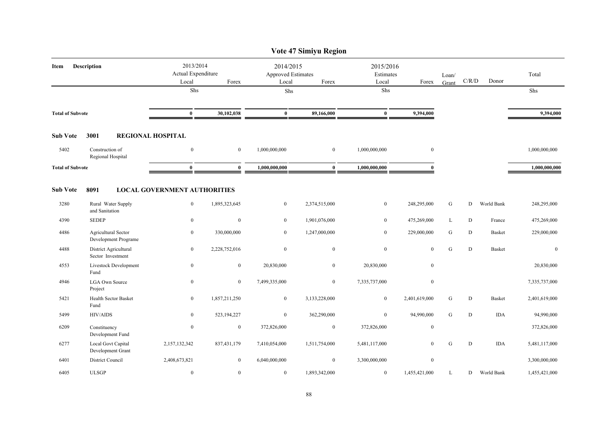|                         |                                             |                                          |                |                                                 | Vote 47 Simiyu Region |                                 |                |                |             |               |               |
|-------------------------|---------------------------------------------|------------------------------------------|----------------|-------------------------------------------------|-----------------------|---------------------------------|----------------|----------------|-------------|---------------|---------------|
| Item                    | <b>Description</b>                          | 2013/2014<br>Actual Expenditure<br>Local | Forex          | 2014/2015<br><b>Approved Estimates</b><br>Local | Forex                 | 2015/2016<br>Estimates<br>Local | Forex          | Loan/<br>Grant | $\rm C/R/D$ | Donor         | Total         |
|                         |                                             | Shs                                      |                | Shs                                             |                       | Shs                             |                |                |             |               | Shs           |
| <b>Total of Subvote</b> |                                             | $\bf{0}$                                 | 30,102,038     | $\bf{0}$                                        | 89,166,000            | $\bf{0}$                        | 9,394,000      |                |             |               | 9,394,000     |
| <b>Sub Vote</b>         | 3001                                        | <b>REGIONAL HOSPITAL</b>                 |                |                                                 |                       |                                 |                |                |             |               |               |
| 5402                    | Construction of<br>Regional Hospital        | $\boldsymbol{0}$                         | $\overline{0}$ | 1,000,000,000                                   | $\mathbf{0}$          | 1,000,000,000                   | $\overline{0}$ |                |             |               | 1,000,000,000 |
| <b>Total of Subvote</b> |                                             | $\bf{0}$                                 | $\mathbf{0}$   | 1,000,000,000                                   | $\mathbf{0}$          | 1,000,000,000                   | $\mathbf{0}$   |                |             |               | 1,000,000,000 |
| <b>Sub Vote</b>         | 8091                                        | <b>LOCAL GOVERNMENT AUTHORITIES</b>      |                |                                                 |                       |                                 |                |                |             |               |               |
| 3280                    | Rural Water Supply<br>and Sanitation        | $\mathbf{0}$                             | 1,895,323,645  | $\overline{0}$                                  | 2,374,515,000         | $\mathbf{0}$                    | 248,295,000    | ${\bf G}$      | D           | World Bank    | 248,295,000   |
| 4390                    | <b>SEDEP</b>                                | $\bf{0}$                                 | $\mathbf{0}$   | $\overline{0}$                                  | 1,901,076,000         | $\bf{0}$                        | 475,269,000    | L              | D           | France        | 475,269,000   |
| 4486                    | Agricultural Sector<br>Development Programe | $\bf{0}$                                 | 330,000,000    | $\overline{0}$                                  | 1,247,000,000         | $\boldsymbol{0}$                | 229,000,000    | ${\bf G}$      | D           | <b>Basket</b> | 229,000,000   |
| 4488                    | District Agricultural<br>Sector Investment  | $\boldsymbol{0}$                         | 2,228,752,016  | $\boldsymbol{0}$                                | $\mathbf{0}$          | $\boldsymbol{0}$                | $\mathbf{0}$   | G              | ${\rm D}$   | <b>Basket</b> | $\mathbf{0}$  |
| 4553                    | Livestock Development<br>Fund               | $\boldsymbol{0}$                         | $\mathbf{0}$   | 20,830,000                                      | $\mathbf{0}$          | 20,830,000                      | $\mathbf{0}$   |                |             |               | 20,830,000    |
| 4946                    | <b>LGA Own Source</b><br>Project            | $\boldsymbol{0}$                         | $\mathbf{0}$   | 7,499,335,000                                   | $\mathbf{0}$          | 7,335,737,000                   | $\mathbf{0}$   |                |             |               | 7,335,737,000 |
| 5421                    | Health Sector Basket<br>Fund                | $\mathbf{0}$                             | 1,857,211,250  | $\mathbf{0}$                                    | 3,133,228,000         | $\boldsymbol{0}$                | 2,401,619,000  | G              | D           | <b>Basket</b> | 2,401,619,000 |
| 5499                    | HIV/AIDS                                    | $\mathbf{0}$                             | 523,194,227    | $\overline{0}$                                  | 362,290,000           | $\mathbf{0}$                    | 94,990,000     | ${\bf G}$      | D           | <b>IDA</b>    | 94,990,000    |
| 6209                    | Constituency<br>Development Fund            | $\boldsymbol{0}$                         | $\bf{0}$       | 372,826,000                                     | $\mathbf{0}$          | 372,826,000                     | $\overline{0}$ |                |             |               | 372,826,000   |
| 6277                    | Local Govt Capital<br>Development Grant     | 2,157,132,342                            | 837,431,179    | 7,410,054,000                                   | 1,511,754,000         | 5,481,117,000                   | $\overline{0}$ | G              | D           | <b>IDA</b>    | 5,481,117,000 |
| 6401                    | <b>District Council</b>                     | 2,408,673,821                            | $\overline{0}$ | 6,040,000,000                                   | $\mathbf{0}$          | 3,300,000,000                   | $\mathbf{0}$   |                |             |               | 3,300,000,000 |
| 6405                    | <b>ULSGP</b>                                | $\mathbf{0}$                             | $\mathbf{0}$   | $\bf{0}$                                        | 1,893,342,000         | $\boldsymbol{0}$                | 1,455,421,000  | L              | D           | World Bank    | 1,455,421,000 |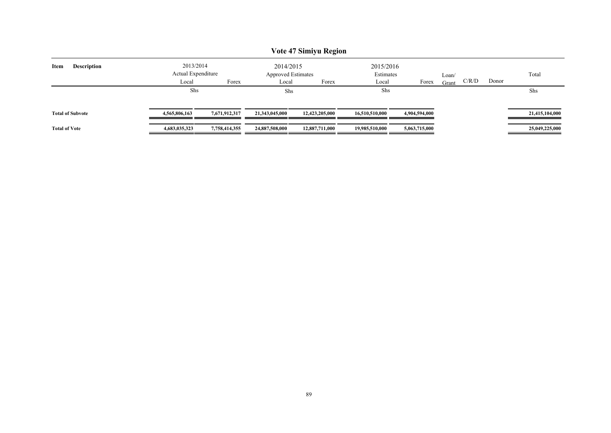|                      |                         |                                 |               |                                        | Vote 47 Simiyu Region |                        |               |       |       |       |                |
|----------------------|-------------------------|---------------------------------|---------------|----------------------------------------|-----------------------|------------------------|---------------|-------|-------|-------|----------------|
| Item                 | <b>Description</b>      | 2013/2014<br>Actual Expenditure |               | 2014/2015<br><b>Approved Estimates</b> |                       | 2015/2016<br>Estimates |               | Loan/ |       |       | Total          |
|                      |                         | Local                           | Forex         | Local                                  | Forex                 | Local                  | Forex         | Grant | C/R/D | Donor |                |
|                      |                         | Shs                             |               | Shs                                    |                       | Shs                    |               |       |       |       | Shs            |
|                      | <b>Total of Subvote</b> | 4,565,806,163                   | 7,671,912,317 | 21,343,045,000                         | 12,423,205,000        | 16,510,510,000         | 4,904,594,000 |       |       |       | 21,415,104,000 |
| <b>Total of Vote</b> |                         | 4,683,035,323                   | 7,758,414,355 | 24,887,508,000                         | 12,887,711,000        | 19.985.510.000         | 5,063,715,000 |       |       |       | 25,049,225,000 |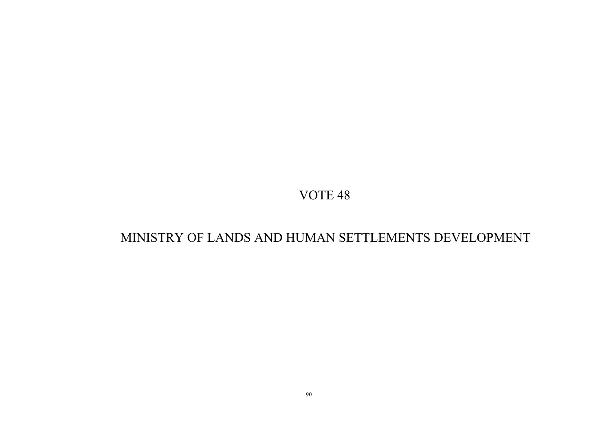## MINISTRY OF LANDS AND HUMAN SETTLEMENTS DEVELOPMENT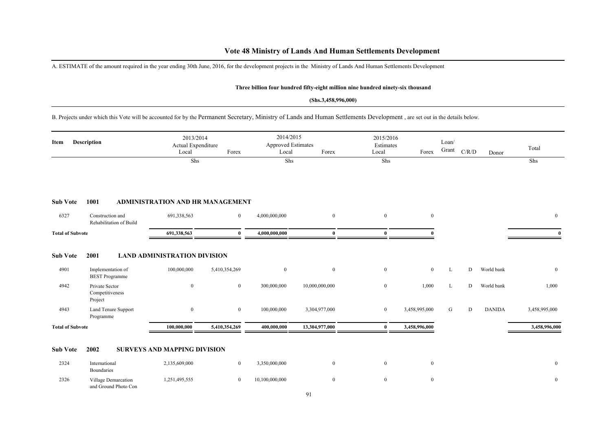## **Vote 48 Ministry of Lands And Human Settlements Development**

A. ESTIMATE of the amount required in the year ending 30th June, 2016, for the development projects in the Ministry of Lands And Human Settlements Development

### **Three billion four hundred fifty-eight million nine hundred ninety-six thousand**

### **(Shs.3,458,996,000)**

B. Projects under which this Vote will be accounted for by the Permanent Secretary, Ministry of Lands and Human Settlements Development , are set out in the details below.

| Item                    | Description                                  | 2013/2014<br>Actual Expenditure<br>Local | Forex          | 2014/2015<br><b>Approved Estimates</b><br>Local | Forex          | 2015/2016<br>Estimates<br>Local | Forex         | Loan/<br>Grant | C/R/D     | Donor         | Total          |
|-------------------------|----------------------------------------------|------------------------------------------|----------------|-------------------------------------------------|----------------|---------------------------------|---------------|----------------|-----------|---------------|----------------|
|                         |                                              | Shs                                      |                | Shs                                             |                | Shs                             |               |                |           |               | Shs            |
| <b>Sub Vote</b>         | 1001                                         | ADMINISTRATION AND HR MANAGEMENT         |                |                                                 |                |                                 |               |                |           |               |                |
| 6327                    | Construction and<br>Rehabilitation of Build  | 691,338,563                              | $\overline{0}$ | 4,000,000,000                                   | $\mathbf{0}$   | $\overline{0}$                  | $\mathbf{0}$  |                |           |               | $\overline{0}$ |
| <b>Total of Subvote</b> |                                              | 691,338,563                              | $\theta$       | 4,000,000,000                                   | $\bf{0}$       | $\mathbf{0}$                    |               |                |           |               | $\mathbf{0}$   |
| <b>Sub Vote</b>         | 2001                                         | <b>LAND ADMINISTRATION DIVISION</b>      |                |                                                 |                |                                 |               |                |           |               |                |
| 4901                    | Implementation of<br><b>BEST</b> Programme   | 100,000,000                              | 5,410,354,269  | $\bf{0}$                                        | $\mathbf{0}$   | $\mathbf{0}$                    | $\mathbf{0}$  | L              | D         | World bank    | $\overline{0}$ |
| 4942                    | Private Sector<br>Competitiveness<br>Project | $\boldsymbol{0}$                         | $\bf{0}$       | 300,000,000                                     | 10,000,000,000 | $\overline{0}$                  | 1,000         | L              | D         | World bank    | 1,000          |
| 4943                    | Land Tenure Support<br>Programme             | $\boldsymbol{0}$                         | $\overline{0}$ | 100,000,000                                     | 3,304,977,000  | $\bf{0}$                        | 3,458,995,000 | G              | ${\rm D}$ | <b>DANIDA</b> | 3,458,995,000  |
| <b>Total of Subvote</b> |                                              | 100,000,000                              | 5,410,354,269  | 400,000,000                                     | 13,304,977,000 | $\bf{0}$                        | 3,458,996,000 |                |           |               | 3,458,996,000  |
| <b>Sub Vote</b>         | 2002                                         | <b>SURVEYS AND MAPPING DIVISION</b>      |                |                                                 |                |                                 |               |                |           |               |                |
| 2324                    | International<br>Boundaries                  | 2,135,609,000                            | $\overline{0}$ | 3,350,000,000                                   | $\mathbf{0}$   | $\overline{0}$                  | $\bf{0}$      |                |           |               | $\mathbf{0}$   |
| 2326                    | Village Demarcation<br>and Ground Photo Con  | 1,251,495,555                            | $\bf{0}$       | 10,100,000,000                                  | $\mathbf{0}$   | $\overline{0}$                  | $\mathbf{0}$  |                |           |               | $\mathbf{0}$   |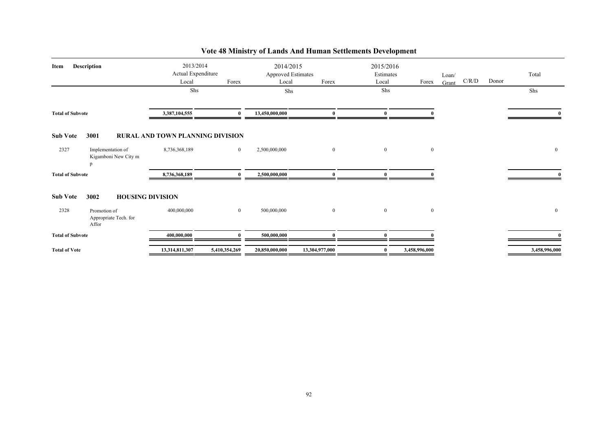| Item                    | Description                                    | 2013/2014<br>Actual Expenditure         |                | 2014/2015<br><b>Approved Estimates</b> |                | 2015/2016<br>Estimates |                | Loan/ |       |       | Total         |                |
|-------------------------|------------------------------------------------|-----------------------------------------|----------------|----------------------------------------|----------------|------------------------|----------------|-------|-------|-------|---------------|----------------|
|                         |                                                | Local                                   | Forex          | Local                                  | Forex          | Local                  | Forex          | Grant | C/R/D | Donor |               |                |
|                         |                                                | Shs                                     |                | Shs                                    |                | Shs                    |                |       |       |       | Shs           |                |
| <b>Total of Subvote</b> |                                                | 3,387,104,555                           | $\mathbf{0}$   | 13,450,000,000                         | 0              | $\mathbf{0}$           |                |       |       |       |               |                |
| <b>Sub Vote</b>         | 3001                                           | <b>RURAL AND TOWN PLANNING DIVISION</b> |                |                                        |                |                        |                |       |       |       |               |                |
| 2327                    | Implementation of<br>Kigamboni New City m<br>p | 8,736,368,189                           | $\overline{0}$ | 2,500,000,000                          | $\mathbf{0}$   | $\mathbf{0}$           | $\mathbf{0}$   |       |       |       |               | $\mathbf{0}$   |
| <b>Total of Subvote</b> |                                                | 8,736,368,189                           | $\mathbf{0}$   | 2,500,000,000                          |                | $\mathbf{a}$           |                |       |       |       |               |                |
| <b>Sub Vote</b>         | 3002<br><b>HOUSING DIVISION</b>                |                                         |                |                                        |                |                        |                |       |       |       |               |                |
| 2328                    | Promotion of<br>Appropriate Tech. for<br>Affor | 400,000,000                             | $\overline{0}$ | 500,000,000                            | $\overline{0}$ | $\mathbf{0}$           | $\overline{0}$ |       |       |       |               | $\overline{0}$ |
| <b>Total of Subvote</b> |                                                | 400,000,000                             | $\mathbf{0}$   | 500,000,000                            | 0              | $\mathbf{0}$           |                |       |       |       |               |                |
| <b>Total of Vote</b>    |                                                | 13,314,811,307                          | 5,410,354,269  | 20,850,000,000                         | 13,304,977,000 |                        | 3,458,996,000  |       |       |       | 3,458,996,000 |                |

## **Vote 48 Ministry of Lands And Human Settlements Development**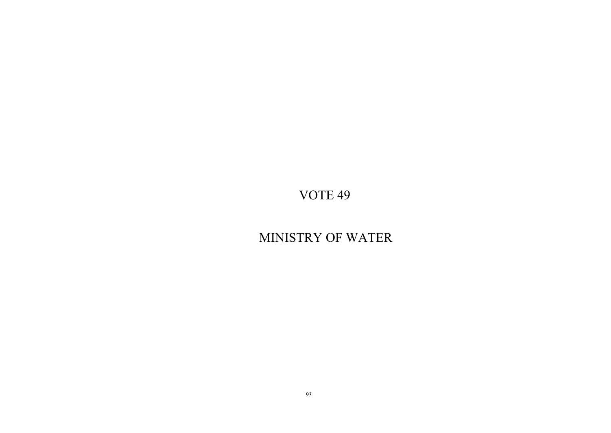# MINISTRY OF WATER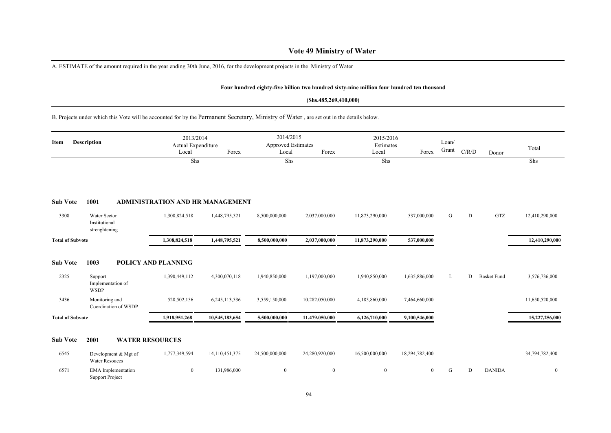## **Vote 49 Ministry of Water**

A. ESTIMATE of the amount required in the year ending 30th June, 2016, for the development projects in the Ministry of Water

Support Project

#### **Four hundred eighty-five billion two hundred sixty-nine million four hundred ten thousand**

#### **(Shs.485,269,410,000)**

B. Projects under which this Vote will be accounted for by the Permanent Secretary, Ministry of Water , are set out in the details below.

| Item                    | <b>Description</b>                             | 2013/2014<br>Actual Expenditure<br>Local | Forex          | 2014/2015<br><b>Approved Estimates</b><br>Local | Forex          | 2015/2016<br>Estimates<br>Local | Forex          | Loan/<br>Grant | C/R/D | Donor              | Total          |
|-------------------------|------------------------------------------------|------------------------------------------|----------------|-------------------------------------------------|----------------|---------------------------------|----------------|----------------|-------|--------------------|----------------|
|                         |                                                | Shs                                      |                | Shs                                             |                | Shs                             |                |                |       |                    | Shs            |
| <b>Sub Vote</b>         | 1001                                           | <b>ADMINISTRATION AND HR MANAGEMENT</b>  |                |                                                 |                |                                 |                |                |       |                    |                |
| 3308                    | Water Sector<br>Institutional<br>strenghtening | 1,308,824,518                            | 1,448,795,521  | 8,500,000,000                                   | 2,037,000,000  | 11,873,290,000                  | 537,000,000    | G              | D     | GTZ                | 12,410,290,000 |
| <b>Total of Subvote</b> |                                                | 1,308,824,518                            | 1,448,795,521  | 8,500,000,000                                   | 2,037,000,000  | 11,873,290,000                  | 537,000,000    |                |       |                    | 12,410,290,000 |
| <b>Sub Vote</b>         | 1003                                           | <b>POLICY AND PLANNING</b>               |                |                                                 |                |                                 |                |                |       |                    |                |
| 2325                    | Support<br>Implementation of<br><b>WSDP</b>    | 1,390,449,112                            | 4,300,070,118  | 1,940,850,000                                   | 1,197,000,000  | 1,940,850,000                   | 1,635,886,000  | L              | D     | <b>Basket Fund</b> | 3,576,736,000  |
| 3436                    | Monitoring and<br>Coordination of WSDP         | 528,502,156                              | 6,245,113,536  | 3,559,150,000                                   | 10,282,050,000 | 4,185,860,000                   | 7,464,660,000  |                |       |                    | 11,650,520,000 |
| <b>Total of Subvote</b> |                                                | 1,918,951,268                            | 10,545,183,654 | 5,500,000,000                                   | 11,479,050,000 | 6,126,710,000                   | 9,100,546,000  |                |       |                    | 15,227,256,000 |
| <b>Sub Vote</b>         | 2001<br><b>WATER RESOURCES</b>                 |                                          |                |                                                 |                |                                 |                |                |       |                    |                |
| 6545                    | Development & Mgt of<br><b>Water Resouces</b>  | 1,777,349,594                            | 14,110,451,375 | 24,500,000,000                                  | 24,280,920,000 | 16,500,000,000                  | 18,294,782,400 |                |       |                    | 34,794,782,400 |
| 6571                    | <b>EMA</b> Implementation                      | $\bf{0}$                                 | 131,986,000    | $\bf{0}$                                        | $\overline{0}$ | $\boldsymbol{0}$                | $\overline{0}$ | G              | D     | <b>DANIDA</b>      | $\overline{0}$ |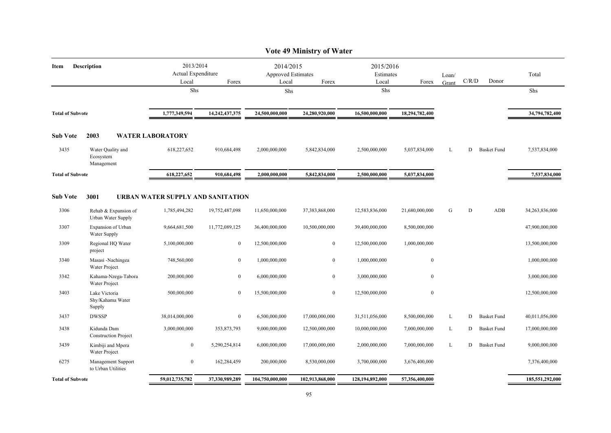|                         |                                              |                                          |                   |                                                 | <b>Vote 49 Ministry of Water</b> |                                 |                  |                |           |                    |                 |
|-------------------------|----------------------------------------------|------------------------------------------|-------------------|-------------------------------------------------|----------------------------------|---------------------------------|------------------|----------------|-----------|--------------------|-----------------|
| Item                    | Description                                  | 2013/2014<br>Actual Expenditure<br>Local | Forex             | 2014/2015<br><b>Approved Estimates</b><br>Local | Forex                            | 2015/2016<br>Estimates<br>Local | Forex            | Loan/<br>Grant | C/R/D     | Donor              | Total           |
|                         |                                              | Shs                                      |                   | Shs                                             |                                  | Shs                             |                  |                |           |                    | Shs             |
| <b>Total of Subvote</b> |                                              | 1,777,349,594                            | 14, 242, 437, 375 | 24,500,000,000                                  | 24,280,920,000                   | 16,500,000,000                  | 18,294,782,400   |                |           |                    | 34,794,782,400  |
| <b>Sub Vote</b>         | 2003                                         | <b>WATER LABORATORY</b>                  |                   |                                                 |                                  |                                 |                  |                |           |                    |                 |
| 3435                    | Water Quality and<br>Ecosystem<br>Management | 618,227,652                              | 910,684,498       | 2,000,000,000                                   | 5,842,834,000                    | 2,500,000,000                   | 5,037,834,000    | L              | D         | <b>Basket Fund</b> | 7,537,834,000   |
| <b>Total of Subvote</b> |                                              | 618,227,652                              | 910,684,498       | 2,000,000,000                                   | 5,842,834,000                    | 2,500,000,000                   | 5,037,834,000    |                |           |                    | 7,537,834,000   |
| <b>Sub Vote</b>         | 3001                                         | URBAN WATER SUPPLY AND SANITATION        |                   |                                                 |                                  |                                 |                  |                |           |                    |                 |
| 3306                    | Rehab & Expansion of<br>Urban Water Supply   | 1,785,494,282                            | 19,752,487,098    | 11,650,000,000                                  | 37,383,868,000                   | 12,583,836,000                  | 21,680,000,000   | G              | ${\rm D}$ | ADB                | 34,263,836,000  |
| 3307                    | Expansion of Urban<br>Water Supply           | 9,664,681,500                            | 11,772,089,125    | 36,400,000,000                                  | 10,500,000,000                   | 39,400,000,000                  | 8,500,000,000    |                |           |                    | 47,900,000,000  |
| 3309                    | Regional HQ Water<br>project                 | 5,100,000,000                            | $\boldsymbol{0}$  | 12,500,000,000                                  | $\bf{0}$                         | 12,500,000,000                  | 1,000,000,000    |                |           |                    | 13,500,000,000  |
| 3340                    | Masasi -Nachingea<br>Water Project           | 748,560,000                              | $\mathbf{0}$      | 1,000,000,000                                   | $\mathbf{0}$                     | 1,000,000,000                   | $\boldsymbol{0}$ |                |           |                    | 1,000,000,000   |
| 3342                    | Kahama-Nzega-Tabora<br>Water Project         | 200,000,000                              | $\overline{0}$    | 6,000,000,000                                   | $\overline{0}$                   | 3,000,000,000                   | $\bf{0}$         |                |           |                    | 3,000,000,000   |
| 3403                    | Lake Victoria<br>Shy/Kahama Water<br>Supply  | 500,000,000                              | $\overline{0}$    | 15,500,000,000                                  | $\bf{0}$                         | 12,500,000,000                  | $\boldsymbol{0}$ |                |           |                    | 12,500,000,000  |
| 3437                    | <b>DWSSP</b>                                 | 38,014,000,000                           | $\boldsymbol{0}$  | 6,500,000,000                                   | 17,000,000,000                   | 31,511,056,000                  | 8,500,000,000    | L              | D         | <b>Basket Fund</b> | 40,011,056,000  |
| 3438                    | Kidunda Dam<br><b>Construction Project</b>   | 3,000,000,000                            | 353,873,793       | 9,000,000,000                                   | 12,500,000,000                   | 10,000,000,000                  | 7,000,000,000    | L              | D         | <b>Basket Fund</b> | 17,000,000,000  |
| 3439                    | Kimbiji and Mpera<br>Water Project           | $\mathbf{0}$                             | 5,290,254,814     | 6,000,000,000                                   | 17,000,000,000                   | 2,000,000,000                   | 7,000,000,000    | L              | D         | <b>Basket Fund</b> | 9,000,000,000   |
| 6275                    | Management Support<br>to Urban Utilities     | $\bf{0}$                                 | 162,284,459       | 200,000,000                                     | 8,530,000,000                    | 3,700,000,000                   | 3,676,400,000    |                |           |                    | 7,376,400,000   |
| <b>Total of Subvote</b> |                                              | 59,012,735,782                           | 37,330,989,289    | 104,750,000,000                                 | 102,913,868,000                  | 128,194,892,000                 | 57,356,400,000   |                |           |                    | 185,551,292,000 |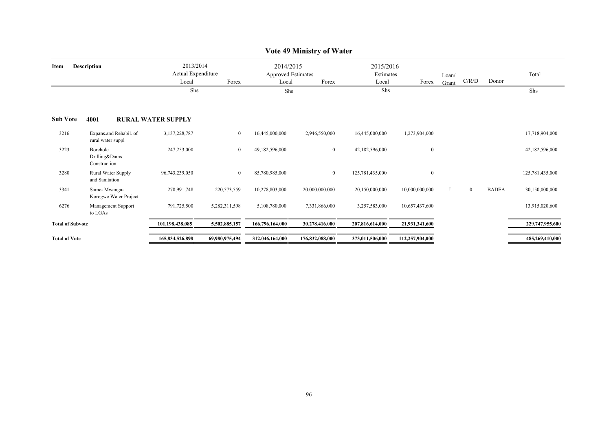|                            |                                             |                                                   |                |                                                          | TUWA TA MIHIMBIL YAN TARKI |                                 |                 |                |          |              |                 |
|----------------------------|---------------------------------------------|---------------------------------------------------|----------------|----------------------------------------------------------|----------------------------|---------------------------------|-----------------|----------------|----------|--------------|-----------------|
| <b>Description</b><br>Item |                                             | 2013/2014<br>Actual Expenditure<br>Local<br>Forex |                | 2014/2015<br><b>Approved Estimates</b><br>Local<br>Forex |                            | 2015/2016<br>Estimates<br>Local | Forex           | Loan/<br>Grant | C/R/D    | Donor        | Total           |
|                            |                                             | Shs                                               |                | Shs                                                      |                            | Shs                             |                 |                |          |              | Shs             |
| <b>Sub Vote</b>            | 4001                                        | <b>RURAL WATER SUPPLY</b>                         |                |                                                          |                            |                                 |                 |                |          |              |                 |
| 3216                       | Expans.and Rehabil. of<br>rural water suppl | 3,137,228,787                                     | $\overline{0}$ | 16,445,000,000                                           | 2,946,550,000              | 16,445,000,000                  | 1,273,904,000   |                |          |              | 17,718,904,000  |
| 3223                       | Borehole<br>Drilling&Dams<br>Construction   | 247,253,000                                       | $\overline{0}$ | 49,182,596,000                                           | $\overline{0}$             | 42,182,596,000                  | $\mathbf{0}$    |                |          |              | 42,182,596,000  |
| 3280                       | Rural Water Supply<br>and Sanitation        | 96,743,239,050                                    | $\overline{0}$ | 85,780,985,000                                           | $\overline{0}$             | 125,781,435,000                 | $\mathbf{0}$    |                |          |              | 125,781,435,000 |
| 3341                       | Same-Mwanga-<br>Korogwe Water Project       | 278,991,748                                       | 220,573,559    | 10,278,803,000                                           | 20,000,000,000             | 20,150,000,000                  | 10,000,000,000  | L.             | $\bf{0}$ | <b>BADEA</b> | 30,150,000,000  |
| 6276                       | Management Support<br>to LGAs               | 791,725,500                                       | 5,282,311,598  | 5,108,780,000                                            | 7,331,866,000              | 3,257,583,000                   | 10,657,437,600  |                |          |              | 13,915,020,600  |
| <b>Total of Subvote</b>    |                                             | 101,198,438,085                                   | 5,502,885,157  | 166,796,164,000                                          | 30,278,416,000             | 207,816,614,000                 | 21,931,341,600  |                |          |              | 229,747,955,600 |
| <b>Total of Vote</b>       |                                             | 165,834,526,898                                   | 69,980,975,494 | 312,046,164,000                                          | 176,832,088,000            | 373,011,506,000                 | 112,257,904,000 |                |          |              | 485,269,410,000 |

### **Vote 49 Ministry of Water**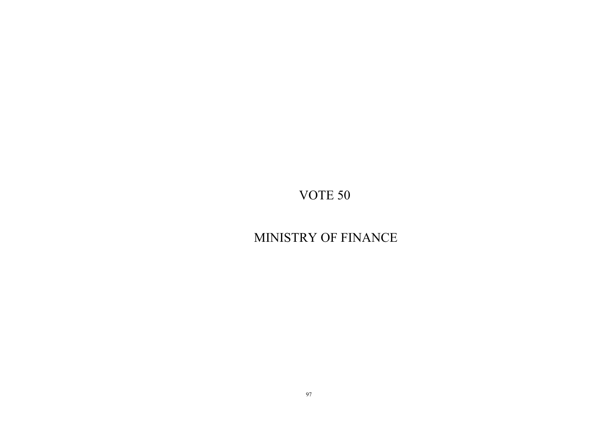# MINISTRY OF FINANCE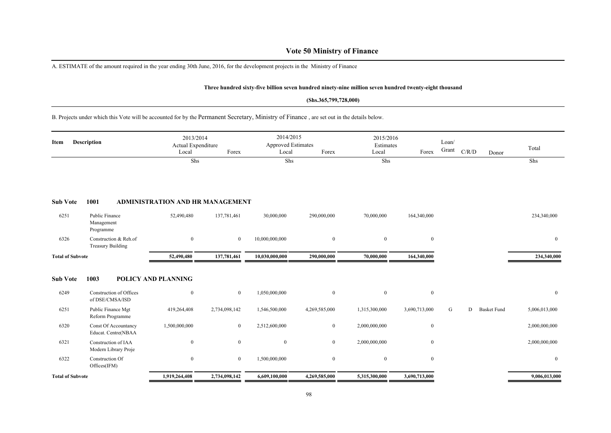## **Vote 50 Ministry of Finance**

A. ESTIMATE of the amount required in the year ending 30th June, 2016, for the development projects in the Ministry of Finance

#### **Three hundred sixty-five billion seven hundred ninety-nine million seven hundred twenty-eight thousand**

### **(Shs.365,799,728,000)**

B. Projects under which this Vote will be accounted for by the Permanent Secretary, Ministry of Finance , are set out in the details below.

| Item                    | <b>Description</b>                                 | 2013/2014<br>Actual Expenditure<br>Local | Forex          | 2014/2015<br><b>Approved Estimates</b><br>Local | Forex            | 2015/2016<br>Estimates<br>Local | Forex            | Loan/<br>Grant | C/R/D<br>Donor          | Total          |
|-------------------------|----------------------------------------------------|------------------------------------------|----------------|-------------------------------------------------|------------------|---------------------------------|------------------|----------------|-------------------------|----------------|
|                         |                                                    | Shs                                      |                | Shs                                             |                  | Shs                             |                  |                |                         | Shs            |
| <b>Sub Vote</b>         | 1001                                               | <b>ADMINISTRATION AND HR MANAGEMENT</b>  |                |                                                 |                  |                                 |                  |                |                         |                |
| 6251                    | Public Finance<br>Management<br>Programme          | 52,490,480                               | 137,781,461    | 30,000,000                                      | 290,000,000      | 70,000,000                      | 164,340,000      |                |                         | 234,340,000    |
| 6326                    | Construction & Reh.of<br><b>Treasury Building</b>  | $\mathbf{0}$                             | $\overline{0}$ | 10,000,000,000                                  | $\boldsymbol{0}$ | $\boldsymbol{0}$                | $\bf{0}$         |                |                         | $\bf{0}$       |
| <b>Total of Subvote</b> |                                                    | 52,490,480                               | 137,781,461    | 10,030,000,000                                  | 290,000,000      | 70,000,000                      | 164,340,000      |                |                         | 234,340,000    |
| <b>Sub Vote</b>         | 1003                                               | <b>POLICY AND PLANNING</b>               |                |                                                 |                  |                                 |                  |                |                         |                |
| 6249                    | Construction of Offices<br>of DSE/CMSA/ISD         | $\mathbf{0}$                             | $\mathbf{0}$   | 1,050,000,000                                   | $\boldsymbol{0}$ | $\mathbf{0}$                    | $\boldsymbol{0}$ |                |                         | $\mathbf{0}$   |
| 6251                    | Public Finance Mgt<br>Reform Programme             | 419,264,408                              | 2,734,098,142  | 1,546,500,000                                   | 4,269,585,000    | 1,315,300,000                   | 3,690,713,000    | G              | D<br><b>Basket Fund</b> | 5,006,013,000  |
| 6320                    | <b>Const Of Accountancy</b><br>Educat. Centre(NBAA | 1,500,000,000                            | $\bf{0}$       | 2,512,600,000                                   | $\boldsymbol{0}$ | 2,000,000,000                   | $\bf{0}$         |                |                         | 2,000,000,000  |
| 6321                    | Construction of IAA<br>Modern Library Proje        | $\mathbf{0}$                             | $\overline{0}$ | $\mathbf{0}$                                    | $\mathbf{0}$     | 2,000,000,000                   | $\mathbf{0}$     |                |                         | 2,000,000,000  |
| 6322                    | Construction Of<br>Offices(IFM)                    | $\mathbf{0}$                             | $\overline{0}$ | 1,500,000,000                                   | $\mathbf{0}$     | $\mathbf{0}$                    | $\mathbf{0}$     |                |                         | $\overline{0}$ |
| <b>Total of Subvote</b> |                                                    | 1,919,264,408                            | 2,734,098,142  | 6,609,100,000                                   | 4,269,585,000    | 5,315,300,000                   | 3,690,713,000    |                |                         | 9,006,013,000  |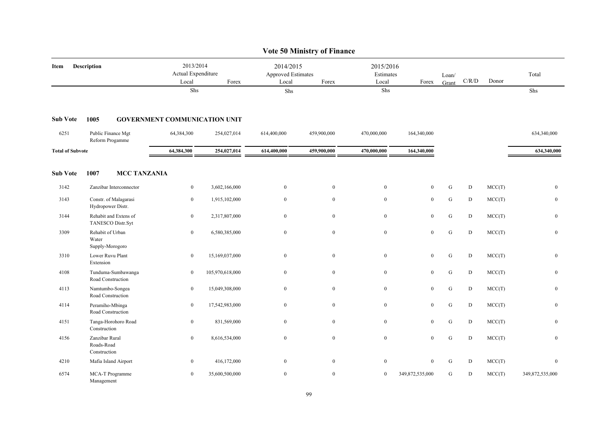|                         |                                              |                     |                                                   |                                      |                                                          | <b>Vote 50 Ministry of Finance</b> |                                 |                  |                |                                        |        |                  |
|-------------------------|----------------------------------------------|---------------------|---------------------------------------------------|--------------------------------------|----------------------------------------------------------|------------------------------------|---------------------------------|------------------|----------------|----------------------------------------|--------|------------------|
| Item                    | Description                                  |                     | 2013/2014<br>Actual Expenditure<br>Local<br>Forex |                                      | 2014/2015<br><b>Approved Estimates</b><br>Local<br>Forex |                                    | 2015/2016<br>Estimates<br>Local | Forex            | Loan/<br>Grant | $\mathbf{C} / \mathbf{R} / \mathbf{D}$ | Donor  | Total            |
|                         |                                              |                     | Shs                                               |                                      | Shs                                                      |                                    | Shs                             |                  |                |                                        |        | Shs              |
| <b>Sub Vote</b>         | 1005                                         |                     |                                                   | <b>GOVERNMENT COMMUNICATION UNIT</b> |                                                          |                                    |                                 |                  |                |                                        |        |                  |
| 6251                    | Public Finance Mgt<br>Reform Progamme        |                     | 64,384,300                                        | 254,027,014                          | 614,400,000                                              | 459,900,000                        | 470,000,000                     | 164,340,000      |                |                                        |        | 634,340,000      |
| <b>Total of Subvote</b> |                                              |                     | 64,384,300                                        | 254,027,014                          | 614,400,000                                              | 459,900,000                        | 470,000,000                     | 164,340,000      |                |                                        |        | 634,340,000      |
| <b>Sub Vote</b>         | 1007                                         | <b>MCC TANZANIA</b> |                                                   |                                      |                                                          |                                    |                                 |                  |                |                                        |        |                  |
| 3142                    | Zanzibar Interconnector                      |                     | $\bf{0}$                                          | 3,602,166,000                        | $\bf{0}$                                                 | $\boldsymbol{0}$                   | $\boldsymbol{0}$                | $\mathbf{0}$     | G              | ${\bf D}$                              | MCC(T) | $\mathbf{0}$     |
| 3143                    | Constr. of Malagarasi<br>Hydropower Distr.   |                     | $\boldsymbol{0}$                                  | 1,915,102,000                        | $\boldsymbol{0}$                                         | $\mathbf{0}$                       | $\boldsymbol{0}$                | $\mathbf{0}$     | ${\bf G}$      | ${\bf D}$                              | MCC(T) | $\boldsymbol{0}$ |
| 3144                    | Rehabit and Extens of<br>TANESCO Distr.Syt   |                     | $\overline{0}$                                    | 2,317,807,000                        | $\overline{0}$                                           | $\mathbf{0}$                       | $\mathbf{0}$                    | $\mathbf{0}$     | G              | ${\bf D}$                              | MCC(T) | $\mathbf{0}$     |
| 3309                    | Rehabit of Urban<br>Water<br>Supply-Morogoro |                     | $\boldsymbol{0}$                                  | 6,580,385,000                        | $\overline{0}$                                           | $\bf{0}$                           | $\boldsymbol{0}$                | $\boldsymbol{0}$ | ${\bf G}$      | D                                      | MCC(T) | $\mathbf{0}$     |
| 3310                    | Lower Ruvu Plant<br>Extension                |                     | $\mathbf{0}$                                      | 15,169,037,000                       | $\overline{0}$                                           | $\mathbf{0}$                       | $\mathbf{0}$                    | $\mathbf{0}$     | G              | D                                      | MCC(T) | $\mathbf{0}$     |
| 4108                    | Tunduma-Sumbawanga<br>Road Construction      |                     | $\bf{0}$                                          | 105,970,618,000                      | $\overline{0}$                                           | $\bf{0}$                           | $\bf{0}$                        | $\mathbf{0}$     | ${\bf G}$      | D                                      | MCC(T) | $\bf{0}$         |
| 4113                    | Namtumbo-Songea<br>Road Construction         |                     | $\boldsymbol{0}$                                  | 15,049,308,000                       | $\mathbf{0}$                                             | $\mathbf{0}$                       | $\boldsymbol{0}$                | $\mathbf{0}$     | ${\bf G}$      | ${\bf D}$                              | MCC(T) | $\boldsymbol{0}$ |
| 4114                    | Peramiho-Mbinga<br>Road Construction         |                     | $\bf{0}$                                          | 17,542,983,000                       | $\bf{0}$                                                 | $\mathbf{0}$                       | $\boldsymbol{0}$                | $\boldsymbol{0}$ | ${\bf G}$      | ${\bf D}$                              | MCC(T) | $\mathbf{0}$     |
| 4151                    | Tanga-Horohoro Road<br>Construction          |                     | $\bf{0}$                                          | 831,569,000                          | $\overline{0}$                                           | $\mathbf{0}$                       | $\mathbf{0}$                    | $\mathbf{0}$     | G              | D                                      | MCC(T) | $\mathbf{0}$     |
| 4156                    | Zanzibar Rural<br>Roads-Road<br>Construction |                     | $\overline{0}$                                    | 8,616,534,000                        | $\overline{0}$                                           | $\bf{0}$                           | $\boldsymbol{0}$                | $\mathbf{0}$     | G              | D                                      | MCC(T) | $\mathbf{0}$     |
| 4210                    | Mafia Island Airport                         |                     | $\overline{0}$                                    | 416,172,000                          | $\overline{0}$                                           | $\mathbf{0}$                       | $\theta$                        | $\mathbf{0}$     | G              | D                                      | MCC(T) | $\mathbf{0}$     |
| 6574                    | MCA-T Programme<br>Management                |                     | $\mathbf{0}$                                      | 35,600,500,000                       | $\bf{0}$                                                 | $\mathbf{0}$                       | $\boldsymbol{0}$                | 349,872,535,000  | G              | D                                      | MCC(T) | 349,872,535,000  |

99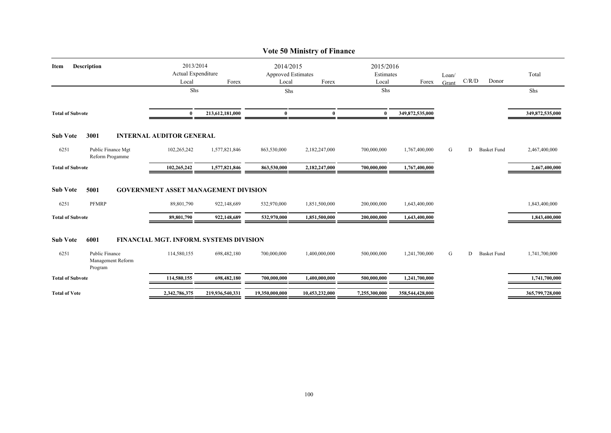|                            |                                                          |                                             |                 |                                                          | <b>Vote 50 Ministry of Finance</b> |                                          |                 |       |       |                    |                 |
|----------------------------|----------------------------------------------------------|---------------------------------------------|-----------------|----------------------------------------------------------|------------------------------------|------------------------------------------|-----------------|-------|-------|--------------------|-----------------|
| <b>Description</b><br>Item | 2013/2014<br>Actual Expenditure<br>Forex<br>Local<br>Shs |                                             |                 | 2014/2015<br><b>Approved Estimates</b><br>Forex<br>Local |                                    | 2015/2016<br>Estimates<br>Local<br>Forex | Loan/<br>Grant  | C/R/D | Donor | Total              |                 |
|                            |                                                          |                                             |                 | Shs                                                      |                                    | Shs                                      |                 |       |       |                    | Shs             |
| <b>Total of Subvote</b>    |                                                          | $\mathbf{0}$                                | 213,612,181,000 | $\bf{0}$                                                 | $\mathbf{0}$                       | $\mathbf{0}$                             | 349,872,535,000 |       |       |                    | 349,872,535,000 |
| <b>Sub Vote</b>            | 3001                                                     | <b>INTERNAL AUDITOR GENERAL</b>             |                 |                                                          |                                    |                                          |                 |       |       |                    |                 |
| 6251                       | Public Finance Mgt<br>Reform Progamme                    | 102,265,242                                 | 1,577,821,846   | 863,530,000                                              | 2,182,247,000                      | 700,000,000                              | 1,767,400,000   | G     | D     | <b>Basket Fund</b> | 2,467,400,000   |
| <b>Total of Subvote</b>    |                                                          | 102,265,242                                 | 1,577,821,846   | 863,530,000                                              | 2,182,247,000                      | 700,000,000                              | 1,767,400,000   |       |       |                    | 2,467,400,000   |
| <b>Sub Vote</b>            | 5001                                                     | <b>GOVERNMENT ASSET MANAGEMENT DIVISION</b> |                 |                                                          |                                    |                                          |                 |       |       |                    |                 |
| 6251                       | <b>PFMRP</b>                                             | 89,801,790                                  | 922,148,689     | 532,970,000                                              | 1,851,500,000                      | 200,000,000                              | 1,643,400,000   |       |       |                    | 1,843,400,000   |
| <b>Total of Subvote</b>    |                                                          | 89,801,790                                  | 922,148,689     | 532,970,000                                              | 1,851,500,000                      | 200,000,000                              | 1,643,400,000   |       |       |                    | 1,843,400,000   |
| <b>Sub Vote</b>            | 6001                                                     | FINANCIAL MGT. INFORM. SYSTEMS DIVISION     |                 |                                                          |                                    |                                          |                 |       |       |                    |                 |
| 6251                       | Public Finance<br>Management Reform<br>Program           | 114,580,155                                 | 698,482,180     | 700,000,000                                              | 1,400,000,000                      | 500,000,000                              | 1,241,700,000   | G     | D     | <b>Basket Fund</b> | 1,741,700,000   |
| <b>Total of Subvote</b>    |                                                          | 114,580,155                                 | 698,482,180     | 700,000,000                                              | 1,400,000,000                      | 500,000,000                              | 1,241,700,000   |       |       |                    | 1,741,700,000   |
| <b>Total of Vote</b>       |                                                          | 2,342,786,375                               | 219,936,540,331 | 19,350,000,000                                           | 10,453,232,000                     | 7,255,300,000                            | 358,544,428,000 |       |       |                    | 365,799,728,000 |
|                            |                                                          |                                             |                 |                                                          |                                    |                                          |                 |       |       |                    |                 |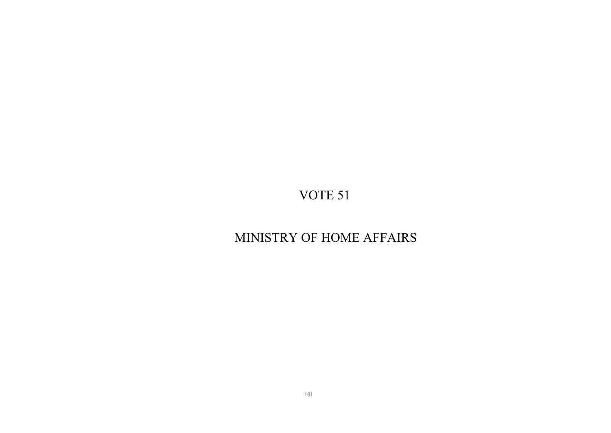# MINISTRY OF HOME AFFAIRS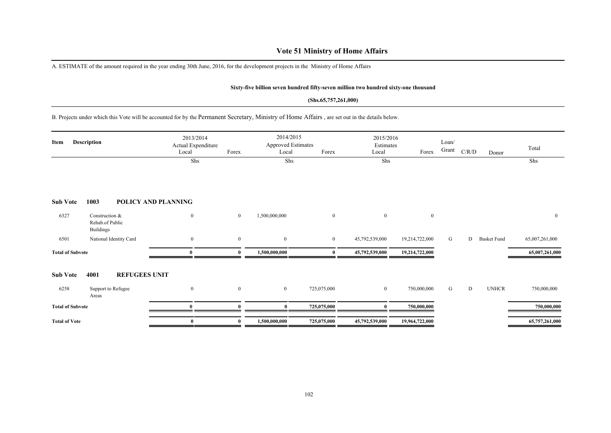## **Vote 51 Ministry of Home Affairs**

A. ESTIMATE of the amount required in the year ending 30th June, 2016, for the development projects in the Ministry of Home Affairs

### **Sixty-five billion seven hundred fifty-seven million two hundred sixty-one thousand**

### **(Shs.65,757,261,000)**

B. Projects under which this Vote will be accounted for by the Permanent Secretary, Ministry of Home Affairs , are set out in the details below.

| Item                    | <b>Description</b>                                    | 2013/2014<br>Actual Expenditure<br>Local | Forex        | 2014/2015<br><b>Approved Estimates</b><br>Local | Forex          | 2015/2016<br>Estimates<br>Local | Forex          | Loan/<br>Grant | C/R/D | Donor              | Total          |
|-------------------------|-------------------------------------------------------|------------------------------------------|--------------|-------------------------------------------------|----------------|---------------------------------|----------------|----------------|-------|--------------------|----------------|
|                         |                                                       | Shs                                      |              | Shs                                             |                | Shs                             |                |                |       |                    | Shs            |
| <b>Sub Vote</b>         | 1003                                                  | POLICY AND PLANNING                      |              |                                                 |                |                                 |                |                |       |                    |                |
| 6327                    | Construction &<br>Rehab.of Public<br><b>Buildings</b> | $\mathbf{0}$                             | $\bf{0}$     | 1,500,000,000                                   | $\overline{0}$ | $\bf{0}$                        | $\overline{0}$ |                |       |                    | $\mathbf{0}$   |
| 6501                    | National Identity Card                                | $\bf{0}$                                 | $\mathbf{0}$ | $\boldsymbol{0}$                                | $\overline{0}$ | 45,792,539,000                  | 19,214,722,000 | G              | D     | <b>Basket Fund</b> | 65,007,261,000 |
| <b>Total of Subvote</b> |                                                       | $\mathbf{0}$                             | $\theta$     | 1,500,000,000                                   | $\mathbf{0}$   | 45,792,539,000                  | 19,214,722,000 |                |       |                    | 65,007,261,000 |
| <b>Sub Vote</b>         | 4001<br><b>REFUGEES UNIT</b>                          |                                          |              |                                                 |                |                                 |                |                |       |                    |                |
| 6258                    | Support to Refugee<br>Areas                           | $\mathbf{0}$                             | $\mathbf{0}$ | $\bf{0}$                                        | 725,075,000    | $\overline{0}$                  | 750,000,000    | G              | D     | <b>UNHCR</b>       | 750,000,000    |
| <b>Total of Subvote</b> |                                                       | $\mathbf{0}$                             |              |                                                 | 725,075,000    |                                 | 750,000,000    |                |       |                    | 750,000,000    |
| <b>Total of Vote</b>    |                                                       | $\mathbf{0}$                             |              | 1,500,000,000                                   | 725,075,000    | 45,792,539,000                  | 19,964,722,000 |                |       |                    | 65,757,261,000 |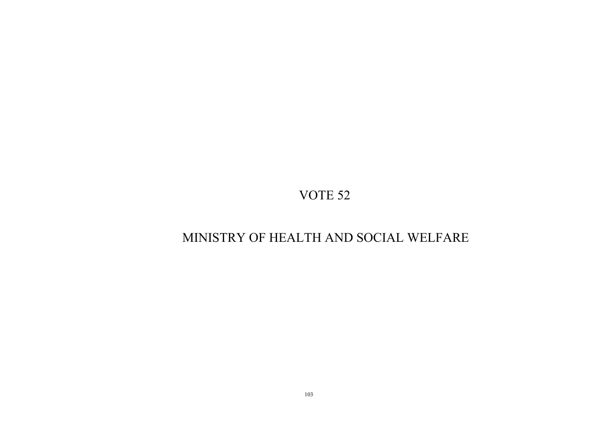## MINISTRY OF HEALTH AND SOCIAL WELFARE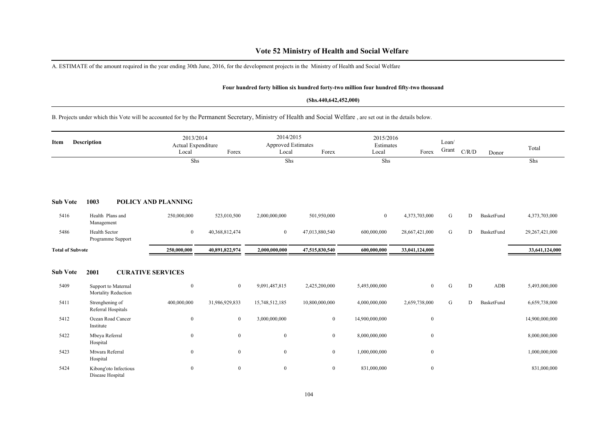## **Vote 52 Ministry of Health and Social Welfare**

A. ESTIMATE of the amount required in the year ending 30th June, 2016, for the development projects in the Ministry of Health and Social Welfare

### **Four hundred forty billion six hundred forty-two million four hundred fifty-two thousand**

#### **(Shs.440,642,452,000)**

B. Projects under which this Vote will be accounted for by the Permanent Secretary, Ministry of Health and Social Welfare , are set out in the details below.

| <b>Description</b><br>Item |                                            | 2013/2014<br>Actual Expenditure<br>Local | Forex          | 2014/2015<br><b>Approved Estimates</b><br>Local | Forex          | 2015/2016<br>Estimates<br>Local | Forex            | Loan/<br>Grant | C/R/D | Donor      | Total          |
|----------------------------|--------------------------------------------|------------------------------------------|----------------|-------------------------------------------------|----------------|---------------------------------|------------------|----------------|-------|------------|----------------|
|                            |                                            | Shs                                      |                | Shs                                             |                | Shs                             |                  |                |       |            | Shs            |
| <b>Sub Vote</b>            | 1003                                       | POLICY AND PLANNING                      |                |                                                 |                |                                 |                  |                |       |            |                |
| 5416                       | Health Plans and<br>Management             | 250,000,000                              | 523,010,500    | 2,000,000,000                                   | 501,950,000    | $\mathbf{0}$                    | 4,373,703,000    | G              | D     | BasketFund | 4,373,703,000  |
| 5486                       | <b>Health Sector</b><br>Programme Support  | $\bf{0}$                                 | 40,368,812,474 | $\overline{0}$                                  | 47,013,880,540 | 600,000,000                     | 28,667,421,000   | G              | D     | BasketFund | 29,267,421,000 |
| <b>Total of Subvote</b>    |                                            | 250,000,000                              | 40,891,822,974 | 2,000,000,000                                   | 47,515,830,540 | 600,000,000                     | 33,041,124,000   |                |       |            | 33,641,124,000 |
| <b>Sub Vote</b>            | 2001                                       | <b>CURATIVE SERVICES</b>                 |                |                                                 |                |                                 |                  |                |       |            |                |
| 5409                       | Support to Maternal<br>Mortality Reduction | $\boldsymbol{0}$                         | $\mathbf{0}$   | 9,091,487,815                                   | 2,425,200,000  | 5,493,000,000                   | $\boldsymbol{0}$ | G              | D     | ADB        | 5,493,000,000  |
| 5411                       | Strenghening of<br>Referral Hospitals      | 400,000,000                              | 31,986,929,833 | 15,748,512,185                                  | 10,800,000,000 | 4,000,000,000                   | 2,659,738,000    | G              | D     | BasketFund | 6,659,738,000  |
| 5412                       | Ocean Road Cancer<br>Institute             | $\boldsymbol{0}$                         | $\mathbf{0}$   | 3,000,000,000                                   | $\overline{0}$ | 14,900,000,000                  | $\boldsymbol{0}$ |                |       |            | 14,900,000,000 |
| 5422                       | Mbeya Referral<br>Hospital                 | $\boldsymbol{0}$                         | $\mathbf{0}$   | $\mathbf{0}$                                    | $\overline{0}$ | 8,000,000,000                   | $\boldsymbol{0}$ |                |       |            | 8,000,000,000  |
| 5423                       | Mtwara Referral<br>Hospital                | $\boldsymbol{0}$                         | $\mathbf{0}$   | $\mathbf{0}$                                    | $\mathbf{0}$   | 1,000,000,000                   | $\boldsymbol{0}$ |                |       |            | 1,000,000,000  |
| 5424                       | Kibong'oto Infectious<br>Disease Hospital  | $\boldsymbol{0}$                         | $\mathbf{0}$   | $\boldsymbol{0}$                                | $\overline{0}$ | 831,000,000                     | $\bf{0}$         |                |       |            | 831,000,000    |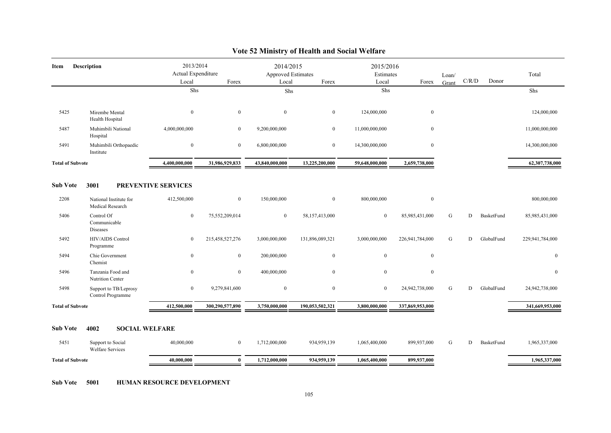| 2013/2014<br>2014/2015<br>2015/2016<br><b>Description</b><br>Item<br>Actual Expenditure<br>Approved Estimates<br>Estimates<br>Total<br>Loan/<br>C/R/D<br>Donor<br>Forex<br>Local<br>Forex<br>Local<br>Forex<br>Local<br>Grant<br>Shs<br>Shs<br>Shs<br>${\rm Shs}$<br>5425<br>$\bf{0}$<br>$\mathbf{0}$<br>$\overline{0}$<br>$\overline{0}$<br>124,000,000<br>$\mathbf{0}$<br>124,000,000<br>Mirembe Mental<br>Health Hospital<br>Muhimbili National<br>4,000,000,000<br>5487<br>$\mathbf{0}$<br>9,200,000,000<br>$\overline{0}$<br>11,000,000,000<br>$\mathbf{0}$<br>11,000,000,000<br>Hospital<br>$\bf{0}$<br>$\mathbf{0}$<br>6,800,000,000<br>14,300,000,000<br>$\mathbf{0}$<br>14,300,000,000<br>5491<br>Muhimbili Orthopaedic<br>$\overline{0}$<br>Institute<br>31,986,929,833<br><b>Total of Subvote</b><br>4,400,000,000<br>43,840,000,000<br>13,225,200,000<br>59,648,000,000<br>2,659,738,000<br>3001<br>PREVENTIVE SERVICES<br><b>Sub Vote</b><br>2208<br>150,000,000<br>National Institute for<br>412,500,000<br>$\overline{0}$<br>$\overline{0}$<br>800,000,000<br>$\bf{0}$<br>800,000,000<br>Medical Research<br>5406<br>Control Of<br>$\overline{0}$<br>75,552,209,014<br>$\overline{0}$<br>58,157,413,000<br>$\mathbf{0}$<br>85,985,431,000<br>G<br>D<br>BasketFund<br>85,985,431,000<br>Communicable<br>Diseases<br>5492<br>3,000,000,000<br>HIV/AIDS Control<br>$\bf{0}$<br>215,458,527,276<br>3,000,000,000<br>131,896,089,321<br>226,941,784,000<br>G<br>GlobalFund<br>229,941,784,000<br>D<br>Programme<br>$\mathbf{0}$<br>5494<br>Chie Government<br>$\bf{0}$<br>$\overline{0}$<br>200,000,000<br>$\overline{0}$<br>$\mathbf{0}$<br>Chemist<br>5496<br>Tanzania Food and<br>$\mathbf{0}$<br>400,000,000<br>$\bf{0}$<br>$\mathbf{0}$<br>$\boldsymbol{0}$<br>$\overline{0}$<br>Nutrition Center<br>5498<br>24,942,738,000<br>Support to TB/Leprosy<br>$\bf{0}$<br>9,279,841,600<br>$\overline{0}$<br>$\overline{0}$<br>$\bf{0}$<br>G<br>D<br>GlobalFund<br>24,942,738,000<br>Control Programme<br>190,053,502,321<br>3,800,000,000<br><b>Total of Subvote</b><br>412,500,000<br>300,290,577,890<br>3,750,000,000<br>337,869,953,000<br>4002<br><b>Sub Vote</b><br><b>SOCIAL WELFARE</b><br>5451<br>40,000,000<br>G<br>Support to Social<br>$\overline{0}$<br>1,712,000,000<br>934,959,139<br>1,065,400,000<br>899,937,000<br>D<br>BasketFund<br>1,965,337,000 |  |  |  |  |  |  |  |  |                 |
|--------------------------------------------------------------------------------------------------------------------------------------------------------------------------------------------------------------------------------------------------------------------------------------------------------------------------------------------------------------------------------------------------------------------------------------------------------------------------------------------------------------------------------------------------------------------------------------------------------------------------------------------------------------------------------------------------------------------------------------------------------------------------------------------------------------------------------------------------------------------------------------------------------------------------------------------------------------------------------------------------------------------------------------------------------------------------------------------------------------------------------------------------------------------------------------------------------------------------------------------------------------------------------------------------------------------------------------------------------------------------------------------------------------------------------------------------------------------------------------------------------------------------------------------------------------------------------------------------------------------------------------------------------------------------------------------------------------------------------------------------------------------------------------------------------------------------------------------------------------------------------------------------------------------------------------------------------------------------------------------------------------------------------------------------------------------------------------------------------------------------------------------------------------------------------------------------------------------------------------------------------------------------------------------------------------------------------------------------------------------------------|--|--|--|--|--|--|--|--|-----------------|
|                                                                                                                                                                                                                                                                                                                                                                                                                                                                                                                                                                                                                                                                                                                                                                                                                                                                                                                                                                                                                                                                                                                                                                                                                                                                                                                                                                                                                                                                                                                                                                                                                                                                                                                                                                                                                                                                                                                                                                                                                                                                                                                                                                                                                                                                                                                                                                                |  |  |  |  |  |  |  |  |                 |
|                                                                                                                                                                                                                                                                                                                                                                                                                                                                                                                                                                                                                                                                                                                                                                                                                                                                                                                                                                                                                                                                                                                                                                                                                                                                                                                                                                                                                                                                                                                                                                                                                                                                                                                                                                                                                                                                                                                                                                                                                                                                                                                                                                                                                                                                                                                                                                                |  |  |  |  |  |  |  |  |                 |
|                                                                                                                                                                                                                                                                                                                                                                                                                                                                                                                                                                                                                                                                                                                                                                                                                                                                                                                                                                                                                                                                                                                                                                                                                                                                                                                                                                                                                                                                                                                                                                                                                                                                                                                                                                                                                                                                                                                                                                                                                                                                                                                                                                                                                                                                                                                                                                                |  |  |  |  |  |  |  |  |                 |
|                                                                                                                                                                                                                                                                                                                                                                                                                                                                                                                                                                                                                                                                                                                                                                                                                                                                                                                                                                                                                                                                                                                                                                                                                                                                                                                                                                                                                                                                                                                                                                                                                                                                                                                                                                                                                                                                                                                                                                                                                                                                                                                                                                                                                                                                                                                                                                                |  |  |  |  |  |  |  |  |                 |
|                                                                                                                                                                                                                                                                                                                                                                                                                                                                                                                                                                                                                                                                                                                                                                                                                                                                                                                                                                                                                                                                                                                                                                                                                                                                                                                                                                                                                                                                                                                                                                                                                                                                                                                                                                                                                                                                                                                                                                                                                                                                                                                                                                                                                                                                                                                                                                                |  |  |  |  |  |  |  |  |                 |
|                                                                                                                                                                                                                                                                                                                                                                                                                                                                                                                                                                                                                                                                                                                                                                                                                                                                                                                                                                                                                                                                                                                                                                                                                                                                                                                                                                                                                                                                                                                                                                                                                                                                                                                                                                                                                                                                                                                                                                                                                                                                                                                                                                                                                                                                                                                                                                                |  |  |  |  |  |  |  |  | 62,307,738,000  |
|                                                                                                                                                                                                                                                                                                                                                                                                                                                                                                                                                                                                                                                                                                                                                                                                                                                                                                                                                                                                                                                                                                                                                                                                                                                                                                                                                                                                                                                                                                                                                                                                                                                                                                                                                                                                                                                                                                                                                                                                                                                                                                                                                                                                                                                                                                                                                                                |  |  |  |  |  |  |  |  |                 |
|                                                                                                                                                                                                                                                                                                                                                                                                                                                                                                                                                                                                                                                                                                                                                                                                                                                                                                                                                                                                                                                                                                                                                                                                                                                                                                                                                                                                                                                                                                                                                                                                                                                                                                                                                                                                                                                                                                                                                                                                                                                                                                                                                                                                                                                                                                                                                                                |  |  |  |  |  |  |  |  |                 |
|                                                                                                                                                                                                                                                                                                                                                                                                                                                                                                                                                                                                                                                                                                                                                                                                                                                                                                                                                                                                                                                                                                                                                                                                                                                                                                                                                                                                                                                                                                                                                                                                                                                                                                                                                                                                                                                                                                                                                                                                                                                                                                                                                                                                                                                                                                                                                                                |  |  |  |  |  |  |  |  |                 |
|                                                                                                                                                                                                                                                                                                                                                                                                                                                                                                                                                                                                                                                                                                                                                                                                                                                                                                                                                                                                                                                                                                                                                                                                                                                                                                                                                                                                                                                                                                                                                                                                                                                                                                                                                                                                                                                                                                                                                                                                                                                                                                                                                                                                                                                                                                                                                                                |  |  |  |  |  |  |  |  |                 |
|                                                                                                                                                                                                                                                                                                                                                                                                                                                                                                                                                                                                                                                                                                                                                                                                                                                                                                                                                                                                                                                                                                                                                                                                                                                                                                                                                                                                                                                                                                                                                                                                                                                                                                                                                                                                                                                                                                                                                                                                                                                                                                                                                                                                                                                                                                                                                                                |  |  |  |  |  |  |  |  | $\mathbf{0}$    |
|                                                                                                                                                                                                                                                                                                                                                                                                                                                                                                                                                                                                                                                                                                                                                                                                                                                                                                                                                                                                                                                                                                                                                                                                                                                                                                                                                                                                                                                                                                                                                                                                                                                                                                                                                                                                                                                                                                                                                                                                                                                                                                                                                                                                                                                                                                                                                                                |  |  |  |  |  |  |  |  | $\mathbf{0}$    |
|                                                                                                                                                                                                                                                                                                                                                                                                                                                                                                                                                                                                                                                                                                                                                                                                                                                                                                                                                                                                                                                                                                                                                                                                                                                                                                                                                                                                                                                                                                                                                                                                                                                                                                                                                                                                                                                                                                                                                                                                                                                                                                                                                                                                                                                                                                                                                                                |  |  |  |  |  |  |  |  |                 |
|                                                                                                                                                                                                                                                                                                                                                                                                                                                                                                                                                                                                                                                                                                                                                                                                                                                                                                                                                                                                                                                                                                                                                                                                                                                                                                                                                                                                                                                                                                                                                                                                                                                                                                                                                                                                                                                                                                                                                                                                                                                                                                                                                                                                                                                                                                                                                                                |  |  |  |  |  |  |  |  | 341,669,953,000 |
|                                                                                                                                                                                                                                                                                                                                                                                                                                                                                                                                                                                                                                                                                                                                                                                                                                                                                                                                                                                                                                                                                                                                                                                                                                                                                                                                                                                                                                                                                                                                                                                                                                                                                                                                                                                                                                                                                                                                                                                                                                                                                                                                                                                                                                                                                                                                                                                |  |  |  |  |  |  |  |  |                 |
| <b>Welfare Services</b>                                                                                                                                                                                                                                                                                                                                                                                                                                                                                                                                                                                                                                                                                                                                                                                                                                                                                                                                                                                                                                                                                                                                                                                                                                                                                                                                                                                                                                                                                                                                                                                                                                                                                                                                                                                                                                                                                                                                                                                                                                                                                                                                                                                                                                                                                                                                                        |  |  |  |  |  |  |  |  |                 |
| 40,000,000<br>934,959,139<br><b>Total of Subvote</b><br>$\mathbf{0}$<br>1,712,000,000<br>1,065,400,000<br>899,937,000                                                                                                                                                                                                                                                                                                                                                                                                                                                                                                                                                                                                                                                                                                                                                                                                                                                                                                                                                                                                                                                                                                                                                                                                                                                                                                                                                                                                                                                                                                                                                                                                                                                                                                                                                                                                                                                                                                                                                                                                                                                                                                                                                                                                                                                          |  |  |  |  |  |  |  |  | 1,965,337,000   |
|                                                                                                                                                                                                                                                                                                                                                                                                                                                                                                                                                                                                                                                                                                                                                                                                                                                                                                                                                                                                                                                                                                                                                                                                                                                                                                                                                                                                                                                                                                                                                                                                                                                                                                                                                                                                                                                                                                                                                                                                                                                                                                                                                                                                                                                                                                                                                                                |  |  |  |  |  |  |  |  |                 |

## **Vote 52 Ministry of Health and Social Welfare**

**Sub Vote 5001 HUMAN RESOURCE DEVELOPMENT**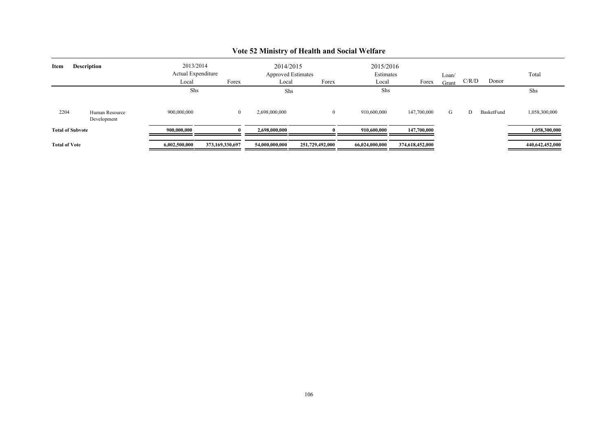| Item                 | <b>Description</b>            | 2013/2014<br>Actual Expenditure<br>Local | Forex           | 2014/2015<br>Approved Estimates<br>Local | Forex           | 2015/2016<br>Estimates<br>Local | Forex           | Loan/<br>Grant | C/R/D | Donor      | Total           |
|----------------------|-------------------------------|------------------------------------------|-----------------|------------------------------------------|-----------------|---------------------------------|-----------------|----------------|-------|------------|-----------------|
|                      |                               | Shs                                      |                 | Shs                                      |                 | Shs                             |                 |                |       |            | Shs             |
| 2204                 | Human Resource<br>Development | 900,000,000                              | $\overline{0}$  | 2,698,000,000                            |                 | 910,600,000                     | 147,700,000     | G              | D     | BasketFund | 1,058,300,000   |
|                      | <b>Total of Subvote</b>       | 900,000,000                              |                 | 2,698,000,000                            |                 | 910.600.000                     | 147,700,000     |                |       |            | 1,058,300,000   |
| <b>Total of Vote</b> |                               | 6,002,500,000                            | 373,169,330,697 | 54,000,000,000                           | 251,729,492,000 | 66,024,000,000                  | 374,618,452,000 |                |       |            | 440,642,452,000 |

## **Vote 52 Ministry of Health and Social Welfare**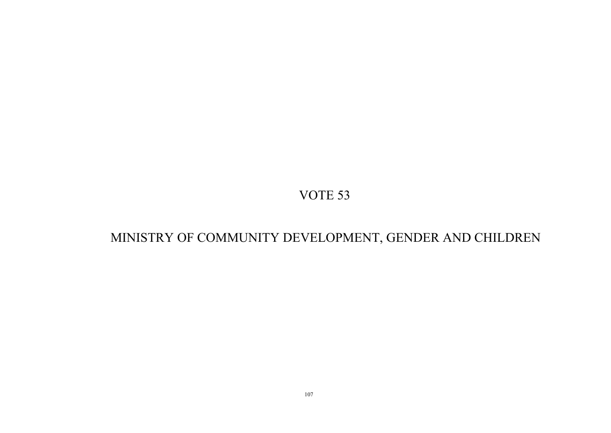# MINISTRY OF COMMUNITY DEVELOPMENT, GENDER AND CHILDREN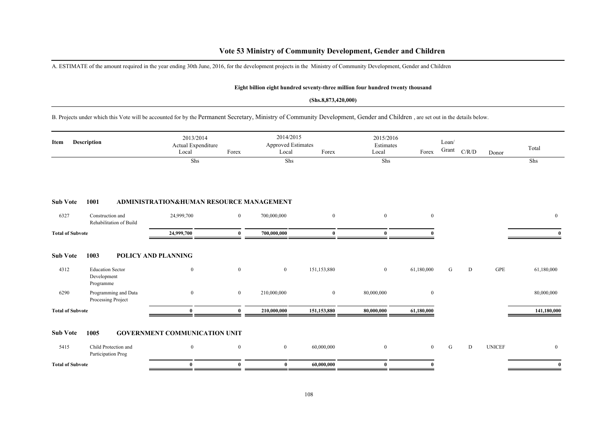## **Vote 53 Ministry of Community Development, Gender and Children**

A. ESTIMATE of the amount required in the year ending 30th June, 2016, for the development projects in the Ministry of Community Development, Gender and Children

#### **Eight billion eight hundred seventy-three million four hundred twenty thousand**

### **(Shs.8,873,420,000)**

B. Projects under which this Vote will be accounted for by the Permanent Secretary, Ministry of Community Development, Gender and Children , are set out in the details below.

| Description<br>Item     |                                                     | 2013/2014<br>Actual Expenditure<br>Local | Forex          | 2014/2015<br><b>Approved Estimates</b><br>Local | Forex            | 2015/2016<br>Estimates<br>Local | Forex          | Loan/<br>Grant | C/R/D     | Donor         | Total        |
|-------------------------|-----------------------------------------------------|------------------------------------------|----------------|-------------------------------------------------|------------------|---------------------------------|----------------|----------------|-----------|---------------|--------------|
|                         |                                                     | Shs                                      |                | Shs                                             |                  | Shs                             |                |                |           |               | Shs          |
| <b>Sub Vote</b>         | 1001                                                | ADMINISTRATION&HUMAN RESOURCE MANAGEMENT |                |                                                 |                  |                                 |                |                |           |               |              |
| 6327                    | Construction and<br>Rehabilitation of Build         | 24,999,700                               | $\overline{0}$ | 700,000,000                                     | $\boldsymbol{0}$ | $\overline{0}$                  | $\bf{0}$       |                |           |               | $\mathbf{0}$ |
| <b>Total of Subvote</b> |                                                     | 24,999,700                               | 0              | 700,000,000                                     | $\bf{0}$         | $\mathbf{0}$                    |                |                |           |               | $\mathbf{0}$ |
| <b>Sub Vote</b>         | 1003                                                | <b>POLICY AND PLANNING</b>               |                |                                                 |                  |                                 |                |                |           |               |              |
| 4312                    | <b>Education Sector</b><br>Development<br>Programme | $\mathbf{0}$                             | $\mathbf{0}$   | $\overline{0}$                                  | 151,153,880      | $\overline{0}$                  | 61,180,000     | G              | ${\rm D}$ | GPE           | 61,180,000   |
| 6290                    | Programming and Data<br>Processing Project          | $\mathbf{0}$                             | $\mathbf{0}$   | 210,000,000                                     | $\mathbf{0}$     | 80,000,000                      | $\bf{0}$       |                |           |               | 80,000,000   |
| <b>Total of Subvote</b> |                                                     | $\mathbf{0}$                             | $\mathbf{0}$   | 210,000,000                                     | 151,153,880      | 80,000,000                      | 61,180,000     |                |           |               | 141,180,000  |
| <b>Sub Vote</b>         | 1005                                                | <b>GOVERNMENT COMMUNICATION UNIT</b>     |                |                                                 |                  |                                 |                |                |           |               |              |
| 5415                    | Child Protection and<br>Participation Prog          | $\mathbf{0}$                             | $\bf{0}$       | $\overline{0}$                                  | 60,000,000       | $\overline{0}$                  | $\overline{0}$ | G              | ${\rm D}$ | <b>UNICEF</b> | $\bf{0}$     |
| <b>Total of Subvote</b> |                                                     | $\theta$                                 | $\mathbf{0}$   | $\bf{0}$                                        | 60,000,000       | $\theta$                        |                |                |           |               | $\mathbf{0}$ |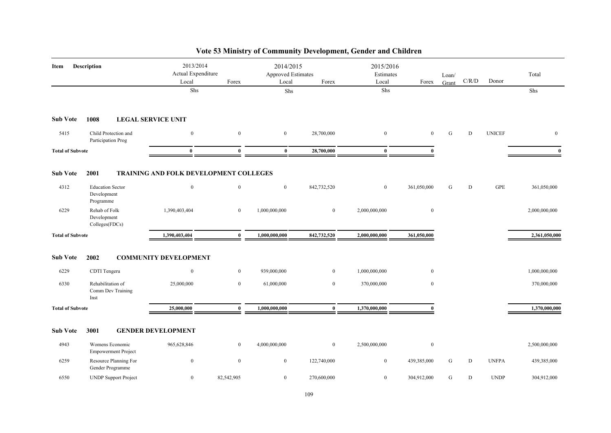| Item                    | <b>Description</b>                                  | 2013/2014<br>Actual Expenditure<br>Local | Forex          | 2014/2015<br>Approved Estimates<br>Local | Forex          | 2015/2016<br>Estimates<br>Local | Forex        | Loan/<br>Grant | C/R/D | Donor         | Total         |
|-------------------------|-----------------------------------------------------|------------------------------------------|----------------|------------------------------------------|----------------|---------------------------------|--------------|----------------|-------|---------------|---------------|
|                         |                                                     | Shs                                      |                | ${\rm Shs}$                              |                | Shs                             |              |                |       |               | Shs           |
| <b>Sub Vote</b>         | 1008                                                | <b>LEGAL SERVICE UNIT</b>                |                |                                          |                |                                 |              |                |       |               |               |
| 5415                    | Child Protection and<br>Participation Prog          | $\overline{0}$                           | $\mathbf{0}$   | $\overline{0}$                           | 28,700,000     | $\boldsymbol{0}$                | $\mathbf{0}$ | ${\bf G}$      | D     | <b>UNICEF</b> | $\mathbf{0}$  |
| <b>Total of Subvote</b> |                                                     | $\mathbf{0}$                             | $\mathbf{0}$   | $\bf{0}$                                 | 28,700,000     | $\bf{0}$                        | $\theta$     |                |       |               | $\mathbf{0}$  |
| <b>Sub Vote</b>         | 2001                                                | TRAINING AND FOLK DEVELOPMENT COLLEGES   |                |                                          |                |                                 |              |                |       |               |               |
| 4312                    | <b>Education Sector</b><br>Development<br>Programme | $\mathbf{0}$                             | $\mathbf{0}$   | $\overline{0}$                           | 842,732,520    | $\mathbf{0}$                    | 361,050,000  | G              | D     | <b>GPE</b>    | 361,050,000   |
| 6229                    | Rehab of Folk<br>Development<br>Colleges(FDCs)      | 1,390,403,404                            | $\overline{0}$ | 1,000,000,000                            | $\overline{0}$ | 2,000,000,000                   | $\bf{0}$     |                |       |               | 2,000,000,000 |
| <b>Total of Subvote</b> |                                                     | 1,390,403,404                            | $\bf{0}$       | 1,000,000,000                            | 842,732,520    | 2,000,000,000                   | 361,050,000  |                |       |               | 2,361,050,000 |
| <b>Sub Vote</b>         | 2002                                                | <b>COMMUNITY DEVELOPMENT</b>             |                |                                          |                |                                 |              |                |       |               |               |
| 6229                    | CDTI Tengeru                                        | $\overline{0}$                           | $\overline{0}$ | 939,000,000                              | $\overline{0}$ | 1,000,000,000                   | $\mathbf{0}$ |                |       |               | 1,000,000,000 |
| 6330                    | Rehabilitation of<br>Comm Dev Training<br>Inst      | 25,000,000                               | $\overline{0}$ | 61,000,000                               | $\overline{0}$ | 370,000,000                     | $\bf{0}$     |                |       |               | 370,000,000   |
| <b>Total of Subvote</b> |                                                     | 25,000,000                               | $\mathbf{0}$   | 1,000,000,000                            | $\bf{0}$       | 1,370,000,000                   | $\Omega$     |                |       |               | 1,370,000,000 |
| <b>Sub Vote</b>         | 3001                                                | <b>GENDER DEVELOPMENT</b>                |                |                                          |                |                                 |              |                |       |               |               |
| 4943                    | Womens Economic<br><b>Empowerment Project</b>       | 965,628,846                              | $\overline{0}$ | 4,000,000,000                            | $\overline{0}$ | 2,500,000,000                   | $\mathbf{0}$ |                |       |               | 2,500,000,000 |
| 6259                    | Resource Planning For<br>Gender Programme           | $\bf{0}$                                 | $\mathbf{0}$   | $\overline{0}$                           | 122,740,000    | $\boldsymbol{0}$                | 439,385,000  | G              | D     | <b>UNFPA</b>  | 439,385,000   |
| 6550                    | <b>UNDP</b> Support Project                         | $\overline{0}$                           | 82,542,905     | $\overline{0}$                           | 270,600,000    | $\boldsymbol{0}$                | 304,912,000  | G              | D     | <b>UNDP</b>   | 304,912,000   |

# **Vote 53 Ministry of Community Development, Gender and Children**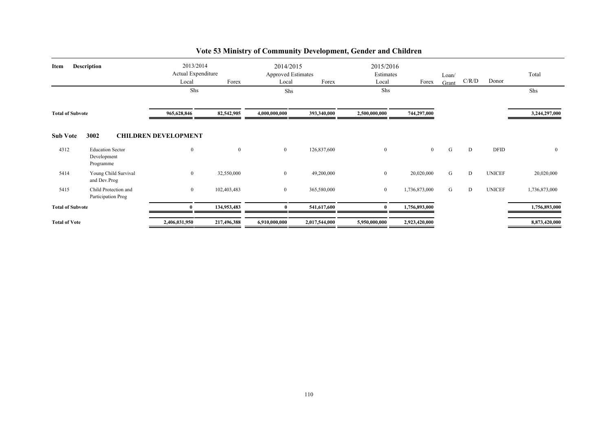| Description<br>Item     |                                                     | 2013/2014<br>Actual Expenditure<br>Forex<br>Local<br>Shs |              | 2014/2015<br><b>Approved Estimates</b><br>Forex<br>Local<br>Shs |               | 2015/2016<br>Estimates<br>Forex<br>Local<br>Shs |                | Loan/<br>Grant | C/R/D | Donor         | Total<br>Shs   |
|-------------------------|-----------------------------------------------------|----------------------------------------------------------|--------------|-----------------------------------------------------------------|---------------|-------------------------------------------------|----------------|----------------|-------|---------------|----------------|
| <b>Total of Subvote</b> |                                                     | 965,628,846                                              | 82,542,905   | 4,000,000,000                                                   | 393,340,000   | 2,500,000,000                                   | 744,297,000    |                |       |               | 3,244,297,000  |
| <b>Sub Vote</b>         | 3002                                                | <b>CHILDREN DEVELOPMENT</b>                              |              |                                                                 |               |                                                 |                |                |       |               |                |
| 4312                    | <b>Education Sector</b><br>Development<br>Programme | $\boldsymbol{0}$                                         | $\mathbf{0}$ | $\overline{0}$                                                  | 126,837,600   | $\boldsymbol{0}$                                | $\overline{0}$ | G              | D     | <b>DFID</b>   | $\overline{0}$ |
| 5414                    | Young Child Survival<br>and Dev.Prog                | $\overline{0}$                                           | 32,550,000   | $\overline{0}$                                                  | 49,200,000    | $\overline{0}$                                  | 20,020,000     | G              | D     | <b>UNICEF</b> | 20,020,000     |
| 5415                    | Child Protection and<br>Participation Prog          | $\overline{0}$                                           | 102,403,483  | $\overline{0}$                                                  | 365,580,000   | $\overline{0}$                                  | 1,736,873,000  | G              | D     | <b>UNICEF</b> | 1,736,873,000  |
| <b>Total of Subvote</b> |                                                     | $\mathbf{0}$                                             | 134,953,483  | 0                                                               | 541,617,600   | $\mathbf{0}$                                    | 1,756,893,000  |                |       |               | 1,756,893,000  |
| <b>Total of Vote</b>    |                                                     | 2,406,031,950                                            | 217,496,388  | 6,910,000,000                                                   | 2,017,544,000 | 5,950,000,000                                   | 2,923,420,000  |                |       |               | 8,873,420,000  |

# **Vote 53 Ministry of Community Development, Gender and Children**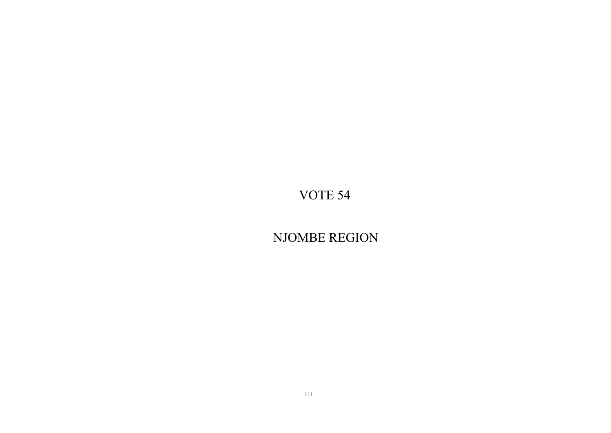NJOMBE REGION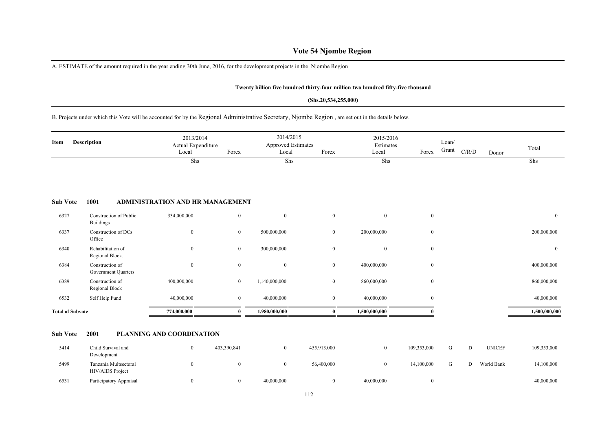### **Vote 54 Njombe Region**

A. ESTIMATE of the amount required in the year ending 30th June, 2016, for the development projects in the Njombe Region

#### **Twenty billion five hundred thirty-four million two hundred fifty-five thousand**

#### **(Shs.20,534,255,000)**

B. Projects under which this Vote will be accounted for by the Regional Administrative Secretary, Njombe Region , are set out in the details below.

| Description<br>Item     |                                                   | 2013/2014<br>Actual Expenditure<br>Local | Forex          | 2014/2015<br>Approved Estimates<br>Local | Forex          | 2015/2016<br>Estimates<br>Local | Forex          | Loan/<br>Grant | C/R/D     | Donor         | Total          |
|-------------------------|---------------------------------------------------|------------------------------------------|----------------|------------------------------------------|----------------|---------------------------------|----------------|----------------|-----------|---------------|----------------|
|                         |                                                   | Shs                                      |                | Shs                                      |                | Shs                             |                |                |           |               | Shs            |
| <b>Sub Vote</b>         | 1001                                              | ADMINISTRATION AND HR MANAGEMENT         |                |                                          |                |                                 |                |                |           |               |                |
| 6327                    | <b>Construction of Public</b><br><b>Buildings</b> | 334,000,000                              | $\mathbf{0}$   | $\mathbf{0}$                             | $\mathbf{0}$   | $\mathbf{0}$                    | $\overline{0}$ |                |           |               | $\overline{0}$ |
| 6337                    | Construction of DCs<br>Office                     | $\mathbf{0}$                             | $\mathbf{0}$   | 500,000,000                              | $\overline{0}$ | 200,000,000                     | $\bf{0}$       |                |           |               | 200,000,000    |
| 6340                    | Rehabilitation of<br>Regional Block.              | $\mathbf{0}$                             | $\mathbf{0}$   | 300,000,000                              | $\mathbf{0}$   | $\mathbf{0}$                    | $\bf{0}$       |                |           |               | $\mathbf{0}$   |
| 6384                    | Construction of<br><b>Government Quarters</b>     | $\boldsymbol{0}$                         | $\mathbf{0}$   | $\boldsymbol{0}$                         | $\mathbf{0}$   | 400,000,000                     | $\bf{0}$       |                |           |               | 400,000,000    |
| 6389                    | Construction of<br>Regional Block                 | 400,000,000                              | $\mathbf{0}$   | 1,140,000,000                            | $\mathbf{0}$   | 860,000,000                     | $\overline{0}$ |                |           |               | 860,000,000    |
| 6532                    | Self Help Fund                                    | 40,000,000                               | $\mathbf{0}$   | 40,000,000                               | $\mathbf{0}$   | 40,000,000                      | $\bf{0}$       |                |           |               | 40,000,000     |
| <b>Total of Subvote</b> |                                                   | 774,000,000                              | $\mathbf{0}$   | 1,980,000,000                            | $\bf{0}$       | 1,500,000,000                   | $\Omega$       |                |           |               | 1,500,000,000  |
| <b>Sub Vote</b>         | 2001                                              | PLANNING AND COORDINATION                |                |                                          |                |                                 |                |                |           |               |                |
| 5414                    | Child Survival and<br>Development                 | $\mathbf{0}$                             | 403,390,841    | $\overline{0}$                           | 455,913,000    | $\mathbf{0}$                    | 109,353,000    | G              | ${\rm D}$ | <b>UNICEF</b> | 109,353,000    |
| 5499                    | Tanzania Multsectoral<br>HIV/AIDS Project         | $\boldsymbol{0}$                         | $\mathbf{0}$   | $\bf{0}$                                 | 56,400,000     | $\overline{0}$                  | 14,100,000     | G              | D         | World Bank    | 14,100,000     |
| 6531                    | Participatory Appraisal                           | $\overline{0}$                           | $\overline{0}$ | 40.000.000                               | $\mathbf{0}$   | 40,000,000                      | $\bf{0}$       |                |           |               | 40,000,000     |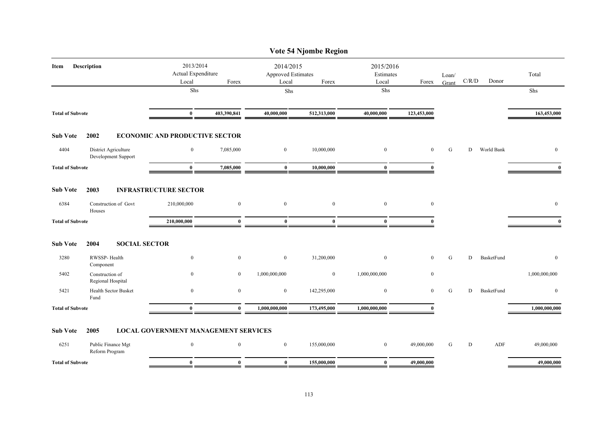|                         |                                             |                                             |                  |                                                 | Vote 54 Njombe Region |                                 |                  |                |       |            |                  |
|-------------------------|---------------------------------------------|---------------------------------------------|------------------|-------------------------------------------------|-----------------------|---------------------------------|------------------|----------------|-------|------------|------------------|
| Item                    | <b>Description</b>                          | 2013/2014<br>Actual Expenditure<br>Local    | Forex            | 2014/2015<br><b>Approved Estimates</b><br>Local | Forex                 | 2015/2016<br>Estimates<br>Local | Forex            | Loan/<br>Grant | C/R/D | Donor      | Total            |
|                         |                                             | Shs                                         |                  | Shs                                             |                       | Shs                             |                  |                |       |            | Shs              |
| <b>Total of Subvote</b> |                                             | $\bf{0}$                                    | 403,390,841      | 40,000,000                                      | 512,313,000           | 40,000,000                      | 123,453,000      |                |       |            | 163,453,000      |
| <b>Sub Vote</b>         | 2002                                        | <b>ECONOMIC AND PRODUCTIVE SECTOR</b>       |                  |                                                 |                       |                                 |                  |                |       |            |                  |
| 4404                    | District Agriculture<br>Development Support | $\mathbf{0}$                                | 7,085,000        | $\bf{0}$                                        | 10,000,000            | $\bf{0}$                        | $\mathbf{0}$     | G              | D     | World Bank | $\mathbf{0}$     |
| <b>Total of Subvote</b> |                                             | $\bf{0}$                                    | 7,085,000        | $\bf{0}$                                        | 10,000,000            | $\bf{0}$                        | $\mathbf{0}$     |                |       |            | $\bf{0}$         |
| <b>Sub Vote</b>         | 2003                                        | <b>INFRASTRUCTURE SECTOR</b>                |                  |                                                 |                       |                                 |                  |                |       |            |                  |
| 6384                    | Construction of Govt<br>Houses              | 210,000,000                                 | $\boldsymbol{0}$ | $\boldsymbol{0}$                                | $\boldsymbol{0}$      | $\mathbf{0}$                    | $\boldsymbol{0}$ |                |       |            | $\mathbf{0}$     |
| <b>Total of Subvote</b> |                                             | 210,000,000                                 | $\mathbf{0}$     | $\bf{0}$                                        | $\bf{0}$              | $\mathbf{0}$                    | $\mathbf{0}$     |                |       |            | $\mathbf{0}$     |
| <b>Sub Vote</b>         | <b>SOCIAL SECTOR</b><br>2004                |                                             |                  |                                                 |                       |                                 |                  |                |       |            |                  |
| 3280                    | RWSSP-Health<br>Component                   | $\bf{0}$                                    | $\mathbf{0}$     | $\bf{0}$                                        | 31,200,000            | $\mathbf{0}$                    | $\mathbf{0}$     | ${\bf G}$      | D     | BasketFund | $\boldsymbol{0}$ |
| 5402                    | Construction of<br>Regional Hospital        | $\theta$                                    | $\overline{0}$   | 1,000,000,000                                   | $\overline{0}$        | 1,000,000,000                   | $\boldsymbol{0}$ |                |       |            | 1,000,000,000    |
| 5421                    | Health Sector Busket<br>Fund                | $\mathbf{0}$                                | $\mathbf{0}$     | $\boldsymbol{0}$                                | 142,295,000           | $\boldsymbol{0}$                | $\mathbf{0}$     | G              | D     | BasketFund | $\mathbf{0}$     |
| <b>Total of Subvote</b> |                                             | $\mathbf{0}$                                | $\mathbf{0}$     | 1,000,000,000                                   | 173,495,000           | 1,000,000,000                   | 0                |                |       |            | 1,000,000,000    |
| <b>Sub Vote</b>         | 2005                                        | <b>LOCAL GOVERNMENT MANAGEMENT SERVICES</b> |                  |                                                 |                       |                                 |                  |                |       |            |                  |
| 6251                    | Public Finance Mgt<br>Reform Program        | $\boldsymbol{0}$                            | $\mathbf{0}$     | $\mathbf{0}$                                    | 155,000,000           | $\bf{0}$                        | 49,000,000       | G              | D     | ADF        | 49,000,000       |
| <b>Total of Subvote</b> |                                             | $\bf{0}$                                    | $\bf{0}$         | $\bf{0}$                                        | 155,000,000           | $\bf{0}$                        | 49,000,000       |                |       |            | 49,000,000       |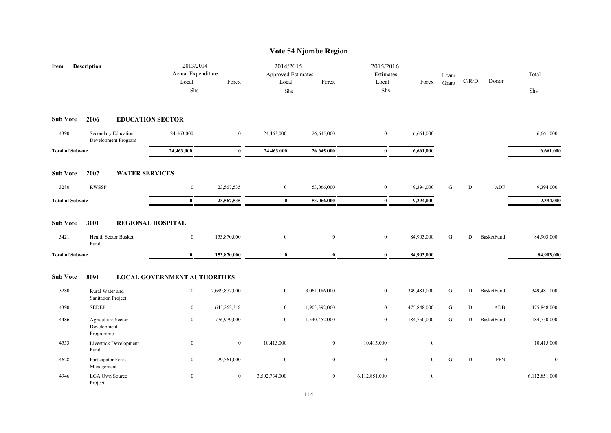|                         |                                                |                                          |               |                                                 | Vote 54 Njombe Region |                                 |              |                |             |            |                  |
|-------------------------|------------------------------------------------|------------------------------------------|---------------|-------------------------------------------------|-----------------------|---------------------------------|--------------|----------------|-------------|------------|------------------|
| Item                    | <b>Description</b>                             | 2013/2014<br>Actual Expenditure<br>Local | Forex         | 2014/2015<br><b>Approved Estimates</b><br>Local | Forex                 | 2015/2016<br>Estimates<br>Local | Forex        | Loan/<br>Grant | C/R/D       | Donor      | Total            |
|                         |                                                | ${\rm Shs}$                              |               | Shs                                             |                       | ${\rm Shs}$                     |              |                |             |            | Shs              |
| <b>Sub Vote</b>         | 2006<br><b>EDUCATION SECTOR</b>                |                                          |               |                                                 |                       |                                 |              |                |             |            |                  |
| 4390                    | Secondary Education<br>Development Program     | 24,463,000                               | $\mathbf{0}$  | 24,463,000                                      | 26,645,000            | $\boldsymbol{0}$                | 6,661,000    |                |             |            | 6,661,000        |
| <b>Total of Subvote</b> |                                                | 24,463,000                               | $\bf{0}$      | 24,463,000                                      | 26,645,000            | $\bf{0}$                        | 6,661,000    |                |             |            | 6,661,000        |
| <b>Sub Vote</b>         | 2007<br><b>WATER SERVICES</b>                  |                                          |               |                                                 |                       |                                 |              |                |             |            |                  |
| 3280                    | <b>RWSSP</b>                                   | $\boldsymbol{0}$                         | 23,567,535    | $\boldsymbol{0}$                                | 53,066,000            | $\boldsymbol{0}$                | 9,394,000    | G              | D           | ADF        | 9,394,000        |
| <b>Total of Subvote</b> |                                                | $\bf{0}$                                 | 23,567,535    | $\bf{0}$                                        | 53,066,000            | $\bf{0}$                        | 9,394,000    |                |             |            | 9,394,000        |
| <b>Sub Vote</b>         | 3001                                           | <b>REGIONAL HOSPITAL</b>                 |               |                                                 |                       |                                 |              |                |             |            |                  |
| 5421                    | Health Sector Busket<br>Fund                   | $\boldsymbol{0}$                         | 153,870,000   | $\boldsymbol{0}$                                | $\boldsymbol{0}$      | $\boldsymbol{0}$                | 84,903,000   | G              | D           | BasketFund | 84,903,000       |
| <b>Total of Subvote</b> |                                                | $\bf{0}$                                 | 153,870,000   | $\bf{0}$                                        | $\bf{0}$              | $\bf{0}$                        | 84,903,000   |                |             |            | 84,903,000       |
| <b>Sub Vote</b>         | 8091                                           | <b>LOCAL GOVERNMENT AUTHORITIES</b>      |               |                                                 |                       |                                 |              |                |             |            |                  |
| 3280                    | Rural Water and<br>Sanitation Project          | $\boldsymbol{0}$                         | 2,689,877,000 | $\mathbf{0}$                                    | 3,061,186,000         | $\bf{0}$                        | 349,481,000  | G              | D           | BasketFund | 349,481,000      |
| 4390                    | <b>SEDEP</b>                                   | $\boldsymbol{0}$                         | 645,262,318   | $\mathbf{0}$                                    | 1,903,392,000         | $\mathbf{0}$                    | 475,848,000  | ${\bf G}$      | $\mathbf D$ | ADB        | 475,848,000      |
| 4486                    | Agriculture Sector<br>Development<br>Programme | $\bf{0}$                                 | 776,979,000   | $\mathbf{0}$                                    | 1,540,452,000         | $\bf{0}$                        | 184,750,000  | G              | ${\rm D}$   | BasketFund | 184,750,000      |
| 4553                    | Livestock Development<br>Fund                  | $\bf{0}$                                 | $\bf{0}$      | 10,415,000                                      | $\overline{0}$        | 10,415,000                      | $\bf{0}$     |                |             |            | 10,415,000       |
| 4628                    | Participator Forest<br>Management              | $\mathbf{0}$                             | 29,561,000    | $\boldsymbol{0}$                                | $\mathbf{0}$          | $\boldsymbol{0}$                | $\mathbf{0}$ | G              | D           | PFN        | $\boldsymbol{0}$ |
| 4946                    | <b>LGA Own Source</b><br>Project               | $\overline{0}$                           | $\bf{0}$      | 3,502,734,000                                   | $\overline{0}$        | 6,112,851,000                   | $\bf{0}$     |                |             |            | 6,112,851,000    |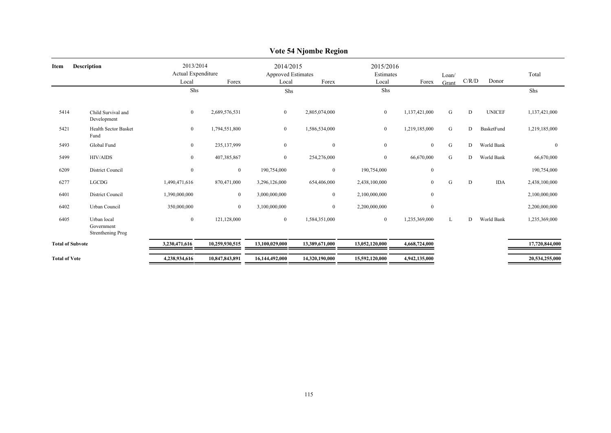|                      |                                                |                                                   |                |                  | 0                                               |                |                                 |                |       |               |                |
|----------------------|------------------------------------------------|---------------------------------------------------|----------------|------------------|-------------------------------------------------|----------------|---------------------------------|----------------|-------|---------------|----------------|
| Item                 | <b>Description</b>                             | 2013/2014<br>Actual Expenditure<br>Local<br>Forex |                | Local            | 2014/2015<br><b>Approved Estimates</b><br>Forex |                | 2015/2016<br>Estimates<br>Forex | Loan/<br>Grant | C/R/D | Donor         | Total          |
|                      |                                                | Shs                                               |                | Shs              |                                                 | Shs            |                                 |                |       |               | Shs            |
| 5414                 | Child Survival and<br>Development              | $\bf{0}$                                          | 2,689,576,531  | $\overline{0}$   | 2,805,074,000                                   | $\overline{0}$ | 1,137,421,000                   | G              | D     | <b>UNICEF</b> | 1,137,421,000  |
| 5421                 | Health Sector Basket<br>Fund                   | $\boldsymbol{0}$                                  | 1,794,551,800  | $\overline{0}$   | 1,586,534,000                                   | $\overline{0}$ | 1,219,185,000                   | G              | D     | BasketFund    | 1,219,185,000  |
| 5493                 | Global Fund                                    | $\boldsymbol{0}$                                  | 235,137,999    | $\mathbf{0}$     | $\boldsymbol{0}$                                | $\overline{0}$ | $\mathbf{0}$                    | G              | D     | World Bank    | $\mathbf{0}$   |
| 5499                 | <b>HIV/AIDS</b>                                | $\boldsymbol{0}$                                  | 407,385,867    | $\boldsymbol{0}$ | 254,276,000                                     | $\overline{0}$ | 66,670,000                      | G              | D     | World Bank    | 66,670,000     |
| 6209                 | <b>District Council</b>                        | $\mathbf{0}$                                      | $\mathbf{0}$   | 190,754,000      | $\mathbf{0}$                                    | 190,754,000    | $\boldsymbol{0}$                |                |       |               | 190,754,000    |
| 6277                 | <b>LGCDG</b>                                   | 1,490,471,616                                     | 870,471,000    | 3,296,126,000    | 654,406,000                                     | 2,438,100,000  | $\mathbf{0}$                    | G              | D     | <b>IDA</b>    | 2,438,100,000  |
| 6401                 | <b>District Council</b>                        | 1,390,000,000                                     | $\overline{0}$ | 3,000,000,000    | $\bf{0}$                                        | 2,100,000,000  | $\boldsymbol{0}$                |                |       |               | 2,100,000,000  |
| 6402                 | Urban Council                                  | 350,000,000                                       | $\mathbf{0}$   | 3,100,000,000    | $\mathbf{0}$                                    | 2,200,000,000  | $\mathbf{0}$                    |                |       |               | 2,200,000,000  |
| 6405                 | Urban local<br>Government<br>Strenthening Prog | $\boldsymbol{0}$                                  | 121,128,000    | $\overline{0}$   | 1,584,351,000                                   | $\overline{0}$ | 1,235,369,000                   | L              | D     | World Bank    | 1,235,369,000  |
|                      | <b>Total of Subvote</b>                        | 3,230,471,616                                     | 10,259,930,515 | 13,100,029,000   | 13,389,671,000                                  | 13,052,120,000 | 4,668,724,000                   |                |       |               | 17,720,844,000 |
| <b>Total of Vote</b> |                                                | 4,238,934,616                                     | 10,847,843,891 | 16,144,492,000   | 14,320,190,000                                  | 15,592,120,000 | 4,942,135,000                   |                |       |               | 20,534,255,000 |

### **Vote 54 Njombe Region**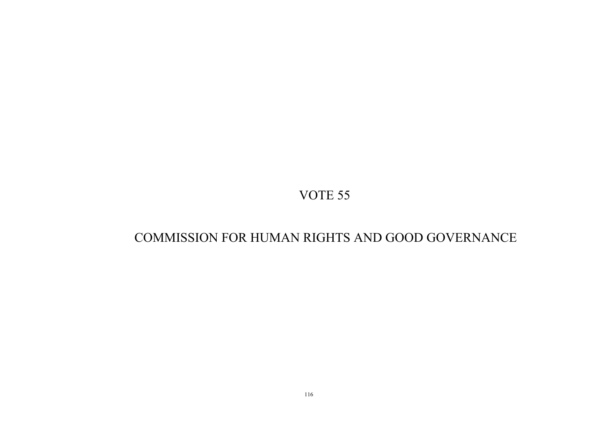# COMMISSION FOR HUMAN RIGHTS AND GOOD GOVERNANCE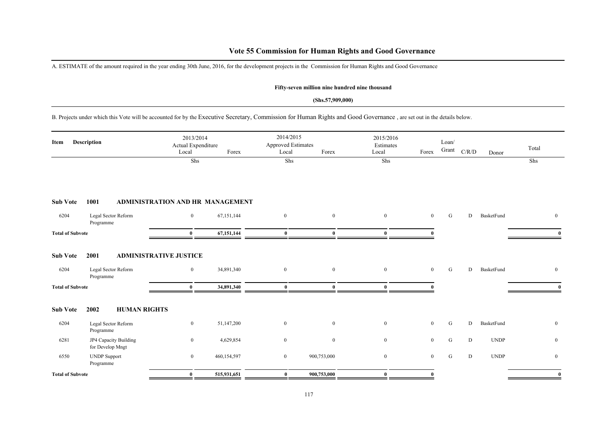### **Vote 55 Commission for Human Rights and Good Governance**

A. ESTIMATE of the amount required in the year ending 30th June, 2016, for the development projects in the Commission for Human Rights and Good Governance

#### **Fifty-seven million nine hundred nine thousand**

#### **(Shs.57,909,000)**

B. Projects under which this Vote will be accounted for by the Executive Secretary, Commission for Human Rights and Good Governance , are set out in the details below.

| Item                    | Description                               | 2013/2014<br>Actual Expenditure<br>Local | Forex       | 2014/2015<br>Approved Estimates<br>Local | Forex            | 2015/2016<br>Estimates<br>Local | Forex          | Loan/<br>Grant | C/R/D | Donor       | Total        |
|-------------------------|-------------------------------------------|------------------------------------------|-------------|------------------------------------------|------------------|---------------------------------|----------------|----------------|-------|-------------|--------------|
|                         |                                           | Shs                                      |             | Shs                                      |                  | Shs                             |                |                |       |             | Shs          |
| <b>Sub Vote</b>         | 1001                                      | ADMINISTRATION AND HR MANAGEMENT         |             |                                          |                  |                                 |                |                |       |             |              |
| 6204                    | Legal Sector Reform<br>Programme          | $\bf{0}$                                 | 67,151,144  | $\bf{0}$                                 | $\mathbf{0}$     | $\overline{0}$                  | $\overline{0}$ | G              | D     | BasketFund  | $\mathbf{0}$ |
| <b>Total of Subvote</b> |                                           | $\bf{0}$                                 | 67,151,144  | $\bf{0}$                                 | $\mathbf{0}$     | $\mathbf{0}$                    |                |                |       |             |              |
| <b>Sub Vote</b>         | 2001                                      | <b>ADMINISTRATIVE JUSTICE</b>            |             |                                          |                  |                                 |                |                |       |             |              |
| 6204                    | Legal Sector Reform<br>Programme          | $\boldsymbol{0}$                         | 34,891,340  | $\boldsymbol{0}$                         | $\boldsymbol{0}$ | $\mathbf{0}$                    | $\overline{0}$ | G              | D     | BasketFund  | $\mathbf{0}$ |
| <b>Total of Subvote</b> |                                           | $\bf{0}$                                 | 34,891,340  | $\mathbf{0}$                             | $\mathbf{0}$     | $\mathbf{0}$                    |                |                |       |             |              |
| <b>Sub Vote</b>         | <b>HUMAN RIGHTS</b><br>2002               |                                          |             |                                          |                  |                                 |                |                |       |             |              |
| 6204                    | Legal Sector Reform<br>Programme          | $\boldsymbol{0}$                         | 51,147,200  | $\boldsymbol{0}$                         | $\overline{0}$   | $\mathbf{0}$                    | $\mathbf{0}$   | ${\bf G}$      | D     | BasketFund  | $\mathbf{0}$ |
| 6281                    | JP4 Capacity Building<br>for Develop Mngt | $\boldsymbol{0}$                         | 4,629,854   | $\boldsymbol{0}$                         | $\mathbf{0}$     | $\mathbf{0}$                    | $\overline{0}$ | ${\bf G}$      | D     | <b>UNDP</b> | $\bf{0}$     |
| 6550                    | <b>UNDP</b> Support<br>Programme          | $\bf{0}$                                 | 460,154,597 | $\mathbf{0}$                             | 900,753,000      | $\overline{0}$                  | $\overline{0}$ | G              | D     | <b>UNDP</b> | $\mathbf{0}$ |
| <b>Total of Subvote</b> |                                           | $\bf{0}$                                 | 515,931,651 | $\bf{0}$                                 | 900,753,000      | $\mathbf{0}$                    | $\theta$       |                |       |             | $\bf{0}$     |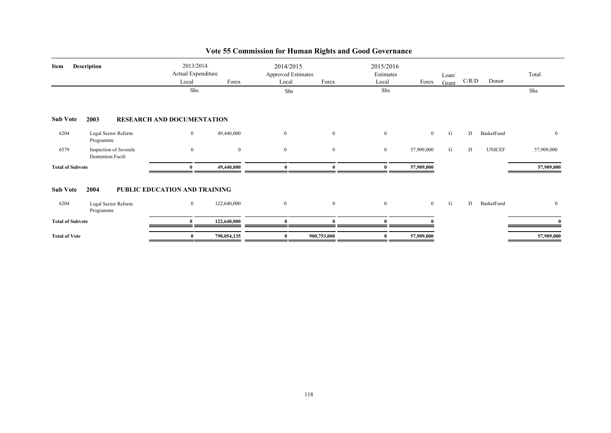| Item                    | <b>Description</b>                          | 2013/2014<br>Actual Expenditure<br>Local<br>Shs | Forex          | 2014/2015<br><b>Approved Estimates</b><br>Local<br>Shs | Forex        | 2015/2016<br>Estimates<br>Local<br>Shs | Forex          | Loan/<br>Grant | C/R/D | Donor         | Total<br>Shs   |
|-------------------------|---------------------------------------------|-------------------------------------------------|----------------|--------------------------------------------------------|--------------|----------------------------------------|----------------|----------------|-------|---------------|----------------|
| <b>Sub Vote</b>         | 2003                                        | <b>RESEARCH AND DOCUMENTATION</b>               |                |                                                        |              |                                        |                |                |       |               |                |
| 6204                    | Legal Sector Reform<br>Programme            | $\overline{0}$                                  | 49,440,000     | $\overline{0}$                                         | $\mathbf{0}$ | $\mathbf{0}$                           | $\overline{0}$ | G              | D     | BasketFund    | $\mathbf{0}$   |
| 6579                    | Inspection of Juvenile<br>Dentention Facili | $\overline{0}$                                  | $\overline{0}$ | $\overline{0}$                                         | $\mathbf{0}$ | $\mathbf{0}$                           | 57,909,000     | G              | D     | <b>UNICEF</b> | 57,909,000     |
| <b>Total of Subvote</b> |                                             |                                                 | 49,440,000     |                                                        | $\mathbf{r}$ | $\mathbf{a}$                           | 57,909,000     |                |       |               | 57,909,000     |
| <b>Sub Vote</b>         | 2004                                        | PUBLIC EDUCATION AND TRAINING                   |                |                                                        |              |                                        |                |                |       |               |                |
| 6204                    | Legal Sector Reform<br>Programme            | $\overline{0}$                                  | 122,640,000    | $\overline{0}$                                         | $\bf{0}$     | $\bf{0}$                               | $\overline{0}$ | G              | D     | BasketFund    | $\overline{0}$ |
| <b>Total of Subvote</b> |                                             | $\mathbf{0}$                                    | 122,640,000    | $\mathbf{0}$                                           | $\mathbf{a}$ | $\mathbf{0}$                           |                |                |       |               |                |
| <b>Total of Vote</b>    |                                             | $\bf{0}$                                        | 790,054,135    | $\mathbf{0}$                                           | 900,753,000  | $\mathbf{0}$                           | 57,909,000     |                |       |               | 57,909,000     |

# **Vote 55 Commission for Human Rights and Good Governance**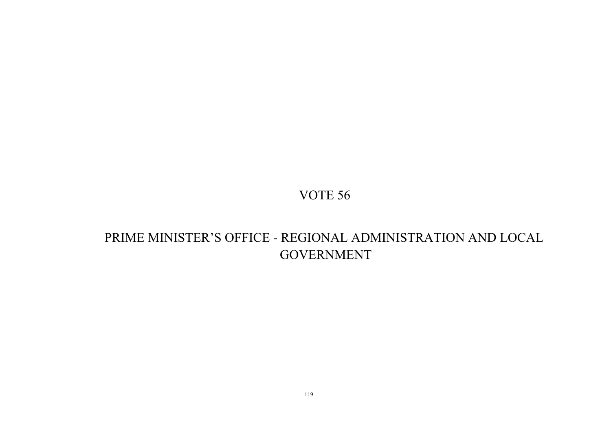# PRIME MINISTER'S OFFICE - REGIONAL ADMINISTRATION AND LOCAL GOVERNMENT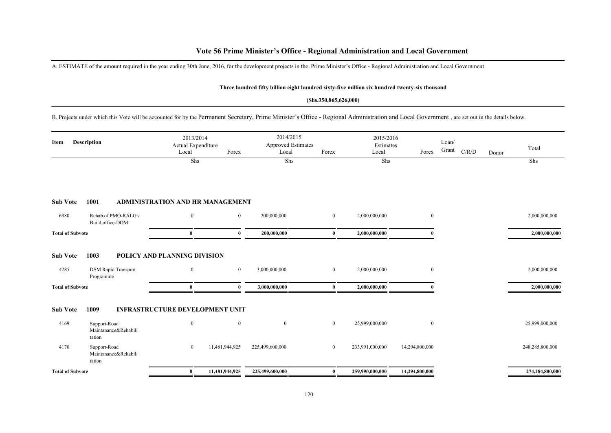A. ESTIMATE of the amount required in the year ending 30th June, 2016, for the development projects in the Prime Minister's Office - Regional Administration and Local Government

#### **Three hundred fifty billion eight hundred sixty-five million six hundred twenty-six thousand**

#### **(Shs.350,865,626,000)**

B. Projects under which this Vote will be accounted for by the Permanent Secretary, Prime Minister's Office - Regional Administration and Local Government , are set out in the details below.

| <b>Description</b><br>Item |                                                | 2013/2014<br>Actual Expenditure<br>Local | Forex          |                 | 2014/2015<br><b>Approved Estimates</b><br>Local<br>Forex |                 | 2015/2016<br>Estimates<br>Local<br>Forex |  | C/R/D | Donor | Total           |
|----------------------------|------------------------------------------------|------------------------------------------|----------------|-----------------|----------------------------------------------------------|-----------------|------------------------------------------|--|-------|-------|-----------------|
|                            |                                                | Shs                                      |                | Shs             |                                                          | Shs             |                                          |  |       |       | Shs             |
|                            |                                                |                                          |                |                 |                                                          |                 |                                          |  |       |       |                 |
| <b>Sub Vote</b>            | 1001                                           | <b>ADMINISTRATION AND HR MANAGEMENT</b>  |                |                 |                                                          |                 |                                          |  |       |       |                 |
| 6380                       | Rehab.of PMO-RALG's<br>Build.office-DOM        | $\overline{0}$                           | $\overline{0}$ | 200,000,000     | $\overline{0}$                                           | 2,000,000,000   | $\bf{0}$                                 |  |       |       | 2,000,000,000   |
| <b>Total of Subvote</b>    |                                                | $\mathbf{0}$                             | $\mathbf{0}$   | 200,000,000     | $\mathbf{0}$                                             | 2,000,000,000   |                                          |  |       |       | 2,000,000,000   |
| <b>Sub Vote</b>            | 1003                                           | POLICY AND PLANNING DIVISION             |                |                 |                                                          |                 |                                          |  |       |       |                 |
| 4285                       | <b>DSM Rapid Transport</b><br>Programme        | $\overline{0}$                           | $\mathbf{0}$   | 3,000,000,000   | $\bf{0}$                                                 | 2,000,000,000   | $\bf{0}$                                 |  |       |       | 2,000,000,000   |
| <b>Total of Subvote</b>    |                                                | $\mathbf{0}$                             | $\mathbf{u}$   | 3,000,000,000   | $\mathbf{0}$                                             | 2,000,000,000   |                                          |  |       |       | 2,000,000,000   |
| <b>Sub Vote</b>            | 1009                                           | <b>INFRASTRUCTURE DEVELOPMENT UNIT</b>   |                |                 |                                                          |                 |                                          |  |       |       |                 |
| 4169                       | Support-Road<br>Maintanance&Rehabili<br>tation | $\mathbf{0}$                             | $\mathbf{0}$   | $\mathbf{0}$    | $\overline{0}$                                           | 25,999,000,000  | $\bf{0}$                                 |  |       |       | 25,999,000,000  |
| 4170                       | Support-Road<br>Maintanance&Rehabili<br>tation | $\bf{0}$                                 | 11,481,944,925 | 225,499,600,000 | $\bf{0}$                                                 | 233,991,000,000 | 14,294,800,000                           |  |       |       | 248,285,800,000 |
| <b>Total of Subvote</b>    |                                                | $\bf{0}$                                 | 11,481,944,925 | 225,499,600,000 | $\mathbf{0}$                                             | 259,990,000,000 | 14,294,800,000                           |  |       |       | 274,284,800,000 |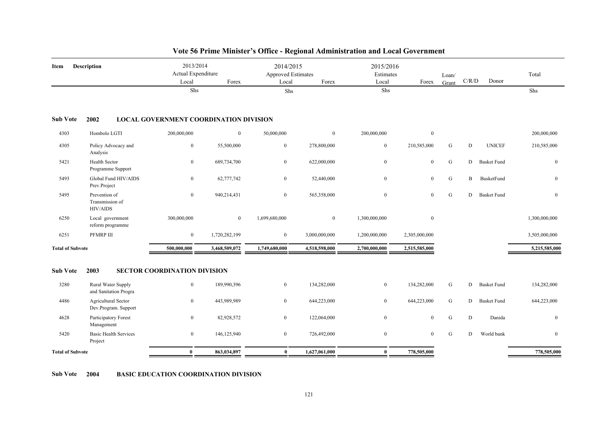| Item                    | <b>Description</b>                           | 2013/2014<br>Actual Expenditure               |               | 2014/2015<br>Approved Estimates |               | 2015/2016<br>Estimates |               | Loan/     |             |                    | Total            |
|-------------------------|----------------------------------------------|-----------------------------------------------|---------------|---------------------------------|---------------|------------------------|---------------|-----------|-------------|--------------------|------------------|
|                         |                                              | Local<br>Shs                                  | Forex         | Local<br>Shs                    | Forex         | Local<br>Shs           | Forex         | Grant     | C/R/D       | Donor              | Shs              |
| <b>Sub Vote</b>         | 2002                                         | <b>LOCAL GOVERNMENT COORDINATION DIVISION</b> |               |                                 |               |                        |               |           |             |                    |                  |
| 4303                    | Hombolo LGTI                                 | 200,000,000                                   | $\bf{0}$      | 50,000,000                      | $\mathbf{0}$  | 200,000,000            | $\mathbf{0}$  |           |             |                    | 200,000,000      |
| 4305                    | Policy Advocacy and<br>Analysis              | $\bf{0}$                                      | 55,500,000    | $\boldsymbol{0}$                | 278,800,000   | $\boldsymbol{0}$       | 210,585,000   | ${\bf G}$ | D           | <b>UNICEF</b>      | 210,585,000      |
| 5421                    | <b>Health Sector</b><br>Programme Support    | $\bf{0}$                                      | 689,734,700   | $\bf{0}$                        | 622,000,000   | $\mathbf{0}$           | $\mathbf{0}$  | ${\bf G}$ | D           | <b>Basket Fund</b> | $\boldsymbol{0}$ |
| 5493                    | Global Fund HIV/AIDS<br>Prev.Project         | $\bf{0}$                                      | 62,777,742    | $\bf{0}$                        | 52,440,000    | $\overline{0}$         | $\mathbf{0}$  | ${\bf G}$ | $\mathbf B$ | BusketFund         | $\boldsymbol{0}$ |
| 5495                    | Prevention of<br>Transmission of<br>HIV/AIDS | $\mathbf{0}$                                  | 940,214,431   | $\boldsymbol{0}$                | 565,358,000   | $\overline{0}$         | $\mathbf{0}$  | ${\bf G}$ | D           | <b>Basket Fund</b> | $\mathbf{0}$     |
| 6250                    | Local government<br>reform programme         | 300,000,000                                   | $\bf{0}$      | 1,699,680,000                   | $\mathbf{0}$  | 1,300,000,000          | $\mathbf{0}$  |           |             |                    | 1,300,000,000    |
| 6251                    | PFMRP III                                    | $\boldsymbol{0}$                              | 1,720,282,199 | $\bf{0}$                        | 3,000,000,000 | 1,200,000,000          | 2,305,000,000 |           |             |                    | 3,505,000,000    |
| <b>Total of Subvote</b> |                                              | 500,000,000                                   | 3,468,509,072 | 1,749,680,000                   | 4,518,598,000 | 2,700,000,000          | 2,515,585,000 |           |             |                    | 5,215,585,000    |
| <b>Sub Vote</b>         | 2003                                         | <b>SECTOR COORDINATION DIVISION</b>           |               |                                 |               |                        |               |           |             |                    |                  |
| 3280                    | Rural Water Supply<br>and Sanitation Progra  | $\mathbf{0}$                                  | 189,990,396   | $\mathbf{0}$                    | 134,282,000   | $\overline{0}$         | 134,282,000   | G         | D           | <b>Basket Fund</b> | 134,282,000      |
| 4486                    | Agricultural Sector<br>Dev.Program. Support  | $\bf{0}$                                      | 443,989,989   | $\mathbf{0}$                    | 644,223,000   | $\overline{0}$         | 644,223,000   | G         | D           | <b>Basket Fund</b> | 644,223,000      |
| 4628                    | Participatory Forest<br>Management           | $\bf{0}$                                      | 82,928,572    | $\overline{0}$                  | 122,064,000   | $\overline{0}$         | $\mathbf{0}$  | ${\bf G}$ | D           | Danida             | $\mathbf{0}$     |
| 5420                    | <b>Basic Health Services</b><br>Project      | $\bf{0}$                                      | 146,125,940   | $\mathbf{0}$                    | 726,492,000   | $\overline{0}$         | $\mathbf{0}$  | G         | D           | World bank         | $\mathbf{0}$     |
| <b>Total of Subvote</b> |                                              | $\bf{0}$                                      | 863,034,897   | $\bf{0}$                        | 1,627,061,000 | $\bf{0}$               | 778,505,000   |           |             |                    | 778,505,000      |

**Sub Vote 2004 BASIC EDUCATION COORDINATION DIVISION**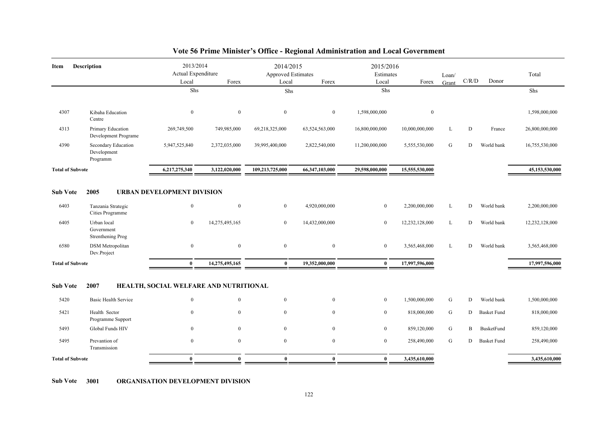| Item                            | <b>Description</b>                                                        | 2013/2014<br>Actual Expenditure                                              |                                  | 2014/2015<br>Approved Estimates  |                                  | 2015/2016<br>Estimates           |                                 | Loan/  | C/R/D    | Donor                            | Total                           |
|---------------------------------|---------------------------------------------------------------------------|------------------------------------------------------------------------------|----------------------------------|----------------------------------|----------------------------------|----------------------------------|---------------------------------|--------|----------|----------------------------------|---------------------------------|
|                                 |                                                                           | Local<br>Shs                                                                 | Forex                            | Local<br>Shs                     | Forex                            | Local<br>Shs                     | Forex                           | Grant  |          |                                  | Shs                             |
|                                 |                                                                           |                                                                              |                                  |                                  |                                  |                                  |                                 |        |          |                                  |                                 |
| 4307                            | Kibaha Education<br>Centre                                                | $\mathbf{0}$                                                                 | $\mathbf{0}$                     | $\overline{0}$                   | $\overline{0}$                   | 1,598,000,000                    | $\mathbf{0}$                    |        |          |                                  | 1,598,000,000                   |
| 4313                            | Primary Education<br>Development Programe                                 | 269,749,500                                                                  | 749,985,000                      | 69,218,325,000                   | 63,524,563,000                   | 16,800,000,000                   | 10,000,000,000                  | L      | D        | France                           | 26,800,000,000                  |
| 4390                            | Secondary Education<br>Development<br>Programm                            | 5,947,525,840                                                                | 2,372,035,000                    | 39,995,400,000                   | 2,822,540,000                    | 11,200,000,000                   | 5,555,530,000                   | G      | D        | World bank                       | 16,755,530,000                  |
| <b>Total of Subvote</b>         |                                                                           | 6,217,275,340                                                                | 3,122,020,000                    | 109,213,725,000                  | 66,347,103,000                   | 29,598,000,000                   | 15,555,530,000                  |        |          |                                  | 45,153,530,000                  |
| <b>Sub Vote</b><br>6403<br>6405 | 2005<br>Tanzania Strategic<br>Cities Programme<br>Urban local             | <b>URBAN DEVELOPMENT DIVISION</b><br>$\bf{0}$<br>$\bf{0}$                    | $\mathbf{0}$<br>14,275,495,165   | $\overline{0}$<br>$\overline{0}$ | 4,920,000,000<br>14,432,000,000  | $\overline{0}$<br>$\overline{0}$ | 2,200,000,000<br>12,232,128,000 | L<br>L | D<br>D   | World bank<br>World bank         | 2,200,000,000<br>12,232,128,000 |
| 6580                            | Government<br>Strenthening Prog<br><b>DSM</b> Metropolitan<br>Dev.Project | $\bf{0}$                                                                     | $\mathbf{0}$                     | $\overline{0}$                   | $\overline{0}$                   | $\overline{0}$                   | 3,565,468,000                   | L      | D        | World bank                       | 3,565,468,000                   |
| <b>Total of Subvote</b>         |                                                                           | $\mathbf{0}$                                                                 | 14,275,495,165                   | $\mathbf{0}$                     | 19,352,000,000                   | $\bf{0}$                         | 17,997,596,000                  |        |          |                                  | 17,997,596,000                  |
| <b>Sub Vote</b><br>5420<br>5421 | 2007<br><b>Basic Health Service</b><br>Health Sector<br>Programme Support | HEALTH, SOCIAL WELFARE AND NUTRITIONAL<br>$\boldsymbol{0}$<br>$\overline{0}$ | $\boldsymbol{0}$<br>$\mathbf{0}$ | $\overline{0}$<br>$\overline{0}$ | $\overline{0}$<br>$\overline{0}$ | $\overline{0}$<br>$\overline{0}$ | 1,500,000,000<br>818,000,000    | G<br>G | D<br>D   | World bank<br><b>Basket Fund</b> | 1,500,000,000<br>818,000,000    |
| 5493                            | Global Funds HIV                                                          | $\theta$                                                                     | $\theta$                         | $\theta$                         | $\Omega$                         | $\overline{0}$                   | 859,120,000                     | G      | $\bf{B}$ | BusketFund                       | 859,120,000                     |
| 5495                            | Prevantion of<br>Transmission                                             | $\mathbf{0}$                                                                 | $\mathbf{0}$                     | $\overline{0}$                   | $\overline{0}$                   | $\overline{0}$                   | 258,490,000                     | G      | D        | <b>Basket Fund</b>               | 258,490,000                     |
| <b>Total of Subvote</b>         |                                                                           | $\bf{0}$                                                                     | $\mathbf{0}$                     | $\mathbf{0}$                     | $\bf{0}$                         | $\bf{0}$                         | 3,435,610,000                   |        |          |                                  | 3,435,610,000                   |
|                                 |                                                                           |                                                                              |                                  |                                  |                                  |                                  |                                 |        |          |                                  |                                 |

**Sub Vote 3001 ORGANISATION DEVELOPMENT DIVISION**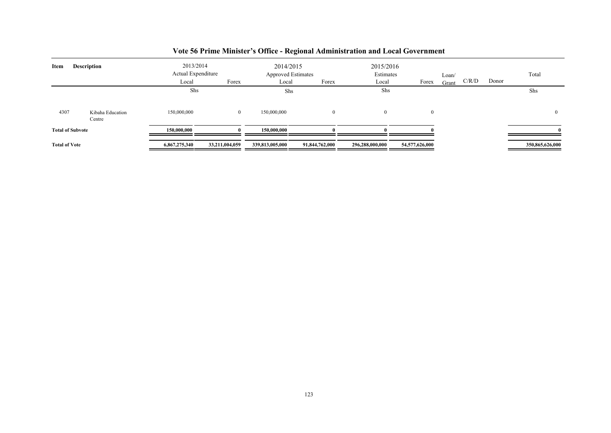| Item                 | <b>Description</b>         | 2013/2014<br>Actual Expenditure<br>Local | Forex          | 2014/2015<br><b>Approved Estimates</b><br>Local | Forex          | 2015/2016<br>Estimates<br>Local | Forex          | Loan/<br>Grant | C/R/D | Donor | Total           |
|----------------------|----------------------------|------------------------------------------|----------------|-------------------------------------------------|----------------|---------------------------------|----------------|----------------|-------|-------|-----------------|
|                      |                            | Shs                                      |                | Shs                                             |                | Shs                             |                |                |       |       | Shs             |
| 4307                 | Kibaha Education<br>Centre | 150,000,000                              | $\mathbf{0}$   | 150,000,000                                     |                | $\mathbf{0}$                    | $\Omega$       |                |       |       | $\theta$        |
|                      | <b>Total of Subvote</b>    | 150,000,000                              |                | 150,000,000                                     |                |                                 |                |                |       |       |                 |
| <b>Total of Vote</b> |                            | 6,867,275,340                            | 33,211,004,059 | 339,813,005,000                                 | 91,844,762,000 | 296,288,000,000                 | 54,577,626,000 |                |       |       | 350,865,626,000 |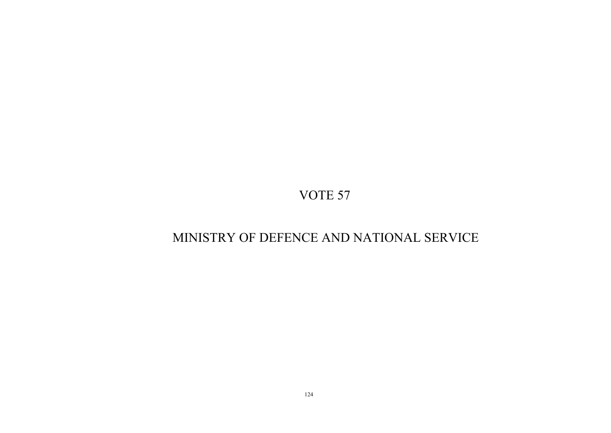# MINISTRY OF DEFENCE AND NATIONAL SERVICE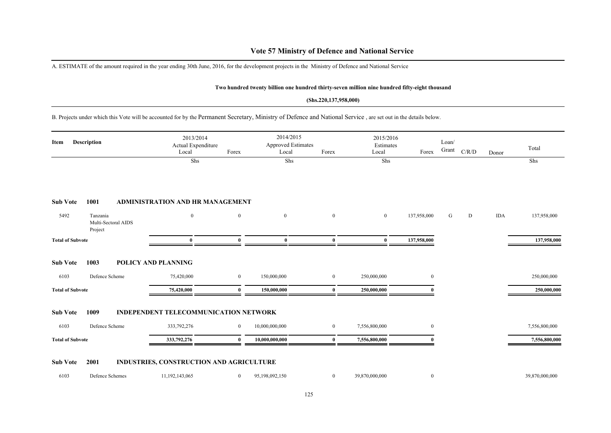### **Vote 57 Ministry of Defence and National Service**

A. ESTIMATE of the amount required in the year ending 30th June, 2016, for the development projects in the Ministry of Defence and National Service

#### **Two hundred twenty billion one hundred thirty-seven million nine hundred fifty-eight thousand**

#### **(Shs.220,137,958,000)**

B. Projects under which this Vote will be accounted for by the Permanent Secretary, Ministry of Defence and National Service , are set out in the details below.

| Description<br>Item     |                                            | 2013/2014<br>Actual Expenditure<br>Local     | Forex          | 2014/2015<br><b>Approved Estimates</b><br>Local | Forex            | 2015/2016<br>Estimates<br>Local | Forex            | Loan/<br>Grant | C/R/D | Donor      | Total          |
|-------------------------|--------------------------------------------|----------------------------------------------|----------------|-------------------------------------------------|------------------|---------------------------------|------------------|----------------|-------|------------|----------------|
|                         |                                            | Shs                                          |                | Shs                                             |                  | Shs                             |                  |                |       |            | Shs            |
| <b>Sub Vote</b>         | 1001                                       | <b>ADMINISTRATION AND HR MANAGEMENT</b>      |                |                                                 |                  |                                 |                  |                |       |            |                |
| 5492                    | Tanzania<br>Multi-Sectoral AIDS<br>Project | $\mathbf{0}$                                 | $\mathbf{0}$   | $\mathbf{0}$                                    | $\mathbf{0}$     | $\mathbf{0}$                    | 137,958,000      | G              | D     | <b>IDA</b> | 137,958,000    |
| <b>Total of Subvote</b> |                                            | 0                                            | $\mathbf{0}$   | $\bf{0}$                                        | $\bf{0}$         | $\bf{0}$                        | 137,958,000      |                |       |            | 137,958,000    |
| <b>Sub Vote</b>         | 1003                                       | POLICY AND PLANNING                          |                |                                                 |                  |                                 |                  |                |       |            |                |
| 6103                    | Defence Scheme                             | 75,420,000                                   | $\overline{0}$ | 150,000,000                                     | $\bf{0}$         | 250,000,000                     | $\overline{0}$   |                |       |            | 250,000,000    |
| <b>Total of Subvote</b> |                                            | 75,420,000                                   | $\theta$       | 150,000,000                                     | $\bf{0}$         | 250,000,000                     |                  |                |       |            | 250,000,000    |
| <b>Sub Vote</b>         | 1009                                       | <b>INDEPENDENT TELECOMMUNICATION NETWORK</b> |                |                                                 |                  |                                 |                  |                |       |            |                |
| 6103                    | Defence Scheme                             | 333,792,276                                  | $\bf{0}$       | 10,000,000,000                                  | $\bf{0}$         | 7,556,800,000                   | $\overline{0}$   |                |       |            | 7,556,800,000  |
| <b>Total of Subvote</b> |                                            | 333,792,276                                  | $\Omega$       | 10,000,000,000                                  | $\bf{0}$         | 7,556,800,000                   |                  |                |       |            | 7,556,800,000  |
| <b>Sub Vote</b>         | 2001                                       | INDUSTRIES, CONSTRUCTION AND AGRICULTURE     |                |                                                 |                  |                                 |                  |                |       |            |                |
| 6103                    | Defence Schemes                            | 11,192,143,065                               | $\overline{0}$ | 95,198,092,150                                  | $\boldsymbol{0}$ | 39,870,000,000                  | $\boldsymbol{0}$ |                |       |            | 39,870,000,000 |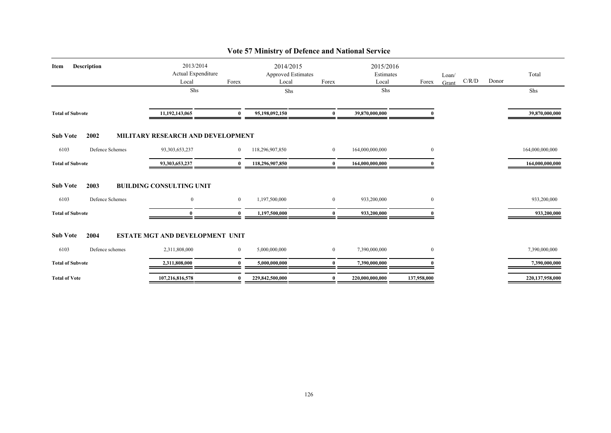| <b>Description</b><br>Item | 2013/2014<br>Actual Expenditure        |                | 2014/2015<br><b>Approved Estimates</b> |                  | 2015/2016<br>Estimates |                | Loan/ |       |       | Total           |
|----------------------------|----------------------------------------|----------------|----------------------------------------|------------------|------------------------|----------------|-------|-------|-------|-----------------|
|                            | Local                                  | Forex          | Local                                  | Forex            |                        | Forex          | Grant | C/R/D | Donor |                 |
|                            | Shs                                    |                | Shs                                    |                  | Shs                    |                |       |       |       | Shs             |
| <b>Total of Subvote</b>    | 11,192,143,065                         | $\mathbf{0}$   | 95,198,092,150                         | $\bf{0}$         | 39,870,000,000         |                |       |       |       | 39,870,000,000  |
| <b>Sub Vote</b><br>2002    | MILITARY RESEARCH AND DEVELOPMENT      |                |                                        |                  |                        |                |       |       |       |                 |
| 6103<br>Defence Schemes    | 93, 303, 653, 237                      | $\overline{0}$ | 118,296,907,850                        | $\boldsymbol{0}$ | 164,000,000,000        | $\mathbf{0}$   |       |       |       | 164,000,000,000 |
| <b>Total of Subvote</b>    | 93,303,653,237                         | $\mathbf{0}$   | 118,296,907,850                        | $\mathbf{0}$     | 164,000,000,000        |                |       |       |       | 164,000,000,000 |
| 2003<br><b>Sub Vote</b>    | <b>BUILDING CONSULTING UNIT</b>        |                |                                        |                  |                        |                |       |       |       |                 |
| Defence Schemes<br>6103    | $\overline{0}$                         | $\overline{0}$ | 1,197,500,000                          | $\overline{0}$   | 933,200,000            | $\overline{0}$ |       |       |       | 933,200,000     |
| <b>Total of Subvote</b>    | $\mathbf{0}$                           | $\bf{0}$       | 1,197,500,000                          | $\bf{0}$         | 933,200,000            |                |       |       |       | 933,200,000     |
| <b>Sub Vote</b><br>2004    | <b>ESTATE MGT AND DEVELOPMENT UNIT</b> |                |                                        |                  |                        |                |       |       |       |                 |
| Defence schemes<br>6103    | 2,311,808,000                          | $\overline{0}$ | 5,000,000,000                          | $\boldsymbol{0}$ | 7,390,000,000          | $\overline{0}$ |       |       |       | 7,390,000,000   |
| <b>Total of Subvote</b>    | 2,311,808,000                          | $\mathbf{0}$   | 5,000,000,000                          | 0                | 7,390,000,000          |                |       |       |       | 7,390,000,000   |
| <b>Total of Vote</b>       | 107,216,816,578                        | $\mathbf{0}$   | 229,842,500,000                        | 0                | 220,000,000,000        | 137,958,000    |       |       |       | 220,137,958,000 |

# **Vote 57 Ministry of Defence and National Service**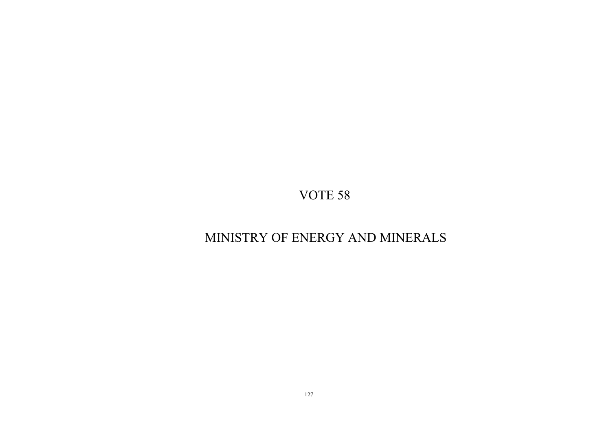# MINISTRY OF ENERGY AND MINERALS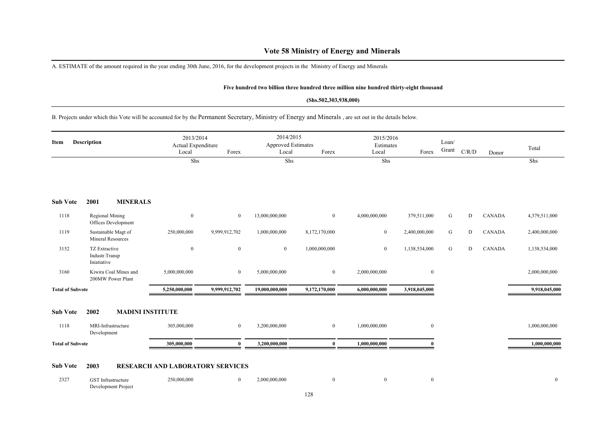### **Vote 58 Ministry of Energy and Minerals**

A. ESTIMATE of the amount required in the year ending 30th June, 2016, for the development projects in the Ministry of Energy and Minerals

#### **Five hundred two billion three hundred three million nine hundred thirty-eight thousand**

#### **(Shs.502,303,938,000)**

B. Projects under which this Vote will be accounted for by the Permanent Secretary, Ministry of Energy and Minerals , are set out in the details below.

| <b>Description</b><br>Item |                                                | 2013/2014<br>Actual Expenditure<br>Local | Forex                                   | 2014/2015<br><b>Approved Estimates</b><br>Local | Forex                      | 2015/2016<br>Estimates<br>Local | Forex          | Loan/<br>Grant | C/R/D     | Donor | Total         |               |
|----------------------------|------------------------------------------------|------------------------------------------|-----------------------------------------|-------------------------------------------------|----------------------------|---------------------------------|----------------|----------------|-----------|-------|---------------|---------------|
|                            |                                                |                                          | Shs                                     |                                                 | Shs                        |                                 | Shs            |                |           |       |               | Shs           |
| <b>Sub Vote</b>            | 2001                                           | <b>MINERALS</b>                          |                                         |                                                 |                            |                                 |                |                |           |       |               |               |
| 1118                       | <b>Regional Mining</b><br>Offices Development  |                                          | $\boldsymbol{0}$                        | $\bf{0}$                                        | 13,000,000,000             | $\mathbf{0}$                    | 4,000,000,000  | 379,511,000    | G         | D     | <b>CANADA</b> | 4,379,511,000 |
| 1119                       | Sustainable Magt of<br>Mineral Resources       |                                          | 250,000,000                             | 9,999,912,702                                   | 1,000,000,000              | 8,172,170,000                   | $\overline{0}$ | 2,400,000,000  | ${\bf G}$ | D     | <b>CANADA</b> | 2,400,000,000 |
| 3152                       | TZ Extractive<br>Industr.Transp<br>Iniatiative |                                          | $\bf{0}$                                | $\mathbf{0}$                                    | $\mathbf{0}$               | 1,000,000,000                   | $\overline{0}$ | 1,138,534,000  | ${\bf G}$ | D     | <b>CANADA</b> | 1,138,534,000 |
| 3160                       | Kiwira Coal Mines and<br>200MW Power Plant     |                                          | 5,000,000,000                           | $\bf{0}$                                        | 5,000,000,000              | $\mathbf{0}$                    | 2,000,000,000  | $\mathbf{0}$   |           |       |               | 2,000,000,000 |
| <b>Total of Subvote</b>    |                                                |                                          | 5,250,000,000                           | 9,999,912,702                                   | 19,000,000,000             | 9,172,170,000                   | 6,000,000,000  | 3,918,045,000  |           |       |               | 9,918,045,000 |
| <b>Sub Vote</b>            | 2002                                           | <b>MADINI INSTITUTE</b>                  |                                         |                                                 |                            |                                 |                |                |           |       |               |               |
| 1118                       | MRI-Infrastructure<br>Development              |                                          | 305,000,000                             | $\mathbf{0}$                                    | 3,200,000,000              | $\overline{0}$                  | 1,000,000,000  | $\mathbf{0}$   |           |       |               | 1,000,000,000 |
| <b>Total of Subvote</b>    |                                                |                                          | 305,000,000                             | $\theta$                                        | 3,200,000,000              | $\bf{0}$                        | 1,000,000,000  |                |           |       |               | 1,000,000,000 |
| <b>Sub Vote</b>            | 2003                                           |                                          | <b>RESEARCH AND LABORATORY SERVICES</b> |                                                 |                            |                                 |                |                |           |       |               |               |
| 0.227                      | $\alpha$                                       |                                          | 350.000.000                             |                                                 | $\sim$ $\sim$ 0.00.000.000 | $\sim$                          | $\sim$         |                |           |       |               |               |

| 2327 | Infrastructure      | 250,000,000 | 000.000.000. |  |  |
|------|---------------------|-------------|--------------|--|--|
|      | Development Project |             |              |  |  |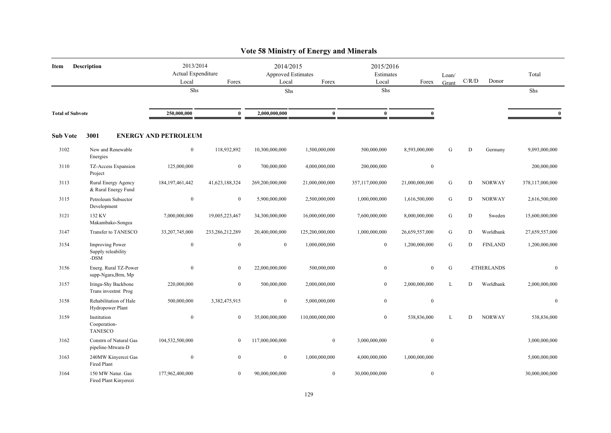|                         | $\lambda$ ore so minimum of the $\mu$ and minimum    |                                          |                 |                                          |                 |                                 |                  |                |       |                |                  |  |  |  |
|-------------------------|------------------------------------------------------|------------------------------------------|-----------------|------------------------------------------|-----------------|---------------------------------|------------------|----------------|-------|----------------|------------------|--|--|--|
| Item                    | <b>Description</b>                                   | 2013/2014<br>Actual Expenditure<br>Local | Forex           | 2014/2015<br>Approved Estimates<br>Local | Forex           | 2015/2016<br>Estimates<br>Local | Forex            | Loan/<br>Grant | C/R/D | Donor          | Total            |  |  |  |
|                         |                                                      | Shs                                      |                 | Shs                                      |                 | Shs                             |                  |                |       |                | Shs              |  |  |  |
| <b>Total of Subvote</b> |                                                      | 250,000,000                              | $\bf{0}$        | 2,000,000,000                            | $\bf{0}$        | $\bf{0}$                        | $\mathbf{0}$     |                |       |                | $\mathbf{0}$     |  |  |  |
| <b>Sub Vote</b>         | 3001                                                 | <b>ENERGY AND PETROLEUM</b>              |                 |                                          |                 |                                 |                  |                |       |                |                  |  |  |  |
| 3102                    | New and Renewable<br>Energies                        | $\boldsymbol{0}$                         | 118,932,892     | 10,300,000,000                           | 1,500,000,000   | 500,000,000                     | 8,593,000,000    | G              | D     | Germany        | 9,093,000,000    |  |  |  |
| 3110                    | TZ-Access Expansion<br>Project                       | 125,000,000                              | $\mathbf{0}$    | 700,000,000                              | 4,000,000,000   | 200,000,000                     | $\boldsymbol{0}$ |                |       |                | 200,000,000      |  |  |  |
| 3113                    | Rural Energy Agency<br>& Rural Energy Fund           | 184, 197, 461, 442                       | 41,623,188,324  | 269,200,000,000                          | 21,000,000,000  | 357,117,000,000                 | 21,000,000,000   | ${\bf G}$      | D     | <b>NORWAY</b>  | 378,117,000,000  |  |  |  |
| 3115                    | Petroleum Subsector<br>Development                   | $\boldsymbol{0}$                         | $\overline{0}$  | 5,900,000,000                            | 2,500,000,000   | 1,000,000,000                   | 1,616,500,000    | G              | D     | <b>NORWAY</b>  | 2,616,500,000    |  |  |  |
| 3121                    | 132 KV<br>Makambako-Songea                           | 7,000,000,000                            | 19,005,223,467  | 34,300,000,000                           | 16,000,000,000  | 7,600,000,000                   | 8,000,000,000    | ${\bf G}$      | D     | Sweden         | 15,600,000,000   |  |  |  |
| 3147                    | Transfer to TANESCO                                  | 33,207,745,000                           | 233,286,212,289 | 20,400,000,000                           | 125,200,000,000 | 1,000,000,000                   | 26,659,557,000   | G              | D     | Worldbank      | 27,659,557,000   |  |  |  |
| 3154                    | <b>Improving Power</b><br>Supply releability<br>-DSM | $\mathbf{0}$                             | $\mathbf{0}$    | $\mathbf{0}$                             | 1,000,000,000   | $\boldsymbol{0}$                | 1,200,000,000    | G              | D     | <b>FINLAND</b> | 1,200,000,000    |  |  |  |
| 3156                    | Energ. Rural TZ-Power<br>supp-Ngara, Brm, Mp         | $\boldsymbol{0}$                         | $\mathbf{0}$    | 22,000,000,000                           | 500,000,000     | $\boldsymbol{0}$                | $\mathbf{0}$     | ${\bf G}$      |       | -ETHERLANDS    | $\boldsymbol{0}$ |  |  |  |
| 3157                    | Iringa-Shy Backbone<br>Trans investmt Prog           | 220,000,000                              | $\mathbf{0}$    | 500,000,000                              | 2,000,000,000   | $\mathbf{0}$                    | 2,000,000,000    | L              | D     | Worldbank      | 2,000,000,000    |  |  |  |
| 3158                    | Rehabilitation of Hale<br>Hydropower Plant           | 500,000,000                              | 3,382,475,915   | $\mathbf{0}$                             | 5,000,000,000   | $\bf{0}$                        | $\boldsymbol{0}$ |                |       |                | $\boldsymbol{0}$ |  |  |  |
| 3159                    | Institution<br>Cooperation-<br><b>TANESCO</b>        | $\boldsymbol{0}$                         | $\mathbf{0}$    | 35,000,000,000                           | 110,000,000,000 | $\overline{0}$                  | 538,836,000      | L              | D     | <b>NORWAY</b>  | 538,836,000      |  |  |  |
| 3162                    | Constrn of Natural Gas<br>pipeline-Mtwara-D          | 104,532,500,000                          | $\mathbf{0}$    | 117,000,000,000                          | $\overline{0}$  | 3,000,000,000                   | $\boldsymbol{0}$ |                |       |                | 3,000,000,000    |  |  |  |
| 3163                    | 240MW Kinyerezi Gas<br>Fired Plant                   | $\boldsymbol{0}$                         | $\mathbf{0}$    | $\overline{0}$                           | 1,000,000,000   | 4,000,000,000                   | 1,000,000,000    |                |       |                | 5,000,000,000    |  |  |  |
| 3164                    | 150 MW Natur. Gas<br>Fired Plant Kinverezi           | 177,962,400,000                          | $\mathbf{0}$    | 90,000,000,000                           | $\overline{0}$  | 30,000,000,000                  | $\mathbf{0}$     |                |       |                | 30,000,000,000   |  |  |  |

### **Vote 58 Ministry of Energy and Minerals**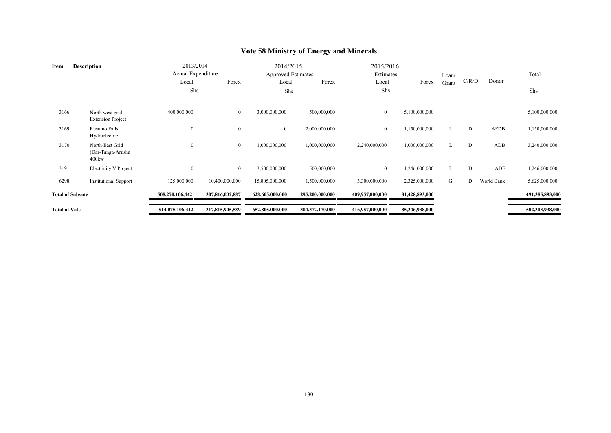| <b>Description</b><br>Item |                                                  | 2013/2014<br>Actual Expenditure |                 | 2014/2015<br><b>Approved Estimates</b> |                 | 2015/2016<br>Estimates |                | Loan/ |       |            | Total           |
|----------------------------|--------------------------------------------------|---------------------------------|-----------------|----------------------------------------|-----------------|------------------------|----------------|-------|-------|------------|-----------------|
|                            |                                                  | Local                           | Forex           | Local                                  | Forex           | Local                  | Forex          | Grant | C/R/D | Donor      |                 |
|                            |                                                  | Shs                             |                 | Shs                                    |                 | Shs                    |                |       |       |            | Shs             |
| 3166                       | North west grid<br><b>Extension Project</b>      | 400,000,000                     | $\mathbf{0}$    | 3,000,000,000                          | 500,000,000     | $\mathbf{0}$           | 5,100,000,000  |       |       |            | 5,100,000,000   |
| 3169                       | Rusumo Falls<br>Hydroelectric                    | $\boldsymbol{0}$                | $\overline{0}$  | $\overline{0}$                         | 2,000,000,000   | $\bf{0}$               | 1,150,000,000  | L     | D     | AFDB       | 1,150,000,000   |
| 3170                       | North-East Grid<br>(Dar-Tanga-Arusha<br>$400$ kw | $\boldsymbol{0}$                | $\bf{0}$        | 1,000,000,000                          | 1,000,000,000   | 2,240,000,000          | 1,000,000,000  | L     | D     | ADB        | 3,240,000,000   |
| 3191                       | <b>Electricity V Project</b>                     | $\boldsymbol{0}$                | $\bf{0}$        | 3,500,000,000                          | 500,000,000     | $\overline{0}$         | 1,246,000,000  | L     | D     | ADF        | 1,246,000,000   |
| 6298                       | <b>Institutional Support</b>                     | 125,000,000                     | 10,400,000,000  | 15,805,000,000                         | 1,500,000,000   | 3,300,000,000          | 2,325,000,000  | G     | D     | World Bank | 5,625,000,000   |
| <b>Total of Subvote</b>    |                                                  | 508,270,106,442                 | 307,816,032,887 | 628,605,000,000                        | 295,200,000,000 | 409,957,000,000        | 81,428,893,000 |       |       |            | 491,385,893,000 |
| <b>Total of Vote</b>       |                                                  | 514,075,106,442                 | 317,815,945,589 | 652,805,000,000                        | 304,372,170,000 | 416,957,000,000        | 85,346,938,000 |       |       |            | 502,303,938,000 |

# **Vote 58 Ministry of Energy and Minerals**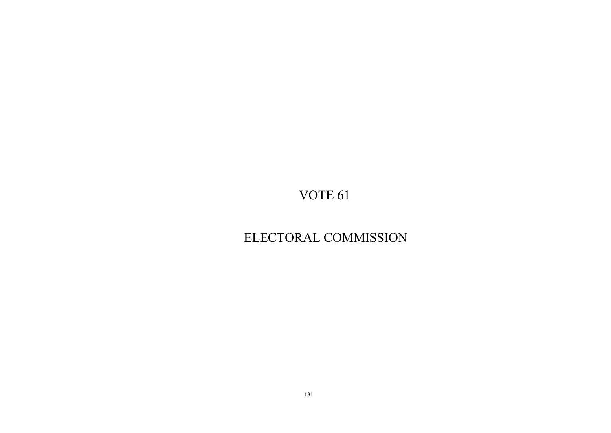# ELECTORAL COMMISSION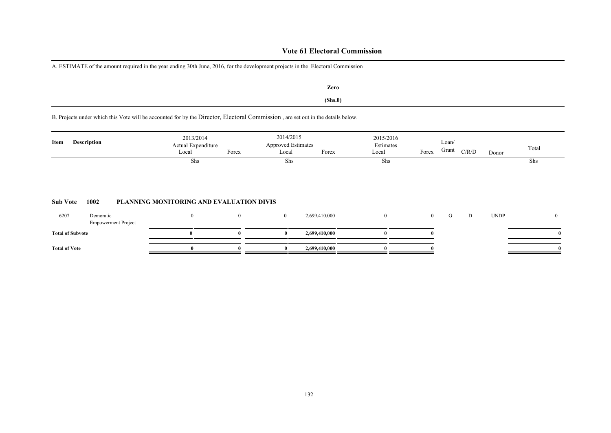### **Vote 61 Electoral Commission**

A. ESTIMATE of the amount required in the year ending 30th June, 2016, for the development projects in the Electoral Commission

**(Shs.0) Zero**

B. Projects under which this Vote will be accounted for by the Director, Electoral Commission , are set out in the details below.

| Item            | <b>Description</b> | 2013/2014<br>Actual Expenditure<br>Forex<br>Local | 2014/2015<br><b>Approved Estimates</b><br>Local | Forex | 2015/2016<br>Estimates<br>Local | Forex | Loan/<br>Grant | C/R/D | Donor | Total |
|-----------------|--------------------|---------------------------------------------------|-------------------------------------------------|-------|---------------------------------|-------|----------------|-------|-------|-------|
|                 |                    | Shs                                               | Shs                                             |       | Shs                             |       |                |       |       | Shs   |
| <b>Sub Vote</b> | 1002               | PLANNING MONITORING AND EVALUATION DIVIS          |                                                 |       |                                 |       |                |       |       |       |

| 6207                    | Demoratic<br><b>Empowerment Project</b> |  | 2,699,410,000 |  |  | <b>UNDP</b> | $^{\circ}$ |
|-------------------------|-----------------------------------------|--|---------------|--|--|-------------|------------|
| <b>Total of Subvote</b> |                                         |  | 2,699,410,000 |  |  |             |            |
| <b>Total of Vote</b>    |                                         |  | 2,699,410,000 |  |  |             |            |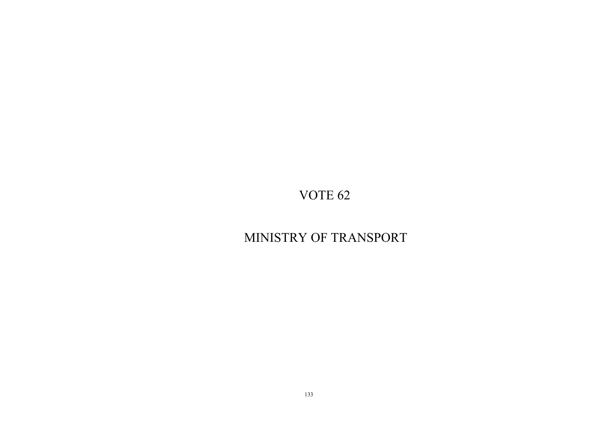# MINISTRY OF TRANSPORT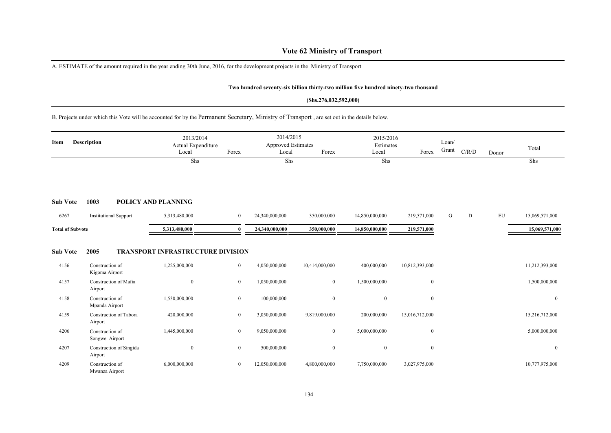### **Vote 62 Ministry of Transport**

A. ESTIMATE of the amount required in the year ending 30th June, 2016, for the development projects in the Ministry of Transport

#### **Two hundred seventy-six billion thirty-two million five hundred ninety-two thousand**

#### **(Shs.276,032,592,000)**

#### B. Projects under which this Vote will be accounted for by the Permanent Secretary, Ministry of Transport , are set out in the details below.

| Item                    | <b>Description</b>                 | 2013/2014<br>Actual Expenditure<br>Local | Forex            | 2014/2015<br><b>Approved Estimates</b><br>Local | Forex            | 2015/2016<br>Estimates<br>Local | Forex          | Loan/<br>Grant | C/R/D | Donor      | Total          |
|-------------------------|------------------------------------|------------------------------------------|------------------|-------------------------------------------------|------------------|---------------------------------|----------------|----------------|-------|------------|----------------|
|                         |                                    | Shs                                      |                  | <b>Shs</b>                                      |                  | Shs                             |                |                |       |            | Shs            |
| <b>Sub Vote</b>         | 1003                               | <b>POLICY AND PLANNING</b>               |                  |                                                 |                  |                                 |                |                |       |            |                |
| 6267                    | <b>Institutional Support</b>       | 5,313,480,000                            | $\overline{0}$   | 24,340,000,000                                  | 350,000,000      | 14,850,000,000                  | 219,571,000    | G              | D     | ${\rm EU}$ | 15,069,571,000 |
| <b>Total of Subvote</b> |                                    | 5,313,480,000                            | $\theta$         | 24,340,000,000                                  | 350,000,000      | 14,850,000,000                  | 219,571,000    |                |       |            | 15,069,571,000 |
| <b>Sub Vote</b>         | 2005                               | <b>TRANSPORT INFRASTRUCTURE DIVISION</b> |                  |                                                 |                  |                                 |                |                |       |            |                |
| 4156                    | Construction of<br>Kigoma Airport  | 1,225,000,000                            | $\boldsymbol{0}$ | 4,050,000,000                                   | 10,414,000,000   | 400,000,000                     | 10,812,393,000 |                |       |            | 11,212,393,000 |
| 4157                    | Construction of Mafia<br>Airport   | $\boldsymbol{0}$                         | $\mathbf{0}$     | 1,050,000,000                                   | $\bf{0}$         | 1,500,000,000                   | $\overline{0}$ |                |       |            | 1,500,000,000  |
| 4158                    | Construction of<br>Mpanda Airport  | 1,530,000,000                            | $\mathbf{0}$     | 100,000,000                                     | $\boldsymbol{0}$ | $\bf{0}$                        | $\overline{0}$ |                |       |            | $\overline{0}$ |
| 4159                    | Construction of Tabora<br>Airport  | 420,000,000                              | $\mathbf{0}$     | 3,050,000,000                                   | 9,819,000,000    | 200,000,000                     | 15,016,712,000 |                |       |            | 15,216,712,000 |
| 4206                    | Construction of<br>Songwe Airport  | 1,445,000,000                            | $\mathbf{0}$     | 9,050,000,000                                   | $\boldsymbol{0}$ | 5,000,000,000                   | $\mathbf{0}$   |                |       |            | 5,000,000,000  |
| 4207                    | Construction of Singida<br>Airport | $\boldsymbol{0}$                         | $\mathbf{0}$     | 500,000,000                                     | $\boldsymbol{0}$ | $\bf{0}$                        | $\mathbf{0}$   |                |       |            | $\overline{0}$ |
| 4209                    | Construction of<br>Mwanza Airport  | 6,000,000,000                            | $\mathbf{0}$     | 12,050,000,000                                  | 4,800,000,000    | 7,750,000,000                   | 3,027,975,000  |                |       |            | 10,777,975,000 |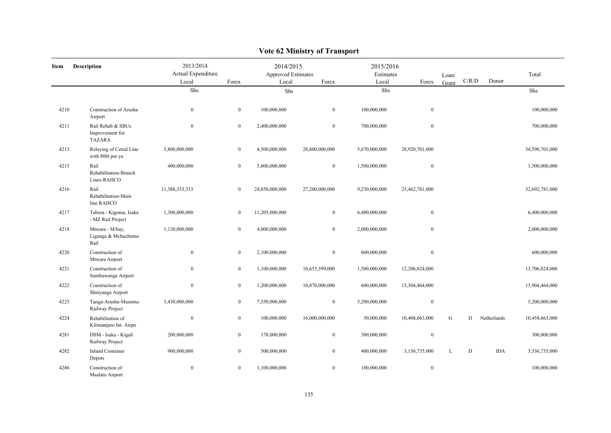| Item | <b>Description</b>                                    | 2013/2014<br>Actual Expenditure<br>Local | Forex            | 2014/2015<br>Approved Estimates<br>Local | Forex            | 2015/2016<br>Estimates<br>Local | Forex            | Loan/<br>Grant | C/R/D | Donor       | Total          |
|------|-------------------------------------------------------|------------------------------------------|------------------|------------------------------------------|------------------|---------------------------------|------------------|----------------|-------|-------------|----------------|
|      |                                                       | Shs                                      |                  | Shs                                      |                  | Shs                             |                  |                |       |             | Shs            |
| 4210 | Construction of Arusha<br>Airport                     | $\bf{0}$                                 | $\mathbf{0}$     | 100,000,000                              | $\mathbf{0}$     | 100,000,000                     | $\boldsymbol{0}$ |                |       |             | 100,000,000    |
| 4211 | Rail Rehab & SBUs<br>Improvement for<br><b>TAZARA</b> | $\mathbf{0}$                             | $\mathbf{0}$     | 2,400,000,000                            | $\mathbf{0}$     | 700,000,000                     | $\boldsymbol{0}$ |                |       |             | 700,000,000    |
| 4213 | Relaying of Cetral Line<br>with 80bl per ya           | 5,800,000,000                            | $\bf{0}$         | 4,500,000,000                            | 28,800,000,000   | 5,670,000,000                   | 28,920,701,000   |                |       |             | 34,590,701,000 |
| 4215 | Rail<br>Rehabilitation-Branch<br>Lines-RAHCO          | 400,000,000                              | $\boldsymbol{0}$ | 5,000,000,000                            | $\boldsymbol{0}$ | 1,500,000,000                   | $\boldsymbol{0}$ |                |       |             | 1,500,000,000  |
| 4216 | Rail<br>Rehabilitation-Main<br>line RAHCO             | 11,388,333,333                           | $\overline{0}$   | 24,850,000,000                           | 27,200,000,000   | 9,230,000,000                   | 23,462,781,000   |                |       |             | 32,692,781,000 |
| 4217 | Tabora - Kigoma, Isaka<br>- MZ Rail Project           | 1,300,000,000                            | $\bf{0}$         | 11,205,000,000                           | $\boldsymbol{0}$ | 6,400,000,000                   | $\boldsymbol{0}$ |                |       |             | 6,400,000,000  |
| 4218 | Mtwara - M/bay,<br>Liganga & Mchuchuma<br>Rail        | 1,120,000,000                            | $\mathbf{0}$     | 4,000,000,000                            | $\boldsymbol{0}$ | 2,000,000,000                   | $\bf{0}$         |                |       |             | 2,000,000,000  |
| 4220 | Construction of<br>Mtwara Airport                     | $\bf{0}$                                 | $\boldsymbol{0}$ | 2,100,000,000                            | $\boldsymbol{0}$ | 600,000,000                     | $\boldsymbol{0}$ |                |       |             | 600,000,000    |
| 4221 | Construction of<br>Sumbawanga Airport                 | $\bf{0}$                                 | $\boldsymbol{0}$ | 1,100,000,000                            | 10,653,399,000   | 1,500,000,000                   | 12,206,824,000   |                |       |             | 13,706,824,000 |
| 4222 | Construction of<br>Shinyanga Airport                  | $\overline{0}$                           | $\overline{0}$   | 1,200,000,000                            | 10,870,000,000   | 600,000,000                     | 13,304,464,000   |                |       |             | 13,904,464,000 |
| 4223 | Tanga-Arusha-Musoma<br>Railway Project                | 3,430,000,000                            | $\boldsymbol{0}$ | 7,550,000,000                            | $\boldsymbol{0}$ | 5,200,000,000                   | $\boldsymbol{0}$ |                |       |             | 5,200,000,000  |
| 4224 | Rehabilitation of<br>Kilimanjaro Int. Airpo           | $\bf{0}$                                 | $\boldsymbol{0}$ | 100,000,000                              | 16,000,000,000   | 50,000,000                      | 10,408,663,000   | G              | D     | Netherlands | 10,458,663,000 |
| 4281 | DSM - Isaka - Kigali<br>Railway Project               | 200,000,000                              | $\mathbf{0}$     | 178,000,000                              | $\mathbf{0}$     | 300,000,000                     | $\boldsymbol{0}$ |                |       |             | 300,000,000    |
| 4282 | <b>Inland Container</b><br>Depots                     | 900,000,000                              | $\overline{0}$   | 500,000,000                              | $\bf{0}$         | 400,000,000                     | 3,136,735,000    | L              | D     | <b>IDA</b>  | 3,536,735,000  |
| 4286 | Construction of<br>Msalato Airport                    | $\bf{0}$                                 | $\mathbf{0}$     | 1,100,000,000                            | $\mathbf{0}$     | 100,000,000                     | $\boldsymbol{0}$ |                |       |             | 100,000,000    |

### **Vote 62 Ministry of Transport**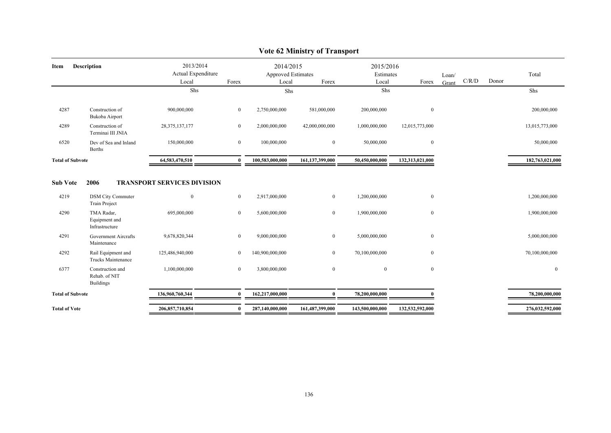| Item                    | Description                                           | 2013/2014                          |                | 2014/2015                          |                 | 2015/2016          |                  |       |       |       |                 |
|-------------------------|-------------------------------------------------------|------------------------------------|----------------|------------------------------------|-----------------|--------------------|------------------|-------|-------|-------|-----------------|
|                         |                                                       | Actual Expenditure<br>Local        | Forex          | <b>Approved Estimates</b><br>Local | Forex           | Estimates<br>Local | Forex            | Loan/ | C/R/D | Donor | Total           |
|                         |                                                       | Shs                                |                |                                    |                 | Shs                |                  | Grant |       |       |                 |
|                         |                                                       |                                    |                | Shs                                |                 |                    |                  |       |       |       | Shs             |
| 4287                    | Construction of<br>Bukoba Airport                     | 900,000,000                        | $\overline{0}$ | 2,750,000,000                      | 581,000,000     | 200,000,000        | $\boldsymbol{0}$ |       |       |       | 200,000,000     |
| 4289                    | Construction of<br>Terminai III JNIA                  | 28, 375, 137, 177                  | $\overline{0}$ | 2,000,000,000                      | 42,000,000,000  | 1,000,000,000      | 12,015,773,000   |       |       |       | 13,015,773,000  |
| 6520                    | Dev of Sea and Inland<br><b>Berths</b>                | 150,000,000                        | $\bf{0}$       | 100,000,000                        | $\overline{0}$  | 50,000,000         | $\bf{0}$         |       |       |       | 50,000,000      |
| <b>Total of Subvote</b> |                                                       | 64,583,470,510                     | $\mathbf{0}$   | 100,583,000,000                    | 161,137,399,000 | 50,450,000,000     | 132,313,021,000  |       |       |       | 182,763,021,000 |
|                         |                                                       |                                    |                |                                    |                 |                    |                  |       |       |       |                 |
| <b>Sub Vote</b>         | 2006                                                  | <b>TRANSPORT SERVICES DIVISION</b> |                |                                    |                 |                    |                  |       |       |       |                 |
| 4219                    | <b>DSM City Commuter</b><br><b>Train Project</b>      | $\mathbf{0}$                       | $\overline{0}$ | 2,917,000,000                      | $\overline{0}$  | 1,200,000,000      | $\boldsymbol{0}$ |       |       |       | 1,200,000,000   |
| 4290                    | TMA Radar,<br>Equipment and<br>Infrastructure         | 695,000,000                        | $\overline{0}$ | 5,600,000,000                      | $\overline{0}$  | 1,900,000,000      | $\bf{0}$         |       |       |       | 1,900,000,000   |
| 4291                    | Government Aircrafts<br>Maintenance                   | 9,678,820,344                      | $\overline{0}$ | 9,000,000,000                      | $\bf{0}$        | 5,000,000,000      | $\boldsymbol{0}$ |       |       |       | 5,000,000,000   |
| 4292                    | Rail Equipment and<br>Trucks Maintenance              | 125,486,940,000                    | $\overline{0}$ | 140,900,000,000                    | $\overline{0}$  | 70,100,000,000     | $\boldsymbol{0}$ |       |       |       | 70,100,000,000  |
| 6377                    | Construction and<br>Rehab. of NIT<br><b>Buildings</b> | 1,100,000,000                      | $\overline{0}$ | 3,800,000,000                      | $\mathbf{0}$    | $\mathbf{0}$       | $\bf{0}$         |       |       |       | $\overline{0}$  |
| <b>Total of Subvote</b> |                                                       | 136,960,760,344                    | $\mathbf{0}$   | 162,217,000,000                    | $\mathbf{0}$    | 78,200,000,000     |                  |       |       |       | 78,200,000,000  |
| <b>Total of Vote</b>    |                                                       | 206,857,710,854                    | $\bf{0}$       | 287,140,000,000                    | 161,487,399,000 | 143,500,000,000    | 132,532,592,000  |       |       |       | 276,032,592,000 |
|                         |                                                       |                                    |                |                                    |                 |                    |                  |       |       |       |                 |

### **Vote 62 Ministry of Transport**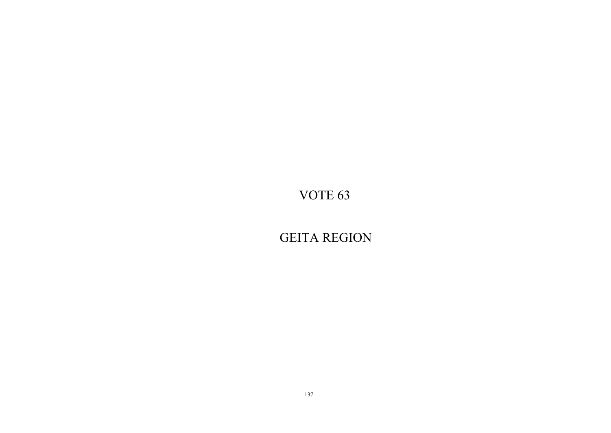GEITA REGION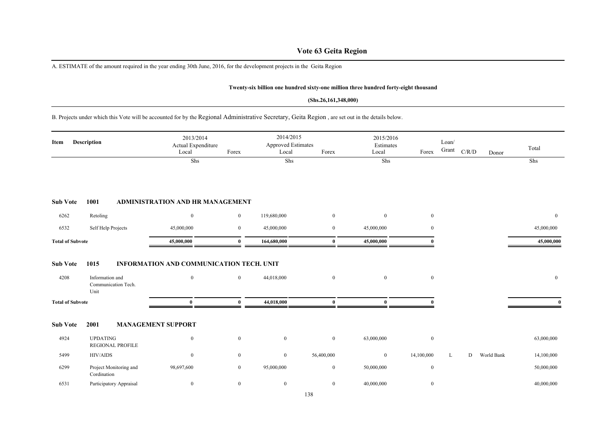### **Vote 63 Geita Region**

A. ESTIMATE of the amount required in the year ending 30th June, 2016, for the development projects in the Geita Region

#### **Twenty-six billion one hundred sixty-one million three hundred forty-eight thousand**

#### **(Shs.26,161,348,000)**

B. Projects under which this Vote will be accounted for by the Regional Administrative Secretary, Geita Region , are set out in the details below.

| Item                    | Description                                            | 2013/2014<br>Actual Expenditure<br>Local             | Forex          | 2014/2015<br>Approved Estimates<br>Local | Forex            | 2015/2016<br>Estimates<br>Local | Forex            | Loan/<br>Grant | C/R/D | Donor      | Total          |
|-------------------------|--------------------------------------------------------|------------------------------------------------------|----------------|------------------------------------------|------------------|---------------------------------|------------------|----------------|-------|------------|----------------|
|                         |                                                        | Shs                                                  |                | Shs                                      |                  | Shs                             |                  |                |       |            | Shs            |
| <b>Sub Vote</b>         | 1001                                                   | <b>ADMINISTRATION AND HR MANAGEMENT</b>              |                |                                          |                  |                                 |                  |                |       |            |                |
| 6262                    | Retoling                                               | $\bf{0}$                                             | $\overline{0}$ | 119,680,000                              | $\mathbf{0}$     | $\overline{0}$                  | $\bf{0}$         |                |       |            | $\overline{0}$ |
| 6532                    | Self Help Projects                                     | 45,000,000                                           | $\overline{0}$ | 45,000,000                               | $\bf{0}$         | 45,000,000                      | $\overline{0}$   |                |       |            | 45,000,000     |
| <b>Total of Subvote</b> |                                                        | 45,000,000                                           | $\mathbf{0}$   | 164,680,000                              | $\bf{0}$         | 45,000,000                      | O                |                |       |            | 45,000,000     |
| <b>Sub Vote</b><br>4208 | 1015<br>Information and<br>Communication Tech.<br>Unit | INFORMATION AND COMMUNICATION TECH. UNIT<br>$\bf{0}$ | $\overline{0}$ | 44,018,000                               | $\mathbf{0}$     | $\mathbf{0}$                    | $\mathbf{0}$     |                |       |            | $\mathbf{0}$   |
| <b>Total of Subvote</b> |                                                        | $\bf{0}$                                             | $\bf{0}$       | 44,018,000                               | $\bf{0}$         | $\bf{0}$                        | 0                |                |       |            |                |
| <b>Sub Vote</b>         | 2001                                                   | <b>MANAGEMENT SUPPORT</b>                            |                |                                          |                  |                                 |                  |                |       |            |                |
| 4924                    | <b>UPDATING</b><br><b>REGIONAL PROFILE</b>             | $\mathbf{0}$                                         | $\mathbf{0}$   | $\bf{0}$                                 | $\boldsymbol{0}$ | 63,000,000                      | $\bf{0}$         |                |       |            | 63,000,000     |
| 5499                    | HIV/AIDS                                               | $\bf{0}$                                             | $\overline{0}$ | $\boldsymbol{0}$                         | 56,400,000       | $\mathbf{0}$                    | 14,100,000       | L              | D     | World Bank | 14,100,000     |
| 6299                    | Project Monitoring and<br>Cordination                  | 98,697,600                                           | $\overline{0}$ | 95,000,000                               | $\bf{0}$         | 50,000,000                      | $\mathbf{0}$     |                |       |            | 50,000,000     |
| 6531                    | Participatory Appraisal                                | $\boldsymbol{0}$                                     | $\overline{0}$ | $\bf{0}$                                 | $\boldsymbol{0}$ | 40,000,000                      | $\boldsymbol{0}$ |                |       |            | 40,000,000     |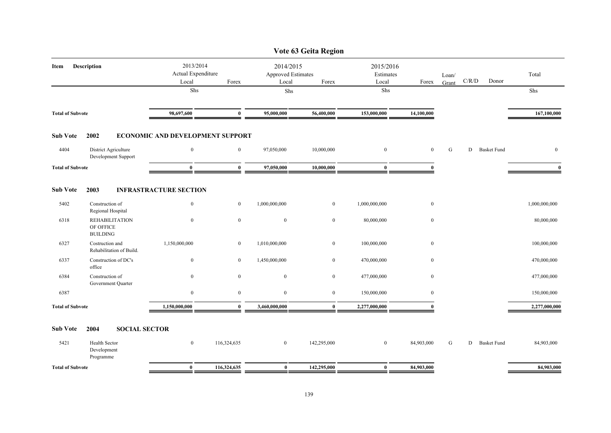|                         |                                           |                                                   |                                  |                                                          |                  | Vote 63 Geita Region            |               |                  |       |       |                    |               |
|-------------------------|-------------------------------------------|---------------------------------------------------|----------------------------------|----------------------------------------------------------|------------------|---------------------------------|---------------|------------------|-------|-------|--------------------|---------------|
| Description<br>Item     |                                           | 2013/2014<br>Actual Expenditure<br>Local<br>Forex |                                  | 2014/2015<br><b>Approved Estimates</b><br>Local<br>Forex |                  | 2015/2016<br>Estimates<br>Local | Forex         | Loan/<br>Grant   | C/R/D | Donor | Total              |               |
|                         |                                           |                                                   | Shs                              |                                                          | Shs              |                                 | Shs           |                  |       |       |                    | Shs           |
| <b>Total of Subvote</b> |                                           | 98,697,600                                        | $\bf{0}$                         | 95,000,000                                               | 56,400,000       | 153,000,000                     | 14,100,000    |                  |       |       | 167,100,000        |               |
| <b>Sub Vote</b>         | 2002                                      |                                                   | ECONOMIC AND DEVELOPMENT SUPPORT |                                                          |                  |                                 |               |                  |       |       |                    |               |
| 4404                    | District Agriculture                      | Development Support                               | $\overline{0}$                   | $\mathbf{0}$                                             | 97,050,000       | 10,000,000                      | $\mathbf{0}$  | $\overline{0}$   | G     | D     | <b>Basket Fund</b> | $\mathbf{0}$  |
| <b>Total of Subvote</b> |                                           | $\bf{0}$                                          | $\bf{0}$                         | 97,050,000                                               | 10,000,000       | $\bf{0}$                        | $\theta$      |                  |       |       | $\mathbf{0}$       |               |
| <b>Sub Vote</b>         | 2003                                      |                                                   | <b>INFRASTRACTURE SECTION</b>    |                                                          |                  |                                 |               |                  |       |       |                    |               |
| 5402                    | Construction of<br>Regional Hospital      |                                                   | $\boldsymbol{0}$                 | $\mathbf{0}$                                             | 1,000,000,000    | $\mathbf{0}$                    | 1,000,000,000 | $\boldsymbol{0}$ |       |       |                    | 1,000,000,000 |
| 6318                    | OF OFFICE<br><b>BUILDING</b>              | <b>REHABILITATION</b>                             | $\boldsymbol{0}$                 | $\bf{0}$                                                 | $\bf{0}$         | $\bf{0}$                        | 80,000,000    | $\mathbf{0}$     |       |       |                    | 80,000,000    |
| 6327                    | Costruction and                           | Rehabilitation of Build.                          | 1,150,000,000                    | $\overline{0}$                                           | 1,010,000,000    | $\bf{0}$                        | 100,000,000   | $\mathbf{0}$     |       |       |                    | 100,000,000   |
| 6337                    | office                                    | Construction of DC's                              | $\boldsymbol{0}$                 | $\mathbf{0}$                                             | 1,450,000,000    | $\mathbf{0}$                    | 470,000,000   | $\mathbf{0}$     |       |       |                    | 470,000,000   |
| 6384                    | Construction of                           | Government Quarter                                | $\overline{0}$                   | $\overline{0}$                                           | $\overline{0}$   | $\boldsymbol{0}$                | 477,000,000   | $\mathbf{0}$     |       |       |                    | 477,000,000   |
| 6387                    |                                           |                                                   | $\bf{0}$                         | $\bf{0}$                                                 | $\boldsymbol{0}$ | $\bf{0}$                        | 150,000,000   | $\mathbf{0}$     |       |       |                    | 150,000,000   |
| <b>Total of Subvote</b> |                                           | 1,150,000,000                                     | $\bf{0}$                         | 3,460,000,000                                            | $\bf{0}$         | 2,277,000,000                   | $\mathbf{0}$  |                  |       |       | 2,277,000,000      |               |
| <b>Sub Vote</b>         | 2004                                      | <b>SOCIAL SECTOR</b>                              |                                  |                                                          |                  |                                 |               |                  |       |       |                    |               |
| 5421                    | Health Sector<br>Development<br>Programme |                                                   | $\overline{0}$                   | 116,324,635                                              | $\overline{0}$   | 142,295,000                     | $\bf{0}$      | 84,903,000       | G     | D     | <b>Basket Fund</b> | 84,903,000    |
| <b>Total of Subvote</b> |                                           |                                                   | $\bf{0}$                         | 116,324,635                                              | $\bf{0}$         | 142,295,000                     | $\bf{0}$      | 84,903,000       |       |       |                    | 84,903,000    |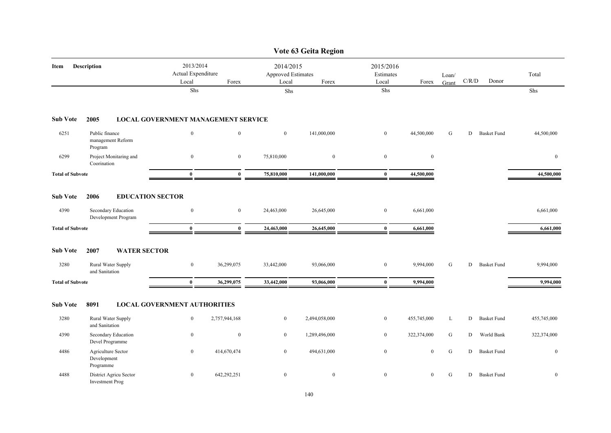|                            |                                                  |                                            |                  |                                                          | Vote 63 Geita Region |                                 |                  |                |       |                    |              |
|----------------------------|--------------------------------------------------|--------------------------------------------|------------------|----------------------------------------------------------|----------------------|---------------------------------|------------------|----------------|-------|--------------------|--------------|
| <b>Description</b><br>Item |                                                  | 2013/2014<br>Actual Expenditure<br>Local   | Forex            | 2014/2015<br><b>Approved Estimates</b><br>Local<br>Forex |                      | 2015/2016<br>Estimates<br>Local | Forex            | Loan/<br>Grant | C/R/D | Donor              | Total        |
|                            |                                                  | Shs                                        |                  | Shs                                                      |                      | Shs                             |                  |                |       |                    | Shs          |
| <b>Sub Vote</b>            | 2005                                             | <b>LOCAL GOVERNMENT MANAGEMENT SERVICE</b> |                  |                                                          |                      |                                 |                  |                |       |                    |              |
| 6251                       | Public finance<br>management Reform<br>Program   | $\boldsymbol{0}$                           | $\mathbf{0}$     | $\mathbf{0}$                                             | 141,000,000          | $\boldsymbol{0}$                | 44,500,000       | G              | D     | <b>Basket Fund</b> | 44,500,000   |
| 6299                       | Project Monitaring and<br>Coorination            | $\boldsymbol{0}$                           | $\boldsymbol{0}$ | 75,810,000                                               | $\bf{0}$             | $\boldsymbol{0}$                | $\boldsymbol{0}$ |                |       |                    | $\bf{0}$     |
| <b>Total of Subvote</b>    |                                                  | $\bf{0}$                                   | $\bf{0}$         | 75,810,000                                               | 141,000,000          | $\bf{0}$                        | 44,500,000       |                |       |                    | 44,500,000   |
| <b>Sub Vote</b>            | 2006<br><b>EDUCATION SECTOR</b>                  |                                            |                  |                                                          |                      |                                 |                  |                |       |                    |              |
| 4390                       | Secondary Education<br>Development Program       | $\boldsymbol{0}$                           | $\bf{0}$         | 24,463,000                                               | 26,645,000           | $\bf{0}$                        | 6,661,000        |                |       |                    | 6,661,000    |
| <b>Total of Subvote</b>    |                                                  | $\bf{0}$                                   | $\bf{0}$         | 24,463,000                                               | 26,645,000           | $\bf{0}$                        | 6,661,000        |                |       |                    | 6,661,000    |
| <b>Sub Vote</b>            | 2007<br><b>WATER SECTOR</b>                      |                                            |                  |                                                          |                      |                                 |                  |                |       |                    |              |
| 3280                       | Rural Water Supply<br>and Sanitation             | $\bf{0}$                                   | 36,299,075       | 33,442,000                                               | 93,066,000           | $\boldsymbol{0}$                | 9,994,000        | G              | D     | <b>Basket Fund</b> | 9,994,000    |
| <b>Total of Subvote</b>    |                                                  | $\bf{0}$                                   | 36,299,075       | 33,442,000                                               | 93,066,000           | $\bf{0}$                        | 9,994,000        |                |       |                    | 9,994,000    |
| <b>Sub Vote</b>            | 8091                                             | <b>LOCAL GOVERNMENT AUTHORITIES</b>        |                  |                                                          |                      |                                 |                  |                |       |                    |              |
| 3280                       | Rural Water Supply<br>and Sanitation             | $\boldsymbol{0}$                           | 2,757,944,168    | $\overline{0}$                                           | 2,494,058,000        | $\bf{0}$                        | 455,745,000      | L              | D     | <b>Basket Fund</b> | 455,745,000  |
| 4390                       | Secondary Education<br>Devel Programme           | $\bf{0}$                                   | $\boldsymbol{0}$ | $\overline{0}$                                           | 1,289,496,000        | $\overline{0}$                  | 322,374,000      | G              | D     | World Bank         | 322,374,000  |
| 4486                       | Agriculture Sector<br>Development<br>Programme   | $\bf{0}$                                   | 414,670,474      | $\bf{0}$                                                 | 494,631,000          | $\boldsymbol{0}$                | $\bf{0}$         | ${\bf G}$      |       | D Basket Fund      | $\bf{0}$     |
| 4488                       | District Agricu Sector<br><b>Investment Prog</b> | $\boldsymbol{0}$                           | 642,292,251      | $\mathbf{0}$                                             | $\mathbf{0}$         | $\mathbf{0}$                    | $\mathbf{0}$     | G              |       | D Basket Fund      | $\mathbf{0}$ |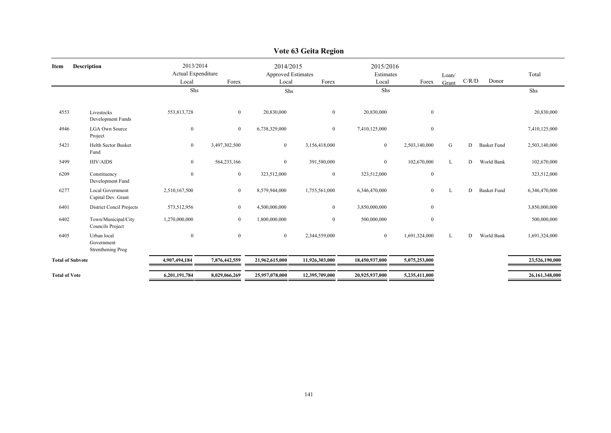|                            |                                                       |                                                   |                |                                                          | r on os Gena Ingion |                |                                 |       |       |                    |                |
|----------------------------|-------------------------------------------------------|---------------------------------------------------|----------------|----------------------------------------------------------|---------------------|----------------|---------------------------------|-------|-------|--------------------|----------------|
| <b>Description</b><br>Item |                                                       | 2013/2014<br>Actual Expenditure<br>Local<br>Forex |                | 2014/2015<br><b>Approved Estimates</b><br>Forex<br>Local |                     | Local          | 2015/2016<br>Estimates<br>Forex |       | C/R/D | Donor              | Total          |
|                            |                                                       | Shs                                               |                | Shs                                                      |                     | Shs            |                                 | Grant |       |                    | Shs            |
| 4553                       | Livestocks<br>Development Funds                       | 553,813,728                                       | $\overline{0}$ | 20,830,000                                               | $\boldsymbol{0}$    | 20,830,000     | $\bf{0}$                        |       |       |                    | 20,830,000     |
| 4946                       | <b>LGA Own Source</b><br>Project                      | $\boldsymbol{0}$                                  | $\overline{0}$ | 6,738,329,000                                            | $\overline{0}$      | 7,410,125,000  | $\mathbf{0}$                    |       |       |                    | 7,410,125,000  |
| 5421                       | <b>Helth Sector Busket</b><br>Fund                    | $\bf{0}$                                          | 3,497,302,500  | $\bf{0}$                                                 | 3,156,418,000       | $\overline{0}$ | 2,503,140,000                   | G     | D     | <b>Basket Fund</b> | 2,503,140,000  |
| 5499                       | <b>HIV/AIDS</b>                                       | $\boldsymbol{0}$                                  | 564,233,166    | $\bf{0}$                                                 | 391,580,000         | $\mathbf{0}$   | 102,670,000                     | L     | D     | World Bank         | 102,670,000    |
| 6209                       | Constituency<br>Development Fund                      | $\boldsymbol{0}$                                  | $\bf{0}$       | 323,512,000                                              | $\mathbf{0}$        | 323,512,000    | $\bf{0}$                        |       |       |                    | 323,512,000    |
| 6277                       | <b>Local Government</b><br>Capital Dev. Grant         | 2,510,167,500                                     | $\bf{0}$       | 8,579,944,000                                            | 1,755,561,000       | 6,346,470,000  | $\mathbf{0}$                    | L     | D     | <b>Basket Fund</b> | 6,346,470,000  |
| 6401                       | District Concil Projects                              | 573,512,956                                       | $\overline{0}$ | 4,500,000,000                                            | $\overline{0}$      | 3,850,000,000  | $\bf{0}$                        |       |       |                    | 3,850,000,000  |
| 6402                       | Town/Municipal/City<br>Councils Project               | 1,270,000,000                                     | $\overline{0}$ | 1,800,000,000                                            | $\overline{0}$      | 500,000,000    | $\bf{0}$                        |       |       |                    | 500,000,000    |
| 6405                       | Urban local<br>Government<br><b>Strenthening Prog</b> | $\boldsymbol{0}$                                  | $\overline{0}$ | $\overline{0}$                                           | 2,344,559,000       | $\overline{0}$ | 1,691,324,000                   | L     | D     | World Bank         | 1,691,324,000  |
| <b>Total of Subvote</b>    |                                                       | 4,907,494,184                                     | 7,876,442,559  | 21,962,615,000                                           | 11,926,303,000      | 18,450,937,000 | 5,075,253,000                   |       |       |                    | 23,526,190,000 |
| <b>Total of Vote</b>       |                                                       | 6,201,191,784                                     | 8,029,066,269  | 25,957,078,000                                           | 12,395,709,000      | 20,925,937,000 | 5,235,411,000                   |       |       |                    | 26,161,348,000 |

#### **Vote 63 Geita Region**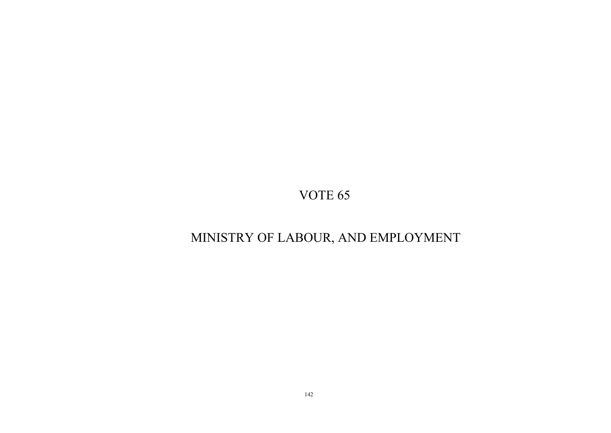# MINISTRY OF LABOUR, AND EMPLOYMENT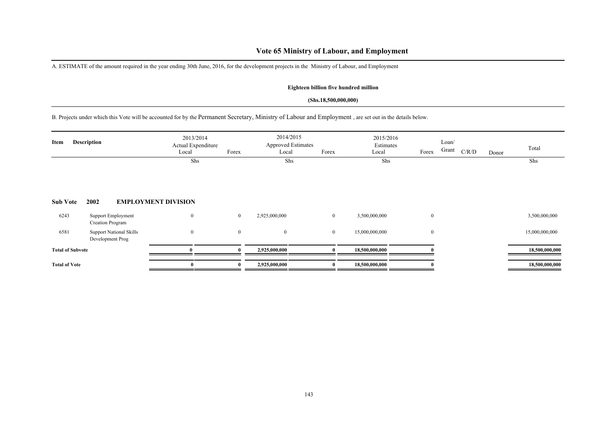### **Vote 65 Ministry of Labour, and Employment**

A. ESTIMATE of the amount required in the year ending 30th June, 2016, for the development projects in the Ministry of Labour, and Employment

### **Eighteen billion five hundred million**

#### **(Shs.18,500,000,000)**

B. Projects under which this Vote will be accounted for by the Permanent Secretary, Ministry of Labour and Employment , are set out in the details below.

| Item                    | <b>Description</b>                                 | 2013/2014<br>Actual Expenditure<br>Local | Forex        | 2014/2015<br><b>Approved Estimates</b><br>Local | Forex          | 2015/2016<br>Estimates<br>Local | Forex        | Loan/<br>Grant | C/R/D | Donor | Total          |
|-------------------------|----------------------------------------------------|------------------------------------------|--------------|-------------------------------------------------|----------------|---------------------------------|--------------|----------------|-------|-------|----------------|
|                         |                                                    | Shs                                      |              | Shs                                             |                | Shs                             |              |                |       |       | Shs            |
| <b>Sub Vote</b>         | 2002                                               | <b>EMPLOYMENT DIVISION</b>               |              |                                                 |                |                                 |              |                |       |       |                |
| 6243                    | Support Employment<br>Creation Program             | $\bf{0}$                                 | $\bf{0}$     | 2,925,000,000                                   | $\overline{0}$ | 3,500,000,000                   | $\mathbf{0}$ |                |       |       | 3,500,000,000  |
| 6581                    | <b>Support National Skills</b><br>Development Prog | $\boldsymbol{0}$                         | $\mathbf{0}$ | $\bf{0}$                                        | $\overline{0}$ | 15,000,000,000                  | $\mathbf{0}$ |                |       |       | 15,000,000,000 |
| <b>Total of Subvote</b> |                                                    |                                          | $\mathbf{v}$ | 2,925,000,000                                   |                | 18,500,000,000                  |              |                |       |       | 18,500,000,000 |
| <b>Total of Vote</b>    |                                                    | 0                                        |              | 2,925,000,000                                   |                | 18,500,000,000                  |              |                |       |       | 18,500,000,000 |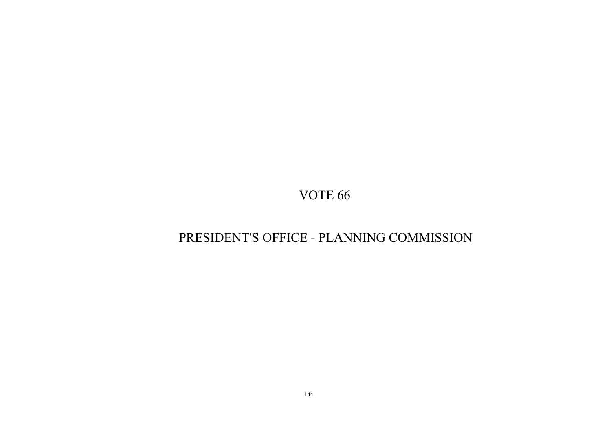# PRESIDENT'S OFFICE - PLANNING COMMISSION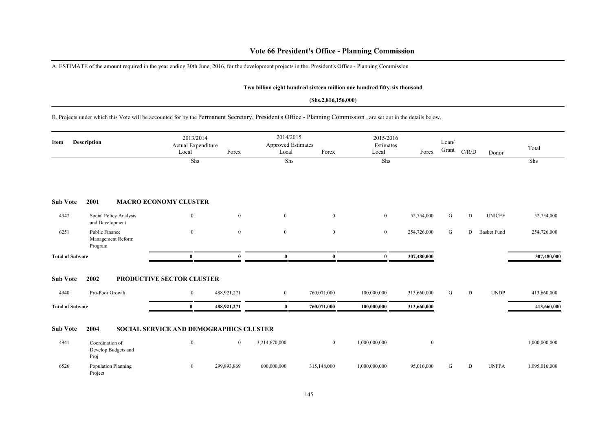## **Vote 66 President's Office - Planning Commission**

A. ESTIMATE of the amount required in the year ending 30th June, 2016, for the development projects in the President's Office - Planning Commission

#### **Two billion eight hundred sixteen million one hundred fifty-six thousand**

#### **(Shs.2,816,156,000)**

B. Projects under which this Vote will be accounted for by the Permanent Secretary, President's Office - Planning Commission , are set out in the details below.

| Item                    | <b>Description</b>                             | 2013/2014<br>Actual Expenditure<br>Local | Forex          | 2014/2015<br><b>Approved Estimates</b><br>Local | Forex        | 2015/2016<br>Estimates<br>Local | Forex        | Loan/<br>Grant | C/R/D     | Donor              | Total         |
|-------------------------|------------------------------------------------|------------------------------------------|----------------|-------------------------------------------------|--------------|---------------------------------|--------------|----------------|-----------|--------------------|---------------|
|                         |                                                | Shs                                      |                | Shs                                             |              | Shs                             |              |                |           |                    | Shs           |
| <b>Sub Vote</b>         | 2001                                           | <b>MACRO ECONOMY CLUSTER</b>             |                |                                                 |              |                                 |              |                |           |                    |               |
| 4947                    | Social Policy Analysis<br>and Development      | $\mathbf{0}$                             | $\overline{0}$ | $\mathbf{0}$                                    | $\mathbf{0}$ | $\overline{0}$                  | 52,754,000   | G              | D         | <b>UNICEF</b>      | 52,754,000    |
| 6251                    | Public Finance<br>Management Reform<br>Program | $\bf{0}$                                 | $\mathbf{0}$   | $\mathbf{0}$                                    | $\mathbf{0}$ | $\mathbf{0}$                    | 254,726,000  | G              | D         | <b>Basket Fund</b> | 254,726,000   |
| <b>Total of Subvote</b> |                                                | $\bf{0}$                                 | 0              | $\bf{0}$                                        | $\bf{0}$     | $\bf{0}$                        | 307,480,000  |                |           |                    | 307,480,000   |
| <b>Sub Vote</b>         | 2002                                           | PRODUCTIVE SECTOR CLUSTER                |                |                                                 |              |                                 |              |                |           |                    |               |
| 4940                    | Pro-Poor Growth                                | $\mathbf{0}$                             | 488,921,271    | $\overline{0}$                                  | 760,071,000  | 100,000,000                     | 313,660,000  | G              | D         | <b>UNDP</b>        | 413,660,000   |
| <b>Total of Subvote</b> |                                                | $\bf{0}$                                 | 488,921,271    | $\bf{0}$                                        | 760,071,000  | 100,000,000                     | 313,660,000  |                |           |                    | 413,660,000   |
| <b>Sub Vote</b>         | 2004                                           | SOCIAL SERVICE AND DEMOGRAPHICS CLUSTER  |                |                                                 |              |                                 |              |                |           |                    |               |
| 4941                    | Coordination of<br>Develop Budgets and<br>Proj | $\mathbf{0}$                             | $\mathbf{0}$   | 3,214,670,000                                   | $\mathbf{0}$ | 1,000,000,000                   | $\mathbf{0}$ |                |           |                    | 1,000,000,000 |
| 6526                    | Population Planning<br>Project                 | $\mathbf{0}$                             | 299,893,869    | 600,000,000                                     | 315,148,000  | 1,000,000,000                   | 95,016,000   | G              | ${\rm D}$ | <b>UNFPA</b>       | 1,095,016,000 |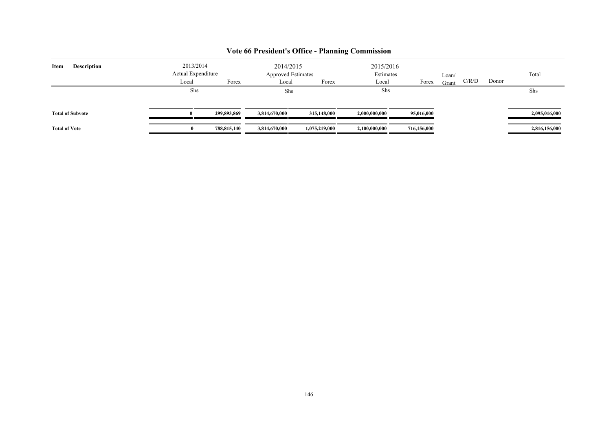| <b>Description</b><br>Item | 2013/2014<br>2015/2016<br>2014/2015<br>Actual Expenditure<br><b>Approved Estimates</b><br>Estimates<br>Loan/ |             |               |               |               |             | Total |       |       |               |
|----------------------------|--------------------------------------------------------------------------------------------------------------|-------------|---------------|---------------|---------------|-------------|-------|-------|-------|---------------|
|                            | Local                                                                                                        | Forex       | Local         | Forex         | Local         | Forex       | Grant | C/R/D | Donor |               |
|                            | Shs                                                                                                          |             | Shs           |               |               | Shs         |       |       |       | Shs           |
| <b>Total of Subvote</b>    |                                                                                                              | 299,893,869 | 3,814,670,000 | 315,148,000   | 2,000,000,000 | 95,016,000  |       |       |       | 2,095,016,000 |
| <b>Total of Vote</b>       |                                                                                                              | 788,815,140 | 3,814,670,000 | 1,075,219,000 | 2,100,000,000 | 716,156,000 |       |       |       | 2,816,156,000 |

## **Vote 66 President's Office - Planning Commission**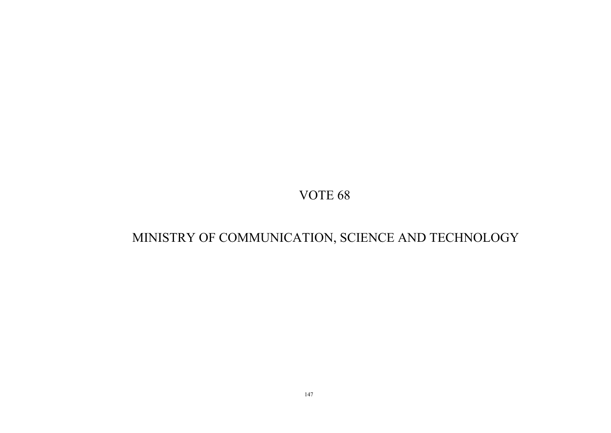# MINISTRY OF COMMUNICATION, SCIENCE AND TECHNOLOGY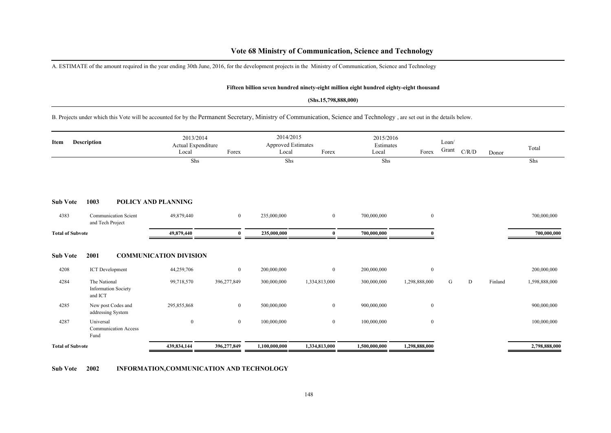## **Vote 68 Ministry of Communication, Science and Technology**

A. ESTIMATE of the amount required in the year ending 30th June, 2016, for the development projects in the Ministry of Communication, Science and Technology

#### **Fifteen billion seven hundred ninety-eight million eight hundred eighty-eight thousand**

### **(Shs.15,798,888,000)**

B. Projects under which this Vote will be accounted for by the Permanent Secretary, Ministry of Communication, Science and Technology , are set out in the details below.

| Item                    | <b>Description</b>                                    | 2013/2014<br>Actual Expenditure<br>Local | Forex          | 2014/2015<br><b>Approved Estimates</b><br>Local | Forex            | 2015/2016<br>Estimates<br>Local | Forex            | Loan/<br>Grant | C/R/D | Donor   | Total         |
|-------------------------|-------------------------------------------------------|------------------------------------------|----------------|-------------------------------------------------|------------------|---------------------------------|------------------|----------------|-------|---------|---------------|
|                         |                                                       | Shs                                      |                | Shs                                             |                  | Shs                             |                  |                |       |         | Shs           |
| <b>Sub Vote</b>         | 1003                                                  | POLICY AND PLANNING                      |                |                                                 |                  |                                 |                  |                |       |         |               |
| 4383                    | <b>Communication Scient</b><br>and Tech Project       | 49,879,440                               | $\overline{0}$ | 235,000,000                                     | $\mathbf{0}$     | 700,000,000                     | $\bf{0}$         |                |       |         | 700,000,000   |
| <b>Total of Subvote</b> |                                                       | 49,879,440                               | 0              | 235,000,000                                     | $\bf{0}$         | 700,000,000                     |                  |                |       |         | 700,000,000   |
| <b>Sub Vote</b>         | 2001                                                  | <b>COMMUNICATION DIVISION</b>            |                |                                                 |                  |                                 |                  |                |       |         |               |
| 4208                    | <b>ICT</b> Development                                | 44,259,706                               | $\overline{0}$ | 200,000,000                                     | $\mathbf{0}$     | 200,000,000                     | $\mathbf{0}$     |                |       |         | 200,000,000   |
| 4284                    | The National<br><b>Information Society</b><br>and ICT | 99,718,570                               | 396,277,849    | 300,000,000                                     | 1,334,813,000    | 300,000,000                     | 1,298,888,000    | G              | D     | Finland | 1,598,888,000 |
| 4285                    | New post Codes and<br>addressing System               | 295,855,868                              | $\overline{0}$ | 500,000,000                                     | $\boldsymbol{0}$ | 900,000,000                     | $\mathbf{0}$     |                |       |         | 900,000,000   |
| 4287                    | Universal<br><b>Communication Access</b><br>Fund      | $\boldsymbol{0}$                         | $\overline{0}$ | 100,000,000                                     | $\mathbf{0}$     | 100,000,000                     | $\boldsymbol{0}$ |                |       |         | 100,000,000   |
| <b>Total of Subvote</b> |                                                       | 439,834,144                              | 396,277,849    | 1,100,000,000                                   | 1,334,813,000    | 1,500,000,000                   | 1,298,888,000    |                |       |         | 2,798,888,000 |

**Sub Vote 2002 INFORMATION,COMMUNICATION AND TECHNOLOGY**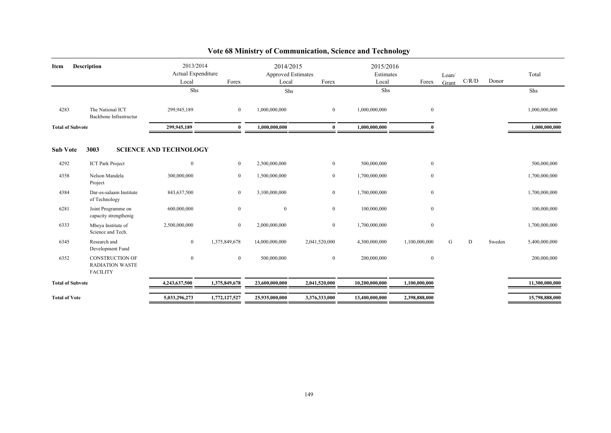| Item                    | <b>Description</b>                                                  | 2013/2014<br>Actual Expenditure |                  | 2014/2015<br><b>Approved Estimates</b> |                | 2015/2016<br>Estimates |                  | Loan/ |       |        | Total          |
|-------------------------|---------------------------------------------------------------------|---------------------------------|------------------|----------------------------------------|----------------|------------------------|------------------|-------|-------|--------|----------------|
|                         |                                                                     | Local                           | Forex            | Local                                  | Forex          | Local                  | Forex            | Grant | C/R/D | Donor  |                |
|                         |                                                                     | Shs                             |                  | Shs                                    |                | Shs                    |                  |       |       |        | Shs            |
| 4283                    | The National ICT<br>Backbone Infrastructur                          | 299,945,189                     | $\mathbf{0}$     | 1,000,000,000                          | $\overline{0}$ | 1,000,000,000          | $\mathbf{0}$     |       |       |        | 1,000,000,000  |
| <b>Total of Subvote</b> |                                                                     | 299,945,189                     | $\mathbf{0}$     | 1,000,000,000                          | 0              | 1,000,000,000          |                  |       |       |        | 1,000,000,000  |
| <b>Sub Vote</b>         | 3003                                                                | <b>SCIENCE AND TECHNOLOGY</b>   |                  |                                        |                |                        |                  |       |       |        |                |
| 4292                    | <b>ICT Park Project</b>                                             | $\mathbf{0}$                    | $\overline{0}$   | 2,500,000,000                          | $\overline{0}$ | 500,000,000            | $\mathbf{0}$     |       |       |        | 500,000,000    |
| 4358                    | Nelson Mandela<br>Project                                           | 300,000,000                     | $\mathbf{0}$     | 1,500,000,000                          | $\overline{0}$ | 1,700,000,000          | $\boldsymbol{0}$ |       |       |        | 1,700,000,000  |
| 4384                    | Dar-es-salaam Institute<br>of Technology                            | 843,637,500                     | $\mathbf{0}$     | 3,100,000,000                          | $\overline{0}$ | 1,700,000,000          | $\mathbf{0}$     |       |       |        | 1,700,000,000  |
| 6281                    | Joint Programme on<br>capacity strengthenig                         | 600,000,000                     | $\boldsymbol{0}$ | $\boldsymbol{0}$                       | $\overline{0}$ | 100,000,000            | $\mathbf{0}$     |       |       |        | 100,000,000    |
| 6333                    | Mbeya Institute of<br>Science and Tech.                             | 2,500,000,000                   | $\bf{0}$         | 2,000,000,000                          | $\overline{0}$ | 1,700,000,000          | $\mathbf{0}$     |       |       |        | 1,700,000,000  |
| 6345                    | Research and<br>Development Fund                                    | $\mathbf{0}$                    | 1,375,849,678    | 14,000,000,000                         | 2,041,520,000  | 4,300,000,000          | 1,100,000,000    | G     | D     | Sweden | 5,400,000,000  |
| 6352                    | <b>CONSTRUCTION OF</b><br><b>RADIATION WASTE</b><br><b>FACILITY</b> | $\mathbf{0}$                    | $\mathbf{0}$     | 500,000,000                            | $\overline{0}$ | 200,000,000            | $\mathbf{0}$     |       |       |        | 200,000,000    |
| <b>Total of Subvote</b> |                                                                     | 4,243,637,500                   | 1,375,849,678    | 23,600,000,000                         | 2,041,520,000  | 10,200,000,000         | 1,100,000,000    |       |       |        | 11,300,000,000 |
| <b>Total of Vote</b>    |                                                                     | 5,033,296,273                   | 1,772,127,527    | 25,935,000,000                         | 3,376,333,000  | 13,400,000,000         | 2,398,888,000    |       |       |        | 15,798,888,000 |

## **Vote 68 Ministry of Communication, Science and Technology**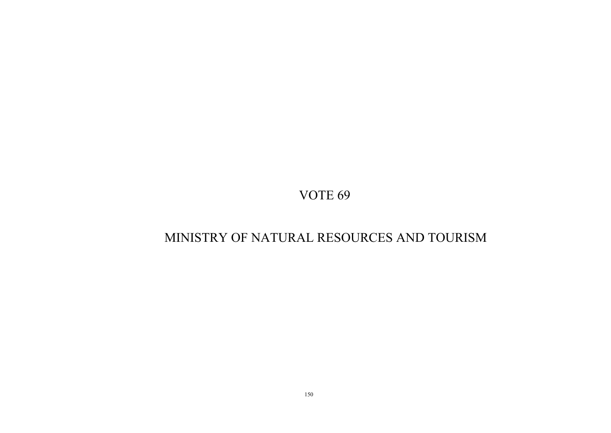# MINISTRY OF NATURAL RESOURCES AND TOURISM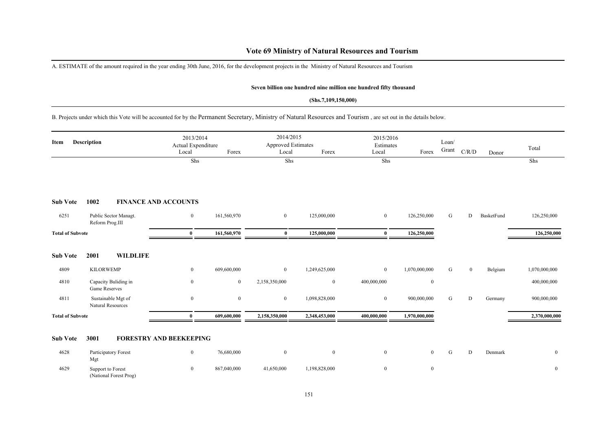## **Vote 69 Ministry of Natural Resources and Tourism**

A. ESTIMATE of the amount required in the year ending 30th June, 2016, for the development projects in the Ministry of Natural Resources and Tourism

(National Forest Prog)

#### **Seven billion one hundred nine million one hundred fifty thousand**

#### **(Shs.7,109,150,000)**

## B. Projects under which this Vote will be accounted for by the Permanent Secretary, Ministry of Natural Resources and Tourism , are set out in the details below.

| Item                    | <b>Description</b>                             | 2013/2014<br>Actual Expenditure<br>Local | Forex       | 2014/2015<br><b>Approved Estimates</b><br>Local | Forex         | 2015/2016<br>Estimates<br>Local | Forex            | Loan/<br>Grant | C/R/D        | Donor      | Total            |
|-------------------------|------------------------------------------------|------------------------------------------|-------------|-------------------------------------------------|---------------|---------------------------------|------------------|----------------|--------------|------------|------------------|
|                         |                                                | Shs                                      |             | Shs                                             |               | Shs                             |                  |                |              |            | Shs              |
| <b>Sub Vote</b>         | 1002                                           | <b>FINANCE AND ACCOUNTS</b>              |             |                                                 |               |                                 |                  |                |              |            |                  |
| 6251                    | Public Sector Managt.<br>Reform Prog.III       | $\overline{0}$                           | 161,560,970 | $\overline{0}$                                  | 125,000,000   | $\mathbf{0}$                    | 126,250,000      | G              | D            | BasketFund | 126,250,000      |
| <b>Total of Subvote</b> |                                                | $\bf{0}$                                 | 161,560,970 | $\bf{0}$                                        | 125,000,000   | $\bf{0}$                        | 126,250,000      |                |              |            | 126,250,000      |
| <b>Sub Vote</b>         | <b>WILDLIFE</b><br>2001                        |                                          |             |                                                 |               |                                 |                  |                |              |            |                  |
| 4809                    | <b>KILORWEMP</b>                               | $\mathbf{0}$                             | 609,600,000 | $\overline{0}$                                  | 1,249,625,000 | $\overline{0}$                  | 1,070,000,000    | G              | $\mathbf{0}$ | Belgium    | 1,070,000,000    |
| 4810                    | Capacity Buliding in<br>Game Reserves          | $\mathbf{0}$                             | $\bf{0}$    | 2,158,350,000                                   | $\mathbf{0}$  | 400,000,000                     | $\boldsymbol{0}$ |                |              |            | 400,000,000      |
| 4811                    | Sustainable Mgt of<br><b>Natural Resources</b> | $\mathbf{0}$                             | $\bf{0}$    | $\overline{0}$                                  | 1,098,828,000 | $\mathbf{0}$                    | 900,000,000      | G              | D            | Germany    | 900,000,000      |
| <b>Total of Subvote</b> |                                                | $\bf{0}$                                 | 609,600,000 | 2,158,350,000                                   | 2,348,453,000 | 400,000,000                     | 1,970,000,000    |                |              |            | 2,370,000,000    |
| <b>Sub Vote</b>         | 3001                                           | <b>FORESTRY AND BEEKEEPING</b>           |             |                                                 |               |                                 |                  |                |              |            |                  |
| 4628                    | Participatory Forest<br>Mgt                    | $\mathbf{0}$                             | 76,680,000  | $\boldsymbol{0}$                                | $\mathbf{0}$  | $\overline{0}$                  | $\overline{0}$   | G              | D            | Denmark    | $\bf{0}$         |
| 4629                    | Support to Forest                              | $\mathbf{0}$                             | 867,040,000 | 41,650,000                                      | 1,198,828,000 | $\bf{0}$                        | $\boldsymbol{0}$ |                |              |            | $\boldsymbol{0}$ |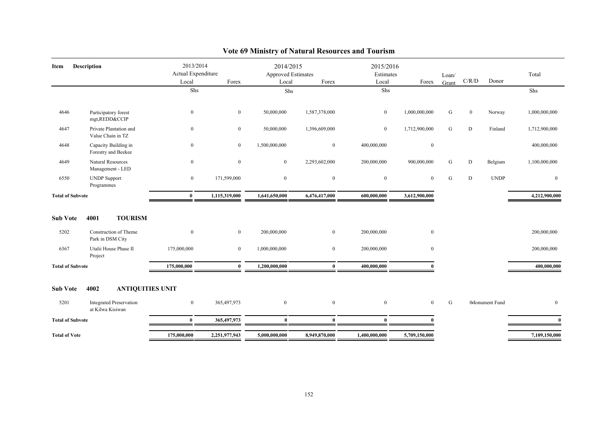| Item                    | <b>Description</b>                                 | 2013/2014<br>Actual Expenditure<br>Local<br>Shs | Forex            | 2014/2015<br><b>Approved Estimates</b><br>Local<br>Shs | Forex            | 2015/2016<br>Estimates<br>Local<br>Shs | Forex         | Loan/<br>Grant | C/R/D        | Donor           | Total<br>Shs  |
|-------------------------|----------------------------------------------------|-------------------------------------------------|------------------|--------------------------------------------------------|------------------|----------------------------------------|---------------|----------------|--------------|-----------------|---------------|
| 4646                    | Participatory forest<br>mgt, REDD&CCIP             | $\mathbf{0}$                                    | $\mathbf{0}$     | 50,000,000                                             | 1,587,378,000    | $\overline{0}$                         | 1,000,000,000 | G              | $\mathbf{0}$ | Norway          | 1,000,000,000 |
| 4647                    | Private Plantation and<br>Value Chain in TZ        | $\mathbf{0}$                                    | $\mathbf{0}$     | 50,000,000                                             | 1,396,609,000    | $\overline{0}$                         | 1,712,900,000 | ${\bf G}$      | D            | Finland         | 1,712,900,000 |
| 4648                    | Capacity Building in<br>Forestry and Beekee        | $\mathbf{0}$                                    | $\overline{0}$   | 1,500,000,000                                          | $\bf{0}$         | 400,000,000                            | $\mathbf{0}$  |                |              |                 | 400,000,000   |
| 4649                    | Natural Resources<br>Management - LED              | $\theta$                                        | $\boldsymbol{0}$ | $\bf{0}$                                               | 2,293,602,000    | 200,000,000                            | 900,000,000   | G              | D            | Belgium         | 1,100,000,000 |
| 6550                    | <b>UNDP</b> Support<br>Programmes                  | $\mathbf{0}$                                    | 171,599,000      | $\mathbf{0}$                                           | $\boldsymbol{0}$ | $\mathbf{0}$                           | $\mathbf{0}$  | G              | D            | <b>UNDP</b>     | $\bf{0}$      |
| <b>Total of Subvote</b> |                                                    | $\mathbf{0}$                                    | 1,115,319,000    | 1,641,650,000                                          | 6,476,417,000    | 600,000,000                            | 3,612,900,000 |                |              |                 | 4,212,900,000 |
| <b>Sub Vote</b>         | 4001<br><b>TOURISM</b>                             |                                                 |                  |                                                        |                  |                                        |               |                |              |                 |               |
| 5202                    | Construction of Theme<br>Park in DSM City          | $\mathbf{0}$                                    | $\bf{0}$         | 200,000,000                                            | $\mathbf{0}$     | 200,000,000                            | $\mathbf{0}$  |                |              |                 | 200,000,000   |
| 6367                    | Utalii House Phase II<br>Project                   | 175,000,000                                     | $\mathbf{0}$     | 1,000,000,000                                          | $\mathbf{0}$     | 200,000,000                            | $\mathbf{0}$  |                |              |                 | 200,000,000   |
| <b>Total of Subvote</b> |                                                    | 175,000,000                                     | $\mathbf{0}$     | 1,200,000,000                                          | $\mathbf{0}$     | 400,000,000                            |               |                |              |                 | 400,000,000   |
| <b>Sub Vote</b>         | 4002<br><b>ANTIQUITIES UNIT</b>                    |                                                 |                  |                                                        |                  |                                        |               |                |              |                 |               |
| 5201                    | <b>Integrated Preservation</b><br>at Kilwa Kisiwan | $\mathbf{0}$                                    | 365,497,973      | $\mathbf{0}$                                           | $\overline{0}$   | $\overline{0}$                         | $\theta$      | ${\bf G}$      |              | 0 Monument Fund | $\mathbf{0}$  |
| <b>Total of Subvote</b> |                                                    | $\mathbf{0}$                                    | 365,497,973      | $\bf{0}$                                               | $\mathbf{0}$     | $\mathbf{0}$                           |               |                |              |                 | $\theta$      |
| <b>Total of Vote</b>    |                                                    | 175,000,000                                     | 2,251,977,943    | 5,000,000,000                                          | 8,949,870,000    | 1,400,000,000                          | 5,709,150,000 |                |              |                 | 7,109,150,000 |

## **Vote 69 Ministry of Natural Resources and Tourism**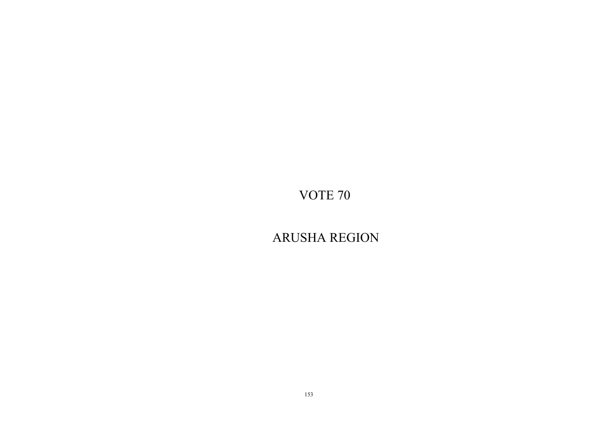ARUSHA REGION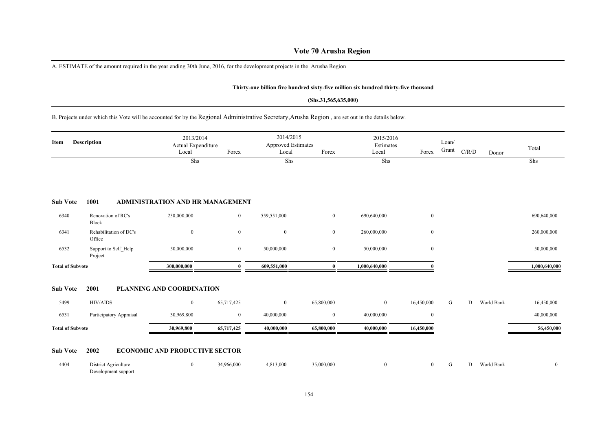## **Vote 70 Arusha Region**

A. ESTIMATE of the amount required in the year ending 30th June, 2016, for the development projects in the Arusha Region

## **Thirty-one billion five hundred sixty-five million six hundred thirty-five thousand**

#### **(Shs.31,565,635,000)**

B. Projects under which this Vote will be accounted for by the Regional Administrative Secretary,Arusha Region , are set out in the details below.

| Item                    | <b>Description</b>                          | 2013/2014<br>Actual Expenditure<br>Local | Forex            | 2014/2015<br><b>Approved Estimates</b><br>Local | Forex            | 2015/2016<br>Estimates<br>Local | Forex          | Loan/<br>Grant | C/R/D | Donor      | Total          |
|-------------------------|---------------------------------------------|------------------------------------------|------------------|-------------------------------------------------|------------------|---------------------------------|----------------|----------------|-------|------------|----------------|
|                         |                                             | Shs                                      |                  | Shs                                             |                  | Shs                             |                |                |       |            | Shs            |
| <b>Sub Vote</b>         | 1001                                        | <b>ADMINISTRATION AND HR MANAGEMENT</b>  |                  |                                                 |                  |                                 |                |                |       |            |                |
| 6340                    | Renovation of RC's<br>Block                 | 250,000,000                              | $\overline{0}$   | 559,551,000                                     | $\boldsymbol{0}$ | 690,640,000                     | $\bf{0}$       |                |       |            | 690,640,000    |
| 6341                    | Rehabilitation of DC's<br>Office            | $\mathbf{0}$                             | $\mathbf{0}$     | $\mathbf{0}$                                    | $\bf{0}$         | 260,000,000                     | $\mathbf{0}$   |                |       |            | 260,000,000    |
| 6532                    | Support to Self Help<br>Project             | 50,000,000                               | $\mathbf{0}$     | 50,000,000                                      | $\boldsymbol{0}$ | 50,000,000                      | $\mathbf{0}$   |                |       |            | 50,000,000     |
| <b>Total of Subvote</b> |                                             | 300,000,000                              | $\mathbf{u}$     | 609,551,000                                     | $\mathbf{0}$     | 1,000,640,000                   |                |                |       |            | 1,000,640,000  |
| <b>Sub Vote</b>         | 2001                                        | PLANNING AND COORDINATION                |                  |                                                 |                  |                                 |                |                |       |            |                |
| 5499                    | <b>HIV/AIDS</b>                             | $\boldsymbol{0}$                         | 65,717,425       | $\overline{0}$                                  | 65,800,000       | $\overline{0}$                  | 16,450,000     | G              | D     | World Bank | 16,450,000     |
| 6531                    | Participatory Appraisal                     | 30,969,800                               | $\boldsymbol{0}$ | 40,000,000                                      | $\boldsymbol{0}$ | 40,000,000                      | $\bf{0}$       |                |       |            | 40,000,000     |
| <b>Total of Subvote</b> |                                             | 30,969,800                               | 65,717,425       | 40,000,000                                      | 65,800,000       | 40,000,000                      | 16,450,000     |                |       |            | 56,450,000     |
| <b>Sub Vote</b>         | 2002                                        | <b>ECONOMIC AND PRODUCTIVE SECTOR</b>    |                  |                                                 |                  |                                 |                |                |       |            |                |
| 4404                    | District Agriculture<br>Development support | $\bf{0}$                                 | 34,966,000       | 4,813,000                                       | 35,000,000       | $\mathbf{0}$                    | $\overline{0}$ | G              | D     | World Bank | $\overline{0}$ |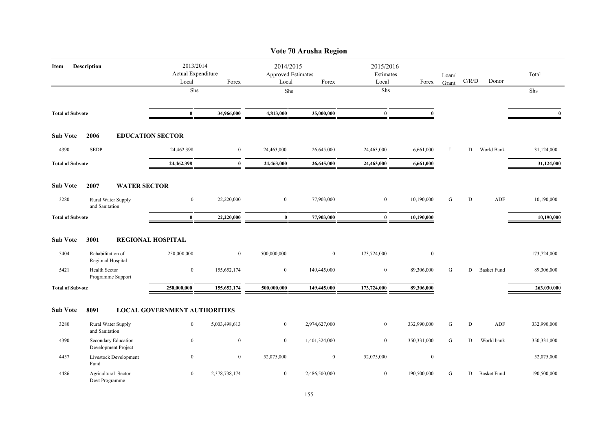|                         |                                            |                                          |                  |                                                 | Vote 70 Arusha Region |                                 |                  |                |       |                    |              |
|-------------------------|--------------------------------------------|------------------------------------------|------------------|-------------------------------------------------|-----------------------|---------------------------------|------------------|----------------|-------|--------------------|--------------|
| Item                    | Description                                | 2013/2014<br>Actual Expenditure<br>Local | Forex            | 2014/2015<br><b>Approved Estimates</b><br>Local | Forex                 | 2015/2016<br>Estimates<br>Local | Forex            | Loan/<br>Grant | C/R/D | Donor              | Total        |
|                         |                                            | Shs                                      |                  | Shs                                             |                       | Shs                             |                  |                |       |                    | Shs          |
| <b>Total of Subvote</b> |                                            | $\bf{0}$                                 | 34,966,000       | 4,813,000                                       | 35,000,000            | $\bf{0}$                        | $\mathbf{0}$     |                |       |                    | $\mathbf{0}$ |
| <b>Sub Vote</b>         | 2006                                       | <b>EDUCATION SECTOR</b>                  |                  |                                                 |                       |                                 |                  |                |       |                    |              |
| 4390                    | <b>SEDP</b>                                | 24,462,398                               | $\boldsymbol{0}$ | 24,463,000                                      | 26,645,000            | 24,463,000                      | 6,661,000        | L              | D     | World Bank         | 31,124,000   |
| <b>Total of Subvote</b> |                                            | 24,462,398                               | $\bf{0}$         | 24,463,000                                      | 26,645,000            | 24,463,000                      | 6,661,000        |                |       |                    | 31,124,000   |
| <b>Sub Vote</b>         | 2007<br><b>WATER SECTOR</b>                |                                          |                  |                                                 |                       |                                 |                  |                |       |                    |              |
| 3280                    | Rural Water Supply<br>and Sanitation       | $\bf{0}$                                 | 22,220,000       | $\bf{0}$                                        | 77,903,000            | $\bf{0}$                        | 10,190,000       | G              | D     | ADF                | 10,190,000   |
| <b>Total of Subvote</b> |                                            | $\bf{0}$                                 | 22,220,000       | $\bf{0}$                                        | 77,903,000            | $\bf{0}$                        | 10,190,000       |                |       |                    | 10,190,000   |
| <b>Sub Vote</b>         | 3001                                       | <b>REGIONAL HOSPITAL</b>                 |                  |                                                 |                       |                                 |                  |                |       |                    |              |
| 5404                    | Rehabilitation of<br>Regional Hospital     | 250,000,000                              | $\boldsymbol{0}$ | 500,000,000                                     | $\boldsymbol{0}$      | 173,724,000                     | $\boldsymbol{0}$ |                |       |                    | 173,724,000  |
| 5421                    | Health Sector<br>Programme Support         | $\boldsymbol{0}$                         | 155,652,174      | $\bf{0}$                                        | 149,445,000           | $\boldsymbol{0}$                | 89,306,000       | G              | D     | <b>Basket Fund</b> | 89,306,000   |
| <b>Total of Subvote</b> |                                            | 250,000,000                              | 155,652,174      | 500,000,000                                     | 149,445,000           | 173,724,000                     | 89,306,000       |                |       |                    | 263,030,000  |
| <b>Sub Vote</b>         | 8091                                       | <b>LOCAL GOVERNMENT AUTHORITIES</b>      |                  |                                                 |                       |                                 |                  |                |       |                    |              |
| 3280                    | Rural Water Supply<br>and Sanitation       | $\mathbf{0}$                             | 5,003,498,613    | $\overline{0}$                                  | 2,974,627,000         | $\mathbf{0}$                    | 332,990,000      | G              | D     | ADF                | 332,990,000  |
| 4390                    | Secondary Education<br>Development Project | $\boldsymbol{0}$                         | $\bf{0}$         | $\bf{0}$                                        | 1,401,324,000         | $\bf{0}$                        | 350,331,000      | G              | D     | World bank         | 350,331,000  |
| 4457                    | Livestock Development<br>Fund              | $\boldsymbol{0}$                         | $\boldsymbol{0}$ | 52,075,000                                      | $\boldsymbol{0}$      | 52,075,000                      | $\boldsymbol{0}$ |                |       |                    | 52,075,000   |
| 4486                    | Agricultural Sector<br>Devt Programme      | $\overline{0}$                           | 2,378,738,174    | $\overline{0}$                                  | 2,486,500,000         | $\bf{0}$                        | 190,500,000      | G              | D     | <b>Basket Fund</b> | 190,500,000  |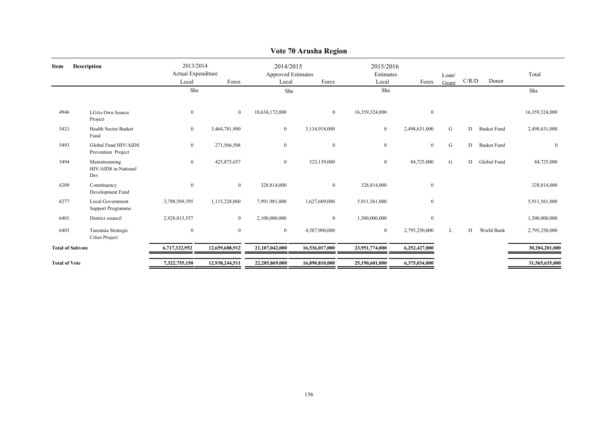|                                              | Local                                                                 | Forex          | Local                           | Forex          | Local                                         | Forex         | Loan/<br>Grant         |    | Donor              | Total          |
|----------------------------------------------|-----------------------------------------------------------------------|----------------|---------------------------------|----------------|-----------------------------------------------|---------------|------------------------|----|--------------------|----------------|
|                                              | <b>Shs</b>                                                            |                |                                 |                | Shs                                           |               |                        |    |                    | Shs            |
| <b>LGAs Own Source</b><br>Project            | $\mathbf{0}$                                                          | $\overline{0}$ | 10,634,172,000                  | $\overline{0}$ | 16,359,324,000                                | $\mathbf{0}$  |                        |    |                    | 16,359,324,000 |
| Health Sector Basket<br>Fund                 | $\bf{0}$                                                              | 3,464,781,900  | $\mathbf{0}$                    | 3,134,918,000  | $\overline{0}$                                | 2,498,631,000 | G                      | D  | <b>Basket Fund</b> | 2,498,631,000  |
| Global Fund HIV/AIDS<br>Prevention Project   | $\boldsymbol{0}$                                                      | 271,566,508    | $\boldsymbol{0}$                | $\overline{0}$ | $\overline{0}$                                | $\mathbf{0}$  | G                      | D. | <b>Basket Fund</b> | $\mathbf{0}$   |
| Mainstreaming<br>HIV/AIDS in National<br>Dev | $\boldsymbol{0}$                                                      | 425,875,657    | $\overline{0}$                  | 323,139,000    | $\bf{0}$                                      | 84,725,000    | G                      | D  | Global Fund        | 84,725,000     |
| Constituency<br>Development Fund             | $\bf{0}$                                                              | $\overline{0}$ | 328,814,000                     | $\overline{0}$ | 328,814,000                                   | $\mathbf{0}$  |                        |    |                    | 328,814,000    |
| <b>Local Government</b><br>Support Programme | 3,788,509,395                                                         | 1,115,228,060  | 7,991,981,000                   | 1,627,609,000  | 5,911,561,000                                 | $\mathbf{0}$  |                        |    |                    | 5,911,561,000  |
| District council                             | 2,928,813,557                                                         | $\overline{0}$ | 2,100,000,000                   | $\overline{0}$ | 1,300,000,000                                 | $\mathbf{0}$  |                        |    |                    | 1,300,000,000  |
| Tanzania Strategic<br><b>Cities Project</b>  | $\boldsymbol{0}$                                                      | $\overline{0}$ | $\bf{0}$                        | 4,587,900,000  | $\overline{0}$                                | 2,795,250,000 | L                      | D  | World Bank         | 2,795,250,000  |
|                                              | 6,717,322,952                                                         | 12,659,688,912 | 21,107,042,000                  | 16,536,017,000 | 23,951,774,000                                | 6,252,427,000 |                        |    |                    | 30,204,201,000 |
|                                              | 7,322,755,150                                                         | 12,938,244,511 | 22,285,869,000                  | 16,890,810,000 | 25,190,601,000                                | 6,375,034,000 |                        |    |                    | 31,565,635,000 |
|                                              | <b>Description</b><br><b>Total of Subvote</b><br><b>Total of Vote</b> |                | 2013/2014<br>Actual Expenditure |                | 2014/2015<br><b>Approved Estimates</b><br>Shs |               | 2015/2016<br>Estimates |    |                    | C/R/D          |

## **Vote 70 Arusha Region**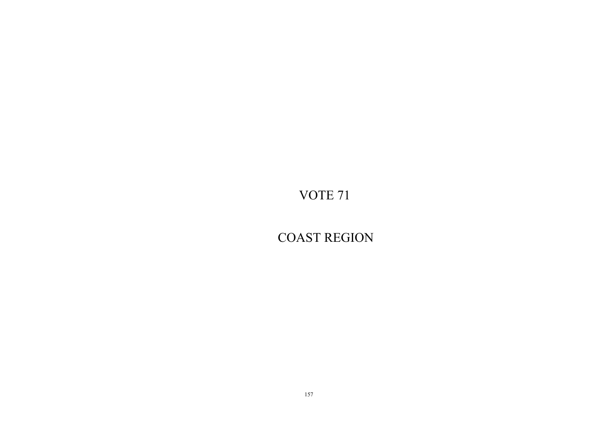COAST REGION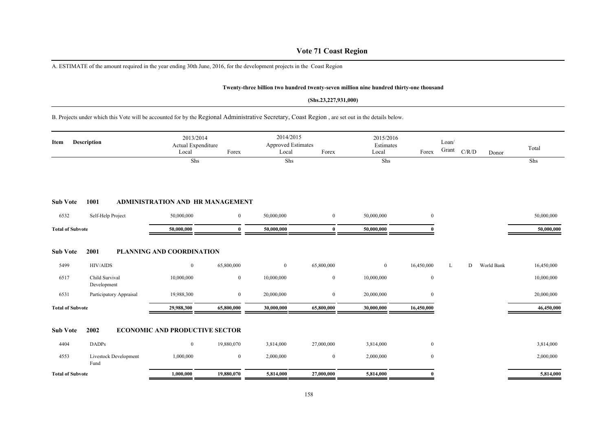## **Vote 71 Coast Region**

A. ESTIMATE of the amount required in the year ending 30th June, 2016, for the development projects in the Coast Region

#### **Twenty-three billion two hundred twenty-seven million nine hundred thirty-one thousand**

#### **(Shs.23,227,931,000)**

B. Projects under which this Vote will be accounted for by the Regional Administrative Secretary, Coast Region , are set out in the details below.

| Item                    | <b>Description</b>            | 2013/2014<br>Actual Expenditure<br>Local | Forex          | 2014/2015<br>Approved Estimates<br>Local | Forex          | 2015/2016<br>Estimates<br>Local | Forex            | Loan/<br>Grant | C/R/D | Donor      | Total      |
|-------------------------|-------------------------------|------------------------------------------|----------------|------------------------------------------|----------------|---------------------------------|------------------|----------------|-------|------------|------------|
|                         |                               | Shs                                      |                | Shs                                      |                | Shs                             |                  |                |       |            | Shs        |
| <b>Sub Vote</b>         | 1001                          | <b>ADMINISTRATION AND HR MANAGEMENT</b>  |                |                                          |                |                                 |                  |                |       |            |            |
| 6532                    | Self-Help Project             | 50,000,000                               | $\mathbf{0}$   | 50,000,000                               | $\mathbf{0}$   | 50,000,000                      | $\overline{0}$   |                |       |            | 50,000,000 |
| <b>Total of Subvote</b> |                               | 50,000,000                               | $\mathbf{0}$   | 50,000,000                               | $\mathbf{0}$   | 50,000,000                      |                  |                |       |            | 50,000,000 |
| <b>Sub Vote</b>         | 2001                          | PLANNING AND COORDINATION                |                |                                          |                |                                 |                  |                |       |            |            |
| 5499                    | <b>HIV/AIDS</b>               | $\bf{0}$                                 | 65,800,000     | $\mathbf{0}$                             | 65,800,000     | $\overline{0}$                  | 16,450,000       | L              | D     | World Bank | 16,450,000 |
| 6517                    | Child Survival<br>Development | 10,000,000                               | $\overline{0}$ | 10,000,000                               | $\mathbf{0}$   | 10,000,000                      | $\boldsymbol{0}$ |                |       |            | 10,000,000 |
| 6531                    | Participatory Appraisal       | 19,988,300                               | $\overline{0}$ | 20,000,000                               | $\overline{0}$ | 20,000,000                      | $\overline{0}$   |                |       |            | 20,000,000 |
| <b>Total of Subvote</b> |                               | 29,988,300                               | 65,800,000     | 30,000,000                               | 65,800,000     | 30,000,000                      | 16,450,000       |                |       |            | 46,450,000 |
| <b>Sub Vote</b>         | 2002                          | <b>ECONOMIC AND PRODUCTIVE SECTOR</b>    |                |                                          |                |                                 |                  |                |       |            |            |
| 4404                    | <b>DADPs</b>                  | $\bf{0}$                                 | 19,880,070     | 3,814,000                                | 27,000,000     | 3,814,000                       | $\overline{0}$   |                |       |            | 3,814,000  |
| 4553                    | Livestock Development<br>Fund | 1,000,000                                | $\mathbf{0}$   | 2,000,000                                | $\bf{0}$       | 2,000,000                       | $\overline{0}$   |                |       |            | 2,000,000  |
| <b>Total of Subvote</b> |                               | 1,000,000                                | 19,880,070     | 5,814,000                                | 27,000,000     | 5,814,000                       |                  |                |       |            | 5,814,000  |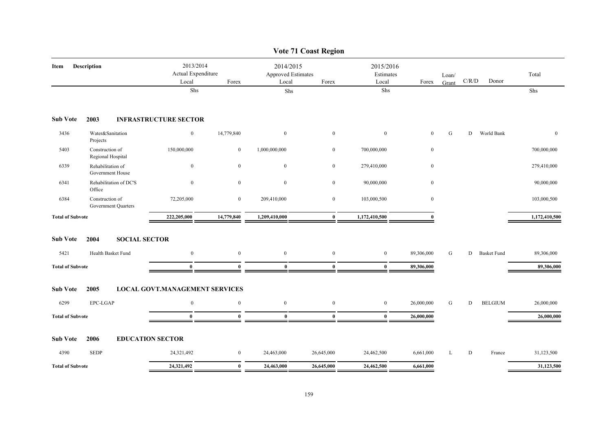|                         |                                        |                                          |                  |                                                 | <b>Vote 71 Coast Region</b> |                                 |                  |                |                                        |                    |               |
|-------------------------|----------------------------------------|------------------------------------------|------------------|-------------------------------------------------|-----------------------------|---------------------------------|------------------|----------------|----------------------------------------|--------------------|---------------|
| Item                    | Description                            | 2013/2014<br>Actual Expenditure<br>Local | Forex            | 2014/2015<br><b>Approved Estimates</b><br>Local | Forex                       | 2015/2016<br>Estimates<br>Local | Forex            | Loan/<br>Grant | $\mathbf{C} / \mathbf{R} / \mathbf{D}$ | Donor              | Total         |
|                         |                                        | Shs                                      |                  | Shs                                             |                             | Shs                             |                  |                |                                        |                    | Shs           |
| <b>Sub Vote</b>         | 2003                                   | <b>INFRASTRUCTURE SECTOR</b>             |                  |                                                 |                             |                                 |                  |                |                                        |                    |               |
| 3436                    | Water&Sanitation<br>Projects           | $\bf{0}$                                 | 14,779,840       | $\bf{0}$                                        | $\mathbf{0}$                | $\mathbf{0}$                    | $\mathbf{0}$     | ${\bf G}$      | D                                      | World Bank         | $\mathbf{0}$  |
| 5403                    | Construction of<br>Regional Hospital   | 150,000,000                              | $\bf{0}$         | 1,000,000,000                                   | $\mathbf{0}$                | 700,000,000                     | $\bf{0}$         |                |                                        |                    | 700,000,000   |
| 6339                    | Rehabilitation of<br>Government House  | $\mathbf{0}$                             | $\mathbf{0}$     | $\mathbf{0}$                                    | $\mathbf{0}$                | 279,410,000                     | $\boldsymbol{0}$ |                |                                        |                    | 279,410,000   |
| 6341                    | Rehabilitation of DC'S<br>Office       | $\boldsymbol{0}$                         | $\boldsymbol{0}$ | $\mathbf{0}$                                    | $\mathbf{0}$                | 90,000,000                      | $\bf{0}$         |                |                                        |                    | 90,000,000    |
| 6384                    | Construction of<br>Government Quarters | 72,205,000                               | $\boldsymbol{0}$ | 209,410,000                                     | $\boldsymbol{0}$            | 103,000,500                     | $\boldsymbol{0}$ |                |                                        |                    | 103,000,500   |
| <b>Total of Subvote</b> |                                        | 222,205,000                              | 14,779,840       | 1,209,410,000                                   | $\mathbf{0}$                | 1,172,410,500                   | $\mathbf{0}$     |                |                                        |                    | 1,172,410,500 |
| <b>Sub Vote</b>         | <b>SOCIAL SECTOR</b><br>2004           |                                          |                  |                                                 |                             |                                 |                  |                |                                        |                    |               |
| 5421                    | Health Basket Fund                     | $\bf{0}$                                 | $\boldsymbol{0}$ | $\bf{0}$                                        | $\mathbf{0}$                | $\bf{0}$                        | 89,306,000       | G              | D                                      | <b>Basket Fund</b> | 89,306,000    |
| <b>Total of Subvote</b> |                                        | $\mathbf{0}$                             | $\mathbf{0}$     | $\mathbf{0}$                                    | $\mathbf{0}$                | $\bf{0}$                        | 89,306,000       |                |                                        |                    | 89,306,000    |
| <b>Sub Vote</b>         | 2005                                   | <b>LOCAL GOVT.MANAGEMENT SERVICES</b>    |                  |                                                 |                             |                                 |                  |                |                                        |                    |               |
| 6299                    | EPC-LGAP                               | $\overline{0}$                           | $\boldsymbol{0}$ | $\bf{0}$                                        | $\bf{0}$                    | $\mathbf{0}$                    | 26,000,000       | G              | D                                      | <b>BELGIUM</b>     | 26,000,000    |
| <b>Total of Subvote</b> |                                        | $\bf{0}$                                 | $\bf{0}$         | $\bf{0}$                                        | $\bf{0}$                    | $\bf{0}$                        | 26,000,000       |                |                                        |                    | 26,000,000    |
| <b>Sub Vote</b>         | 2006                                   | <b>EDUCATION SECTOR</b>                  |                  |                                                 |                             |                                 |                  |                |                                        |                    |               |
| 4390                    | <b>SEDP</b>                            | 24,321,492                               | $\bf{0}$         | 24,463,000                                      | 26,645,000                  | 24,462,500                      | 6,661,000        | L              | D                                      | France             | 31,123,500    |
| <b>Total of Subvote</b> |                                        | 24,321,492                               | $\bf{0}$         | 24,463,000                                      | 26,645,000                  | 24,462,500                      | 6,661,000        |                |                                        |                    | 31,123,500    |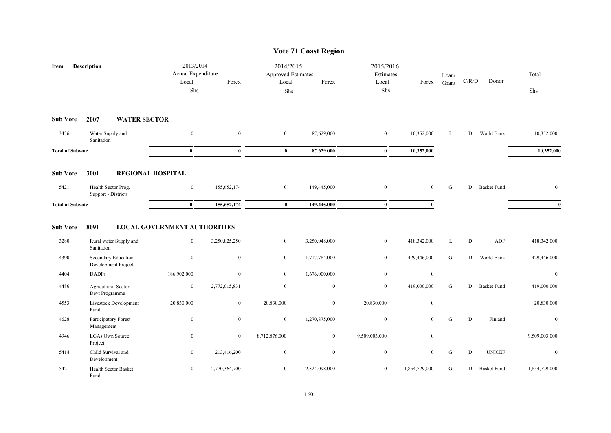|                         |                                              |                                                       |                |                                                 | <b>Vote 71 Coast Region</b> |                                 |                  |                |                                        |                    |               |
|-------------------------|----------------------------------------------|-------------------------------------------------------|----------------|-------------------------------------------------|-----------------------------|---------------------------------|------------------|----------------|----------------------------------------|--------------------|---------------|
| Item                    | <b>Description</b>                           | 2013/2014<br>Actual Expenditure<br>Local              | Forex          | 2014/2015<br><b>Approved Estimates</b><br>Local | Forex                       | 2015/2016<br>Estimates<br>Local | Forex            | Loan/<br>Grant | $\mathbf{C} / \mathbf{R} / \mathbf{D}$ | Donor              | Total         |
|                         |                                              | Shs                                                   |                | ${\rm Shs}$                                     |                             | Shs                             |                  |                |                                        |                    | Shs           |
| <b>Sub Vote</b>         | <b>WATER SECTOR</b><br>2007                  |                                                       |                |                                                 |                             |                                 |                  |                |                                        |                    |               |
| 3436                    | Water Supply and<br>Sanitation               | $\boldsymbol{0}$                                      | $\mathbf{0}$   | $\boldsymbol{0}$                                | 87,629,000                  | $\boldsymbol{0}$                | 10,352,000       | L              | D                                      | World Bank         | 10,352,000    |
| <b>Total of Subvote</b> |                                              | $\mathbf{0}$                                          | $\mathbf{0}$   | $\bf{0}$                                        | 87,629,000                  | $\mathbf{0}$                    | 10,352,000       |                |                                        |                    | 10,352,000    |
| <b>Sub Vote</b>         | 3001<br><b>REGIONAL HOSPITAL</b>             |                                                       |                |                                                 |                             |                                 |                  |                |                                        |                    |               |
| 5421                    | Health Sector Prog.<br>Support - Districts   | $\mathbf{0}$                                          | 155,652,174    | $\bf{0}$                                        | 149,445,000                 | $\boldsymbol{0}$                | $\mathbf{0}$     | ${\bf G}$      | D                                      | <b>Basket Fund</b> | $\mathbf{0}$  |
|                         | <b>Total of Subvote</b>                      |                                                       | 155,652,174    | $\bf{0}$                                        | 149,445,000                 | $\bf{0}$                        | $\mathbf{0}$     |                |                                        |                    | $\mathbf{0}$  |
| <b>Sub Vote</b><br>3280 | 8091<br>Rural water Supply and<br>Sanitation | <b>LOCAL GOVERNMENT AUTHORITIES</b><br>$\overline{0}$ | 3,250,825,250  | $\overline{0}$                                  | 3,250,048,000               | $\mathbf{0}$                    | 418,342,000      | L              | D                                      | <b>ADF</b>         | 418,342,000   |
| 4390                    | Secondary Education<br>Development Project   | $\mathbf{0}$                                          | $\mathbf{0}$   | $\overline{0}$                                  | 1,717,784,000               | $\overline{0}$                  | 429,446,000      | G              | D                                      | World Bank         | 429,446,000   |
| 4404                    | <b>DADPs</b>                                 | 186,902,000                                           | $\mathbf{0}$   | $\overline{0}$                                  | 1,676,000,000               | $\overline{0}$                  | $\mathbf{0}$     |                |                                        |                    | $\mathbf{0}$  |
| 4486                    | Agricultural Sector<br>Devt Programme        | $\mathbf{0}$                                          | 2,772,015,831  | $\overline{0}$                                  | $\mathbf{0}$                | $\mathbf{0}$                    | 419,000,000      | G              | D                                      | <b>Basket Fund</b> | 419,000,000   |
| 4553                    | Livestock Development<br>Fund                | 20,830,000                                            | $\overline{0}$ | 20,830,000                                      | $\overline{0}$              | 20,830,000                      | $\mathbf{0}$     |                |                                        |                    | 20,830,000    |
| 4628                    | Participatory Forest<br>Management           | $\overline{0}$                                        | $\overline{0}$ | $\overline{0}$                                  | 1,270,875,000               | $\boldsymbol{0}$                | $\mathbf{0}$     | G              | D                                      | Finland            | $\mathbf{0}$  |
| 4946                    | <b>LGAs Own Source</b><br>Project            | $\bf{0}$                                              | $\mathbf{0}$   | 8,712,876,000                                   | $\overline{0}$              | 9,509,003,000                   | $\boldsymbol{0}$ |                |                                        |                    | 9,509,003,000 |
| 5414                    | Child Survival and<br>Development            | $\overline{0}$                                        | 213,416,200    | $\overline{0}$                                  | $\mathbf{0}$                | $\boldsymbol{0}$                | $\mathbf{0}$     | G              | D                                      | <b>UNICEF</b>      | $\mathbf{0}$  |
| 5421                    | Health Sector Basket<br>Fund                 | $\overline{0}$                                        | 2,770,364,700  | $\overline{0}$                                  | 2,324,098,000               | $\boldsymbol{0}$                | 1,854,729,000    | G              | D                                      | <b>Basket Fund</b> | 1,854,729,000 |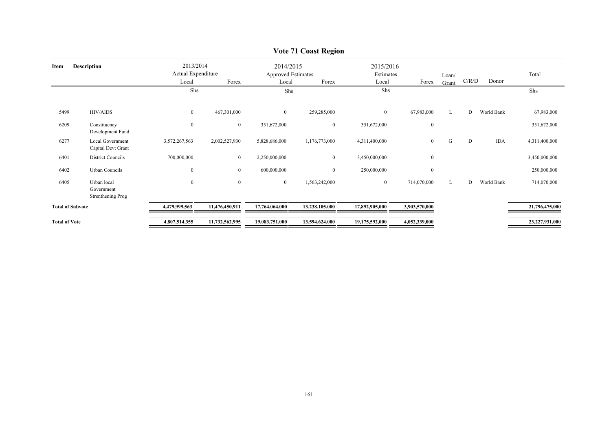| Item                    | <b>Description</b>                             | Local            | 2013/2014<br>2014/2015<br>Actual Expenditure<br><b>Approved Estimates</b><br>Forex<br>Forex<br>Local |                | 2015/2016<br>Estimates<br>Local | Forex          | Loan/<br>Grant   | C/R/D | Donor | Total      |                |
|-------------------------|------------------------------------------------|------------------|------------------------------------------------------------------------------------------------------|----------------|---------------------------------|----------------|------------------|-------|-------|------------|----------------|
|                         |                                                | Shs              |                                                                                                      | Shs            |                                 | Shs            |                  |       |       |            | Shs            |
| 5499                    | HIV/AIDS                                       | $\overline{0}$   | 467,301,000                                                                                          | $\overline{0}$ | 259,285,000                     | $\overline{0}$ | 67,983,000       | L     | D     | World Bank | 67,983,000     |
| 6209                    | Constituency<br>Development Fund               | $\boldsymbol{0}$ | $\mathbf{0}$                                                                                         | 351,672,000    | $\overline{0}$                  | 351,672,000    | $\boldsymbol{0}$ |       |       |            | 351,672,000    |
| 6277                    | <b>Local Government</b><br>Capital Devt Grant  | 3,572,267,563    | 2,002,527,930                                                                                        | 5,828,686,000  | 1,176,773,000                   | 4,311,400,000  | $\overline{0}$   | G     | D     | <b>IDA</b> | 4,311,400,000  |
| 6401                    | District Councils                              | 700,000,000      | $\bf{0}$                                                                                             | 2,250,000,000  | $\overline{0}$                  | 3,450,000,000  | $\boldsymbol{0}$ |       |       |            | 3,450,000,000  |
| 6402                    | Urban Councils                                 | $\boldsymbol{0}$ | $\bf{0}$                                                                                             | 600,000,000    | $\overline{0}$                  | 250,000,000    | $\mathbf{0}$     |       |       |            | 250,000,000    |
| 6405                    | Urban local<br>Government<br>Strenthening Prog | $\boldsymbol{0}$ | $\mathbf{0}$                                                                                         | $\mathbf{0}$   | 1,563,242,000                   | $\mathbf{0}$   | 714,070,000      | L     | D     | World Bank | 714,070,000    |
| <b>Total of Subvote</b> |                                                | 4,479,999,563    | 11,476,450,911                                                                                       | 17,764,064,000 | 13,238,105,000                  | 17,892,905,000 | 3,903,570,000    |       |       |            | 21,796,475,000 |
| <b>Total of Vote</b>    |                                                | 4,807,514,355    | 11,732,562,995                                                                                       | 19,083,751,000 | 13,594,624,000                  | 19,175,592,000 | 4,052,339,000    |       |       |            | 23,227,931,000 |

## **Vote 71 Coast Region**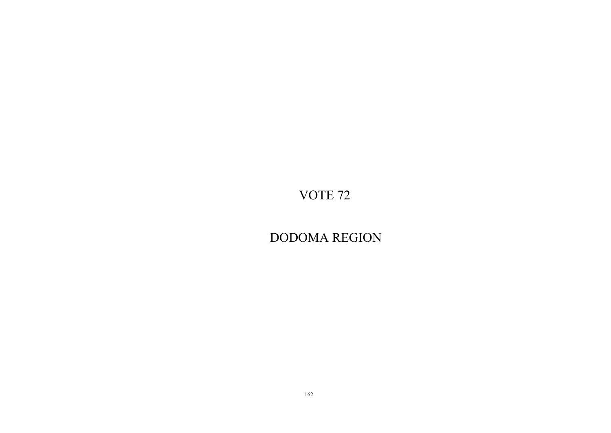DODOMA REGION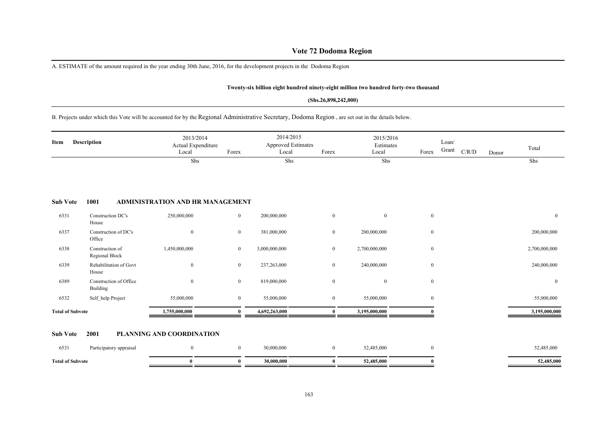## **Vote 72 Dodoma Region**

A. ESTIMATE of the amount required in the year ending 30th June, 2016, for the development projects in the Dodoma Region

#### **Twenty-six billion eight hundred ninety-eight million two hundred forty-two thousand**

#### **(Shs.26,898,242,000)**

## B. Projects under which this Vote will be accounted for by the Regional Administrative Secretary, Dodoma Region , are set out in the details below.

| <b>Description</b><br>Item |                                    | 2013/2014<br>Actual Expenditure<br>Local | Forex          | 2014/2015<br><b>Approved Estimates</b><br>Local | Forex          | 2015/2016<br>Estimates<br>Local | Forex        | Loan/<br>Grant | C/R/D | Donor | Total         |
|----------------------------|------------------------------------|------------------------------------------|----------------|-------------------------------------------------|----------------|---------------------------------|--------------|----------------|-------|-------|---------------|
|                            |                                    | Shs                                      |                | Shs                                             |                | Shs                             |              |                |       |       | Shs           |
| <b>Sub Vote</b>            | 1001                               | <b>ADMINISTRATION AND HR MANAGEMENT</b>  |                |                                                 |                |                                 |              |                |       |       |               |
| 6331                       | Construction DC's<br>House         | 250,000,000                              | $\bf{0}$       | 200,000,000                                     | $\mathbf{0}$   | $\overline{0}$                  | $\mathbf{0}$ |                |       |       | $\bf{0}$      |
| 6337                       | Construction of DC's<br>Office     | $\mathbf{0}$                             | $\mathbf{0}$   | 381,000,000                                     | $\overline{0}$ | 200,000,000                     | $\mathbf{0}$ |                |       |       | 200,000,000   |
| 6338                       | Construction of<br>Regional Block  | 1,450,000,000                            | $\overline{0}$ | 3,000,000,000                                   | $\mathbf{0}$   | 2,700,000,000                   | $\mathbf{0}$ |                |       |       | 2,700,000,000 |
| 6339                       | Rehabilitation of Govt<br>House    | $\theta$                                 | $\mathbf{0}$   | 237,263,000                                     | $\overline{0}$ | 240,000,000                     | $\mathbf{0}$ |                |       |       | 240,000,000   |
| 6389                       | Construction of Office<br>Building | $\overline{0}$                           | $\mathbf{0}$   | 819,000,000                                     | $\bf{0}$       | $\overline{0}$                  | $\mathbf{0}$ |                |       |       | $\mathbf{0}$  |
| 6532                       | Self_help Project                  | 55,000,000                               | $\overline{0}$ | 55,000,000                                      | $\overline{0}$ | 55,000,000                      | $\mathbf{0}$ |                |       |       | 55,000,000    |
| <b>Total of Subvote</b>    |                                    | 1,755,000,000                            | $\mathbf{0}$   | 4,692,263,000                                   | $\mathbf{0}$   | 3,195,000,000                   |              |                |       |       | 3,195,000,000 |
|                            |                                    |                                          |                |                                                 |                |                                 |              |                |       |       |               |

## **Sub Vote 2001 PLANNING AND COORDINATION**

| 6531                    | Participatory appraisal |  | 30,000,000 | 52,485,000 |  | 52,485,000 |
|-------------------------|-------------------------|--|------------|------------|--|------------|
| <b>Total of Subvote</b> |                         |  | 30.000.000 | 52,485,000 |  | 32,485,000 |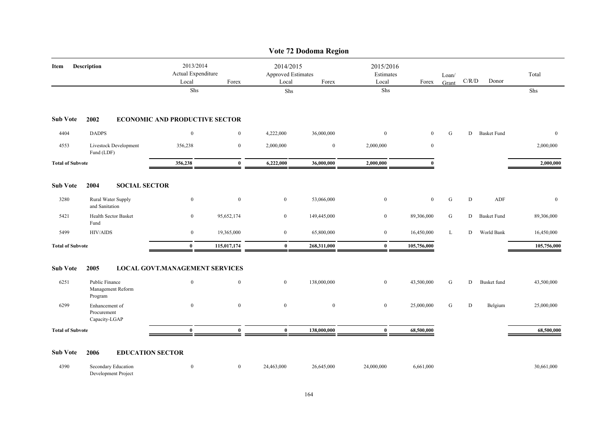|                         |                                                |                                       |                                          |                                                          | Vote 72 Dodoma Region |                                 |              |                |           |                    |              |
|-------------------------|------------------------------------------------|---------------------------------------|------------------------------------------|----------------------------------------------------------|-----------------------|---------------------------------|--------------|----------------|-----------|--------------------|--------------|
| Item                    | Description                                    |                                       | 2013/2014<br>Actual Expenditure<br>Forex | 2014/2015<br><b>Approved Estimates</b><br>Local<br>Forex |                       | 2015/2016<br>Estimates<br>Local | Forex        | Loan/<br>Grant | C/R/D     | Donor              | Total        |
|                         |                                                | Local<br>Shs                          |                                          | Shs                                                      |                       | Shs                             |              |                |           |                    | Shs          |
| <b>Sub Vote</b>         | 2002                                           | <b>ECONOMIC AND PRODUCTIVE SECTOR</b> |                                          |                                                          |                       |                                 |              |                |           |                    |              |
| 4404                    | <b>DADPS</b>                                   | $\mathbf{0}$                          | $\mathbf{0}$                             | 4,222,000                                                | 36,000,000            | $\boldsymbol{0}$                | $\mathbf{0}$ | G              | D         | <b>Basket Fund</b> | $\mathbf{0}$ |
| 4553                    | Livestock Development<br>Fund (LDF)            | 356,238                               | $\boldsymbol{0}$                         | 2,000,000                                                | $\boldsymbol{0}$      | 2,000,000                       | $\bf{0}$     |                |           |                    | 2,000,000    |
| <b>Total of Subvote</b> |                                                | 356,238                               | $\mathbf{0}$                             | 6,222,000                                                | 36,000,000            | 2,000,000                       | $\mathbf{0}$ |                |           |                    | 2,000,000    |
| <b>Sub Vote</b>         | 2004<br><b>SOCIAL SECTOR</b>                   |                                       |                                          |                                                          |                       |                                 |              |                |           |                    |              |
| 3280                    | Rural Water Supply<br>and Sanitation           | $\bf{0}$                              | $\bf{0}$                                 | $\boldsymbol{0}$                                         | 53,066,000            | $\boldsymbol{0}$                | $\mathbf{0}$ | ${\bf G}$      | ${\bf D}$ | ADF                | $\mathbf{0}$ |
| 5421                    | Health Sector Basket<br>Fund                   | $\mathbf{0}$                          | 95,652,174                               | $\overline{0}$                                           | 149,445,000           | $\bf{0}$                        | 89,306,000   | ${\bf G}$      | D         | <b>Basket Fund</b> | 89,306,000   |
| 5499                    | <b>HIV/AIDS</b>                                | $\bf{0}$                              | 19,365,000                               | $\boldsymbol{0}$                                         | 65,800,000            | $\bf{0}$                        | 16,450,000   | L              | D         | World Bank         | 16,450,000   |
| <b>Total of Subvote</b> |                                                | $\bf{0}$                              | 115,017,174                              | $\bf{0}$                                                 | 268,311,000           | $\bf{0}$                        | 105,756,000  |                |           |                    | 105,756,000  |
| <b>Sub Vote</b>         | 2005                                           | <b>LOCAL GOVT.MANAGEMENT SERVICES</b> |                                          |                                                          |                       |                                 |              |                |           |                    |              |
| 6251                    | Public Finance<br>Management Reform<br>Program | $\overline{0}$                        | $\mathbf{0}$                             | $\overline{0}$                                           | 138,000,000           | $\bf{0}$                        | 43,500,000   | G              | D         | <b>Busket</b> fund | 43,500,000   |
| 6299                    | Enhancement of<br>Procurement<br>Capacity-LGAP | $\mathbf{0}$                          | $\mathbf{0}$                             | $\mathbf{0}$                                             | $\mathbf{0}$          | $\mathbf{0}$                    | 25,000,000   | G              | D         | Belgium            | 25,000,000   |
| <b>Total of Subvote</b> |                                                | $\mathbf{0}$                          | $\mathbf{0}$                             | $\bf{0}$                                                 | 138,000,000           | $\mathbf{0}$                    | 68,500,000   |                |           |                    | 68,500,000   |
| <b>Sub Vote</b>         | 2006<br><b>EDUCATION SECTOR</b>                |                                       |                                          |                                                          |                       |                                 |              |                |           |                    |              |
| 4390                    | Secondary Education<br>Development Project     | $\bf{0}$                              | $\overline{0}$                           | 24,463,000                                               | 26,645,000            | 24,000,000                      | 6,661,000    |                |           |                    | 30,661,000   |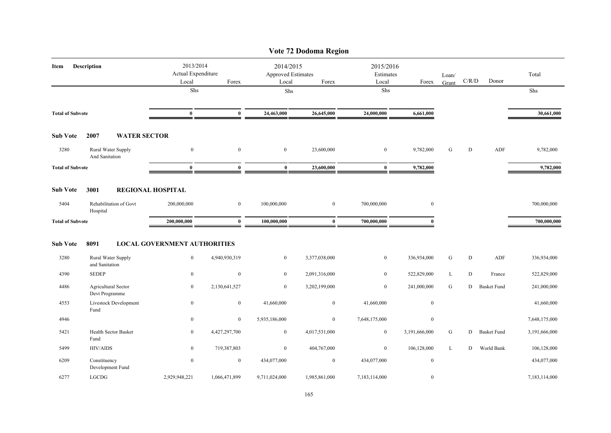|                         |                       |                            |                                                   |                  |                                                   | Vote 72 Dodoma Region |                                 |                  |                |       |                    |               |
|-------------------------|-----------------------|----------------------------|---------------------------------------------------|------------------|---------------------------------------------------|-----------------------|---------------------------------|------------------|----------------|-------|--------------------|---------------|
| Item                    | Description           |                            | 2013/2014<br>Actual Expenditure<br>Local<br>Forex |                  | 2014/2015<br>Approved Estimates<br>Local<br>Forex |                       | 2015/2016<br>Estimates<br>Local | Forex            | Loan/<br>Grant | C/R/D | Donor              | Total         |
|                         |                       |                            | Shs                                               |                  | Shs                                               |                       | Shs                             |                  |                |       |                    | Shs           |
| <b>Total of Subvote</b> |                       |                            | $\bf{0}$                                          | $\bf{0}$         | 24,463,000                                        | 26,645,000            | 24,000,000                      | 6,661,000        |                |       |                    | 30,661,000    |
| <b>Sub Vote</b>         | 2007                  | <b>WATER SECTOR</b>        |                                                   |                  |                                                   |                       |                                 |                  |                |       |                    |               |
| 3280                    | <b>And Sanitation</b> | Rural Water Supply         | $\boldsymbol{0}$                                  | $\mathbf{0}$     | $\boldsymbol{0}$                                  | 23,600,000            | $\boldsymbol{0}$                | 9,782,000        | G              | D     | ADF                | 9,782,000     |
| <b>Total of Subvote</b> |                       |                            | $\bf{0}$                                          | $\mathbf{0}$     | $\bf{0}$                                          | 23,600,000            | $\bf{0}$                        | 9,782,000        |                |       |                    | 9,782,000     |
| <b>Sub Vote</b>         | 3001                  |                            | <b>REGIONAL HOSPITAL</b>                          |                  |                                                   |                       |                                 |                  |                |       |                    |               |
| 5404                    | Hospital              | Rehabilitation of Govt     | 200,000,000                                       | $\mathbf{0}$     | 100,000,000                                       | $\overline{0}$        | 700,000,000                     | $\mathbf{0}$     |                |       |                    | 700,000,000   |
| <b>Total of Subvote</b> |                       |                            | 200,000,000                                       | $\bf{0}$         | 100,000,000                                       | $\bf{0}$              | 700,000,000                     | $\mathbf{0}$     |                |       |                    | 700,000,000   |
| <b>Sub Vote</b>         | 8091                  |                            | <b>LOCAL GOVERNMENT AUTHORITIES</b>               |                  |                                                   |                       |                                 |                  |                |       |                    |               |
| 3280                    | and Sanitation        | Rural Water Supply         | $\mathbf{0}$                                      | 4,940,930,319    | $\mathbf{0}$                                      | 3,377,038,000         | $\mathbf{0}$                    | 336,934,000      | G              | D     | ADF                | 336,934,000   |
| 4390                    | <b>SEDEP</b>          |                            | $\bf{0}$                                          | $\boldsymbol{0}$ | $\overline{0}$                                    | 2,091,316,000         | $\mathbf{0}$                    | 522,829,000      | L              | D     | France             | 522,829,000   |
| 4486                    | Devt Programme        | <b>Agricultural Sector</b> | $\bf{0}$                                          | 2,130,641,527    | $\mathbf{0}$                                      | 3,202,199,000         | $\bf{0}$                        | 241,000,000      | G              | D     | <b>Basket Fund</b> | 241,000,000   |
| 4553                    | Fund                  | Livestock Development      | $\boldsymbol{0}$                                  | $\mathbf{0}$     | 41,660,000                                        | $\overline{0}$        | 41,660,000                      | $\boldsymbol{0}$ |                |       |                    | 41,660,000    |
| 4946                    |                       |                            | $\mathbf{0}$                                      | $\mathbf{0}$     | 5,935,186,000                                     | $\overline{0}$        | 7,648,175,000                   | $\mathbf{0}$     |                |       |                    | 7,648,175,000 |
| 5421                    | Fund                  | Health Sector Basket       | $\boldsymbol{0}$                                  | 4,427,297,700    | $\bf{0}$                                          | 4,017,531,000         | $\bf{0}$                        | 3,191,666,000    | ${\bf G}$      |       | D Basket Fund      | 3,191,666,000 |
| 5499                    | <b>HIV/AIDS</b>       |                            | $\bf{0}$                                          | 719,387,803      | $\overline{0}$                                    | 404,767,000           | $\mathbf{0}$                    | 106,128,000      | L              | D     | World Bank         | 106,128,000   |
| 6209                    | Constituency          | Development Fund           | $\boldsymbol{0}$                                  | $\bf{0}$         | 434,077,000                                       | $\bf{0}$              | 434,077,000                     | $\mathbf{0}$     |                |       |                    | 434,077,000   |
| 6277                    | LGCDG                 |                            | 2,929,948,221                                     | 1,066,471,899    | 9,711,024,000                                     | 1,985,861,000         | 7,183,114,000                   | $\bf{0}$         |                |       |                    | 7,183,114,000 |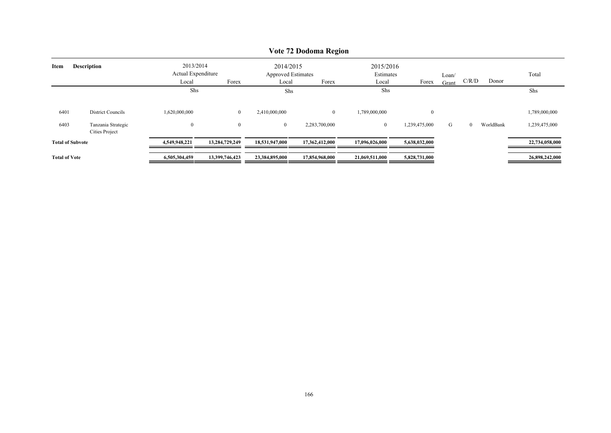|                            | $\sqrt{6}$ $\mu$ $\mu$ bouoing iversion |                                                   |                |                                                   |                |                                          |               |                |          |           |                |  |  |  |
|----------------------------|-----------------------------------------|---------------------------------------------------|----------------|---------------------------------------------------|----------------|------------------------------------------|---------------|----------------|----------|-----------|----------------|--|--|--|
| <b>Description</b><br>Item |                                         | 2013/2014<br>Actual Expenditure<br>Forex<br>Local |                | 2014/2015<br>Approved Estimates<br>Forex<br>Local |                | 2015/2016<br>Estimates<br>Forex<br>Local |               | Loan/<br>Grant | C/R/D    | Donor     | Total          |  |  |  |
|                            |                                         | Shs                                               |                | Shs                                               |                | Shs                                      |               |                |          |           | Shs            |  |  |  |
| 6401                       | District Councils                       | 1,620,000,000                                     | $\overline{0}$ | 2,410,000,000                                     | $\overline{0}$ | 1,789,000,000                            | $\mathbf{0}$  |                |          |           | 1,789,000,000  |  |  |  |
| 6403                       | Tanzania Strategic<br>Cities Project    | $\bf{0}$                                          | $\overline{0}$ | $\overline{0}$                                    | 2,283,700,000  | $\mathbf{0}$                             | 1,239,475,000 | G              | $\Omega$ | WorldBank | 1,239,475,000  |  |  |  |
| <b>Total of Subvote</b>    |                                         | 4,549,948,221                                     | 13,284,729,249 | 18,531,947,000                                    | 17,362,412,000 | 17,096,026,000                           | 5,638,032,000 |                |          |           | 22,734,058,000 |  |  |  |
| <b>Total of Vote</b>       |                                         | 6,505,304,459                                     | 13,399,746,423 | 23,384,895,000                                    | 17,854,968,000 | 21,069,511,000                           | 5,828,731,000 |                |          |           | 26,898,242,000 |  |  |  |

## **Vote 72 Dodoma Region**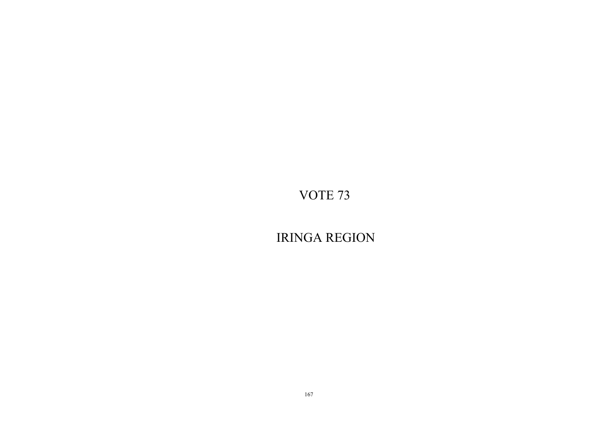IRINGA REGION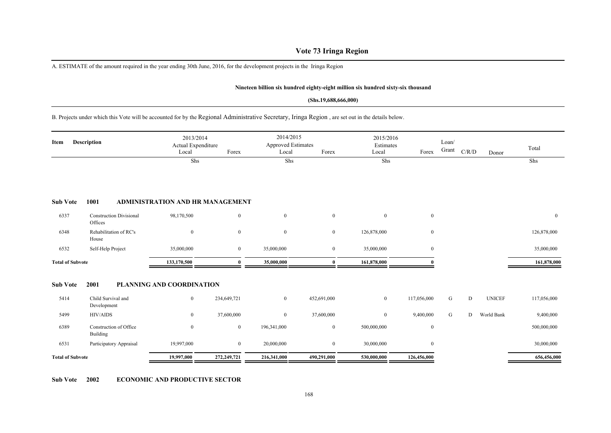## **Vote 73 Iringa Region**

A. ESTIMATE of the amount required in the year ending 30th June, 2016, for the development projects in the Iringa Region

#### **Nineteen billion six hundred eighty-eight million six hundred sixty-six thousand**

#### **(Shs.19,688,666,000)**

B. Projects under which this Vote will be accounted for by the Regional Administrative Secretary, Iringa Region , are set out in the details below.

| Item                    | Description                               | 2013/2014<br>Actual Expenditure<br>Local | Forex            | 2014/2015<br><b>Approved Estimates</b><br>Local | Forex        | 2015/2016<br>Estimates<br>Local | Forex            | Loan/<br>Grant | C/R/D | Donor         | Total          |
|-------------------------|-------------------------------------------|------------------------------------------|------------------|-------------------------------------------------|--------------|---------------------------------|------------------|----------------|-------|---------------|----------------|
|                         |                                           | Shs                                      |                  | Shs                                             |              | Shs                             |                  |                |       |               | Shs            |
| <b>Sub Vote</b>         | 1001                                      | <b>ADMINISTRATION AND HR MANAGEMENT</b>  |                  |                                                 |              |                                 |                  |                |       |               |                |
| 6337                    | <b>Construction Divisional</b><br>Offices | 98,170,500                               | $\bf{0}$         | $\boldsymbol{0}$                                | $\mathbf{0}$ | $\mathbf{0}$                    | $\overline{0}$   |                |       |               | $\overline{0}$ |
| 6348                    | Rehabilitation of RC's<br>House           | $\mathbf{0}$                             | $\bf{0}$         | $\bf{0}$                                        | $\bf{0}$     | 126,878,000                     | $\bf{0}$         |                |       |               | 126,878,000    |
| 6532                    | Self-Help Project                         | 35,000,000                               | $\boldsymbol{0}$ | 35,000,000                                      | $\mathbf{0}$ | 35,000,000                      | $\overline{0}$   |                |       |               | 35,000,000     |
| <b>Total of Subvote</b> |                                           | 133,170,500                              | $\mathbf{0}$     | 35,000,000                                      | $\bf{0}$     | 161,878,000                     |                  |                |       |               | 161,878,000    |
| <b>Sub Vote</b>         | 2001                                      | PLANNING AND COORDINATION                |                  |                                                 |              |                                 |                  |                |       |               |                |
| 5414                    | Child Survival and<br>Development         | $\mathbf{0}$                             | 234,649,721      | $\boldsymbol{0}$                                | 452,691,000  | $\mathbf{0}$                    | 117,056,000      | G              | D     | <b>UNICEF</b> | 117,056,000    |
| 5499                    | <b>HIV/AIDS</b>                           | $\overline{0}$                           | 37,600,000       | $\bf{0}$                                        | 37,600,000   | $\mathbf{0}$                    | 9,400,000        | G              | D     | World Bank    | 9,400,000      |
| 6389                    | Construction of Office<br>Building        | $\mathbf{0}$                             | $\boldsymbol{0}$ | 196,341,000                                     | $\mathbf{0}$ | 500,000,000                     | $\boldsymbol{0}$ |                |       |               | 500,000,000    |
| 6531                    | Participatory Appraisal                   | 19,997,000                               | $\overline{0}$   | 20,000,000                                      | $\bf{0}$     | 30,000,000                      | $\overline{0}$   |                |       |               | 30,000,000     |
| <b>Total of Subvote</b> |                                           | 19,997,000                               | 272,249,721      | 216,341,000                                     | 490,291,000  | 530,000,000                     | 126,456,000      |                |       |               | 656,456,000    |

**Sub Vote 2002 ECONOMIC AND PRODUCTIVE SECTOR**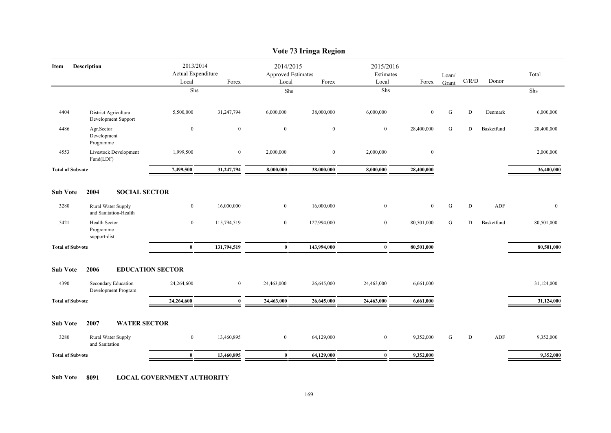|                         |                                             |                                          |                  |                                          | Vote 73 Iringa Region |                                 |                |           |           |            |              |
|-------------------------|---------------------------------------------|------------------------------------------|------------------|------------------------------------------|-----------------------|---------------------------------|----------------|-----------|-----------|------------|--------------|
| Item                    | <b>Description</b>                          | 2013/2014<br>Actual Expenditure<br>Local | Forex            | 2014/2015<br>Approved Estimates<br>Local | Forex                 | 2015/2016<br>Estimates<br>Local | Forex          | Loan/     | C/R/D     | Donor      | Total        |
|                         |                                             | ${\rm Shs}$                              |                  | Shs                                      |                       | Shs                             |                | Grant     |           |            | Shs          |
|                         |                                             |                                          |                  |                                          |                       |                                 |                |           |           |            |              |
| 4404                    | District Agricultura<br>Development Support | 5,500,000                                | 31,247,794       | 6,000,000                                | 38,000,000            | 6,000,000                       | $\mathbf{0}$   | G         | ${\rm D}$ | Denmark    | 6,000,000    |
| 4486                    | Agr.Sector<br>Development<br>Programme      | $\mathbf{0}$                             | $\mathbf{0}$     | $\mathbf{0}$                             | $\mathbf{0}$          | $\mathbf{0}$                    | 28,400,000     | G         | D         | Basketfund | 28,400,000   |
| 4553                    | Livestock Development<br>Fund(LDF)          | 1,999,500                                | $\boldsymbol{0}$ | 2,000,000                                | $\mathbf{0}$          | 2,000,000                       | $\mathbf{0}$   |           |           |            | 2,000,000    |
| <b>Total of Subvote</b> |                                             | 7,499,500                                | 31,247,794       | 8,000,000                                | 38,000,000            | 8,000,000                       | 28,400,000     |           |           |            | 36,400,000   |
| <b>Sub Vote</b>         | <b>SOCIAL SECTOR</b><br>2004                |                                          |                  |                                          |                       |                                 |                |           |           |            |              |
| 3280                    | Rural Water Supply<br>and Sanitation-Health | $\overline{0}$                           | 16,000,000       | $\overline{0}$                           | 16,000,000            | $\bf{0}$                        | $\overline{0}$ | ${\bf G}$ | ${\bf D}$ | ADF        | $\mathbf{0}$ |
| 5421                    | Health Sector<br>Programme<br>support-dist  | $\overline{0}$                           | 115,794,519      | $\overline{0}$                           | 127,994,000           | $\mathbf{0}$                    | 80,501,000     | G         | D         | Basketfund | 80,501,000   |
| <b>Total of Subvote</b> |                                             | $\bf{0}$                                 | 131,794,519      | $\bf{0}$                                 | 143,994,000           | $\bf{0}$                        | 80,501,000     |           |           |            | 80,501,000   |
| <b>Sub Vote</b>         | 2006<br><b>EDUCATION SECTOR</b>             |                                          |                  |                                          |                       |                                 |                |           |           |            |              |
| 4390                    | Secondary Education<br>Development Program  | 24,264,600                               | $\boldsymbol{0}$ | 24,463,000                               | 26,645,000            | 24,463,000                      | 6,661,000      |           |           |            | 31,124,000   |
| <b>Total of Subvote</b> |                                             | 24,264,600                               | $\bf{0}$         | 24,463,000                               | 26,645,000            | 24,463,000                      | 6,661,000      |           |           |            | 31,124,000   |
| <b>Sub Vote</b>         | 2007<br><b>WATER SECTOR</b>                 |                                          |                  |                                          |                       |                                 |                |           |           |            |              |
| 3280                    | Rural Water Supply<br>and Sanitation        | $\overline{0}$                           | 13,460,895       | $\overline{0}$                           | 64,129,000            | $\mathbf{0}$                    | 9,352,000      | G         | D         | ADF        | 9,352,000    |
| <b>Total of Subvote</b> |                                             | $\bf{0}$                                 | 13,460,895       | $\bf{0}$                                 | 64,129,000            | $\bf{0}$                        | 9,352,000      |           |           |            | 9,352,000    |
|                         |                                             |                                          |                  |                                          |                       |                                 |                |           |           |            |              |

**Sub Vote 8091 LOCAL GOVERNMENT AUTHORITY**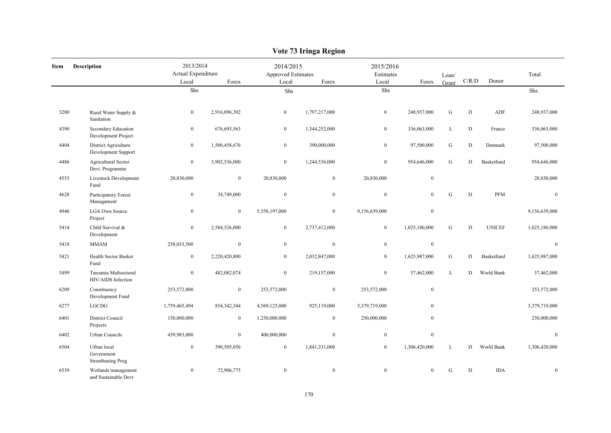|      |                                                |                                          |                  |                                          | vote <i>is</i> ifing a region |                                 |                  |                |             |               |                  |
|------|------------------------------------------------|------------------------------------------|------------------|------------------------------------------|-------------------------------|---------------------------------|------------------|----------------|-------------|---------------|------------------|
| Item | <b>Description</b>                             | 2013/2014<br>Actual Expenditure<br>Local | Forex            | 2014/2015<br>Approved Estimates<br>Local | Forex                         | 2015/2016<br>Estimates<br>Local | Forex            | Loan/<br>Grant | C/R/D       | Donor         | Total            |
|      |                                                | ${\rm Shs}$                              |                  | Shs                                      |                               | ${\rm Shs}$                     |                  |                |             |               | Shs              |
| 3280 | Rural Water Supply &<br>Sanitation             | $\bf{0}$                                 | 2,916,096,392    | $\mathbf{0}$                             | 1,797,217,000                 | $\overline{0}$                  | 248,937,000      | ${\bf G}$      | $\mathbf D$ | ADF           | 248,937,000      |
| 4390 | Secondary Education<br>Development Project     | $\mathbf{0}$                             | 676, 693, 563    | $\mathbf{0}$                             | 1,344,252,000                 | $\overline{0}$                  | 336,063,000      | L              | D           | France        | 336,063,000      |
| 4404 | District Agricultura<br>Development Support    | $\boldsymbol{0}$                         | 1,500,458,676    | $\boldsymbol{0}$                         | 390,000,000                   | $\overline{0}$                  | 97,500,000       | ${\bf G}$      | ${\rm D}$   | Denmark       | 97,500,000       |
| 4486 | Agricultural Sector<br>Devt. Programme         | $\mathbf{0}$                             | 3,902,536,000    | $\mathbf{0}$                             | 1,244,536,000                 | $\overline{0}$                  | 954,646,000      | ${\bf G}$      | D           | Basketfund    | 954,646,000      |
| 4553 | Livestock Development<br>Fund                  | 20,830,000                               | $\boldsymbol{0}$ | 20,830,000                               | $\boldsymbol{0}$              | 20,830,000                      | $\boldsymbol{0}$ |                |             |               | 20,830,000       |
| 4628 | Participatory Forest<br>Managament             | $\bf{0}$                                 | 34,749,000       | $\mathbf{0}$                             | $\mathbf{0}$                  | $\boldsymbol{0}$                | $\mathbf{0}$     | ${\bf G}$      | $\mathbf D$ | <b>PFM</b>    | $\boldsymbol{0}$ |
| 4946 | <b>LGA Own Source</b><br>Project               | $\mathbf{0}$                             | $\boldsymbol{0}$ | 5,558,197,000                            | $\boldsymbol{0}$              | 9,156,639,000                   | $\mathbf{0}$     |                |             |               | 9,156,639,000    |
| 5414 | Child Survival &<br>Development                | $\bf{0}$                                 | 2,584,526,000    | $\bf{0}$                                 | 2,737,412,000                 | $\bf{0}$                        | 1,025,180,000    | G              | $\mathbf D$ | <b>UNICEF</b> | 1,025,180,000    |
| 5418 | <b>MMAM</b>                                    | 258,033,500                              | $\boldsymbol{0}$ | $\boldsymbol{0}$                         | $\boldsymbol{0}$              | $\mathbf{0}$                    | $\boldsymbol{0}$ |                |             |               | $\mathbf{0}$     |
| 5421 | Health Sector Basket<br>Fund                   | $\bf{0}$                                 | 2,220,420,800    | $\mathbf{0}$                             | 2,032,847,000                 | $\overline{0}$                  | 1,625,987,000    | ${\bf G}$      | ${\rm D}$   | Basketfund    | 1,625,987,000    |
| 5499 | Tanzania Multsectoral<br>HIV/AIDS Infection    | $\overline{0}$                           | 482,082,074      | $\mathbf{0}$                             | 219,157,000                   | $\overline{0}$                  | 57,462,000       | $\mathbf{L}$   | D           | World Bank    | 57,462,000       |
| 6209 | Constituency<br>Development Fund               | 253,572,000                              | $\boldsymbol{0}$ | 253,572,000                              | $\boldsymbol{0}$              | 253,572,000                     | $\mathbf{0}$     |                |             |               | 253,572,000      |
| 6277 | LGCDG                                          | 1,759,465,494                            | 854, 342, 344    | 4,569,123,000                            | 925,119,000                   | 3,379,719,000                   | $\mathbf{0}$     |                |             |               | 3,379,719,000    |
| 6401 | District Council<br>Projects                   | 150,000,000                              | $\overline{0}$   | 1,250,000,000                            | $\boldsymbol{0}$              | 250,000,000                     | $\mathbf{0}$     |                |             |               | 250,000,000      |
| 6402 | Urban Councils                                 | 439,983,000                              | $\mathbf{0}$     | 400,000,000                              | $\mathbf{0}$                  | $\mathbf{0}$                    | $\mathbf{0}$     |                |             |               | $\mathbf{0}$     |
| 6504 | Urban local<br>Government<br>Strenthening Prog | $\bf{0}$                                 | 390,505,056      | $\mathbf{0}$                             | 1,841,331,000                 | $\overline{0}$                  | 1,306,420,000    | L              | D           | World Bank    | 1,306,420,000    |
| 6539 | Wetlands management<br>and Sustainable Devt    | $\bf{0}$                                 | 72,906,775       | $\mathbf{0}$                             | $\mathbf{0}$                  | $\mathbf{0}$                    | $\mathbf{0}$     | ${\bf G}$      | $\mathbf D$ | <b>IDA</b>    | $\mathbf{0}$     |

## **Vote 73 Iringa Region**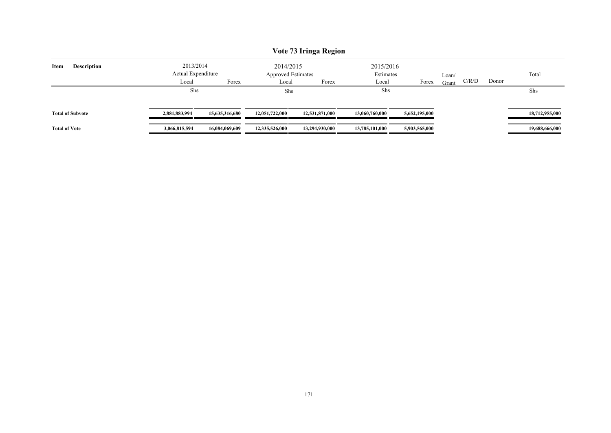|                         | Vote 73 Iringa Region |                                 |                |                                        |                |                        |               |       |       |       |                |  |  |
|-------------------------|-----------------------|---------------------------------|----------------|----------------------------------------|----------------|------------------------|---------------|-------|-------|-------|----------------|--|--|
| Item                    | <b>Description</b>    | 2013/2014<br>Actual Expenditure |                | 2014/2015<br><b>Approved Estimates</b> |                | 2015/2016<br>Estimates |               | Loan/ |       |       | Total          |  |  |
|                         |                       | Local                           | Forex          | Forex<br>Local                         |                | Local                  | Forex         | Grant | C/R/D | Donor |                |  |  |
|                         |                       | Shs                             |                | Shs                                    |                | Shs                    |               |       |       |       | Shs            |  |  |
| <b>Total of Subvote</b> |                       | 2,881,883,994                   | 15,635,316,680 | 12,051,722,000                         | 12,531,871,000 | 13,060,760,000         | 5,652,195,000 |       |       |       | 18,712,955,000 |  |  |
| <b>Total of Vote</b>    |                       | 3,066,815,594                   | 16,084,069,609 | 12,335,526,000                         | 13,294,930,000 | 13,785,101,000         | 5,903,565,000 |       |       |       | 19,688,666,000 |  |  |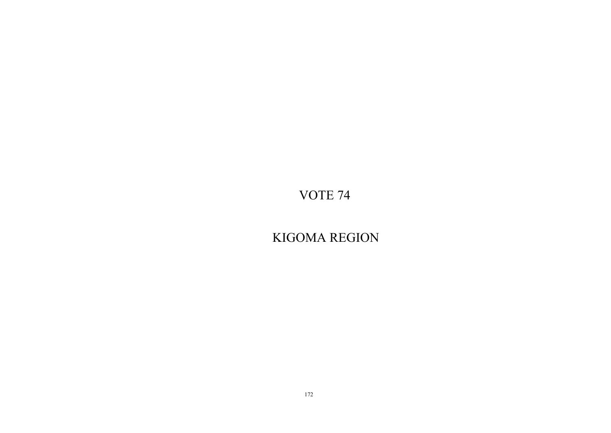KIGOMA REGION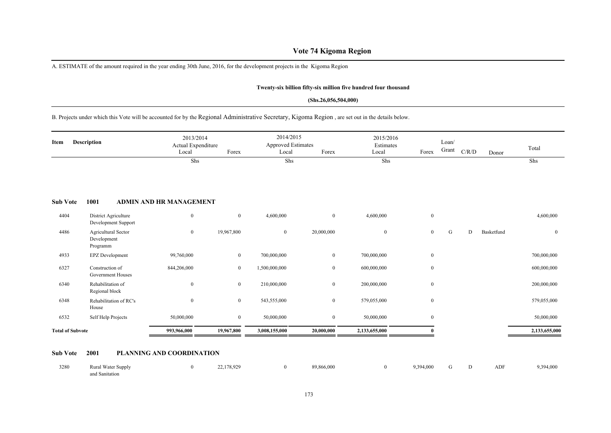## **Vote 74 Kigoma Region**

A. ESTIMATE of the amount required in the year ending 30th June, 2016, for the development projects in the Kigoma Region

#### **Twenty-six billion fifty-six million five hundred four thousand**

#### **(Shs.26,056,504,000)**

## B. Projects under which this Vote will be accounted for by the Regional Administrative Secretary, Kigoma Region , are set out in the details below.

| Item                    | Description                                    | 2013/2014<br>Actual Expenditure<br>Local | Forex            | 2014/2015<br><b>Approved Estimates</b><br>Local | Forex            | 2015/2016<br>Estimates<br>Local | Forex            | Loan/<br>Grant | $\rm C/R/D$ | Donor      | Total         |
|-------------------------|------------------------------------------------|------------------------------------------|------------------|-------------------------------------------------|------------------|---------------------------------|------------------|----------------|-------------|------------|---------------|
|                         |                                                | Shs                                      |                  | Shs                                             |                  | Shs                             |                  |                |             |            | Shs           |
| <b>Sub Vote</b>         | 1001                                           | <b>ADMIN AND HR MANAGEMENT</b>           |                  |                                                 |                  |                                 |                  |                |             |            |               |
| 4404                    | District Agriculture<br>Development Support    | $\bf{0}$                                 | $\overline{0}$   | 4,600,000                                       | $\boldsymbol{0}$ | 4,600,000                       | $\bf{0}$         |                |             |            | 4,600,000     |
| 4486                    | Agricultural Sector<br>Development<br>Programm | $\bf{0}$                                 | 19,967,800       | $\bf{0}$                                        | 20,000,000       | $\mathbf{0}$                    | $\overline{0}$   | G              | D           | Basketfund | $\mathbf{0}$  |
| 4933                    | EPZ Development                                | 99,760,000                               | $\boldsymbol{0}$ | 700,000,000                                     | $\mathbf{0}$     | 700,000,000                     | $\bf{0}$         |                |             |            | 700,000,000   |
| 6327                    | Construction of<br>Government Houses           | 844,206,000                              | $\bf{0}$         | 1,500,000,000                                   | $\boldsymbol{0}$ | 600,000,000                     | $\boldsymbol{0}$ |                |             |            | 600,000,000   |
| 6340                    | Rehabilitation of<br>Regional block            | $\boldsymbol{0}$                         | $\overline{0}$   | 210,000,000                                     | $\mathbf{0}$     | 200,000,000                     | $\bf{0}$         |                |             |            | 200,000,000   |
| 6348                    | Rehabilitation of RC's<br>House                | $\overline{0}$                           | $\mathbf{0}$     | 543,555,000                                     | $\mathbf{0}$     | 579,055,000                     | $\boldsymbol{0}$ |                |             |            | 579,055,000   |
| 6532                    | Self Help Projects                             | 50,000,000                               | $\bf{0}$         | 50,000,000                                      | $\boldsymbol{0}$ | 50,000,000                      | $\boldsymbol{0}$ |                |             |            | 50,000,000    |
| <b>Total of Subvote</b> |                                                | 993,966,000                              | 19,967,800       | 3,008,155,000                                   | 20,000,000       | 2,133,655,000                   |                  |                |             |            | 2,133,655,000 |

## **Sub Vote 2001 PLANNING AND COORDINATION**

| 3280 | <b>Rural Water Supply</b> | 22,178,929 | $\Omega$ | 89,866,000 | 9,394,000 G D |  | ADF | 9,394,000 |
|------|---------------------------|------------|----------|------------|---------------|--|-----|-----------|
|      | and Sanitation            |            |          |            |               |  |     |           |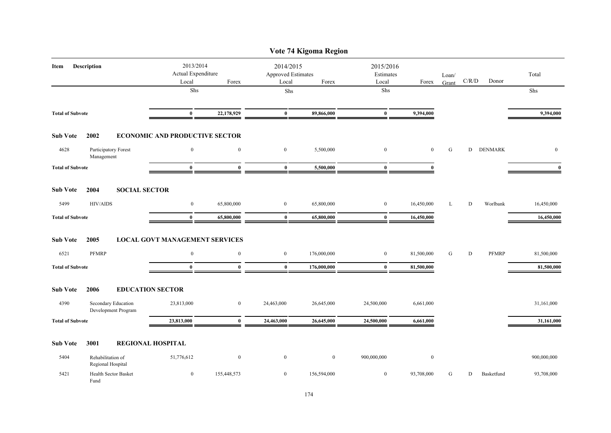|                            |                                            |                                                   |                  |                  | Vote 74 Kigoma Region                    |                  |                                          |   |   |                      |              |
|----------------------------|--------------------------------------------|---------------------------------------------------|------------------|------------------|------------------------------------------|------------------|------------------------------------------|---|---|----------------------|--------------|
| <b>Description</b><br>Item |                                            | 2013/2014<br>Actual Expenditure<br>Forex<br>Local |                  | Local            | 2014/2015<br>Approved Estimates<br>Forex |                  | 2015/2016<br>Estimates<br>Local<br>Forex |   |   | $\rm C/R/D$<br>Donor | Total        |
|                            |                                            | Shs                                               |                  | Shs              |                                          | Shs              |                                          |   |   |                      | Shs          |
| <b>Total of Subvote</b>    |                                            | $\bf{0}$                                          | 22,178,929       | $\bf{0}$         | 89,866,000                               | $\bf{0}$         | 9,394,000                                |   |   |                      | 9,394,000    |
| <b>Sub Vote</b>            | 2002                                       | <b>ECONOMIC AND PRODUCTIVE SECTOR</b>             |                  |                  |                                          |                  |                                          |   |   |                      |              |
| 4628                       | Participatory Forest<br>Management         | $\mathbf{0}$                                      | $\boldsymbol{0}$ | $\boldsymbol{0}$ | 5,500,000                                | $\mathbf{0}$     | $\overline{0}$                           | G | D | <b>DENMARK</b>       | $\mathbf{0}$ |
| <b>Total of Subvote</b>    |                                            | $\bf{0}$                                          | $\bf{0}$         | $\bf{0}$         | 5,500,000                                | $\bf{0}$         | $\bf{0}$                                 |   |   |                      | $\mathbf{0}$ |
| <b>Sub Vote</b>            | 2004<br><b>SOCIAL SECTOR</b>               |                                                   |                  |                  |                                          |                  |                                          |   |   |                      |              |
| 5499                       | <b>HIV/AIDS</b>                            | $\mathbf{0}$                                      | 65,800,000       | $\boldsymbol{0}$ | 65,800,000                               | $\boldsymbol{0}$ | 16,450,000                               | L | D | Worlbank             | 16,450,000   |
| <b>Total of Subvote</b>    |                                            | $\bf{0}$                                          | 65,800,000       | $\bf{0}$         | 65,800,000                               | $\bf{0}$         | 16,450,000                               |   |   |                      | 16,450,000   |
| <b>Sub Vote</b>            | 2005                                       | <b>LOCAL GOVT MANAGEMENT SERVICES</b>             |                  |                  |                                          |                  |                                          |   |   |                      |              |
| 6521                       | <b>PFMRP</b>                               | $\mathbf{0}$                                      | $\bf{0}$         | $\boldsymbol{0}$ | 176,000,000                              | $\bf{0}$         | 81,500,000                               | G | D | PFMRP                | 81,500,000   |
| <b>Total of Subvote</b>    |                                            | $\bf{0}$                                          | $\theta$         | $\bf{0}$         | 176,000,000                              | $\bf{0}$         | 81,500,000                               |   |   |                      | 81,500,000   |
| <b>Sub Vote</b>            | 2006                                       | <b>EDUCATION SECTOR</b>                           |                  |                  |                                          |                  |                                          |   |   |                      |              |
| 4390                       | Secondary Education<br>Development Program | 23,813,000                                        | $\boldsymbol{0}$ | 24,463,000       | 26,645,000                               | 24,500,000       | 6,661,000                                |   |   |                      | 31,161,000   |
| <b>Total of Subvote</b>    |                                            | 23,813,000                                        | $\bf{0}$         | 24,463,000       | 26,645,000                               | 24,500,000       | 6,661,000                                |   |   |                      | 31,161,000   |
| <b>Sub Vote</b>            | 3001                                       | <b>REGIONAL HOSPITAL</b>                          |                  |                  |                                          |                  |                                          |   |   |                      |              |
| 5404                       | Rehabilitation of<br>Regional Hospital     | 51,776,612                                        | $\boldsymbol{0}$ | $\boldsymbol{0}$ | $\bf{0}$                                 | 900,000,000      | $\boldsymbol{0}$                         |   |   |                      | 900,000,000  |
| 5421                       | Health Sector Basket<br>Fund               | $\boldsymbol{0}$                                  | 155,448,573      | $\bf{0}$         | 156,594,000                              | $\bf{0}$         | 93,708,000                               | G | D | Basketfund           | 93,708,000   |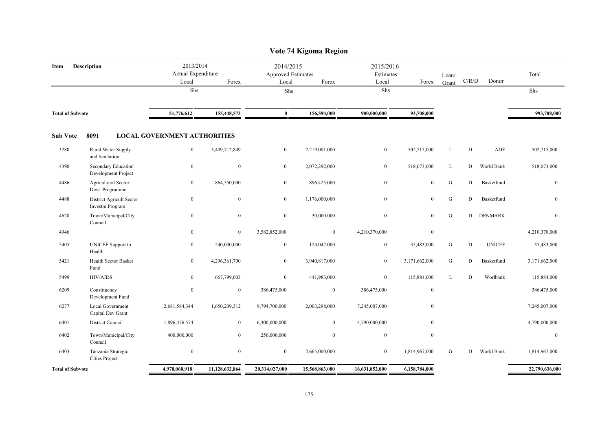| Vote 74 Kigoma Region      |                                               |            |                                          |                |                                                   |                  |                  |                                 |           |           |               |                  |  |
|----------------------------|-----------------------------------------------|------------|------------------------------------------|----------------|---------------------------------------------------|------------------|------------------|---------------------------------|-----------|-----------|---------------|------------------|--|
| <b>Description</b><br>Item |                                               |            | 2013/2014<br>Actual Expenditure<br>Local | Forex          | 2014/2015<br>Approved Estimates<br>Local<br>Forex |                  | Local            | 2015/2016<br>Estimates<br>Forex |           | C/R/D     | Donor         | Total            |  |
|                            |                                               |            | Shs                                      |                | Shs                                               |                  | Shs              |                                 |           |           |               | Shs              |  |
| <b>Total of Subvote</b>    |                                               | 51,776,612 | 155,448,573                              | $\bf{0}$       | 156,594,000                                       | 900,000,000      | 93,708,000       |                                 |           |           | 993,708,000   |                  |  |
| <b>Sub Vote</b>            | 8091                                          |            | <b>LOCAL GOVERNMENT AUTHORITIES</b>      |                |                                                   |                  |                  |                                 |           |           |               |                  |  |
| 3280                       | Rural Water Supply<br>and Sanitation          |            | $\mathbf{0}$                             | 3,409,712,849  | $\mathbf{0}$                                      | 2,219,001,000    | $\boldsymbol{0}$ | 502,715,000                     | L         | ${\rm D}$ | ADF           | 502,715,000      |  |
| 4390                       | Secondary Education<br>Development Project    |            | $\bf{0}$                                 | $\mathbf{0}$   | $\overline{0}$                                    | 2,072,292,000    | $\mathbf{0}$     | 518,073,000                     | L         | D         | World Bank    | 518,073,000      |  |
| 4486                       | <b>Agricultural Sector</b><br>Devt. Programme |            | $\bf{0}$                                 | 864,550,000    | $\overline{0}$                                    | 896,425,000      | $\boldsymbol{0}$ | $\mathbf{0}$                    | G         | D         | Basketfund    | $\boldsymbol{0}$ |  |
| 4488                       | District Agricult.Sector<br>Investm.Program   |            | $\mathbf{0}$                             | $\mathbf{0}$   | $\overline{0}$                                    | 1,176,000,000    | $\boldsymbol{0}$ | $\mathbf{0}$                    | G         | D         | Basketfund    | $\mathbf{0}$     |  |
| 4628                       | Town/Municipal/City<br>Council                |            | $\bf{0}$                                 | $\bf{0}$       | $\bf{0}$                                          | 30,000,000       | $\bf{0}$         | $\mathbf{0}$                    | ${\bf G}$ | D         | DENMARK       | $\boldsymbol{0}$ |  |
| 4946                       |                                               |            | $\bf{0}$                                 | $\overline{0}$ | 3,582,852,000                                     | $\bf{0}$         | 4,210,370,000    | $\boldsymbol{0}$                |           |           |               | 4,210,370,000    |  |
| 5405                       | <b>UNICEF</b> Support to<br>Health            |            | $\overline{0}$                           | 240,000,000    | $\mathbf{0}$                                      | 124,047,000      | $\boldsymbol{0}$ | 35,483,000                      | G         | D         | <b>UNICEF</b> | 35,483,000       |  |
| 5421                       | <b>Health Sector Basket</b><br>Fund           |            | $\mathbf{0}$                             | 4,296,361,700  | $\overline{0}$                                    | 3,940,817,000    | $\boldsymbol{0}$ | 3,171,662,000                   | G         | D         | Basketfund    | 3,171,662,000    |  |
| 5499                       | <b>HIV/AIDS</b>                               |            | $\boldsymbol{0}$                         | 667,799,003    | $\overline{0}$                                    | 441,983,000      | $\boldsymbol{0}$ | 115,884,000                     | L         | D         | Worlbank      | 115,884,000      |  |
| 6209                       | Constituency<br>Development Fund              |            | $\boldsymbol{0}$                         | $\overline{0}$ | 386,475,000                                       | $\mathbf{0}$     | 386,475,000      | $\mathbf{0}$                    |           |           |               | 386,475,000      |  |
| 6277                       | <b>Local Government</b><br>Capital Dev Grant  |            | 2,681,584,344                            | 1,650,209,312  | 9,794,700,000                                     | 2,003,298,000    | 7,245,007,000    | $\mathbf{0}$                    |           |           |               | 7,245,007,000    |  |
| 6401                       | District Council                              |            | 1,896,476,574                            | $\bf{0}$       | 6,300,000,000                                     | $\boldsymbol{0}$ | 4,790,000,000    | $\mathbf{0}$                    |           |           |               | 4,790,000,000    |  |
| 6402                       | Town/Municipal/City<br>Council                |            | 400,000,000                              | $\overline{0}$ | 250,000,000                                       | $\overline{0}$   | $\mathbf{0}$     | $\mathbf{0}$                    |           |           |               | $\mathbf{0}$     |  |
| 6403                       | Tanzania Strategic<br><b>Cities Project</b>   |            | $\boldsymbol{0}$                         | $\mathbf{0}$   | $\bf{0}$                                          | 2,665,000,000    | $\boldsymbol{0}$ | 1,814,967,000                   | G         | D         | World Bank    | 1,814,967,000    |  |
|                            | <b>Total of Subvote</b>                       |            | 4,978,060,918                            | 11,128,632,864 | 20,314,027,000                                    | 15,568,863,000   | 16,631,852,000   | 6,158,784,000                   |           |           |               | 22,790,636,000   |  |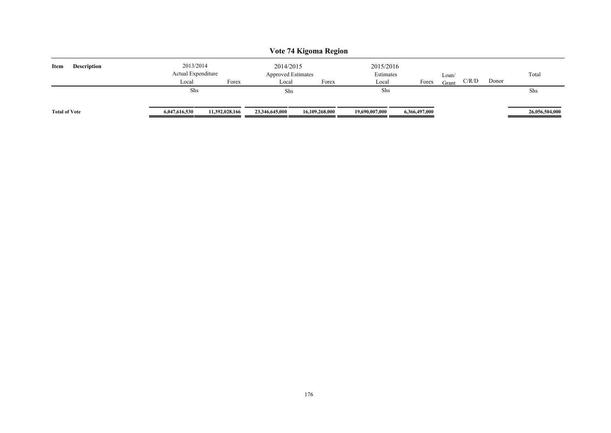| Vote 74 Kigoma Region      |                                 |                |                                        |                |                        |               |       |       |       |                |  |  |  |
|----------------------------|---------------------------------|----------------|----------------------------------------|----------------|------------------------|---------------|-------|-------|-------|----------------|--|--|--|
| Item<br><b>Description</b> | 2013/2014<br>Actual Expenditure |                | 2014/2015<br><b>Approved Estimates</b> |                | 2015/2016<br>Estimates |               | Loan/ |       |       | Total          |  |  |  |
|                            | Local                           | Forex          | Local                                  | Forex          | Local                  | Forex         | Grant | C/R/D | Donor |                |  |  |  |
|                            | Shs                             |                | Shs                                    |                | Shs                    |               |       |       |       | Shs            |  |  |  |
| <b>Total of Vote</b>       | 6,047,616,530                   | 11,392,028,166 | 23,346,645,000                         | 16,109,268,000 | 19,690,007,000         | 6,366,497,000 |       |       |       | 26,056,504,000 |  |  |  |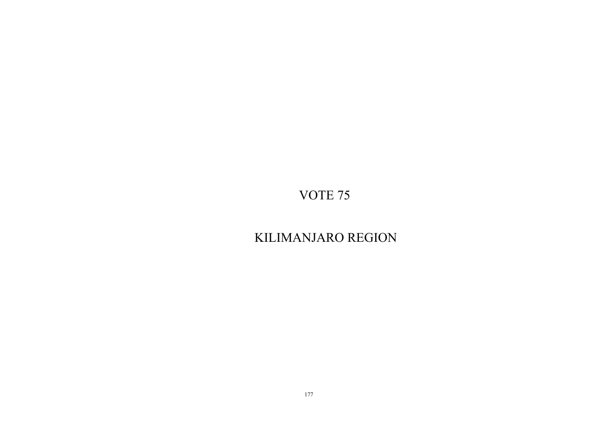# KILIMANJARO REGION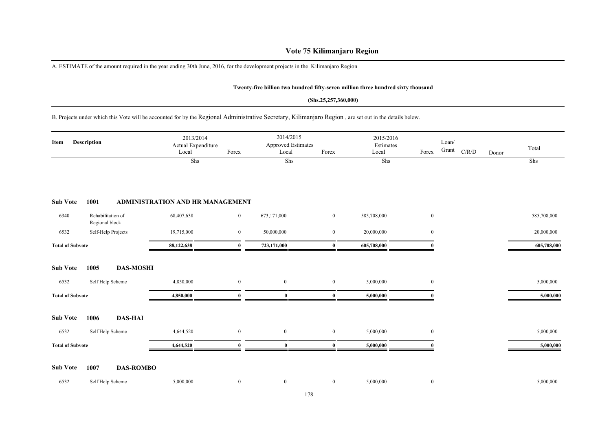## **Vote 75 Kilimanjaro Region**

A. ESTIMATE of the amount required in the year ending 30th June, 2016, for the development projects in the Kilimanjaro Region

## **Twenty-five billion two hundred fifty-seven million three hundred sixty thousand**

#### **(Shs.25,257,360,000)**

## B. Projects under which this Vote will be accounted for by the Regional Administrative Secretary, Kilimanjaro Region , are set out in the details below.

| Description<br>Item     |                                     | 2013/2014<br>Actual Expenditure<br>Local | Forex                                   | 2014/2015<br>Approved Estimates<br>Local | Forex            | 2015/2016<br>Estimates<br>Local | Forex       | Loan/<br>Grant<br>C/R/D | Donor | Total |             |
|-------------------------|-------------------------------------|------------------------------------------|-----------------------------------------|------------------------------------------|------------------|---------------------------------|-------------|-------------------------|-------|-------|-------------|
|                         |                                     |                                          | Shs                                     |                                          | Shs              |                                 | Shs         |                         |       |       | Shs         |
| <b>Sub Vote</b>         | 1001                                |                                          | <b>ADMINISTRATION AND HR MANAGEMENT</b> |                                          |                  |                                 |             |                         |       |       |             |
| 6340                    | Rehabilitation of<br>Regional block |                                          | 68,407,638                              | $\boldsymbol{0}$                         | 673,171,000      | $\mathbf{0}$                    | 585,708,000 | $\boldsymbol{0}$        |       |       | 585,708,000 |
| 6532                    |                                     | Self-Help Projects                       | 19,715,000                              | $\overline{0}$                           | 50,000,000       | $\bf{0}$                        | 20,000,000  | $\overline{0}$          |       |       | 20,000,000  |
| <b>Total of Subvote</b> |                                     |                                          | 88,122,638                              | $\mathbf{0}$                             | 723,171,000      | $\bf{0}$                        | 605,708,000 |                         |       |       | 605,708,000 |
| <b>Sub Vote</b>         | 1005                                | <b>DAS-MOSHI</b>                         |                                         |                                          |                  |                                 |             |                         |       |       |             |
| 6532                    | Self Help Scheme                    |                                          | 4,850,000                               | $\overline{0}$                           | $\bf{0}$         | $\boldsymbol{0}$                | 5,000,000   | $\overline{0}$          |       |       | 5,000,000   |
| <b>Total of Subvote</b> |                                     |                                          | 4,850,000                               | $\mathbf{0}$                             | $\bf{0}$         | $\bf{0}$                        | 5,000,000   |                         |       |       | 5,000,000   |
| <b>Sub Vote</b>         | 1006                                | <b>DAS-HAI</b>                           |                                         |                                          |                  |                                 |             |                         |       |       |             |
| 6532                    | Self Help Scheme                    |                                          | 4,644,520                               | $\boldsymbol{0}$                         | $\boldsymbol{0}$ | $\boldsymbol{0}$                | 5,000,000   | $\overline{0}$          |       |       | 5,000,000   |
| <b>Total of Subvote</b> |                                     |                                          | 4,644,520                               | $\Omega$                                 | $\bf{0}$         | $\mathbf{0}$                    | 5,000,000   |                         |       |       | 5,000,000   |
| <b>Sub Vote</b>         | 1007                                | <b>DAS-ROMBO</b>                         |                                         |                                          |                  |                                 |             |                         |       |       |             |
| 6532                    | Self Help Scheme                    |                                          | 5,000,000                               | $\bf{0}$                                 | $\bf{0}$         | $\bf{0}$                        | 5,000,000   | $\bf{0}$                |       |       | 5,000,000   |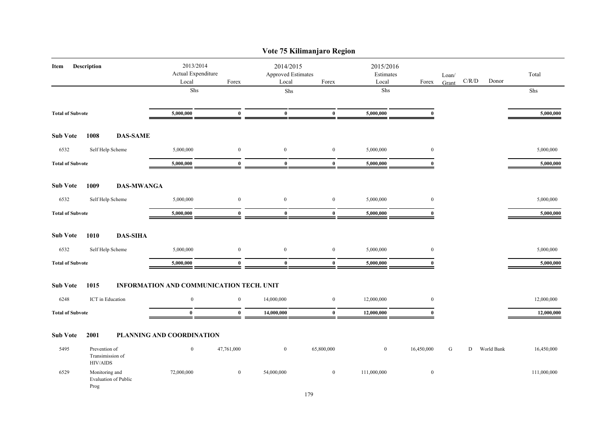|                         |                                                      |                                          |                           |                                          |                    | Vote 75 Kilimanjaro Region         |              |                                          |       |   |                |             |
|-------------------------|------------------------------------------------------|------------------------------------------|---------------------------|------------------------------------------|--------------------|------------------------------------|--------------|------------------------------------------|-------|---|----------------|-------------|
| Description<br>Item     |                                                      | 2013/2014<br>Actual Expenditure<br>Local |                           | Forex                                    | 2014/2015<br>Local | <b>Approved Estimates</b><br>Forex |              | 2015/2016<br>Estimates<br>Local<br>Forex |       |   | C/R/D<br>Donor | Total       |
|                         |                                                      |                                          | Shs                       |                                          | ${\rm Shs}$        |                                    | ${\rm Shs}$  |                                          | Grant |   |                | Shs         |
| <b>Total of Subvote</b> |                                                      | 5,000,000                                | $\bf{0}$                  | $\bf{0}$                                 | $\bf{0}$           | 5,000,000                          | $\mathbf{0}$ |                                          |       |   | 5,000,000      |             |
| <b>Sub Vote</b>         | 1008                                                 | <b>DAS-SAME</b>                          |                           |                                          |                    |                                    |              |                                          |       |   |                |             |
| 6532                    |                                                      | Self Help Scheme                         | 5,000,000                 | $\bf{0}$                                 | $\mathbf{0}$       | $\bf{0}$                           | 5,000,000    | $\mathbf{0}$                             |       |   |                | 5,000,000   |
| <b>Total of Subvote</b> |                                                      |                                          | 5,000,000                 | $\bf{0}$                                 | $\bf{0}$           | $\bf{0}$                           | 5,000,000    | $\Omega$                                 |       |   |                | 5,000,000   |
| <b>Sub Vote</b>         | 1009                                                 | <b>DAS-MWANGA</b>                        |                           |                                          |                    |                                    |              |                                          |       |   |                |             |
| 6532                    |                                                      | Self Help Scheme                         | 5,000,000                 | $\boldsymbol{0}$                         | $\bf{0}$           | $\bf{0}$                           | 5,000,000    | $\mathbf{0}$                             |       |   |                | 5,000,000   |
| <b>Total of Subvote</b> |                                                      | 5,000,000                                | $\bf{0}$                  | $\bf{0}$                                 | $\bf{0}$           | 5,000,000                          | $\mathbf{0}$ |                                          |       |   | 5,000,000      |             |
| <b>Sub Vote</b>         | 1010                                                 | <b>DAS-SIHA</b>                          |                           |                                          |                    |                                    |              |                                          |       |   |                |             |
| 6532                    |                                                      | Self Help Scheme                         | 5,000,000                 | $\bf{0}$                                 | $\bf{0}$           | $\bf{0}$                           | 5,000,000    | $\mathbf{0}$                             |       |   |                | 5,000,000   |
| <b>Total of Subvote</b> |                                                      |                                          | 5,000,000                 | $\bf{0}$                                 | $\bf{0}$           | $\bf{0}$                           | 5,000,000    | $\bf{0}$                                 |       |   |                | 5,000,000   |
| <b>Sub Vote</b>         | 1015                                                 |                                          |                           | INFORMATION AND COMMUNICATION TECH. UNIT |                    |                                    |              |                                          |       |   |                |             |
| 6248                    | ICT in Education                                     |                                          | $\mathbf{0}$              | $\mathbf{0}$                             | 14,000,000         | $\bf{0}$                           | 12,000,000   | $\mathbf{0}$                             |       |   |                | 12,000,000  |
| <b>Total of Subvote</b> |                                                      |                                          | $\bf{0}$                  | $\bf{0}$                                 | 14,000,000         | $\bf{0}$                           | 12,000,000   | $\mathbf{0}$                             |       |   |                | 12,000,000  |
| <b>Sub Vote</b>         | 2001                                                 |                                          | PLANNING AND COORDINATION |                                          |                    |                                    |              |                                          |       |   |                |             |
| 5495                    | Prevention of<br>Transimission of<br><b>HIV/AIDS</b> |                                          | $\bf{0}$                  | 47,761,000                               | $\boldsymbol{0}$   | 65,800,000                         | $\bf{0}$     | 16,450,000                               | G     | D | World Bank     | 16,450,000  |
| 6529                    | Monitoring and<br>Prog                               | <b>Evaluation of Public</b>              | 72,000,000                | $\bf{0}$                                 | 54,000,000         | $\bf{0}$                           | 111,000,000  | $\bf{0}$                                 |       |   |                | 111,000,000 |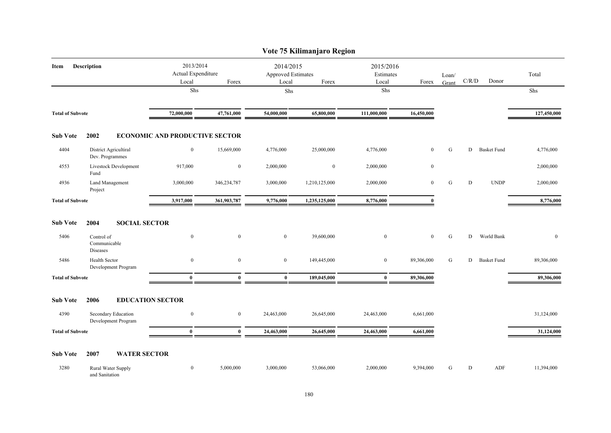|                         | Vote 75 Kilimanjaro Region                 |                                          |                  |                                                   |                  |                  |                                          |   |                                        |                    |              |  |  |  |
|-------------------------|--------------------------------------------|------------------------------------------|------------------|---------------------------------------------------|------------------|------------------|------------------------------------------|---|----------------------------------------|--------------------|--------------|--|--|--|
| Description<br>Item     |                                            | 2013/2014<br>Actual Expenditure<br>Local | Forex            | 2014/2015<br>Approved Estimates<br>Forex<br>Local |                  | Local            | 2015/2016<br>Estimates<br>Loan/<br>Forex |   | $\mathbf{C} / \mathbf{R} / \mathbf{D}$ | Donor              | Total        |  |  |  |
|                         |                                            | Shs                                      |                  |                                                   | Shs              |                  | Shs                                      |   |                                        |                    | Shs          |  |  |  |
| <b>Total of Subvote</b> |                                            | 72,000,000                               | 47,761,000       | 54,000,000                                        | 65,800,000       | 111,000,000      | 16,450,000                               |   |                                        |                    | 127,450,000  |  |  |  |
| <b>Sub Vote</b>         | 2002                                       | <b>ECONOMIC AND PRODUCTIVE SECTOR</b>    |                  |                                                   |                  |                  |                                          |   |                                        |                    |              |  |  |  |
| 4404                    | District Agricultiral<br>Dev. Programmes   | $\boldsymbol{0}$                         | 15,669,000       | 4,776,000                                         | 25,000,000       | 4,776,000        | $\mathbf{0}$                             | G | D                                      | <b>Basket Fund</b> | 4,776,000    |  |  |  |
| 4553                    | Livestock Development<br>Fund              | 917,000                                  | $\boldsymbol{0}$ | 2,000,000                                         | $\boldsymbol{0}$ | 2,000,000        | $\mathbf{0}$                             |   |                                        |                    | 2,000,000    |  |  |  |
| 4936                    | Land Management<br>Project                 | 3,000,000                                | 346,234,787      | 3,000,000                                         | 1,210,125,000    | 2,000,000        | $\mathbf{0}$                             | G | D                                      | <b>UNDP</b>        | 2,000,000    |  |  |  |
| <b>Total of Subvote</b> |                                            | 3,917,000                                | 361,903,787      | 9,776,000                                         | 1,235,125,000    | 8,776,000        | $\mathbf{0}$                             |   |                                        |                    | 8,776,000    |  |  |  |
| <b>Sub Vote</b>         | 2004                                       | <b>SOCIAL SECTOR</b>                     |                  |                                                   |                  |                  |                                          |   |                                        |                    |              |  |  |  |
| 5406                    | Control of<br>Communicable<br>Diseases     | $\boldsymbol{0}$                         | $\mathbf{0}$     | $\overline{0}$                                    | 39,600,000       | $\boldsymbol{0}$ | $\mathbf{0}$                             | G | D                                      | World Bank         | $\mathbf{0}$ |  |  |  |
| 5486                    | Health Sector<br>Development Program       | $\bf{0}$                                 | $\bf{0}$         | $\bf{0}$                                          | 149,445,000      | $\bf{0}$         | 89,306,000                               | G | D                                      | <b>Basket Fund</b> | 89,306,000   |  |  |  |
| <b>Total of Subvote</b> |                                            | $\bf{0}$                                 | $\bf{0}$         | $\bf{0}$                                          | 189,045,000      | $\bf{0}$         | 89,306,000                               |   |                                        |                    | 89,306,000   |  |  |  |
| <b>Sub Vote</b>         | 2006                                       | <b>EDUCATION SECTOR</b>                  |                  |                                                   |                  |                  |                                          |   |                                        |                    |              |  |  |  |
| 4390                    | Secondary Education<br>Development Program | $\bf{0}$                                 | $\overline{0}$   | 24,463,000                                        | 26,645,000       | 24,463,000       | 6,661,000                                |   |                                        |                    | 31,124,000   |  |  |  |
| <b>Total of Subvote</b> |                                            | $\mathbf{0}$                             | $\mathbf{0}$     | 24,463,000                                        | 26,645,000       | 24,463,000       | 6,661,000                                |   |                                        |                    | 31,124,000   |  |  |  |
| <b>Sub Vote</b>         | 2007                                       | <b>WATER SECTOR</b>                      |                  |                                                   |                  |                  |                                          |   |                                        |                    |              |  |  |  |
| 3280                    | Rural Water Supply<br>and Sanitation       | $\bf{0}$                                 | 5,000,000        | 3,000,000                                         | 53,066,000       | 2,000,000        | 9,394,000                                | G | D                                      | <b>ADF</b>         | 11,394,000   |  |  |  |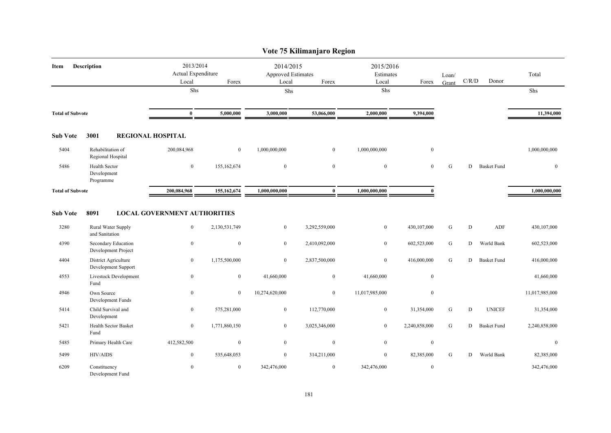|                         |                                              |                                                         |               |                                                   | Vote 75 Kilimanjaro Region |                                          |                  |                |           |                    |                |
|-------------------------|----------------------------------------------|---------------------------------------------------------|---------------|---------------------------------------------------|----------------------------|------------------------------------------|------------------|----------------|-----------|--------------------|----------------|
| Item                    | <b>Description</b>                           | 2013/2014<br>Actual Expenditure<br>Forex<br>Local       |               | 2014/2015<br>Approved Estimates<br>Forex<br>Local |                            | 2015/2016<br>Estimates<br>Local<br>Forex |                  | Loan/<br>Grant | C/R/D     | Donor              | Total          |
|                         |                                              | Shs                                                     |               | Shs                                               |                            | Shs                                      |                  |                |           |                    | Shs            |
| <b>Total of Subvote</b> |                                              | $\bf{0}$                                                | 5,000,000     | 3,000,000                                         | 53,066,000                 | 2,000,000                                | 9,394,000        |                |           |                    | 11,394,000     |
| <b>Sub Vote</b>         | 3001                                         | <b>REGIONAL HOSPITAL</b>                                |               |                                                   |                            |                                          |                  |                |           |                    |                |
| 5404                    | Rehabilitation of<br>Regional Hospital       | 200,084,968                                             | $\mathbf{0}$  | 1,000,000,000                                     | $\overline{0}$             | 1,000,000,000                            | $\mathbf{0}$     |                |           |                    | 1,000,000,000  |
| 5486                    | Health Sector<br>Development<br>Programme    | $\mathbf{0}$                                            | 155, 162, 674 | $\mathbf{0}$                                      | $\boldsymbol{0}$           | $\boldsymbol{0}$                         | $\mathbf{0}$     | ${\bf G}$      | D         | <b>Basket Fund</b> | $\mathbf{0}$   |
| <b>Total of Subvote</b> |                                              | 200,084,968                                             | 155,162,674   | 1,000,000,000                                     | $\bf{0}$                   | 1,000,000,000                            | $\mathbf{0}$     |                |           |                    | 1,000,000,000  |
| <b>Sub Vote</b><br>3280 | 8091<br>Rural Water Supply<br>and Sanitation | <b>LOCAL GOVERNMENT AUTHORITIES</b><br>$\boldsymbol{0}$ | 2,130,531,749 | $\overline{0}$                                    | 3,292,559,000              | $\boldsymbol{0}$                         | 430,107,000      | ${\bf G}$      | ${\rm D}$ | ADF                | 430,107,000    |
| 4390                    | Secondary Education<br>Development Project   | $\bf{0}$                                                | $\mathbf{0}$  | $\mathbf{0}$                                      | 2,410,092,000              | $\mathbf{0}$                             | 602,523,000      | ${\bf G}$      | D         | World Bank         | 602,523,000    |
| 4404                    | District Agriculture<br>Development Support  | $\mathbf{0}$                                            | 1,175,500,000 | $\bf{0}$                                          | 2,837,500,000              | $\bf{0}$                                 | 416,000,000      | ${\bf G}$      | D         | <b>Basket Fund</b> | 416,000,000    |
| 4553                    | Livestock Development<br>Fund                | $\boldsymbol{0}$                                        | $\mathbf{0}$  | 41,660,000                                        | $\overline{0}$             | 41,660,000                               | $\mathbf{0}$     |                |           |                    | 41,660,000     |
| 4946                    | Own Source<br>Development Funds              | $\boldsymbol{0}$                                        | $\mathbf{0}$  | 10,274,620,000                                    | $\overline{0}$             | 11,017,985,000                           | $\boldsymbol{0}$ |                |           |                    | 11,017,985,000 |
| 5414                    | Child Survival and<br>Development            | $\overline{0}$                                          | 575,281,000   | $\mathbf{0}$                                      | 112,770,000                | $\mathbf{0}$                             | 31,354,000       | ${\bf G}$      | D         | <b>UNICEF</b>      | 31,354,000     |
| 5421                    | Health Sector Basket<br>Fund                 | $\boldsymbol{0}$                                        | 1,771,860,150 | $\overline{0}$                                    | 3,025,346,000              | $\mathbf{0}$                             | 2,240,858,000    | G              | D         | <b>Basket Fund</b> | 2,240,858,000  |
| 5485                    | Primary Health Care                          | 412,582,500                                             | $\mathbf{0}$  | $\mathbf{0}$                                      | $\boldsymbol{0}$           | $\boldsymbol{0}$                         | $\mathbf{0}$     |                |           |                    | $\mathbf{0}$   |
| 5499                    | <b>HIV/AIDS</b>                              | $\bf{0}$                                                | 535,648,053   | $\overline{0}$                                    | 314,211,000                | $\mathbf{0}$                             | 82,385,000       | G              | D         | World Bank         | 82,385,000     |
| 6209                    | Constituency<br>Development Fund             | $\mathbf{0}$                                            | $\mathbf{0}$  | 342,476,000                                       | $\bf{0}$                   | 342,476,000                              | $\mathbf{0}$     |                |           |                    | 342,476,000    |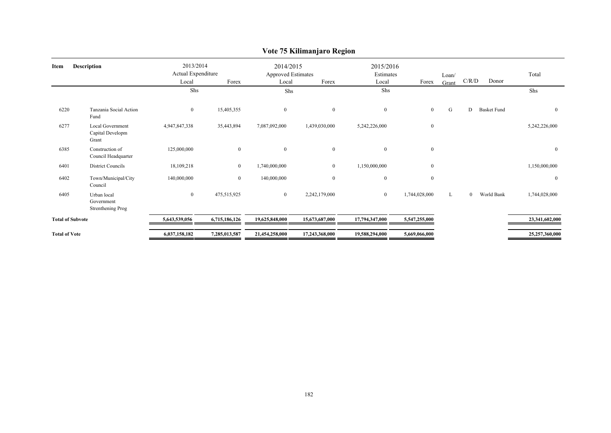|                            |                                                      |                                                   |                |                                                          | $\mathbf{\sigma}$ |                                 |                |                |          |                    |                  |
|----------------------------|------------------------------------------------------|---------------------------------------------------|----------------|----------------------------------------------------------|-------------------|---------------------------------|----------------|----------------|----------|--------------------|------------------|
| <b>Description</b><br>Item |                                                      | 2013/2014<br>Actual Expenditure<br>Local<br>Forex |                | 2014/2015<br><b>Approved Estimates</b><br>Forex<br>Local |                   | 2015/2016<br>Estimates<br>Local | Forex          | Loan/<br>Grant | C/R/D    | Donor              | Total            |
|                            |                                                      | Shs                                               |                | Shs                                                      |                   | Shs                             |                |                |          |                    | Shs              |
| 6220                       | Tanzania Social Action<br>Fund                       | $\overline{0}$                                    | 15,405,355     | $\bf{0}$                                                 | $\mathbf{0}$      | $\mathbf{0}$                    | $\overline{0}$ | G              | D        | <b>Basket Fund</b> | $\mathbf{0}$     |
| 6277                       | <b>Local Government</b><br>Capital Developm<br>Grant | 4,947,847,338                                     | 35,443,894     | 7,087,092,000                                            | 1,439,030,000     | 5,242,226,000                   | $\bf{0}$       |                |          |                    | 5,242,226,000    |
| 6385                       | Construction of<br>Council Headquarter               | 125,000,000                                       | $\mathbf{0}$   | $\bf{0}$                                                 | $\mathbf{0}$      | $\mathbf{0}$                    | $\bf{0}$       |                |          |                    | $\boldsymbol{0}$ |
| 6401                       | <b>District Councils</b>                             | 18,109,218                                        | $\overline{0}$ | 1,740,000,000                                            | $\overline{0}$    | 1,150,000,000                   | $\overline{0}$ |                |          |                    | 1,150,000,000    |
| 6402                       | Town/Municipal/City<br>Council                       | 140,000,000                                       | $\overline{0}$ | 140,000,000                                              | $\mathbf{0}$      | $\boldsymbol{0}$                | $\bf{0}$       |                |          |                    | $\mathbf{0}$     |
| 6405                       | Urban local<br>Government<br>Strenthening Prog       | $\overline{0}$                                    | 475,515,925    | $\boldsymbol{0}$                                         | 2,242,179,000     | $\mathbf{0}$                    | 1,744,028,000  | L              | $\theta$ | World Bank         | 1,744,028,000    |
| <b>Total of Subvote</b>    |                                                      | 5,643,539,056                                     | 6,715,186,126  | 19,625,848,000                                           | 15,673,687,000    | 17,794,347,000                  | 5,547,255,000  |                |          |                    | 23,341,602,000   |
| <b>Total of Vote</b>       |                                                      | 6,037,158,182                                     | 7,285,013,587  | 21,454,258,000                                           | 17,243,368,000    | 19,588,294,000                  | 5,669,066,000  |                |          |                    | 25,257,360,000   |

# **Vote 75 Kilimanjaro Region**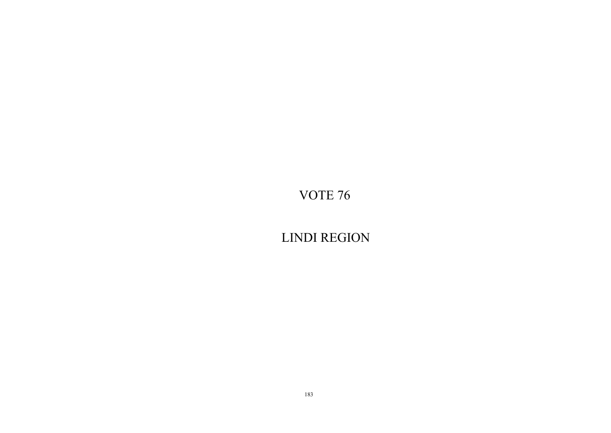LINDI REGION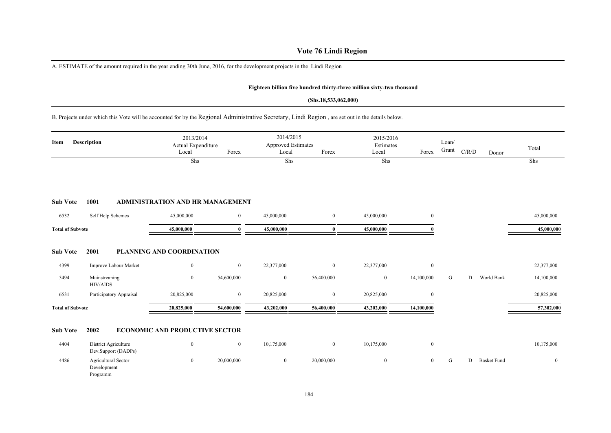# **Vote 76 Lindi Region**

A. ESTIMATE of the amount required in the year ending 30th June, 2016, for the development projects in the Lindi Region

#### **Eighteen billion five hundred thirty-three million sixty-two thousand**

#### **(Shs.18,533,062,000)**

B. Projects under which this Vote will be accounted for by the Regional Administrative Secretary, Lindi Region , are set out in the details below.

| Item                    | <b>Description</b>                             | 2013/2014<br>Actual Expenditure<br>Local<br>Shs | Forex            | 2014/2015<br>Approved Estimates<br>Local<br>Shs | Forex            | 2015/2016<br>Estimates<br>Local<br>Shs | Forex          | Loan/<br>Grant | C/R/D | Donor              | Total<br>Shs |
|-------------------------|------------------------------------------------|-------------------------------------------------|------------------|-------------------------------------------------|------------------|----------------------------------------|----------------|----------------|-------|--------------------|--------------|
| <b>Sub Vote</b>         | 1001                                           | <b>ADMINISTRATION AND HR MANAGEMENT</b>         |                  |                                                 |                  |                                        |                |                |       |                    |              |
| 6532                    | Self Help Schemes                              | 45,000,000                                      | $\boldsymbol{0}$ | 45,000,000                                      | $\bf{0}$         | 45,000,000                             | $\overline{0}$ |                |       |                    | 45,000,000   |
| <b>Total of Subvote</b> |                                                | 45,000,000                                      | $\mathbf{0}$     | 45,000,000                                      | $\bf{0}$         | 45,000,000                             |                |                |       |                    | 45,000,000   |
| <b>Sub Vote</b>         | 2001                                           | PLANNING AND COORDINATION                       |                  |                                                 |                  |                                        |                |                |       |                    |              |
| 4399                    | Improve Labour Market                          | $\mathbf{0}$                                    | $\bf{0}$         | 22,377,000                                      | $\bf{0}$         | 22,377,000                             | $\overline{0}$ |                |       |                    | 22,377,000   |
| 5494                    | Mainstreaning<br>HIV/AIDS                      | $\mathbf{0}$                                    | 54,600,000       | $\boldsymbol{0}$                                | 56,400,000       | $\boldsymbol{0}$                       | 14,100,000     | G              | D     | World Bank         | 14,100,000   |
| 6531                    | Participatory Appraisal                        | 20,825,000                                      | $\bf{0}$         | 20,825,000                                      | $\mathbf{0}$     | 20,825,000                             | $\overline{0}$ |                |       |                    | 20,825,000   |
| <b>Total of Subvote</b> |                                                | 20,825,000                                      | 54,600,000       | 43,202,000                                      | 56,400,000       | 43,202,000                             | 14,100,000     |                |       |                    | 57,302,000   |
| <b>Sub Vote</b>         | 2002                                           | <b>ECONOMIC AND PRODUCTIVE SECTOR</b>           |                  |                                                 |                  |                                        |                |                |       |                    |              |
| 4404                    | District Agriculture<br>Dev.Support (DADPs)    | $\mathbf{0}$                                    | $\bf{0}$         | 10,175,000                                      | $\boldsymbol{0}$ | 10,175,000                             | $\overline{0}$ |                |       |                    | 10,175,000   |
| 4486                    | Agricultural Sector<br>Development<br>Programm | $\mathbf{0}$                                    | 20,000,000       | $\bf{0}$                                        | 20,000,000       | $\mathbf{0}$                           | $\overline{0}$ | G              | D     | <b>Basket Fund</b> | $\mathbf{0}$ |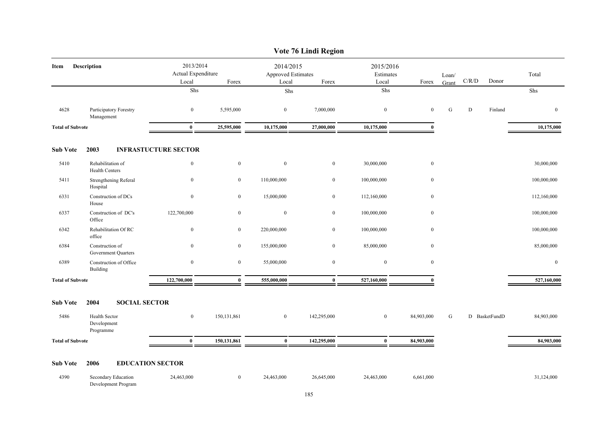|                         |                                                  |                             |                                                   |                  | Vote 76 Lindi Region                                     |                  |                  |                |               |         |              |
|-------------------------|--------------------------------------------------|-----------------------------|---------------------------------------------------|------------------|----------------------------------------------------------|------------------|------------------|----------------|---------------|---------|--------------|
| Item                    | <b>Description</b>                               |                             | 2013/2014<br>Actual Expenditure<br>Forex<br>Local |                  | 2014/2015<br><b>Approved Estimates</b><br>Forex<br>Local |                  | Forex            | Loan/<br>Grant | C/R/D         | Donor   | Total        |
|                         |                                                  | Shs                         |                                                   | Shs              |                                                          | Local<br>Shs     |                  |                |               |         | Shs          |
|                         |                                                  |                             |                                                   |                  |                                                          |                  |                  |                |               |         |              |
| 4628                    | Participatory Forestry<br>Management             | $\boldsymbol{0}$            | 5,595,000                                         | $\bf{0}$         | 7,000,000                                                | $\boldsymbol{0}$ | $\mathbf{0}$     | ${\bf G}$      | ${\bf D}$     | Finland | $\mathbf{0}$ |
| <b>Total of Subvote</b> |                                                  | $\bf{0}$                    | 25,595,000                                        | 10,175,000       | 27,000,000                                               | 10,175,000       | $\mathbf{0}$     |                |               |         | 10,175,000   |
| <b>Sub Vote</b>         | 2003                                             | <b>INFRASTUCTURE SECTOR</b> |                                                   |                  |                                                          |                  |                  |                |               |         |              |
| 5410                    | Rehabilitation of<br><b>Health Centers</b>       | $\boldsymbol{0}$            | $\bf{0}$                                          | $\boldsymbol{0}$ | $\boldsymbol{0}$                                         | 30,000,000       | $\boldsymbol{0}$ |                |               |         | 30,000,000   |
| 5411                    | Strengthening Referal<br>Hospital                | $\mathbf{0}$                | $\boldsymbol{0}$                                  | 110,000,000      | $\overline{0}$                                           | 100,000,000      | $\mathbf{0}$     |                |               |         | 100,000,000  |
| 6331                    | Construction of DCs<br>House                     | $\boldsymbol{0}$            | $\boldsymbol{0}$                                  | 15,000,000       | $\boldsymbol{0}$                                         | 112,160,000      | $\mathbf{0}$     |                |               |         | 112,160,000  |
| 6337                    | Construction of DC's<br>Office                   | 122,700,000                 | $\boldsymbol{0}$                                  | $\mathbf{0}$     | $\overline{0}$                                           | 100,000,000      | $\bf{0}$         |                |               |         | 100,000,000  |
| 6342                    | Rehabilitation Of RC<br>office                   | $\mathbf{0}$                | $\overline{0}$                                    | 220,000,000      | $\overline{0}$                                           | 100,000,000      | $\bf{0}$         |                |               |         | 100,000,000  |
| 6384                    | Construction of<br>Government Quarters           | $\mathbf{0}$                | $\mathbf{0}$                                      | 155,000,000      | $\overline{0}$                                           | 85,000,000       | $\mathbf{0}$     |                |               |         | 85,000,000   |
| 6389                    | Construction of Office<br>Building               | $\bf{0}$                    | $\bf{0}$                                          | 55,000,000       | $\bf{0}$                                                 | $\bf{0}$         | $\bf{0}$         |                |               |         | $\bf{0}$     |
| <b>Total of Subvote</b> |                                                  | 122,700,000                 | $\bf{0}$                                          | 555,000,000      | $\bf{0}$                                                 | 527,160,000      | $\theta$         |                |               |         | 527,160,000  |
| <b>Sub Vote</b>         | 2004<br><b>SOCIAL SECTOR</b>                     |                             |                                                   |                  |                                                          |                  |                  |                |               |         |              |
| 5486                    | <b>Health Sector</b><br>Development<br>Programme | $\bf{0}$                    | 150, 131, 861                                     | $\boldsymbol{0}$ | 142,295,000                                              | $\boldsymbol{0}$ | 84,903,000       | G              | D BasketFundD |         | 84,903,000   |
| <b>Total of Subvote</b> |                                                  | $\bf{0}$                    | 150,131,861                                       | $\bf{0}$         | 142,295,000                                              | $\bf{0}$         | 84,903,000       |                |               |         | 84,903,000   |
| <b>Sub Vote</b>         | 2006                                             | <b>EDUCATION SECTOR</b>     |                                                   |                  |                                                          |                  |                  |                |               |         |              |
| 4390                    | Secondary Education<br>Development Program       | 24,463,000                  | $\overline{0}$                                    | 24,463,000       | 26,645,000                                               | 24,463,000       | 6,661,000        |                |               |         | 31,124,000   |

### **Vote 76 Lindi Region**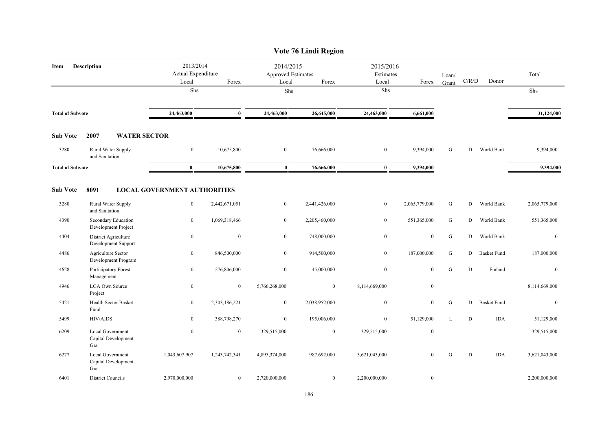|                         |                                                |                                     |                                          |                | Vote 76 Lindi Region                              |                  |                                 |                |           |                    |               |
|-------------------------|------------------------------------------------|-------------------------------------|------------------------------------------|----------------|---------------------------------------------------|------------------|---------------------------------|----------------|-----------|--------------------|---------------|
| Description<br>Item     |                                                | Local                               | 2013/2014<br>Actual Expenditure<br>Forex |                | 2014/2015<br>Approved Estimates<br>Local<br>Forex |                  | 2015/2016<br>Estimates<br>Forex | Loan/<br>Grant | C/R/D     | Donor              | Total         |
|                         |                                                | Shs                                 |                                          | ${\rm Shs}$    |                                                   | Shs              |                                 |                |           |                    | Shs           |
| <b>Total of Subvote</b> |                                                | 24,463,000                          | $\mathbf{0}$                             | 24,463,000     | 26,645,000                                        | 24,463,000       | 6,661,000                       |                |           |                    | 31,124,000    |
| <b>Sub Vote</b>         | 2007                                           | <b>WATER SECTOR</b>                 |                                          |                |                                                   |                  |                                 |                |           |                    |               |
| 3280                    | Rural Water Supply<br>and Sanitation           | $\bf{0}$                            | 10,675,800                               | $\bf{0}$       | 76,666,000                                        | $\bf{0}$         | 9,394,000                       | G              | D         | World Bank         | 9,394,000     |
| <b>Total of Subvote</b> |                                                | $\bf{0}$                            | 10,675,800                               | $\mathbf{0}$   | 76,666,000                                        | $\mathbf{0}$     | 9,394,000                       |                |           |                    | 9,394,000     |
| <b>Sub Vote</b>         | 8091                                           | <b>LOCAL GOVERNMENT AUTHORITIES</b> |                                          |                |                                                   |                  |                                 |                |           |                    |               |
| 3280                    | Rural Water Supply<br>and Sanitation           | $\bf{0}$                            | 2,442,671,051                            | $\overline{0}$ | 2,441,426,000                                     | $\bf{0}$         | 2,065,779,000                   | G              | D         | World Bank         | 2,065,779,000 |
| 4390                    | Secondary Education<br>Development Project     | $\boldsymbol{0}$                    | 1,069,318,466                            | $\overline{0}$ | 2,205,460,000                                     | $\mathbf{0}$     | 551,365,000                     | ${\bf G}$      | D         | World Bank         | 551,365,000   |
| 4404                    | District Agriculture<br>Development Support    | $\bf{0}$                            | $\boldsymbol{0}$                         | $\overline{0}$ | 748,000,000                                       | $\boldsymbol{0}$ | $\boldsymbol{0}$                | ${\bf G}$      | D         | World Bank         | $\bf{0}$      |
| 4486                    | Agriculture Sector<br>Development Program      | $\mathbf{0}$                        | 846,500,000                              | $\overline{0}$ | 914,500,000                                       | $\mathbf{0}$     | 187,000,000                     | G              | D         | <b>Basket Fund</b> | 187,000,000   |
| 4628                    | Participatory Forest<br>Management             | $\bf{0}$                            | 276,806,000                              | $\overline{0}$ | 45,000,000                                        | $\boldsymbol{0}$ | $\boldsymbol{0}$                | ${\bf G}$      | D         | Finland            | $\mathbf{0}$  |
| 4946                    | <b>LGA Own Source</b><br>Project               | $\bf{0}$                            | $\mathbf{0}$                             | 5,766,268,000  | $\overline{0}$                                    | 8,114,669,000    | $\bf{0}$                        |                |           |                    | 8,114,669,000 |
| 5421                    | Health Sector Basket<br>Fund                   | $\bf{0}$                            | 2,303,186,221                            | $\overline{0}$ | 2,038,952,000                                     | $\boldsymbol{0}$ | $\mathbf{0}$                    | ${\bf G}$      | D         | <b>Basket Fund</b> | $\mathbf{0}$  |
| 5499                    | <b>HIV/AIDS</b>                                | $\boldsymbol{0}$                    | 388,798,270                              | $\overline{0}$ | 195,006,000                                       | $\boldsymbol{0}$ | 51,129,000                      | L              | ${\rm D}$ | <b>IDA</b>         | 51,129,000    |
| 6209                    | Local Government<br>Capital Development<br>Gra | $\bf{0}$                            | $\mathbf{0}$                             | 329,515,000    | $\boldsymbol{0}$                                  | 329,515,000      | $\bf{0}$                        |                |           |                    | 329,515,000   |
| 6277                    | Local Government<br>Capital Development<br>Gra | 1,043,607,907                       | 1,243,742,341                            | 4,895,374,000  | 987,692,000                                       | 3,621,043,000    | $\mathbf{0}$                    | $\mathbf G$    | D         | <b>IDA</b>         | 3,621,043,000 |
| 6401                    | <b>District Councils</b>                       | 2,970,000,000                       | $\mathbf{0}$                             | 2,720,000,000  | $\overline{0}$                                    | 2,200,000,000    | $\boldsymbol{0}$                |                |           |                    | 2,200,000,000 |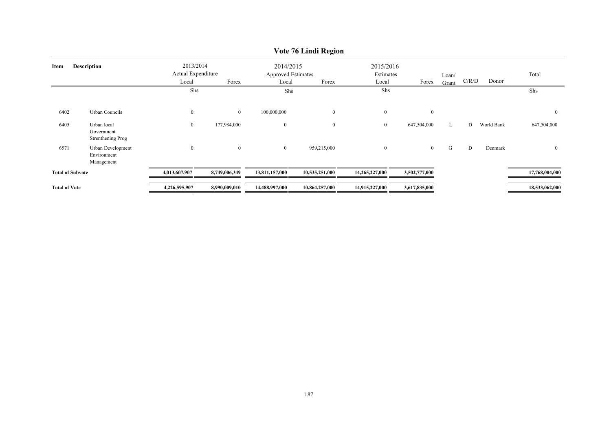|                            | $\overline{v}$ on $\overline{v}$ cannot increase |                                                   |               |                                        |                |                        |                |       |       |            |                |  |  |  |
|----------------------------|--------------------------------------------------|---------------------------------------------------|---------------|----------------------------------------|----------------|------------------------|----------------|-------|-------|------------|----------------|--|--|--|
| <b>Description</b><br>Item |                                                  | 2013/2014<br>Actual Expenditure<br>Local<br>Forex |               | 2014/2015<br><b>Approved Estimates</b> |                | 2015/2016<br>Estimates |                | Loan/ |       |            | Total          |  |  |  |
|                            |                                                  |                                                   |               | Local                                  | Forex          | Local                  | Forex          | Grant | C/R/D | Donor      |                |  |  |  |
|                            |                                                  | Shs                                               |               | Shs                                    |                | Shs                    |                |       |       |            | Shs            |  |  |  |
| 6402                       | Urban Councils                                   | $\boldsymbol{0}$                                  | $\mathbf{0}$  | 100,000,000                            | $\overline{0}$ | $\mathbf{0}$           | $\mathbf{0}$   |       |       |            | $\overline{0}$ |  |  |  |
| 6405                       | Urban local<br>Government<br>Strenthening Prog   | $\boldsymbol{0}$                                  | 177,984,000   | $\bf{0}$                               | $\overline{0}$ | $\mathbf{0}$           | 647,504,000    | L     | D     | World Bank | 647,504,000    |  |  |  |
| 6571                       | Urban Development<br>Environment<br>Management   | $\boldsymbol{0}$                                  | $\bf{0}$      | $\overline{0}$                         | 959,215,000    | $\overline{0}$         | $\overline{0}$ | G     | D     | Denmark    | $\overline{0}$ |  |  |  |
| <b>Total of Subvote</b>    |                                                  | 4,013,607,907                                     | 8,749,006,349 | 13,811,157,000                         | 10,535,251,000 | 14,265,227,000         | 3,502,777,000  |       |       |            | 17,768,004,000 |  |  |  |
| <b>Total of Vote</b>       |                                                  | 4,226,595,907                                     | 8,990,009,010 | 14,488,997,000                         | 10,864,257,000 | 14,915,227,000         | 3,617,835,000  |       |       |            | 18,533,062,000 |  |  |  |

# **Vote 76 Lindi Region**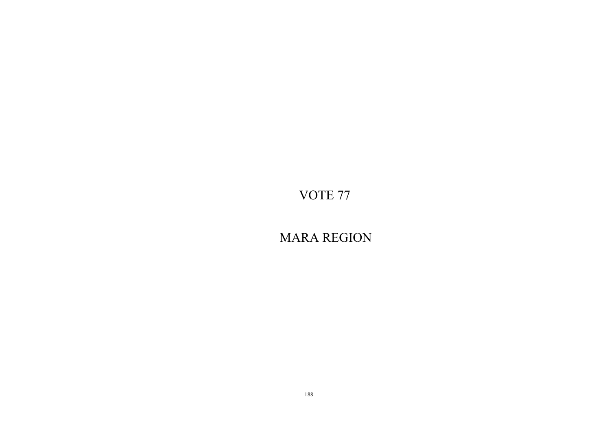MARA REGION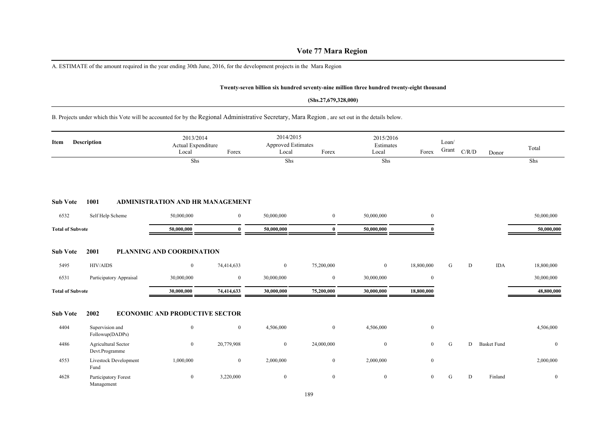# **Vote 77 Mara Region**

A. ESTIMATE of the amount required in the year ending 30th June, 2016, for the development projects in the Mara Region

#### **Twenty-seven billion six hundred seventy-nine million three hundred twenty-eight thousand**

#### **(Shs.27,679,328,000)**

B. Projects under which this Vote will be accounted for by the Regional Administrative Secretary, Mara Region , are set out in the details below.

| Description<br>Item     |                                       | 2013/2014<br>Actual Expenditure<br>Local | Forex          | 2014/2015<br>Approved Estimates<br>Local | Forex            | 2015/2016<br>Estimates<br>Local | Forex          | Loan/<br>Grant | C/R/D | Donor              | Total          |
|-------------------------|---------------------------------------|------------------------------------------|----------------|------------------------------------------|------------------|---------------------------------|----------------|----------------|-------|--------------------|----------------|
|                         |                                       | Shs                                      |                | Shs                                      |                  | Shs                             |                |                |       |                    | Shs            |
| <b>Sub Vote</b>         | 1001                                  | ADMINISTRATION AND HR MANAGEMENT         |                |                                          |                  |                                 |                |                |       |                    |                |
| 6532                    | Self Help Scheme                      | 50,000,000                               | $\mathbf{0}$   | 50,000,000                               | $\mathbf{0}$     | 50,000,000                      | $\overline{0}$ |                |       |                    | 50,000,000     |
| <b>Total of Subvote</b> |                                       | 50,000,000                               | 0              | 50,000,000                               | $\mathbf{0}$     | 50,000,000                      |                |                |       |                    | 50,000,000     |
| <b>Sub Vote</b>         | 2001                                  | PLANNING AND COORDINATION                |                |                                          |                  |                                 |                |                |       |                    |                |
| 5495                    | <b>HIV/AIDS</b>                       | $\bf{0}$                                 | 74,414,633     | $\mathbf{0}$                             | 75,200,000       | $\mathbf{0}$                    | 18,800,000     | G              | D     | <b>IDA</b>         | 18,800,000     |
| 6531                    | Participatory Appraisal               | 30,000,000                               | $\bf{0}$       | 30,000,000                               | $\boldsymbol{0}$ | 30,000,000                      | $\bf{0}$       |                |       |                    | 30,000,000     |
| <b>Total of Subvote</b> |                                       | 30,000,000                               | 74,414,633     | 30,000,000                               | 75,200,000       | 30,000,000                      | 18,800,000     |                |       |                    | 48,800,000     |
| <b>Sub Vote</b>         | 2002                                  | <b>ECONOMIC AND PRODUCTIVE SECTOR</b>    |                |                                          |                  |                                 |                |                |       |                    |                |
| 4404                    | Supervision and<br>Followup(DADPs)    | $\mathbf{0}$                             | $\overline{0}$ | 4,506,000                                | $\mathbf{0}$     | 4,506,000                       | $\overline{0}$ |                |       |                    | 4,506,000      |
| 4486                    | Agricultural Sector<br>Devt.Programme | $\bf{0}$                                 | 20,779,908     | $\mathbf{0}$                             | 24,000,000       | $\bf{0}$                        | $\overline{0}$ | G              | D     | <b>Basket Fund</b> | $\mathbf{0}$   |
| 4553                    | Livestock Development<br>Fund         | 1,000,000                                | $\bf{0}$       | 2,000,000                                | $\mathbf{0}$     | 2,000,000                       | $\overline{0}$ |                |       |                    | 2,000,000      |
| 4628                    | Participatory Forest<br>Management    | $\bf{0}$                                 | 3,220,000      | $\mathbf{0}$                             | $\overline{0}$   | $\mathbf{0}$                    | $\overline{0}$ | G              | D     | Finland            | $\overline{0}$ |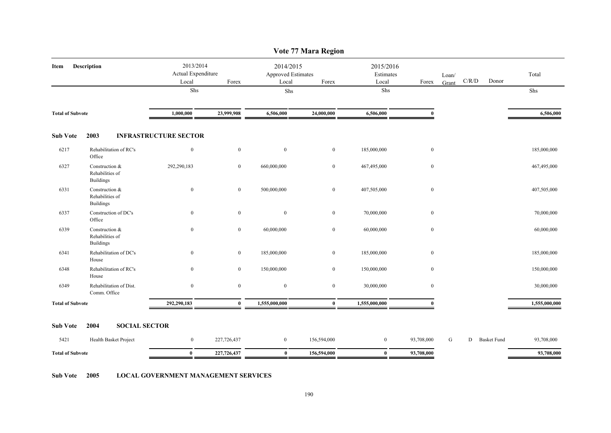|                         | Vote 77 Mara Region                                   |                                          |                |                                                 |                |                                 |              |                |                         |               |  |  |  |  |
|-------------------------|-------------------------------------------------------|------------------------------------------|----------------|-------------------------------------------------|----------------|---------------------------------|--------------|----------------|-------------------------|---------------|--|--|--|--|
| Item                    | Description                                           | 2013/2014<br>Actual Expenditure<br>Local | Forex          | 2014/2015<br><b>Approved Estimates</b><br>Local | Forex          | 2015/2016<br>Estimates<br>Local | Forex        | Loan/<br>Grant | C/R/D<br>Donor          | Total         |  |  |  |  |
|                         |                                                       | ${\rm Shs}$                              |                | Shs                                             |                | Shs                             |              |                |                         | Shs           |  |  |  |  |
| <b>Total of Subvote</b> |                                                       | 1,000,000                                | 23,999,908     | 6,506,000                                       | 24,000,000     | 6,506,000                       | $\mathbf{0}$ |                |                         | 6,506,000     |  |  |  |  |
| <b>Sub Vote</b>         | 2003                                                  | <b>INFRASTRUCTURE SECTOR</b>             |                |                                                 |                |                                 |              |                |                         |               |  |  |  |  |
| 6217                    | Rehabilitation of RC's<br>Office                      | $\mathbf{0}$                             | $\mathbf{0}$   | $\bf{0}$                                        | $\overline{0}$ | 185,000,000                     | $\mathbf{0}$ |                |                         | 185,000,000   |  |  |  |  |
| 6327                    | Construction &<br>Rehabilities of<br><b>Buildings</b> | 292,290,183                              | $\overline{0}$ | 660,000,000                                     | $\overline{0}$ | 467,495,000                     | $\bf{0}$     |                |                         | 467,495,000   |  |  |  |  |
| 6331                    | Construction &<br>Rehabilities of<br><b>Buildings</b> | $\boldsymbol{0}$                         | $\mathbf{0}$   | 500,000,000                                     | $\overline{0}$ | 407,505,000                     | $\mathbf{0}$ |                |                         | 407,505,000   |  |  |  |  |
| 6337                    | Construction of DC's<br>Office                        | $\overline{0}$                           | $\mathbf{0}$   | $\bf{0}$                                        | $\overline{0}$ | 70,000,000                      | $\bf{0}$     |                |                         | 70,000,000    |  |  |  |  |
| 6339                    | Construction &<br>Rehabilities of<br><b>Buildings</b> | $\overline{0}$                           | $\mathbf{0}$   | 60,000,000                                      | $\overline{0}$ | 60,000,000                      | $\mathbf{0}$ |                |                         | 60,000,000    |  |  |  |  |
| 6341                    | Rehabilitation of DC's<br>House                       | $\overline{0}$                           | $\mathbf{0}$   | 185,000,000                                     | $\overline{0}$ | 185,000,000                     | $\mathbf{0}$ |                |                         | 185,000,000   |  |  |  |  |
| 6348                    | Rehabilitation of RC's<br>House                       | $\overline{0}$                           | $\overline{0}$ | 150,000,000                                     | $\overline{0}$ | 150,000,000                     | $\mathbf{0}$ |                |                         | 150,000,000   |  |  |  |  |
| 6349                    | Rehabilitation of Dist.<br>Comm. Office               | $\mathbf{0}$                             | $\mathbf{0}$   | $\boldsymbol{0}$                                | $\mathbf{0}$   | 30,000,000                      | $\mathbf{0}$ |                |                         | 30,000,000    |  |  |  |  |
| <b>Total of Subvote</b> |                                                       | 292,290,183                              | $\mathbf{0}$   | 1,555,000,000                                   | $\bf{0}$       | 1,555,000,000                   |              |                |                         | 1,555,000,000 |  |  |  |  |
| <b>Sub Vote</b>         | 2004<br><b>SOCIAL SECTOR</b>                          |                                          |                |                                                 |                |                                 |              |                |                         |               |  |  |  |  |
| 5421                    | Health Basket Project                                 | $\overline{0}$                           | 227,726,437    | $\overline{0}$                                  | 156,594,000    | $\overline{0}$                  | 93,708,000   | G              | <b>Basket Fund</b><br>D | 93,708,000    |  |  |  |  |
| <b>Total of Subvote</b> |                                                       | $\bf{0}$                                 | 227,726,437    | $\bf{0}$                                        | 156,594,000    | $\bf{0}$                        | 93,708,000   |                |                         | 93,708,000    |  |  |  |  |

**Sub Vote 2005 LOCAL GOVERNMENT MANAGEMENT SERVICES**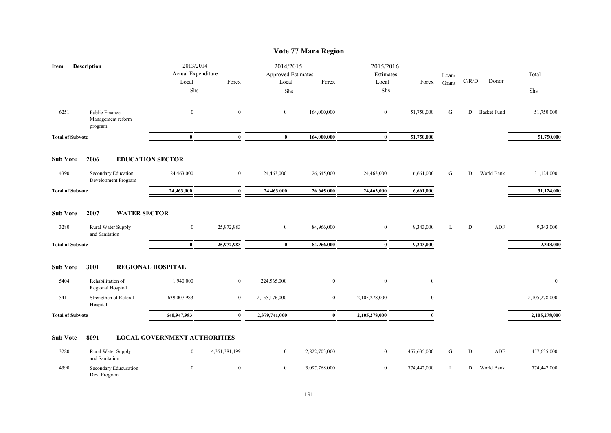|                         |                                                |                                          |                  |                                                 | Vote 77 Mara Region |                                 |                  |                |           |                    |               |
|-------------------------|------------------------------------------------|------------------------------------------|------------------|-------------------------------------------------|---------------------|---------------------------------|------------------|----------------|-----------|--------------------|---------------|
| Item                    | Description                                    | 2013/2014<br>Actual Expenditure<br>Local | Forex            | 2014/2015<br><b>Approved Estimates</b><br>Local | Forex               | 2015/2016<br>Estimates<br>Local | Forex            | Loan/<br>Grant | C/R/D     | Donor              | Total         |
|                         |                                                | Shs                                      |                  | Shs                                             |                     | Shs                             |                  |                |           |                    | Shs           |
| 6251                    | Public Finance<br>Management reform<br>program | $\boldsymbol{0}$                         | $\mathbf{0}$     | $\bf{0}$                                        | 164,000,000         | $\mathbf{0}$                    | 51,750,000       | G              | D         | <b>Basket Fund</b> | 51,750,000    |
| <b>Total of Subvote</b> |                                                | $\bf{0}$                                 | $\bf{0}$         | $\bf{0}$                                        | 164,000,000         | $\bf{0}$                        | 51,750,000       |                |           |                    | 51,750,000    |
| <b>Sub Vote</b>         | 2006                                           | <b>EDUCATION SECTOR</b>                  |                  |                                                 |                     |                                 |                  |                |           |                    |               |
| 4390                    | Secondary Education<br>Development Program     | 24,463,000                               | $\boldsymbol{0}$ | 24,463,000                                      | 26,645,000          | 24,463,000                      | 6,661,000        | G              | D         | World Bank         | 31,124,000    |
| <b>Total of Subvote</b> |                                                | 24,463,000                               | $\bf{0}$         | 24,463,000                                      | 26,645,000          | 24,463,000                      | 6,661,000        |                |           |                    | 31,124,000    |
| <b>Sub Vote</b>         | 2007<br><b>WATER SECTOR</b>                    |                                          |                  |                                                 |                     |                                 |                  |                |           |                    |               |
| 3280                    | Rural Water Supply<br>and Sanitation           | $\boldsymbol{0}$                         | 25,972,983       | $\boldsymbol{0}$                                | 84,966,000          | $\mathbf{0}$                    | 9,343,000        | L              | D         | ADF                | 9,343,000     |
| <b>Total of Subvote</b> |                                                | $\bf{0}$                                 | 25,972,983       | $\bf{0}$                                        | 84,966,000          | $\bf{0}$                        | 9,343,000        |                |           |                    | 9,343,000     |
| <b>Sub Vote</b>         | 3001                                           | <b>REGIONAL HOSPITAL</b>                 |                  |                                                 |                     |                                 |                  |                |           |                    |               |
| 5404                    | Rehabilitation of<br>Regional Hospital         | 1,940,000                                | $\bf{0}$         | 224,565,000                                     | $\bf{0}$            | $\mathbf{0}$                    | $\boldsymbol{0}$ |                |           |                    | $\mathbf{0}$  |
| 5411                    | Strengthen of Referal<br>Hospital              | 639,007,983                              | $\mathbf{0}$     | 2,155,176,000                                   | $\mathbf{0}$        | 2,105,278,000                   | $\mathbf{0}$     |                |           |                    | 2,105,278,000 |
| <b>Total of Subvote</b> |                                                | 640,947,983                              | $\bf{0}$         | 2,379,741,000                                   | $\bf{0}$            | 2,105,278,000                   | $\mathbf{0}$     |                |           |                    | 2,105,278,000 |
| <b>Sub Vote</b>         | 8091                                           | <b>LOCAL GOVERNMENT AUTHORITIES</b>      |                  |                                                 |                     |                                 |                  |                |           |                    |               |
| 3280                    | Rural Water Supply<br>and Sanitation           | $\bf{0}$                                 | 4,351,381,199    | $\mathbf{0}$                                    | 2,822,703,000       | $\bf{0}$                        | 457,635,000      | G              | ${\rm D}$ | ADF                | 457,635,000   |
| 4390                    | Secondary Educucation<br>Dev. Program          | $\boldsymbol{0}$                         | $\mathbf{0}$     | $\mathbf{0}$                                    | 3,097,768,000       | $\mathbf{0}$                    | 774,442,000      | L              | D         | World Bank         | 774,442,000   |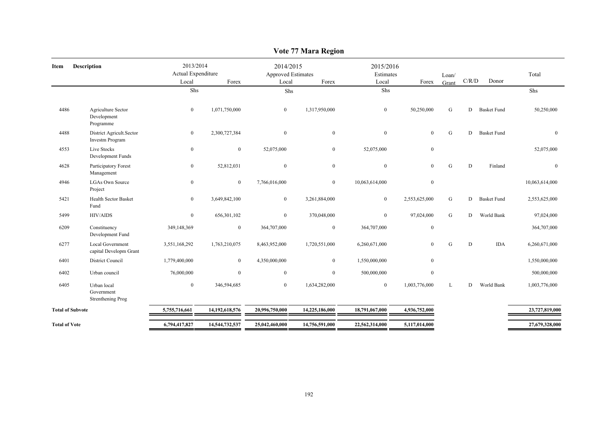|                         |                                                    |                                          |                |                                          | o              |                                 |                |                |       |                    |                  |
|-------------------------|----------------------------------------------------|------------------------------------------|----------------|------------------------------------------|----------------|---------------------------------|----------------|----------------|-------|--------------------|------------------|
| Item                    | <b>Description</b>                                 | 2013/2014<br>Actual Expenditure<br>Local | Forex          | 2014/2015<br>Approved Estimates<br>Local | Forex          | 2015/2016<br>Estimates<br>Local | Forex          | Loan/<br>Grant | C/R/D | Donor              | Total            |
|                         |                                                    | Shs                                      |                | Shs                                      |                | Shs                             |                |                |       |                    | Shs              |
| 4486                    | Agriculture Sector<br>Development<br>Programme     | $\overline{0}$                           | 1,071,750,000  | $\mathbf{0}$                             | 1,317,950,000  | $\mathbf{0}$                    | 50,250,000     | G              | D     | <b>Basket Fund</b> | 50,250,000       |
| 4488                    | District Agricult.Sector<br><b>Investm Program</b> | $\mathbf{0}$                             | 2,300,727,384  | $\theta$                                 | $\theta$       | $\boldsymbol{0}$                | $\mathbf{0}$   | G              | D     | <b>Basket Fund</b> | $\theta$         |
| 4553                    | Live Stocks<br>Development Funds                   | $\mathbf{0}$                             | $\mathbf{0}$   | 52,075,000                               | $\overline{0}$ | 52,075,000                      | $\overline{0}$ |                |       |                    | 52,075,000       |
| 4628                    | Participatory Forest<br>Management                 | $\bf{0}$                                 | 52,812,031     | $\mathbf{0}$                             | $\mathbf{0}$   | $\boldsymbol{0}$                | $\overline{0}$ | ${\bf G}$      | D     | Finland            | $\boldsymbol{0}$ |
| 4946                    | <b>LGAs Own Source</b><br>Project                  | $\mathbf{0}$                             | $\mathbf{0}$   | 7,766,016,000                            | $\mathbf{0}$   | 10,063,614,000                  | $\mathbf{0}$   |                |       |                    | 10,063,614,000   |
| 5421                    | Health Sector Basket<br>Fund                       | $\overline{0}$                           | 3,649,842,100  | $\mathbf{0}$                             | 3,261,884,000  | $\bf{0}$                        | 2,553,625,000  | G              | D     | <b>Basket Fund</b> | 2,553,625,000    |
| 5499                    | <b>HIV/AIDS</b>                                    | $\mathbf{0}$                             | 656,301,102    | $\mathbf{0}$                             | 370,048,000    | $\mathbf{0}$                    | 97,024,000     | G              | D     | World Bank         | 97,024,000       |
| 6209                    | Constituency<br>Development Fund                   | 349,148,369                              | $\mathbf{0}$   | 364,707,000                              | $\mathbf{0}$   | 364,707,000                     | $\bf{0}$       |                |       |                    | 364,707,000      |
| 6277                    | Local Government<br>capital Developm Grant         | 3,551,168,292                            | 1,763,210,075  | 8,463,952,000                            | 1,720,551,000  | 6,260,671,000                   | $\overline{0}$ | G              | D     | <b>IDA</b>         | 6,260,671,000    |
| 6401                    | District Council                                   | 1,779,400,000                            | $\overline{0}$ | 4,350,000,000                            | $\overline{0}$ | 1,550,000,000                   | $\overline{0}$ |                |       |                    | 1,550,000,000    |
| 6402                    | Urban council                                      | 76,000,000                               | $\mathbf{0}$   | $\theta$                                 | $\theta$       | 500,000,000                     | $\mathbf{0}$   |                |       |                    | 500,000,000      |
| 6405                    | Urban local<br>Government<br>Strenthening Prog     | $\mathbf{0}$                             | 346,594,685    | $\mathbf{0}$                             | 1,634,282,000  | $\bf{0}$                        | 1,003,776,000  | L              | D     | World Bank         | 1,003,776,000    |
| <b>Total of Subvote</b> |                                                    | 5,755,716,661                            | 14,192,618,576 | 20,996,750,000                           | 14,225,186,000 | 18,791,067,000                  | 4,936,752,000  |                |       |                    | 23,727,819,000   |
| <b>Total of Vote</b>    |                                                    | 6,794,417,827                            | 14,544,732,537 | 25,042,460,000                           | 14,756,591,000 | 22,562,314,000                  | 5,117,014,000  |                |       |                    | 27,679,328,000   |
|                         |                                                    |                                          |                |                                          |                |                                 |                |                |       |                    |                  |

# **Vote 77 Mara Region**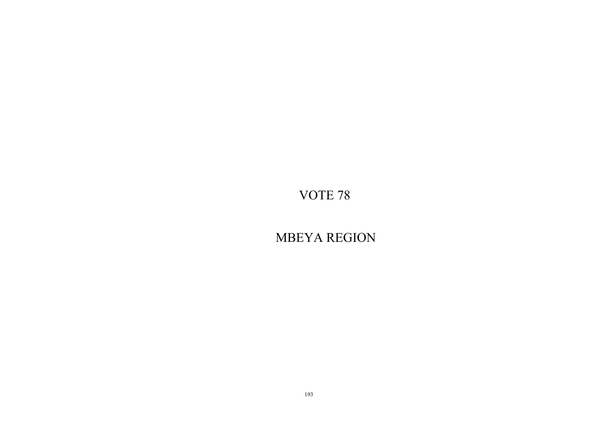MBEYA REGION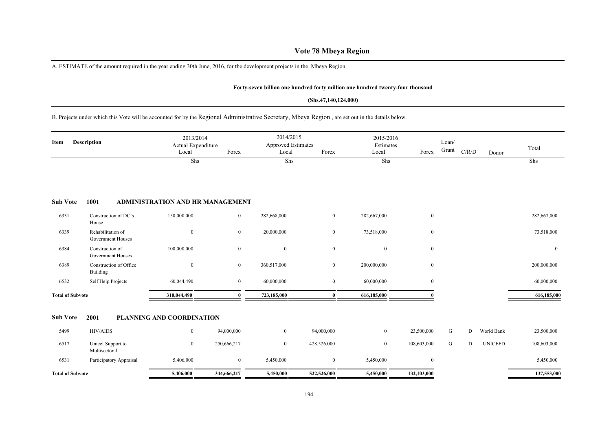# **Vote 78 Mbeya Region**

A. ESTIMATE of the amount required in the year ending 30th June, 2016, for the development projects in the Mbeya Region

#### **Forty-seven billion one hundred forty million one hundred twenty-four thousand**

#### **(Shs.47,140,124,000)**

B. Projects under which this Vote will be accounted for by the Regional Administrative Secretary, Mbeya Region , are set out in the details below.

| Item                    | <b>Description</b>                     | 2013/2014<br>Actual Expenditure<br>Local | Forex          | 2014/2015<br><b>Approved Estimates</b><br>Local | Forex        | 2015/2016<br>Estimates<br>Local | Forex            | Loan/<br>Grant | C/R/D | Donor          | Total          |
|-------------------------|----------------------------------------|------------------------------------------|----------------|-------------------------------------------------|--------------|---------------------------------|------------------|----------------|-------|----------------|----------------|
|                         |                                        | Shs                                      |                | Shs                                             |              | Shs                             |                  |                |       |                | Shs            |
| <b>Sub Vote</b>         | 1001                                   | ADMINISTRATION AND HR MANAGEMENT         |                |                                                 |              |                                 |                  |                |       |                |                |
| 6331                    | Construction of DC's<br>House          | 150,000,000                              | $\overline{0}$ | 282,668,000                                     | $\mathbf{0}$ | 282,667,000                     | $\bf{0}$         |                |       |                | 282,667,000    |
| 6339                    | Rehabilitation of<br>Government Houses | $\mathbf{0}$                             | $\overline{0}$ | 20,000,000                                      | $\bf{0}$     | 73,518,000                      | $\mathbf{0}$     |                |       |                | 73,518,000     |
| 6384                    | Construction of<br>Government Houses   | 100,000,000                              | $\mathbf{0}$   | $\mathbf{0}$                                    | $\mathbf{0}$ | $\mathbf{0}$                    | $\boldsymbol{0}$ |                |       |                | $\overline{0}$ |
| 6389                    | Construction of Office<br>Building     | $\mathbf{0}$                             | $\overline{0}$ | 360,517,000                                     | $\bf{0}$     | 200,000,000                     | $\mathbf{0}$     |                |       |                | 200,000,000    |
| 6532                    | Self Help Projects                     | 60,044,490                               | $\overline{0}$ | 60,000,000                                      | $\bf{0}$     | 60,000,000                      | $\mathbf{0}$     |                |       |                | 60,000,000     |
| <b>Total of Subvote</b> |                                        | 310,044,490                              | $\mathbf{0}$   | 723,185,000                                     | $\bf{0}$     | 616,185,000                     | $\theta$         |                |       |                | 616,185,000    |
| <b>Sub Vote</b>         | 2001                                   | PLANNING AND COORDINATION                |                |                                                 |              |                                 |                  |                |       |                |                |
| 5499                    | <b>HIV/AIDS</b>                        | $\mathbf{0}$                             | 94,000,000     | $\overline{0}$                                  | 94,000,000   | $\bf{0}$                        | 23,500,000       | G              | D     | World Bank     | 23,500,000     |
| 6517                    | Unicef Support to<br>Multisectoral     | $\mathbf{0}$                             | 250,666,217    | $\mathbf{0}$                                    | 428,526,000  | $\boldsymbol{0}$                | 108,603,000      | G              | D     | <b>UNICEFD</b> | 108,603,000    |
| 6531                    | Participatory Appraisal                | 5,406,000                                | $\overline{0}$ | 5,450,000                                       | $\bf{0}$     | 5,450,000                       | $\mathbf{0}$     |                |       |                | 5,450,000      |
| <b>Total of Subvote</b> |                                        | 5,406,000                                | 344,666,217    | 5,450,000                                       | 522,526,000  | 5,450,000                       | 132,103,000      |                |       |                | 137,553,000    |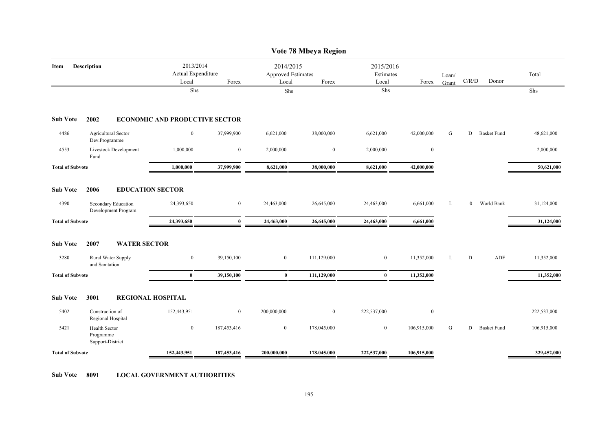|                         |                                                |                                                   |                  |                | Vote 78 Mbeya Region                                     |              |                                 |                |              |                    |             |
|-------------------------|------------------------------------------------|---------------------------------------------------|------------------|----------------|----------------------------------------------------------|--------------|---------------------------------|----------------|--------------|--------------------|-------------|
| Item                    | <b>Description</b>                             | 2013/2014<br>Actual Expenditure<br>Local<br>Forex |                  |                | 2014/2015<br><b>Approved Estimates</b><br>Forex<br>Local |              | 2015/2016<br>Estimates<br>Forex | Loan/<br>Grant | C/R/D        | Donor              | Total       |
|                         |                                                | Shs                                               |                  | Shs            |                                                          | Local<br>Shs |                                 |                |              |                    | Shs         |
| <b>Sub Vote</b>         | 2002                                           | <b>ECONOMIC AND PRODUCTIVE SECTOR</b>             |                  |                |                                                          |              |                                 |                |              |                    |             |
| 4486                    | Agricultural Sector<br>Dev.Programme           | $\overline{0}$                                    | 37,999,900       | 6,621,000      | 38,000,000                                               | 6,621,000    | 42,000,000                      | G              | D            | <b>Basket Fund</b> | 48,621,000  |
| 4553                    | <b>Livestock Development</b><br>Fund           | 1,000,000                                         | $\bf{0}$         | 2,000,000      | $\bf{0}$                                                 | 2,000,000    | $\mathbf{0}$                    |                |              |                    | 2,000,000   |
| <b>Total of Subvote</b> |                                                | 1,000,000                                         | 37,999,900       | 8,621,000      | 38,000,000                                               | 8,621,000    | 42,000,000                      |                |              |                    | 50,621,000  |
| <b>Sub Vote</b>         | 2006                                           | <b>EDUCATION SECTOR</b>                           |                  |                |                                                          |              |                                 |                |              |                    |             |
| 4390                    | Secondary Education<br>Development Program     | 24,393,650                                        | $\boldsymbol{0}$ | 24,463,000     | 26,645,000                                               | 24,463,000   | 6,661,000                       | L              | $\mathbf{0}$ | World Bank         | 31,124,000  |
| <b>Total of Subvote</b> |                                                | 24,393,650                                        | $\mathbf{0}$     | 24,463,000     | 26,645,000                                               | 24,463,000   | 6,661,000                       |                |              |                    | 31,124,000  |
| <b>Sub Vote</b>         | 2007<br><b>WATER SECTOR</b>                    |                                                   |                  |                |                                                          |              |                                 |                |              |                    |             |
| 3280                    | Rural Water Supply<br>and Sanitation           | $\bf{0}$                                          | 39,150,100       | $\overline{0}$ | 111,129,000                                              | $\bf{0}$     | 11,352,000                      | L              | D            | ADF                | 11,352,000  |
| <b>Total of Subvote</b> |                                                | $\bf{0}$                                          | 39,150,100       | $\bf{0}$       | 111,129,000                                              | $\bf{0}$     | 11,352,000                      |                |              |                    | 11,352,000  |
| <b>Sub Vote</b>         | 3001                                           | <b>REGIONAL HOSPITAL</b>                          |                  |                |                                                          |              |                                 |                |              |                    |             |
| 5402                    | Construction of<br>Regional Hospital           | 152,443,951                                       | $\overline{0}$   | 200,000,000    | $\boldsymbol{0}$                                         | 222,537,000  | $\mathbf{0}$                    |                |              |                    | 222,537,000 |
| 5421                    | Health Sector<br>Programme<br>Support-District | $\boldsymbol{0}$                                  | 187,453,416      | $\overline{0}$ | 178,045,000                                              | $\bf{0}$     | 106,915,000                     | G              | D            | <b>Basket Fund</b> | 106,915,000 |
| <b>Total of Subvote</b> |                                                | 152,443,951                                       | 187,453,416      | 200,000,000    | 178,045,000                                              | 222,537,000  | 106,915,000                     |                |              |                    | 329,452,000 |
|                         |                                                |                                                   |                  |                |                                                          |              |                                 |                |              |                    |             |

**Sub Vote 8091 LOCAL GOVERNMENT AUTHORITIES**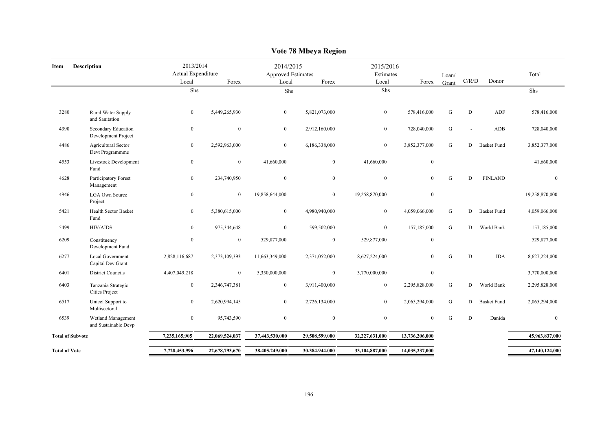|                         |                                             |                                          |                |                                          | $\frac{1}{2}$  |                                 |                  |                |              |                    |                |
|-------------------------|---------------------------------------------|------------------------------------------|----------------|------------------------------------------|----------------|---------------------------------|------------------|----------------|--------------|--------------------|----------------|
| Item                    | <b>Description</b>                          | 2013/2014<br>Actual Expenditure<br>Local | Forex          | 2014/2015<br>Approved Estimates<br>Local | Forex          | 2015/2016<br>Estimates<br>Local | Forex            | Loan/<br>Grant | C/R/D        | Donor              | Total          |
|                         |                                             | Shs                                      |                | Shs                                      |                | Shs                             |                  |                |              |                    | Shs            |
|                         |                                             |                                          |                |                                          |                |                                 |                  |                |              |                    |                |
| 3280                    | Rural Water Supply<br>and Sanitation        | $\bf{0}$                                 | 5,449,265,930  | $\mathbf{0}$                             | 5,821,073,000  | $\mathbf{0}$                    | 578,416,000      | G              | D            | ${\sf ADF}$        | 578,416,000    |
| 4390                    | Secondary Education<br>Development Project  | $\mathbf{0}$                             | $\mathbf{0}$   | $\mathbf{0}$                             | 2,912,160,000  | $\bf{0}$                        | 728,040,000      | ${\bf G}$      | ÷.           | ADB                | 728,040,000    |
| 4486                    | Agricultural Sector<br>Devt Programmme      | $\mathbf{0}$                             | 2,592,963,000  | $\boldsymbol{0}$                         | 6,186,338,000  | $\mathbf{0}$                    | 3,852,377,000    | $\mathbf G$    | D            | <b>Basket Fund</b> | 3,852,377,000  |
| 4553                    | Livestock Development<br>Fund               | $\bf{0}$                                 | $\overline{0}$ | 41,660,000                               | $\mathbf{0}$   | 41,660,000                      | $\boldsymbol{0}$ |                |              |                    | 41,660,000     |
| 4628                    | Participatory Forest<br>Management          | $\bf{0}$                                 | 234,740,950    | $\boldsymbol{0}$                         | $\mathbf{0}$   | $\overline{0}$                  | $\mathbf{0}$     | G              | D            | <b>FINLAND</b>     | $\mathbf{0}$   |
| 4946                    | <b>LGA Own Source</b><br>Project            | $\mathbf{0}$                             | $\mathbf{0}$   | 19,858,644,000                           | $\mathbf{0}$   | 19,258,870,000                  | $\boldsymbol{0}$ |                |              |                    | 19,258,870,000 |
| 5421                    | Health Sector Basket<br>Fund                | $\mathbf{0}$                             | 5,380,615,000  | $\mathbf{0}$                             | 4,980,940,000  | $\overline{0}$                  | 4,059,066,000    | ${\bf G}$      | D            | <b>Basket Fund</b> | 4,059,066,000  |
| 5499                    | <b>HIV/AIDS</b>                             | $\mathbf{0}$                             | 975,344,648    | $\mathbf{0}$                             | 599,502,000    | $\overline{0}$                  | 157,185,000      | G              | D            | World Bank         | 157,185,000    |
| 6209                    | Constituency<br>Development Fund            | $\mathbf{0}$                             | $\overline{0}$ | 529,877,000                              | $\overline{0}$ | 529,877,000                     | $\mathbf{0}$     |                |              |                    | 529,877,000    |
| 6277                    | Local Government<br>Capital Dev.Grant       | 2,828,116,687                            | 2,373,109,393  | 11,663,349,000                           | 2,371,052,000  | 8,627,224,000                   | $\theta$         | ${\bf G}$      | $\mathbf D$  | <b>IDA</b>         | 8,627,224,000  |
| 6401                    | District Councils                           | 4,407,049,218                            | $\mathbf{0}$   | 5,350,000,000                            | $\mathbf{0}$   | 3,770,000,000                   | $\mathbf{0}$     |                |              |                    | 3,770,000,000  |
| 6403                    | Tanzania Strategic<br><b>Cities Project</b> | $\bf{0}$                                 | 2,346,747,381  | $\bf{0}$                                 | 3,911,400,000  | $\overline{0}$                  | 2,295,828,000    | ${\bf G}$      | D            | World Bank         | 2,295,828,000  |
| 6517                    | Unicef Support to<br>Multisectoral          | $\mathbf{0}$                             | 2,620,994,145  | $\mathbf{0}$                             | 2,726,134,000  | $\overline{0}$                  | 2,065,294,000    | G              | D            | <b>Basket Fund</b> | 2,065,294,000  |
| 6539                    | Wetland Management<br>and Sustainable Devp  | $\boldsymbol{0}$                         | 95,743,590     | $\mathbf{0}$                             | $\mathbf{0}$   | $\overline{0}$                  | $\theta$         | $\mathbf G$    | $\mathbf{D}$ | Danida             | $\mathbf{0}$   |
| <b>Total of Subvote</b> |                                             | 7,235,165,905                            | 22,069,524,037 | 37,443,530,000                           | 29,508,599,000 | 32,227,631,000                  | 13,736,206,000   |                |              |                    | 45,963,837,000 |
| <b>Total of Vote</b>    |                                             | 7,728,453,996                            | 22,678,793,670 | 38,405,249,000                           | 30,384,944,000 | 33,104,887,000                  | 14,035,237,000   |                |              |                    | 47,140,124,000 |
|                         |                                             |                                          |                |                                          |                |                                 |                  |                |              |                    |                |

**Vote 78 Mbeya Region**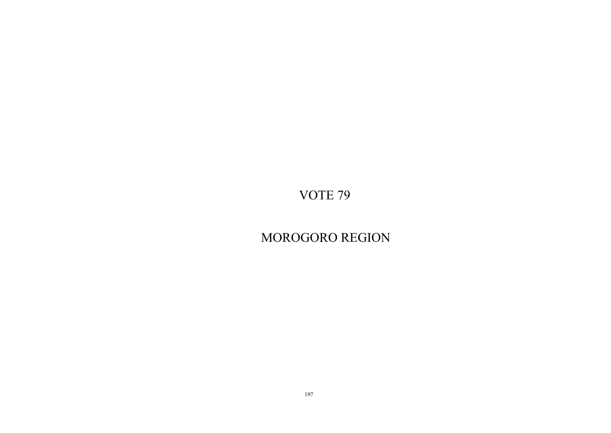MOROGORO REGION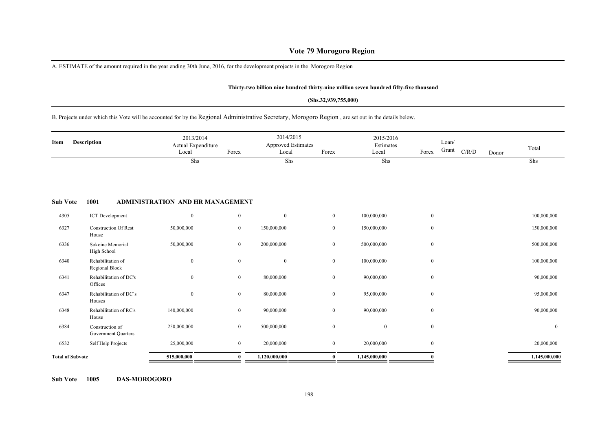# **Vote 79 Morogoro Region**

A. ESTIMATE of the amount required in the year ending 30th June, 2016, for the development projects in the Morogoro Region

#### **Thirty-two billion nine hundred thirty-nine million seven hundred fifty-five thousand**

#### **(Shs.32,939,755,000)**

B. Projects under which this Vote will be accounted for by the Regional Administrative Secretary, Morogoro Region , are set out in the details below.

| Item                    | <b>Description</b>                     | 2013/2014<br>Actual Expenditure<br>Local | Forex            | 2014/2015<br><b>Approved Estimates</b><br>Local | Forex          | 2015/2016<br>Estimates<br>Local | Forex        | Loan/<br>Grant | C/R/D | Donor | Total            |
|-------------------------|----------------------------------------|------------------------------------------|------------------|-------------------------------------------------|----------------|---------------------------------|--------------|----------------|-------|-------|------------------|
|                         |                                        | Shs                                      |                  | Shs                                             |                | Shs                             |              |                |       |       | Shs              |
| <b>Sub Vote</b>         | 1001                                   | <b>ADMINISTRATION AND HR MANAGEMENT</b>  |                  |                                                 |                |                                 |              |                |       |       |                  |
| 4305                    | <b>ICT</b> Development                 | $\boldsymbol{0}$                         | $\mathbf{0}$     | $\boldsymbol{0}$                                | $\mathbf{0}$   | 100,000,000                     | $\mathbf{0}$ |                |       |       | 100,000,000      |
| 6327                    | <b>Construction Of Rest</b><br>House   | 50,000,000                               | $\overline{0}$   | 150,000,000                                     | $\overline{0}$ | 150,000,000                     | $\mathbf{0}$ |                |       |       | 150,000,000      |
| 6336                    | Sokoine Memorial<br>High School        | 50,000,000                               | $\overline{0}$   | 200,000,000                                     | $\overline{0}$ | 500,000,000                     | $\mathbf{0}$ |                |       |       | 500,000,000      |
| 6340                    | Rehabilitation of<br>Regional Block    | $\boldsymbol{0}$                         | $\boldsymbol{0}$ | $\boldsymbol{0}$                                | $\mathbf{0}$   | 100,000,000                     | $\mathbf{0}$ |                |       |       | 100,000,000      |
| 6341                    | Rehabilitation of DC's<br>Offices      | $\mathbf{0}$                             | $\overline{0}$   | 80,000,000                                      | $\overline{0}$ | 90,000,000                      | $\mathbf{0}$ |                |       |       | 90,000,000       |
| 6347                    | Rehabilitation of DC's<br>Houses       | $\mathbf{0}$                             | $\overline{0}$   | 80,000,000                                      | $\overline{0}$ | 95,000,000                      | $\mathbf{0}$ |                |       |       | 95,000,000       |
| 6348                    | Rehabilitation of RC's<br>House        | 140,000,000                              | $\overline{0}$   | 90,000,000                                      | $\overline{0}$ | 90,000,000                      | $\mathbf{0}$ |                |       |       | 90,000,000       |
| 6384                    | Construction of<br>Government Quarters | 250,000,000                              | $\mathbf{0}$     | 500,000,000                                     | $\mathbf{0}$   | $\mathbf{0}$                    | $\mathbf{0}$ |                |       |       | $\boldsymbol{0}$ |
| 6532                    | Self Help Projects                     | 25,000,000                               | $\overline{0}$   | 20,000,000                                      | $\overline{0}$ | 20,000,000                      | $\mathbf{0}$ |                |       |       | 20,000,000       |
| <b>Total of Subvote</b> |                                        | 515,000,000                              | $\bf{0}$         | 1,120,000,000                                   | $\bf{0}$       | 1,145,000,000                   |              |                |       |       | 1,145,000,000    |

**Sub Vote 1005 DAS-MOROGORO**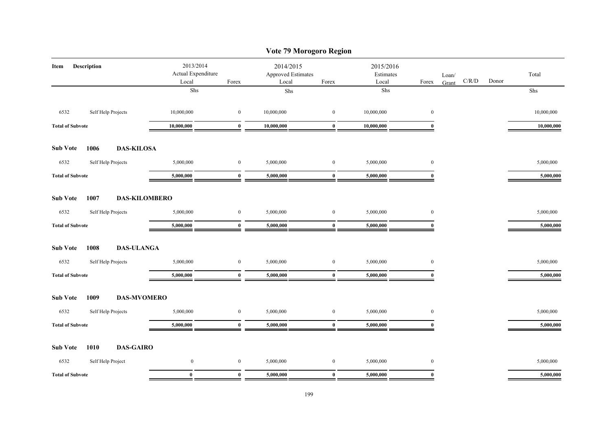|                                                    |                  |                                      |              | Vote 79 Morogoro Region     |                                 |                  |                                                                   |            |
|----------------------------------------------------|------------------|--------------------------------------|--------------|-----------------------------|---------------------------------|------------------|-------------------------------------------------------------------|------------|
| <b>Description</b><br>Item                         | 2013/2014        | Actual Expenditure<br>Local<br>Forex |              | Approved Estimates<br>Forex | 2015/2016<br>Estimates<br>Local | Forex            | Loan/<br>$\mathbf{C} / \mathbf{R} / \mathbf{D}$<br>Donor<br>Grant | Total      |
|                                                    | Shs              |                                      | Local<br>Shs |                             | Shs                             |                  |                                                                   | Shs        |
| 6532<br>Self Help Projects                         | 10,000,000       | $\boldsymbol{0}$                     | 10,000,000   | $\boldsymbol{0}$            | 10,000,000                      | $\bf{0}$         |                                                                   | 10,000,000 |
| <b>Total of Subvote</b>                            | 10,000,000       | $\bf{0}$                             | 10,000,000   | $\bf{0}$                    | 10,000,000                      | $\bf{0}$         |                                                                   | 10,000,000 |
| 1006<br><b>DAS-KILOSA</b><br><b>Sub Vote</b>       |                  |                                      |              |                             |                                 |                  |                                                                   |            |
| 6532<br>Self Help Projects                         | 5,000,000        | $\bf{0}$                             | 5,000,000    | $\boldsymbol{0}$            | 5,000,000                       | $\boldsymbol{0}$ |                                                                   | 5,000,000  |
| <b>Total of Subvote</b>                            | 5,000,000        | $\bf{0}$                             | 5,000,000    | $\bf{0}$                    | 5,000,000                       | $\bf{0}$         |                                                                   | 5,000,000  |
| <b>Sub Vote</b><br>1007<br><b>DAS-KILOMBERO</b>    |                  |                                      |              |                             |                                 |                  |                                                                   |            |
| 6532<br>Self Help Projects                         | 5,000,000        | $\boldsymbol{0}$                     | 5,000,000    | $\boldsymbol{0}$            | 5,000,000                       | $\boldsymbol{0}$ |                                                                   | 5,000,000  |
| <b>Total of Subvote</b>                            | 5,000,000        | $\mathbf{0}$                         | 5,000,000    | $\bf{0}$                    | 5,000,000                       | $\mathbf{0}$     |                                                                   | 5,000,000  |
| <b>DAS-ULANGA</b><br><b>Sub Vote</b><br>1008       |                  |                                      |              |                             |                                 |                  |                                                                   |            |
| Self Help Projects<br>6532                         | 5,000,000        | $\boldsymbol{0}$                     | 5,000,000    | $\bf{0}$                    | 5,000,000                       | $\boldsymbol{0}$ |                                                                   | 5,000,000  |
| <b>Total of Subvote</b>                            | 5,000,000        | $\bf{0}$                             | 5,000,000    | $\bf{0}$                    | 5,000,000                       | $\mathbf{0}$     |                                                                   | 5,000,000  |
| 1009<br><b>DAS-MVOMERO</b><br><b>Sub Vote</b>      |                  |                                      |              |                             |                                 |                  |                                                                   |            |
| 6532<br>Self Help Projects                         | 5,000,000        | $\boldsymbol{0}$                     | 5,000,000    | $\boldsymbol{0}$            | 5,000,000                       | $\boldsymbol{0}$ |                                                                   | 5,000,000  |
| <b>Total of Subvote</b>                            | 5,000,000        | $\bf{0}$                             | 5,000,000    | $\bf{0}$                    | 5,000,000                       | $\mathbf{0}$     |                                                                   | 5,000,000  |
| <b>Sub Vote</b><br><b>DAS-GAIRO</b><br><b>1010</b> |                  |                                      |              |                             |                                 |                  |                                                                   |            |
| 6532<br>Self Help Project                          | $\boldsymbol{0}$ | $\boldsymbol{0}$                     | 5,000,000    | $\bf{0}$                    | 5,000,000                       | $\boldsymbol{0}$ |                                                                   | 5,000,000  |
| <b>Total of Subvote</b>                            | $\mathbf{0}$     | $\bf{0}$                             | 5,000,000    | $\mathbf{0}$                | 5,000,000                       | $\mathbf{0}$     |                                                                   | 5,000,000  |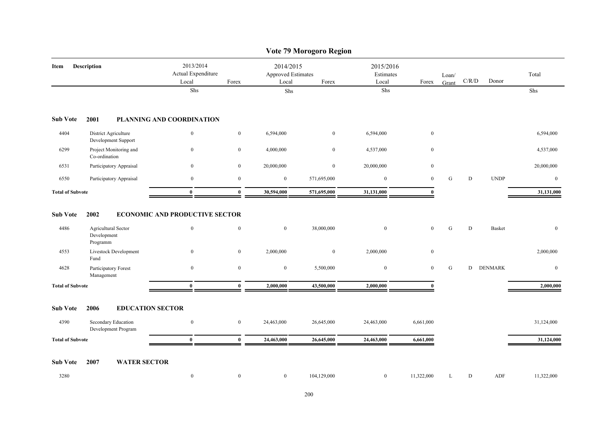|                         |                                                |                                          |                  |                                                 | Vote 79 Morogoro Region |                                 |                  |                |             |                |                |
|-------------------------|------------------------------------------------|------------------------------------------|------------------|-------------------------------------------------|-------------------------|---------------------------------|------------------|----------------|-------------|----------------|----------------|
| Item                    | Description                                    | 2013/2014<br>Actual Expenditure<br>Local | Forex            | 2014/2015<br><b>Approved Estimates</b><br>Local | Forex                   | 2015/2016<br>Estimates<br>Local | Forex            | Loan/<br>Grant | $\rm C/R/D$ | Donor          | Total          |
|                         |                                                | Shs                                      |                  | Shs                                             |                         | ${\rm Shs}$                     |                  |                |             |                | Shs            |
| <b>Sub Vote</b>         | 2001                                           | PLANNING AND COORDINATION                |                  |                                                 |                         |                                 |                  |                |             |                |                |
| 4404                    | District Agriculture<br>Development Support    | $\mathbf{0}$                             | $\boldsymbol{0}$ | 6,594,000                                       | $\bf{0}$                | 6,594,000                       | $\boldsymbol{0}$ |                |             |                | 6,594,000      |
| 6299                    | Project Monitoring and<br>Co-ordination        | $\boldsymbol{0}$                         | $\boldsymbol{0}$ | 4,000,000                                       | $\boldsymbol{0}$        | 4,537,000                       | $\boldsymbol{0}$ |                |             |                | 4,537,000      |
| 6531                    | Participatory Appraisal                        | $\overline{0}$                           | $\bf{0}$         | 20,000,000                                      | $\bf{0}$                | 20,000,000                      | $\boldsymbol{0}$ |                |             |                | 20,000,000     |
| 6550                    | Participatory Appraisal                        | $\bf{0}$                                 | $\bf{0}$         | $\bf{0}$                                        | 571,695,000             | $\mathbf{0}$                    | $\boldsymbol{0}$ | ${\bf G}$      | D           | <b>UNDP</b>    | $\mathbf{0}$   |
| <b>Total of Subvote</b> |                                                | $\mathbf{0}$                             | $\mathbf{0}$     | 30,594,000                                      | 571,695,000             | 31,131,000                      | $\mathbf{0}$     |                |             |                | 31,131,000     |
| <b>Sub Vote</b>         | 2002                                           | <b>ECONOMIC AND PRODUCTIVE SECTOR</b>    |                  |                                                 |                         |                                 |                  |                | ${\bf D}$   |                |                |
| 4486                    | Agricultural Sector<br>Development<br>Programm | $\mathbf{0}$                             | $\mathbf{0}$     | $\mathbf{0}$                                    | 38,000,000              | $\mathbf{0}$                    | $\mathbf{0}$     | ${\rm G}$      |             | <b>Basket</b>  | $\mathbf{0}$   |
| 4553                    | Livestock Development<br>Fund                  | $\boldsymbol{0}$                         | $\boldsymbol{0}$ | 2,000,000                                       | $\bf{0}$                | 2,000,000                       | $\boldsymbol{0}$ |                |             |                | 2,000,000      |
| 4628                    | Participatory Forest<br>Management             | $\mathbf{0}$                             | $\boldsymbol{0}$ | $\bf{0}$                                        | 5,500,000               | $\bf{0}$                        | $\mathbf{0}$     | G              | D           | <b>DENMARK</b> | $\overline{0}$ |
| <b>Total of Subvote</b> |                                                | $\mathbf{0}$                             | $\mathbf{0}$     | 2,000,000                                       | 43,500,000              | 2,000,000                       | $\mathbf{0}$     |                |             |                | 2,000,000      |
| <b>Sub Vote</b>         | 2006<br><b>EDUCATION SECTOR</b>                |                                          |                  |                                                 |                         |                                 |                  |                |             |                |                |
| 4390                    | Secondary Education<br>Development Program     | $\mathbf{0}$                             | $\boldsymbol{0}$ | 24,463,000                                      | 26,645,000              | 24,463,000                      | 6,661,000        |                |             |                | 31,124,000     |
| <b>Total of Subvote</b> |                                                | $\bf{0}$                                 | $\bf{0}$         | 24,463,000                                      | 26,645,000              | 24,463,000                      | 6,661,000        |                |             |                | 31,124,000     |
| <b>Sub Vote</b>         | <b>WATER SECTOR</b><br>2007                    |                                          |                  |                                                 |                         |                                 |                  |                |             |                |                |
| 3280                    |                                                | $\boldsymbol{0}$                         | $\mathbf{0}$     | $\overline{0}$                                  | 104,129,000             | $\bf{0}$                        | 11,322,000       | L              | D           | ADF            | 11,322,000     |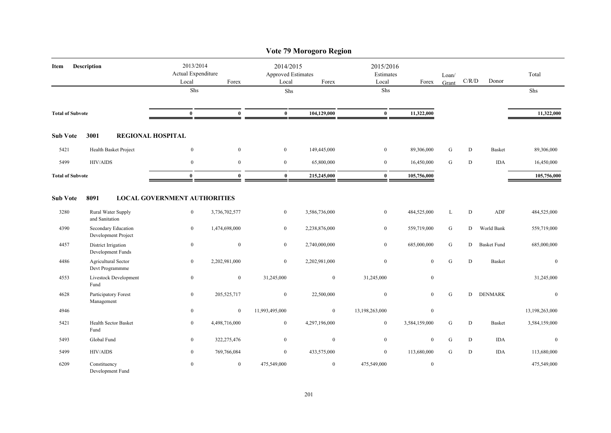|                         |                                            |                                          |                |                                                 | Vote 79 Morogoro Region |                                 |                  |                |           |                    |                |
|-------------------------|--------------------------------------------|------------------------------------------|----------------|-------------------------------------------------|-------------------------|---------------------------------|------------------|----------------|-----------|--------------------|----------------|
| Item                    | <b>Description</b>                         | 2013/2014<br>Actual Expenditure<br>Local | Forex          | 2014/2015<br><b>Approved Estimates</b><br>Local | Forex                   | 2015/2016<br>Estimates<br>Local | Forex            | Loan/<br>Grant | C/R/D     | Donor              | Total          |
|                         |                                            | Shs                                      |                | Shs                                             |                         | Shs                             |                  |                |           |                    | Shs            |
| <b>Total of Subvote</b> |                                            | $\bf{0}$                                 | $\bf{0}$       | $\bf{0}$                                        | 104,129,000             | $\bf{0}$                        | 11,322,000       |                |           |                    | 11,322,000     |
| <b>Sub Vote</b>         | 3001                                       | <b>REGIONAL HOSPITAL</b>                 |                |                                                 |                         |                                 |                  |                |           |                    |                |
| 5421                    | Health Basket Project                      | $\boldsymbol{0}$                         | $\mathbf{0}$   | $\overline{0}$                                  | 149,445,000             | $\bf{0}$                        | 89,306,000       | G              | D         | <b>Basket</b>      | 89,306,000     |
| 5499                    | <b>HIV/AIDS</b>                            | $\mathbf{0}$                             | $\mathbf{0}$   | $\mathbf{0}$                                    | 65,800,000              | $\overline{0}$                  | 16,450,000       | ${\bf G}$      | D         | <b>IDA</b>         | 16,450,000     |
| <b>Total of Subvote</b> |                                            | $\bf{0}$                                 | $\bf{0}$       | $\bf{0}$                                        | 215,245,000             | $\bf{0}$                        | 105,756,000      |                |           |                    | 105,756,000    |
| <b>Sub Vote</b>         | 8091                                       | <b>LOCAL GOVERNMENT AUTHORITIES</b>      |                |                                                 |                         |                                 |                  |                |           |                    |                |
| 3280                    | Rural Water Supply<br>and Sanitation       | $\mathbf{0}$                             | 3,736,702,577  | $\boldsymbol{0}$                                | 3,586,736,000           | $\boldsymbol{0}$                | 484,525,000      | $\mathbf L$    | ${\rm D}$ | ADF                | 484,525,000    |
| 4390                    | Secondary Education<br>Development Project | $\overline{0}$                           | 1,474,698,000  | $\overline{0}$                                  | 2,238,876,000           | $\mathbf{0}$                    | 559,719,000      | G              | D         | World Bank         | 559,719,000    |
| 4457                    | District Irrigation<br>Development Funds   | $\bf{0}$                                 | $\mathbf{0}$   | $\overline{0}$                                  | 2,740,000,000           | $\overline{0}$                  | 685,000,000      | ${\bf G}$      | D         | <b>Basket Fund</b> | 685,000,000    |
| 4486                    | Agricultural Sector<br>Devt Programmme     | $\boldsymbol{0}$                         | 2,202,981,000  | $\mathbf{0}$                                    | 2,202,981,000           | $\mathbf{0}$                    | $\mathbf{0}$     | G              | D         | <b>Basket</b>      | $\mathbf{0}$   |
| 4553                    | Livestock Development<br>Fund              | $\boldsymbol{0}$                         | $\mathbf{0}$   | 31,245,000                                      | $\mathbf{0}$            | 31,245,000                      | $\mathbf{0}$     |                |           |                    | 31,245,000     |
| 4628                    | Participatory Forest<br>Management         | $\boldsymbol{0}$                         | 205, 525, 717  | $\boldsymbol{0}$                                | 22,500,000              | $\boldsymbol{0}$                | $\mathbf{0}$     | ${\bf G}$      |           | D DENMARK          | $\mathbf{0}$   |
| 4946                    |                                            | $\bf{0}$                                 | $\bf{0}$       | 11,993,495,000                                  | $\bf{0}$                | 13,198,263,000                  | $\boldsymbol{0}$ |                |           |                    | 13,198,263,000 |
| 5421                    | Health Sector Basket<br>Fund               | $\mathbf{0}$                             | 4,498,716,000  | $\bf{0}$                                        | 4,297,196,000           | $\bf{0}$                        | 3,584,159,000    | G              | D         | <b>Basket</b>      | 3,584,159,000  |
| 5493                    | Global Fund                                | $\mathbf{0}$                             | 322,275,476    | $\mathbf{0}$                                    | $\overline{0}$          | $\mathbf{0}$                    | $\mathbf{0}$     | ${\bf G}$      | D         | <b>IDA</b>         | $\mathbf{0}$   |
| 5499                    | <b>HIV/AIDS</b>                            | $\mathbf{0}$                             | 769,766,084    | $\overline{0}$                                  | 433,575,000             | $\overline{0}$                  | 113,680,000      | G              | ${\rm D}$ | <b>IDA</b>         | 113,680,000    |
| 6209                    | Constituency<br>Development Fund           | $\mathbf{0}$                             | $\overline{0}$ | 475,549,000                                     | $\overline{0}$          | 475,549,000                     | $\mathbf{0}$     |                |           |                    | 475,549,000    |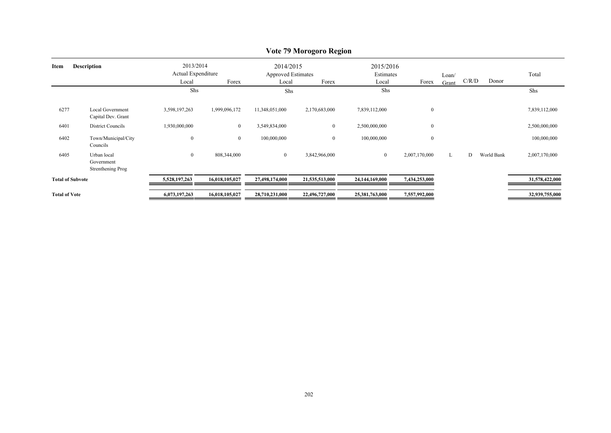| Item                    | <b>Description</b>                             | 2013/2014<br>Actual Expenditure<br>Local | Forex          | 2014/2015<br><b>Approved Estimates</b><br>Local | Forex            | 2015/2016<br>Estimates<br>Local | Forex            | Loan/<br>Grant | C/R/D | Donor      | Total          |
|-------------------------|------------------------------------------------|------------------------------------------|----------------|-------------------------------------------------|------------------|---------------------------------|------------------|----------------|-------|------------|----------------|
|                         |                                                | Shs                                      |                | Shs                                             |                  | Shs                             |                  |                |       |            | Shs            |
| 6277                    | <b>Local Government</b><br>Capital Dev. Grant  | 3,598,197,263                            | 1,999,096,172  | 11,348,051,000                                  | 2,170,683,000    | 7,839,112,000                   | $\boldsymbol{0}$ |                |       |            | 7,839,112,000  |
| 6401                    | District Councils                              | 1,930,000,000                            | $\mathbf{0}$   | 3,549,834,000                                   | $\boldsymbol{0}$ | 2,500,000,000                   | $\bf{0}$         |                |       |            | 2,500,000,000  |
| 6402                    | Town/Municipal/City<br>Councils                | $\mathbf{0}$                             | $\overline{0}$ | 100,000,000                                     | $\boldsymbol{0}$ | 100,000,000                     | $\boldsymbol{0}$ |                |       |            | 100,000,000    |
| 6405                    | Urban local<br>Government<br>Strenthening Prog | $\overline{0}$                           | 808,344,000    | $\boldsymbol{0}$                                | 3,842,966,000    | $\mathbf{0}$                    | 2,007,170,000    | L              | D     | World Bank | 2,007,170,000  |
| <b>Total of Subvote</b> |                                                | 5,528,197,263                            | 16,018,105,027 | 27,498,174,000                                  | 21,535,513,000   | 24,144,169,000                  | 7,434,253,000    |                |       |            | 31,578,422,000 |
| <b>Total of Vote</b>    |                                                | 6,073,197,263                            | 16,018,105,027 | 28,710,231,000                                  | 22,496,727,000   | 25,381,763,000                  | 7,557,992,000    |                |       |            | 32,939,755,000 |

# **Vote 79 Morogoro Region**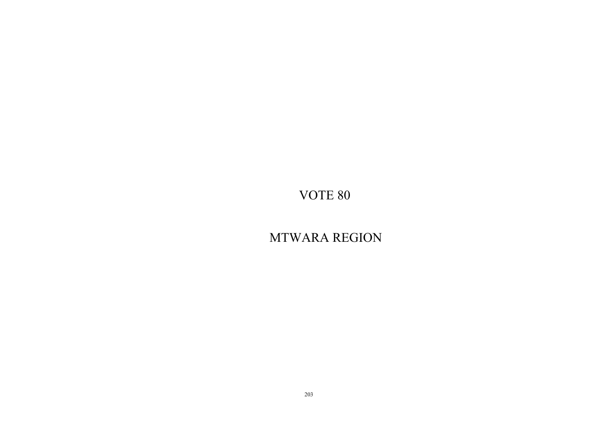MTWARA REGION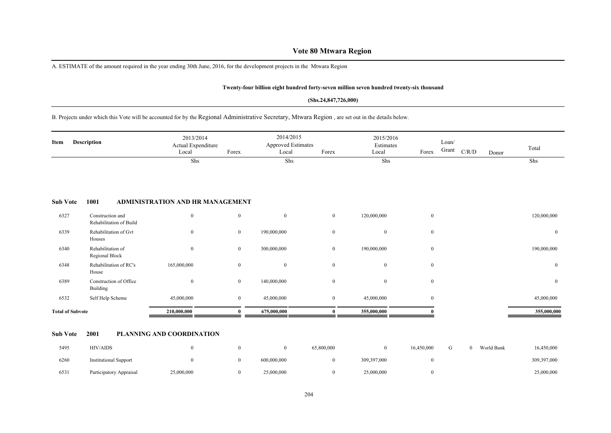# **Vote 80 Mtwara Region**

A. ESTIMATE of the amount required in the year ending 30th June, 2016, for the development projects in the Mtwara Region

#### **Twenty-four billion eight hundred forty-seven million seven hundred twenty-six thousand**

#### **(Shs.24,847,726,000)**

#### B. Projects under which this Vote will be accounted for by the Regional Administrative Secretary, Mtwara Region , are set out in the details below.

| Item | Description | 2013/2014<br>Actual Expenditure<br>Local | Forex | 2014/2015<br><b>Approved Estimates</b><br>Local | Forex | 2015/2016<br>Estimates<br>Local | Forex | Loan/<br>Grant | C/R/D | Donor | Total |  |
|------|-------------|------------------------------------------|-------|-------------------------------------------------|-------|---------------------------------|-------|----------------|-------|-------|-------|--|
|      |             | Shs                                      |       | Shs                                             |       | Shs                             |       |                |       |       | Shs   |  |

#### **Sub Vote 1001 ADMINISTRATION AND HR MANAGEMENT**

| <b>Total of Subvote</b> |                                             | 210,000,000    |                  | 675,000,000    |                | 355,000,000    |                | 355,000,000    |
|-------------------------|---------------------------------------------|----------------|------------------|----------------|----------------|----------------|----------------|----------------|
| 6532                    | Self Help Scheme                            | 45,000,000     | $\bf{0}$         | 45,000,000     | $\overline{0}$ | 45,000,000     | $\overline{0}$ | 45,000,000     |
| 6389                    | Construction of Office<br>Building          | $\overline{0}$ | $\boldsymbol{0}$ | 140,000,000    | $\theta$       | $\theta$       | $\overline{0}$ | $\overline{0}$ |
| 6348                    | Rehabilitation of RC's<br>House             | 165,000,000    | $\mathbf{0}$     | $\overline{0}$ |                | $\theta$       | $\overline{0}$ | $\overline{0}$ |
| 6340                    | Rehabilitation of<br>Regional Block         | $\mathbf{0}$   | $\boldsymbol{0}$ | 300,000,000    | $\mathbf{0}$   | 190,000,000    | $\overline{0}$ | 190,000,000    |
| 6339                    | Rehabilitation of Gvt<br>Houses             | $\overline{0}$ | $\bf{0}$         | 190,000,000    |                | $\overline{0}$ | $\overline{0}$ | $\overline{0}$ |
| 6327                    | Construction and<br>Rehabilitation of Build | $\mathbf{0}$   | $\boldsymbol{0}$ | $\overline{0}$ | $\mathbf{0}$   | 120,000,000    | $\overline{0}$ | 120,000,000    |

#### **Sub Vote 2001 PLANNING AND COORDINATION**

| 5495 | <b>HIV/AIDS</b>              |            |             | 65,800,000 |             | 16.450.000 |  | World Bank | 16,450,000  |
|------|------------------------------|------------|-------------|------------|-------------|------------|--|------------|-------------|
| 6260 | <b>Institutional Support</b> |            | 600,000,000 |            | 309,397,000 |            |  |            | 309,397,000 |
| 6531 | Participatory Appraisal      | 25,000,000 | 25,000,000  |            | 25,000,000  |            |  |            | 25,000,000  |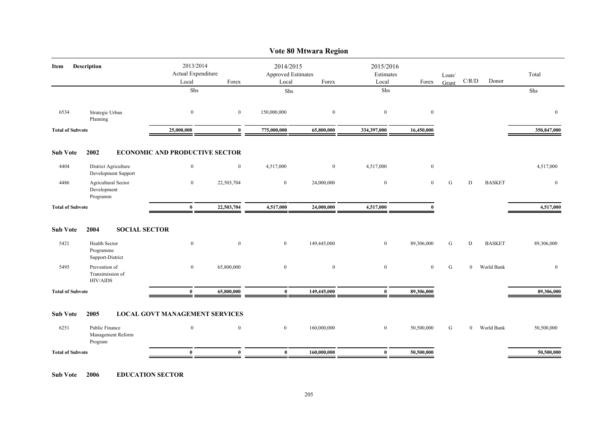|                         |                                                       |                                       |                                          |                                                   | Vote 80 Mtwara Region |                  |                                          |           |                |               |              |
|-------------------------|-------------------------------------------------------|---------------------------------------|------------------------------------------|---------------------------------------------------|-----------------------|------------------|------------------------------------------|-----------|----------------|---------------|--------------|
| Item                    | <b>Description</b>                                    |                                       | 2013/2014<br>Actual Expenditure<br>Forex | 2014/2015<br>Approved Estimates<br>Local<br>Forex |                       |                  | 2015/2016<br>Estimates<br>Local<br>Forex |           | C/R/D          | Donor         | Total        |
|                         |                                                       | Local<br>Shs                          |                                          | Shs                                               |                       | Shs              |                                          | Grant     |                |               | Shs          |
| 6534                    | Strategic Urban<br>Planning                           | $\boldsymbol{0}$                      | $\overline{0}$                           | 150,000,000                                       | $\overline{0}$        | $\boldsymbol{0}$ | $\bf{0}$                                 |           |                |               | $\mathbf{0}$ |
| <b>Total of Subvote</b> |                                                       | 25,000,000                            | $\mathbf{0}$                             | 775,000,000                                       | 65,800,000            | 334,397,000      | 16,450,000                               |           |                |               | 350,847,000  |
| <b>Sub Vote</b>         | 2002                                                  | <b>ECONOMIC AND PRODUCTIVE SECTOR</b> |                                          |                                                   |                       |                  |                                          |           |                |               |              |
| 4404                    | District Agriculture<br>Development Support           | $\overline{0}$                        | $\bf{0}$                                 | 4,517,000                                         | $\overline{0}$        | 4,517,000        | $\bf{0}$                                 |           |                |               | 4,517,000    |
| 4486                    | Agricultural Sector<br>Development<br>Programm        | $\bf{0}$                              | 22,503,704                               | $\bf{0}$                                          | 24,000,000            | $\bf{0}$         | $\mathbf{0}$                             | ${\bf G}$ | $\mathbf D$    | <b>BASKET</b> | $\bf{0}$     |
| <b>Total of Subvote</b> |                                                       | $\mathbf{0}$                          | 22,503,704                               | 4,517,000                                         | 24,000,000            | 4,517,000        | $\mathbf{0}$                             |           |                |               | 4,517,000    |
| <b>Sub Vote</b>         | 2004<br><b>SOCIAL SECTOR</b>                          |                                       |                                          |                                                   |                       |                  |                                          |           |                |               |              |
| 5421                    | <b>Health Sector</b><br>Programme<br>Support-District | $\boldsymbol{0}$                      | $\mathbf{0}$                             | $\overline{0}$                                    | 149,445,000           | $\overline{0}$   | 89,306,000                               | G         | D              | <b>BASKET</b> | 89,306,000   |
| 5495                    | Prevention of<br>Transimission of<br><b>HIV/AIDS</b>  | $\mathbf{0}$                          | 65,800,000                               | $\overline{0}$                                    | $\overline{0}$        | $\bf{0}$         | $\bf{0}$                                 | G         | $\overline{0}$ | World Bank    | $\mathbf{0}$ |
| <b>Total of Subvote</b> |                                                       | $\bf{0}$                              | 65,800,000                               | $\bf{0}$                                          | 149,445,000           | $\bf{0}$         | 89,306,000                               |           |                |               | 89,306,000   |
| <b>Sub Vote</b>         | 2005                                                  | <b>LOCAL GOVT MANAGEMENT SERVICES</b> |                                          |                                                   |                       |                  |                                          |           |                |               |              |
| 6251                    | Public Finance<br>Management Reform<br>Program        | $\mathbf{0}$                          | $\overline{0}$                           | $\bf{0}$                                          | 160,000,000           | $\overline{0}$   | 50,500,000                               | G         | $\overline{0}$ | World Bank    | 50,500,000   |
| <b>Total of Subvote</b> |                                                       | $\bf{0}$                              | $\mathbf{0}$                             | $\bf{0}$                                          | 160,000,000           | $\bf{0}$         | 50,500,000                               |           |                |               | 50,500,000   |
|                         |                                                       |                                       |                                          |                                                   |                       |                  |                                          |           |                |               |              |

# **Sub Vote 2006 EDUCATION SECTOR**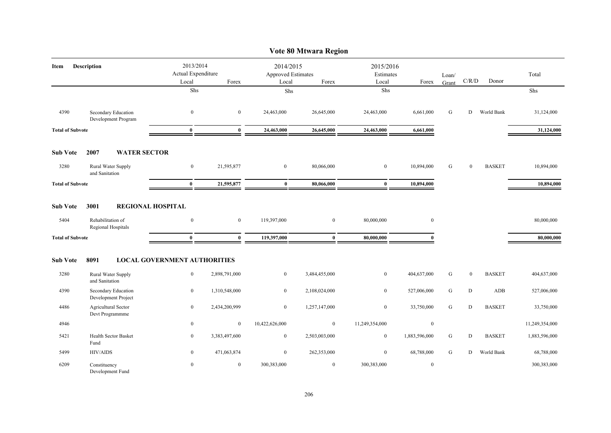|                         |                                            |                                     |               |                                 | Vote 80 Mtwara Region |                        |                  |           |              |               |                |
|-------------------------|--------------------------------------------|-------------------------------------|---------------|---------------------------------|-----------------------|------------------------|------------------|-----------|--------------|---------------|----------------|
| Item                    | Description                                | 2013/2014<br>Actual Expenditure     |               | 2014/2015<br>Approved Estimates |                       | 2015/2016<br>Estimates |                  | Loan/     | C/R/D        | Donor         | Total          |
|                         |                                            | Local<br>Shs                        | Forex         | Local<br>Shs                    | Forex                 | Local<br>Shs           | Forex            | Grant     |              |               | Shs            |
|                         |                                            |                                     |               |                                 |                       |                        |                  |           |              |               |                |
| 4390                    | Secondary Education<br>Development Program | $\mathbf{0}$                        | $\mathbf{0}$  | 24,463,000                      | 26,645,000            | 24,463,000             | 6,661,000        | G         | D            | World Bank    | 31,124,000     |
| <b>Total of Subvote</b> |                                            | $\bf{0}$                            | $\bf{0}$      | 24,463,000                      | 26,645,000            | 24,463,000             | 6,661,000        |           |              |               | 31,124,000     |
| <b>Sub Vote</b>         | <b>WATER SECTOR</b><br>2007                |                                     |               |                                 |                       |                        |                  |           |              |               |                |
| 3280                    | Rural Water Supply<br>and Sanitation       | $\mathbf{0}$                        | 21,595,877    | $\overline{0}$                  | 80,066,000            | $\mathbf{0}$           | 10,894,000       | G         | $\mathbf{0}$ | <b>BASKET</b> | 10,894,000     |
| <b>Total of Subvote</b> |                                            | $\bf{0}$                            | 21,595,877    | $\bf{0}$                        | 80,066,000            | $\bf{0}$               | 10,894,000       |           |              |               | 10,894,000     |
| <b>Sub Vote</b>         | 3001<br><b>REGIONAL HOSPITAL</b>           |                                     |               |                                 |                       |                        |                  |           |              |               |                |
| 5404                    | Rehabilitation of<br>Regional Hospitals    | $\mathbf{0}$                        | $\mathbf{0}$  | 119,397,000                     | $\overline{0}$        | 80,000,000             | $\mathbf{0}$     |           |              |               | 80,000,000     |
| <b>Total of Subvote</b> |                                            | $\bf{0}$                            | $\bf{0}$      | 119,397,000                     | $\bf{0}$              | 80,000,000             | $\mathbf{0}$     |           |              |               | 80,000,000     |
| <b>Sub Vote</b>         | 8091                                       | <b>LOCAL GOVERNMENT AUTHORITIES</b> |               |                                 |                       |                        |                  |           |              |               |                |
| 3280                    | Rural Water Supply<br>and Sanitation       | $\boldsymbol{0}$                    | 2,898,791,000 | $\boldsymbol{0}$                | 3,484,455,000         | $\boldsymbol{0}$       | 404,637,000      | ${\bf G}$ | $\bf{0}$     | <b>BASKET</b> | 404,637,000    |
| 4390                    | Secondary Education<br>Development Project | $\overline{0}$                      | 1,310,548,000 | $\overline{0}$                  | 2,108,024,000         | $\mathbf{0}$           | 527,006,000      | ${\bf G}$ | ${\bf D}$    | ADB           | 527,006,000    |
| 4486                    | Agricultural Sector<br>Devt Programmme     | $\mathbf{0}$                        | 2,434,200,999 | $\overline{0}$                  | 1,257,147,000         | $\boldsymbol{0}$       | 33,750,000       | ${\bf G}$ | D            | <b>BASKET</b> | 33,750,000     |
| 4946                    |                                            | $\boldsymbol{0}$                    | $\mathbf{0}$  | 10,422,626,000                  | $\boldsymbol{0}$      | 11,249,354,000         | $\boldsymbol{0}$ |           |              |               | 11,249,354,000 |
| 5421                    | <b>Health Sector Basket</b><br>Fund        | $\overline{0}$                      | 3,383,497,600 | $\overline{0}$                  | 2,503,003,000         | $\bf{0}$               | 1,883,596,000    | ${\bf G}$ | D            | <b>BASKET</b> | 1,883,596,000  |
| 5499                    | <b>HIV/AIDS</b>                            | $\boldsymbol{0}$                    | 471,063,874   | $\overline{0}$                  | 262,353,000           | $\bf{0}$               | 68,788,000       | ${\bf G}$ | D            | World Bank    | 68,788,000     |
| 6209                    | Constituency<br>Development Fund           | $\overline{0}$                      | $\mathbf{0}$  | 300,383,000                     | $\boldsymbol{0}$      | 300,383,000            | $\bf{0}$         |           |              |               | 300,383,000    |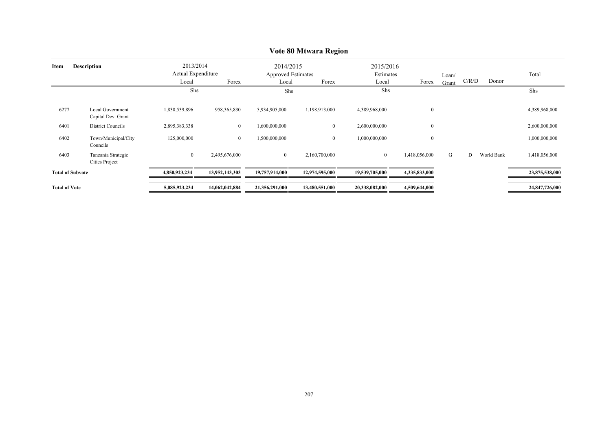|                            |                                               |                                          |                |                                                 | $\frac{1}{2000}$ |                                 |                  |                |       |            |                |
|----------------------------|-----------------------------------------------|------------------------------------------|----------------|-------------------------------------------------|------------------|---------------------------------|------------------|----------------|-------|------------|----------------|
| <b>Description</b><br>Item |                                               | 2013/2014<br>Actual Expenditure<br>Local | Forex          | 2014/2015<br><b>Approved Estimates</b><br>Local | Forex            | 2015/2016<br>Estimates<br>Local | Forex            | Loan/<br>Grant | C/R/D | Donor      | Total          |
|                            |                                               | Shs                                      |                | Shs                                             |                  | Shs                             |                  |                |       |            | Shs            |
| 6277                       | <b>Local Government</b><br>Capital Dev. Grant | 1,830,539,896                            | 958, 365, 830  | 5,934,905,000                                   | 1,198,913,000    | 4,389,968,000                   | $\boldsymbol{0}$ |                |       |            | 4,389,968,000  |
| 6401                       | <b>District Councils</b>                      | 2,895,383,338                            | $\bf{0}$       | 1,600,000,000                                   | $\mathbf{0}$     | 2,600,000,000                   | $\boldsymbol{0}$ |                |       |            | 2,600,000,000  |
| 6402                       | Town/Municipal/City<br>Councils               | 125,000,000                              | $\bf{0}$       | 1,500,000,000                                   | $\bf{0}$         | 1,000,000,000                   | $\boldsymbol{0}$ |                |       |            | 1,000,000,000  |
| 6403                       | Tanzania Strategic<br><b>Cities Project</b>   | $\boldsymbol{0}$                         | 2,495,676,000  | $\overline{0}$                                  | 2,160,700,000    | $\bf{0}$                        | 1,418,056,000    | G              | D     | World Bank | 1,418,056,000  |
| <b>Total of Subvote</b>    |                                               | 4,850,923,234                            | 13,952,143,303 | 19,757,914,000                                  | 12,974,595,000   | 19,539,705,000                  | 4,335,833,000    |                |       |            | 23,875,538,000 |
| <b>Total of Vote</b>       |                                               | 5,085,923,234                            | 14,062,042,884 | 21,356,291,000                                  | 13,480,551,000   | 20,338,082,000                  | 4,509,644,000    |                |       |            | 24,847,726,000 |

# **Vote 80 Mtwara Region**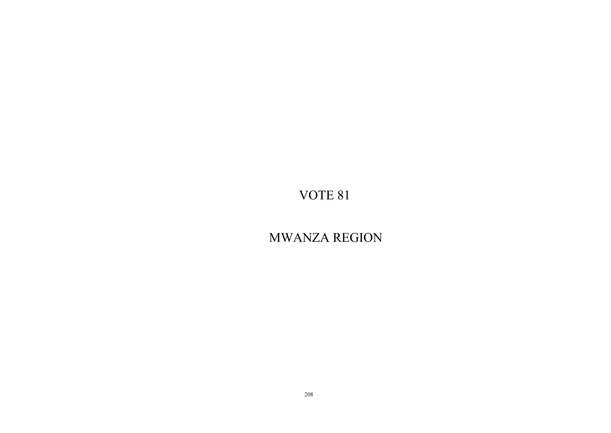# MWANZA REGION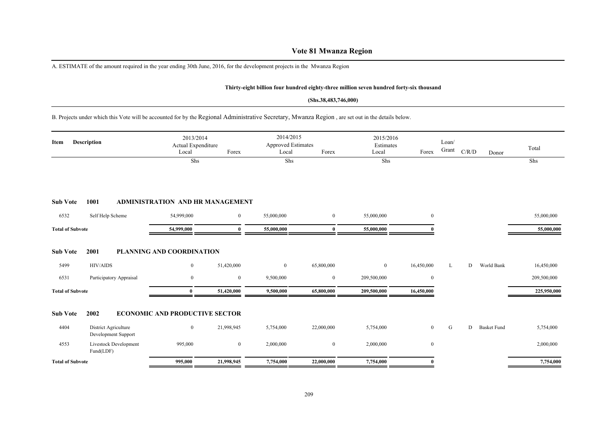# **Vote 81 Mwanza Region**

A. ESTIMATE of the amount required in the year ending 30th June, 2016, for the development projects in the Mwanza Region

#### **Thirty-eight billion four hundred eighty-three million seven hundred forty-six thousand**

#### **(Shs.38,483,746,000)**

## B. Projects under which this Vote will be accounted for by the Regional Administrative Secretary, Mwanza Region , are set out in the details below.

| Item                    | <b>Description</b>      |                              | 2013/2014<br>Actual Expenditure<br>Local<br>Shs | Forex          | 2014/2015<br><b>Approved Estimates</b><br>Local<br>Shs | Forex          | 2015/2016<br>Estimates<br>Local<br>Shs | Forex          | Loan/<br>Grant | C/R/D | Donor              | Total<br>Shs |
|-------------------------|-------------------------|------------------------------|-------------------------------------------------|----------------|--------------------------------------------------------|----------------|----------------------------------------|----------------|----------------|-------|--------------------|--------------|
| <b>Sub Vote</b>         | 1001                    |                              | <b>ADMINISTRATION AND HR MANAGEMENT</b>         |                |                                                        |                |                                        |                |                |       |                    |              |
| 6532                    | Self Help Scheme        |                              | 54,999,000                                      | $\mathbf{0}$   | 55,000,000                                             | $\overline{0}$ | 55,000,000                             | $\overline{0}$ |                |       |                    | 55,000,000   |
| <b>Total of Subvote</b> |                         |                              | 54,999,000                                      | 0              | 55,000,000                                             | $\mathbf{0}$   | 55,000,000                             |                |                |       |                    | 55,000,000   |
| <b>Sub Vote</b><br>5499 | 2001<br><b>HIV/AIDS</b> |                              | PLANNING AND COORDINATION<br>$\boldsymbol{0}$   | 51,420,000     | $\mathbf{0}$                                           | 65,800,000     | $\overline{0}$                         | 16,450,000     | L              | D     | World Bank         | 16,450,000   |
| 6531                    |                         | Participatory Appraisal      | $\bf{0}$                                        | $\bf{0}$       | 9,500,000                                              | $\bf{0}$       | 209,500,000                            | $\bf{0}$       |                |       |                    | 209,500,000  |
| <b>Total of Subvote</b> |                         |                              | $\mathbf{0}$                                    | 51,420,000     | 9,500,000                                              | 65,800,000     | 209,500,000                            | 16,450,000     |                |       |                    | 225,950,000  |
| <b>Sub Vote</b>         | 2002                    |                              | <b>ECONOMIC AND PRODUCTIVE SECTOR</b>           |                |                                                        |                |                                        |                |                |       |                    |              |
| 4404                    | District Agriculture    | Development Support          | $\bf{0}$                                        | 21,998,945     | 5,754,000                                              | 22,000,000     | 5,754,000                              | $\overline{0}$ | G              | D     | <b>Basket Fund</b> | 5,754,000    |
| 4553                    | Fund(LDF)               | <b>Livestock Development</b> | 995,000                                         | $\overline{0}$ | 2,000,000                                              | $\bf{0}$       | 2,000,000                              | $\overline{0}$ |                |       |                    | 2,000,000    |
| <b>Total of Subvote</b> |                         |                              | 995,000                                         | 21,998,945     | 7,754,000                                              | 22,000,000     | 7,754,000                              |                |                |       |                    | 7,754,000    |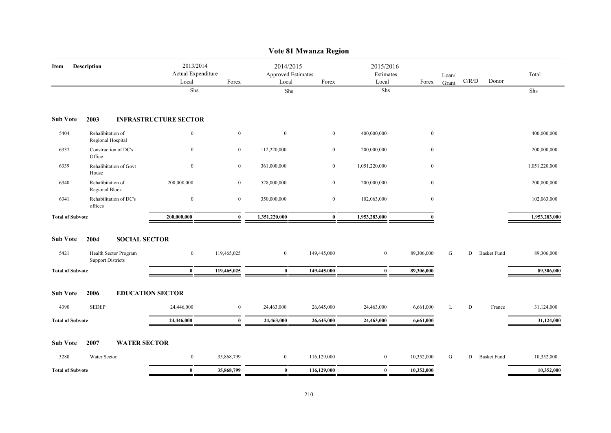|                         |                                                   |                                          |              |                                                 | Vote 81 Mwanza Region |                                 |              |       |                                        |                    |               |
|-------------------------|---------------------------------------------------|------------------------------------------|--------------|-------------------------------------------------|-----------------------|---------------------------------|--------------|-------|----------------------------------------|--------------------|---------------|
| Item                    | Description                                       | 2013/2014<br>Actual Expenditure<br>Local | Forex        | 2014/2015<br><b>Approved Estimates</b><br>Local | Forex                 | 2015/2016<br>Estimates<br>Local | Forex        | Loan/ | $\mathbf{C} / \mathbf{R} / \mathbf{D}$ | Donor              | Total         |
|                         |                                                   | Shs                                      |              | Shs                                             |                       | Shs                             |              | Grant |                                        |                    | Shs           |
| <b>Sub Vote</b>         | 2003                                              | <b>INFRASTRUCTURE SECTOR</b>             |              |                                                 |                       |                                 |              |       |                                        |                    |               |
| 5404                    | Rehalibitation of<br>Regional Hospital            | $\mathbf{0}$                             | $\mathbf{0}$ | $\mathbf{0}$                                    | $\bf{0}$              | 400,000,000                     | $\mathbf{0}$ |       |                                        |                    | 400,000,000   |
| 6337                    | Construction of DC's<br>Office                    | $\mathbf{0}$                             | $\mathbf{0}$ | 112,220,000                                     | $\mathbf{0}$          | 200,000,000                     | $\mathbf{0}$ |       |                                        |                    | 200,000,000   |
| 6339                    | Rehalibitation of Govt<br>House                   | $\bf{0}$                                 | $\mathbf{0}$ | 361,000,000                                     | $\bf{0}$              | 1,051,220,000                   | $\mathbf{0}$ |       |                                        |                    | 1,051,220,000 |
| 6340                    | Rehalibitation of<br>Regional Block               | 200,000,000                              | $\mathbf{0}$ | 528,000,000                                     | $\bf{0}$              | 200,000,000                     | $\mathbf{0}$ |       |                                        |                    | 200,000,000   |
| 6341                    | Rehabilitation of DC's<br>offices                 | $\mathbf{0}$                             | $\mathbf{0}$ | 350,000,000                                     | $\mathbf{0}$          | 102,063,000                     | $\mathbf{0}$ |       |                                        |                    | 102,063,000   |
| <b>Total of Subvote</b> |                                                   | 200,000,000                              | $\bf{0}$     | 1,351,220,000                                   | $\bf{0}$              | 1,953,283,000                   | $\theta$     |       |                                        |                    | 1,953,283,000 |
| <b>Sub Vote</b>         | <b>SOCIAL SECTOR</b><br>2004                      |                                          |              |                                                 |                       |                                 |              |       |                                        |                    |               |
| 5421                    | Health Sector Program<br><b>Support Districts</b> | $\boldsymbol{0}$                         | 119,465,025  | $\mathbf{0}$                                    | 149,445,000           | $\mathbf{0}$                    | 89,306,000   | G     | D                                      | <b>Basket Fund</b> | 89,306,000    |
| <b>Total of Subvote</b> |                                                   | $\bf{0}$                                 | 119,465,025  | $\bf{0}$                                        | 149,445,000           | $\bf{0}$                        | 89,306,000   |       |                                        |                    | 89,306,000    |
| <b>Sub Vote</b>         | 2006                                              | <b>EDUCATION SECTOR</b>                  |              |                                                 |                       |                                 |              |       |                                        |                    |               |
| 4390                    | <b>SEDEP</b>                                      | 24,446,000                               | $\mathbf{0}$ | 24,463,000                                      | 26,645,000            | 24,463,000                      | 6,661,000    | L     | D                                      | France             | 31,124,000    |
| <b>Total of Subvote</b> |                                                   | 24,446,000                               | $\bf{0}$     | 24,463,000                                      | 26,645,000            | 24,463,000                      | 6,661,000    |       |                                        |                    | 31,124,000    |
| <b>Sub Vote</b>         | 2007<br><b>WATER SECTOR</b>                       |                                          |              |                                                 |                       |                                 |              |       |                                        |                    |               |
| 3280                    | Water Sector                                      | $\bf{0}$                                 | 35,868,799   | $\bf{0}$                                        | 116,129,000           | $\bf{0}$                        | 10,352,000   | G     | D                                      | <b>Basket Fund</b> | 10,352,000    |
| <b>Total of Subvote</b> |                                                   | $\bf{0}$                                 | 35,868,799   | $\bf{0}$                                        | 116,129,000           | $\bf{0}$                        | 10,352,000   |       |                                        |                    | 10,352,000    |

210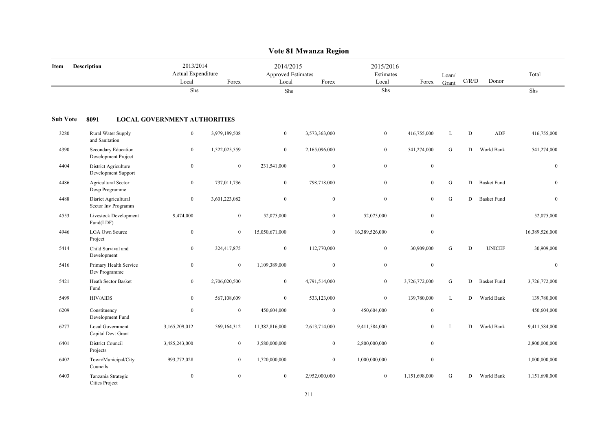|                            |                                               |                                          |                  |                                                   | Vote 81 Mwanza Region |                                 |                  |                |             |                    |                |
|----------------------------|-----------------------------------------------|------------------------------------------|------------------|---------------------------------------------------|-----------------------|---------------------------------|------------------|----------------|-------------|--------------------|----------------|
| <b>Description</b><br>Item |                                               | 2013/2014<br>Actual Expenditure<br>Local | Forex            | 2014/2015<br>Approved Estimates<br>Local<br>Forex |                       | 2015/2016<br>Estimates<br>Local | Forex            | Loan/<br>Grant | $\rm C/R/D$ | Donor              | Total          |
|                            |                                               | Shs                                      |                  | Shs                                               |                       | Shs                             |                  |                |             |                    | Shs            |
| <b>Sub Vote</b>            | 8091                                          | <b>LOCAL GOVERNMENT AUTHORITIES</b>      |                  |                                                   |                       |                                 |                  |                |             |                    |                |
| 3280                       | Rural Water Supply<br>and Sanitation          | $\bf{0}$                                 | 3,979,189,508    | $\overline{0}$                                    | 3,573,363,000         | $\overline{0}$                  | 416,755,000      | L              | D           | <b>ADF</b>         | 416,755,000    |
| 4390                       | Secondary Education<br>Development Project    | $\boldsymbol{0}$                         | 1,522,025,559    | $\overline{0}$                                    | 2,165,096,000         | $\boldsymbol{0}$                | 541,274,000      | ${\bf G}$      | D           | World Bank         | 541,274,000    |
| 4404                       | District Agriculture<br>Development Support   | $\bf{0}$                                 | $\bf{0}$         | 231,541,000                                       | $\boldsymbol{0}$      | $\bf{0}$                        | $\bf{0}$         |                |             |                    | $\overline{0}$ |
| 4486                       | Agricultural Sector<br>Devp Programme         | $\boldsymbol{0}$                         | 737,011,736      | $\boldsymbol{0}$                                  | 798,718,000           | $\boldsymbol{0}$                | $\mathbf{0}$     | $\mathbf G$    | D           | <b>Basket Fund</b> | $\overline{0}$ |
| 4488                       | Disrict Agricultural<br>Sector Inv Programm   | $\mathbf{0}$                             | 3,601,223,082    | $\mathbf{0}$                                      | $\mathbf{0}$          | $\boldsymbol{0}$                | $\boldsymbol{0}$ | ${\bf G}$      | D           | <b>Basket Fund</b> | $\overline{0}$ |
| 4553                       | Livestock Development<br>Fund(LDF)            | 9,474,000                                | $\bf{0}$         | 52,075,000                                        | $\bf{0}$              | 52,075,000                      | $\mathbf{0}$     |                |             |                    | 52,075,000     |
| 4946                       | <b>LGA Own Source</b><br>Project              | $\mathbf{0}$                             | $\mathbf{0}$     | 15,050,671,000                                    | $\mathbf{0}$          | 16,389,526,000                  | $\mathbf{0}$     |                |             |                    | 16,389,526,000 |
| 5414                       | Child Survival and<br>Development             | $\bf{0}$                                 | 324,417,875      | $\mathbf{0}$                                      | 112,770,000           | $\boldsymbol{0}$                | 30,909,000       | ${\bf G}$      | $\mathbf D$ | <b>UNICEF</b>      | 30,909,000     |
| 5416                       | Primary Health Service<br>Dev Programme       | $\boldsymbol{0}$                         | $\boldsymbol{0}$ | 1,109,389,000                                     | $\boldsymbol{0}$      | $\boldsymbol{0}$                | $\boldsymbol{0}$ |                |             |                    | $\overline{0}$ |
| 5421                       | Heath Sector Basket<br>Fund                   | $\mathbf{0}$                             | 2,706,020,500    | $\mathbf{0}$                                      | 4,791,514,000         | $\mathbf{0}$                    | 3,726,772,000    | ${\bf G}$      | D           | <b>Basket Fund</b> | 3,726,772,000  |
| 5499                       | <b>HIV/AIDS</b>                               | $\mathbf{0}$                             | 567,108,609      | $\mathbf{0}$                                      | 533,123,000           | $\boldsymbol{0}$                | 139,780,000      | $\mathbf L$    | D           | World Bank         | 139,780,000    |
| 6209                       | Constituency<br>Development Fund              | $\boldsymbol{0}$                         | $\boldsymbol{0}$ | 450,604,000                                       | $\boldsymbol{0}$      | 450,604,000                     | $\bf{0}$         |                |             |                    | 450,604,000    |
| 6277                       | <b>Local Government</b><br>Capital Devt Grant | 3,165,209,012                            | 569,164,312      | 11,382,816,000                                    | 2,613,714,000         | 9,411,584,000                   | $\Omega$         | L              | D           | World Bank         | 9,411,584,000  |
| 6401                       | District Council<br>Projects                  | 3,485,243,000                            | $\overline{0}$   | 3,580,000,000                                     | $\mathbf{0}$          | 2,800,000,000                   | $\mathbf{0}$     |                |             |                    | 2,800,000,000  |
| 6402                       | Town/Municipal/City<br>Councils               | 993,772,028                              | $\mathbf{0}$     | 1,720,000,000                                     | $\mathbf{0}$          | 1,000,000,000                   | $\boldsymbol{0}$ |                |             |                    | 1,000,000,000  |
| 6403                       | Tanzania Strategic<br><b>Cities Project</b>   | $\boldsymbol{0}$                         | $\mathbf{0}$     | $\mathbf{0}$                                      | 2,952,000,000         | $\overline{0}$                  | 1,151,698,000    | ${\bf G}$      | D           | World Bank         | 1,151,698,000  |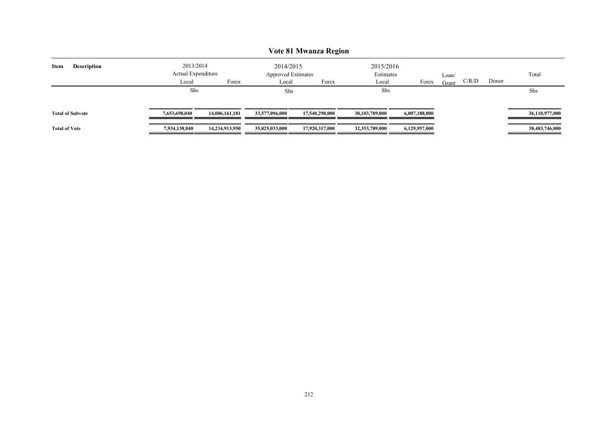|                            | <b>Vote 81 Mwanza Region</b>    |                |                                        |                |                        |               |       |       |       |                |  |  |  |  |
|----------------------------|---------------------------------|----------------|----------------------------------------|----------------|------------------------|---------------|-------|-------|-------|----------------|--|--|--|--|
| Item<br><b>Description</b> | 2013/2014<br>Actual Expenditure |                | 2014/2015<br><b>Approved Estimates</b> |                | 2015/2016<br>Estimates |               | Loan/ |       |       | Total          |  |  |  |  |
|                            | Local                           | Forex          | Local                                  | Forex          | Local                  | Forex         | Grant | C/R/D | Donor |                |  |  |  |  |
|                            | Shs                             |                | Shs                                    |                | Shs                    |               |       |       |       | Shs            |  |  |  |  |
| <b>Total of Subvote</b>    | 7,653,698,040                   | 14,006,161,181 | 33,577,096,000                         | 17.540,298,000 | 30,103,789,000         | 6,007,188,000 |       |       |       | 36,110,977,000 |  |  |  |  |
| <b>Total of Vote</b>       | 7,934,138,040                   | 14,234,913,950 | 35,025,033,000                         | 17,920,317,000 | 32,353,789,000         | 6,129,957,000 |       |       |       | 38,483,746,000 |  |  |  |  |

# 212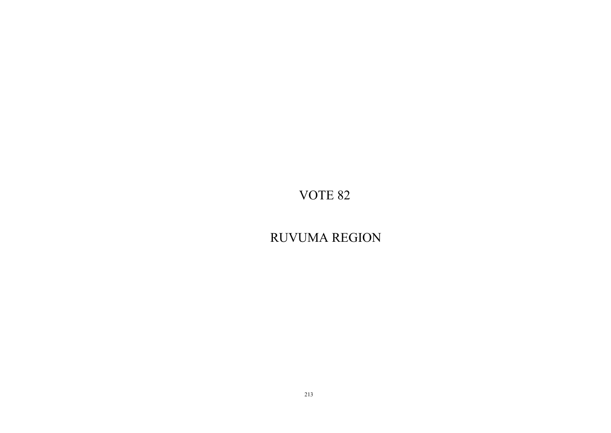RUVUMA REGION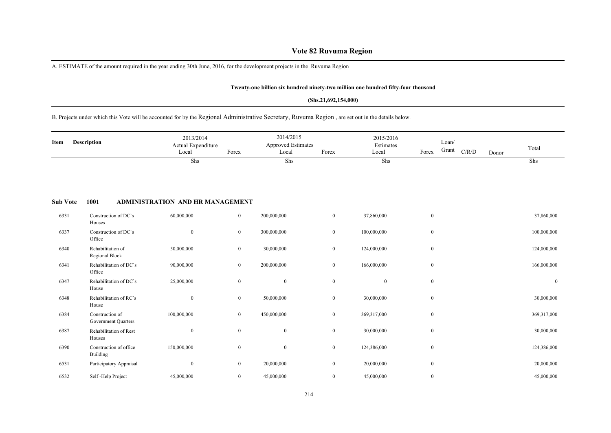# **Vote 82 Ruvuma Region**

A. ESTIMATE of the amount required in the year ending 30th June, 2016, for the development projects in the Ruvuma Region

#### **Twenty-one billion six hundred ninety-two million one hundred fifty-four thousand**

#### **(Shs.21,692,154,000)**

## B. Projects under which this Vote will be accounted for by the Regional Administrative Secretary, Ruvuma Region , are set out in the details below.

| Item | Description | 2013/2014<br>Actual Expenditure<br>Local | Forex | 2014/2015<br><b>Approved Estimates</b><br>Local | Forex | 2015/2016<br>Estimates<br>Local | Forex | Loan/<br>Grant | C/R/D | Donor | Total |  |
|------|-------------|------------------------------------------|-------|-------------------------------------------------|-------|---------------------------------|-------|----------------|-------|-------|-------|--|
|      |             | Shs                                      |       | Shs                                             |       | Shs                             |       |                |       |       | Shs   |  |

#### **Sub Vote 1001 ADMINISTRATION AND HR MANAGEMENT**

| 6331 | Construction of DC's<br>Houses         | 60,000,000       | $\overline{0}$   | 200,000,000      | $\bf{0}$     | 37,860,000       | $\boldsymbol{0}$ | 37,860,000       |
|------|----------------------------------------|------------------|------------------|------------------|--------------|------------------|------------------|------------------|
| 6337 | Construction of DC's<br>Office         | $\mathbf{0}$     | $\mathbf{0}$     | 300,000,000      | $\bf{0}$     | 100,000,000      | $\overline{0}$   | 100,000,000      |
| 6340 | Rehabilitation of<br>Regional Block    | 50,000,000       | $\mathbf{0}$     | 30,000,000       | $\bf{0}$     | 124,000,000      | $\overline{0}$   | 124,000,000      |
| 6341 | Rehabilitation of DC's<br>Office       | 90,000,000       | $\boldsymbol{0}$ | 200,000,000      | $\bf{0}$     | 166,000,000      | $\overline{0}$   | 166,000,000      |
| 6347 | Rehabilitation of DC's<br>House        | 25,000,000       | $\boldsymbol{0}$ | $\boldsymbol{0}$ | $\mathbf{0}$ | $\boldsymbol{0}$ | $\overline{0}$   | $\boldsymbol{0}$ |
| 6348 | Rehabilitation of RC's<br>House        | $\boldsymbol{0}$ | $\boldsymbol{0}$ | 50,000,000       | $\bf{0}$     | 30,000,000       | $\boldsymbol{0}$ | 30,000,000       |
| 6384 | Construction of<br>Government Quarters | 100,000,000      | $\mathbf{0}$     | 450,000,000      | $\bf{0}$     | 369,317,000      | $\boldsymbol{0}$ | 369,317,000      |
| 6387 | Rehabilitation of Rest<br>Houses       | $\boldsymbol{0}$ | $\boldsymbol{0}$ | $\boldsymbol{0}$ | $\bf{0}$     | 30,000,000       | $\boldsymbol{0}$ | 30,000,000       |
| 6390 | Construction of office<br>Building     | 150,000,000      | $\boldsymbol{0}$ | $\boldsymbol{0}$ | $\bf{0}$     | 124,386,000      | $\mathbf{0}$     | 124,386,000      |
| 6531 | Participatory Appraisal                | $\boldsymbol{0}$ | $\mathbf{0}$     | 20,000,000       | $\bf{0}$     | 20,000,000       | $\overline{0}$   | 20,000,000       |
| 6532 | Self-Help Project                      | 45,000,000       | $\overline{0}$   | 45,000,000       | $\bf{0}$     | 45,000,000       | $\overline{0}$   | 45,000,000       |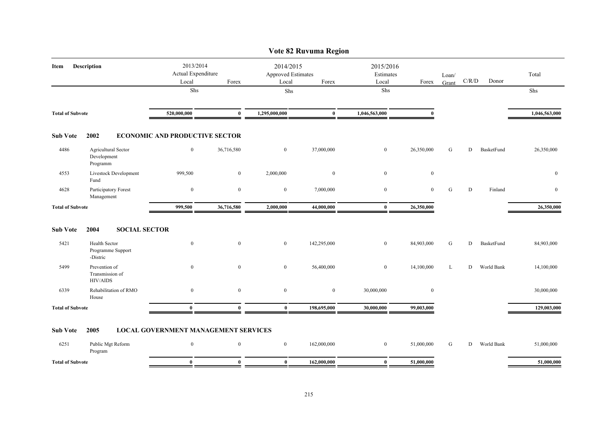|                         |                                                     |                                                   |                  |                                                          | Vote 82 Ruvuma Region |                                          |                |                |       |            |                |
|-------------------------|-----------------------------------------------------|---------------------------------------------------|------------------|----------------------------------------------------------|-----------------------|------------------------------------------|----------------|----------------|-------|------------|----------------|
| Description<br>Item     |                                                     | 2013/2014<br>Actual Expenditure<br>Local<br>Forex |                  | 2014/2015<br><b>Approved Estimates</b><br>Local<br>Forex |                       | 2015/2016<br>Estimates<br>Local<br>Forex |                | Loan/<br>Grant | C/R/D | Donor      | Total          |
|                         |                                                     | Shs                                               |                  | Shs                                                      |                       | Shs                                      |                |                |       |            | Shs            |
| <b>Total of Subvote</b> |                                                     | 520,000,000                                       | $\mathbf{0}$     | 1,295,000,000                                            | $\bf{0}$              | 1,046,563,000                            | $\mathbf{0}$   |                |       |            | 1,046,563,000  |
| <b>Sub Vote</b>         | 2002                                                | <b>ECONOMIC AND PRODUCTIVE SECTOR</b>             |                  |                                                          |                       |                                          |                |                |       |            |                |
| 4486                    | Agricultural Sector<br>Development<br>Programm      | $\mathbf{0}$                                      | 36,716,580       | $\overline{0}$                                           | 37,000,000            | $\overline{0}$                           | 26,350,000     | G              | D     | BasketFund | 26,350,000     |
| 4553                    | <b>Livestock Development</b><br>Fund                | 999,500                                           | $\overline{0}$   | 2,000,000                                                | $\bf{0}$              | $\mathbf{0}$                             | $\mathbf{0}$   |                |       |            | $\mathbf{0}$   |
| 4628                    | Participatory Forest<br>Management                  | $\mathbf{0}$                                      | $\mathbf{0}$     | $\bf{0}$                                                 | 7,000,000             | $\bf{0}$                                 | $\overline{0}$ | G              | D     | Finland    | $\overline{0}$ |
| <b>Total of Subvote</b> |                                                     | 999,500                                           | 36,716,580       | 2,000,000                                                | 44,000,000            | $\bf{0}$                                 | 26,350,000     |                |       |            | 26,350,000     |
| <b>Sub Vote</b>         | 2004<br><b>SOCIAL SECTOR</b>                        |                                                   |                  |                                                          |                       |                                          |                |                |       |            |                |
| 5421                    | Health Sector<br>Programme Support<br>-Distric      | $\boldsymbol{0}$                                  | $\boldsymbol{0}$ | $\overline{0}$                                           | 142,295,000           | $\boldsymbol{0}$                         | 84,903,000     | G              | D     | BasketFund | 84,903,000     |
| 5499                    | Prevention of<br>Transmission of<br><b>HIV/AIDS</b> | $\bf{0}$                                          | $\mathbf{0}$     | $\bf{0}$                                                 | 56,400,000            | $\bf{0}$                                 | 14,100,000     | L              | D     | World Bank | 14,100,000     |
| 6339                    | Rehabilitation of RMO<br>House                      | $\mathbf{0}$                                      | $\mathbf{0}$     | $\mathbf{0}$                                             | $\mathbf{0}$          | 30,000,000                               | $\mathbf{0}$   |                |       |            | 30,000,000     |
| <b>Total of Subvote</b> |                                                     | $\mathbf{0}$                                      | $\mathbf{0}$     | $\mathbf{0}$                                             | 198,695,000           | 30,000,000                               | 99,003,000     |                |       |            | 129,003,000    |
| <b>Sub Vote</b>         | 2005                                                | <b>LOCAL GOVERNMENT MANAGEMENT SERVICES</b>       |                  |                                                          |                       |                                          |                |                |       |            |                |
| 6251                    | Public Mgt Reform<br>Program                        | $\mathbf{0}$                                      | $\mathbf{0}$     | $\overline{0}$                                           | 162,000,000           | $\overline{0}$                           | 51,000,000     | G              | D     | World Bank | 51,000,000     |
| <b>Total of Subvote</b> |                                                     | $\bf{0}$                                          | $\bf{0}$         | $\bf{0}$                                                 | 162,000,000           | $\bf{0}$                                 | 51,000,000     |                |       |            | 51,000,000     |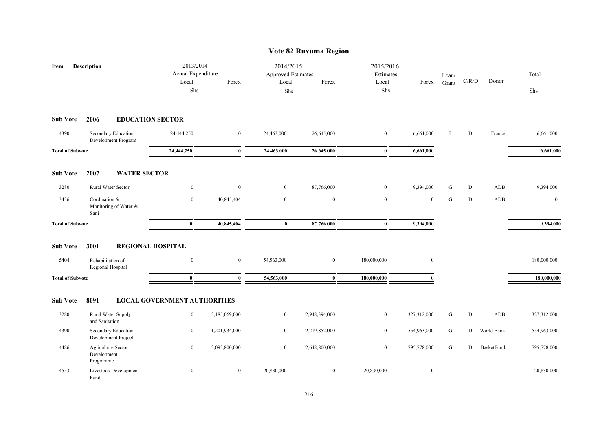|                         |                                        |                                            |                                     |                                                          |                  | Vote 82 Ruvuma Region           |                  |                  |           |             |            |              |
|-------------------------|----------------------------------------|--------------------------------------------|-------------------------------------|----------------------------------------------------------|------------------|---------------------------------|------------------|------------------|-----------|-------------|------------|--------------|
| Description<br>Item     |                                        | 2013/2014<br>Actual Expenditure<br>Local   | Forex                               | 2014/2015<br><b>Approved Estimates</b><br>Local<br>Forex |                  | 2015/2016<br>Estimates<br>Local | Forex            | Loan/<br>Grant   | C/R/D     | Donor       | Total      |              |
|                         |                                        |                                            | Shs                                 |                                                          | Shs              |                                 | Shs              |                  |           |             |            | Shs          |
| <b>Sub Vote</b>         | 2006                                   |                                            | <b>EDUCATION SECTOR</b>             |                                                          |                  |                                 |                  |                  |           |             |            |              |
| 4390                    |                                        | Secondary Education<br>Development Program | 24,444,250                          | $\boldsymbol{0}$                                         | 24,463,000       | 26,645,000                      | $\bf{0}$         | 6,661,000        | L         | $\mathbf D$ | France     | 6,661,000    |
| <b>Total of Subvote</b> |                                        |                                            | 24,444,250                          | $\bf{0}$                                                 | 24,463,000       | 26,645,000                      | $\bf{0}$         | 6,661,000        |           |             |            | 6,661,000    |
| <b>Sub Vote</b>         | 2007                                   | <b>WATER SECTOR</b>                        |                                     |                                                          |                  |                                 |                  |                  |           |             |            |              |
| 3280                    |                                        | Rural Water Sector                         | $\bf{0}$                            | $\bf{0}$                                                 | $\overline{0}$   | 87,766,000                      | $\mathbf{0}$     | 9,394,000        | G         | D           | ADB        | 9,394,000    |
| 3436                    | Cordination &<br>Sani                  | Monitoring of Water &                      | $\bf{0}$                            | 40,845,404                                               | $\bf{0}$         | $\overline{0}$                  | $\bf{0}$         | $\bf{0}$         | ${\bf G}$ | D           | ADB        | $\mathbf{0}$ |
| <b>Total of Subvote</b> |                                        |                                            | $\bf{0}$                            | 40,845,404                                               | $\bf{0}$         | 87,766,000                      | $\bf{0}$         | 9,394,000        |           |             |            | 9,394,000    |
| <b>Sub Vote</b>         | 3001                                   |                                            | <b>REGIONAL HOSPITAL</b>            |                                                          |                  |                                 |                  |                  |           |             |            |              |
| 5404                    | Rehabilitation of<br>Regional Hospital |                                            | $\boldsymbol{0}$                    | $\boldsymbol{0}$                                         | 54,563,000       | $\mathbf{0}$                    | 180,000,000      | $\bf{0}$         |           |             |            | 180,000,000  |
| <b>Total of Subvote</b> |                                        |                                            | $\mathbf{0}$                        | $\bf{0}$                                                 | 54,563,000       | $\bf{0}$                        | 180,000,000      | $\mathbf{u}$     |           |             |            | 180,000,000  |
| <b>Sub Vote</b>         | 8091                                   |                                            | <b>LOCAL GOVERNMENT AUTHORITIES</b> |                                                          |                  |                                 |                  |                  |           |             |            |              |
| 3280                    | and Sanitation                         | Rural Water Supply                         | $\boldsymbol{0}$                    | 3,185,069,000                                            | $\bf{0}$         | 2,948,394,000                   | $\bf{0}$         | 327,312,000      | G         | D           | ADB        | 327,312,000  |
| 4390                    |                                        | Secondary Education<br>Development Project | $\mathbf{0}$                        | 1,201,934,000                                            | $\boldsymbol{0}$ | 2,219,852,000                   | $\bf{0}$         | 554,963,000      | G         | D           | World Bank | 554,963,000  |
| 4486                    | Development<br>Programme               | Agriculture Sector                         | $\bf{0}$                            | 3,093,800,000                                            | $\bf{0}$         | 2,648,800,000                   | $\boldsymbol{0}$ | 795,778,000      | G         | D           | BasketFund | 795,778,000  |
| 4553                    | Fund                                   | Livestock Development                      | $\mathbf{0}$                        | $\boldsymbol{0}$                                         | 20,830,000       | $\overline{0}$                  | 20,830,000       | $\boldsymbol{0}$ |           |             |            | 20,830,000   |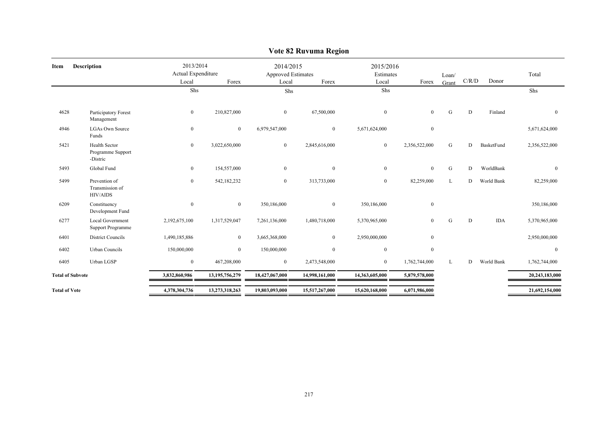| Item                 | Description                                         | 2013/2014<br>Actual Expenditure |                | 2014/2015<br><b>Approved Estimates</b> |                | 2015/2016<br>Estimates |                | Loan/     |       |            | Total          |
|----------------------|-----------------------------------------------------|---------------------------------|----------------|----------------------------------------|----------------|------------------------|----------------|-----------|-------|------------|----------------|
|                      |                                                     | Local                           | Forex          | Local                                  | Forex          | Local                  | Forex          | Grant     | C/R/D | Donor      |                |
|                      |                                                     | Shs                             |                | Shs                                    |                | Shs                    |                |           |       |            | Shs            |
| 4628                 | Participatory Forest<br>Management                  | $\bf{0}$                        | 210,827,000    | $\overline{0}$                         | 67,500,000     | $\mathbf{0}$           | $\overline{0}$ | ${\bf G}$ | D     | Finland    | $\overline{0}$ |
| 4946                 | <b>LGAs Own Source</b><br>Funds                     | $\bf{0}$                        | $\overline{0}$ | 6,979,547,000                          | $\overline{0}$ | 5,671,624,000          | $\mathbf{0}$   |           |       |            | 5,671,624,000  |
| 5421                 | Health Sector<br>Programme Support<br>-Distric      | $\bf{0}$                        | 3,022,650,000  | $\overline{0}$                         | 2,845,616,000  | $\mathbf{0}$           | 2,356,522,000  | G         | D     | BasketFund | 2,356,522,000  |
| 5493                 | Global Fund                                         | $\mathbf{0}$                    | 154,557,000    | $\overline{0}$                         | $\theta$       | $\bf{0}$               | $\theta$       | G         | D     | WorldBank  | $\Omega$       |
| 5499                 | Prevention of<br>Transmission of<br><b>HIV/AIDS</b> | $\overline{0}$                  | 542,182,232    | $\overline{0}$                         | 313,733,000    | $\mathbf{0}$           | 82,259,000     | L         | D     | World Bank | 82,259,000     |
| 6209                 | Constituency<br>Development Fund                    | $\mathbf{0}$                    | $\overline{0}$ | 350,186,000                            | $\overline{0}$ | 350,186,000            | $\mathbf{0}$   |           |       |            | 350,186,000    |
| 6277                 | Local Government<br>Support Programme               | 2,192,675,100                   | 1,317,529,047  | 7,261,136,000                          | 1,480,718,000  | 5,370,965,000          | $\overline{0}$ | G         | D     | <b>IDA</b> | 5,370,965,000  |
| 6401                 | <b>District Councils</b>                            | 1,490,185,886                   | $\overline{0}$ | 3,665,368,000                          | $\theta$       | 2,950,000,000          | $\mathbf{0}$   |           |       |            | 2,950,000,000  |
| 6402                 | Urban Councils                                      | 150,000,000                     | $\overline{0}$ | 150,000,000                            | $\overline{0}$ | $\mathbf{0}$           | $\mathbf{0}$   |           |       |            | $\Omega$       |
| 6405                 | Urban LGSP                                          | $\mathbf{0}$                    | 467,208,000    | $\overline{0}$                         | 2,473,548,000  | $\mathbf{0}$           | 1,762,744,000  | L         | D     | World Bank | 1,762,744,000  |
|                      | <b>Total of Subvote</b>                             | 3,832,860,986                   | 13,195,756,279 | 18,427,067,000                         | 14,998,161,000 | 14,363,605,000         | 5,879,578,000  |           |       |            | 20,243,183,000 |
| <b>Total of Vote</b> |                                                     | 4,378,304,736                   | 13,273,318,263 | 19,803,093,000                         | 15,517,267,000 | 15,620,168,000         | 6,071,986,000  |           |       |            | 21,692,154,000 |

# **Vote 82 Ruvuma Region**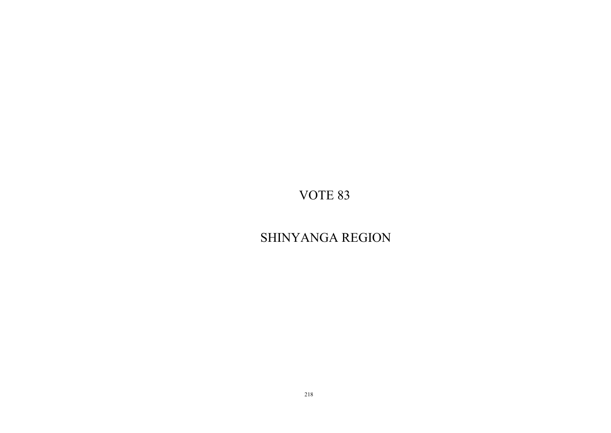# SHINYANGA REGION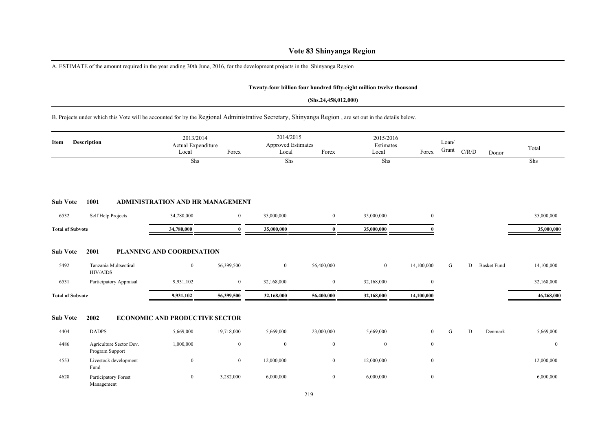# **Vote 83 Shinyanga Region**

A. ESTIMATE of the amount required in the year ending 30th June, 2016, for the development projects in the Shinyanga Region

#### **Twenty-four billion four hundred fifty-eight million twelve thousand**

#### **(Shs.24,458,012,000)**

B. Projects under which this Vote will be accounted for by the Regional Administrative Secretary, Shinyanga Region , are set out in the details below.

| Item                    | <b>Description</b>                         | 2013/2014<br>Actual Expenditure<br>Local | Forex            | 2014/2015<br>Approved Estimates<br>Local | Forex            | 2015/2016<br>Estimates<br>Local | Forex            | Loan/<br>Grant | C/R/D | Donor              | Total        |
|-------------------------|--------------------------------------------|------------------------------------------|------------------|------------------------------------------|------------------|---------------------------------|------------------|----------------|-------|--------------------|--------------|
|                         |                                            | Shs                                      |                  | Shs                                      |                  | Shs                             |                  |                |       |                    | Shs          |
| <b>Sub Vote</b>         | 1001                                       | <b>ADMINISTRATION AND HR MANAGEMENT</b>  |                  |                                          |                  |                                 |                  |                |       |                    |              |
| 6532                    | Self Help Projects                         | 34,780,000                               | $\boldsymbol{0}$ | 35,000,000                               | $\bf{0}$         | 35,000,000                      | $\overline{0}$   |                |       |                    | 35,000,000   |
| <b>Total of Subvote</b> |                                            | 34,780,000                               | $\mathbf{0}$     | 35,000,000                               | $\bf{0}$         | 35,000,000                      | 0                |                |       |                    | 35,000,000   |
| <b>Sub Vote</b>         | 2001                                       | <b>PLANNING AND COORDINATION</b>         |                  |                                          |                  |                                 |                  |                |       |                    |              |
| 5492                    | Tanzania Multsectiral<br><b>HIV/AIDS</b>   | $\bf{0}$                                 | 56,399,500       | $\boldsymbol{0}$                         | 56,400,000       | $\boldsymbol{0}$                | 14,100,000       | G              | D     | <b>Basket Fund</b> | 14,100,000   |
| 6531                    | Participatory Appraisal                    | 9,931,102                                | $\overline{0}$   | 32,168,000                               | $\bf{0}$         | 32,168,000                      | $\boldsymbol{0}$ |                |       |                    | 32,168,000   |
| <b>Total of Subvote</b> |                                            | 9,931,102                                | 56,399,500       | 32,168,000                               | 56,400,000       | 32,168,000                      | 14,100,000       |                |       |                    | 46,268,000   |
| <b>Sub Vote</b>         | 2002                                       | <b>ECONOMIC AND PRODUCTIVE SECTOR</b>    |                  |                                          |                  |                                 |                  |                |       |                    |              |
| 4404                    | <b>DADPS</b>                               | 5,669,000                                | 19,718,000       | 5,669,000                                | 23,000,000       | 5,669,000                       | $\overline{0}$   | G              | D     | Denmark            | 5,669,000    |
| 4486                    | Agriculture Sector Dev.<br>Program Support | 1,000,000                                | $\overline{0}$   | $\boldsymbol{0}$                         | $\boldsymbol{0}$ | $\mathbf{0}$                    | $\mathbf{0}$     |                |       |                    | $\mathbf{0}$ |
| 4553                    | Livestock development<br>Fund              | $\bf{0}$                                 | $\overline{0}$   | 12,000,000                               | $\bf{0}$         | 12,000,000                      | $\bf{0}$         |                |       |                    | 12,000,000   |
| 4628                    | Participatory Forest<br>Management         | $\boldsymbol{0}$                         | 3,282,000        | 6,000,000                                | $\bf{0}$         | 6,000,000                       | $\boldsymbol{0}$ |                |       |                    | 6,000,000    |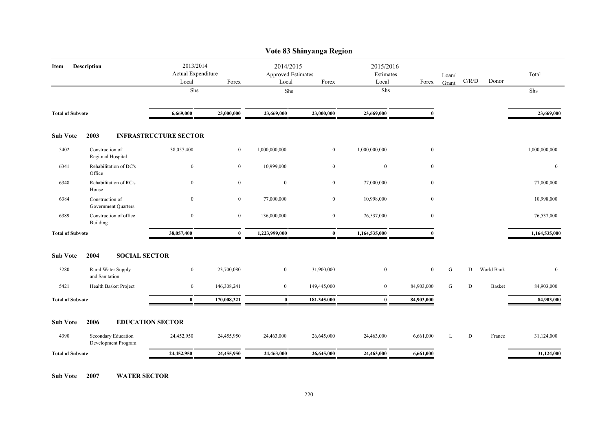|                         |                                            |                              |                                                   |               | Vote 83 Shinyanga Region                                 |               |                    |                |           |               |               |
|-------------------------|--------------------------------------------|------------------------------|---------------------------------------------------|---------------|----------------------------------------------------------|---------------|--------------------|----------------|-----------|---------------|---------------|
| Item                    | <b>Description</b>                         |                              | 2013/2014<br>Actual Expenditure<br>Local<br>Forex |               | 2014/2015<br><b>Approved Estimates</b><br>Local<br>Forex |               | 2015/2016<br>Forex | Loan/<br>Grant | C/R/D     | Donor         | Total         |
|                         |                                            | Shs                          |                                                   | ${\rm Shs}$   |                                                          | Local<br>Shs  |                    |                |           |               | Shs           |
| <b>Total of Subvote</b> |                                            | 6,669,000                    | 23,000,000                                        | 23,669,000    | 23,000,000                                               | 23,669,000    | $\mathbf{0}$       |                |           |               | 23,669,000    |
| <b>Sub Vote</b>         | 2003                                       | <b>INFRASTRUCTURE SECTOR</b> |                                                   |               |                                                          |               |                    |                |           |               |               |
| 5402                    | Construction of<br>Regional Hospital       | 38,057,400                   | $\overline{0}$                                    | 1,000,000,000 | $\overline{0}$                                           | 1,000,000,000 | $\bf{0}$           |                |           |               | 1,000,000,000 |
| 6341                    | Rehabilitation of DC's<br>Office           | $\bf{0}$                     | $\bf{0}$                                          | 10,999,000    | $\boldsymbol{0}$                                         | $\bf{0}$      | $\bf{0}$           |                |           |               | $\bf{0}$      |
| 6348                    | Rehabilitation of RC's<br>House            | $\boldsymbol{0}$             | $\bf{0}$                                          | $\bf{0}$      | $\boldsymbol{0}$                                         | 77,000,000    | $\bf{0}$           |                |           |               | 77,000,000    |
| 6384                    | Construction of<br>Government Quarters     | $\mathbf{0}$                 | $\mathbf{0}$                                      | 77,000,000    | $\overline{0}$                                           | 10,998,000    | $\mathbf{0}$       |                |           |               | 10,998,000    |
| 6389                    | Construction of office<br>Building         | $\boldsymbol{0}$             | $\boldsymbol{0}$                                  | 136,000,000   | $\boldsymbol{0}$                                         | 76,537,000    | $\mathbf{0}$       |                |           |               | 76,537,000    |
| <b>Total of Subvote</b> |                                            | 38,057,400                   | $\bf{0}$                                          | 1,223,999,000 | $\bf{0}$                                                 | 1,164,535,000 | $\Omega$           |                |           |               | 1,164,535,000 |
| <b>Sub Vote</b>         | 2004<br><b>SOCIAL SECTOR</b>               |                              |                                                   |               |                                                          |               |                    |                |           |               |               |
| 3280                    | Rural Water Supply<br>and Sanitation       | $\boldsymbol{0}$             | 23,700,080                                        | $\mathbf{0}$  | 31,900,000                                               | $\mathbf{0}$  | $\mathbf{0}$       | G              | D         | World Bank    | $\mathbf{0}$  |
| 5421                    | Health Basket Project                      | $\bf{0}$                     | 146,308,241                                       | $\mathbf{0}$  | 149,445,000                                              | $\bf{0}$      | 84,903,000         | G              | D         | <b>Basket</b> | 84,903,000    |
| <b>Total of Subvote</b> |                                            | $\bf{0}$                     | 170,008,321                                       | $\bf{0}$      | 181,345,000                                              | $\bf{0}$      | 84,903,000         |                |           |               | 84,903,000    |
| <b>Sub Vote</b>         | 2006                                       | <b>EDUCATION SECTOR</b>      |                                                   |               |                                                          |               |                    |                |           |               |               |
| 4390                    | Secondary Education<br>Development Program | 24,452,950                   | 24,455,950                                        | 24,463,000    | 26,645,000                                               | 24,463,000    | 6,661,000          | L              | ${\bf D}$ | France        | 31,124,000    |
| <b>Total of Subvote</b> |                                            | 24,452,950                   | 24,455,950                                        | 24,463,000    | 26,645,000                                               | 24,463,000    | 6,661,000          |                |           |               | 31,124,000    |
|                         |                                            |                              |                                                   |               |                                                          |               |                    |                |           |               |               |

**Sub Vote 2007 WATER SECTOR**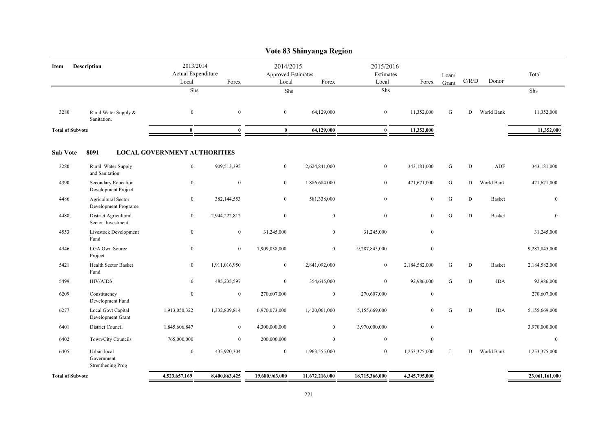|                         |                                                    |                                          |               |                                          | Vote 83 Shinyanga Region |                                 |                  |                |             |               |                  |
|-------------------------|----------------------------------------------------|------------------------------------------|---------------|------------------------------------------|--------------------------|---------------------------------|------------------|----------------|-------------|---------------|------------------|
| Item                    | Description                                        | 2013/2014<br>Actual Expenditure<br>Local | Forex         | 2014/2015<br>Approved Estimates<br>Local | Forex                    | 2015/2016<br>Estimates<br>Local | Forex            | Loan/<br>Grant | C/R/D       | Donor         | Total            |
|                         |                                                    | Shs                                      |               | Shs                                      |                          | Shs                             |                  |                |             |               | Shs              |
| 3280                    | Rural Water Supply &<br>Sanitation.                | $\mathbf{0}$                             | $\mathbf{0}$  | $\mathbf{0}$                             | 64,129,000               | $\boldsymbol{0}$                | 11,352,000       | G              | D           | World Bank    | 11,352,000       |
| <b>Total of Subvote</b> |                                                    | $\bf{0}$                                 | $\bf{0}$      | $\bf{0}$                                 | 64,129,000               | $\bf{0}$                        | 11,352,000       |                |             |               | 11,352,000       |
| <b>Sub Vote</b>         | 8091                                               | <b>LOCAL GOVERNMENT AUTHORITIES</b>      |               |                                          |                          |                                 |                  |                |             |               |                  |
| 3280                    | Rural Water Supply<br>and Sanitation               | $\boldsymbol{0}$                         | 909,513,395   | $\mathbf{0}$                             | 2,624,841,000            | $\bf{0}$                        | 343,181,000      | ${\bf G}$      | ${\bf D}$   | ADF           | 343,181,000      |
| 4390                    | Secondary Education<br>Development Project         | $\boldsymbol{0}$                         | $\mathbf{0}$  | $\mathbf{0}$                             | 1,886,684,000            | $\boldsymbol{0}$                | 471,671,000      | G              | ${\rm D}$   | World Bank    | 471,671,000      |
| 4486                    | <b>Agricultural Sector</b><br>Development Programe | $\bf{0}$                                 | 382,144,553   | $\mathbf{0}$                             | 581,338,000              | $\boldsymbol{0}$                | $\overline{0}$   | G              | D           | <b>Basket</b> | $\boldsymbol{0}$ |
| 4488                    | District Agricultural<br>Sector Investment         | $\mathbf{0}$                             | 2,944,222,812 | $\mathbf{0}$                             | $\mathbf{0}$             | $\mathbf{0}$                    | $\mathbf{0}$     | G              | $\mathbf D$ | <b>Basket</b> | $\mathbf{0}$     |
| 4553                    | Livestock Development<br>Fund                      | $\mathbf{0}$                             | $\mathbf{0}$  | 31,245,000                               | $\overline{0}$           | 31,245,000                      | $\mathbf{0}$     |                |             |               | 31,245,000       |
| 4946                    | <b>LGA Own Source</b><br>Project                   | $\overline{0}$                           | $\mathbf{0}$  | 7,909,038,000                            | $\overline{0}$           | 9,287,845,000                   | $\overline{0}$   |                |             |               | 9,287,845,000    |
| 5421                    | Health Sector Basket<br>Fund                       | $\mathbf{0}$                             | 1,911,016,950 | $\mathbf{0}$                             | 2,841,092,000            | $\mathbf{0}$                    | 2,184,582,000    | ${\bf G}$      | $\mathbf D$ | Basket        | 2,184,582,000    |
| 5499                    | <b>HIV/AIDS</b>                                    | $\overline{0}$                           | 485,235,597   | $\mathbf{0}$                             | 354,645,000              | $\mathbf{0}$                    | 92,986,000       | G              | $\mathbf D$ | <b>IDA</b>    | 92,986,000       |
| 6209                    | Constituency<br>Development Fund                   | $\boldsymbol{0}$                         | $\mathbf{0}$  | 270,607,000                              | $\mathbf{0}$             | 270,607,000                     | $\boldsymbol{0}$ |                |             |               | 270,607,000      |
| 6277                    | Local Govt Capital<br>Development Grant            | 1,913,050,322                            | 1,332,809,814 | 6,970,073,000                            | 1,420,061,000            | 5,155,669,000                   | $\overline{0}$   | G              | $\mathbf D$ | <b>IDA</b>    | 5,155,669,000    |
| 6401                    | District Council                                   | 1,845,606,847                            | $\mathbf{0}$  | 4,300,000,000                            | $\bf{0}$                 | 3,970,000,000                   | $\overline{0}$   |                |             |               | 3,970,000,000    |
| 6402                    | Town/City Councils                                 | 765,000,000                              | $\mathbf{0}$  | 200,000,000                              | $\mathbf{0}$             | $\mathbf{0}$                    | $\overline{0}$   |                |             |               | $\mathbf{0}$     |
| 6405                    | Urban local<br>Government<br>Strenthening Prog     | $\overline{0}$                           | 435,920,304   | $\mathbf{0}$                             | 1,963,555,000            | $\overline{0}$                  | 1,253,375,000    | L              | D           | World Bank    | 1,253,375,000    |
| <b>Total of Subvote</b> |                                                    | 4,523,657,169                            | 8,400,863,425 | 19,680,963,000                           | 11,672,216,000           | 18,715,366,000                  | 4,345,795,000    |                |             |               | 23,061,161,000   |
|                         |                                                    |                                          |               |                                          |                          |                                 |                  |                |             |               |                  |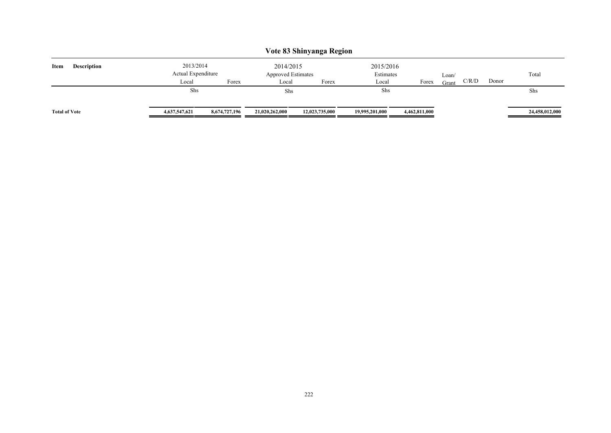|                            |                                 |               |                                        | Vote 83 Shinyanga Region |                        |               |       |       |       |                |
|----------------------------|---------------------------------|---------------|----------------------------------------|--------------------------|------------------------|---------------|-------|-------|-------|----------------|
| Item<br><b>Description</b> | 2013/2014<br>Actual Expenditure |               | 2014/2015<br><b>Approved Estimates</b> |                          | 2015/2016<br>Estimates |               | Loan/ |       |       | Total          |
|                            | Local                           | Forex         | Local                                  | Forex                    | Local                  | Forex         | Grant | C/R/D | Donor |                |
|                            | Shs                             |               | Shs                                    |                          | Shs                    |               |       |       |       | Shs            |
| <b>Total of Vote</b>       | 4,637,547,621                   | 8,674,727,196 | 21,020,262,000                         | 12,023,735,000           | 19,995,201,000         | 4,462,811,000 |       |       |       | 24,458,012,000 |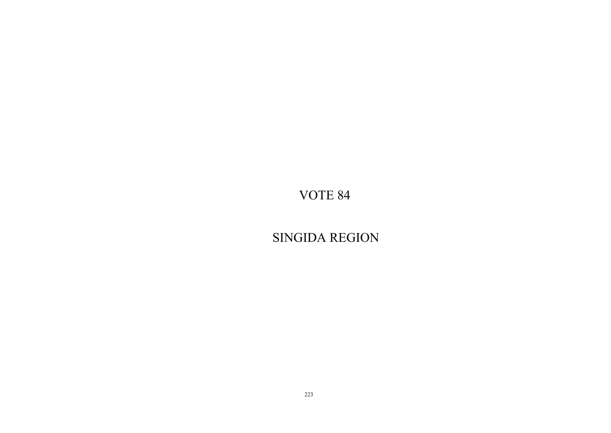SINGIDA REGION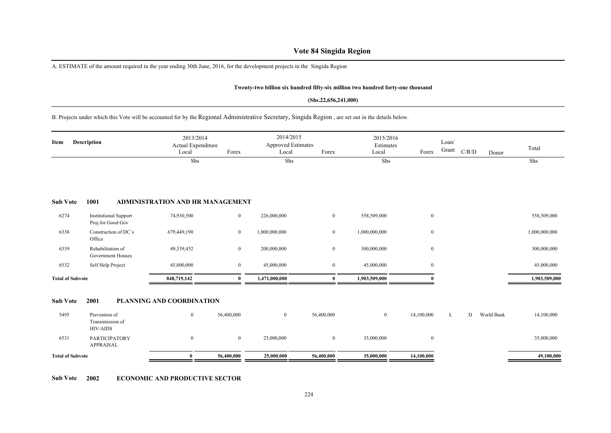# **Vote 84 Singida Region**

A. ESTIMATE of the amount required in the year ending 30th June, 2016, for the development projects in the Singida Region

#### **Twenty-two billion six hundred fifty-six million two hundred forty-one thousand**

#### **(Shs.22,656,241,000)**

#### B. Projects under which this Vote will be accounted for by the Regional Administrative Secretary, Singida Region , are set out in the details below.

| Item                    | <b>Description</b>                                   | 2013/2014<br>Actual Expenditure<br>Local | Forex          | 2014/2015<br><b>Approved Estimates</b><br>Local | Forex            | 2015/2016<br>Estimates<br>Local | Forex            | Loan/<br>Grant | C/R/D | Donor      | Total         |
|-------------------------|------------------------------------------------------|------------------------------------------|----------------|-------------------------------------------------|------------------|---------------------------------|------------------|----------------|-------|------------|---------------|
|                         |                                                      | Shs                                      |                | Shs                                             |                  | Shs                             |                  |                |       |            | Shs           |
| <b>Sub Vote</b>         | 1001                                                 | <b>ADMINISTRATION AND HR MANAGEMENT</b>  |                |                                                 |                  |                                 |                  |                |       |            |               |
| 6274                    | <b>Institutional Support</b><br>Proj.for Good Gov    | 74,930,500                               | $\overline{0}$ | 226,000,000                                     | $\mathbf{0}$     | 558,509,000                     | $\mathbf{0}$     |                |       |            | 558,509,000   |
| 6338                    | Construction of DC's<br>Office                       | 679,449,190                              | $\mathbf{0}$   | 1,000,000,000                                   | $\bf{0}$         | 1,000,000,000                   | $\mathbf{0}$     |                |       |            | 1,000,000,000 |
| 6339                    | Rehabilitation of<br><b>Government Houses</b>        | 49,339,452                               | $\mathbf{0}$   | 200,000,000                                     | $\boldsymbol{0}$ | 300,000,000                     | $\boldsymbol{0}$ |                |       |            | 300,000,000   |
| 6532                    | Self Help Project                                    | 45,000,000                               | $\bf{0}$       | 45,000,000                                      | $\mathbf{0}$     | 45,000,000                      | $\mathbf{0}$     |                |       |            | 45,000,000    |
| <b>Total of Subvote</b> |                                                      | 848,719,142                              | $\mathbf{0}$   | 1,471,000,000                                   | $\mathbf{0}$     | 1,903,509,000                   |                  |                |       |            | 1,903,509,000 |
| <b>Sub Vote</b>         | 2001                                                 | PLANNING AND COORDINATION                |                |                                                 |                  |                                 |                  |                |       |            |               |
| 5495                    | Prevention of<br>Transimission of<br><b>HIV/AIDS</b> | $\mathbf{0}$                             | 56,400,000     | $\overline{0}$                                  | 56,400,000       | $\overline{0}$                  | 14,100,000       | L              | D     | World Bank | 14,100,000    |
| 6531                    | <b>PARTICIPATORY</b><br><b>APPRAISAL</b>             | $\boldsymbol{0}$                         | $\mathbf{0}$   | 25,000,000                                      | $\boldsymbol{0}$ | 35,000,000                      | $\boldsymbol{0}$ |                |       |            | 35,000,000    |
| <b>Total of Subvote</b> |                                                      | $\mathbf{0}$                             | 56,400,000     | 25,000,000                                      | 56,400,000       | 35,000,000                      | 14,100,000       |                |       |            | 49,100,000    |

**Sub Vote 2002 ECONOMIC AND PRODUCTIVE SECTOR**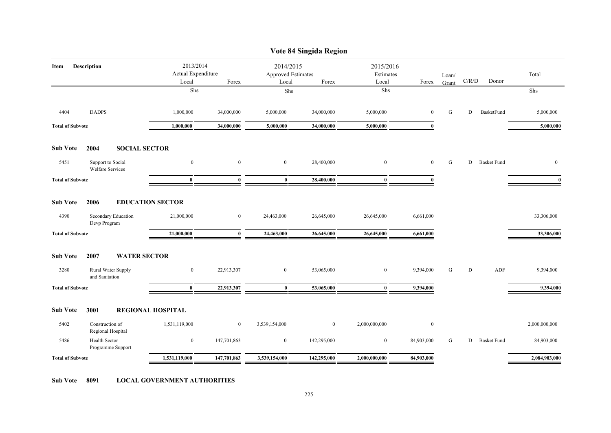|                         |                                              |                                 |                |                                        | Vote 84 Singida Region |                        |                |       |       |                    |               |
|-------------------------|----------------------------------------------|---------------------------------|----------------|----------------------------------------|------------------------|------------------------|----------------|-------|-------|--------------------|---------------|
| Description<br>Item     |                                              | 2013/2014<br>Actual Expenditure |                | 2014/2015<br><b>Approved Estimates</b> |                        | 2015/2016<br>Estimates |                | Loan/ | C/R/D | Donor              | Total         |
|                         |                                              | Local<br>Shs                    | Forex          | Local<br>Shs                           | Forex                  | Local<br>${\rm Shs}$   | Forex          | Grant |       |                    | Shs           |
|                         |                                              |                                 |                |                                        |                        |                        |                |       |       |                    |               |
| 4404                    | <b>DADPS</b>                                 | 1,000,000                       | 34,000,000     | 5,000,000                              | 34,000,000             | 5,000,000              | $\overline{0}$ | G     | D     | BasketFund         | 5,000,000     |
| <b>Total of Subvote</b> |                                              | 1,000,000                       | 34,000,000     | 5,000,000                              | 34,000,000             | 5,000,000              | $\mathbf{0}$   |       |       |                    | 5,000,000     |
| <b>Sub Vote</b>         | 2004<br><b>SOCIAL SECTOR</b>                 |                                 |                |                                        |                        |                        |                |       |       |                    |               |
| 5451                    | Support to Social<br><b>Welfare Services</b> | $\boldsymbol{0}$                | $\mathbf{0}$   | $\mathbf{0}$                           | 28,400,000             | $\mathbf{0}$           | $\overline{0}$ | G     | D     | <b>Basket Fund</b> | $\mathbf{0}$  |
| <b>Total of Subvote</b> |                                              | $\mathbf{0}$                    | $\mathbf{0}$   | $\mathbf{0}$                           | 28,400,000             | $\mathbf{0}$           | $\mathbf{0}$   |       |       |                    | $\mathbf{0}$  |
| <b>Sub Vote</b>         | 2006                                         | <b>EDUCATION SECTOR</b>         |                |                                        |                        |                        |                |       |       |                    |               |
| 4390                    | Secondary Education<br>Devp Program          | 21,000,000                      | $\overline{0}$ | 24,463,000                             | 26,645,000             | 26,645,000             | 6,661,000      |       |       |                    | 33,306,000    |
| <b>Total of Subvote</b> |                                              | 21,000,000                      | $\bf{0}$       | 24,463,000                             | 26,645,000             | 26,645,000             | 6,661,000      |       |       |                    | 33,306,000    |
| <b>Sub Vote</b>         | 2007<br><b>WATER SECTOR</b>                  |                                 |                |                                        |                        |                        |                |       |       |                    |               |
| 3280                    | Rural Water Supply<br>and Sanitation         | $\mathbf{0}$                    | 22,913,307     | $\overline{0}$                         | 53,065,000             | $\boldsymbol{0}$       | 9,394,000      | G     | D     | ADF                | 9,394,000     |
| <b>Total of Subvote</b> |                                              | $\mathbf{0}$                    | 22,913,307     | $\bf{0}$                               | 53,065,000             | $\bf{0}$               | 9,394,000      |       |       |                    | 9,394,000     |
| <b>Sub Vote</b>         | 3001                                         | <b>REGIONAL HOSPITAL</b>        |                |                                        |                        |                        |                |       |       |                    |               |
| 5402                    | Construction of<br>Regional Hospital         | 1,531,119,000                   | $\mathbf{0}$   | 3,539,154,000                          | $\mathbf{0}$           | 2,000,000,000          | $\mathbf{0}$   |       |       |                    | 2,000,000,000 |
| 5486                    | Health Sector<br>Programme Support           | $\boldsymbol{0}$                | 147,701,863    | $\bf{0}$                               | 142,295,000            | $\boldsymbol{0}$       | 84,903,000     | G     | D     | <b>Basket Fund</b> | 84,903,000    |
| <b>Total of Subvote</b> |                                              | 1,531,119,000                   | 147,701,863    | 3,539,154,000                          | 142,295,000            | 2,000,000,000          | 84,903,000     |       |       |                    | 2,084,903,000 |
|                         |                                              |                                 |                |                                        |                        |                        |                |       |       |                    |               |

**Sub Vote 8091 LOCAL GOVERNMENT AUTHORITIES**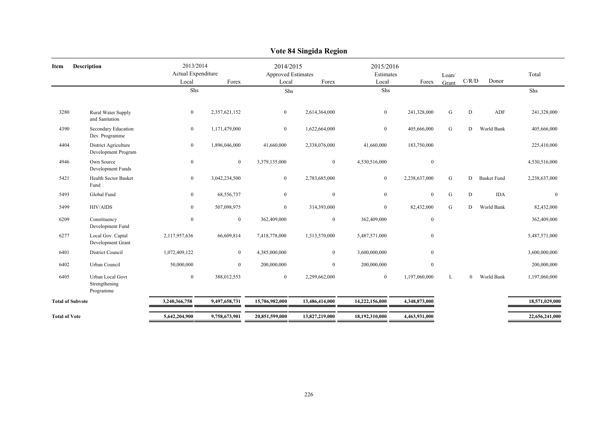|                         |                                                       |                                 |                |                                        | у оце о <del>ч</del> энизиа кезили |                        |               |           |                |                    |                |
|-------------------------|-------------------------------------------------------|---------------------------------|----------------|----------------------------------------|------------------------------------|------------------------|---------------|-----------|----------------|--------------------|----------------|
| Item                    | Description                                           | 2013/2014<br>Actual Expenditure |                | 2014/2015<br><b>Approved Estimates</b> |                                    | 2015/2016<br>Estimates |               | Loan/     |                |                    | Total          |
|                         |                                                       | Local                           | Forex          | Local                                  | Forex                              | Local                  | Forex         | Grant     | C/R/D          | Donor              |                |
|                         |                                                       | Shs                             |                | Shs                                    |                                    | Shs                    |               |           |                |                    | Shs            |
| 3280                    | Rural Water Supply<br>and Sanitation                  | $\bf{0}$                        | 2,357,621,152  | $\bf{0}$                               | 2,614,364,000                      | $\overline{0}$         | 241,328,000   | G         | $\mathbf D$    | ADF                | 241,328,000    |
| 4390                    | Secondary Education<br>Dev. Programme                 | $\mathbf{0}$                    | 1,171,479,000  | $\mathbf{0}$                           | 1,622,664,000                      | $\overline{0}$         | 405,666,000   | G         | D              | World Bank         | 405,666,000    |
| 4404                    | District Agriculture<br>Development Program           | $\mathbf{0}$                    | 1,896,046,000  | 41,660,000                             | 2,338,076,000                      | 41,660,000             | 183,750,000   |           |                |                    | 225,410,000    |
| 4946                    | Own Source<br>Development Funds                       | $\mathbf{0}$                    | $\overline{0}$ | 3,379,135,000                          | $\overline{0}$                     | 4,530,516,000          | $\mathbf{0}$  |           |                |                    | 4,530,516,000  |
| 5421                    | Health Sector Basket<br>Fund                          | $\mathbf{0}$                    | 3,042,234,500  | $\boldsymbol{0}$                       | 2,783,685,000                      | $\mathbf{0}$           | 2,238,637,000 | G         | D              | <b>Basket Fund</b> | 2,238,637,000  |
| 5493                    | Global Fund                                           | $\boldsymbol{0}$                | 68,556,737     | $\mathbf{0}$                           | $\mathbf{0}$                       | $\overline{0}$         | $\mathbf{0}$  | ${\bf G}$ | D              | <b>IDA</b>         | $\mathbf{0}$   |
| 5499                    | HIV/AIDS                                              | $\mathbf{0}$                    | 507,098,975    | $\mathbf{0}$                           | 314,393,000                        | $\overline{0}$         | 82,432,000    | G         | D.             | World Bank         | 82,432,000     |
| 6209                    | Constituency<br>Development Fund                      | $\mathbf{0}$                    | $\overline{0}$ | 362,409,000                            | $\mathbf{0}$                       | 362,409,000            | $\mathbf{0}$  |           |                |                    | 362,409,000    |
| 6277                    | Local Gov. Captal<br>Development Grant                | 2,117,957,636                   | 66,609,814     | 7,418,778,000                          | 1,513,570,000                      | 5,487,571,000          | $\mathbf{0}$  |           |                |                    | 5,487,571,000  |
| 6401                    | District Council                                      | 1,072,409,122                   | $\overline{0}$ | 4,385,000,000                          | $\overline{0}$                     | 3,600,000,000          | $\mathbf{0}$  |           |                |                    | 3,600,000,000  |
| 6402                    | Urban Council                                         | 50,000,000                      | $\overline{0}$ | 200,000,000                            | $\overline{0}$                     | 200,000,000            | $\mathbf{0}$  |           |                |                    | 200,000,000    |
| 6405                    | <b>Urban Local Govt</b><br>Strengthening<br>Programme | $\mathbf{0}$                    | 388,012,553    | $\mathbf{0}$                           | 2,299,662,000                      | $\overline{0}$         | 1,197,060,000 | L         | $\overline{0}$ | World Bank         | 1,197,060,000  |
| <b>Total of Subvote</b> |                                                       | 3,240,366,758                   | 9,497,658,731  | 15,786,982,000                         | 13,486,414,000                     | 14,222,156,000         | 4,348,873,000 |           |                |                    | 18,571,029,000 |
| <b>Total of Vote</b>    |                                                       | 5,642,204,900                   | 9,758,673,901  | 20,851,599,000                         | 13,827,219,000                     | 18,192,310,000         | 4,463,931,000 |           |                |                    | 22,656,241,000 |
|                         |                                                       |                                 |                |                                        |                                    |                        |               |           |                |                    |                |

### **Vote 84 Singida Region**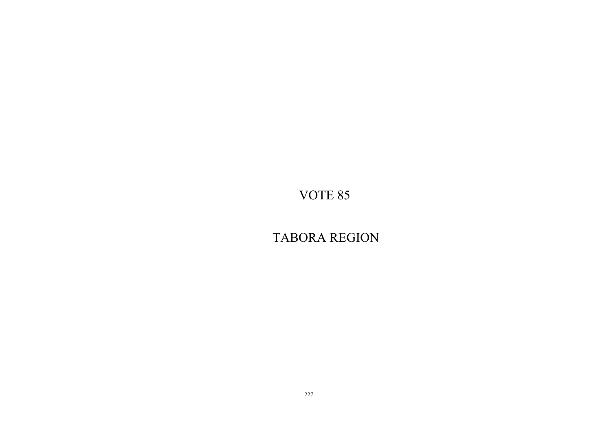TABORA REGION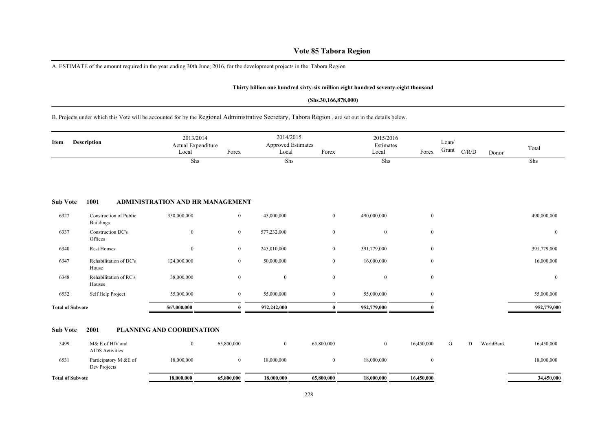# **Vote 85 Tabora Region**

A. ESTIMATE of the amount required in the year ending 30th June, 2016, for the development projects in the Tabora Region

#### **Thirty billion one hundred sixty-six million eight hundred seventy-eight thousand**

#### **(Shs.30,166,878,000)**

# B. Projects under which this Vote will be accounted for by the Regional Administrative Secretary, Tabora Region , are set out in the details below.

| Item                    | Description                                | 2013/2014<br>Actual Expenditure<br>Local | Forex            | 2014/2015<br><b>Approved Estimates</b><br>Local | Forex          | 2015/2016<br>Estimates<br>Local | Forex          | Loan/<br>Grant | C/R/D | Donor     | Total        |
|-------------------------|--------------------------------------------|------------------------------------------|------------------|-------------------------------------------------|----------------|---------------------------------|----------------|----------------|-------|-----------|--------------|
|                         |                                            | Shs                                      |                  | Shs                                             |                | Shs                             |                |                |       |           | Shs          |
|                         |                                            |                                          |                  |                                                 |                |                                 |                |                |       |           |              |
|                         |                                            |                                          |                  |                                                 |                |                                 |                |                |       |           |              |
| <b>Sub Vote</b>         | 1001                                       | <b>ADMINISTRATION AND HR MANAGEMENT</b>  |                  |                                                 |                |                                 |                |                |       |           |              |
| 6327                    | Construction of Public<br><b>Buildings</b> | 350,000,000                              | $\boldsymbol{0}$ | 45,000,000                                      | $\mathbf{0}$   | 490,000,000                     | $\mathbf{0}$   |                |       |           | 490,000,000  |
| 6337                    | Construction DC's<br>Offices               | $\overline{0}$                           | $\mathbf{0}$     | 577,232,000                                     | $\mathbf{0}$   | $\mathbf{0}$                    | $\mathbf{0}$   |                |       |           | $\mathbf{0}$ |
| 6340                    | <b>Rest Houses</b>                         | $\mathbf{0}$                             | $\mathbf{0}$     | 245,010,000                                     | $\overline{0}$ | 391,779,000                     | $\mathbf{0}$   |                |       |           | 391,779,000  |
| 6347                    | Rehabilitation of DC's<br>House            | 124,000,000                              | $\mathbf{0}$     | 50,000,000                                      | $\mathbf{0}$   | 16,000,000                      | $\mathbf{0}$   |                |       |           | 16,000,000   |
| 6348                    | Rehabilitation of RC's<br>Houses           | 38,000,000                               | $\boldsymbol{0}$ | $\mathbf{0}$                                    | $\mathbf{0}$   | $\mathbf{0}$                    | $\mathbf{0}$   |                |       |           | $\mathbf{0}$ |
| 6532                    | Self Help Project                          | 55,000,000                               | $\mathbf{0}$     | 55,000,000                                      | $\overline{0}$ | 55,000,000                      | $\overline{0}$ |                |       |           | 55,000,000   |
| <b>Total of Subvote</b> |                                            | 567,000,000                              | $\mathbf{0}$     | 972,242,000                                     | $\mathbf{0}$   | 952,779,000                     |                |                |       |           | 952,779,000  |
| <b>Sub Vote</b>         | 2001                                       | PLANNING AND COORDINATION                |                  |                                                 |                |                                 |                |                |       |           |              |
| 5499                    | M& E of HIV and<br><b>AIDS</b> Activities  | $\overline{0}$                           | 65,800,000       | $\overline{0}$                                  | 65,800,000     | $\mathbf{0}$                    | 16,450,000     | G              | D     | WorldBank | 16,450,000   |
| 6531                    | Participatory M &E of<br>Dev Projects      | 18,000,000                               | $\mathbf{0}$     | 18,000,000                                      | $\mathbf{0}$   | 18,000,000                      | $\mathbf{0}$   |                |       |           | 18,000,000   |
| <b>Total of Subvote</b> |                                            | 18,000,000                               | 65,800,000       | 18,000,000                                      | 65,800,000     | 18,000,000                      | 16,450,000     |                |       |           | 34,450,000   |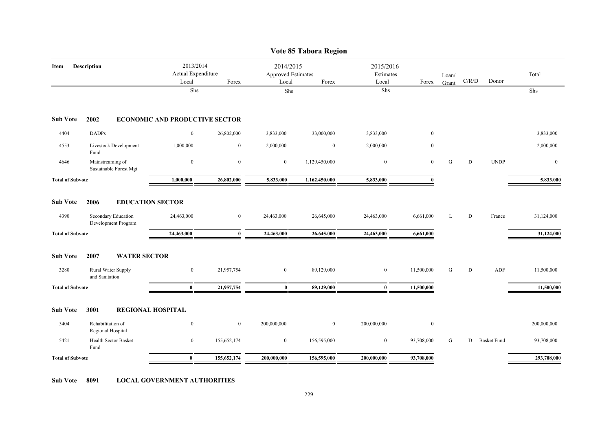|                         |                                            |                                          |                  |                                                 | Vote 85 Tabora Region |                                 |              |                |                                        |                    |              |
|-------------------------|--------------------------------------------|------------------------------------------|------------------|-------------------------------------------------|-----------------------|---------------------------------|--------------|----------------|----------------------------------------|--------------------|--------------|
| Item                    | Description                                | 2013/2014<br>Actual Expenditure<br>Local | Forex            | 2014/2015<br><b>Approved Estimates</b><br>Local | Forex                 | 2015/2016<br>Estimates<br>Local | Forex        | Loan/<br>Grant | $\mathbf{C} / \mathbf{R} / \mathbf{D}$ | Donor              | Total        |
|                         |                                            | Shs                                      |                  | Shs                                             |                       | ${\rm Shs}$                     |              |                |                                        |                    | Shs          |
| <b>Sub Vote</b>         | 2002                                       | <b>ECONOMIC AND PRODUCTIVE SECTOR</b>    |                  |                                                 |                       |                                 |              |                |                                        |                    |              |
| 4404                    | <b>DADPs</b>                               | $\bf{0}$                                 | 26,802,000       | 3,833,000                                       | 33,000,000            | 3,833,000                       | $\mathbf{0}$ |                |                                        |                    | 3,833,000    |
| 4553                    | Livestock Development<br>Fund              | 1,000,000                                | $\boldsymbol{0}$ | 2,000,000                                       | $\mathbf{0}$          | 2,000,000                       | $\mathbf{0}$ |                |                                        |                    | 2,000,000    |
| 4646                    | Mainstreaming of<br>Sustainable Forest Mgt | $\boldsymbol{0}$                         | $\boldsymbol{0}$ | $\bf{0}$                                        | 1,129,450,000         | $\boldsymbol{0}$                | $\mathbf{0}$ | ${\bf G}$      | ${\bf D}$                              | <b>UNDP</b>        | $\mathbf{0}$ |
| <b>Total of Subvote</b> |                                            | 1,000,000                                | 26,802,000       | 5,833,000                                       | 1,162,450,000         | 5,833,000                       | $\Omega$     |                |                                        |                    | 5,833,000    |
| <b>Sub Vote</b>         | 2006                                       | <b>EDUCATION SECTOR</b>                  |                  |                                                 |                       |                                 |              |                |                                        |                    |              |
| 4390                    | Secondary Education<br>Development Program | 24,463,000                               | $\mathbf{0}$     | 24,463,000                                      | 26,645,000            | 24,463,000                      | 6,661,000    | L              | ${\bf D}$                              | France             | 31,124,000   |
| <b>Total of Subvote</b> |                                            | 24,463,000                               | $\bf{0}$         | 24,463,000                                      | 26,645,000            | 24,463,000                      | 6,661,000    |                |                                        |                    | 31,124,000   |
| <b>Sub Vote</b>         | 2007<br><b>WATER SECTOR</b>                |                                          |                  |                                                 |                       |                                 |              |                |                                        |                    |              |
| 3280                    | Rural Water Supply<br>and Sanitation       | $\overline{0}$                           | 21,957,754       | $\overline{0}$                                  | 89,129,000            | $\mathbf{0}$                    | 11,500,000   | G              | D                                      | ADF                | 11,500,000   |
| <b>Total of Subvote</b> |                                            | $\bf{0}$                                 | 21,957,754       | $\bf{0}$                                        | 89,129,000            | $\bf{0}$                        | 11,500,000   |                |                                        |                    | 11,500,000   |
| <b>Sub Vote</b>         | 3001                                       | <b>REGIONAL HOSPITAL</b>                 |                  |                                                 |                       |                                 |              |                |                                        |                    |              |
| 5404                    | Rehabilitation of<br>Regional Hospital     | $\boldsymbol{0}$                         | $\mathbf{0}$     | 200,000,000                                     | $\mathbf{0}$          | 200,000,000                     | $\mathbf{0}$ |                |                                        |                    | 200,000,000  |
| 5421                    | Health Sector Basket<br>Fund               | $\bf{0}$                                 | 155,652,174      | $\bf{0}$                                        | 156,595,000           | $\bf{0}$                        | 93,708,000   | G              | D                                      | <b>Basket Fund</b> | 93,708,000   |
| <b>Total of Subvote</b> |                                            | $\mathbf{0}$                             | 155,652,174      | 200,000,000                                     | 156,595,000           | 200,000,000                     | 93,708,000   |                |                                        |                    | 293,708,000  |

**Sub Vote 8091 LOCAL GOVERNMENT AUTHORITIES**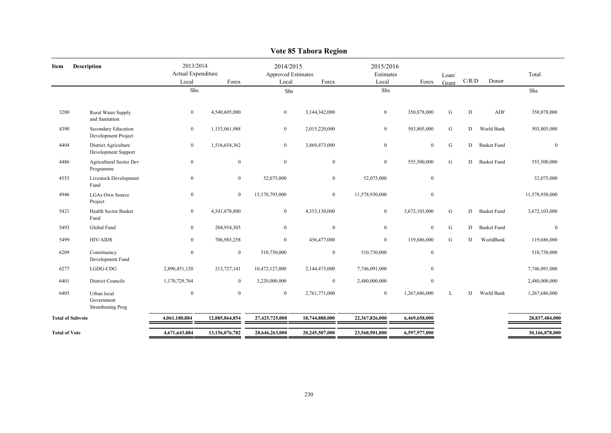|                         |                                                |                                          |                  |                                          | $\overline{v}$ or $\overline{v}$ radii region |                                 |                  |                |           |                    |                |
|-------------------------|------------------------------------------------|------------------------------------------|------------------|------------------------------------------|-----------------------------------------------|---------------------------------|------------------|----------------|-----------|--------------------|----------------|
| Item                    | <b>Description</b>                             | 2013/2014<br>Actual Expenditure<br>Local | Forex            | 2014/2015<br>Approved Estimates<br>Local | Forex                                         | 2015/2016<br>Estimates<br>Local | Forex            | Loan/<br>Grant | C/R/D     | Donor              | Total          |
|                         |                                                | Shs                                      |                  | Shs                                      |                                               | Shs                             |                  |                |           |                    | Shs            |
|                         |                                                |                                          |                  |                                          |                                               |                                 |                  |                |           |                    |                |
| 3280                    | Rural Water Supply<br>and Sanitation           | $\mathbf{0}$                             | 4,548,605,000    | $\overline{0}$                           | 3,144,342,000                                 | $\overline{0}$                  | 350,878,000      | ${\bf G}$      | D         | ADF                | 350,878,000    |
| 4390                    | Secondary Education<br>Development Project     | $\bf{0}$                                 | 1,153,061,988    | $\bf{0}$                                 | 2,015,220,000                                 | $\bf{0}$                        | 503,805,000      | ${\bf G}$      | D         | World Bank         | 503,805,000    |
| 4404                    | District Agriculture<br>Development Support    | $\bf{0}$                                 | 1,516,654,362    | $\mathbf{0}$                             | 3,869,473,000                                 | $\mathbf{0}$                    | $\boldsymbol{0}$ | ${\bf G}$      | D         | <b>Basket Fund</b> | $\mathbf{0}$   |
| 4486                    | Agricultural Sector Dev<br>Programme           | $\boldsymbol{0}$                         | $\bf{0}$         | $\mathbf{0}$                             | $\mathbf{0}$                                  | $\overline{0}$                  | 555,500,000      | G              | D         | <b>Basket Fund</b> | 555,500,000    |
| 4553                    | Livestock Development<br>Fund                  | $\boldsymbol{0}$                         | $\boldsymbol{0}$ | 52,075,000                               | $\boldsymbol{0}$                              | 52,075,000                      | $\boldsymbol{0}$ |                |           |                    | 52,075,000     |
| 4946                    | <b>LGAs Own Source</b><br>Project              | $\bf{0}$                                 | $\overline{0}$   | 13,170,793,000                           | $\overline{0}$                                | 11,578,930,000                  | $\boldsymbol{0}$ |                |           |                    | 11,578,930,000 |
| 5421                    | <b>Health Sector Basket</b><br>Fund            | $\overline{0}$                           | 4,541,878,800    | $\boldsymbol{0}$                         | 4,353,130,000                                 | $\overline{0}$                  | 3,672,103,000    | ${\bf G}$      | D         | <b>Basket Fund</b> | 3,672,103,000  |
| 5493                    | Global Fund                                    | $\bf{0}$                                 | 204,954,305      | $\boldsymbol{0}$                         | $\boldsymbol{0}$                              | $\mathbf{0}$                    | $\mathbf{0}$     | ${\bf G}$      | D         | <b>Basket Fund</b> | $\mathbf{0}$   |
| 5499                    | <b>HIV/AIDS</b>                                | $\overline{0}$                           | 706,983,258      | $\mathbf{0}$                             | 456,477,000                                   | $\overline{0}$                  | 119,686,000      | ${\bf G}$      | D         | WorldBank          | 119,686,000    |
| 6209                    | Constituency<br>Development Fund               | $\boldsymbol{0}$                         | $\bf{0}$         | 510,730,000                              | $\boldsymbol{0}$                              | 510,730,000                     | $\boldsymbol{0}$ |                |           |                    | 510,730,000    |
| 6277                    | $_{\rm LGDG\mbox{-}CDG}$                       | 2,890,451,120                            | 213,727,141      | 10,472,127,000                           | 2,144,475,000                                 | 7,746,091,000                   | $\mathbf{0}$     |                |           |                    | 7,746,091,000  |
| 6401                    | <b>District Councils</b>                       | 1,170,729,764                            | $\bf{0}$         | 3,220,000,000                            | $\mathbf{0}$                                  | 2,480,000,000                   | $\boldsymbol{0}$ |                |           |                    | 2,480,000,000  |
| 6405                    | Urban local<br>Government<br>Strenthening Prog | $\boldsymbol{0}$                         | $\boldsymbol{0}$ | $\boldsymbol{0}$                         | 2,761,771,000                                 | $\overline{0}$                  | 1,267,686,000    | L              | ${\rm D}$ | World Bank         | 1,267,686,000  |
| <b>Total of Subvote</b> |                                                | 4,061,180,884                            | 12,885,864,854   | 27,425,725,000                           | 18,744,888,000                                | 22,367,826,000                  | 6,469,658,000    |                |           |                    | 28,837,484,000 |
| <b>Total of Vote</b>    |                                                | 4,671,643,884                            | 13,156,076,782   | 28,646,263,000                           | 20,245,507,000                                | 23,568,901,000                  | 6,597,977,000    |                |           |                    | 30,166,878,000 |
|                         |                                                |                                          |                  |                                          |                                               |                                 |                  |                |           |                    |                |

#### **Vote 85 Tabora Region**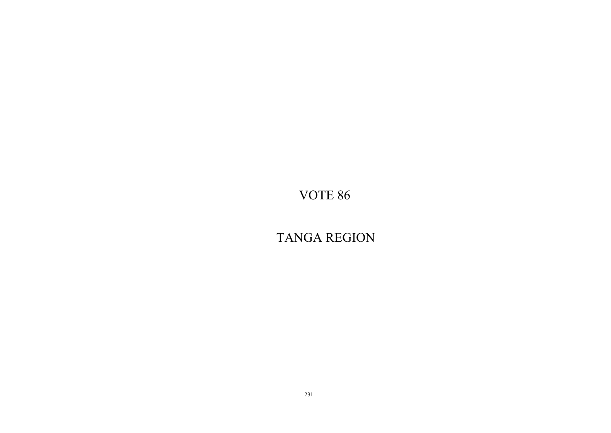TANGA REGION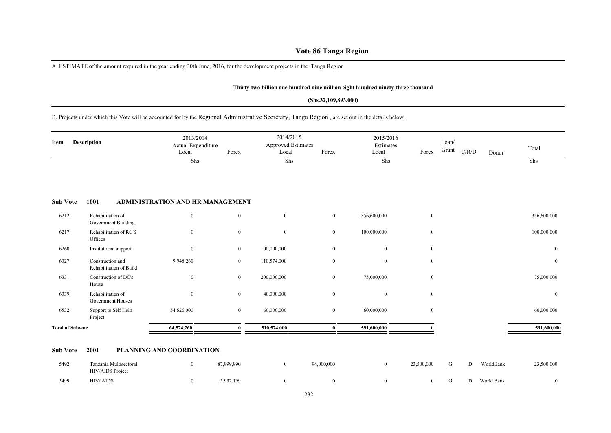# **Vote 86 Tanga Region**

A. ESTIMATE of the amount required in the year ending 30th June, 2016, for the development projects in the Tanga Region

#### **Thirty-two billion one hundred nine million eight hundred ninety-three thousand**

#### **(Shs.32,109,893,000)**

B. Projects under which this Vote will be accounted for by the Regional Administrative Secretary, Tanga Region , are set out in the details below.

| Item                    | Description                                      | 2013/2014<br>Actual Expenditure<br>Local | Forex        | 2014/2015<br><b>Approved Estimates</b><br>Local | Forex          | 2015/2016<br>Estimates<br>Local | Forex            | Loan/<br>Grant | C/R/D | Donor | Total        |
|-------------------------|--------------------------------------------------|------------------------------------------|--------------|-------------------------------------------------|----------------|---------------------------------|------------------|----------------|-------|-------|--------------|
|                         |                                                  | Shs                                      |              | Shs                                             |                | Shs                             |                  |                |       |       | Shs          |
| <b>Sub Vote</b>         | 1001                                             | <b>ADMINISTRATION AND HR MANAGEMENT</b>  |              |                                                 |                |                                 |                  |                |       |       |              |
| 6212                    | Rehabilitation of<br><b>Government Buildings</b> | $\bf{0}$                                 | $\mathbf{0}$ | $\bf{0}$                                        | $\overline{0}$ | 356,600,000                     | $\mathbf{0}$     |                |       |       | 356,600,000  |
| 6217                    | Rehabilitation of RC'S<br>Offices                | $\theta$                                 | $\mathbf{0}$ | $\mathbf{0}$                                    | $\overline{0}$ | 100,000,000                     | $\mathbf{0}$     |                |       |       | 100,000,000  |
| 6260                    | Institutional aupport                            | $\mathbf{0}$                             | $\mathbf{0}$ | 100,000,000                                     | $\mathbf{0}$   | $\mathbf{0}$                    | $\mathbf{0}$     |                |       |       | $\mathbf{0}$ |
| 6327                    | Construction and<br>Rehabilitation of Build      | 9,948,260                                | $\mathbf{0}$ | 110,574,000                                     | $\mathbf{0}$   | $\mathbf{0}$                    | $\boldsymbol{0}$ |                |       |       | $\mathbf{0}$ |
| 6331                    | Construction of DC's<br>House                    | $\boldsymbol{0}$                         | $\mathbf{0}$ | 200,000,000                                     | $\mathbf{0}$   | 75,000,000                      | $\boldsymbol{0}$ |                |       |       | 75,000,000   |
| 6339                    | Rehabilitation of<br>Government Houses           | $\boldsymbol{0}$                         | $\mathbf{0}$ | 40,000,000                                      | $\mathbf{0}$   | $\mathbf{0}$                    | $\mathbf{0}$     |                |       |       | $\mathbf{0}$ |
| 6532                    | Support to Self Help<br>Project                  | 54,626,000                               | $\mathbf{0}$ | 60,000,000                                      | $\overline{0}$ | 60,000,000                      | $\bf{0}$         |                |       |       | 60,000,000   |
| <b>Total of Subvote</b> |                                                  | 64,574,260                               | 0            | 510,574,000                                     | $\mathbf{0}$   | 591,600,000                     |                  |                |       |       | 591,600,000  |

#### **Sub Vote 2001 PLANNING AND COORDINATION**

| 5492 | Tanzania Multisectoral<br><b>HIV/AIDS</b> Project | 37,999,990 | 94,000,000 | 23,500,000 |  | WorldBank  | 23,500,000 |
|------|---------------------------------------------------|------------|------------|------------|--|------------|------------|
| 5499 | HIV/AIDS                                          | 5,932,199  |            |            |  | World Bank |            |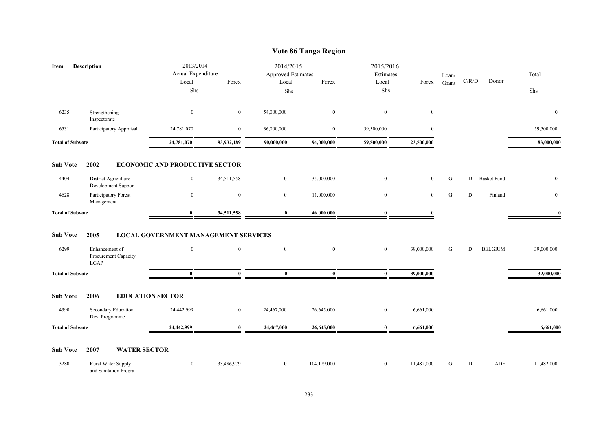|                         |                                                       |                                             |                  |                                        | Vote 86 Tanga Region |                        |              |           |             |                    |                  |
|-------------------------|-------------------------------------------------------|---------------------------------------------|------------------|----------------------------------------|----------------------|------------------------|--------------|-----------|-------------|--------------------|------------------|
| Item                    | Description                                           | 2013/2014<br>Actual Expenditure             |                  | 2014/2015<br><b>Approved Estimates</b> |                      | 2015/2016<br>Estimates |              | Loan/     |             |                    | Total            |
|                         |                                                       | Local                                       | Forex            | Local                                  | Forex                | Local                  | Forex        | Grant     | $\rm C/R/D$ | Donor              |                  |
|                         |                                                       | ${\rm Shs}$                                 |                  | Shs                                    |                      | Shs                    |              |           |             |                    | Shs              |
| 6235                    | Strengthening<br>Inspectorate                         | $\boldsymbol{0}$                            | $\mathbf{0}$     | 54,000,000                             | $\mathbf{0}$         | $\boldsymbol{0}$       | $\mathbf{0}$ |           |             |                    | $\mathbf{0}$     |
| 6531                    | Participatory Appraisal                               | 24,781,070                                  | $\bf{0}$         | 36,000,000                             | $\boldsymbol{0}$     | 59,500,000             | $\bf{0}$     |           |             |                    | 59,500,000       |
| <b>Total of Subvote</b> |                                                       | 24,781,070                                  | 93,932,189       | 90,000,000                             | 94,000,000           | 59,500,000             | 23,500,000   |           |             |                    | 83,000,000       |
| <b>Sub Vote</b>         | 2002                                                  | <b>ECONOMIC AND PRODUCTIVE SECTOR</b>       |                  |                                        |                      |                        |              |           |             |                    |                  |
| 4404                    | District Agriculture<br>Development Support           | $\overline{0}$                              | 34,511,558       | $\overline{0}$                         | 35,000,000           | $\overline{0}$         | $\mathbf{0}$ | G         | D           | <b>Basket Fund</b> | $\mathbf{0}$     |
| 4628                    | Participatory Forest<br>Management                    | $\boldsymbol{0}$                            | $\boldsymbol{0}$ | $\overline{0}$                         | 11,000,000           | $\boldsymbol{0}$       | $\mathbf{0}$ | ${\bf G}$ | ${\bf D}$   | Finland            | $\boldsymbol{0}$ |
| <b>Total of Subvote</b> |                                                       | $\bf{0}$                                    | 34,511,558       | $\bf{0}$                               | 46,000,000           | $\bf{0}$               | $\mathbf{0}$ |           |             |                    | $\mathbf{0}$     |
| <b>Sub Vote</b>         | 2005                                                  | <b>LOCAL GOVERNMENT MANAGEMENT SERVICES</b> |                  |                                        |                      |                        |              |           |             |                    |                  |
| 6299                    | Enhancement of<br>Procurement Capacity<br><b>LGAP</b> | $\mathbf{0}$                                | $\mathbf{0}$     | $\overline{0}$                         | $\bf{0}$             | $\bf{0}$               | 39,000,000   | G         | D           | <b>BELGIUM</b>     | 39,000,000       |
| <b>Total of Subvote</b> |                                                       | $\bf{0}$                                    | $\bf{0}$         | $\bf{0}$                               | $\bf{0}$             | $\bf{0}$               | 39,000,000   |           |             |                    | 39,000,000       |
| <b>Sub Vote</b>         | 2006<br><b>EDUCATION SECTOR</b>                       |                                             |                  |                                        |                      |                        |              |           |             |                    |                  |
| 4390                    | Secondary Education<br>Dev. Programme                 | 24,442,999                                  | $\bf{0}$         | 24,467,000                             | 26,645,000           | $\bf{0}$               | 6,661,000    |           |             |                    | 6,661,000        |
| <b>Total of Subvote</b> |                                                       | 24,442,999                                  | $\mathbf{0}$     | 24,467,000                             | 26,645,000           | $\bf{0}$               | 6,661,000    |           |             |                    | 6,661,000        |
| <b>Sub Vote</b>         | <b>WATER SECTOR</b><br>2007                           |                                             |                  |                                        |                      |                        |              |           |             |                    |                  |
| 3280                    | Rural Water Supply<br>and Sanitation Progra           | $\overline{0}$                              | 33,486,979       | $\mathbf{0}$                           | 104,129,000          | $\boldsymbol{0}$       | 11,482,000   | G         | D           | ADF                | 11,482,000       |

### 233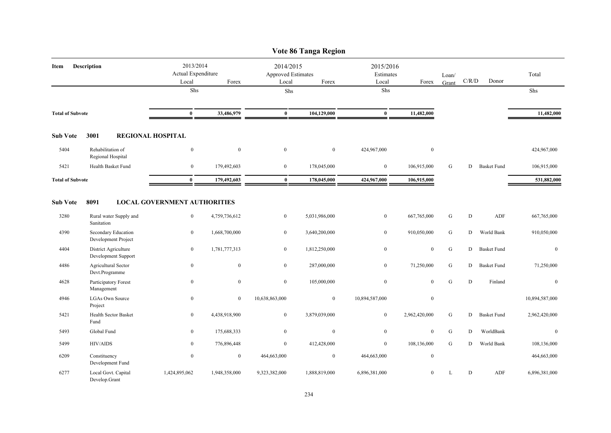|                         |                                             |                                          |                  |                                                 | Vote 86 Tanga Region |                                 |                  |                |             |                    |                  |
|-------------------------|---------------------------------------------|------------------------------------------|------------------|-------------------------------------------------|----------------------|---------------------------------|------------------|----------------|-------------|--------------------|------------------|
| Item                    | <b>Description</b>                          | 2013/2014<br>Actual Expenditure<br>Local | Forex            | 2014/2015<br><b>Approved Estimates</b><br>Local | Forex                | 2015/2016<br>Estimates<br>Local | Forex            | Loan/<br>Grant | C/R/D       | Donor              | Total            |
|                         |                                             | Shs                                      |                  | Shs                                             |                      | Shs                             |                  |                |             |                    | Shs              |
| <b>Total of Subvote</b> |                                             | $\bf{0}$                                 | 33,486,979       | $\bf{0}$                                        | 104,129,000          | $\bf{0}$                        | 11,482,000       |                |             |                    | 11,482,000       |
| <b>Sub Vote</b>         | 3001                                        | <b>REGIONAL HOSPITAL</b>                 |                  |                                                 |                      |                                 |                  |                |             |                    |                  |
| 5404                    | Rehabilitation of<br>Regional Hospital      | $\boldsymbol{0}$                         | $\mathbf{0}$     | $\boldsymbol{0}$                                | $\bf{0}$             | 424,967,000                     | $\boldsymbol{0}$ |                |             |                    | 424,967,000      |
| 5421                    | Health Basket Fund                          | $\boldsymbol{0}$                         | 179,492,603      | $\mathbf{0}$                                    | 178,045,000          | $\mathbf{0}$                    | 106,915,000      | G              | D           | <b>Basket Fund</b> | 106,915,000      |
| <b>Total of Subvote</b> |                                             | $\bf{0}$                                 | 179,492,603      | $\bf{0}$                                        | 178,045,000          | 424,967,000                     | 106,915,000      |                |             |                    | 531,882,000      |
| <b>Sub Vote</b>         | 8091                                        | <b>LOCAL GOVERNMENT AUTHORITIES</b>      |                  |                                                 |                      |                                 |                  |                |             |                    |                  |
| 3280                    | Rural water Supply and<br>Sanitation        | $\boldsymbol{0}$                         | 4,759,736,612    | $\mathbf{0}$                                    | 5,031,986,000        | $\bf{0}$                        | 667,765,000      | ${\bf G}$      | $\mathbf D$ | ADF                | 667,765,000      |
| 4390                    | Secondary Education<br>Development Project  | $\boldsymbol{0}$                         | 1,668,700,000    | $\mathbf{0}$                                    | 3,640,200,000        | $\boldsymbol{0}$                | 910,050,000      | ${\bf G}$      | D           | World Bank         | 910,050,000      |
| 4404                    | District Agriculture<br>Development Support | $\boldsymbol{0}$                         | 1,781,777,313    | $\overline{0}$                                  | 1,812,250,000        | $\boldsymbol{0}$                | $\mathbf{0}$     | ${\bf G}$      | D           | <b>Basket Fund</b> | $\mathbf{0}$     |
| 4486                    | Agricultural Sector<br>Devt.Programme       | $\overline{0}$                           | $\bf{0}$         | $\overline{0}$                                  | 287,000,000          | $\bf{0}$                        | 71,250,000       | ${\bf G}$      | D           | <b>Basket Fund</b> | 71,250,000       |
| 4628                    | Participatory Forest<br>Management          | $\boldsymbol{0}$                         | $\boldsymbol{0}$ | $\boldsymbol{0}$                                | 105,000,000          | $\boldsymbol{0}$                | $\boldsymbol{0}$ | ${\bf G}$      | $\mathbf D$ | Finland            | $\boldsymbol{0}$ |
| 4946                    | <b>LGAs Own Source</b><br>Project           | $\boldsymbol{0}$                         | $\mathbf{0}$     | 10,638,863,000                                  | $\boldsymbol{0}$     | 10,894,587,000                  | $\boldsymbol{0}$ |                |             |                    | 10,894,587,000   |
| 5421                    | Health Sector Basket<br>Fund                | $\overline{0}$                           | 4,438,918,900    | $\overline{0}$                                  | 3,879,039,000        | $\bf{0}$                        | 2,962,420,000    | G              | D           | <b>Basket Fund</b> | 2,962,420,000    |
| 5493                    | Global Fund                                 | $\bf{0}$                                 | 175,688,333      | $\overline{0}$                                  | $\boldsymbol{0}$     | $\boldsymbol{0}$                | $\mathbf{0}$     | G              | D           | WorldBank          | $\mathbf{0}$     |
| 5499                    | <b>HIV/AIDS</b>                             | $\mathbf{0}$                             | 776,896,448      | $\overline{0}$                                  | 412,428,000          | $\boldsymbol{0}$                | 108,136,000      | G              | D           | World Bank         | 108,136,000      |
| 6209                    | Constituency<br>Development Fund            | $\boldsymbol{0}$                         | $\mathbf{0}$     | 464,663,000                                     | $\boldsymbol{0}$     | 464,663,000                     | $\mathbf{0}$     |                |             |                    | 464,663,000      |
| 6277                    | Local Govt. Capital<br>Develop.Grant        | 1,424,895,062                            | 1,948,358,000    | 9,323,382,000                                   | 1,888,819,000        | 6,896,381,000                   | $\mathbf{0}$     | L              | D           | ADF                | 6,896,381,000    |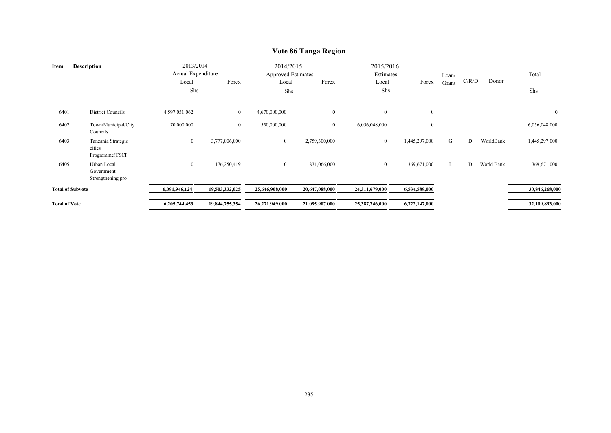|                         |                                                |                                          |                |                                                 | v olv ov Tanga Ingrom |                                 |               |                |       |            |                  |
|-------------------------|------------------------------------------------|------------------------------------------|----------------|-------------------------------------------------|-----------------------|---------------------------------|---------------|----------------|-------|------------|------------------|
| Item                    | <b>Description</b>                             | 2013/2014<br>Actual Expenditure<br>Local | Forex          | 2014/2015<br><b>Approved Estimates</b><br>Local | Forex                 | 2015/2016<br>Estimates<br>Local | Forex         | Loan/<br>Grant | C/R/D | Donor      | Total            |
|                         |                                                | Shs                                      |                | Shs                                             |                       | Shs                             |               |                |       |            | Shs              |
| 6401                    | District Councils                              | 4,597,051,062                            | $\overline{0}$ | 4,670,000,000                                   | $\overline{0}$        | $\mathbf{0}$                    | $\mathbf{0}$  |                |       |            | $\boldsymbol{0}$ |
| 6402                    | Town/Municipal/City<br>Councils                | 70,000,000                               | $\overline{0}$ | 550,000,000                                     | $\overline{0}$        | 6,056,048,000                   | $\mathbf{0}$  |                |       |            | 6,056,048,000    |
| 6403                    | Tanzania Strategic<br>cities<br>Programme(TSCP | $\boldsymbol{0}$                         | 3,777,006,000  | $\mathbf{0}$                                    | 2,759,300,000         | $\mathbf{0}$                    | 1,445,297,000 | G              | D     | WorldBank  | 1,445,297,000    |
| 6405                    | Urban Local<br>Government<br>Strengthening pro | $\boldsymbol{0}$                         | 176,250,419    | $\overline{0}$                                  | 831,066,000           | $\overline{0}$                  | 369,671,000   | L              | D     | World Bank | 369,671,000      |
| <b>Total of Subvote</b> |                                                | 6,091,946,124                            | 19,503,332,025 | 25,646,908,000                                  | 20,647,088,000        | 24,311,679,000                  | 6,534,589,000 |                |       |            | 30,846,268,000   |
| <b>Total of Vote</b>    |                                                | 6,205,744,453                            | 19,844,755,354 | 26,271,949,000                                  | 21,095,907,000        | 25,387,746,000                  | 6,722,147,000 |                |       |            | 32,109,893,000   |

#### **Vote 86 Tanga Region**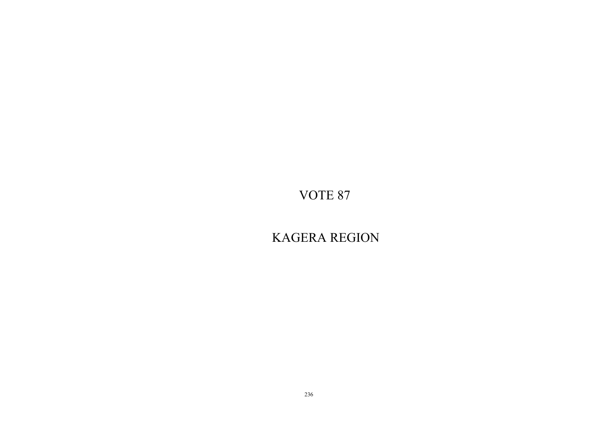KAGERA REGION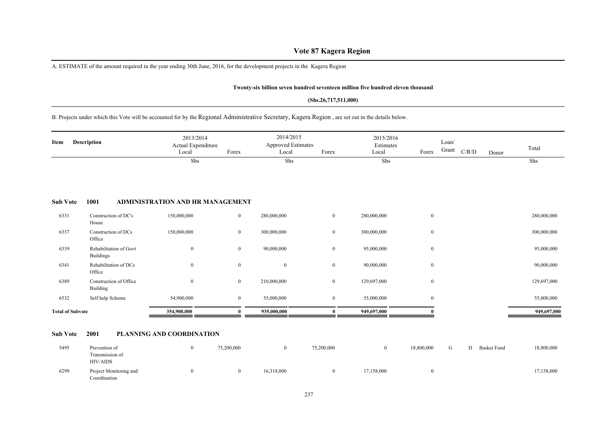# **Vote 87 Kagera Region**

A. ESTIMATE of the amount required in the year ending 30th June, 2016, for the development projects in the Kagera Region

#### **Twenty-six billion seven hundred seventeen million five hundred eleven thousand**

#### **(Shs.26,717,511,000)**

# B. Projects under which this Vote will be accounted for by the Regional Administrative Secretary, Kagera Region , are set out in the details below.

| Item                    | <b>Description</b>                         | 2013/2014<br>Actual Expenditure<br>Local | Forex            | 2014/2015<br><b>Approved Estimates</b><br>Local | Forex          | 2015/2016<br>Estimates<br>Local | Forex            | Loan/<br>Grant | C/R/D | Donor | Total       |
|-------------------------|--------------------------------------------|------------------------------------------|------------------|-------------------------------------------------|----------------|---------------------------------|------------------|----------------|-------|-------|-------------|
|                         |                                            | Shs                                      |                  | Shs                                             |                | Shs                             |                  |                |       |       | Shs         |
| <b>Sub Vote</b>         | 1001                                       | ADMINISTRATION AND HR MANAGEMENT         |                  |                                                 |                |                                 |                  |                |       |       |             |
| 6331                    | Construction of DC's<br>House              | 150,000,000                              | $\boldsymbol{0}$ | 280,000,000                                     | $\overline{0}$ | 280,000,000                     | $\bf{0}$         |                |       |       | 280,000,000 |
| 6337                    | Construction of DCs<br>Office              | 150,000,000                              | $\mathbf{0}$     | 300,000,000                                     | $\mathbf{0}$   | 300,000,000                     | $\boldsymbol{0}$ |                |       |       | 300,000,000 |
| 6339                    | Rehabilitation of Govt<br><b>Buildings</b> | $\mathbf{0}$                             | $\bf{0}$         | 90,000,000                                      | $\mathbf{0}$   | 95,000,000                      | $\boldsymbol{0}$ |                |       |       | 95,000,000  |
| 6341                    | Rehabilitation of DCs<br>Office            | $\mathbf{0}$                             | $\mathbf{0}$     | $\boldsymbol{0}$                                | $\overline{0}$ | 90,000,000                      | $\boldsymbol{0}$ |                |       |       | 90,000,000  |
| 6389                    | Construction of Office<br>Building         | $\mathbf{0}$                             | $\overline{0}$   | 210,000,000                                     | $\mathbf{0}$   | 129,697,000                     | $\mathbf{0}$     |                |       |       | 129,697,000 |
| 6532                    | Self help Scheme                           | 54,900,000                               | $\bf{0}$         | 55,000,000                                      | $\bf{0}$       | 55,000,000                      | $\boldsymbol{0}$ |                |       |       | 55,000,000  |
| <b>Total of Subvote</b> |                                            | 354,900,000                              |                  | 935,000,000                                     | $\mathbf{0}$   | 949,697,000                     |                  |                |       |       | 949,697,000 |

#### **Sub Vote 2001 PLANNING AND COORDINATION**

| 5495 | Prevention of                          | 75,200,000 |            | 75,200,000 |            | 18,800,000 | U | <b>Basket Fund</b> | 18,800,000 |
|------|----------------------------------------|------------|------------|------------|------------|------------|---|--------------------|------------|
|      | Transmission of<br>HIV/AIDS            |            |            |            |            |            |   |                    |            |
| 6299 | Project Monitoring and<br>Coordination |            | 16,318,000 | $^{\circ}$ | 17,158,000 |            |   |                    | 17,158,000 |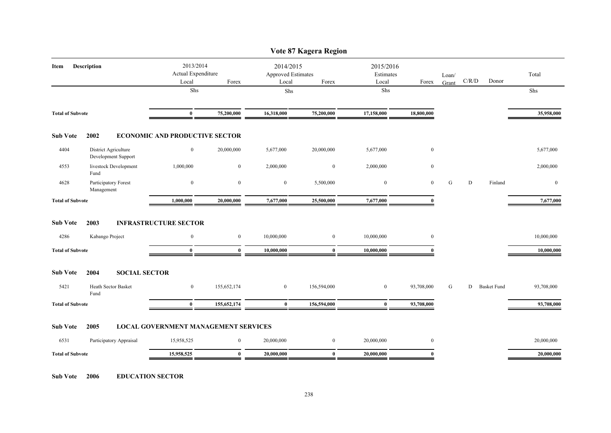|                         |                                             |                                             |                  |                                          | Vote 87 Kagera Region |                                 |                  |                |           |                    |                  |
|-------------------------|---------------------------------------------|---------------------------------------------|------------------|------------------------------------------|-----------------------|---------------------------------|------------------|----------------|-----------|--------------------|------------------|
| Item                    | Description                                 | 2013/2014<br>Actual Expenditure<br>Local    | Forex            | 2014/2015<br>Approved Estimates<br>Local | Forex                 | 2015/2016<br>Estimates<br>Local | Forex            | Loan/<br>Grant | C/R/D     | Donor              | Total            |
|                         |                                             | Shs                                         |                  | Shs                                      |                       | Shs                             |                  |                |           |                    | Shs              |
|                         |                                             |                                             |                  |                                          |                       |                                 |                  |                |           |                    |                  |
| <b>Total of Subvote</b> |                                             | $\bf{0}$                                    | 75,200,000       | 16,318,000                               | 75,200,000            | 17,158,000                      | 18,800,000       |                |           |                    | 35,958,000       |
| <b>Sub Vote</b>         | 2002                                        | <b>ECONOMIC AND PRODUCTIVE SECTOR</b>       |                  |                                          |                       |                                 |                  |                |           |                    |                  |
| 4404                    | District Agriculture<br>Development Support | $\bf{0}$                                    | 20,000,000       | 5,677,000                                | 20,000,000            | 5,677,000                       | $\bf{0}$         |                |           |                    | 5,677,000        |
| 4553                    | livestock Development<br>Fund               | 1,000,000                                   | $\boldsymbol{0}$ | 2,000,000                                | $\boldsymbol{0}$      | 2,000,000                       | $\boldsymbol{0}$ |                |           |                    | 2,000,000        |
| 4628                    | Participatory Forest<br>Management          | $\boldsymbol{0}$                            | $\boldsymbol{0}$ | $\bf{0}$                                 | 5,500,000             | $\boldsymbol{0}$                | $\mathbf{0}$     | G              | ${\rm D}$ | Finland            | $\boldsymbol{0}$ |
| <b>Total of Subvote</b> |                                             | 1,000,000                                   | 20,000,000       | 7,677,000                                | 25,500,000            | 7,677,000                       | ſ                |                |           |                    | 7,677,000        |
| <b>Sub Vote</b>         | 2003                                        | <b>INFRASTRUCTURE SECTOR</b>                |                  |                                          |                       |                                 |                  |                |           |                    |                  |
| 4286                    | Kabango Project                             | $\overline{0}$                              | $\overline{0}$   | 10,000,000                               | $\overline{0}$        | 10,000,000                      | $\overline{0}$   |                |           |                    | 10,000,000       |
| <b>Total of Subvote</b> |                                             | $\bf{0}$                                    | $\bf{0}$         | 10,000,000                               | $\bf{0}$              | 10,000,000                      |                  |                |           |                    | 10,000,000       |
| <b>Sub Vote</b>         | <b>SOCIAL SECTOR</b><br>2004                |                                             |                  |                                          |                       |                                 |                  |                |           |                    |                  |
| 5421                    | Heath Sector Basket<br>Fund                 | $\boldsymbol{0}$                            | 155,652,174      | $\overline{0}$                           | 156,594,000           | $\boldsymbol{0}$                | 93,708,000       | G              | D         | <b>Basket Fund</b> | 93,708,000       |
| <b>Total of Subvote</b> |                                             | $\bf{0}$                                    | 155,652,174      | $\bf{0}$                                 | 156,594,000           | $\bf{0}$                        | 93,708,000       |                |           |                    | 93,708,000       |
| <b>Sub Vote</b>         | 2005                                        | <b>LOCAL GOVERNMENT MANAGEMENT SERVICES</b> |                  |                                          |                       |                                 |                  |                |           |                    |                  |
| 6531                    | Participatory Appraisal                     | 15,958,525                                  | $\bf{0}$         | 20,000,000                               | $\mathbf{0}$          | 20,000,000                      | $\bf{0}$         |                |           |                    | 20,000,000       |
| <b>Total of Subvote</b> |                                             | 15,958,525                                  | $\mathbf{0}$     | 20,000,000                               | $\mathbf{0}$          | 20,000,000                      | 0                |                |           |                    | 20,000,000       |

**Sub Vote 2006 EDUCATION SECTOR**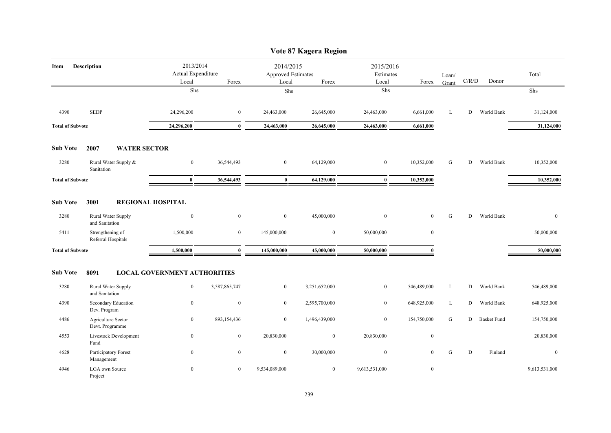|                         |                                        |                                          |                  |                                                 | Vote 87 Kagera Region |                                 |                  |                |       |                    |               |
|-------------------------|----------------------------------------|------------------------------------------|------------------|-------------------------------------------------|-----------------------|---------------------------------|------------------|----------------|-------|--------------------|---------------|
| Item                    | <b>Description</b>                     | 2013/2014<br>Actual Expenditure<br>Local | Forex            | 2014/2015<br><b>Approved Estimates</b><br>Local | Forex                 | 2015/2016<br>Estimates<br>Local | Forex            | Loan/<br>Grant | C/R/D | Donor              | Total         |
|                         |                                        | Shs                                      |                  | Shs                                             |                       | ${\rm Shs}$                     |                  |                |       |                    | Shs           |
| 4390                    | <b>SEDP</b>                            | 24,296,200                               | $\bf{0}$         | 24,463,000                                      | 26,645,000            | 24,463,000                      | 6,661,000        | L              | D     | World Bank         | 31,124,000    |
| <b>Total of Subvote</b> |                                        | 24,296,200                               | $\bf{0}$         | 24,463,000                                      | 26,645,000            | 24,463,000                      | 6,661,000        |                |       |                    | 31,124,000    |
| <b>Sub Vote</b>         | 2007<br><b>WATER SECTOR</b>            |                                          |                  |                                                 |                       |                                 |                  |                |       |                    |               |
| 3280                    | Rural Water Supply &<br>Sanitation     | $\overline{0}$                           | 36,544,493       | $\overline{0}$                                  | 64,129,000            | $\bf{0}$                        | 10,352,000       | G              | D     | World Bank         | 10,352,000    |
| <b>Total of Subvote</b> |                                        | $\bf{0}$                                 | 36,544,493       | $\bf{0}$                                        | 64,129,000            | $\bf{0}$                        | 10,352,000       |                |       |                    | 10,352,000    |
| <b>Sub Vote</b>         | 3001                                   | <b>REGIONAL HOSPITAL</b>                 |                  |                                                 |                       |                                 |                  |                |       |                    |               |
| 3280                    | Rural Water Supply<br>and Sanitation   | $\bf{0}$                                 | $\bf{0}$         | $\mathbf{0}$                                    | 45,000,000            | $\bf{0}$                        | $\mathbf{0}$     | G              | D     | World Bank         | $\bf{0}$      |
| 5411                    | Strengthening of<br>Referral Hospitals | 1,500,000                                | $\boldsymbol{0}$ | 145,000,000                                     | $\boldsymbol{0}$      | 50,000,000                      | $\boldsymbol{0}$ |                |       |                    | 50,000,000    |
| <b>Total of Subvote</b> |                                        | 1,500,000                                | $\bf{0}$         | 145,000,000                                     | 45,000,000            | 50,000,000                      | $\mathbf{0}$     |                |       |                    | 50,000,000    |
| <b>Sub Vote</b>         | 8091                                   | <b>LOCAL GOVERNMENT AUTHORITIES</b>      |                  |                                                 |                       |                                 |                  |                |       |                    |               |
| 3280                    | Rural Water Supply<br>and Sanitation   | $\bf{0}$                                 | 3,587,865,747    | $\mathbf{0}$                                    | 3,251,652,000         | $\mathbf{0}$                    | 546,489,000      | L              | D     | World Bank         | 546,489,000   |
| 4390                    | Secondary Education<br>Dev. Program    | $\boldsymbol{0}$                         | $\bf{0}$         | $\mathbf{0}$                                    | 2,595,700,000         | $\bf{0}$                        | 648,925,000      | L              | D     | World Bank         | 648,925,000   |
| 4486                    | Agriculture Sector<br>Devt. Programme  | $\bf{0}$                                 | 893,154,436      | $\mathbf{0}$                                    | 1,496,439,000         | $\bf{0}$                        | 154,750,000      | G              | D     | <b>Basket Fund</b> | 154,750,000   |
| 4553                    | Livestock Development<br>Fund          | $\bf{0}$                                 | $\bf{0}$         | 20,830,000                                      | $\bf{0}$              | 20,830,000                      | $\boldsymbol{0}$ |                |       |                    | 20,830,000    |
| 4628                    | Participatory Forest<br>Management     | $\mathbf{0}$                             | $\mathbf{0}$     | $\bf{0}$                                        | 30,000,000            | $\mathbf{0}$                    | $\theta$         | G              | D     | Finland            | $\mathbf{0}$  |
| 4946                    | LGA own Source<br>Project              | $\boldsymbol{0}$                         | $\overline{0}$   | 9,534,089,000                                   | $\overline{0}$        | 9,613,531,000                   | $\mathbf{0}$     |                |       |                    | 9,613,531,000 |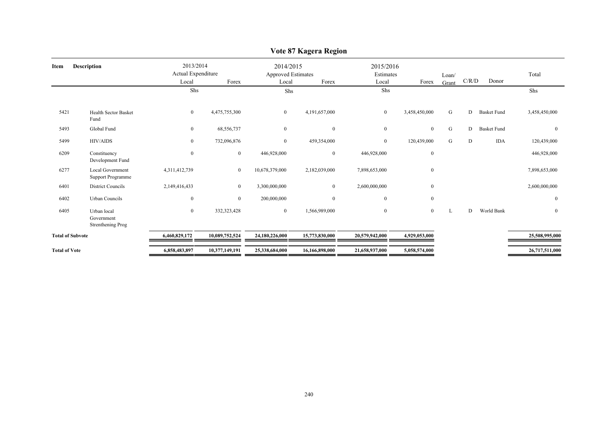|                                                |                  |                |                                 | $\cdots$       |                                        |                  |                        |   |                    |                |
|------------------------------------------------|------------------|----------------|---------------------------------|----------------|----------------------------------------|------------------|------------------------|---|--------------------|----------------|
| <b>Description</b>                             | Local            | Forex          | Local                           | Forex          | Local                                  | Forex            | Loan/<br>Grant         |   | Donor              | Total          |
|                                                | Shs              |                | Shs                             |                | Shs                                    |                  |                        |   |                    | Shs            |
| <b>Health Sector Basket</b><br>Fund            | $\bf{0}$         | 4,475,755,300  | $\overline{0}$                  | 4,191,657,000  | $\overline{0}$                         | 3,458,450,000    | G                      | D | <b>Basket Fund</b> | 3,458,450,000  |
| Global Fund                                    | $\bf{0}$         | 68,556,737     | $\overline{0}$                  | $\overline{0}$ | $\bf{0}$                               | $\overline{0}$   | G                      | D | <b>Basket Fund</b> | $\mathbf{0}$   |
| <b>HIV/AIDS</b>                                | $\mathbf{0}$     | 732,096,876    | $\overline{0}$                  | 459,354,000    | $\overline{0}$                         | 120,439,000      | G                      | D | <b>IDA</b>         | 120,439,000    |
| Constituency<br>Development Fund               | $\boldsymbol{0}$ | $\overline{0}$ | 446,928,000                     | $\overline{0}$ | 446,928,000                            | $\boldsymbol{0}$ |                        |   |                    | 446,928,000    |
| Local Government<br><b>Support Programme</b>   | 4,311,412,739    | $\mathbf{0}$   | 10,678,379,000                  | 2,182,039,000  | 7,898,653,000                          | $\mathbf{0}$     |                        |   |                    | 7,898,653,000  |
| <b>District Councils</b>                       | 2,149,416,433    | $\overline{0}$ | 3,300,000,000                   | $\overline{0}$ | 2,600,000,000                          | $\mathbf{0}$     |                        |   |                    | 2,600,000,000  |
| Urban Councils                                 | $\mathbf{0}$     | $\overline{0}$ | 200,000,000                     | $\theta$       | $\mathbf{0}$                           | $\overline{0}$   |                        |   |                    | $\Omega$       |
| Urban local<br>Government<br>Strenthening Prog | $\bf{0}$         | 332,323,428    | $\bf{0}$                        | 1,566,989,000  | $\overline{0}$                         | $\overline{0}$   | L                      | D | World Bank         | $\overline{0}$ |
|                                                | 6,460,829,172    | 10,089,752,524 | 24,180,226,000                  | 15,773,830,000 | 20,579,942,000                         | 4,929,053,000    |                        |   |                    | 25,508,995,000 |
|                                                | 6,858,483,897    | 10,377,149,191 | 25,338,684,000                  | 16,166,898,000 | 21,658,937,000                         | 5,058,574,000    |                        |   |                    | 26,717,511,000 |
|                                                |                  |                | 2013/2014<br>Actual Expenditure |                | 2014/2015<br><b>Approved Estimates</b> |                  | 2015/2016<br>Estimates |   |                    | C/R/D          |

## **Vote 87 Kagera Region**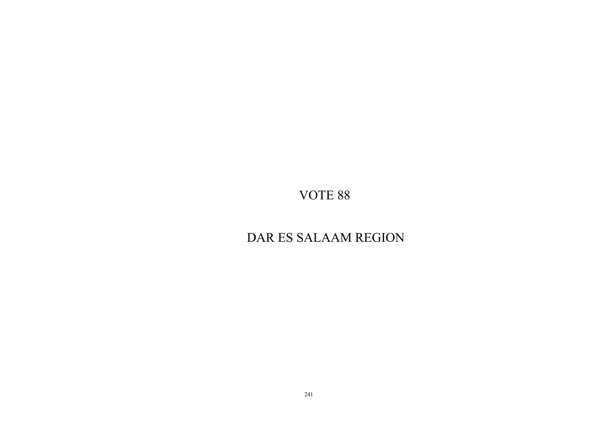# DAR ES SALAAM REGION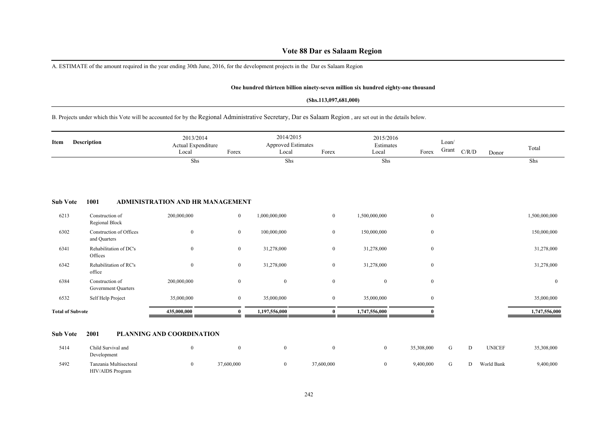A. ESTIMATE of the amount required in the year ending 30th June, 2016, for the development projects in the Dar es Salaam Region

#### **One hundred thirteen billion ninety-seven million six hundred eighty-one thousand**

#### **(Shs.113,097,681,000)**

B. Projects under which this Vote will be accounted for by the Regional Administrative Secretary, Dar es Salaam Region , are set out in the details below.

| Item            | <b>Description</b>                | 2013/2014<br>Actual Expenditure<br>Local | Forex        | 2014/2015<br>Approved Estimates<br>Local | Forex    | 2015/2016<br>Estimates<br>Local | Forex        | Loan/<br>Grant | C/R/D | Donor | Total         |
|-----------------|-----------------------------------|------------------------------------------|--------------|------------------------------------------|----------|---------------------------------|--------------|----------------|-------|-------|---------------|
|                 |                                   | Shs                                      |              | Shs                                      |          | Shs                             |              |                |       |       | Shs           |
| <b>Sub Vote</b> | 1001                              | ADMINISTRATION AND HR MANAGEMENT         |              |                                          |          |                                 |              |                |       |       |               |
| 6213            | Construction of<br>Regional Block | 200,000,000                              | $\mathbf{0}$ | 1,000,000,000                            | $\bf{0}$ | 1,500,000,000                   | $\mathbf{0}$ |                |       |       | 1,500,000,000 |
| 6302            | Construction of Offices           |                                          |              | 100,000,000                              | $\theta$ | 150,000,000                     | $\theta$     |                |       |       | 150,000,000   |

| <b>Sub Vote</b>         | 2001                                    | <b>PLANNING AND COORDINATION</b> |                |                |              |               |                |               |
|-------------------------|-----------------------------------------|----------------------------------|----------------|----------------|--------------|---------------|----------------|---------------|
| <b>Total of Subvote</b> |                                         | 435,000,000                      |                | 1,197,556,000  |              | 1,747,556,000 |                | 1,747,556,000 |
|                         |                                         |                                  |                |                |              |               |                |               |
| 6532                    | Self Help Project                       | 35,000,000                       | $\overline{0}$ | 35,000,000     | $\mathbf{0}$ | 35,000,000    | $\overline{0}$ | 35,000,000    |
| 6384                    | Construction of<br>Government Quarters  | 200,000,000                      | $\mathbf{0}$   | $\overline{0}$ | $\theta$     | $\theta$      | $\overline{0}$ | $\mathbf{0}$  |
| 6342                    | Rehabilitation of RC's<br>office        | $\mathbf{0}$                     | $\overline{0}$ | 31,278,000     | $\mathbf{0}$ | 31,278,000    | $\overline{0}$ | 31,278,000    |
| 6341                    | Rehabilitation of DC's<br>Offices       | $\mathbf{0}$                     | $\overline{0}$ | 31,278,000     | $\mathbf{0}$ | 31,278,000    | $\overline{0}$ | 31,278,000    |
| 6302                    | Construction of Offices<br>and Quarters | $\boldsymbol{0}$                 | $\overline{0}$ | 100,000,000    | $\mathbf{0}$ | 150,000,000   | $\overline{0}$ | 150,000,000   |
|                         | <b>INVERVILLE DRUCK</b>                 |                                  |                |                |              |               |                |               |

| 5414 | Child Survival and<br>Development          |            |            | 35,308,000 | U | <b>UNICEF</b>   | 35,308,000 |
|------|--------------------------------------------|------------|------------|------------|---|-----------------|------------|
| 5492 | Tanzania Multisectoral<br>HIV/AIDS Program | 37,600,000 | 37,600,000 | 0,400,000  | U | World Bank<br>D | 9,400,000  |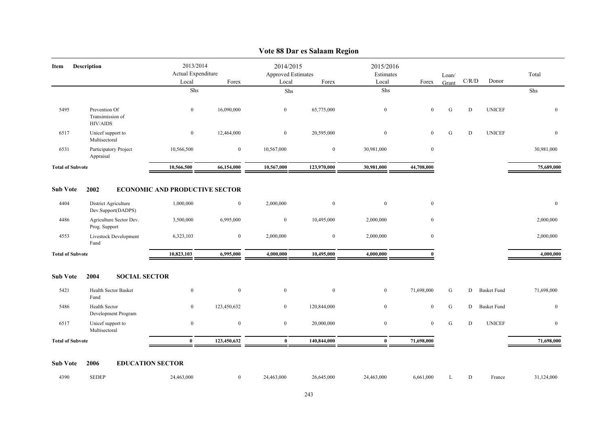|                         |                                                      |                                                   |              | $\frac{1}{2}$                                   |                |                                 |              |                |             |                    |                  |
|-------------------------|------------------------------------------------------|---------------------------------------------------|--------------|-------------------------------------------------|----------------|---------------------------------|--------------|----------------|-------------|--------------------|------------------|
| Description<br>Item     |                                                      | 2013/2014<br>Actual Expenditure<br>Local<br>Forex |              | 2014/2015<br><b>Approved Estimates</b><br>Local | Forex          | 2015/2016<br>Estimates<br>Local | Forex        | Loan/<br>Grant | C/R/D       | Donor              | Total            |
|                         |                                                      | Shs                                               |              | Shs                                             |                | Shs                             |              |                |             |                    | Shs              |
| 5495                    | Prevention Of<br>Transimission of<br><b>HIV/AIDS</b> | $\mathbf{0}$                                      | 16,090,000   | $\overline{0}$                                  | 65,775,000     | $\mathbf{0}$                    | $\mathbf{0}$ | G              | $\mathbf D$ | <b>UNICEF</b>      | $\mathbf{0}$     |
| 6517                    | Unicef support to<br>Multisectoral                   | $\bf{0}$                                          | 12,464,000   | $\bf{0}$                                        | 20,595,000     | $\bf{0}$                        | $\bf{0}$     | ${\bf G}$      | ${\bf D}$   | <b>UNICEF</b>      | $\boldsymbol{0}$ |
| 6531                    | Participatory Project<br>Appraisal                   | 10,566,500                                        | $\bf{0}$     | 10,567,000                                      | $\mathbf{0}$   | 30,981,000                      | $\bf{0}$     |                |             |                    | 30,981,000       |
| <b>Total of Subvote</b> |                                                      | 10,566,500                                        | 66,154,000   | 10,567,000                                      | 123,970,000    | 30,981,000                      | 44,708,000   |                |             |                    | 75,689,000       |
| <b>Sub Vote</b>         | 2002                                                 | <b>ECONOMIC AND PRODUCTIVE SECTOR</b>             |              |                                                 |                |                                 |              |                |             |                    |                  |
| 4404                    | District Agriculture<br>Dev.Support(DADPS)           | 1,000,000                                         | $\mathbf{0}$ | 2,000,000                                       | $\overline{0}$ | $\bf{0}$                        | $\mathbf{0}$ |                |             |                    | $\boldsymbol{0}$ |
| 4486                    | Agriculture Sector Dev.<br>Prog. Support             | 3,500,000                                         | 6,995,000    | $\bf{0}$                                        | 10,495,000     | 2,000,000                       | $\mathbf{0}$ |                |             |                    | 2,000,000        |
| 4553                    | Livestock Development<br>Fund                        | 6,323,103                                         | $\bf{0}$     | 2,000,000                                       | $\bf{0}$       | 2,000,000                       | $\bf{0}$     |                |             |                    | 2,000,000        |
| <b>Total of Subvote</b> |                                                      | 10,823,103                                        | 6,995,000    | 4,000,000                                       | 10,495,000     | 4,000,000                       | $\theta$     |                |             |                    | 4,000,000        |
| <b>Sub Vote</b>         | 2004<br><b>SOCIAL SECTOR</b>                         |                                                   |              |                                                 |                |                                 |              |                |             |                    |                  |
| 5421                    | <b>Health Sector Basket</b><br>Fund                  | $\boldsymbol{0}$                                  | $\mathbf{0}$ | $\mathbf{0}$                                    | $\overline{0}$ | $\boldsymbol{0}$                | 71,698,000   | G              | D           | <b>Basket Fund</b> | 71,698,000       |
| 5486                    | Health Sector<br>Development Program                 | $\boldsymbol{0}$                                  | 123,450,632  | $\overline{0}$                                  | 120,844,000    | $\bf{0}$                        | $\bf{0}$     | G              | D           | <b>Basket Fund</b> | $\boldsymbol{0}$ |
| 6517                    | Unicef support to<br>Multisectoral                   | $\bf{0}$                                          | $\bf{0}$     | $\bf{0}$                                        | 20,000,000     | $\bf{0}$                        | $\bf{0}$     | ${\bf G}$      | ${\rm D}$   | <b>UNICEF</b>      | $\boldsymbol{0}$ |
| <b>Total of Subvote</b> |                                                      | $\bf{0}$                                          | 123,450,632  | $\bf{0}$                                        | 140,844,000    | $\mathbf{0}$                    | 71,698,000   |                |             |                    | 71,698,000       |
| <b>Sub Vote</b>         | 2006<br><b>EDUCATION SECTOR</b>                      |                                                   |              |                                                 |                |                                 |              |                |             |                    |                  |
| 4390                    | <b>SEDEP</b>                                         | 24,463,000                                        | $\mathbf{0}$ | 24,463,000                                      | 26,645,000     | 24,463,000                      | 6,661,000    | L              | D           | France             | 31,124,000       |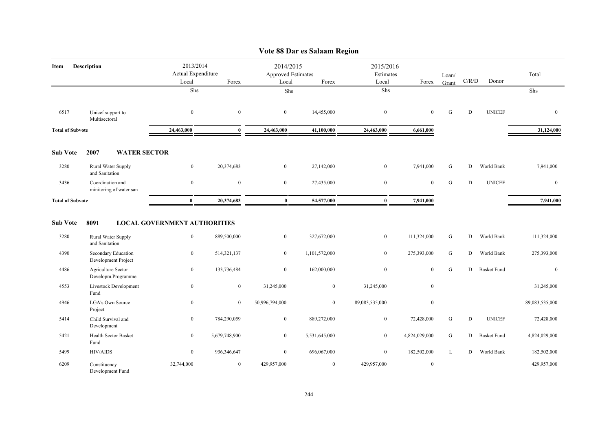|                         |                                              |                                                     |                |                                          | vote 88 Dar es Saiaam Region |                                 |               |                |             |                    |                |
|-------------------------|----------------------------------------------|-----------------------------------------------------|----------------|------------------------------------------|------------------------------|---------------------------------|---------------|----------------|-------------|--------------------|----------------|
| Item                    | Description                                  | 2013/2014<br>Actual Expenditure<br>Forex<br>Local   |                | 2014/2015<br>Approved Estimates<br>Local | Forex                        | 2015/2016<br>Estimates<br>Local | Forex         | Loan/<br>Grant | C/R/D       | Donor              | Total          |
|                         |                                              | Shs                                                 |                | Shs                                      |                              | Shs                             |               |                |             |                    | Shs            |
| 6517                    | Unicef support to<br>Multisectoral           | $\overline{0}$                                      | $\mathbf{0}$   | $\overline{0}$                           | 14,455,000                   | $\mathbf{0}$                    | $\mathbf{0}$  | G              | D           | <b>UNICEF</b>      | $\mathbf{0}$   |
| <b>Total of Subvote</b> |                                              | 24,463,000                                          | $\mathbf{0}$   | 24,463,000                               | 41,100,000                   | 24,463,000                      | 6,661,000     |                |             |                    | 31,124,000     |
| <b>Sub Vote</b>         | 2007<br><b>WATER SECTOR</b>                  |                                                     |                |                                          |                              |                                 |               |                |             |                    |                |
| 3280                    | Rural Water Supply<br>and Sanitation         | $\mathbf{0}$                                        | 20,374,683     | $\overline{0}$                           | 27,142,000                   | $\mathbf{0}$                    | 7,941,000     | G              | D           | World Bank         | 7,941,000      |
| 3436                    | Coordination and<br>minitoring of water san  | $\overline{0}$                                      | $\mathbf{0}$   | $\overline{0}$                           | 27,435,000                   | $\boldsymbol{0}$                | $\mathbf{0}$  | ${\bf G}$      | $\mathbf D$ | <b>UNICEF</b>      | $\mathbf{0}$   |
| <b>Total of Subvote</b> |                                              | $\bf{0}$                                            | 20,374,683     | $\bf{0}$                                 | 54,577,000                   | $\bf{0}$                        | 7,941,000     |                |             |                    | 7,941,000      |
| <b>Sub Vote</b><br>3280 | 8091<br>Rural Water Supply<br>and Sanitation | <b>LOCAL GOVERNMENT AUTHORITIES</b><br>$\mathbf{0}$ | 889,500,000    | $\mathbf{0}$                             | 327,672,000                  | $\bf{0}$                        | 111,324,000   | G              | D           | World Bank         | 111,324,000    |
| 4390                    | Secondary Education<br>Development Project   | $\boldsymbol{0}$                                    | 514,321,137    | $\overline{0}$                           | 1,101,572,000                | $\boldsymbol{0}$                | 275,393,000   | G              | D           | World Bank         | 275,393,000    |
| 4486                    | Agriculture Sector<br>Developm.Programme     | $\overline{0}$                                      | 133,736,484    | $\overline{0}$                           | 162,000,000                  | $\boldsymbol{0}$                | $\mathbf{0}$  | G              | D           | <b>Basket Fund</b> | $\mathbf{0}$   |
| 4553                    | Livestock Development<br>Fund                | $\overline{0}$                                      | $\overline{0}$ | 31,245,000                               | $\overline{0}$               | 31,245,000                      | $\mathbf{0}$  |                |             |                    | 31,245,000     |
| 4946                    | LGA's Own Source<br>Project                  | $\mathbf{0}$                                        | $\mathbf{0}$   | 50,996,794,000                           | $\overline{0}$               | 89,083,535,000                  | $\mathbf{0}$  |                |             |                    | 89,083,535,000 |
| 5414                    | Child Survival and<br>Development            | $\overline{0}$                                      | 784,290,059    | $\overline{0}$                           | 889,272,000                  | $\bf{0}$                        | 72,428,000    | G              | D           | <b>UNICEF</b>      | 72,428,000     |
| 5421                    | Health Sector Basket<br>Fund                 | $\bf{0}$                                            | 5,679,748,900  | $\mathbf{0}$                             | 5,531,645,000                | $\boldsymbol{0}$                | 4,824,029,000 | ${\bf G}$      | D           | <b>Basket Fund</b> | 4,824,029,000  |
| 5499                    | <b>HIV/AIDS</b>                              | $\mathbf{0}$                                        | 936,346,647    | $\overline{0}$                           | 696,067,000                  | $\mathbf{0}$                    | 182,502,000   | L              | D           | World Bank         | 182,502,000    |
| 6209                    | Constituency<br>Development Fund             | 32,744,000                                          | $\mathbf{0}$   | 429,957,000                              | $\boldsymbol{0}$             | 429,957,000                     | $\mathbf{0}$  |                |             |                    | 429,957,000    |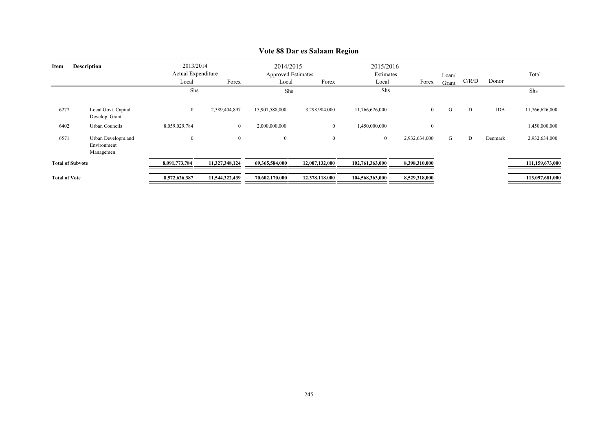| <b>Description</b><br>Item |                                                | 2013/2014<br>Actual Expenditure<br>Local<br>Forex |                  | Local            | 2014/2015<br><b>Approved Estimates</b><br>Forex |                 | 2015/2016<br>Estimates<br>Forex | Loan/<br>Grant | C/R/D | Donor      | Total           |
|----------------------------|------------------------------------------------|---------------------------------------------------|------------------|------------------|-------------------------------------------------|-----------------|---------------------------------|----------------|-------|------------|-----------------|
|                            |                                                | <b>Shs</b>                                        |                  | Shs              |                                                 | Shs             |                                 |                |       |            | Shs             |
| 6277                       | Local Govt. Capital<br>Develop. Grant          | $\boldsymbol{0}$                                  | 2,389,404,897    | 15,907,588,000   | 3,298,904,000                                   | 11,766,626,000  | $\overline{0}$                  | G              | D     | <b>IDA</b> | 11,766,626,000  |
| 6402                       | <b>Urban Councils</b>                          | 8,059,029,784                                     | $\mathbf{0}$     | 2,000,000,000    | $\mathbf{0}$                                    | 1,450,000,000   | $\mathbf{0}$                    |                |       |            | 1,450,000,000   |
| 6571                       | Urban Developm.and<br>Environment<br>Managemen | $\boldsymbol{0}$                                  | $\boldsymbol{0}$ | $\boldsymbol{0}$ | $\mathbf{0}$                                    | $\bf{0}$        | 2,932,634,000                   | G              | D     | Denmark    | 2,932,634,000   |
|                            | <b>Total of Subvote</b>                        | 8,091,773,784                                     | 11,327,348,124   | 69,365,584,000   | 12,007,132,000                                  | 102,761,363,000 | 8,398,310,000                   |                |       |            | 111,159,673,000 |
| <b>Total of Vote</b>       |                                                | 8,572,626,387                                     | 11,544,322,439   | 70,602,170,000   | 12,378,118,000                                  | 104,568,363,000 | 8,529,318,000                   |                |       |            | 113,097,681,000 |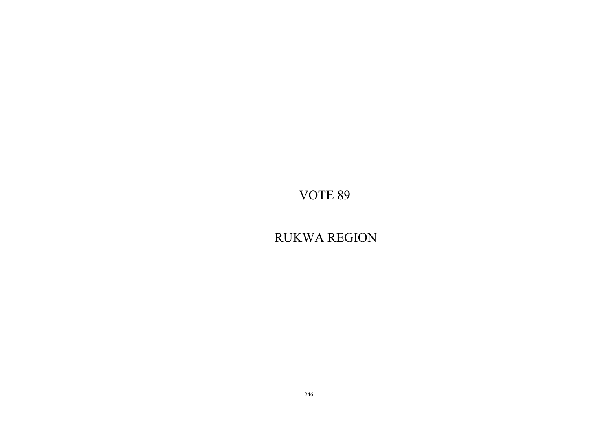RUKWA REGION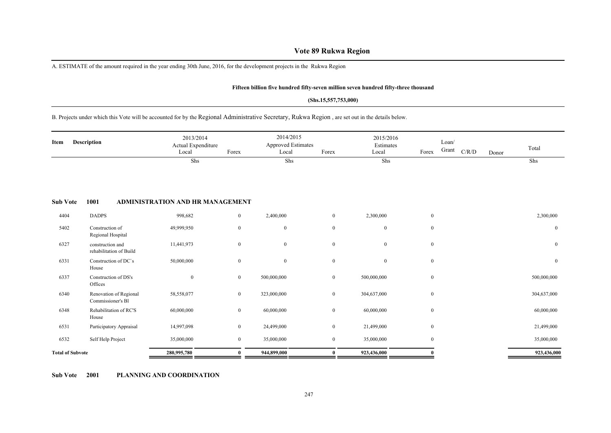# **Vote 89 Rukwa Region**

A. ESTIMATE of the amount required in the year ending 30th June, 2016, for the development projects in the Rukwa Region

#### **Fifteen billion five hundred fifty-seven million seven hundred fifty-three thousand**

#### **(Shs.15,557,753,000)**

#### B. Projects under which this Vote will be accounted for by the Regional Administrative Secretary, Rukwa Region , are set out in the details below.

| Description<br>Item     |                                             | 2013/2014<br>Actual Expenditure<br>Local | Forex          | 2014/2015<br><b>Approved Estimates</b><br>Local | Forex          | 2015/2016<br>Estimates<br>Local | Forex            | Loan/<br>Grant | C/R/D | Donor | Total            |
|-------------------------|---------------------------------------------|------------------------------------------|----------------|-------------------------------------------------|----------------|---------------------------------|------------------|----------------|-------|-------|------------------|
|                         |                                             | Shs                                      |                | Shs                                             |                | Shs                             |                  |                |       |       | Shs              |
| <b>Sub Vote</b>         | 1001                                        | ADMINISTRATION AND HR MANAGEMENT         |                |                                                 |                |                                 |                  |                |       |       |                  |
| 4404                    | <b>DADPS</b>                                | 998,682                                  | $\overline{0}$ | 2,400,000                                       | $\overline{0}$ | 2,300,000                       | $\bf{0}$         |                |       |       | 2,300,000        |
| 5402                    | Construction of<br>Regional Hospital        | 49,999,950                               | $\bf{0}$       | $\boldsymbol{0}$                                | $\mathbf{0}$   | $\mathbf{0}$                    | $\bf{0}$         |                |       |       | $\mathbf{0}$     |
| 6327                    | construction and<br>rehabilitation of Build | 11,441,973                               | $\bf{0}$       | $\boldsymbol{0}$                                | $\mathbf{0}$   | $\overline{0}$                  | $\mathbf{0}$     |                |       |       | $\mathbf{0}$     |
| 6331                    | Construction of DC's<br>House               | 50,000,000                               | $\bf{0}$       | $\boldsymbol{0}$                                | $\mathbf{0}$   | $\bf{0}$                        | $\bf{0}$         |                |       |       | $\boldsymbol{0}$ |
| 6337                    | Construction of DS's<br>Offices             | $\mathbf{0}$                             | $\bf{0}$       | 500,000,000                                     | $\bf{0}$       | 500,000,000                     | $\bf{0}$         |                |       |       | 500,000,000      |
| 6340                    | Renovation of Regional<br>Commissioner's Bl | 58,558,077                               | $\overline{0}$ | 323,000,000                                     | $\overline{0}$ | 304,637,000                     | $\mathbf{0}$     |                |       |       | 304,637,000      |
| 6348                    | Rehabilitation of RC'S<br>House             | 60,000,000                               | $\mathbf{0}$   | 60,000,000                                      | $\overline{0}$ | 60,000,000                      | $\mathbf{0}$     |                |       |       | 60,000,000       |
| 6531                    | Participatory Appraisal                     | 14,997,098                               | $\bf{0}$       | 24,499,000                                      | $\overline{0}$ | 21,499,000                      | $\mathbf{0}$     |                |       |       | 21,499,000       |
| 6532                    | Self Help Project                           | 35,000,000                               | $\mathbf{0}$   | 35,000,000                                      | $\overline{0}$ | 35,000,000                      | $\boldsymbol{0}$ |                |       |       | 35,000,000       |
| <b>Total of Subvote</b> |                                             | 280,995,780                              | $\mathbf{0}$   | 944,899,000                                     | $\mathbf{0}$   | 923,436,000                     | $\Omega$         |                |       |       | 923,436,000      |

**Sub Vote 2001 PLANNING AND COORDINATION**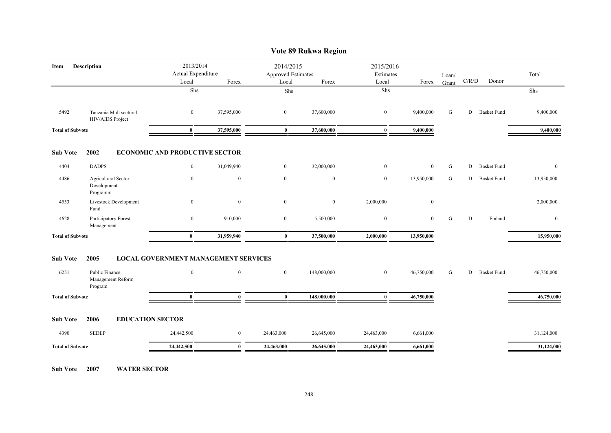|                         | Vote 89 Rukwa Region                           |                                                   |                                             |                |                                                   |                  |                                          |       |   |                    |              |  |  |  |
|-------------------------|------------------------------------------------|---------------------------------------------------|---------------------------------------------|----------------|---------------------------------------------------|------------------|------------------------------------------|-------|---|--------------------|--------------|--|--|--|
| Description<br>Item     |                                                | 2013/2014<br>Actual Expenditure<br>Local<br>Forex |                                             |                | 2014/2015<br>Approved Estimates<br>Local<br>Forex |                  | 2015/2016<br>Estimates<br>Local<br>Forex |       |   | C/R/D<br>Donor     | Total        |  |  |  |
|                         |                                                |                                                   | Shs                                         | Shs            |                                                   | Shs              |                                          | Grant |   |                    | Shs          |  |  |  |
| 5492                    | Tanzania Mult sectural<br>HIV/AIDS Project     | $\bf{0}$                                          | 37,595,000                                  | $\bf{0}$       | 37,600,000                                        | $\boldsymbol{0}$ | 9,400,000                                | G     | D | <b>Basket Fund</b> | 9,400,000    |  |  |  |
| <b>Total of Subvote</b> |                                                | $\bf{0}$                                          | 37,595,000                                  | $\bf{0}$       | 37,600,000                                        | $\bf{0}$         | 9,400,000                                |       |   |                    | 9,400,000    |  |  |  |
| <b>Sub Vote</b>         | 2002                                           |                                                   | <b>ECONOMIC AND PRODUCTIVE SECTOR</b>       |                |                                                   |                  |                                          |       |   |                    |              |  |  |  |
| 4404                    | <b>DADPS</b>                                   | $\overline{0}$                                    | 31,049,940                                  | $\overline{0}$ | 32,000,000                                        | $\bf{0}$         | $\mathbf{0}$                             | G     | D | <b>Basket Fund</b> | $\mathbf{0}$ |  |  |  |
| 4486                    | Agricultural Sector<br>Development<br>Programm | $\boldsymbol{0}$                                  | $\boldsymbol{0}$                            | $\overline{0}$ | $\boldsymbol{0}$                                  | $\mathbf{0}$     | 13,950,000                               | G     | D | <b>Basket Fund</b> | 13,950,000   |  |  |  |
| 4553                    | Livestock Development<br>Fund                  | $\boldsymbol{0}$                                  | $\mathbf{0}$                                | $\overline{0}$ | $\mathbf{0}$                                      | 2,000,000        | $\mathbf{0}$                             |       |   |                    | 2,000,000    |  |  |  |
| 4628                    | Participatory Forest<br>Management             | $\overline{0}$                                    | 910,000                                     | $\overline{0}$ | 5,500,000                                         | $\mathbf{0}$     | $\mathbf{0}$                             | G     | D | Finland            | $\mathbf{0}$ |  |  |  |
| <b>Total of Subvote</b> |                                                | $\bf{0}$                                          | 31,959,940                                  | $\bf{0}$       | 37,500,000                                        | 2,000,000        | 13,950,000                               |       |   |                    | 15,950,000   |  |  |  |
| <b>Sub Vote</b>         | 2005                                           |                                                   | <b>LOCAL GOVERNMENT MANAGEMENT SERVICES</b> |                |                                                   |                  |                                          |       |   |                    |              |  |  |  |
| 6251                    | Public Finance<br>Management Reform<br>Program | $\mathbf{0}$                                      | $\mathbf{0}$                                | $\overline{0}$ | 148,000,000                                       | $\mathbf{0}$     | 46,750,000                               | G     | D | <b>Basket Fund</b> | 46,750,000   |  |  |  |
| <b>Total of Subvote</b> |                                                | $\bf{0}$                                          | $\bf{0}$                                    | $\bf{0}$       | 148,000,000                                       | $\bf{0}$         | 46,750,000                               |       |   |                    | 46,750,000   |  |  |  |
| <b>Sub Vote</b>         | 2006                                           | <b>EDUCATION SECTOR</b>                           |                                             |                |                                                   |                  |                                          |       |   |                    |              |  |  |  |
| 4390                    | <b>SEDEP</b>                                   | 24,442,500                                        | $\bf{0}$                                    | 24,463,000     | 26,645,000                                        | 24,463,000       | 6,661,000                                |       |   |                    | 31,124,000   |  |  |  |
| <b>Total of Subvote</b> |                                                | 24,442,500                                        | $\bf{0}$                                    | 24,463,000     | 26,645,000                                        | 24,463,000       | 6,661,000                                |       |   |                    | 31,124,000   |  |  |  |
|                         |                                                |                                                   |                                             |                |                                                   |                  |                                          |       |   |                    |              |  |  |  |

**Sub Vote 2007 WATER SECTOR**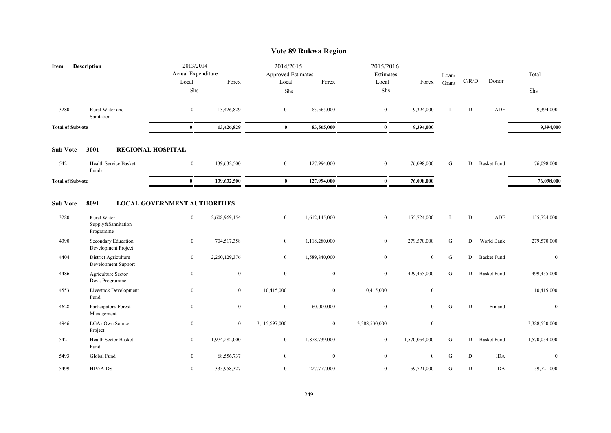|                            |                                                |                                                   |                  |                                          | Vote 89 Rukwa Region |                                 |                  |           |             |                    |               |
|----------------------------|------------------------------------------------|---------------------------------------------------|------------------|------------------------------------------|----------------------|---------------------------------|------------------|-----------|-------------|--------------------|---------------|
| <b>Description</b><br>Item |                                                | 2013/2014<br>Actual Expenditure<br>Local<br>Forex |                  | 2014/2015<br>Approved Estimates<br>Local | Forex                | 2015/2016<br>Estimates<br>Local | Forex            | Loan/     | $\rm C/R/D$ | Donor              | Total         |
|                            |                                                | Shs                                               |                  | Shs                                      |                      | ${\rm Shs}$                     |                  | Grant     |             |                    | Shs           |
|                            |                                                |                                                   |                  |                                          |                      |                                 |                  |           |             |                    |               |
| 3280                       | Rural Water and<br>Sanitation                  | $\overline{0}$                                    | 13,426,829       | $\mathbf{0}$                             | 83,565,000           | $\bf{0}$                        | 9,394,000        | L         | D           | ADF                | 9,394,000     |
| <b>Total of Subvote</b>    |                                                | $\bf{0}$                                          | 13,426,829       | $\bf{0}$                                 | 83,565,000           | $\bf{0}$                        | 9,394,000        |           |             |                    | 9,394,000     |
| <b>Sub Vote</b>            | 3001<br><b>REGIONAL HOSPITAL</b>               |                                                   |                  |                                          |                      |                                 |                  |           |             |                    |               |
| 5421                       | Health Service Basket<br>Funds                 | $\mathbf{0}$                                      | 139,632,500      | $\mathbf{0}$                             | 127,994,000          | $\overline{0}$                  | 76,098,000       | G         | D           | <b>Basket Fund</b> | 76,098,000    |
| <b>Total of Subvote</b>    |                                                | $\bf{0}$                                          | 139,632,500      | $\bf{0}$                                 | 127,994,000          | $\bf{0}$                        | 76,098,000       |           |             |                    | 76,098,000    |
| <b>Sub Vote</b>            | 8091                                           | <b>LOCAL GOVERNMENT AUTHORITIES</b>               |                  |                                          |                      |                                 |                  |           |             |                    |               |
| 3280                       | Rural Water<br>Supply&Sannitation<br>Programme | $\overline{0}$                                    | 2,608,969,154    | $\boldsymbol{0}$                         | 1,612,145,000        | $\bf{0}$                        | 155,724,000      | L         | D           | ADF                | 155,724,000   |
| 4390                       | Secondary Education<br>Development Project     | $\bf{0}$                                          | 704,517,358      | $\mathbf{0}$                             | 1,118,280,000        | $\overline{0}$                  | 279,570,000      | G         | D           | World Bank         | 279,570,000   |
| 4404                       | District Agriculture<br>Development Support    | $\bf{0}$                                          | 2,260,129,376    | $\mathbf{0}$                             | 1,589,840,000        | $\bf{0}$                        | $\mathbf{0}$     | G         | D           | <b>Basket Fund</b> | $\mathbf{0}$  |
| 4486                       | Agriculture Sector<br>Devt. Programme          | $\boldsymbol{0}$                                  | $\boldsymbol{0}$ | $\boldsymbol{0}$                         | $\mathbf{0}$         | $\mathbf{0}$                    | 499,455,000      | G         | D           | <b>Basket Fund</b> | 499,455,000   |
| 4553                       | Livestock Development<br>Fund                  | $\boldsymbol{0}$                                  | $\mathbf{0}$     | 10,415,000                               | $\mathbf{0}$         | 10,415,000                      | $\mathbf{0}$     |           |             |                    | 10,415,000    |
| 4628                       | Participatory Forest<br>Management             | $\mathbf{0}$                                      | $\boldsymbol{0}$ | $\boldsymbol{0}$                         | 60,000,000           | $\boldsymbol{0}$                | $\mathbf{0}$     | ${\bf G}$ | D           | Finland            | $\mathbf{0}$  |
| 4946                       | <b>LGAs Own Source</b><br>Project              | $\mathbf{0}$                                      | $\overline{0}$   | 3,115,697,000                            | $\overline{0}$       | 3,388,530,000                   | $\mathbf{0}$     |           |             |                    | 3,388,530,000 |
| 5421                       | Health Sector Basket<br>Fund                   | $\bf{0}$                                          | 1,974,282,000    | $\overline{0}$                           | 1,878,739,000        | $\bf{0}$                        | 1,570,054,000    | G         | D           | <b>Basket Fund</b> | 1,570,054,000 |
| 5493                       | Global Fund                                    | $\bf{0}$                                          | 68,556,737       | $\bf{0}$                                 | $\overline{0}$       | $\boldsymbol{0}$                | $\boldsymbol{0}$ | G         | D           | <b>IDA</b>         | $\bf{0}$      |
| 5499                       | <b>HIV/AIDS</b>                                | $\bf{0}$                                          | 335,958,327      | $\bf{0}$                                 | 227,777,000          | $\overline{0}$                  | 59,721,000       | G         | D           | <b>IDA</b>         | 59,721,000    |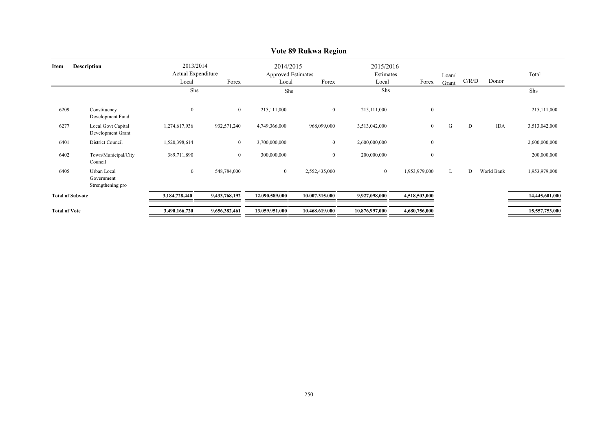|                         | $\sim$ 0.00 02 retains a recyclon              |                                          |                  |                                                 |                |                                 |                  |                |       |            |                |  |  |  |
|-------------------------|------------------------------------------------|------------------------------------------|------------------|-------------------------------------------------|----------------|---------------------------------|------------------|----------------|-------|------------|----------------|--|--|--|
| Item                    | <b>Description</b>                             | 2013/2014<br>Actual Expenditure<br>Local | Forex            | 2014/2015<br><b>Approved Estimates</b><br>Local | Forex          | 2015/2016<br>Estimates<br>Local | Forex            | Loan/<br>Grant | C/R/D | Donor      | Total          |  |  |  |
|                         |                                                | Shs                                      |                  | Shs                                             |                | Shs                             |                  |                |       |            | Shs            |  |  |  |
| 6209                    | Constituency<br>Development Fund               | $\boldsymbol{0}$                         | $\boldsymbol{0}$ | 215,111,000                                     | $\overline{0}$ | 215,111,000                     | $\boldsymbol{0}$ |                |       |            | 215,111,000    |  |  |  |
| 6277                    | Local Govt Capital<br>Development Grant        | 1,274,617,936                            | 932,571,240      | 4,749,366,000                                   | 968,099,000    | 3,513,042,000                   | $\boldsymbol{0}$ | G              | D     | <b>IDA</b> | 3,513,042,000  |  |  |  |
| 6401                    | District Council                               | 1,520,398,614                            | $\bf{0}$         | 3,700,000,000                                   | $\overline{0}$ | 2,600,000,000                   | $\boldsymbol{0}$ |                |       |            | 2,600,000,000  |  |  |  |
| 6402                    | Town/Municipal/City<br>Council                 | 389,711,890                              | $\boldsymbol{0}$ | 300,000,000                                     | $\overline{0}$ | 200,000,000                     | $\boldsymbol{0}$ |                |       |            | 200,000,000    |  |  |  |
| 6405                    | Urban Local<br>Government<br>Strengthening pro | $\overline{0}$                           | 548,784,000      | $\overline{0}$                                  | 2,552,435,000  | $\mathbf{0}$                    | 1,953,979,000    | L              | D     | World Bank | 1,953,979,000  |  |  |  |
| <b>Total of Subvote</b> |                                                | 3,184,728,440                            | 9,433,768,192    | 12,090,589,000                                  | 10,007,315,000 | 9,927,098,000                   | 4,518,503,000    |                |       |            | 14,445,601,000 |  |  |  |
| <b>Total of Vote</b>    |                                                | 3,490,166,720                            | 9,656,382,461    | 13,059,951,000                                  | 10,468,619,000 | 10,876,997,000                  | 4,680,756,000    |                |       |            | 15,557,753,000 |  |  |  |
|                         |                                                |                                          |                  |                                                 |                |                                 |                  |                |       |            |                |  |  |  |

# **Vote 89 Rukwa Region**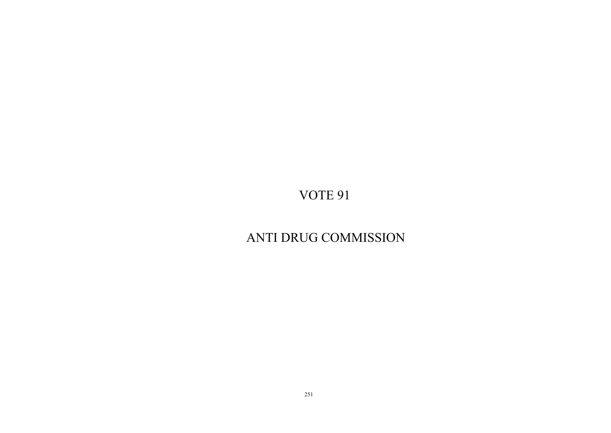# ANTI DRUG COMMISSION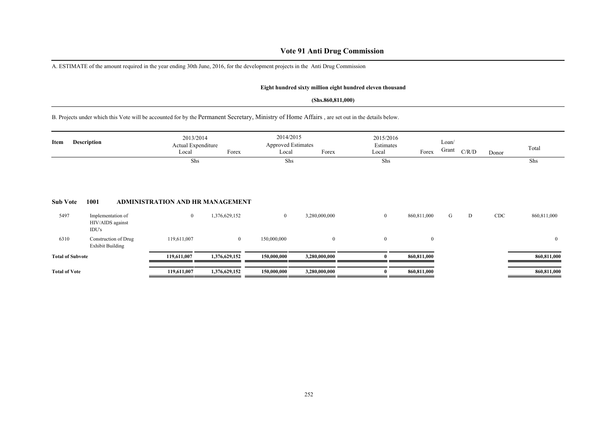# **Vote 91 Anti Drug Commission**

A. ESTIMATE of the amount required in the year ending 30th June, 2016, for the development projects in the Anti Drug Commission

#### **Eight hundred sixty million eight hundred eleven thousand**

#### **(Shs.860,811,000)**

B. Projects under which this Vote will be accounted for by the Permanent Secretary, Ministry of Home Affairs , are set out in the details below.

| <b>Description</b><br>Item |                                                 | 2013/2014<br>Actual Expenditure<br>Forex<br>Local<br>Shs |                | Local            | 2014/2015<br><b>Approved Estimates</b><br>Forex<br>Shs |                | 2015/2016<br>Estimates<br>Forex | Loan/<br>Grant | C/R/D | Donor      | Total<br>Shs |
|----------------------------|-------------------------------------------------|----------------------------------------------------------|----------------|------------------|--------------------------------------------------------|----------------|---------------------------------|----------------|-------|------------|--------------|
| <b>Sub Vote</b>            | 1001                                            | ADMINISTRATION AND HR MANAGEMENT                         |                |                  |                                                        | Shs            |                                 |                |       |            |              |
| 5497                       | Implementation of<br>HIV/AIDS against<br>IDU's  | $\boldsymbol{0}$                                         | 1,376,629,152  | $\boldsymbol{0}$ | 3,280,000,000                                          | $\mathbf{0}$   | 860,811,000                     | G              | D     | <b>CDC</b> | 860,811,000  |
| 6310                       | Construction of Drug<br><b>Exhibit Building</b> | 119,611,007                                              | $\overline{0}$ | 150,000,000      | $\overline{0}$                                         | $\overline{0}$ | $\mathbf{0}$                    |                |       |            | $\mathbf{0}$ |
| <b>Total of Subvote</b>    |                                                 | 119,611,007                                              | 1,376,629,152  | 150,000,000      | 3,280,000,000                                          |                | 860,811,000                     |                |       |            | 860,811,000  |
| <b>Total of Vote</b>       |                                                 | 119,611,007                                              | 1,376,629,152  | 150,000,000      | 3,280,000,000                                          |                | 860,811,000                     |                |       |            | 860,811,000  |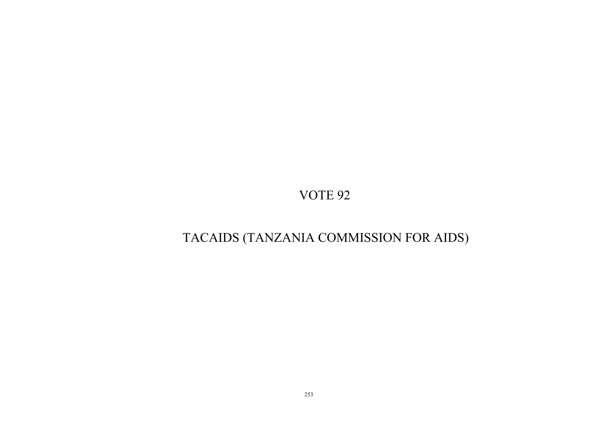# TACAIDS (TANZANIA COMMISSION FOR AIDS)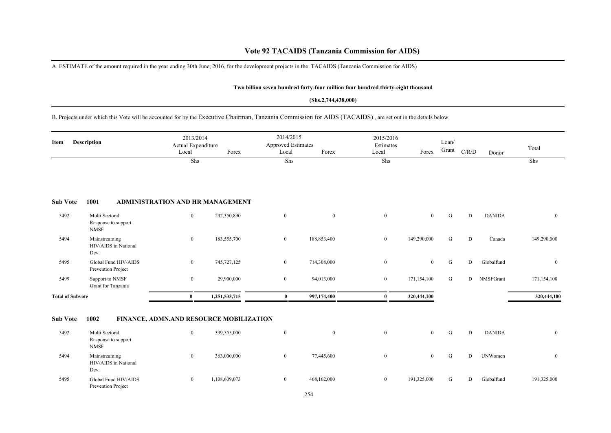A. ESTIMATE of the amount required in the year ending 30th June, 2016, for the development projects in the TACAIDS (Tanzania Commission for AIDS)

#### **Two billion seven hundred forty-four million four hundred thirty-eight thousand**

#### **(Shs.2,744,438,000)**

B. Projects under which this Vote will be accounted for by the Executive Chairman, Tanzania Commission for AIDS (TACAIDS) , are set out in the details below.

| Item                    | <b>Description</b>                                   | 2013/2014<br>Actual Expenditure<br>Local | Forex         | 2014/2015<br><b>Approved Estimates</b><br>Local | Forex            | 2015/2016<br>Estimates<br>Local | Forex          | Loan/<br>Grant | C/R/D     | Donor          | Total          |
|-------------------------|------------------------------------------------------|------------------------------------------|---------------|-------------------------------------------------|------------------|---------------------------------|----------------|----------------|-----------|----------------|----------------|
|                         |                                                      | Shs                                      |               | Shs                                             |                  | Shs                             |                |                |           |                | Shs            |
| <b>Sub Vote</b>         | 1001                                                 | ADMINISTRATION AND HR MANAGEMENT         |               |                                                 |                  |                                 |                |                |           |                |                |
| 5492                    | Multi Sectoral<br>Response to support<br><b>NMSF</b> | $\overline{0}$                           | 292,350,890   | $\bf{0}$                                        | $\boldsymbol{0}$ | $\mathbf{0}$                    | $\overline{0}$ | G              | ${\rm D}$ | <b>DANIDA</b>  | $\overline{0}$ |
| 5494                    | Mainstreaming<br>HIV/AIDS in National<br>Dev.        | $\overline{0}$                           | 183,555,700   | $\bf{0}$                                        | 188,853,400      | $\overline{0}$                  | 149,290,000    | G              | D         | Canada         | 149,290,000    |
| 5495                    | Global Fund HIV/AIDS<br>Prevention Project           | $\overline{0}$                           | 745,727,125   | $\bf{0}$                                        | 714,308,000      | $\overline{0}$                  | $\overline{0}$ | G              | D         | Globalfund     | $\overline{0}$ |
| 5499                    | Support to NMSF<br>Grant for Tanzania                | $\overline{0}$                           | 29,900,000    | $\boldsymbol{0}$                                | 94,013,000       | $\overline{0}$                  | 171,154,100    | G              | D         | NMSFGrant      | 171,154,100    |
| <b>Total of Subvote</b> |                                                      | $\bf{0}$                                 | 1,251,533,715 | $\bf{0}$                                        | 997,174,400      | $\bf{0}$                        | 320,444,100    |                |           |                | 320,444,100    |
| <b>Sub Vote</b>         | 1002                                                 | FINANCE, ADMN.AND RESOURCE MOBILIZATION  |               |                                                 |                  |                                 |                |                |           |                |                |
| 5492                    | Multi Sectoral<br>Response to support<br><b>NMSF</b> | $\overline{0}$                           | 399,555,000   | $\bf{0}$                                        | $\mathbf{0}$     | $\overline{0}$                  | $\overline{0}$ | G              | D         | <b>DANIDA</b>  | $\overline{0}$ |
| 5494                    | Mainstreaming<br>HIV/AIDS in National<br>Dev.        | $\bf{0}$                                 | 363,000,000   | $\boldsymbol{0}$                                | 77,445,600       | $\mathbf{0}$                    | $\overline{0}$ | G              | D         | <b>UNWomen</b> | $\mathbf{0}$   |
| 5495                    | Global Fund HIV/AIDS<br>Prevention Project           | $\bf{0}$                                 | 1,108,609,073 | $\boldsymbol{0}$                                | 468,162,000      | $\mathbf{0}$                    | 191,325,000    | G              | D         | Globalfund     | 191,325,000    |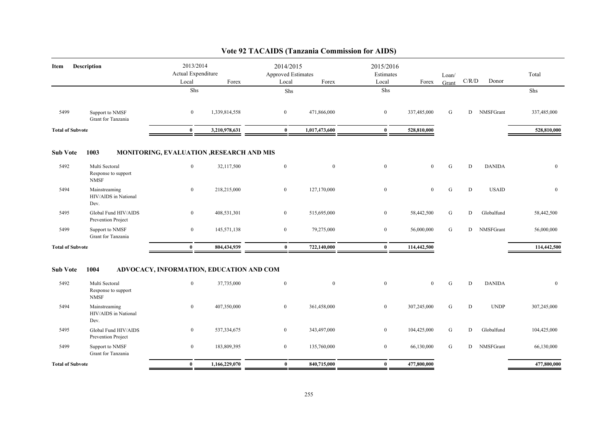| Description<br>Item     |                                                      | 2013/2014<br>Actual Expenditure<br>Local<br>Forex |                                          | 2014/2015<br>Approved Estimates<br>Forex<br>Local |               | 2015/2016<br>Estimates<br>Local | Forex          | Loan/<br>Grant | C/R/D | Donor         | Total        |
|-------------------------|------------------------------------------------------|---------------------------------------------------|------------------------------------------|---------------------------------------------------|---------------|---------------------------------|----------------|----------------|-------|---------------|--------------|
|                         |                                                      | Shs                                               |                                          | Shs                                               |               | Shs                             |                |                |       |               | Shs          |
| 5499                    | Support to NMSF<br>Grant for Tanzania                | $\mathbf{0}$                                      | 1,339,814,558                            | $\overline{0}$                                    | 471,866,000   | $\bf{0}$                        | 337,485,000    | G              | D     | NMSFGrant     | 337,485,000  |
| <b>Total of Subvote</b> |                                                      | $\bf{0}$                                          | 3,210,978,631                            | $\bf{0}$                                          | 1,017,473,600 | $\bf{0}$                        | 528,810,000    |                |       |               | 528,810,000  |
| <b>Sub Vote</b>         | 1003                                                 |                                                   | MONITORING, EVALUATION ,RESEARCH AND MIS |                                                   |               |                                 |                |                |       |               |              |
| 5492                    | Multi Sectoral<br>Response to support<br><b>NMSF</b> | $\boldsymbol{0}$                                  | 32,117,500                               | $\boldsymbol{0}$                                  | $\mathbf{0}$  | $\mathbf{0}$                    | $\overline{0}$ | ${\bf G}$      | D     | <b>DANIDA</b> | $\mathbf{0}$ |
| 5494                    | Mainstreaming<br>HIV/AIDS in National<br>Dev.        | $\bf{0}$                                          | 218,215,000                              | $\overline{0}$                                    | 127,170,000   | $\mathbf{0}$                    | $\mathbf{0}$   | G              | D     | <b>USAID</b>  | $\mathbf{0}$ |
| 5495                    | Global Fund HIV/AIDS<br>Prevention Project           | $\overline{0}$                                    | 408,531,301                              | $\overline{0}$                                    | 515,695,000   | $\bf{0}$                        | 58,442,500     | G              | D     | Globalfund    | 58,442,500   |
| 5499                    | Support to NMSF<br>Grant for Tanzania                | $\boldsymbol{0}$                                  | 145,571,138                              | $\mathbf{0}$                                      | 79,275,000    | $\mathbf{0}$                    | 56,000,000     | ${\bf G}$      | D     | NMSFGrant     | 56,000,000   |
| <b>Total of Subvote</b> |                                                      | $\mathbf{0}$                                      | 804,434,939                              | $\bf{0}$                                          | 722,140,000   | $\bf{0}$                        | 114,442,500    |                |       |               | 114,442,500  |
| <b>Sub Vote</b>         | 1004                                                 |                                                   | ADVOCACY, INFORMATION, EDUCATION AND COM |                                                   |               |                                 |                |                |       |               |              |
| 5492                    | Multi Sectoral<br>Response to support<br><b>NMSF</b> | $\mathbf{0}$                                      | 37,735,000                               | $\bf{0}$                                          | $\mathbf{0}$  | $\boldsymbol{0}$                | $\mathbf{0}$   | G              | D     | <b>DANIDA</b> | $\mathbf{0}$ |
| 5494                    | Mainstreaming<br>HIV/AIDS in National<br>Dev.        | $\mathbf{0}$                                      | 407,350,000                              | $\overline{0}$                                    | 361,458,000   | $\mathbf{0}$                    | 307,245,000    | G              | D     | <b>UNDP</b>   | 307,245,000  |
| 5495                    | Global Fund HIV/AIDS<br>Prevention Project           | $\bf{0}$                                          | 537, 334, 675                            | $\overline{0}$                                    | 343,497,000   | $\mathbf{0}$                    | 104,425,000    | G              | D     | Globalfund    | 104,425,000  |
| 5499                    | Support to NMSF<br>Grant for Tanzania                | $\overline{0}$                                    | 183,809,395                              | $\overline{0}$                                    | 135,760,000   | $\mathbf{0}$                    | 66,130,000     | G              | D     | NMSFGrant     | 66,130,000   |
| <b>Total of Subvote</b> |                                                      | $\bf{0}$                                          | 1,166,229,070                            | $\bf{0}$                                          | 840,715,000   | $\bf{0}$                        | 477,800,000    |                |       |               | 477,800,000  |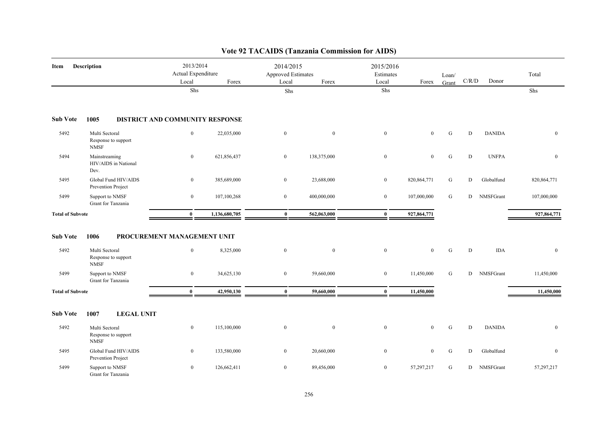| Item                    | Description                                          | 2013/2014<br>Actual Expenditure<br>Local    | Forex         | 2014/2015<br>Approved Estimates<br>Local | Forex          | 2015/2016<br>Estimates<br>Local | Forex         | Loan/<br>Grant | C/R/D | Donor         | Total         |
|-------------------------|------------------------------------------------------|---------------------------------------------|---------------|------------------------------------------|----------------|---------------------------------|---------------|----------------|-------|---------------|---------------|
|                         |                                                      | Shs                                         |               | Shs                                      |                | Shs                             |               |                |       |               | Shs           |
| <b>Sub Vote</b>         | 1005                                                 | DISTRICT AND COMMUNITY RESPONSE             |               |                                          |                |                                 |               |                |       |               |               |
| 5492                    | Multi Sectoral<br>Response to support<br><b>NMSF</b> | $\boldsymbol{0}$                            | 22,035,000    | $\overline{0}$                           | $\overline{0}$ | $\boldsymbol{0}$                | $\mathbf{0}$  | ${\bf G}$      | D     | <b>DANIDA</b> | $\mathbf{0}$  |
| 5494                    | Mainstreaming<br>HIV/AIDS in National<br>Dev.        | $\mathbf{0}$                                | 621,856,437   | $\overline{0}$                           | 138,375,000    | $\bf{0}$                        | $\bf{0}$      | ${\bf G}$      | D     | <b>UNFPA</b>  | $\mathbf{0}$  |
| 5495                    | Global Fund HIV/AIDS<br>Prevention Project           | $\bf{0}$                                    | 385,689,000   | $\mathbf{0}$                             | 23,688,000     | $\mathbf{0}$                    | 820, 864, 771 | G              | D     | Globalfund    | 820, 864, 771 |
| 5499                    | Support to NMSF<br>Grant for Tanzania                | $\mathbf{0}$                                | 107,100,268   | $\overline{0}$                           | 400,000,000    | $\overline{0}$                  | 107,000,000   | G              | D     | NMSFGrant     | 107,000,000   |
| <b>Total of Subvote</b> |                                                      | $\bf{0}$                                    | 1,136,680,705 | $\bf{0}$                                 | 562,063,000    | $\bf{0}$                        | 927,864,771   |                |       |               | 927,864,771   |
| <b>Sub Vote</b><br>5492 | 1006<br>Multi Sectoral                               | PROCUREMENT MANAGEMENT UNIT<br>$\mathbf{0}$ | 8,325,000     | $\mathbf{0}$                             | $\mathbf{0}$   | $\mathbf{0}$                    | $\mathbf{0}$  | G              | D     | <b>IDA</b>    | $\mathbf{0}$  |
|                         | Response to support<br><b>NMSF</b>                   |                                             |               |                                          |                |                                 |               |                |       |               |               |
| 5499                    | Support to NMSF<br>Grant for Tanzania                | $\boldsymbol{0}$                            | 34,625,130    | $\overline{0}$                           | 59,660,000     | $\mathbf{0}$                    | 11,450,000    | G              | D     | NMSFGrant     | 11,450,000    |
| <b>Total of Subvote</b> |                                                      | $\bf{0}$                                    | 42,950,130    | $\bf{0}$                                 | 59,660,000     | $\bf{0}$                        | 11,450,000    |                |       |               | 11,450,000    |
| <b>Sub Vote</b>         | <b>LEGAL UNIT</b><br>1007                            |                                             |               |                                          |                |                                 |               |                |       |               |               |
| 5492                    | Multi Sectoral<br>Response to support<br><b>NMSF</b> | $\boldsymbol{0}$                            | 115,100,000   | $\mathbf{0}$                             | $\mathbf{0}$   | $\mathbf{0}$                    | $\mathbf{0}$  | ${\bf G}$      | D     | <b>DANIDA</b> | $\mathbf{0}$  |
| 5495                    | Global Fund HIV/AIDS<br>Prevention Project           | $\mathbf{0}$                                | 133,580,000   | $\mathbf{0}$                             | 20,660,000     | $\bf{0}$                        | $\mathbf{0}$  | G              | D     | Globalfund    | $\mathbf{0}$  |
| 5499                    | Support to NMSF<br>Grant for Tanzania                | $\bf{0}$                                    | 126,662,411   | $\mathbf{0}$                             | 89,456,000     | $\mathbf{0}$                    | 57,297,217    | G              | D     | NMSFGrant     | 57,297,217    |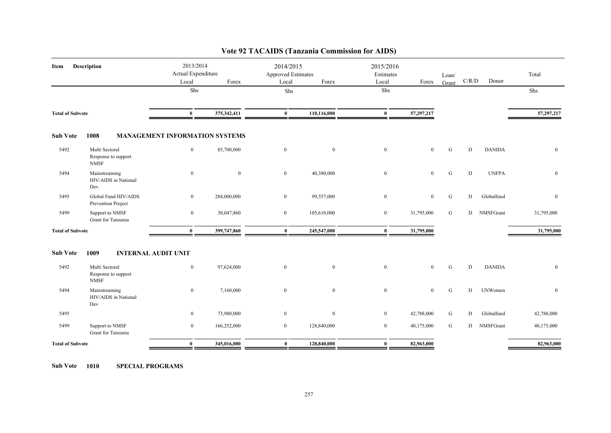| Item                    | Description                                          | 2013/2014<br>Actual Expenditure<br>Local | Forex        | 2014/2015<br><b>Approved Estimates</b><br>Local | Forex            | 2015/2016<br>Estimates<br>Local | Forex          | Loan/<br>Grant | C/R/D | Donor          | Total        |
|-------------------------|------------------------------------------------------|------------------------------------------|--------------|-------------------------------------------------|------------------|---------------------------------|----------------|----------------|-------|----------------|--------------|
|                         |                                                      | Shs                                      |              | ${\rm Shs}$                                     |                  | Shs                             |                |                |       |                | Shs          |
| <b>Total of Subvote</b> |                                                      | $\bf{0}$                                 | 375,342,411  | $\bf{0}$                                        | 110,116,000      | $\bf{0}$                        | 57,297,217     |                |       |                | 57,297,217   |
| <b>Sub Vote</b>         | 1008                                                 | <b>MANAGEMENT INFORMATION SYSTEMS</b>    |              |                                                 |                  |                                 |                |                |       |                |              |
| 5492                    | Multi Sectoral<br>Response to support<br><b>NMSF</b> | $\mathbf{0}$                             | 85,700,000   | $\bf{0}$                                        | $\overline{0}$   | $\boldsymbol{0}$                | $\overline{0}$ | G              | D     | <b>DANIDA</b>  | $\mathbf{0}$ |
| 5494                    | Mainstreaming<br>HIV/AIDS in National<br>Dev.        | $\overline{0}$                           | $\mathbf{0}$ | $\overline{0}$                                  | 40,380,000       | $\boldsymbol{0}$                | $\mathbf{0}$   | G              | D     | <b>UNFPA</b>   | $\mathbf{0}$ |
| 5495                    | Global Fund HIV/AIDS<br>Prevention Project           | $\overline{0}$                           | 284,000,000  | $\overline{0}$                                  | 99,557,000       | $\boldsymbol{0}$                | $\mathbf{0}$   | G              | D     | Globalfund     | $\mathbf{0}$ |
| 5499                    | Support to NMSF<br>Grant for Tanzania                | $\bf{0}$                                 | 30,047,860   | $\overline{0}$                                  | 105,610,000      | $\bf{0}$                        | 31,795,000     | G              | D     | NMSFGrant      | 31,795,000   |
| <b>Total of Subvote</b> |                                                      | $\mathbf{0}$                             | 399,747,860  | $\bf{0}$                                        | 245,547,000      | $\bf{0}$                        | 31,795,000     |                |       |                | 31,795,000   |
| <b>Sub Vote</b>         | <b>INTERNAL AUDIT UNIT</b><br>1009                   |                                          |              |                                                 |                  |                                 |                |                |       |                |              |
| 5492                    | Multi Sectoral<br>Response to support<br><b>NMSF</b> | $\overline{0}$                           | 97,624,000   | $\mathbf{0}$                                    | $\boldsymbol{0}$ | $\boldsymbol{0}$                | $\mathbf{0}$   | ${\bf G}$      | D     | <b>DANIDA</b>  | $\mathbf{0}$ |
| 5494                    | Mainstreaming<br>HIV/AIDS in National<br>Dev         | $\overline{0}$                           | 7,160,000    | $\mathbf{0}$                                    | $\overline{0}$   | $\mathbf{0}$                    | $\mathbf{0}$   | ${\bf G}$      | D     | <b>UNWomen</b> | $\mathbf{0}$ |
| 5495                    |                                                      | $\overline{0}$                           | 73,980,000   | $\mathbf{0}$                                    | $\overline{0}$   | $\overline{0}$                  | 42,788,000     | G              | D     | Globalfund     | 42,788,000   |
| 5499                    | Support to NMSF<br>Grant for Tanzania                | $\overline{0}$                           | 166,252,000  | $\overline{0}$                                  | 128,840,000      | $\overline{0}$                  | 40,175,000     | G              | D     | NMSFGrant      | 40,175,000   |
| <b>Total of Subvote</b> |                                                      | $\bf{0}$                                 | 345,016,000  | $\bf{0}$                                        | 128,840,000      | $\bf{0}$                        | 82,963,000     |                |       |                | 82,963,000   |

**Sub Vote 1010 SPECIAL PROGRAMS**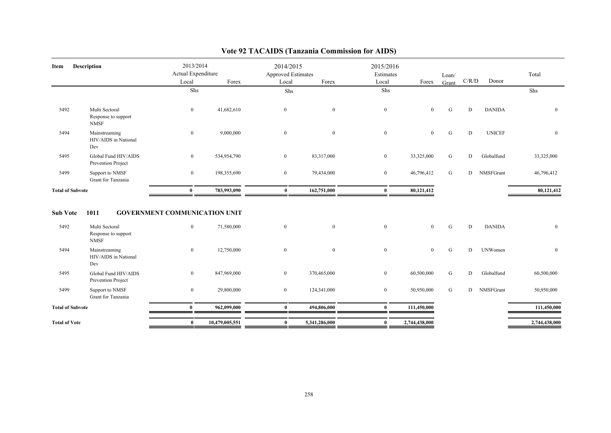| Item                    | <b>Description</b>                                           | 2013/2014<br>Actual Expenditure<br>Local             | Forex          | 2014/2015<br>Approved Estimates<br>Local | Forex          | 2015/2016<br>Estimates<br>Local | Forex          | Loan/<br>Grant | C/R/D | Donor          | Total         |
|-------------------------|--------------------------------------------------------------|------------------------------------------------------|----------------|------------------------------------------|----------------|---------------------------------|----------------|----------------|-------|----------------|---------------|
|                         |                                                              | Shs                                                  |                | Shs                                      |                | Shs                             |                |                |       |                | Shs           |
| 5492                    | Multi Sectoral<br>Response to support<br><b>NMSF</b>         | $\boldsymbol{0}$                                     | 41,682,610     | $\overline{0}$                           | $\overline{0}$ | $\boldsymbol{0}$                | $\mathbf{0}$   | G              | D     | <b>DANIDA</b>  | $\mathbf{0}$  |
| 5494                    | Mainstreaming<br>HIV/AIDS in National<br>Dev                 | $\bf{0}$                                             | 9,000,000      | $\overline{0}$                           | $\mathbf{0}$   | $\boldsymbol{0}$                | $\mathbf{0}$   | G              | D     | <b>UNICEF</b>  | $\mathbf{0}$  |
| 5495                    | Global Fund HIV/AIDS<br>Prevention Project                   | $\bf{0}$                                             | 534,954,790    | $\overline{0}$                           | 83,317,000     | $\bf{0}$                        | 33,325,000     | G              | D     | Globalfund     | 33,325,000    |
| 5499                    | Support to NMSF<br>Grant for Tanzania                        | $\bf{0}$                                             | 198,355,690    | $\overline{0}$                           | 79,434,000     | $\bf{0}$                        | 46,796,412     | G              | D     | NMSFGrant      | 46,796,412    |
| <b>Total of Subvote</b> |                                                              | $\bf{0}$                                             | 783,993,090    | $\bf{0}$                                 | 162,751,000    | $\bf{0}$                        | 80,121,412     |                |       |                | 80,121,412    |
| <b>Sub Vote</b><br>5492 | 1011<br>Multi Sectoral<br>Response to support<br><b>NMSF</b> | <b>GOVERNMENT COMMUNICATION UNIT</b><br>$\mathbf{0}$ | 71,580,000     | $\overline{0}$                           | $\theta$       | $\mathbf{0}$                    | $\theta$       | G              | D     | <b>DANIDA</b>  | $\mathbf{0}$  |
| 5494                    | Mainstreaming<br>HIV/AIDS in National<br>Dev                 | $\overline{0}$                                       | 12,750,000     | $\mathbf{0}$                             | $\overline{0}$ | $\mathbf{0}$                    | $\overline{0}$ | G              | D     | <b>UNWomen</b> | $\mathbf{0}$  |
| 5495                    | Global Fund HIV/AIDS<br>Prevention Project                   | $\overline{0}$                                       | 847,969,000    | $\overline{0}$                           | 370,465,000    | $\bf{0}$                        | 60,500,000     | G              | D     | Globalfund     | 60,500,000    |
| 5499                    | Support to NMSF<br>Grant for Tanzania                        | $\bf{0}$                                             | 29,800,000     | $\overline{0}$                           | 124,341,000    | $\bf{0}$                        | 50,950,000     | G              | D     | NMSFGrant      | 50,950,000    |
| <b>Total of Subvote</b> |                                                              | $\bf{0}$                                             | 962,099,000    | $\mathbf{0}$                             | 494,806,000    | $\bf{0}$                        | 111,450,000    |                |       |                | 111,450,000   |
| <b>Total of Vote</b>    |                                                              | $\bf{0}$                                             | 10,479,005,551 | $\mathbf{0}$                             | 5,341,286,000  | $\bf{0}$                        | 2,744,438,000  |                |       |                | 2,744,438,000 |
|                         |                                                              |                                                      |                |                                          |                |                                 |                |                |       |                |               |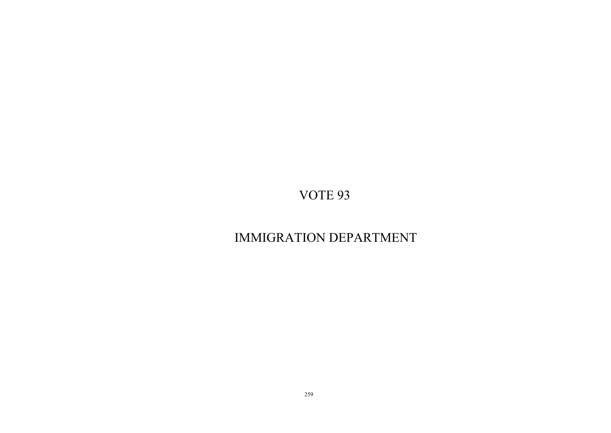# IMMIGRATION DEPARTMENT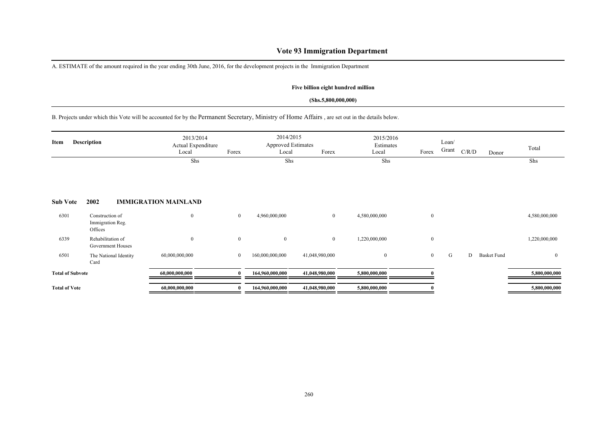## **Vote 93 Immigration Department**

A. ESTIMATE of the amount required in the year ending 30th June, 2016, for the development projects in the Immigration Department

### **Five billion eight hundred million**

### **(Shs.5,800,000,000)**

B. Projects under which this Vote will be accounted for by the Permanent Secretary, Ministry of Home Affairs , are set out in the details below.

| Item                    | <b>Description</b>                             | 2013/2014<br>Actual Expenditure<br>Local | Forex          | 2014/2015<br><b>Approved Estimates</b><br>Local | Forex          | 2015/2016<br>Estimates<br>Local | Forex          | Loan/<br>Grant | C/R/D | Donor              | Total          |
|-------------------------|------------------------------------------------|------------------------------------------|----------------|-------------------------------------------------|----------------|---------------------------------|----------------|----------------|-------|--------------------|----------------|
|                         |                                                | Shs                                      |                | Shs                                             |                | Shs                             |                |                |       |                    | Shs            |
| <b>Sub Vote</b>         | 2002                                           | <b>IMMIGRATION MAINLAND</b>              |                |                                                 |                |                                 |                |                |       |                    |                |
| 6301                    | Construction of<br>Immigration Reg.<br>Offices | $\boldsymbol{0}$                         | $\overline{0}$ | 4,960,000,000                                   | $\overline{0}$ | 4,580,000,000                   | $\mathbf{0}$   |                |       |                    | 4,580,000,000  |
| 6339                    | Rehabilitation of<br>Government Houses         | $\mathbf{0}$                             | $\overline{0}$ | $\mathbf{0}$                                    | $\overline{0}$ | 1,220,000,000                   | $\overline{0}$ |                |       |                    | 1,220,000,000  |
| 6501                    | The National Identity<br>Card                  | 60,000,000,000                           | $\overline{0}$ | 160,000,000,000                                 | 41,048,980,000 | $\mathbf{0}$                    | $\overline{0}$ | G              | D     | <b>Basket Fund</b> | $\overline{0}$ |
| <b>Total of Subvote</b> |                                                | 60,000,000,000                           | $\mathbf{0}$   | 164,960,000,000                                 | 41,048,980,000 | 5,800,000,000                   |                |                |       |                    | 5,800,000,000  |
| <b>Total of Vote</b>    |                                                | 60,000,000,000                           | $\bf{0}$       | 164,960,000,000                                 | 41,048,980,000 | 5,800,000,000                   |                |                |       |                    | 5,800,000,000  |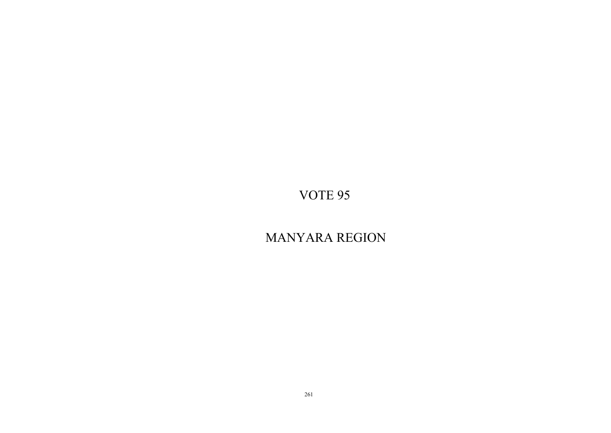# MANYARA REGION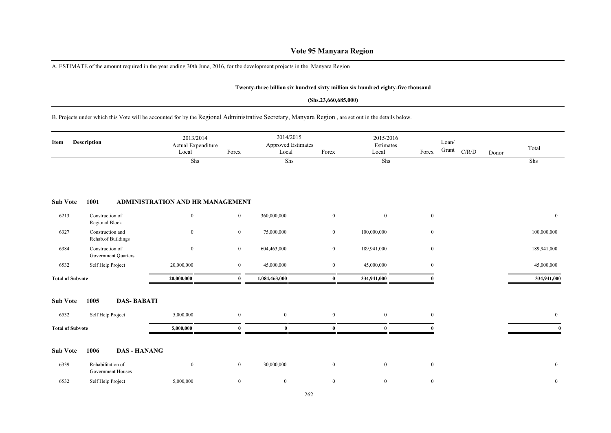## **Vote 95 Manyara Region**

A. ESTIMATE of the amount required in the year ending 30th June, 2016, for the development projects in the Manyara Region

#### **Twenty-three billion six hundred sixty million six hundred eighty-five thousand**

#### **(Shs.23,660,685,000)**

B. Projects under which this Vote will be accounted for by the Regional Administrative Secretary, Manyara Region , are set out in the details below.

| Item                    | <b>Description</b>                            | 2013/2014<br>Actual Expenditure<br>Local | Forex          | 2014/2015<br>Approved Estimates<br>Local | Forex          | 2015/2016<br>Estimates<br>Local | Forex            | Loan/<br>Grant<br>C/R/D | Donor | Total          |
|-------------------------|-----------------------------------------------|------------------------------------------|----------------|------------------------------------------|----------------|---------------------------------|------------------|-------------------------|-------|----------------|
|                         |                                               | Shs                                      |                | Shs                                      |                | Shs                             |                  |                         |       | Shs            |
| <b>Sub Vote</b>         | 1001                                          | ADMINISTRATION AND HR MANAGEMENT         |                |                                          |                |                                 |                  |                         |       |                |
| 6213                    | Construction of<br>Regional Block             | $\mathbf{0}$                             | $\bf{0}$       | 360,000,000                              | $\mathbf{0}$   | $\bf{0}$                        | $\boldsymbol{0}$ |                         |       | $\overline{0}$ |
| 6327                    | Construction and<br>Rehab.of Buildings        | $\mathbf{0}$                             | $\mathbf{0}$   | 75,000,000                               | $\overline{0}$ | 100,000,000                     | $\boldsymbol{0}$ |                         |       | 100,000,000    |
| 6384                    | Construction of<br><b>Government Quarters</b> | $\mathbf{0}$                             | $\overline{0}$ | 604,463,000                              | $\mathbf{0}$   | 189,941,000                     | $\boldsymbol{0}$ |                         |       | 189,941,000    |
| 6532                    | Self Help Project                             | 20,000,000                               | $\overline{0}$ | 45,000,000                               | $\mathbf{0}$   | 45,000,000                      | $\mathbf{0}$     |                         |       | 45,000,000     |
| <b>Total of Subvote</b> |                                               | 20,000,000                               | $\mathbf{0}$   | 1,084,463,000                            | $\bf{0}$       | 334,941,000                     | $\Omega$         |                         |       | 334,941,000    |
| <b>Sub Vote</b>         | 1005<br><b>DAS-BABATI</b>                     |                                          |                |                                          |                |                                 |                  |                         |       |                |
| 6532                    | Self Help Project                             | 5,000,000                                | $\overline{0}$ | $\mathbf{0}$                             | $\mathbf{0}$   | $\mathbf{0}$                    | $\bf{0}$         |                         |       | $\overline{0}$ |
| <b>Total of Subvote</b> |                                               | 5,000,000                                | $\mathbf{0}$   | $\mathbf{0}$                             | $\mathbf{0}$   | $\mathbf{0}$                    |                  |                         |       |                |
| <b>Sub Vote</b>         | 1006<br><b>DAS - HANANG</b>                   |                                          |                |                                          |                |                                 |                  |                         |       |                |
| 6339                    | Rehabilitation of<br>Government Houses        | $\boldsymbol{0}$                         | $\overline{0}$ | 30,000,000                               | $\mathbf{0}$   | $\overline{0}$                  | $\boldsymbol{0}$ |                         |       | $\bf{0}$       |
| 6532                    | Self Help Project                             | 5,000,000                                | $\overline{0}$ | $\mathbf{0}$                             | $\mathbf{0}$   | $\boldsymbol{0}$                | $\mathbf{0}$     |                         |       | $\bf{0}$       |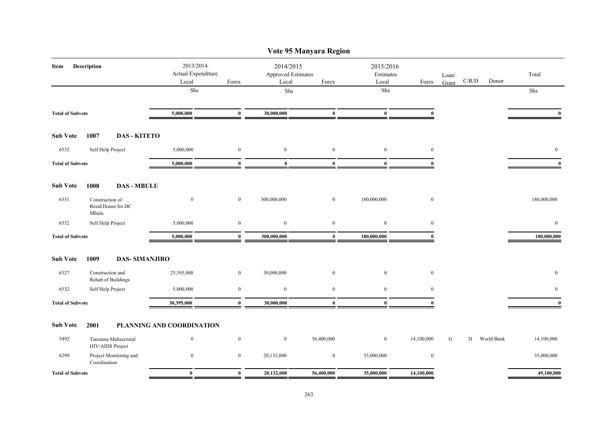|                         |                          |                                          |                           |                                                 |                  | Vote 95 Manyara Region          |                  |                |             |       |              |              |
|-------------------------|--------------------------|------------------------------------------|---------------------------|-------------------------------------------------|------------------|---------------------------------|------------------|----------------|-------------|-------|--------------|--------------|
| Description<br>Item     |                          | 2013/2014<br>Actual Expenditure<br>Local | Forex                     | 2014/2015<br><b>Approved Estimates</b><br>Local | Forex            | 2015/2016<br>Estimates<br>Local | Forex            | Loan/<br>Grant | $\rm C/R/D$ | Donor | Total        |              |
|                         |                          |                                          | Shs                       |                                                 | ${\rm Shs}$      |                                 | Shs              |                |             |       |              | Shs          |
| <b>Total of Subvote</b> |                          |                                          | 5,000,000                 | $\bf{0}$                                        | 30,000,000       | $\bf{0}$                        | $\bf{0}$         |                |             |       |              |              |
| <b>Sub Vote</b>         | 1007                     | <b>DAS - KITETO</b>                      |                           |                                                 |                  |                                 |                  |                |             |       |              |              |
| 6532                    | Self Help Project        |                                          | 5,000,000                 | $\boldsymbol{0}$                                | $\bf{0}$         | $\boldsymbol{0}$                | $\boldsymbol{0}$ | $\mathbf{0}$   |             |       |              | $\mathbf{0}$ |
| <b>Total of Subvote</b> |                          | 5,000,000                                | $\bf{0}$                  | $\bf{0}$                                        | $\bf{0}$         | $\bf{0}$                        | $\theta$         |                |             |       | $\mathbf{0}$ |              |
| <b>Sub Vote</b>         | 1008                     | <b>DAS - MBULU</b>                       |                           |                                                 |                  |                                 |                  |                |             |       |              |              |
| 6331                    | Construction of<br>Mbulu | Resid.House for DC                       | $\bf{0}$                  | $\bf{0}$                                        | 300,000,000      | $\mathbf{0}$                    | 180,000,000      | $\bf{0}$       |             |       |              | 180,000,000  |
| 6532                    | Self Help Project        |                                          | 5,000,000                 | $\boldsymbol{0}$                                | $\bf{0}$         | $\mathbf{0}$                    | $\mathbf{0}$     | $\mathbf{0}$   |             |       |              | $\mathbf{0}$ |
| <b>Total of Subvote</b> |                          |                                          | 5,000,000                 | $\bf{0}$                                        | 300,000,000      | $\bf{0}$                        | 180,000,000      | $\theta$       |             |       |              | 180,000,000  |
| <b>Sub Vote</b>         | 1009                     | <b>DAS-SIMANJIRO</b>                     |                           |                                                 |                  |                                 |                  |                |             |       |              |              |
| 6327                    | Construction and         | Rehab.of Buildings                       | 25,395,000                | $\boldsymbol{0}$                                | 30,000,000       | $\mathbf{0}$                    | $\mathbf{0}$     | $\bf{0}$       |             |       |              | $\bf{0}$     |
| 6532                    | Self Help Project        |                                          | 5,000,000                 | $\boldsymbol{0}$                                | $\boldsymbol{0}$ | $\mathbf{0}$                    | $\mathbf{0}$     | $\mathbf{0}$   |             |       |              | $\bf{0}$     |
| <b>Total of Subvote</b> |                          |                                          | 30,395,000                | $\bf{0}$                                        | 30,000,000       | $\mathbf{0}$                    | $\mathbf{0}$     | $\Omega$       |             |       |              | $\mathbf{0}$ |
| <b>Sub Vote</b>         | 2001                     |                                          | PLANNING AND COORDINATION |                                                 |                  |                                 |                  |                |             |       |              |              |
| 5492                    | HIV/AIDS Project         | Tanzania Maltsectoral                    | $\mathbf{0}$              | $\boldsymbol{0}$                                | $\bf{0}$         | 56,400,000                      | $\boldsymbol{0}$ | 14,100,000     | G           | D     | World Bank   | 14,100,000   |
| 6299                    | Coordination             | Project Monitoring and                   | $\mathbf{0}$              | $\boldsymbol{0}$                                | 20,132,000       | $\bf{0}$                        | 35,000,000       | $\mathbf{0}$   |             |       |              | 35,000,000   |
| <b>Total of Subvote</b> |                          |                                          | $\bf{0}$                  | $\bf{0}$                                        | 20,132,000       | 56,400,000                      | 35,000,000       | 14,100,000     |             |       |              | 49,100,000   |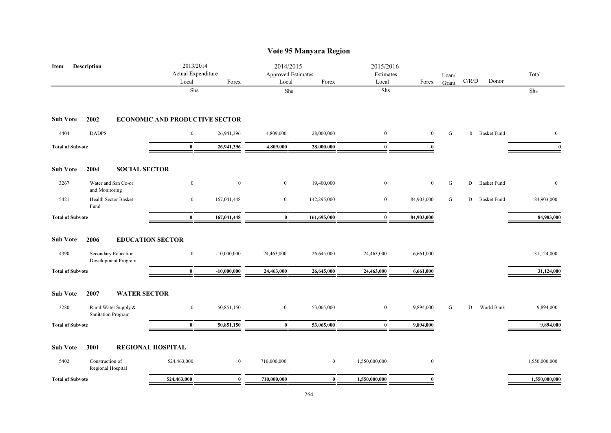|                         |                                            |                                                         |                  |                                                                         | Vote 95 Manyara Region |                                        |              |                |                                        |                    |               |
|-------------------------|--------------------------------------------|---------------------------------------------------------|------------------|-------------------------------------------------------------------------|------------------------|----------------------------------------|--------------|----------------|----------------------------------------|--------------------|---------------|
| Item                    | Description                                | 2013/2014<br>Actual Expenditure<br>Local<br>${\rm Shs}$ | Forex            | 2014/2015<br><b>Approved Estimates</b><br>Local<br>Forex<br>${\rm Shs}$ |                        | 2015/2016<br>Estimates<br>Local<br>Shs | Forex        | Loan/<br>Grant | $\mathbf{C} / \mathbf{R} / \mathbf{D}$ | Donor              | Total         |
|                         |                                            |                                                         |                  |                                                                         |                        |                                        |              |                |                                        |                    | Shs           |
| <b>Sub Vote</b>         | 2002                                       | <b>ECONOMIC AND PRODUCTIVE SECTOR</b>                   |                  |                                                                         |                        |                                        |              |                |                                        |                    |               |
| 4404                    | <b>DADPS</b>                               | $\overline{0}$                                          | 26,941,396       | 4,809,000                                                               | 28,000,000             | $\mathbf{0}$                           | $\mathbf{0}$ | G              |                                        | 0 Basket Fund      | $\mathbf{0}$  |
| <b>Total of Subvote</b> |                                            | $\bf{0}$                                                | 26,941,396       | 4,809,000                                                               | 28,000,000             | $\bf{0}$                               | $\bf{0}$     |                |                                        |                    | $\bf{0}$      |
| <b>Sub Vote</b>         | 2004<br><b>SOCIAL SECTOR</b>               |                                                         |                  |                                                                         |                        |                                        |              |                |                                        |                    |               |
| 3267                    | Water and San Co-or<br>and Monitoring      | $\boldsymbol{0}$                                        | $\boldsymbol{0}$ | $\bf{0}$                                                                | 19,400,000             | $\boldsymbol{0}$                       | $\mathbf{0}$ | ${\rm G}$      | D                                      | <b>Basket Fund</b> | $\bf{0}$      |
| 5421                    | Health Sector Basket<br>Fund               | $\bf{0}$                                                | 167,041,448      | $\bf{0}$                                                                | 142,295,000            | $\bf{0}$                               | 84,903,000   | G              | D                                      | <b>Basket Fund</b> | 84,903,000    |
| <b>Total of Subvote</b> |                                            | $\bf{0}$                                                | 167,041,448      | $\bf{0}$                                                                | 161,695,000            | $\bf{0}$                               | 84,903,000   |                |                                        |                    | 84,903,000    |
| <b>Sub Vote</b>         | 2006                                       | <b>EDUCATION SECTOR</b>                                 |                  |                                                                         |                        |                                        |              |                |                                        |                    |               |
| 4390                    | Secondary Education<br>Development Program | $\bf{0}$                                                | $-10,000,000$    | 24,463,000                                                              | 26,645,000             | 24,463,000                             | 6,661,000    |                |                                        |                    | 31,124,000    |
| <b>Total of Subvote</b> |                                            | $\bf{0}$                                                | $-10,000,000$    | 24,463,000                                                              | 26,645,000             | 24,463,000                             | 6,661,000    |                |                                        |                    | 31,124,000    |
| <b>Sub Vote</b>         | 2007<br><b>WATER SECTOR</b>                |                                                         |                  |                                                                         |                        |                                        |              |                |                                        |                    |               |
| 3280                    | Rural Water Supply &<br>Sanitation Program | $\bf{0}$                                                | 50,851,150       | $\overline{0}$                                                          | 53,065,000             | $\bf{0}$                               | 9,894,000    | G              | D                                      | World Bank         | 9,894,000     |
| <b>Total of Subvote</b> |                                            | $\bf{0}$                                                | 50,851,150       | $\bf{0}$                                                                | 53,065,000             | $\bf{0}$                               | 9,894,000    |                |                                        |                    | 9,894,000     |
| <b>Sub Vote</b>         | 3001                                       | <b>REGIONAL HOSPITAL</b>                                |                  |                                                                         |                        |                                        |              |                |                                        |                    |               |
| 5402                    | Construction of<br>Regional Hospital       | 524,463,000                                             | $\bf{0}$         | 710,000,000                                                             | $\boldsymbol{0}$       | 1,550,000,000                          | $\mathbf{0}$ |                |                                        |                    | 1,550,000,000 |
| <b>Total of Subvote</b> |                                            | 524,463,000                                             | $\bf{0}$         | 710,000,000                                                             | $\bf{0}$               | 1,550,000,000                          | $\bf{0}$     |                |                                        |                    | 1,550,000,000 |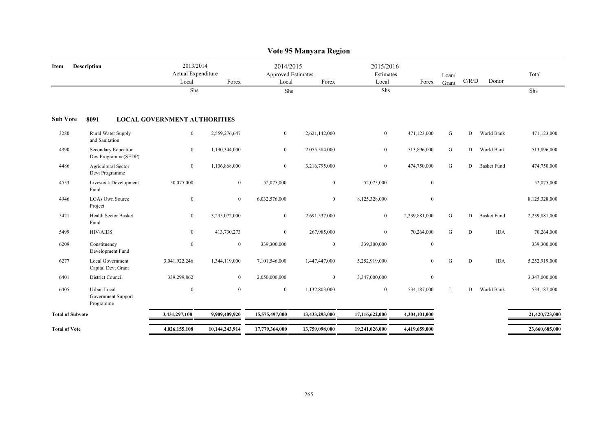|                         | Vote 95 Manyara Region                         |                                          |                |                                                 |                |                                 |                |                |       |                    |                |  |  |
|-------------------------|------------------------------------------------|------------------------------------------|----------------|-------------------------------------------------|----------------|---------------------------------|----------------|----------------|-------|--------------------|----------------|--|--|
| Item                    | <b>Description</b>                             | 2013/2014<br>Actual Expenditure<br>Local | Forex          | 2014/2015<br><b>Approved Estimates</b><br>Local | Forex          | 2015/2016<br>Estimates<br>Local | Forex          | Loan/<br>Grant | C/R/D | Donor              | Total          |  |  |
|                         |                                                | Shs                                      |                | Shs                                             |                | Shs                             |                |                |       |                    | Shs            |  |  |
| <b>Sub Vote</b>         | 8091                                           | <b>LOCAL GOVERNMENT AUTHORITIES</b>      |                |                                                 |                |                                 |                |                |       |                    |                |  |  |
| 3280                    | Rural Water Supply<br>and Sanitation           | $\overline{0}$                           | 2,559,276,647  | $\mathbf{0}$                                    | 2,621,142,000  | $\bf{0}$                        | 471,123,000    | G              | D     | World Bank         | 471,123,000    |  |  |
| 4390                    | Secondary Education<br>Dev.Programme(SEDP)     | $\boldsymbol{0}$                         | 1,190,344,000  | $\mathbf{0}$                                    | 2,055,584,000  | $\overline{0}$                  | 513,896,000    | G              | D     | World Bank         | 513,896,000    |  |  |
| 4486                    | Agricultural Sector<br>Devt Programme          | $\boldsymbol{0}$                         | 1,106,868,000  | $\mathbf{0}$                                    | 3,216,795,000  | $\overline{0}$                  | 474,750,000    | G              | D     | <b>Basket Fund</b> | 474,750,000    |  |  |
| 4553                    | Livestock Development<br>Fund                  | 50,075,000                               | $\bf{0}$       | 52,075,000                                      | $\bf{0}$       | 52,075,000                      | $\mathbf{0}$   |                |       |                    | 52,075,000     |  |  |
| 4946                    | <b>LGAs Own Source</b><br>Project              | $\mathbf{0}$                             | $\bf{0}$       | 6,032,576,000                                   | $\overline{0}$ | 8,125,328,000                   | $\mathbf{0}$   |                |       |                    | 8,125,328,000  |  |  |
| 5421                    | <b>Health Sector Basket</b><br>Fund            | $\overline{0}$                           | 3,295,072,000  | $\mathbf{0}$                                    | 2,691,537,000  | $\bf{0}$                        | 2,239,881,000  | G              | D     | <b>Basket Fund</b> | 2,239,881,000  |  |  |
| 5499                    | <b>HIV/AIDS</b>                                | $\overline{0}$                           | 413,730,273    | $\overline{0}$                                  | 267,985,000    | $\bf{0}$                        | 70,264,000     | G              | D     | <b>IDA</b>         | 70,264,000     |  |  |
| 6209                    | Constituency<br>Development Fund               | $\bf{0}$                                 | $\mathbf{0}$   | 339,300,000                                     | $\overline{0}$ | 339,300,000                     | $\mathbf{0}$   |                |       |                    | 339,300,000    |  |  |
| 6277                    | Local Government<br>Capital Devt Grant         | 3,041,922,246                            | 1,344,119,000  | 7,101,546,000                                   | 1,447,447,000  | 5,252,919,000                   | $\overline{0}$ | G              | D     | <b>IDA</b>         | 5,252,919,000  |  |  |
| 6401                    | <b>District Council</b>                        | 339,299,862                              | $\bf{0}$       | 2,050,000,000                                   | $\bf{0}$       | 3,347,000,000                   | $\mathbf{0}$   |                |       |                    | 3,347,000,000  |  |  |
| 6405                    | Urban Local<br>Government Support<br>Programme | $\mathbf{0}$                             | $\mathbf{0}$   | $\mathbf{0}$                                    | 1,132,803,000  | $\bf{0}$                        | 534,187,000    | L              | D     | World Bank         | 534,187,000    |  |  |
| <b>Total of Subvote</b> |                                                | 3,431,297,108                            | 9,909,409,920  | 15,575,497,000                                  | 13,433,293,000 | 17,116,622,000                  | 4,304,101,000  |                |       |                    | 21,420,723,000 |  |  |
| <b>Total of Vote</b>    |                                                | 4,026,155,108                            | 10,144,243,914 | 17,779,364,000                                  | 13,759,098,000 | 19,241,026,000                  | 4,419,659,000  |                |       |                    | 23,660,685,000 |  |  |
|                         |                                                |                                          |                |                                                 |                |                                 |                |                |       |                    |                |  |  |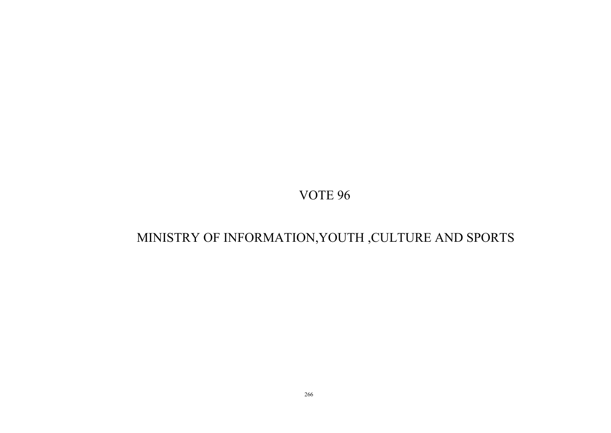# MINISTRY OF INFORMATION,YOUTH ,CULTURE AND SPORTS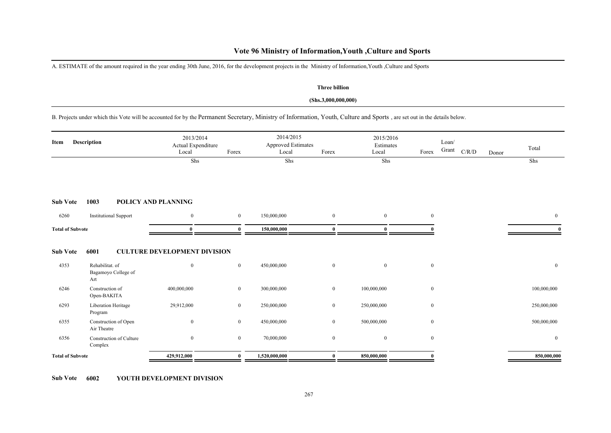## **Vote 96 Ministry of Information,Youth ,Culture and Sports**

A. ESTIMATE of the amount required in the year ending 30th June, 2016, for the development projects in the Ministry of Information,Youth ,Culture and Sports

#### **Three billion**

#### **(Shs.3,000,000,000)**

B. Projects under which this Vote will be accounted for by the Permanent Secretary, Ministry of Information, Youth, Culture and Sports , are set out in the details below.

| Item                    | Description                                   | 2013/2014<br>Actual Expenditure<br>Local | Forex            | 2014/2015<br><b>Approved Estimates</b><br>Local | Forex          | 2015/2016<br>Estimates<br>Local | Forex            | Loan/<br>Grant<br>$\rm C/R/D$ | Donor | Total          |
|-------------------------|-----------------------------------------------|------------------------------------------|------------------|-------------------------------------------------|----------------|---------------------------------|------------------|-------------------------------|-------|----------------|
|                         |                                               | Shs                                      |                  | Shs                                             |                | Shs                             |                  |                               |       | Shs            |
| <b>Sub Vote</b>         | 1003                                          | POLICY AND PLANNING                      |                  |                                                 |                |                                 |                  |                               |       |                |
| 6260                    | <b>Institutional Support</b>                  | $\overline{0}$                           | $\mathbf{0}$     | 150,000,000                                     | $\mathbf{0}$   | $\mathbf{0}$                    | $\mathbf{0}$     |                               |       | $\overline{0}$ |
| <b>Total of Subvote</b> |                                               | $\bf{0}$                                 | $\mathbf{0}$     | 150,000,000                                     | $\mathbf{0}$   | $\bf{0}$                        |                  |                               |       |                |
| <b>Sub Vote</b>         | 6001                                          | <b>CULTURE DEVELOPMENT DIVISION</b>      |                  |                                                 |                |                                 |                  |                               |       |                |
| 4353                    | Rehabilitat. of<br>Bagamoyo College of<br>Art | $\overline{0}$                           | $\boldsymbol{0}$ | 450,000,000                                     | $\mathbf{0}$   | $\mathbf{0}$                    | $\mathbf{0}$     |                               |       | $\overline{0}$ |
| 6246                    | Construction of<br>Open-BAKITA                | 400,000,000                              | $\overline{0}$   | 300,000,000                                     | $\overline{0}$ | 100,000,000                     | $\bf{0}$         |                               |       | 100,000,000    |
| 6293                    | Liberation Heritage<br>Program                | 29,912,000                               | $\boldsymbol{0}$ | 250,000,000                                     | $\bf{0}$       | 250,000,000                     | $\boldsymbol{0}$ |                               |       | 250,000,000    |
| 6355                    | Construction of Open<br>Air Theatre           | $\overline{0}$                           | $\mathbf{0}$     | 450,000,000                                     | $\overline{0}$ | 500,000,000                     | $\bf{0}$         |                               |       | 500,000,000    |
| 6356                    | Construction of Culture<br>Complex            | $\overline{0}$                           | $\mathbf{0}$     | 70,000,000                                      | $\mathbf{0}$   | $\mathbf{0}$                    | $\mathbf{0}$     |                               |       | $\mathbf{0}$   |
| <b>Total of Subvote</b> |                                               | 429,912,000                              | $\mathbf{0}$     | 1,520,000,000                                   | $\mathbf{0}$   | 850,000,000                     |                  |                               |       | 850,000,000    |

**Sub Vote 6002 YOUTH DEVELOPMENT DIVISION**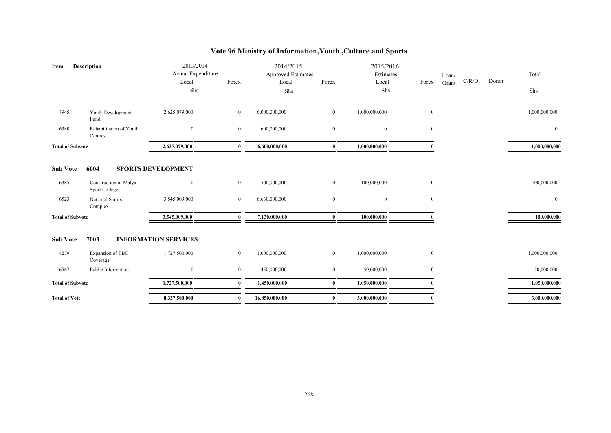| Description<br>Item     |                                        | 2013/2014<br>Actual Expenditure<br>Local<br>Forex<br>Shs |                | 2014/2015<br><b>Approved Estimates</b><br>Local<br>Forex<br>Shs |                  | 2015/2016<br>Estimates<br>Local<br>Forex<br>Shs |              | Loan/<br>Grant | C/R/D | Donor | Total<br>Shs  |
|-------------------------|----------------------------------------|----------------------------------------------------------|----------------|-----------------------------------------------------------------|------------------|-------------------------------------------------|--------------|----------------|-------|-------|---------------|
| 4945                    | Youth Development<br>Fund              | 2,625,079,000                                            | $\overline{0}$ | 6,000,000,000                                                   | $\overline{0}$   | 1,000,000,000                                   | $\mathbf{0}$ |                |       |       | 1,000,000,000 |
| 6380                    | Rehabilitation of Youth<br>Centres     | $\mathbf{0}$                                             | $\overline{0}$ | 600,000,000                                                     | $\bf{0}$         | $\mathbf{0}$                                    | $\mathbf{0}$ |                |       |       | $\bf{0}$      |
| <b>Total of Subvote</b> |                                        | 2,625,079,000                                            | $\mathbf{0}$   | 6,600,000,000                                                   | $\bf{0}$         | 1,000,000,000                                   |              |                |       |       | 1,000,000,000 |
| <b>Sub Vote</b>         | 6004                                   | <b>SPORTS DEVELOPMENT</b>                                |                |                                                                 |                  |                                                 |              |                |       |       |               |
| 6385                    | Construction of Malya<br>Sport College | $\mathbf{0}$                                             | $\overline{0}$ | 500,000,000                                                     | $\mathbf{0}$     | 100,000,000                                     | $\mathbf{0}$ |                |       |       | 100,000,000   |
| 6523                    | National Sports<br>Complex             | 3,545,009,000                                            | $\overline{0}$ | 6,630,000,000                                                   | $\bf{0}$         | $\overline{0}$                                  | $\mathbf{0}$ |                |       |       | $\mathbf{0}$  |
| <b>Total of Subvote</b> |                                        | 3,545,009,000                                            | $\mathbf{0}$   | 7,130,000,000                                                   | 0                | 100,000,000                                     |              |                |       |       | 100,000,000   |
| <b>Sub Vote</b>         | 7003                                   | <b>INFORMATION SERVICES</b>                              |                |                                                                 |                  |                                                 |              |                |       |       |               |
| 4279                    | Expansion of TBC<br>Coverage           | 1,727,500,000                                            | $\bf{0}$       | 1,000,000,000                                                   | $\boldsymbol{0}$ | 1,000,000,000                                   | $\mathbf{0}$ |                |       |       | 1,000,000,000 |
| 6567                    | Public Information                     | $\mathbf{0}$                                             | $\bf{0}$       | 450,000,000                                                     | $\mathbf{0}$     | 50,000,000                                      | $\mathbf{0}$ |                |       |       | 50,000,000    |
| <b>Total of Subvote</b> |                                        | 1,727,500,000                                            | $\mathbf{0}$   | 1,450,000,000                                                   | 0                | 1,050,000,000                                   |              |                |       |       | 1,050,000,000 |
| <b>Total of Vote</b>    |                                        | 8,327,500,000                                            | $\bf{0}$       | 16,850,000,000                                                  | $\bf{0}$         | 3,000,000,000                                   | $\mathbf{0}$ |                |       |       | 3,000,000,000 |

# **Vote 96 Ministry of Information,Youth ,Culture and Sports**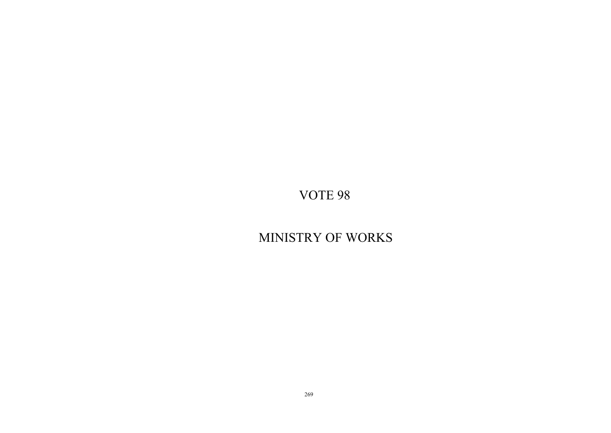MINISTRY OF WORKS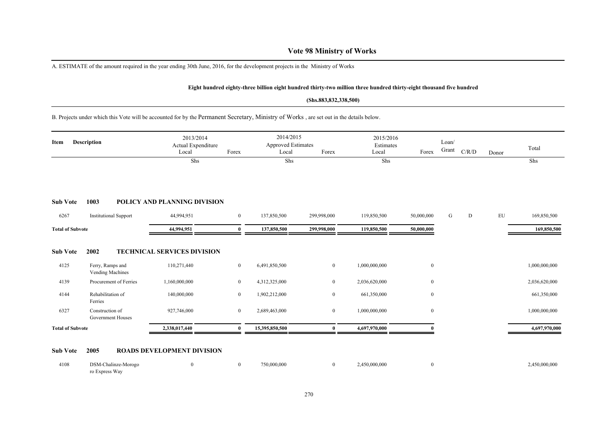A. ESTIMATE of the amount required in the year ending 30th June, 2016, for the development projects in the Ministry of Works

#### **Eight hundred eighty-three billion eight hundred thirty-two million three hundred thirty-eight thousand five hundred**

#### **(Shs.883,832,338,500)**

B. Projects under which this Vote will be accounted for by the Permanent Secretary, Ministry of Works , are set out in the details below.

| Item                    | <b>Description</b>                   | 2013/2014<br>Actual Expenditure<br>Local<br>Shs | Forex          | 2014/2015<br><b>Approved Estimates</b><br>Local<br>Shs | Forex            | 2015/2016<br>Estimates<br>Local<br>Shs | Forex            | Loan/<br>Grant | C/R/D | Donor      | Total<br>Shs  |
|-------------------------|--------------------------------------|-------------------------------------------------|----------------|--------------------------------------------------------|------------------|----------------------------------------|------------------|----------------|-------|------------|---------------|
|                         |                                      |                                                 |                |                                                        |                  |                                        |                  |                |       |            |               |
| <b>Sub Vote</b>         | 1003                                 | POLICY AND PLANNING DIVISION                    |                |                                                        |                  |                                        |                  |                |       |            |               |
| 6267                    | <b>Institutional Support</b>         | 44,994,951                                      | $\bf{0}$       | 137,850,500                                            | 299,998,000      | 119,850,500                            | 50,000,000       | G              | D     | ${\rm EU}$ | 169,850,500   |
| <b>Total of Subvote</b> |                                      | 44,994,951                                      | $\mathbf{0}$   | 137,850,500                                            | 299,998,000      | 119,850,500                            | 50,000,000       |                |       |            | 169,850,500   |
| <b>Sub Vote</b>         | 2002                                 | <b>TECHNICAL SERVICES DIVISION</b>              |                |                                                        |                  |                                        |                  |                |       |            |               |
| 4125                    | Ferry, Ramps and<br>Vending Machines | 110,271,440                                     | $\overline{0}$ | 6,491,850,500                                          | $\mathbf{0}$     | 1,000,000,000                          | $\mathbf{0}$     |                |       |            | 1,000,000,000 |
| 4139                    | Procurement of Ferries               | 1,160,000,000                                   | $\mathbf{0}$   | 4,312,325,000                                          | $\overline{0}$   | 2,036,620,000                          | $\bf{0}$         |                |       |            | 2,036,620,000 |
| 4144                    | Rehabilitation of<br>Ferries         | 140,000,000                                     | $\mathbf{0}$   | 1,902,212,000                                          | $\mathbf{0}$     | 661,350,000                            | $\boldsymbol{0}$ |                |       |            | 661,350,000   |
| 6327                    | Construction of<br>Government Houses | 927,746,000                                     | $\mathbf{0}$   | 2,689,463,000                                          | $\boldsymbol{0}$ | 1,000,000,000                          | $\boldsymbol{0}$ |                |       |            | 1,000,000,000 |
| <b>Total of Subvote</b> |                                      | 2,338,017,440                                   | $\bf{0}$       | 15,395,850,500                                         | $\bf{0}$         | 4,697,970,000                          |                  |                |       |            | 4,697,970,000 |
| <b>Sub Vote</b>         | 2005                                 | <b>ROADS DEVELOPMENT DIVISION</b>               |                |                                                        |                  |                                        |                  |                |       |            |               |

| 4108 | DSM-Chalinze-Morogo |  | 750,000,000 | 2.450.000.000 | 2,450,000,000 |
|------|---------------------|--|-------------|---------------|---------------|
|      | ro Express Way      |  |             |               |               |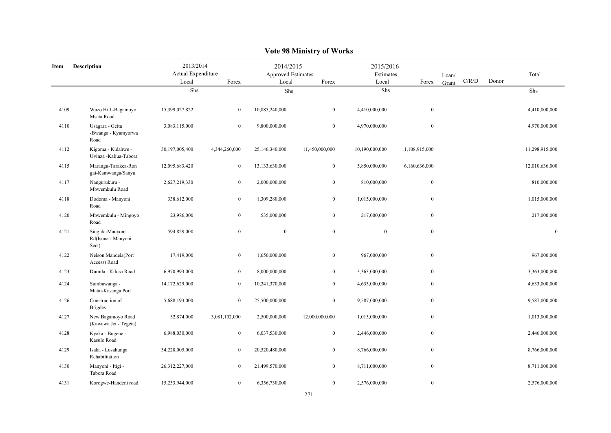|      |                                                |                                          |                  |                                                   | $0 - 110 - 220$  |                                 |                  |                |       |       |                  |
|------|------------------------------------------------|------------------------------------------|------------------|---------------------------------------------------|------------------|---------------------------------|------------------|----------------|-------|-------|------------------|
| Item | <b>Description</b>                             | 2013/2014<br>Actual Expenditure<br>Local | Forex            | 2014/2015<br>Approved Estimates<br>Local<br>Forex |                  | 2015/2016<br>Estimates<br>Local | Forex            | Loan/<br>Grant | C/R/D | Donor | Total            |
|      |                                                | Shs                                      |                  | Shs                                               |                  | Shs                             |                  |                |       |       | Shs              |
| 4109 | Wazo Hill -Bagamoyo<br>Msata Road              | 15,399,027,822                           | $\overline{0}$   | 10,885,240,000                                    | $\boldsymbol{0}$ | 4,410,000,000                   | $\bf{0}$         |                |       |       | 4,410,000,000    |
| 4110 | Usagara - Geita<br>-Bwanga - Kyamyorwa<br>Road | 3,083,115,000                            | $\mathbf{0}$     | 9,800,000,000                                     | $\boldsymbol{0}$ | 4,970,000,000                   | $\boldsymbol{0}$ |                |       |       | 4,970,000,000    |
| 4112 | Kigoma - Kidahwe -<br>Uvinza -Kaliua-Tabora    | 30,197,005,400                           | 4,344,260,000    | 25,146,340,000                                    | 11,450,000,000   | 10,190,000,000                  | 1,108,915,000    |                |       |       | 11,298,915,000   |
| 4115 | Marangu-Tarakea-Ron<br>gai-Kamwanga/Sanya      | 12,095,683,420                           | $\bf{0}$         | 13,133,630,000                                    | $\boldsymbol{0}$ | 5,850,000,000                   | 6,160,636,000    |                |       |       | 12,010,636,000   |
| 4117 | Nangurukuru -<br>Mbwemkulu Road                | 2,627,219,330                            | $\overline{0}$   | 2,000,000,000                                     | $\boldsymbol{0}$ | 810,000,000                     | $\bf{0}$         |                |       |       | 810,000,000      |
| 4118 | Dodoma - Manyoni<br>Road                       | 338,612,000                              | $\overline{0}$   | 1,309,280,000                                     | $\mathbf{0}$     | 1,015,000,000                   | $\bf{0}$         |                |       |       | 1,015,000,000    |
| 4120 | Mbwemkulu - Mingoyo<br>Road                    | 23,986,000                               | $\boldsymbol{0}$ | 535,000,000                                       | $\boldsymbol{0}$ | 217,000,000                     | $\boldsymbol{0}$ |                |       |       | 217,000,000      |
| 4121 | Singida-Manyoni<br>Rd(Isuna - Manyoni<br>Sect) | 594,829,000                              | $\boldsymbol{0}$ | $\mathbf{0}$                                      | $\boldsymbol{0}$ | $\boldsymbol{0}$                | $\boldsymbol{0}$ |                |       |       | $\boldsymbol{0}$ |
| 4122 | Nelson Mandela(Port<br>Access) Road            | 17,419,000                               | $\bf{0}$         | 1,650,000,000                                     | $\boldsymbol{0}$ | 967,000,000                     | $\boldsymbol{0}$ |                |       |       | 967,000,000      |
| 4123 | Dumila - Kilosa Road                           | 6,970,993,000                            | $\overline{0}$   | 8,000,000,000                                     | $\mathbf{0}$     | 3,363,000,000                   | $\bf{0}$         |                |       |       | 3,363,000,000    |
| 4124 | Sumbawanga -<br>Matai-Kasanga Port             | 14,172,629,000                           | $\mathbf{0}$     | 10,241,370,000                                    | $\mathbf{0}$     | 4,633,000,000                   | $\bf{0}$         |                |       |       | 4,633,000,000    |
| 4126 | Construction of<br><b>Brigdes</b>              | 5,688,193,000                            | $\bf{0}$         | 25,500,000,000                                    | $\boldsymbol{0}$ | 9,587,000,000                   | $\boldsymbol{0}$ |                |       |       | 9,587,000,000    |
| 4127 | New Bagamoyo Road<br>(Kawawa Jct - Tegeta)     | 32,874,000                               | 3,081,102,000    | 2,500,000,000                                     | 12,000,000,000   | 1,013,000,000                   | $\boldsymbol{0}$ |                |       |       | 1,013,000,000    |
| 4128 | Kyaka - Bugene -<br>Kasulo Road                | 6,988,030,000                            | $\overline{0}$   | 6,037,530,000                                     | $\boldsymbol{0}$ | 2,446,000,000                   | $\bf{0}$         |                |       |       | 2,446,000,000    |
| 4129 | Isaka - Lusahunga<br>Rehabilitation            | 34,228,005,000                           | $\bf{0}$         | 20,520,480,000                                    | $\boldsymbol{0}$ | 8,766,000,000                   | $\boldsymbol{0}$ |                |       |       | 8,766,000,000    |
| 4130 | Manyoni - Itigi -<br>Tabora Road               | 26,312,227,000                           | $\overline{0}$   | 21,499,570,000                                    | $\boldsymbol{0}$ | 8,711,000,000                   | $\boldsymbol{0}$ |                |       |       | 8,711,000,000    |
| 4131 | Korogwe-Handeni road                           | 15,233,944,000                           | $\overline{0}$   | 6,356,730,000                                     | $\mathbf{0}$     | 2,576,000,000                   | $\bf{0}$         |                |       |       | 2,576,000,000    |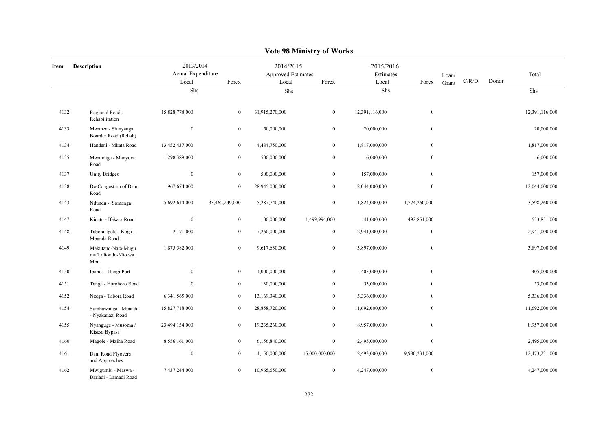|      | Y UIL 70 IVIIIIISH Y UI-YY ULKS                 |                                          |                  |                                          |                  |                                 |                  |                |       |       |                |  |  |
|------|-------------------------------------------------|------------------------------------------|------------------|------------------------------------------|------------------|---------------------------------|------------------|----------------|-------|-------|----------------|--|--|
| Item | Description                                     | 2013/2014<br>Actual Expenditure<br>Local | Forex            | 2014/2015<br>Approved Estimates<br>Local | Forex            | 2015/2016<br>Estimates<br>Local | Forex            | Loan/<br>Grant | C/R/D | Donor | Total          |  |  |
|      |                                                 | Shs                                      |                  | Shs                                      |                  | Shs                             |                  |                |       |       | Shs            |  |  |
|      |                                                 |                                          |                  |                                          |                  |                                 |                  |                |       |       |                |  |  |
| 4132 | Regional Roads<br>Rehabilitation                | 15,828,778,000                           | $\mathbf{0}$     | 31,915,270,000                           | $\boldsymbol{0}$ | 12,391,116,000                  | $\bf{0}$         |                |       |       | 12,391,116,000 |  |  |
| 4133 | Mwanza - Shinyanga<br>Boarder Road (Rehab)      | $\boldsymbol{0}$                         | $\mathbf{0}$     | 50,000,000                               | $\overline{0}$   | 20,000,000                      | $\mathbf{0}$     |                |       |       | 20,000,000     |  |  |
| 4134 | Handeni - Mkata Road                            | 13,452,437,000                           | $\overline{0}$   | 4,484,750,000                            | $\mathbf{0}$     | 1,817,000,000                   | $\mathbf{0}$     |                |       |       | 1,817,000,000  |  |  |
| 4135 | Mwandiga - Manyovu<br>Road                      | 1,298,389,000                            | $\mathbf{0}$     | 500,000,000                              | $\mathbf{0}$     | 6,000,000                       | $\boldsymbol{0}$ |                |       |       | 6,000,000      |  |  |
| 4137 | <b>Unity Bridges</b>                            | $\boldsymbol{0}$                         | $\overline{0}$   | 500,000,000                              | $\overline{0}$   | 157,000,000                     | $\boldsymbol{0}$ |                |       |       | 157,000,000    |  |  |
| 4138 | De-Congestion of Dsm<br>Road                    | 967,674,000                              | $\boldsymbol{0}$ | 28,945,000,000                           | $\mathbf{0}$     | 12,044,000,000                  | $\overline{0}$   |                |       |       | 12,044,000,000 |  |  |
| 4143 | Ndundu - Somanga<br>Road                        | 5,692,614,000                            | 33,462,249,000   | 5,287,740,000                            | $\mathbf{0}$     | 1,824,000,000                   | 1,774,260,000    |                |       |       | 3,598,260,000  |  |  |
| 4147 | Kidatu - Ifakara Road                           | $\boldsymbol{0}$                         | $\bf{0}$         | 100,000,000                              | 1,499,994,000    | 41,000,000                      | 492,851,000      |                |       |       | 533,851,000    |  |  |
| 4148 | Tabora-Ipole - Koga -<br>Mpanda Road            | 2,171,000                                | $\boldsymbol{0}$ | 7,260,000,000                            | $\boldsymbol{0}$ | 2,941,000,000                   | $\mathbf{0}$     |                |       |       | 2,941,000,000  |  |  |
| 4149 | Makutano-Nata-Mugu<br>mu/Loliondo-Mto wa<br>Mbu | 1,875,582,000                            | $\mathbf{0}$     | 9,617,630,000                            | $\mathbf{0}$     | 3,897,000,000                   | $\mathbf{0}$     |                |       |       | 3,897,000,000  |  |  |
| 4150 | Ibanda - Itungi Port                            | $\boldsymbol{0}$                         | $\mathbf{0}$     | 1,000,000,000                            | $\boldsymbol{0}$ | 405,000,000                     | $\boldsymbol{0}$ |                |       |       | 405,000,000    |  |  |
| 4151 | Tanga - Horohoro Road                           | $\mathbf{0}$                             | $\overline{0}$   | 130,000,000                              | $\overline{0}$   | 53,000,000                      | $\mathbf{0}$     |                |       |       | 53,000,000     |  |  |
| 4152 | Nzega - Tabora Road                             | 6,341,565,000                            | $\bf{0}$         | 13,169,340,000                           | $\mathbf{0}$     | 5,336,000,000                   | $\mathbf{0}$     |                |       |       | 5,336,000,000  |  |  |
| 4154 | Sumbawanga - Mpanda<br>- Nyakanazi Road         | 15,827,718,000                           | $\overline{0}$   | 28,858,720,000                           | $\overline{0}$   | 11,692,000,000                  | $\bf{0}$         |                |       |       | 11,692,000,000 |  |  |
| 4155 | Nyanguge - Musoma /<br>Kisesa Bypass            | 23,494,154,000                           | $\boldsymbol{0}$ | 19,235,260,000                           | $\boldsymbol{0}$ | 8,957,000,000                   | $\boldsymbol{0}$ |                |       |       | 8,957,000,000  |  |  |
| 4160 | Magole - Mziha Road                             | 8,556,161,000                            | $\mathbf{0}$     | 6,156,840,000                            | $\boldsymbol{0}$ | 2,495,000,000                   | $\boldsymbol{0}$ |                |       |       | 2,495,000,000  |  |  |
| 4161 | Dsm Road Flyovers<br>and Approaches             | $\boldsymbol{0}$                         | $\bf{0}$         | 4,150,000,000                            | 15,000,000,000   | 2,493,000,000                   | 9,980,231,000    |                |       |       | 12,473,231,000 |  |  |
| 4162 | Mwigumbi - Maswa -<br>Bariadi - Lamadi Road     | 7,437,244,000                            | $\boldsymbol{0}$ | 10,965,650,000                           | $\mathbf{0}$     | 4,247,000,000                   | $\mathbf{0}$     |                |       |       | 4,247,000,000  |  |  |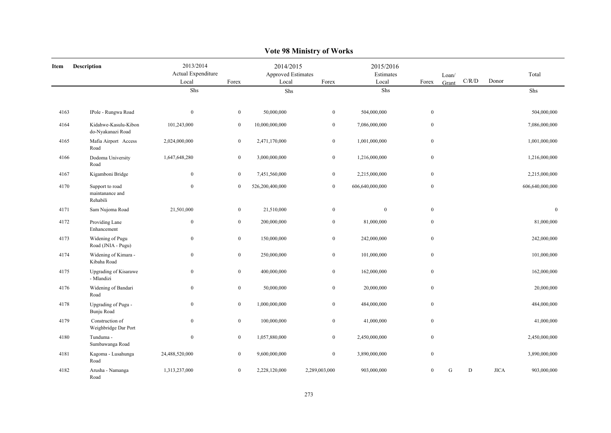|      | Y UIL 70 MHHISH Y UL YY ULKS                   |                                          |                  |                                          |                  |                                 |                  |                |           |             |                  |  |  |
|------|------------------------------------------------|------------------------------------------|------------------|------------------------------------------|------------------|---------------------------------|------------------|----------------|-----------|-------------|------------------|--|--|
| Item | Description                                    | 2013/2014<br>Actual Expenditure<br>Local | Forex            | 2014/2015<br>Approved Estimates<br>Local | Forex            | 2015/2016<br>Estimates<br>Local | Forex            | Loan/<br>Grant | C/R/D     | Donor       | Total            |  |  |
|      |                                                | Shs                                      |                  | Shs                                      |                  | Shs                             |                  |                |           |             | Shs              |  |  |
|      |                                                |                                          |                  |                                          |                  |                                 |                  |                |           |             |                  |  |  |
| 4163 | IPole - Rungwa Road                            | $\mathbf{0}$                             | $\mathbf{0}$     | 50,000,000                               | $\boldsymbol{0}$ | 504,000,000                     | $\mathbf{0}$     |                |           |             | 504,000,000      |  |  |
| 4164 | Kidahwe-Kasulu-Kibon<br>do-Nyakanazi Road      | 101,243,000                              | $\bf{0}$         | 10,000,000,000                           | $\bf{0}$         | 7,086,000,000                   | $\boldsymbol{0}$ |                |           |             | 7,086,000,000    |  |  |
| 4165 | Mafia Airport Access<br>Road                   | 2,024,000,000                            | $\boldsymbol{0}$ | 2,471,170,000                            | $\boldsymbol{0}$ | 1,001,000,000                   | $\boldsymbol{0}$ |                |           |             | 1,001,000,000    |  |  |
| 4166 | Dodoma University<br>Road                      | 1,647,648,280                            | $\boldsymbol{0}$ | 3,000,000,000                            | $\boldsymbol{0}$ | 1,216,000,000                   | $\boldsymbol{0}$ |                |           |             | 1,216,000,000    |  |  |
| 4167 | Kigamboni Bridge                               | $\mathbf{0}$                             | $\mathbf{0}$     | 7,451,560,000                            | $\boldsymbol{0}$ | 2,215,000,000                   | $\boldsymbol{0}$ |                |           |             | 2,215,000,000    |  |  |
| 4170 | Support to road<br>maintanance and<br>Rehabili | $\mathbf{0}$                             | $\bf{0}$         | 526,200,400,000                          | $\bf{0}$         | 606,640,000,000                 | $\boldsymbol{0}$ |                |           |             | 606,640,000,000  |  |  |
| 4171 | Sam Nujoma Road                                | 21,501,000                               | $\bf{0}$         | 21,510,000                               | $\boldsymbol{0}$ | $\bf{0}$                        | $\bf{0}$         |                |           |             | $\boldsymbol{0}$ |  |  |
| 4172 | Providing Lane<br>Enhancement                  | $\boldsymbol{0}$                         | $\mathbf{0}$     | 200,000,000                              | $\boldsymbol{0}$ | 81,000,000                      | $\boldsymbol{0}$ |                |           |             | 81,000,000       |  |  |
| 4173 | Widening of Pugu<br>Road (JNIA - Pugu)         | $\mathbf{0}$                             | $\boldsymbol{0}$ | 150,000,000                              | $\boldsymbol{0}$ | 242,000,000                     | $\boldsymbol{0}$ |                |           |             | 242,000,000      |  |  |
| 4174 | Widening of Kimara -<br>Kibaha Road            | $\bf{0}$                                 | $\boldsymbol{0}$ | 250,000,000                              | $\boldsymbol{0}$ | 101,000,000                     | $\bf{0}$         |                |           |             | 101,000,000      |  |  |
| 4175 | <b>Upgrading of Kisarawe</b><br>- Mlandizi     | $\boldsymbol{0}$                         | $\bf{0}$         | 400,000,000                              | $\boldsymbol{0}$ | 162,000,000                     | $\boldsymbol{0}$ |                |           |             | 162,000,000      |  |  |
| 4176 | Widening of Bandari<br>Road                    | $\boldsymbol{0}$                         | $\boldsymbol{0}$ | 50,000,000                               | $\boldsymbol{0}$ | 20,000,000                      | $\boldsymbol{0}$ |                |           |             | 20,000,000       |  |  |
| 4178 | Upgrading of Pugu -<br>Bunju Road              | $\mathbf{0}$                             | $\boldsymbol{0}$ | 1,000,000,000                            | $\boldsymbol{0}$ | 484,000,000                     | $\boldsymbol{0}$ |                |           |             | 484,000,000      |  |  |
| 4179 | Construction of<br>Weighbridge Dar Port        | $\bf{0}$                                 | $\mathbf{0}$     | 100,000,000                              | $\boldsymbol{0}$ | 41,000,000                      | $\bf{0}$         |                |           |             | 41,000,000       |  |  |
| 4180 | Tunduma -<br>Sumbawanga Road                   | $\bf{0}$                                 | $\bf{0}$         | 1,057,880,000                            | $\boldsymbol{0}$ | 2,450,000,000                   | $\boldsymbol{0}$ |                |           |             | 2,450,000,000    |  |  |
| 4181 | Kagoma - Lusahunga<br>Road                     | 24,488,520,000                           | $\mathbf{0}$     | 9,600,000,000                            | $\boldsymbol{0}$ | 3,890,000,000                   | $\boldsymbol{0}$ |                |           |             | 3,890,000,000    |  |  |
| 4182 | Arusha - Namanga<br>Road                       | 1,313,237,000                            | $\mathbf{0}$     | 2,228,120,000                            | 2,289,003,000    | 903,000,000                     | $\overline{0}$   | G              | ${\rm D}$ | <b>JICA</b> | 903,000,000      |  |  |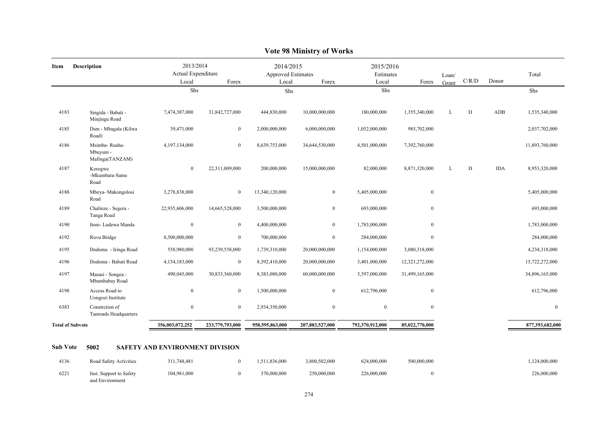| <b>Description</b><br>Item |                                                | 2013/2014<br>Actual Expenditure |                  | 2014/2015<br>Approved Estimates |                  | 2015/2016<br>Estimates |                |                |             | Total      |                 |
|----------------------------|------------------------------------------------|---------------------------------|------------------|---------------------------------|------------------|------------------------|----------------|----------------|-------------|------------|-----------------|
|                            |                                                | Local                           | Forex            | Local                           | Forex            | Local                  | Forex          | Loan/<br>Grant | C/R/D       | Donor      |                 |
|                            |                                                | Shs                             |                  |                                 | Shs              |                        | Shs            |                |             |            | Shs             |
| 4183                       | Singida - Babati -<br>Minjingu Road            | 7,474,387,000                   | 31,842,727,000   | 444,830,000                     | 10,000,000,000   | 180,000,000            | 1,355,340,000  | L              | $\mathbf D$ | ADB        | 1,535,340,000   |
| 4185                       | Dsm - Mbagala (Kilwa<br>Road)                  | 39,471,000                      | $\boldsymbol{0}$ | 2,000,000,000                   | 6,000,000,000    | 1,052,000,000          | 985,702,000    |                |             |            | 2,037,702,000   |
| 4186                       | Msimba-Ruaha-<br>Mbuyuni -<br>Mafinga(TANZAM)  | 4,197,134,000                   | $\mathbf{0}$     | 8,639,753,000                   | 34,644,530,000   | 4,501,000,000          | 7,392,760,000  |                |             |            | 11,893,760,000  |
| 4187                       | Korogwe<br>-Mkumbara-Same<br>Road              | $\boldsymbol{0}$                | 22,311,009,000   | 200,000,000                     | 15,000,000,000   | 82,000,000             | 8,871,320,000  | L              | $\mathbf D$ | <b>IDA</b> | 8,953,320,000   |
| 4188                       | Mbeya- Makongolosi<br>Road                     | 3,278,838,000                   | $\boldsymbol{0}$ | 13,340,120,000                  | $\overline{0}$   | 5,405,000,000          | $\mathbf{0}$   |                |             |            | 5,405,000,000   |
| 4189                       | Chalinze - Segera -<br>Tanga Road              | 22,935,606,000                  | 14,665,528,000   | 3,500,000,000                   | $\boldsymbol{0}$ | 693,000,000            | $\mathbf{0}$   |                |             |            | 693,000,000     |
| 4190                       | Itoni- Ludewa Manda                            | $\boldsymbol{0}$                | $\bf{0}$         | 4,400,000,000                   | $\mathbf{0}$     | 1,783,000,000          | $\mathbf{0}$   |                |             |            | 1,783,000,000   |
| 4192                       | Ruvu Bridge                                    | 8,500,000,000                   | $\bf{0}$         | 700,000,000                     | $\bf{0}$         | 284,000,000            | $\mathbf{0}$   |                |             |            | 284,000,000     |
| 4195                       | Dodoma - Iringa Road                           | 558,980,000                     | 93,239,558,000   | 1,739,310,000                   | 20,000,000,000   | 1,154,000,000          | 3,080,318,000  |                |             |            | 4,234,318,000   |
| 4196                       | Dodoma - Babati Road                           | 4,154,183,000                   | $\bf{0}$         | 8,392,410,000                   | 20,000,000,000   | 3,401,000,000          | 12,321,272,000 |                |             |            | 15,722,272,000  |
| 4197                       | Masasi - Songea -<br>Mbambabay Road            | 490,045,000                     | 30,833,360,000   | 8,383,080,000                   | 60,000,000,000   | 3,397,000,000          | 31,499,165,000 |                |             |            | 34,896,165,000  |
| 4198                       | Access Road to<br>Uongozi Institute            | $\boldsymbol{0}$                | $\bf{0}$         | 1,500,000,000                   | $\bf{0}$         | 612,796,000            | $\mathbf{0}$   |                |             |            | 612,796,000     |
| 6383                       | Constretion of<br><b>Tanroads Headquarters</b> | $\mathbf{0}$                    | $\mathbf{0}$     | 2,934,350,000                   | $\mathbf{0}$     | $\mathbf{0}$           | $\mathbf{0}$   |                |             |            | $\mathbf{0}$    |
| <b>Total of Subvote</b>    |                                                | 356,003,072,252                 | 233,779,793,000  | 958,595,863,000                 | 207,883,527,000  | 792,370,912,000        | 85,022,770,000 |                |             |            | 877,393,682,000 |

| 4136 | Road Safety Activities                     | 311,748,481 | .511,836,000 | 3,800,502,000 | 624,000,000 | 500,000,000 | ,124,000,000 |
|------|--------------------------------------------|-------------|--------------|---------------|-------------|-------------|--------------|
| 6221 | Inst. Support to Safety<br>and Environment | 104,981,000 | 370,000,000  | 250,000,000   | 226,000,000 |             | 226,000,000  |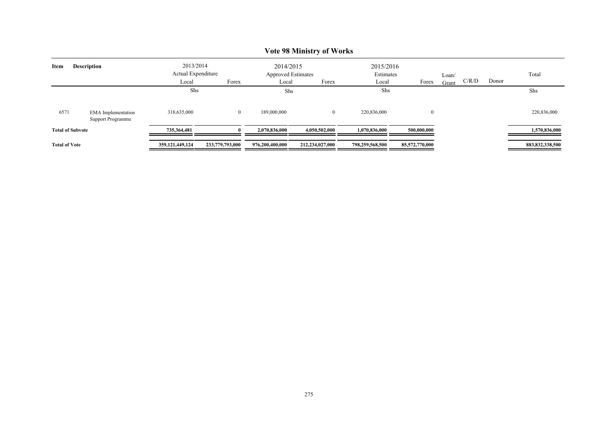|                      |                                                       |                                 |                                           |                 | $\sqrt{2}$ or $\sqrt{2}$ is intensed $\sqrt{2}$ or $\sqrt{2}$ or $\sqrt{2}$ |                 |                        |  |  |       |                    |  |  |
|----------------------|-------------------------------------------------------|---------------------------------|-------------------------------------------|-----------------|-----------------------------------------------------------------------------|-----------------|------------------------|--|--|-------|--------------------|--|--|
| Item                 | <b>Description</b>                                    | 2013/2014<br>Actual Expenditure |                                           |                 | 2014/2015<br><b>Approved Estimates</b>                                      |                 | 2015/2016<br>Estimates |  |  | Loan/ |                    |  |  |
|                      |                                                       | Local                           | Forex<br>Local<br>Forex<br>Forex<br>Local | Grant           | C/R/D                                                                       | Donor           |                        |  |  |       |                    |  |  |
|                      |                                                       | Shs                             |                                           |                 | Shs                                                                         |                 | Shs                    |  |  |       | Shs                |  |  |
| 6571                 | <b>EMA</b> Implementation<br><b>Support Programme</b> | 318,635,000                     | $\overline{0}$                            | 189,000,000     |                                                                             | 220,836,000     | $\overline{0}$         |  |  |       | 220,836,000        |  |  |
|                      | <b>Total of Subvote</b>                               | 735,364,481                     |                                           | 2,070,836,000   | 4,050,502,000                                                               | 1.070.836.000   | 500,000,000            |  |  |       | 1,570,836,000      |  |  |
| <b>Total of Vote</b> |                                                       | 359, 121, 449, 124              | 233,779,793,000                           | 976,200,400,000 | 212,234,027,000                                                             | 798,259,568,500 | 85,572,770,000         |  |  |       | 883, 832, 338, 500 |  |  |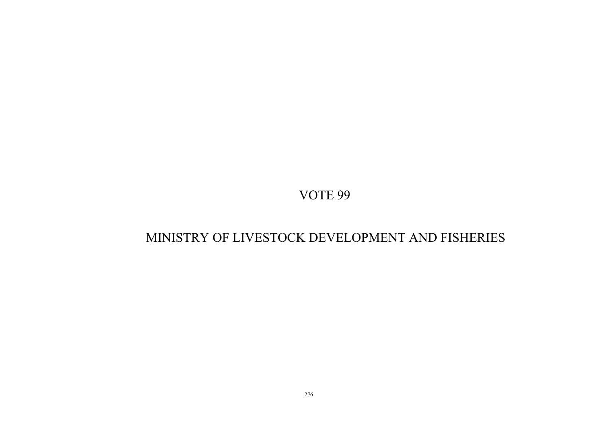# MINISTRY OF LIVESTOCK DEVELOPMENT AND FISHERIES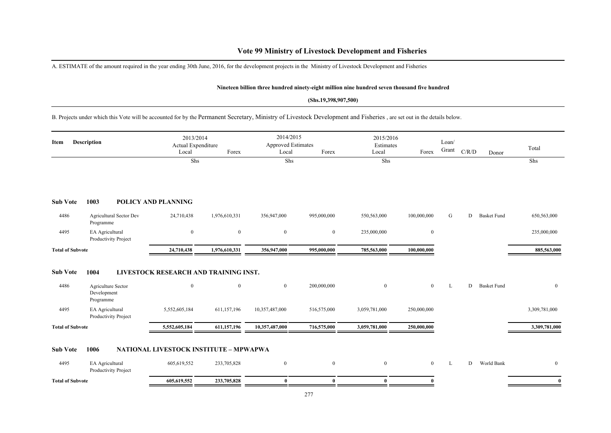## **Vote 99 Ministry of Livestock Development and Fisheries**

A. ESTIMATE of the amount required in the year ending 30th June, 2016, for the development projects in the Ministry of Livestock Development and Fisheries

#### **Nineteen billion three hundred ninety-eight million nine hundred seven thousand five hundred**

#### **(Shs.19,398,907,500)**

B. Projects under which this Vote will be accounted for by the Permanent Secretary, Ministry of Livestock Development and Fisheries , are set out in the details below.

| <b>Description</b><br>Item |                                                | 2013/2014<br>Actual Expenditure<br>Local | Forex          | 2014/2015<br><b>Approved Estimates</b><br>Local | Forex        | 2015/2016<br>Estimates<br>Local | Forex          | Loan/<br>Grant | C/R/D | Donor              | Total            |
|----------------------------|------------------------------------------------|------------------------------------------|----------------|-------------------------------------------------|--------------|---------------------------------|----------------|----------------|-------|--------------------|------------------|
|                            |                                                | Shs                                      |                | Shs                                             |              | Shs                             |                |                |       |                    | Shs              |
| <b>Sub Vote</b>            | 1003                                           | <b>POLICY AND PLANNING</b>               |                |                                                 |              |                                 |                |                |       |                    |                  |
| 4486                       | <b>Agricultural Sector Dev</b><br>Programme    | 24,710,438                               | 1,976,610,331  | 356,947,000                                     | 995,000,000  | 550,563,000                     | 100,000,000    | G              | D     | <b>Basket Fund</b> | 650,563,000      |
| 4495                       | EA Agricultural<br>Productivity Project        | $\overline{0}$                           | $\bf{0}$       | $\mathbf{0}$                                    | $\mathbf{0}$ | 235,000,000                     | $\mathbf{0}$   |                |       |                    | 235,000,000      |
| <b>Total of Subvote</b>    |                                                | 24,710,438                               | 1,976,610,331  | 356,947,000                                     | 995,000,000  | 785,563,000                     | 100,000,000    |                |       |                    | 885,563,000      |
| <b>Sub Vote</b>            | 1004                                           | LIVESTOCK RESEARCH AND TRAINING INST.    |                |                                                 |              |                                 |                |                |       |                    |                  |
| 4486                       | Agriculture Sector<br>Development<br>Programme | $\mathbf{0}$                             | $\overline{0}$ | $\overline{0}$                                  | 200,000,000  | $\overline{0}$                  | $\overline{0}$ | L              | D     | <b>Basket Fund</b> | $\boldsymbol{0}$ |
| 4495                       | EA Agricultural<br>Productivity Project        | 5,552,605,184                            | 611,157,196    | 10,357,487,000                                  | 516,575,000  | 3,059,781,000                   | 250,000,000    |                |       |                    | 3,309,781,000    |
| <b>Total of Subvote</b>    |                                                | 5,552,605,184                            | 611,157,196    | 10,357,487,000                                  | 716,575,000  | 3,059,781,000                   | 250,000,000    |                |       |                    | 3,309,781,000    |
| <b>Sub Vote</b>            | 1006                                           | NATIONAL LIVESTOCK INSTITUTE - MPWAPWA   |                |                                                 |              |                                 |                |                |       |                    |                  |
| 4495                       | EA Agricultural<br>Productivity Project        | 605,619,552                              | 233,705,828    | $\boldsymbol{0}$                                | $\mathbf{0}$ | $\overline{0}$                  | $\overline{0}$ | L              | D     | World Bank         | $\mathbf{0}$     |
| <b>Total of Subvote</b>    |                                                | 605,619,552                              | 233,705,828    | $\bf{0}$                                        | $\bf{0}$     | $\bf{0}$                        | $\bf{0}$       |                |       |                    | $\bf{0}$         |